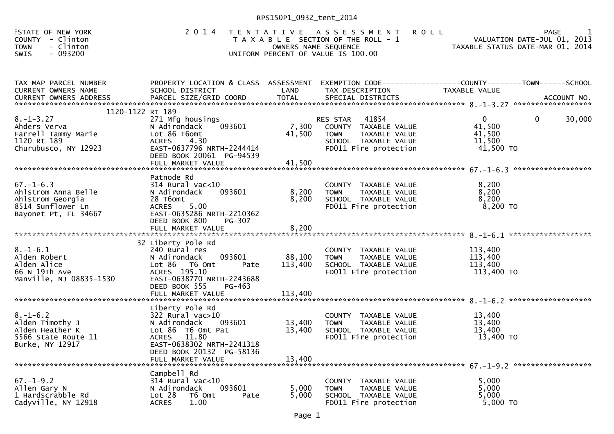| <b>ASTATE OF NEW YORK</b><br>COUNTY<br>- Clinton<br>- Clinton<br><b>TOWN</b><br>$-093200$<br><b>SWIS</b>          | 2 0 1 4                                                                                                                                                                                                         | OWNERS NAME SEQUENCE                  | TENTATIVE ASSESSMENT<br><b>ROLL</b><br>T A X A B L E SECTION OF THE ROLL - 1<br>UNIFORM PERCENT OF VALUE IS 100.00         | <b>PAGE</b><br>VALUATION DATE-JUL 01, 2013<br>TAXABLE STATUS DATE-MAR 01, 2014 |
|-------------------------------------------------------------------------------------------------------------------|-----------------------------------------------------------------------------------------------------------------------------------------------------------------------------------------------------------------|---------------------------------------|----------------------------------------------------------------------------------------------------------------------------|--------------------------------------------------------------------------------|
| TAX MAP PARCEL NUMBER<br>CURRENT OWNERS NAME                                                                      | PROPERTY LOCATION & CLASS ASSESSMENT<br>SCHOOL DISTRICT                                                                                                                                                         | LAND                                  | TAX DESCRIPTION                                                                                                            | EXEMPTION CODE-----------------COUNTY--------TOWN------SCHOOL<br>TAXABLE VALUE |
| 1120-1122 Rt 189<br>$8. - 1 - 3.27$<br>Ahders Verva<br>Farrell Tammy Marie<br>1120 Rt 189<br>Churubusco, NY 12923 | 271 Mfg housings<br>N Adirondack<br>093601<br>Lot 86 T6omt<br><b>ACRES</b><br>4.30<br>EAST-0637796 NRTH-2244414<br>DEED BOOK 20061 PG-94539                                                                     | 7,300<br>41,500                       | 41854<br>RES STAR<br>COUNTY TAXABLE VALUE<br><b>TOWN</b><br>TAXABLE VALUE<br>SCHOOL TAXABLE VALUE<br>FD011 Fire protection | $\mathbf{0}$<br>0<br>30,000<br>41,500<br>41,500<br>11,500<br>41,500 TO         |
| $67. - 1 - 6.3$<br>Ahlstrom Anna Belle<br>Ahlstrom Georgia<br>8514 Sunflower Ln<br>Bayonet Pt, FL 34667           | Patnode Rd<br>$314$ Rural vac< $10$<br>093601<br>N Adirondack<br>28 T6omt<br>5.00<br><b>ACRES</b><br>EAST-0635286 NRTH-2210362<br>DEED BOOK 800<br><b>PG-307</b>                                                | 8,200<br>8,200                        | COUNTY TAXABLE VALUE<br>TAXABLE VALUE<br><b>TOWN</b><br>SCHOOL TAXABLE VALUE<br>FD011 Fire protection                      | 8,200<br>8,200<br>8,200<br>8,200 TO                                            |
| $8. - 1 - 6.1$<br>Alden Robert<br>Alden Alice<br>66 N 19Th Ave<br>Manville, NJ 08835-1530                         | FULL MARKET VALUE<br>32 Liberty Pole Rd<br>240 Rural res<br>093601<br>N Adirondack<br>Lot 86 T6 Omt<br>Pate<br>ACRES 195.10<br>EAST-0638770 NRTH-2243688<br>DEED BOOK 555<br><b>PG-463</b><br>FULL MARKET VALUE | 8,200<br>88,100<br>113,400<br>113,400 | COUNTY TAXABLE VALUE<br><b>TOWN</b><br>TAXABLE VALUE<br>SCHOOL TAXABLE VALUE<br>FD011 Fire protection                      | 113,400<br>113,400<br>113,400<br>113,400 TO                                    |
| $8. - 1 - 6.2$<br>Alden Timothy J<br>Alden Heather K<br>5566 State Route 11<br>Burke, NY 12917                    | Liberty Pole Rd<br>$322$ Rural vac $>10$<br>093601<br>N Adirondack<br>Lot 86 T6 Omt Pat<br>ACRES 11.80<br>EAST-0638302 NRTH-2241318<br>DEED BOOK 20132 PG-58136<br>FULL MARKET VALUE                            | 13,400<br>13,400<br>13,400            | COUNTY TAXABLE VALUE<br><b>TOWN</b><br>TAXABLE VALUE<br>SCHOOL TAXABLE VALUE<br>FD011 Fire protection                      | 13,400<br>13,400<br>13,400<br>13,400 TO                                        |
| $67. - 1 - 9.2$<br>Allen Gary N<br>1 Hardscrabble Rd<br>Cadyville, NY 12918                                       | Campbell Rd<br>$314$ Rural vac<10<br>N Adirondack<br>093601<br>Lot 28<br>T6 Omt<br>Pate<br>1.00<br><b>ACRES</b>                                                                                                 | 5,000<br>5,000                        | COUNTY<br>TAXABLE VALUE<br>TAXABLE VALUE<br><b>TOWN</b><br>SCHOOL TAXABLE VALUE<br>FD011 Fire protection                   | 5,000<br>5,000<br>5,000<br>5,000 TO                                            |

1 Hardscrabble Rd Lot 28 T6 Omt Pate 5,000 SCHOOL TAXABLE VALUE 5,000<br>Codverille NY 12018 ACRES 1.00 Cadyville, NY 12918 ACRES 1.00 FD011 Fire protection 5,000 TO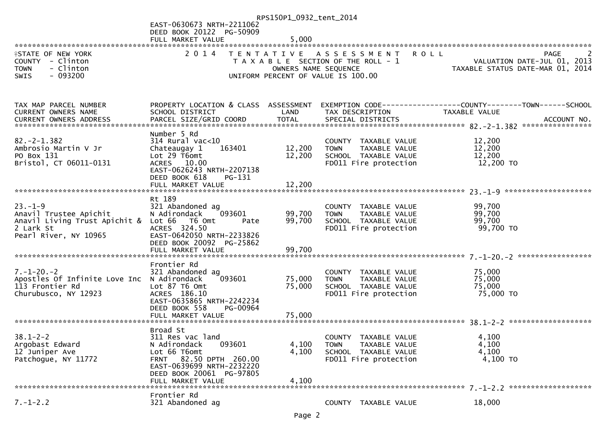|                                              |                                           | RPS150P1_0932_tent_2014 |                                       |                                                                                                    |             |
|----------------------------------------------|-------------------------------------------|-------------------------|---------------------------------------|----------------------------------------------------------------------------------------------------|-------------|
|                                              | EAST-0630673 NRTH-2211062                 |                         |                                       |                                                                                                    |             |
|                                              | DEED BOOK 20122 PG-50909                  |                         |                                       |                                                                                                    |             |
|                                              | FULL MARKET VALUE                         | 5,000                   |                                       |                                                                                                    |             |
|                                              |                                           |                         |                                       |                                                                                                    |             |
| <b>ISTATE OF NEW YORK</b>                    | 2 0 1 4                                   | T E N T A T I V E       | A S S E S S M E N T                   | <b>ROLL</b>                                                                                        | <b>PAGE</b> |
| COUNTY - Clinton<br>- Clinton<br><b>TOWN</b> |                                           |                         | T A X A B L E SECTION OF THE ROLL - 1 | VALUATION DATE-JUL 01, 2013<br>ران VALUATION DATE-JUL U1, 2014<br>TAXABLE STATUS DATE-MAR 01, 2014 |             |
| $-093200$<br><b>SWIS</b>                     |                                           | OWNERS NAME SEQUENCE    | UNIFORM PERCENT OF VALUE IS 100.00    |                                                                                                    |             |
|                                              |                                           |                         |                                       |                                                                                                    |             |
|                                              |                                           |                         |                                       |                                                                                                    |             |
|                                              |                                           |                         |                                       |                                                                                                    |             |
| TAX MAP PARCEL NUMBER                        | PROPERTY LOCATION & CLASS ASSESSMENT      |                         |                                       |                                                                                                    |             |
| CURRENT OWNERS NAME                          | SCHOOL DISTRICT                           | LAND                    | TAX DESCRIPTION                       | <b>TAXABLE VALUE</b>                                                                               |             |
| <b>CURRENT OWNERS ADDRESS</b>                | PARCEL SIZE/GRID COORD                    | <b>TOTAL</b>            | SPECIAL DISTRICTS                     |                                                                                                    | ACCOUNT NO. |
|                                              |                                           |                         |                                       |                                                                                                    |             |
|                                              | Number 5 Rd                               |                         |                                       |                                                                                                    |             |
| $82. -2 - 1.382$                             | $314$ Rural vac<10                        |                         | COUNTY TAXABLE VALUE                  | 12,200                                                                                             |             |
| Ambrosio Martin V Jr                         | Chateaugay 1<br>163401                    | 12,200                  | TAXABLE VALUE<br><b>TOWN</b>          | 12,200                                                                                             |             |
| PO Box 131                                   | Lot $29$ T6omt                            | 12,200                  | SCHOOL TAXABLE VALUE                  | 12,200                                                                                             |             |
| Bristol, CT 06011-0131                       | ACRES 10.00                               |                         | FD011 Fire protection                 | 12,200 TO                                                                                          |             |
|                                              | EAST-0626243 NRTH-2207138                 |                         |                                       |                                                                                                    |             |
|                                              | DEED BOOK 618<br>PG-131                   |                         |                                       |                                                                                                    |             |
|                                              |                                           |                         |                                       |                                                                                                    |             |
|                                              | Rt 189                                    |                         |                                       |                                                                                                    |             |
| $23. - 1 - 9$                                | 321 Abandoned ag                          |                         | COUNTY TAXABLE VALUE                  | 99,700                                                                                             |             |
| Anavil Trustee Apichit                       | 093601<br>N Adirondack                    | 99,700                  | TAXABLE VALUE<br><b>TOWN</b>          | 99,700                                                                                             |             |
| Anavil Living Trust Apichit &                | Lot 66 T6 Omt<br>Pate                     | 99,700                  | SCHOOL TAXABLE VALUE                  | 99,700                                                                                             |             |
| 2 Lark St                                    | ACRES 324.50                              |                         | FD011 Fire protection                 | 99,700 TO                                                                                          |             |
| Pearl River, NY 10965                        | EAST-0642050 NRTH-2233826                 |                         |                                       |                                                                                                    |             |
|                                              | DEED BOOK 20092 PG-25862                  |                         |                                       |                                                                                                    |             |
|                                              | FULL MARKET VALUE                         | 99,700                  |                                       |                                                                                                    |             |
|                                              |                                           |                         |                                       |                                                                                                    |             |
|                                              | Frontier Rd                               |                         |                                       |                                                                                                    |             |
| $7. - 1 - 20. - 2$                           | 321 Abandoned ag                          |                         | COUNTY TAXABLE VALUE                  | 75,000                                                                                             |             |
| Apostles Of Infinite Love Inc N Adirondack   | 093601                                    | 75,000                  | TAXABLE VALUE<br><b>TOWN</b>          | 75,000                                                                                             |             |
| 113 Frontier Rd                              | Lot 87 T6 Omt                             | 75,000                  | SCHOOL TAXABLE VALUE                  | 75,000                                                                                             |             |
| Churubusco, NY 12923                         | ACRES 186.10<br>EAST-0635865 NRTH-2242234 |                         | FD011 Fire protection                 | 75,000 TO                                                                                          |             |
|                                              | DEED BOOK 558<br>PG-00964                 |                         |                                       |                                                                                                    |             |
|                                              |                                           |                         |                                       |                                                                                                    |             |
|                                              |                                           |                         |                                       |                                                                                                    |             |
|                                              | Broad St                                  |                         |                                       |                                                                                                    |             |
| $38.1 - 2 - 2$                               | 311 Res vac land                          |                         | COUNTY TAXABLE VALUE                  | 4,100                                                                                              |             |
| Argobast Edward                              | N Adirondack<br>093601                    | 4,100                   | TAXABLE VALUE<br><b>TOWN</b>          | 4,100                                                                                              |             |
| 12 Juniper Ave                               | Lot 66 T6omt                              | 4,100                   | SCHOOL TAXABLE VALUE                  | 4,100                                                                                              |             |
| Patchogue, NY 11772                          | FRNT 82.50 DPTH 260.00                    |                         | FD011 Fire protection                 | 4,100 TO                                                                                           |             |
|                                              | EAST-0639699 NRTH-2232220                 |                         |                                       |                                                                                                    |             |
|                                              | DEED BOOK 20061 PG-97805                  |                         |                                       |                                                                                                    |             |
|                                              | FULL MARKET VALUE                         | 4,100                   |                                       |                                                                                                    |             |
|                                              |                                           |                         |                                       |                                                                                                    |             |
|                                              | Frontier Rd                               |                         |                                       |                                                                                                    |             |
| $7. - 1 - 2.2$                               | 321 Abandoned ag                          |                         | COUNTY TAXABLE VALUE                  | 18,000                                                                                             |             |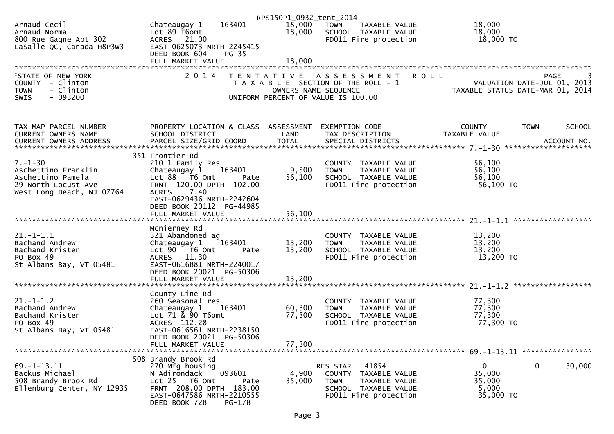|                                                  |                                                  | RPS150P1_0932_tent_2014 |                                                      |                                                                                                  |
|--------------------------------------------------|--------------------------------------------------|-------------------------|------------------------------------------------------|--------------------------------------------------------------------------------------------------|
| Arnaud Cecil                                     | 163401<br>Chateaugay 1                           | 18,000                  | <b>TOWN</b><br>TAXABLE VALUE                         | 18,000                                                                                           |
| Arnaud Norma                                     | Lot 89 T6omt                                     | 18,000                  | SCHOOL TAXABLE VALUE                                 | 18,000                                                                                           |
| 800 Rue Gagne Apt 302                            | ACRES 21.00                                      |                         | FD011 Fire protection                                | 18,000 TO                                                                                        |
| LaSalle QC, Canada H8P3W3                        | EAST-0625073 NRTH-2245415                        |                         |                                                      |                                                                                                  |
|                                                  | DEED BOOK 604<br>$PG-35$                         |                         |                                                      |                                                                                                  |
|                                                  | FULL MARKET VALUE                                | 18,000                  |                                                      |                                                                                                  |
|                                                  |                                                  |                         |                                                      |                                                                                                  |
| <b>ISTATE OF NEW YORK</b>                        |                                                  |                         | 2014 TENTATIVE ASSESSMENT                            | <b>ROLL</b><br>PAGE<br>3                                                                         |
| COUNTY - Clinton<br>- Clinton<br><b>TOWN</b>     |                                                  | OWNERS NAME SEQUENCE    | T A X A B L E SECTION OF THE ROLL - 1                | VALUATION DATE-JUL 01, 2013<br>TAXABLE STATUS DATE-MAR 01, 2014                                  |
| $-093200$<br>SWIS                                |                                                  |                         | UNIFORM PERCENT OF VALUE IS 100.00                   |                                                                                                  |
|                                                  |                                                  |                         |                                                      |                                                                                                  |
|                                                  |                                                  |                         |                                                      |                                                                                                  |
|                                                  |                                                  |                         |                                                      |                                                                                                  |
| TAX MAP PARCEL NUMBER                            |                                                  |                         |                                                      | PROPERTY LOCATION & CLASS ASSESSMENT EXEMPTION CODE----------------COUNTY-------TOWN------SCHOOL |
| CURRENT OWNERS NAME                              | SCHOOL DISTRICT                                  | LAND                    | TAX DESCRIPTION                                      | TAXABLE VALUE                                                                                    |
|                                                  |                                                  |                         |                                                      |                                                                                                  |
|                                                  |                                                  |                         |                                                      |                                                                                                  |
|                                                  | 351 Frontier Rd                                  |                         |                                                      |                                                                                                  |
| $7. - 1 - 30$                                    | 210 1 Family Res                                 |                         | COUNTY TAXABLE VALUE                                 | 56,100                                                                                           |
| Aschettino Franklin                              | Chateaugay 1<br>163401                           | 9,500                   | <b>TOWN</b><br>TAXABLE VALUE                         | 56,100                                                                                           |
| Aschettino Pamela                                | Lot 88 T6 Omt<br>Pate<br>FRNT 120.00 DPTH 102.00 | 56,100                  | SCHOOL TAXABLE VALUE                                 | 56,100                                                                                           |
| 29 North Locust Ave<br>West Long Beach, NJ 07764 | ACRES 7.40                                       |                         | FD011 Fire protection                                | 56,100 TO                                                                                        |
|                                                  | EAST-0629436 NRTH-2242604                        |                         |                                                      |                                                                                                  |
|                                                  | DEED BOOK 20112 PG-44985                         |                         |                                                      |                                                                                                  |
|                                                  |                                                  |                         |                                                      |                                                                                                  |
|                                                  |                                                  |                         |                                                      |                                                                                                  |
|                                                  | Mcnierney Rd                                     |                         |                                                      |                                                                                                  |
| $21. - 1 - 1.1$                                  | 321 Abandoned ag                                 |                         | COUNTY TAXABLE VALUE                                 | 13,200                                                                                           |
| Bachand Andrew                                   | Chateaugay $1$ $163401$                          | 13,200                  | <b>TOWN</b><br>TAXABLE VALUE                         | 13,200                                                                                           |
| Bachand Kristen                                  | Lot 90 T6 Omt<br>Pate                            | 13,200                  | SCHOOL TAXABLE VALUE                                 | 13,200                                                                                           |
| PO Box 49                                        | ACRES 11.30                                      |                         | FD011 Fire protection                                | 13,200 TO                                                                                        |
| St Albans Bay, VT 05481                          | EAST-0616881 NRTH-2240017                        |                         |                                                      |                                                                                                  |
|                                                  | DEED BOOK 20021 PG-50306                         |                         |                                                      |                                                                                                  |
|                                                  | FULL MARKET VALUE                                | 13,200                  |                                                      |                                                                                                  |
|                                                  |                                                  |                         |                                                      |                                                                                                  |
|                                                  | County Line Rd                                   |                         |                                                      |                                                                                                  |
| $21. - 1 - 1.2$<br>Bachand Andrew                | 260 Seasonal res<br>163401                       | 60,300                  | COUNTY TAXABLE VALUE<br><b>TOWN</b><br>TAXABLE VALUE | 77,300<br>77,300                                                                                 |
| Bachand Kristen                                  | Chateaugay 1<br>Lot $71 \times 90$ T6omt         | 77,300                  | SCHOOL TAXABLE VALUE                                 | 77,300                                                                                           |
| PO Box 49                                        | ACRES 112.28                                     |                         | FD011 Fire protection                                | 77,300 TO                                                                                        |
| St Albans Bay, VT 05481                          | EAST-0616561 NRTH-2238150                        |                         |                                                      |                                                                                                  |
|                                                  | DEED BOOK 20021 PG-50306                         |                         |                                                      |                                                                                                  |
|                                                  | FULL MARKET VALUE                                | 77,300                  |                                                      |                                                                                                  |
|                                                  |                                                  |                         |                                                      |                                                                                                  |
|                                                  | 508 Brandy Brook Rd                              |                         |                                                      |                                                                                                  |
| 69. - 1 - 13. 11                                 | 270 Mfg housing                                  |                         | RES STAR<br>41854                                    | 0<br>0<br>30,000                                                                                 |
| Backus Michael                                   | N Adirondack<br>093601                           | 4,900                   | COUNTY TAXABLE VALUE                                 | 35,000                                                                                           |
| 508 Brandy Brook Rd                              | Lot 25 T6 Omt<br>Pate                            | 35,000                  | <b>TOWN</b><br>TAXABLE VALUE                         | 35,000                                                                                           |
| Ellenburg Center, NY 12935                       | FRNT 208.00 DPTH 183.00                          |                         | SCHOOL TAXABLE VALUE                                 | 5,000                                                                                            |
|                                                  | EAST-0647586 NRTH-2210555                        |                         | FD011 Fire protection                                | 35,000 TO                                                                                        |
|                                                  | PG-178<br>DEED BOOK 728                          |                         |                                                      |                                                                                                  |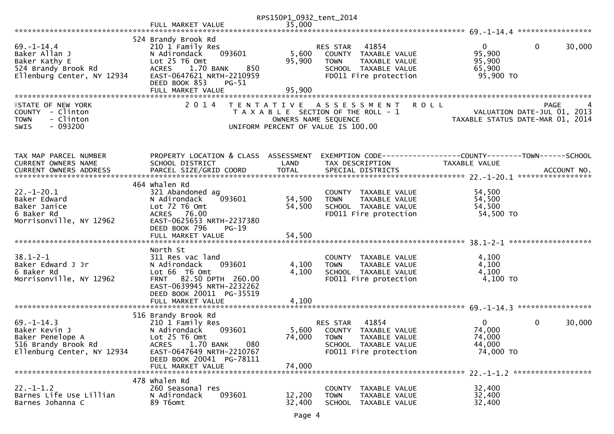|                                                                                                                                      |                                                                                                                                                                                                                 | RPS150P1_0932_tent_2014   |                                                                                                                                                                   |                                                           |                                       |
|--------------------------------------------------------------------------------------------------------------------------------------|-----------------------------------------------------------------------------------------------------------------------------------------------------------------------------------------------------------------|---------------------------|-------------------------------------------------------------------------------------------------------------------------------------------------------------------|-----------------------------------------------------------|---------------------------------------|
|                                                                                                                                      | FULL MARKET VALUE                                                                                                                                                                                               | 35,000                    |                                                                                                                                                                   |                                                           |                                       |
| $69. - 1 - 14.4$<br>Baker Allan J<br>Baker Kathy E<br>524 Brandy Brook Rd<br>Ellenburg Center, NY 12934<br><b>ISTATE OF NEW YORK</b> | 524 Brandy Brook Rd<br>210 1 Family Res<br>093601<br>N Adirondack<br>Lot 25 T6 Omt<br>1.70 BANK<br><b>ACRES</b><br>850<br>EAST-0647621 NRTH-2210959<br>DEED BOOK 853<br>$PG-51$<br>FULL MARKET VALUE<br>2 0 1 4 | 5,600<br>95,900<br>95,900 | 41854<br>RES STAR<br>COUNTY TAXABLE VALUE<br>TAXABLE VALUE<br><b>TOWN</b><br>SCHOOL TAXABLE VALUE<br>FD011 Fire protection<br><b>ROLL</b><br>TENTATIVE ASSESSMENT | $\overline{0}$<br>95,900<br>95,900<br>65,900<br>95,900 TO | $\mathbf{0}$<br>30,000<br><b>PAGE</b> |
| COUNTY - Clinton<br>- Clinton<br><b>TOWN</b><br>$-093200$<br><b>SWIS</b>                                                             |                                                                                                                                                                                                                 | OWNERS NAME SEQUENCE      | T A X A B L E SECTION OF THE ROLL - 1<br>UNIFORM PERCENT OF VALUE IS 100.00                                                                                       | TAXABLE STATUS DATE-MAR 01, 2014                          | VALUATION DATE-JUL 01, 2013           |
| TAX MAP PARCEL NUMBER<br>CURRENT OWNERS NAME                                                                                         | PROPERTY LOCATION & CLASS ASSESSMENT<br>SCHOOL DISTRICT                                                                                                                                                         | LAND                      | EXEMPTION CODE------------------COUNTY--------TOWN------SCHOOL<br>TAX DESCRIPTION                                                                                 | TAXABLE VALUE                                             |                                       |
| $22. - 1 - 20.1$<br>Baker Edward<br>Baker Janice<br>6 Baker Rd<br>Morrisonville, NY 12962                                            | 464 whalen Rd<br>321 Abandoned ag<br>093601<br>N Adirondack<br>Lot 72 T6 Omt<br>ACRES 76.00<br>EAST-0625653 NRTH-2237380<br>DEED BOOK 796<br>$PG-19$                                                            | 54,500<br>54,500          | COUNTY TAXABLE VALUE<br>TAXABLE VALUE<br><b>TOWN</b><br>SCHOOL TAXABLE VALUE<br>FD011 Fire protection                                                             | 54,500<br>54,500<br>54,500<br>54,500 TO                   |                                       |
| $38.1 - 2 - 1$<br>Baker Edward J Jr<br>6 Baker Rd<br>Morrisonville, NY 12962                                                         | North St<br>311 Res vac land<br>093601<br>N Adirondack<br>Lot 66 T6 Omt<br>FRNT 82.50 DPTH 260.00<br>EAST-0639945 NRTH-2232262<br>DEED BOOK 20011 PG-35519<br>FULL MARKET VALUE                                 | 4,100<br>4,100<br>4,100   | COUNTY TAXABLE VALUE<br>TAXABLE VALUE<br><b>TOWN</b><br>SCHOOL TAXABLE VALUE<br>FD011 Fire protection                                                             | 4,100<br>4,100<br>4,100<br>4,100 TO                       |                                       |
| $69. - 1 - 14.3$<br>Baker Kevin J<br>Baker Penelope A<br>516 Brandy Brook Rd<br>Ellenburg Center, NY 12934                           | 516 Brandy Brook Rd<br>210 1 Family Res<br>093601<br>N Adirondack<br>Lot 25 T6 Omt<br>1.70 BANK<br><b>ACRES</b><br>080<br>EAST-0647649 NRTH-2210767<br>DEED BOOK 20041 PG-78111<br>FULL MARKET VALUE            | 5,600<br>74,000<br>74,000 | RES STAR<br>41854<br>COUNTY TAXABLE VALUE<br><b>TOWN</b><br>TAXABLE VALUE<br>SCHOOL TAXABLE VALUE<br>FD011 Fire protection                                        | $\overline{0}$<br>74,000<br>74,000<br>44,000<br>74,000 TO | 0<br>30,000                           |
| $22. - 1 - 1.2$<br>Barnes Life Use Lillian<br>Barnes Johanna C                                                                       | 478 whalen Rd<br>260 Seasonal res<br>N Adirondack<br>093601<br>89 T6omt                                                                                                                                         | 12,200<br>32,400          | COUNTY<br>TAXABLE VALUE<br><b>TOWN</b><br>TAXABLE VALUE<br>SCHOOL<br>TAXABLE VALUE                                                                                | 32,400<br>32,400<br>32,400                                |                                       |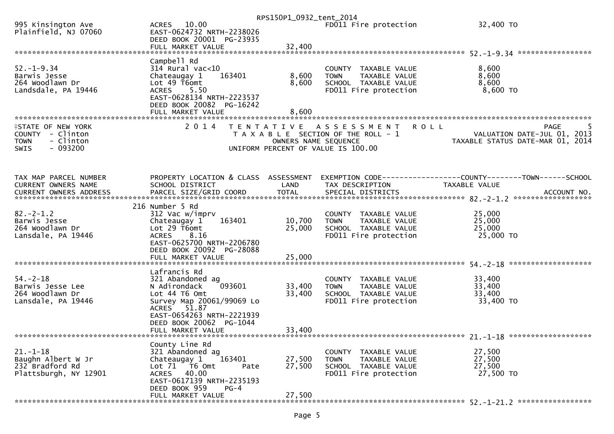|                                              |                                                      | RPS150P1_0932_tent_2014 |                                                      |                                                                 |
|----------------------------------------------|------------------------------------------------------|-------------------------|------------------------------------------------------|-----------------------------------------------------------------|
| 995 Kinsington Ave<br>Plainfield, NJ 07060   | ACRES 10.00<br>EAST-0624732 NRTH-2238026             |                         | FD011 Fire protection                                | 32,400 TO                                                       |
|                                              | DEED BOOK 20001 PG-23935                             |                         |                                                      |                                                                 |
|                                              |                                                      |                         |                                                      |                                                                 |
|                                              | Campbell Rd                                          |                         |                                                      |                                                                 |
| $52. - 1 - 9.34$<br>Barwis Jesse             | $314$ Rural vac<10<br>163401<br>Chateaugay 1         | 8,600                   | COUNTY TAXABLE VALUE<br>TAXABLE VALUE<br><b>TOWN</b> | 8,600<br>8,600                                                  |
| 264 Woodlawn Dr                              | Lot 49 T6omt                                         | 8,600                   | SCHOOL TAXABLE VALUE                                 | 8,600                                                           |
| Landsdale, PA 19446                          | <b>ACRES</b><br>5.50                                 |                         | FD011 Fire protection                                | $8,600$ TO                                                      |
|                                              | EAST-0628134 NRTH-2223537                            |                         |                                                      |                                                                 |
|                                              | DEED BOOK 20082 PG-16242<br>FULL MARKET VALUE        | 8,600                   |                                                      |                                                                 |
|                                              |                                                      |                         |                                                      |                                                                 |
| <b>ISTATE OF NEW YORK</b>                    | 2 0 1 4                                              |                         | <b>ROLL</b><br>TENTATIVE ASSESSMENT                  | PAGE                                                            |
| COUNTY - Clinton<br>- Clinton<br><b>TOWN</b> |                                                      | OWNERS NAME SEQUENCE    | T A X A B L E SECTION OF THE ROLL - 1                | VALUATION DATE-JUL 01, 2013<br>TAXABLE STATUS DATE-MAR 01, 2014 |
| $-093200$<br><b>SWIS</b>                     |                                                      |                         | UNIFORM PERCENT OF VALUE IS 100.00                   |                                                                 |
|                                              |                                                      |                         |                                                      |                                                                 |
|                                              |                                                      |                         |                                                      |                                                                 |
| TAX MAP PARCEL NUMBER                        | PROPERTY LOCATION & CLASS ASSESSMENT                 |                         |                                                      | EXEMPTION CODE-----------------COUNTY--------TOWN------SCHOOL   |
| CURRENT OWNERS NAME                          | SCHOOL DISTRICT                                      | LAND                    | TAX DESCRIPTION                                      | TAXABLE VALUE                                                   |
|                                              |                                                      |                         |                                                      |                                                                 |
|                                              | 216 Number 5 Rd                                      |                         |                                                      |                                                                 |
| $82 - 2 - 1.2$                               | 312 Vac w/imprv                                      |                         | COUNTY TAXABLE VALUE                                 | 25,000                                                          |
| Barwis Jesse<br>264 Woodlawn Dr              | 163401<br>Chateaugay 1<br>Lot 29 T6omt               | 10,700<br>25,000        | TAXABLE VALUE<br>TOWN<br>SCHOOL TAXABLE VALUE        | 25,000<br>25,000                                                |
| Lansdale, PA 19446                           | ACRES 8.16                                           |                         | FD011 Fire protection                                | 25,000 TO                                                       |
|                                              | EAST-0625700 NRTH-2206780                            |                         |                                                      |                                                                 |
|                                              | DEED BOOK 20092 PG-28088                             |                         |                                                      |                                                                 |
|                                              | FULL MARKET VALUE                                    | 25,000                  |                                                      |                                                                 |
|                                              | Lafrancis Rd                                         |                         |                                                      |                                                                 |
| $54. - 2 - 18$                               | 321 Abandoned ag                                     |                         | COUNTY TAXABLE VALUE                                 | 33,400                                                          |
| Barwis Jesse Lee<br>264 Woodlawn Dr          | 093601<br>N Adirondack<br>Lot 44 T6 Omt              | 33,400<br>33,400        | TAXABLE VALUE<br><b>TOWN</b><br>SCHOOL TAXABLE VALUE | 33,400<br>33,400                                                |
| Lansdale, PA 19446                           | Survey Map 20061/99069 Lo                            |                         | FD011 Fire protection                                | 33,400 TO                                                       |
|                                              | ACRES 51.87                                          |                         |                                                      |                                                                 |
|                                              | EAST-0654263 NRTH-2221939<br>DEED BOOK 20062 PG-1044 |                         |                                                      |                                                                 |
|                                              | FULL MARKET VALUE                                    | 33,400                  |                                                      |                                                                 |
|                                              |                                                      |                         |                                                      |                                                                 |
| $21. - 1 - 18$                               | County Line Rd<br>321 Abandoned ag                   |                         |                                                      | 27,500                                                          |
| Baughn Albert W Jr                           | Chateaugay 1<br>163401                               | 27,500                  | COUNTY TAXABLE VALUE<br><b>TOWN</b><br>TAXABLE VALUE | 27,500                                                          |
| 232 Bradford Rd                              | Lot 71 T6 Omt<br>Pate                                | 27,500                  | SCHOOL TAXABLE VALUE                                 | 27,500                                                          |
| Plattsburgh, NY 12901                        | <b>ACRES</b><br>40.00                                |                         | FD011 Fire protection                                | 27,500 TO                                                       |
|                                              | EAST-0617139 NRTH-2235193<br>DEED BOOK 959<br>$PG-4$ |                         |                                                      |                                                                 |
|                                              | FULL MARKET VALUE                                    | 27,500                  |                                                      |                                                                 |
|                                              |                                                      |                         |                                                      |                                                                 |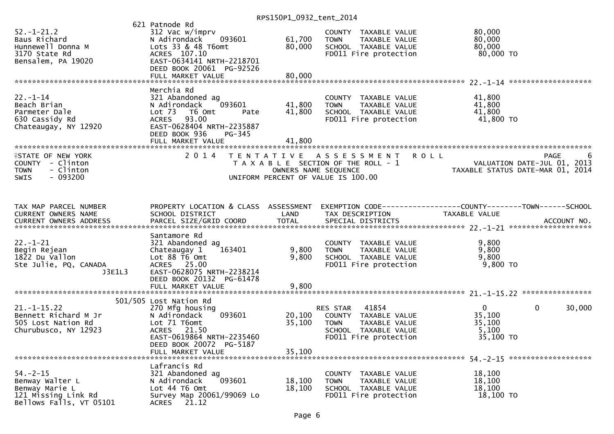| $52. - 1 - 21.2$<br>Baus Richard<br>Hunnewell Donna M<br>3170 State Rd<br>Bensalem, PA 19020          | 621 Patnode Rd<br>312 Vac w/imprv<br>093601<br>N Adirondack<br>Lots 33 & 48 T6omt<br>ACRES 107.10<br>EAST-0634141 NRTH-2218701<br>DEED BOOK 20061 PG-92526<br>FULL MARKET VALUE | 61,700<br>80,000<br>80,000 | COUNTY TAXABLE VALUE<br>TAXABLE VALUE<br><b>TOWN</b><br>SCHOOL TAXABLE VALUE<br>FD011 Fire protection                      | 80,000<br>80,000<br>80,000<br>80,000 TO                                                                    |                        |
|-------------------------------------------------------------------------------------------------------|---------------------------------------------------------------------------------------------------------------------------------------------------------------------------------|----------------------------|----------------------------------------------------------------------------------------------------------------------------|------------------------------------------------------------------------------------------------------------|------------------------|
|                                                                                                       |                                                                                                                                                                                 |                            |                                                                                                                            |                                                                                                            |                        |
| $22. - 1 - 14$<br>Beach Brian<br>Parmeter Dale<br>630 Cassidy Rd<br>Chateaugay, NY 12920              | Merchia Rd<br>321 Abandoned ag<br>093601<br>N Adirondack<br>Lot 73  T6 Omt<br>Pate<br>ACRES 93.00<br>EAST-0628404 NRTH-2235887<br>DEED BOOK 936<br>PG-345                       | 41,800<br>41,800           | COUNTY TAXABLE VALUE<br>TAXABLE VALUE<br><b>TOWN</b><br>SCHOOL TAXABLE VALUE<br>FD011 Fire protection                      | 41,800<br>41,800<br>41,800<br>41,800 TO                                                                    |                        |
|                                                                                                       |                                                                                                                                                                                 |                            |                                                                                                                            |                                                                                                            |                        |
| <b>ISTATE OF NEW YORK</b><br>COUNTY - Clinton<br>- Clinton<br><b>TOWN</b><br>$-093200$<br><b>SWIS</b> |                                                                                                                                                                                 | OWNERS NAME SEQUENCE       | 2014 TENTATIVE ASSESSMENT<br><b>ROLL</b><br>T A X A B L E SECTION OF THE ROLL - 1<br>UNIFORM PERCENT OF VALUE IS 100.00    | 0<br>VALUATION DATE-JUL 01, 2013<br>TAXARLE STATUS DATE 110 00 TAXARLE<br>TAXABLE STATUS DATE-MAR 01, 2014 | <b>PAGE</b><br>6       |
| TAX MAP PARCEL NUMBER<br>CURRENT OWNERS NAME<br>CURRENT OWNERS ADDRESS                                | PROPERTY LOCATION & CLASS ASSESSMENT<br>SCHOOL DISTRICT                                                                                                                         | LAND                       | EXEMPTION CODE------------------COUNTY--------TOWN------SCHOOL<br>TAX DESCRIPTION                                          | TAXABLE VALUE                                                                                              |                        |
| $22. - 1 - 21$<br>Begin Rejean<br>1822 Du Vallon<br>Ste Julie, PQ, CANADA<br>J3E1L3                   | Santamore Rd<br>321 Abandoned ag<br>163401<br>Chateaugay 1<br>Lot 88 T6 Omt<br>ACRES 25.00<br>EAST-0628075 NRTH-2238214<br>DEED BOOK 20132 PG-61478<br>FULL MARKET VALUE        | 9,800<br>9,800<br>9,800    | COUNTY TAXABLE VALUE<br><b>TOWN</b><br>TAXABLE VALUE<br>SCHOOL TAXABLE VALUE<br>FD011 Fire protection                      | 9,800<br>9,800<br>9,800<br>9,800 TO                                                                        |                        |
|                                                                                                       | 501/505 Lost Nation Rd                                                                                                                                                          |                            |                                                                                                                            |                                                                                                            |                        |
| $21. - 1 - 15.22$<br>Bennett Richard M Jr<br>505 Lost Nation Rd<br>Churubusco, NY 12923               | 270 Mfg housing<br>093601<br>N Adirondack<br>Lot 71 T6omt<br>ACRES 21.50<br>EAST-0619864 NRTH-2235460<br>DEED BOOK 20072 PG-5187<br>FULL MARKET VALUE                           | 20,100<br>35,100<br>35,100 | 41854<br>RES STAR<br>COUNTY TAXABLE VALUE<br><b>TOWN</b><br>TAXABLE VALUE<br>SCHOOL TAXABLE VALUE<br>FD011 Fire protection | $\mathbf{0}$<br>35,100<br>35,100<br>5,100<br>35,100 TO                                                     | 30,000<br>$\mathbf{0}$ |
| $54. - 2 - 15$<br>Benway Walter L<br>Benway Marie L<br>121 Missing Link Rd<br>Bellows Falls, VT 05101 | Lafrancis Rd<br>321 Abandoned ag<br>N Adirondack<br>093601<br>Lot 44 T6 Omt<br>Survey Map 20061/99069 Lo<br>ACRES 21.12                                                         | 18,100<br>18,100           | <b>COUNTY</b><br>TAXABLE VALUE<br>TAXABLE VALUE<br><b>TOWN</b><br>SCHOOL TAXABLE VALUE<br>FD011 Fire protection            | 18,100<br>18,100<br>18,100<br>18,100 TO                                                                    |                        |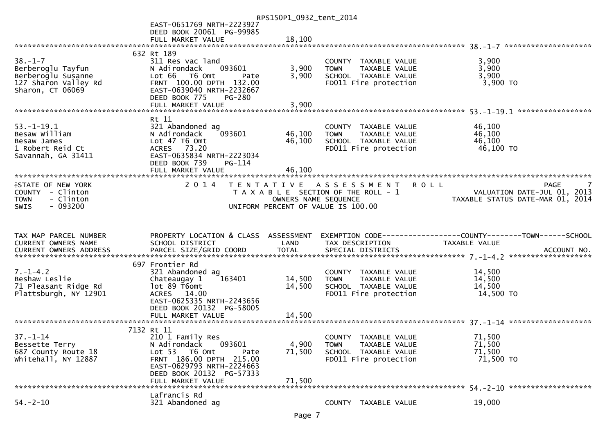|                           |                                      | RPS150P1_0932_tent_2014 |                                                      |                                                                 |
|---------------------------|--------------------------------------|-------------------------|------------------------------------------------------|-----------------------------------------------------------------|
|                           | EAST-0651769 NRTH-2223927            |                         |                                                      |                                                                 |
|                           | DEED BOOK 20061 PG-99985             |                         |                                                      |                                                                 |
|                           | FULL MARKET VALUE                    | 18,100                  |                                                      |                                                                 |
|                           |                                      |                         |                                                      |                                                                 |
|                           | 632 Rt 189                           |                         |                                                      |                                                                 |
| $38. - 1 - 7$             | 311 Res vac land                     |                         | COUNTY TAXABLE VALUE                                 | 3,900                                                           |
| Berberoglu Tayfun         | N Adirondack<br>093601               | 3,900                   | TAXABLE VALUE<br><b>TOWN</b>                         | 3,900                                                           |
| Berberoglu Susanne        | Lot 66 T6 Omt<br>Pate                | 3,900                   | SCHOOL TAXABLE VALUE                                 | 3,900                                                           |
| 127 Sharon Valley Rd      | FRNT 100.00 DPTH 132.00              |                         | FD011 Fire protection                                | 3,900 TO                                                        |
| Sharon, CT 06069          | EAST-0639040 NRTH-2232667            |                         |                                                      |                                                                 |
|                           | DEED BOOK 775<br><b>PG-280</b>       |                         |                                                      |                                                                 |
|                           | FULL MARKET VALUE                    | 3,900                   |                                                      |                                                                 |
|                           |                                      |                         |                                                      |                                                                 |
| $53. - 1 - 19.1$          | Rt 11<br>321 Abandoned ag            |                         |                                                      | 46,100                                                          |
| Besaw William             | N Adirondack<br>093601               | 46,100                  | COUNTY TAXABLE VALUE<br>TAXABLE VALUE<br><b>TOWN</b> | 46,100                                                          |
| Besaw James               | Lot 47 T6 Omt                        | 46,100                  | SCHOOL TAXABLE VALUE                                 | 46,100                                                          |
| 1 Robert Reid Ct          | ACRES 73.20                          |                         | FD011 Fire protection                                | 46,100 TO                                                       |
| Savannah, GA 31411        | EAST-0635834 NRTH-2223034            |                         |                                                      |                                                                 |
|                           | DEED BOOK 739<br>PG-114              |                         |                                                      |                                                                 |
|                           | FULL MARKET VALUE                    | 46,100                  |                                                      |                                                                 |
|                           |                                      |                         |                                                      |                                                                 |
| <b>ISTATE OF NEW YORK</b> | 2 0 1 4                              |                         | TENTATIVE ASSESSMENT<br><b>ROLL</b>                  | PAGE                                                            |
| COUNTY - Clinton          |                                      |                         | T A X A B L E SECTION OF THE ROLL - 1                |                                                                 |
| - Clinton<br><b>TOWN</b>  |                                      | OWNERS NAME SEQUENCE    |                                                      | VALUATION DATE-JUL 01, 2013<br>TAXABLE STATUS DATE-MAR 01, 2014 |
| $-093200$<br><b>SWIS</b>  |                                      |                         | UNIFORM PERCENT OF VALUE IS 100.00                   |                                                                 |
|                           |                                      |                         |                                                      |                                                                 |
|                           |                                      |                         |                                                      |                                                                 |
|                           |                                      |                         |                                                      |                                                                 |
|                           |                                      |                         |                                                      |                                                                 |
| TAX MAP PARCEL NUMBER     | PROPERTY LOCATION & CLASS ASSESSMENT |                         |                                                      | EXEMPTION CODE-----------------COUNTY--------TOWN------SCHOOL   |
| CURRENT OWNERS NAME       | SCHOOL DISTRICT                      | LAND                    | TAX DESCRIPTION                                      | TAXABLE VALUE                                                   |
| CURRENT OWNERS ADDRESS    | PARCEL SIZE/GRID COORD               | <b>TOTAL</b>            | SPECIAL DISTRICTS                                    | ACCOUNT NO.                                                     |
|                           |                                      |                         |                                                      |                                                                 |
|                           | 697 Frontier Rd                      |                         |                                                      |                                                                 |
| $7. - 1 - 4.2$            | 321 Abandoned ag                     |                         | COUNTY TAXABLE VALUE                                 | 14,500                                                          |
| Beshaw Leslie             | Chateaugay 1<br>163401               | 14,500                  | TAXABLE VALUE<br><b>TOWN</b>                         | 14,500                                                          |
| 71 Pleasant Ridge Rd      | lot 89 T6omt                         | 14,500                  | SCHOOL TAXABLE VALUE                                 | 14,500                                                          |
| Plattsburgh, NY 12901     | ACRES 14.00                          |                         | FD011 Fire protection                                | 14,500 TO                                                       |
|                           | EAST-0625335 NRTH-2243656            |                         |                                                      |                                                                 |
|                           | DEED BOOK 20132 PG-58005             |                         |                                                      |                                                                 |
|                           | FULL MARKET VALUE                    | 14,500                  |                                                      |                                                                 |
|                           | 7132 Rt 11                           |                         |                                                      |                                                                 |
| $37. - 1 - 14$            | 210 1 Family Res                     |                         | COUNTY TAXABLE VALUE                                 | 71,500                                                          |
| Bessette Terry            | N Adirondack<br>093601               | 4,900                   | <b>TOWN</b><br>TAXABLE VALUE                         | 71,500                                                          |
| 687 County Route 18       | Lot 53 T6 Omt<br>Pate                | 71,500                  | SCHOOL TAXABLE VALUE                                 | 71,500                                                          |
| Whitehall, NY 12887       | FRNT 186.00 DPTH 215.00              |                         | FD011 Fire protection                                | 71,500 TO                                                       |
|                           | EAST-0629793 NRTH-2224663            |                         |                                                      |                                                                 |
|                           | DEED BOOK 20132 PG-57333             |                         |                                                      |                                                                 |
|                           | FULL MARKET VALUE                    | 71,500                  |                                                      |                                                                 |
|                           |                                      |                         |                                                      |                                                                 |
| $54. - 2 - 10$            | Lafrancis Rd<br>321 Abandoned ag     |                         | COUNTY TAXABLE VALUE                                 | 19,000                                                          |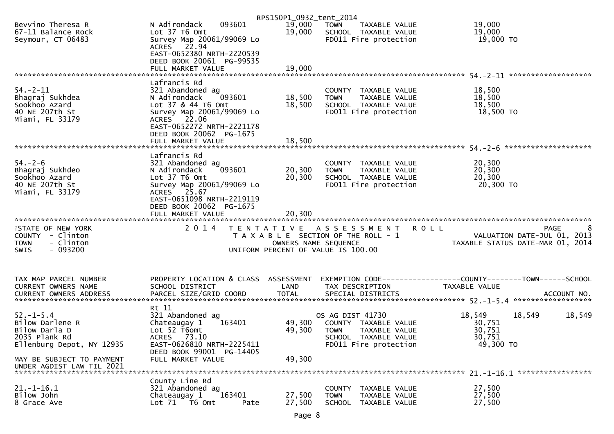|                                                                                                  |                                                                                                                                                                                 | RPS150P1_0932_tent_2014 |                                                                                                                           |                                                                              |
|--------------------------------------------------------------------------------------------------|---------------------------------------------------------------------------------------------------------------------------------------------------------------------------------|-------------------------|---------------------------------------------------------------------------------------------------------------------------|------------------------------------------------------------------------------|
| Bevvino Theresa R<br>67-11 Balance Rock<br>Seymour, CT 06483                                     | 093601<br>N Adirondack<br>Lot 37 T6 Omt<br>Survey Map 20061/99069 Lo<br>ACRES 22.94                                                                                             | 19,000<br>19,000        | <b>TOWN</b><br>TAXABLE VALUE<br>SCHOOL TAXABLE VALUE<br>FD011 Fire protection                                             | 19,000<br>19,000<br>19,000 TO                                                |
|                                                                                                  | EAST-0652380 NRTH-2220539<br>DEED BOOK 20061 PG-99535<br>FULL MARKET VALUE                                                                                                      | 19,000                  |                                                                                                                           |                                                                              |
|                                                                                                  |                                                                                                                                                                                 |                         |                                                                                                                           |                                                                              |
| $54. - 2 - 11$<br>Bhagraj Sukhdea<br>Sookhoo Azard<br>40 NE 207th St<br>Miami, FL 33179          | Lafrancis Rd<br>321 Abandoned ag<br>093601<br>N Adirondack<br>Lot 37 & 44 T6 Omt<br>Survey Map 20061/99069 Lo<br>ACRES 22.06<br>EAST-0652272 NRTH-2221178                       | 18,500<br>18,500        | COUNTY TAXABLE VALUE<br>TAXABLE VALUE<br><b>TOWN</b><br>SCHOOL TAXABLE VALUE<br>FD011 Fire protection                     | 18,500<br>18,500<br>18,500<br>18,500 TO                                      |
|                                                                                                  | DEED BOOK 20062 PG-1675<br>FULL MARKET VALUE                                                                                                                                    | 18,500                  |                                                                                                                           |                                                                              |
|                                                                                                  |                                                                                                                                                                                 |                         |                                                                                                                           | ********************                                                         |
| $54. - 2 - 6$<br>Bhagraj Sukhdeo<br>Sookhoo Azard<br>40 NE 207th St<br>Miami, FL 33179           | Lafrancis Rd<br>321 Abandoned ag<br>093601<br>N Adirondack<br>Lot 37 T6 Omt<br>Survey Map 20061/99069 Lo<br>ACRES 25.67<br>EAST-0651098 NRTH-2219119<br>DEED BOOK 20062 PG-1675 | 20,300<br>20,300        | COUNTY TAXABLE VALUE<br>TAXABLE VALUE<br><b>TOWN</b><br>SCHOOL TAXABLE VALUE<br>FD011 Fire protection                     | 20,300<br>20,300<br>20,300<br>20,300 TO                                      |
|                                                                                                  | FULL MARKET VALUE                                                                                                                                                               | 20,300                  |                                                                                                                           |                                                                              |
|                                                                                                  |                                                                                                                                                                                 |                         |                                                                                                                           |                                                                              |
|                                                                                                  |                                                                                                                                                                                 |                         |                                                                                                                           |                                                                              |
| <b>ISTATE OF NEW YORK</b><br>COUNTY - Clinton<br>- Clinton<br><b>TOWN</b><br>$-093200$<br>SWIS   | 2 0 1 4                                                                                                                                                                         | OWNERS NAME SEQUENCE    | TENTATIVE ASSESSMENT ROLL<br>T A X A B L E SECTION OF THE ROLL - 1<br>UNIFORM PERCENT OF VALUE IS 100.00                  | 8<br>PAGE<br>VALUATION DATE-JUL 01, 2013<br>TAXABLE STATUS DATE-MAR 01, 2014 |
|                                                                                                  |                                                                                                                                                                                 |                         |                                                                                                                           |                                                                              |
| TAX MAP PARCEL NUMBER                                                                            | PROPERTY LOCATION & CLASS ASSESSMENT                                                                                                                                            |                         |                                                                                                                           | EXEMPTION CODE-----------------COUNTY-------TOWN------SCHOOL                 |
| CURRENT OWNERS NAME                                                                              | SCHOOL DISTRICT                                                                                                                                                                 | LAND                    | TAX DESCRIPTION                                                                                                           | <b>TAXABLE VALUE</b>                                                         |
|                                                                                                  |                                                                                                                                                                                 |                         |                                                                                                                           |                                                                              |
| $52 - 1 - 5.4$<br>Bilow Darlene R<br>Bilow Darla D<br>2035 Plank Rd<br>Ellenburg Depot, NY 12935 | Rt 11<br>321 Abandoned ag<br>Chateaugay 1<br>163401<br>Lot 52 T6omt<br><b>ACRES</b><br>73.10<br>EAST-0626810 NRTH-2225411                                                       | 49,300<br>49,300        | OS AG DIST 41730<br>COUNTY TAXABLE VALUE<br><b>TOWN</b><br>TAXABLE VALUE<br>SCHOOL TAXABLE VALUE<br>FD011 Fire protection | 18,549<br>18,549<br>18,549<br>30,751<br>30,751<br>30,751<br>49,300 TO        |
| MAY BE SUBJECT TO PAYMENT<br>UNDER AGDIST LAW TIL 2021                                           | DEED BOOK 99001 PG-14405<br>FULL MARKET VALUE                                                                                                                                   | 49,300                  |                                                                                                                           |                                                                              |
|                                                                                                  | County Line Rd                                                                                                                                                                  |                         |                                                                                                                           |                                                                              |
| $21.-1-16.1$<br>Bilow John                                                                       | 321 Abandoned ag<br>Chateaugay 1<br>163401                                                                                                                                      | 27,500                  | COUNTY TAXABLE VALUE<br><b>TOWN</b><br>TAXABLE VALUE                                                                      | 27,500<br>27,500                                                             |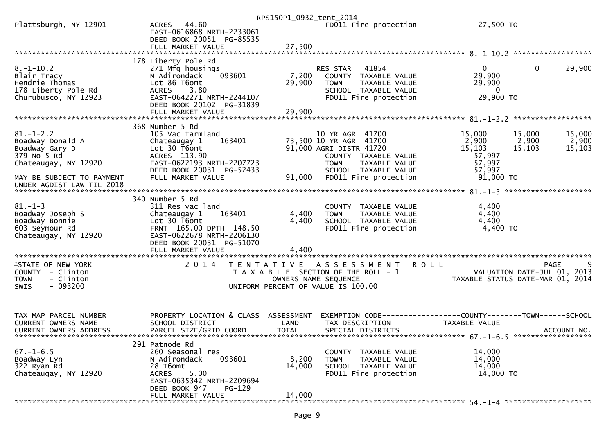|                                                                                                       |                                                                                                                                                                                        | RPS150P1_0932_tent_2014   |                                                                                                                                                      |                                                                                      |                           |
|-------------------------------------------------------------------------------------------------------|----------------------------------------------------------------------------------------------------------------------------------------------------------------------------------------|---------------------------|------------------------------------------------------------------------------------------------------------------------------------------------------|--------------------------------------------------------------------------------------|---------------------------|
| Plattsburgh, NY 12901                                                                                 | ACRES 44.60<br>EAST-0616868 NRTH-2233061<br>DEED BOOK 20051 PG-85535                                                                                                                   |                           | FD011 Fire protection                                                                                                                                | 27,500 TO                                                                            |                           |
|                                                                                                       |                                                                                                                                                                                        |                           |                                                                                                                                                      |                                                                                      |                           |
| $8. - 1 - 10.2$<br>Blair Tracy<br>Hendrie Thomas<br>178 Liberty Pole Rd<br>Churubusco, NY 12923       | 178 Liberty Pole Rd<br>271 Mfg housings<br>N Adirondack<br>093601<br>Lot 86 T6omt<br>ACRES 3.80<br>EAST-0642271 NRTH-2244107<br>DEED BOOK 20102 PG-31839                               | 7,200<br>29,900           | RES STAR 41854<br>COUNTY TAXABLE VALUE<br><b>TOWN</b><br>TAXABLE VALUE<br>SCHOOL TAXABLE VALUE<br>FD011 Fire protection                              | $\mathbf{0}$<br>$\mathbf{0}$<br>29,900<br>29,900<br>$\overline{0}$<br>29,900 ТО      | 29,900                    |
|                                                                                                       |                                                                                                                                                                                        |                           |                                                                                                                                                      |                                                                                      |                           |
|                                                                                                       | 368 Number 5 Rd                                                                                                                                                                        |                           |                                                                                                                                                      |                                                                                      |                           |
| $81. - 1 - 2.2$<br>Boadway Donald A<br>Boadway Gary D<br>379 No 5 Rd<br>Chateaugay, NY 12920          | 105 Vac farmland<br>Chateaugay 1<br>163401<br>Lot 30 T6omt<br>ACRES 113.90<br>EAST-0622193 NRTH-2207723<br>DEED BOOK 20031 PG-52433                                                    |                           | 10 YR AGR 41700<br>73,500 10 YR AGR 41700<br>91,000 AGRI DISTR 41720<br>COUNTY TAXABLE VALUE<br><b>TOWN</b><br>TAXABLE VALUE<br>SCHOOL TAXABLE VALUE | 15,000<br>15,000<br>2,900<br>2,900<br>15,103<br>15,103<br>57,997<br>57,997<br>57,997 | 15,000<br>2,900<br>15,103 |
| MAY BE SUBJECT TO PAYMENT<br>UNDER AGDIST LAW TIL 2018                                                | FULL MARKET VALUE                                                                                                                                                                      | 91,000                    | FD011 Fire protection                                                                                                                                | 91,000 TO                                                                            |                           |
| $81. - 1 - 3$<br>Boadway Joseph S<br>Boadway Bonnie<br>603 Seymour Rd<br>Chateaugay, NY 12920         | 340 Number 5 Rd<br>311 Res vac land<br>163401<br>Chateaugay 1<br>Lot 30 T6omt<br>FRNT 165.00 DPTH 148.50<br>EAST-0622678 NRTH-2206130<br>DEED BOOK 20031 PG-51070<br>FULL MARKET VALUE | 4,400<br>4,400<br>4,400   | COUNTY TAXABLE VALUE<br>TAXABLE VALUE<br><b>TOWN</b><br>SCHOOL TAXABLE VALUE<br>FD011 Fire protection                                                | 4,400<br>4,400<br>4,400<br>4,400 TO                                                  |                           |
|                                                                                                       |                                                                                                                                                                                        |                           |                                                                                                                                                      |                                                                                      |                           |
| <b>ISTATE OF NEW YORK</b><br>COUNTY - Clinton<br><b>TOWN</b><br>- Clinton<br>$-093200$<br><b>SWIS</b> | 2 0 1 4                                                                                                                                                                                |                           | TENTATIVE ASSESSMENT<br><b>ROLL</b><br>T A X A B L E SECTION OF THE ROLL - 1<br>OWNERS NAME SEQUENCE<br>UNIFORM PERCENT OF VALUE IS 100.00           | VALUATION DATE-JUL 01, 2013<br>TAXABLE STATUS DATE-MAR 01, 2014                      | 9<br>PAGE                 |
| TAX MAP PARCEL NUMBER<br><b>CURRENT OWNERS NAME</b><br><b>CURRENT OWNERS ADDRESS</b>                  | PROPERTY LOCATION & CLASS ASSESSMENT<br>SCHOOL DISTRICT<br>PARCEL SIZE/GRID COORD                                                                                                      | LAND<br><b>TOTAL</b>      | EXEMPTION CODE------------------COUNTY--------TOWN------SCHOOL<br>TAX DESCRIPTION<br>SPECIAL DISTRICTS                                               | TAXABLE VALUE                                                                        | ACCOUNT NO.               |
| $67. - 1 - 6.5$<br>Boadway Lyn<br>322 Ryan Rd<br>Chateaugay, NY 12920                                 | 291 Patnode Rd<br>260 Seasonal res<br>093601<br>N Adirondack<br>28 T6omt<br>5.00<br><b>ACRES</b><br>EAST-0635342 NRTH-2209694<br>DEED BOOK 947<br><b>PG-129</b><br>FULL MARKET VALUE   | 8,200<br>14,000<br>14,000 | COUNTY TAXABLE VALUE<br><b>TOWN</b><br>TAXABLE VALUE<br>SCHOOL TAXABLE VALUE<br>FD011 Fire protection                                                | 14,000<br>14,000<br>14,000<br>14,000 TO                                              |                           |
|                                                                                                       |                                                                                                                                                                                        |                           |                                                                                                                                                      |                                                                                      |                           |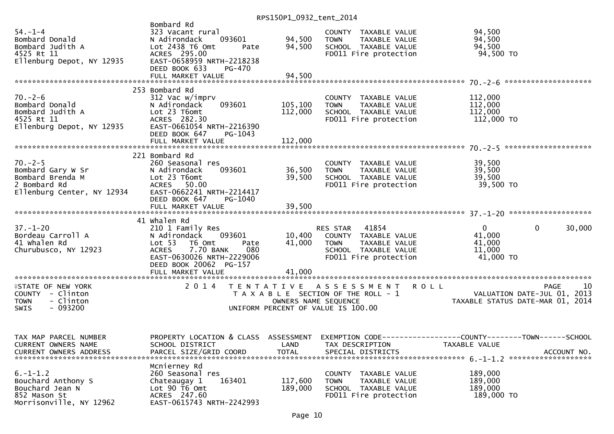| $54. - 1 - 4$<br>Bombard Donald<br>Bombard Judith A<br>4525 Rt 11<br>Ellenburg Depot, NY 12935                  | Bombard Rd<br>323 Vacant rural<br>093601<br>N Adirondack<br>Lot 2438 T6 Omt<br>Pate<br>ACRES 295.00<br>EAST-0658959 NRTH-2218238<br>DEED BOOK 633<br>PG-470<br>FULL MARKET VALUE | 94,500<br>94,500<br>94,500 | COUNTY TAXABLE VALUE<br>TAXABLE VALUE<br><b>TOWN</b><br>TOWN     TAXABLE VALUE<br>SCHOOL  TAXABLE VALUE<br>FDO11 Fire protection<br>FD011 Fire protection                           | 94,500<br>94,500<br>94,500<br>94,500 TO                   |                        |
|-----------------------------------------------------------------------------------------------------------------|----------------------------------------------------------------------------------------------------------------------------------------------------------------------------------|----------------------------|-------------------------------------------------------------------------------------------------------------------------------------------------------------------------------------|-----------------------------------------------------------|------------------------|
|                                                                                                                 |                                                                                                                                                                                  |                            |                                                                                                                                                                                     |                                                           |                        |
| $70. - 2 - 6$<br>Bombard Donald<br>Bombard Judith A<br>4525 Rt 11<br>Ellenburg Depot, NY 12935                  | 253 Bombard Rd<br>312 Vac w/imprv<br>093601<br>N Adirondack<br>Lot 23 T6omt<br>ACRES 282.30<br>EAST-0661054 NRTH-2216390<br>DEED BOOK 647<br>PG-1043                             | 105,100<br>112,000         | COUNTY TAXABLE VALUE<br>TAXABLE VALUE<br>TOWN<br>SCHOOL TAXABLE VALUE<br>FD011 Fire protection                                                                                      | 112,000<br>112,000<br>112,000<br>112,000 TO               |                        |
|                                                                                                                 |                                                                                                                                                                                  |                            |                                                                                                                                                                                     |                                                           |                        |
| $70. - 2 - 5$<br>/U.-2-5<br>Bombard Gary W Sr<br>Bombard Brenda M<br>2 Bombard Rd<br>Ellenburg Center, NY 12934 | 221 Bombard Rd<br>260 Seasonal res<br>093601<br>N Adirondack<br>Lot 23 T6omt<br>ACRES 50.00<br>EAST-0662241 NRTH-2214417<br>DEED BOOK 647<br>PG-1040                             | 36,500<br>39,500           | COUNTY TAXABLE VALUE<br>COUNTY TAXABLE VALUE<br>TOWN   TAXABLE VALUE<br>SCHOOL  TAXABLE VALUE<br>FDO11 Fire protection                                                              | 39,500<br>39,500<br>39,500<br>39,500 TO                   |                        |
|                                                                                                                 | 41 Whalen Rd                                                                                                                                                                     |                            |                                                                                                                                                                                     |                                                           |                        |
| $37. - 1 - 20$<br>ی<br>Bordeau Carroll A<br>41 Whalen Rd<br>Churubusco, NY 12923                                | 210 1 Family Res<br>093601<br>N Adirondack<br>Lot 53<br>T6 Omt<br>Pate<br>7.70 BANK<br>080<br><b>ACRES</b><br>EAST-0630026 NRTH-2229006<br>DEED BOOK 20062 PG-157                | 41,000                     | RES STAR 41854<br>10,400 COUNTY TAXABLE VALUE<br><b>TOWN</b><br>TAXABLE VALUE<br>SCHOOL TAXABLE VALUE<br>FD011 Fire protection                                                      | $\overline{0}$<br>41,000<br>41,000<br>11,000<br>41,000 TO | $\mathbf{0}$<br>30,000 |
|                                                                                                                 |                                                                                                                                                                                  |                            |                                                                                                                                                                                     |                                                           |                        |
| <b>ISTATE OF NEW YORK</b><br>COUNTY - Clinton<br>- Clinton<br><b>TOWN</b><br>SWIS<br>- 093200                   |                                                                                                                                                                                  |                            | 2014 TENTATIVE ASSESSMENT ROLL<br>T A X A B L E SECTION OF THE ROLL - 1<br>OWNERS NAME SEQUENCE THE ROLL - 1 TAXABLE STATUS DATE-MAR 01, 2014<br>UNIFORM PERCENT OF VALUE IS 100.00 |                                                           | 10<br>PAGE             |
| TAX MAP PARCEL NUMBER<br><b>CURRENT OWNERS NAME</b><br><b>CURRENT OWNERS ADDRESS</b>                            | PROPERTY LOCATION & CLASS ASSESSMENT<br>SCHOOL DISTRICT<br>PARCEL SIZE/GRID COORD                                                                                                | LAND<br><b>TOTAL</b>       | TAX DESCRIPTION<br>SPECIAL DISTRICTS                                                                                                                                                | TAXABLE VALUE                                             | ACCOUNT NO.            |
| $6. -1 - 1.2$<br>Bouchard Anthony S<br>Bouchard Jean N<br>852 Mason St<br>Morrisonville, NY 12962               | Mcnierney Rd<br>260 Seasonal res<br>163401<br>Chateaugay 1<br>Lot $90$ T6 Omt<br>ACRES 247.60<br>EAST-0615743 NRTH-2242993                                                       | 117,600<br>189,000         | COUNTY TAXABLE VALUE<br>TAXABLE VALUE<br><b>TOWN</b><br>SCHOOL TAXABLE VALUE<br>FD011 Fire protection                                                                               | 189,000<br>189,000<br>189,000<br>189,000 TO               |                        |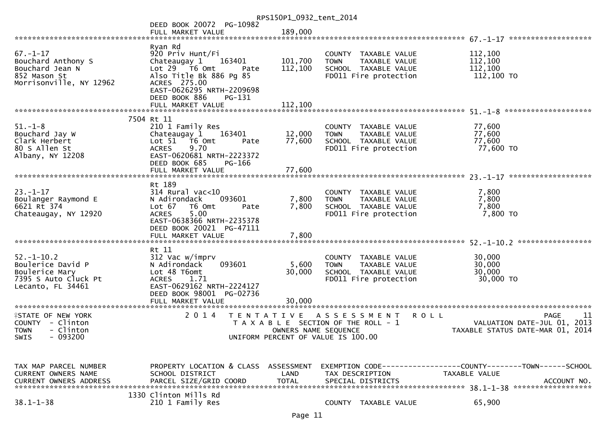|                                 |                                                       | RPS150P1_0932_tent_2014 |                                                                                                                                    |                                  |
|---------------------------------|-------------------------------------------------------|-------------------------|------------------------------------------------------------------------------------------------------------------------------------|----------------------------------|
|                                 | DEED BOOK 20072 PG-10982                              |                         |                                                                                                                                    |                                  |
|                                 | FULL MARKET VALUE                                     | 189,000                 |                                                                                                                                    |                                  |
|                                 | Ryan Rd                                               |                         |                                                                                                                                    |                                  |
| $67. - 1 - 17$                  | 920 Priv Hunt/Fi                                      |                         | COUNTY TAXABLE VALUE                                                                                                               | 112,100                          |
| Bouchard Anthony S              | Chateaugay 1<br>163401                                | 101,700                 | TAXABLE VALUE<br><b>TOWN</b>                                                                                                       | 112,100                          |
| Bouchard Jean N                 | Lot 29 T6 Omt<br>Pate                                 | 112,100                 | SCHOOL TAXABLE VALUE                                                                                                               | 112,100                          |
| 852 Mason St                    | Also Title Bk 886 Pg 85                               |                         | FD011 Fire protection                                                                                                              | 112,100 TO                       |
| Morrisonville, NY 12962         | ACRES 275.00<br>EAST-0626295 NRTH-2209698             |                         |                                                                                                                                    |                                  |
|                                 | DEED BOOK 886<br>$PG-131$                             |                         |                                                                                                                                    |                                  |
|                                 | FULL MARKET VALUE                                     | 112,100                 |                                                                                                                                    |                                  |
|                                 |                                                       |                         |                                                                                                                                    | ********************             |
|                                 | 7504 Rt 11                                            |                         |                                                                                                                                    |                                  |
| $51. - 1 - 8$                   | 210 1 Family Res                                      |                         | COUNTY TAXABLE VALUE                                                                                                               | 77,600                           |
| Bouchard Jay W<br>Clark Herbert | Chateaugay 1<br>163401<br>Lot 51 76 0mt<br>Pate       | 12,000<br>77,600        | <b>TOWN</b><br>TAXABLE VALUE<br>SCHOOL TAXABLE VALUE                                                                               | 77,600<br>77,600                 |
| 80 S Allen St                   | 9.70<br><b>ACRES</b>                                  |                         | FD011 Fire protection                                                                                                              | 77,600 TO                        |
| Albany, NY 12208                | EAST-0620681 NRTH-2223372                             |                         |                                                                                                                                    |                                  |
|                                 | DEED BOOK 685<br>PG-166                               |                         |                                                                                                                                    |                                  |
|                                 | FULL MARKET VALUE                                     | 77,600                  |                                                                                                                                    |                                  |
|                                 |                                                       |                         |                                                                                                                                    |                                  |
| $23. - 1 - 17$                  | Rt 189<br>$314$ Rural vac<10                          |                         | COUNTY TAXABLE VALUE                                                                                                               | 7,800                            |
| Boulanger Raymond E             | N Adirondack<br>093601                                | 7,800                   | TAXABLE VALUE<br><b>TOWN</b>                                                                                                       | 7,800                            |
| 6621 Rt 374                     | Lot 67<br>T6 Omt<br>Pate                              | 7,800                   | SCHOOL TAXABLE VALUE                                                                                                               | 7,800                            |
| Chateaugay, NY 12920            | 5.00<br><b>ACRES</b>                                  |                         | FD011 Fire protection                                                                                                              | 7,800 TO                         |
|                                 | EAST-0638366 NRTH-2235378                             |                         |                                                                                                                                    |                                  |
|                                 | DEED BOOK 20021 PG-47111                              |                         |                                                                                                                                    |                                  |
|                                 |                                                       |                         |                                                                                                                                    |                                  |
|                                 | Rt 11                                                 |                         |                                                                                                                                    |                                  |
| $52. - 1 - 10.2$                | 312 Vac w/imprv                                       |                         | COUNTY TAXABLE VALUE                                                                                                               | 30,000                           |
| Boulerice David P               | 093601<br>N Adirondack                                | 5,600                   | TAXABLE VALUE<br><b>TOWN</b>                                                                                                       | 30,000                           |
| Boulerice Mary                  | Lot 48 T6omt                                          | 30,000                  | SCHOOL TAXABLE VALUE                                                                                                               | 30,000                           |
| 7395 S Auto Cluck Pt            | <b>ACRES</b><br>1.71                                  |                         | FD011 Fire protection                                                                                                              | 30,000 TO                        |
| Lecanto, FL 34461               | EAST-0629162 NRTH-2224127<br>DEED BOOK 98001 PG-02736 |                         |                                                                                                                                    |                                  |
|                                 | FULL MARKET VALUE                                     | 30,000                  |                                                                                                                                    |                                  |
|                                 |                                                       |                         |                                                                                                                                    |                                  |
| <b>ISTATE OF NEW YORK</b>       | 2 0 1 4<br>T E N T A T I V E                          |                         | <b>ROLL</b><br>A S S E S S M E N T                                                                                                 | <b>PAGE</b><br>11                |
| COUNTY - Clinton                |                                                       |                         | T A X A B L E SECTION OF THE ROLL - 1                                                                                              | VALUATION DATE-JUL 01, 2013      |
| - Clinton<br><b>TOWN</b>        |                                                       | OWNERS NAME SEQUENCE    |                                                                                                                                    | TAXABLE STATUS DATE-MAR 01, 2014 |
| $-093200$<br>SWIS               |                                                       |                         | UNIFORM PERCENT OF VALUE IS 100.00                                                                                                 |                                  |
|                                 |                                                       |                         |                                                                                                                                    |                                  |
|                                 |                                                       |                         |                                                                                                                                    |                                  |
| TAX MAP PARCEL NUMBER           | PROPERTY LOCATION & CLASS ASSESSMENT                  |                         |                                                                                                                                    |                                  |
| <b>CURRENT OWNERS NAME</b>      | SCHOOL DISTRICT                                       | LAND                    | TAX DESCRIPTION                                                                                                                    | TAXABLE VALUE                    |
|                                 |                                                       |                         | .000 ACCOUNT NO HARCEL SIZE/GRID COORD TOTAL SPECIAL DISTRICTS AND RESULT ACCOUNT NO ACCOUNT NO AND RESULT AND A SPECIAL DISTRICTS |                                  |
|                                 | 1330 Clinton Mills Rd                                 |                         |                                                                                                                                    |                                  |
| $38.1 - 1 - 38$                 | 210 1 Family Res                                      |                         | COUNTY TAXABLE VALUE                                                                                                               | 65,900                           |
|                                 |                                                       |                         |                                                                                                                                    |                                  |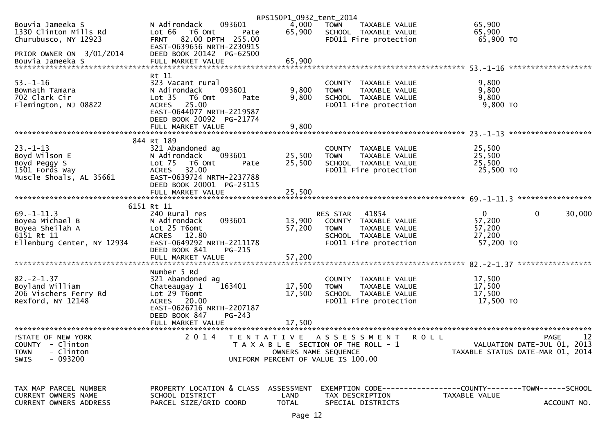|                                                                   |                                                                                | RPS150P1_0932_tent_2014 |                                                                               |                                                               |
|-------------------------------------------------------------------|--------------------------------------------------------------------------------|-------------------------|-------------------------------------------------------------------------------|---------------------------------------------------------------|
| Bouvia Jameeka S<br>1330 Clinton Mills Rd<br>Churubusco, NY 12923 | 093601<br>N Adirondack<br>Lot 66<br>T6 Omt<br>Pate<br>FRNT 82.00 DPTH 255.00   | 4,000<br>65,900         | <b>TOWN</b><br>TAXABLE VALUE<br>SCHOOL TAXABLE VALUE<br>FD011 Fire protection | 65,900<br>65,900<br>65,900 TO                                 |
| PRIOR OWNER ON 3/01/2014                                          | EAST-0639656 NRTH-2230915<br>DEED BOOK 20142 PG-62500                          |                         |                                                                               |                                                               |
| Bouvia Jameeka S                                                  | FULL MARKET VALUE                                                              | 65,900                  |                                                                               |                                                               |
|                                                                   | Rt 11                                                                          |                         |                                                                               |                                                               |
| $53. - 1 - 16$<br>Bownath Tamara                                  | 323 Vacant rural<br>N Adirondack<br>093601                                     | 9,800                   | COUNTY TAXABLE VALUE<br>TAXABLE VALUE<br><b>TOWN</b>                          | 9,800<br>9,800                                                |
| 702 Clark Cir                                                     | Lot <sub>35</sub><br>T6 Omt<br>Pate                                            | 9,800                   | SCHOOL TAXABLE VALUE                                                          | 9,800                                                         |
| Flemington, NJ 08822                                              | 25.00<br><b>ACRES</b><br>EAST-0644077 NRTH-2219587<br>DEED BOOK 20092 PG-21774 |                         | FD011 Fire protection                                                         | $9,800$ TO                                                    |
|                                                                   | FULL MARKET VALUE                                                              | 9,800                   |                                                                               |                                                               |
|                                                                   | 844 Rt 189                                                                     |                         |                                                                               |                                                               |
| $23. - 1 - 13$                                                    | 321 Abandoned ag                                                               |                         | COUNTY TAXABLE VALUE                                                          | 25,500                                                        |
| Boyd Wilson E<br>Boyd Peggy S                                     | 093601<br>N Adirondack<br>Lot 75<br>T6 Omt<br>Pate                             | 25,500<br>25,500        | TAXABLE VALUE<br><b>TOWN</b><br>SCHOOL TAXABLE VALUE                          | 25,500<br>25,500                                              |
| 1501 Fords Way                                                    | ACRES 32.00                                                                    |                         | FD011 Fire protection                                                         | 25,500 TO                                                     |
| Muscle Shoals, AL 35661                                           | EAST-0639724 NRTH-2237788                                                      |                         |                                                                               |                                                               |
|                                                                   | DEED BOOK 20001 PG-23115<br>FULL MARKET VALUE                                  | 25,500                  |                                                                               |                                                               |
|                                                                   |                                                                                |                         |                                                                               |                                                               |
|                                                                   | 6151 Rt 11                                                                     |                         |                                                                               |                                                               |
| $69. - 1 - 11.3$<br>Boyea Michael B                               | 240 Rural res<br>093601<br>N Adirondack                                        | 13,900                  | 41854<br><b>RES STAR</b><br>COUNTY TAXABLE VALUE                              | $\overline{0}$<br>0<br>30,000<br>57,200                       |
| Boyea Sheilah A                                                   | Lot 25 T6omt                                                                   | 57,200                  | <b>TOWN</b><br>TAXABLE VALUE                                                  | 57,200                                                        |
| 6151 Rt 11                                                        | ACRES 12.80                                                                    |                         | SCHOOL TAXABLE VALUE                                                          | 27,200                                                        |
| Ellenburg Center, NY 12934                                        | EAST-0649292 NRTH-2211178<br>DEED BOOK 841                                     |                         | FD011 Fire protection                                                         | 57,200 TO                                                     |
|                                                                   | PG-215<br>FULL MARKET VALUE                                                    | 57,200                  |                                                                               |                                                               |
|                                                                   |                                                                                |                         |                                                                               |                                                               |
| $82 - 2 - 1.37$                                                   | Number 5 Rd<br>321 Abandoned ag                                                |                         | COUNTY TAXABLE VALUE                                                          | 17,500                                                        |
| Boyland William                                                   | 163401<br>Chateaugay 1                                                         | 17,500                  | TAXABLE VALUE<br><b>TOWN</b>                                                  | 17,500                                                        |
| 206 Vischers Ferry Rd                                             | Lot 29 T6omt                                                                   | 17,500                  | SCHOOL TAXABLE VALUE                                                          | 17,500                                                        |
| Rexford, NY 12148                                                 | ACRES 20.00<br>EAST-0626716 NRTH-2207187                                       |                         | FD011 Fire protection                                                         | 17,500 TO                                                     |
|                                                                   | DEED BOOK 847<br>$PG-243$                                                      |                         |                                                                               |                                                               |
|                                                                   | FULL MARKET VALUE                                                              | 17,500                  |                                                                               |                                                               |
|                                                                   | ********************<br>2 0 1 4                                                |                         |                                                                               |                                                               |
| <b>ISTATE OF NEW YORK</b><br><b>COUNTY</b><br>- Clinton           |                                                                                | T E N T A T I V E       | A S S E S S M E N T<br>ROLL<br>T A X A B L E SECTION OF THE ROLL - 1          | 12<br><b>PAGE</b><br>VALUATION DATE-JUL 01, 2013              |
| - Clinton<br><b>TOWN</b>                                          |                                                                                | OWNERS NAME SEQUENCE    |                                                                               | TAXABLE STATUS DATE-MAR 01, 2014                              |
| $-093200$<br><b>SWIS</b>                                          |                                                                                |                         | UNIFORM PERCENT OF VALUE IS 100.00                                            |                                                               |
|                                                                   |                                                                                |                         |                                                                               |                                                               |
| TAX MAP PARCEL NUMBER                                             | PROPERTY LOCATION & CLASS                                                      | ASSESSMENT              |                                                                               | EXEMPTION CODE-----------------COUNTY--------TOWN------SCHOOL |
| CURRENT OWNERS NAME                                               | SCHOOL DISTRICT                                                                | LAND                    | TAX DESCRIPTION                                                               | TAXABLE VALUE                                                 |
| CURRENT OWNERS ADDRESS                                            | PARCEL SIZE/GRID COORD                                                         | <b>TOTAL</b>            | SPECIAL DISTRICTS                                                             | ACCOUNT NO.                                                   |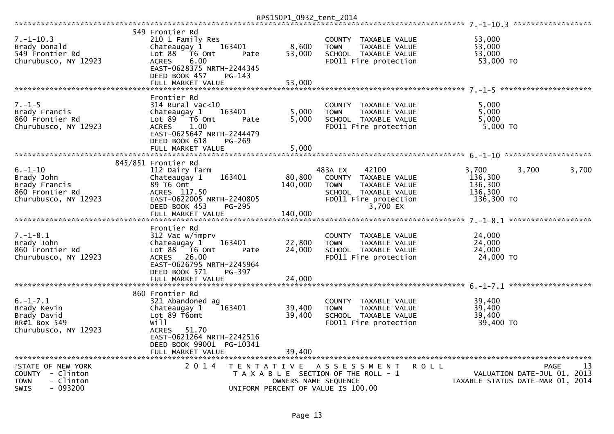|                                                                                                      |                                                                                                                                                                     |                                                                                                  | RPS150P1_0932_tent_2014      |                              |                                                                                                                    |         |                                                      |                                       |            |
|------------------------------------------------------------------------------------------------------|---------------------------------------------------------------------------------------------------------------------------------------------------------------------|--------------------------------------------------------------------------------------------------|------------------------------|------------------------------|--------------------------------------------------------------------------------------------------------------------|---------|------------------------------------------------------|---------------------------------------|------------|
|                                                                                                      |                                                                                                                                                                     |                                                                                                  |                              |                              |                                                                                                                    |         |                                                      |                                       |            |
| $7. - 1 - 10.3$<br>Brady Donald<br>549 Frontier Rd<br>Churubusco, NY 12923                           | 549 Frontier Rd<br>210 1 Family Res<br>Chateaugay 1<br>Lot 88<br>T6 Omt<br><b>ACRES</b><br>6.00<br>EAST-0628375 NRTH-2244345<br>DEED BOOK 457                       | 163401<br>Pate<br>PG-143                                                                         | 8,600<br>53,000              | <b>COUNTY</b><br><b>TOWN</b> | TAXABLE VALUE<br>TAXABLE VALUE<br>SCHOOL TAXABLE VALUE<br>FD011 Fire protection                                    |         | 53,000<br>53,000<br>53,000<br>53,000 TO              |                                       |            |
|                                                                                                      | FULL MARKET VALUE                                                                                                                                                   |                                                                                                  | 53,000                       |                              |                                                                                                                    |         |                                                      |                                       |            |
|                                                                                                      |                                                                                                                                                                     |                                                                                                  |                              |                              |                                                                                                                    |         |                                                      |                                       |            |
| $7. - 1 - 5$<br>Brady Francis<br>860 Frontier Rd<br>Churubusco, NY 12923                             | Frontier Rd<br>$314$ Rural vac< $10$<br>Chateaugay 1<br>Lot 89<br>T6 Omt<br>1.00<br><b>ACRES</b><br>EAST-0625647 NRTH-2244479<br>DEED BOOK 618<br>FULL MARKET VALUE | 163401<br>Pate<br>PG-269                                                                         | 5,000<br>5,000<br>5,000      | <b>TOWN</b>                  | COUNTY TAXABLE VALUE<br>TAXABLE VALUE<br>SCHOOL TAXABLE VALUE<br>FD011 Fire protection                             |         | 5,000<br>5,000<br>5,000<br>$5,000$ TO                |                                       |            |
|                                                                                                      |                                                                                                                                                                     |                                                                                                  |                              |                              |                                                                                                                    |         |                                                      |                                       |            |
| $6. - 1 - 10$<br>Brady John<br>Brady Francis<br>860 Frontier Rd<br>Churubusco, NY 12923              | 845/851 Frontier Rd<br>112 Dairy farm<br>Chateaugay 1<br>89 T6 Omt<br>ACRES 117.50<br>EAST-0622005 NRTH-2240805<br>DEED BOOK 453<br>FULL MARKET VALUE               | 163401<br><b>PG-295</b>                                                                          | 80,800<br>140,000<br>140,000 | 483A EX<br><b>TOWN</b>       | 42100<br>COUNTY TAXABLE VALUE<br><b>TAXABLE VALUE</b><br>SCHOOL TAXABLE VALUE<br>FD011 Fire protection<br>3,700 EX |         | 3.700<br>136,300<br>136,300<br>136,300<br>136,300 TO | 3.700                                 | 3,700      |
|                                                                                                      |                                                                                                                                                                     |                                                                                                  |                              |                              |                                                                                                                    |         |                                                      |                                       |            |
| $7. - 1 - 8.1$<br>Brady John<br>860 Frontier Rd<br>Churubusco, NY 12923                              | Frontier Rd<br>312 Vac w/imprv<br>Chateaugay 1<br>Lot $88$ $\overline{76}$ Omt<br>ACRES 26.00<br>EAST-0626795 NRTH-2245964<br>DEED BOOK 571                         | 163401<br>Pate<br>PG-397                                                                         | 22,800<br>24,000             | <b>COUNTY</b><br><b>TOWN</b> | TAXABLE VALUE<br>TAXABLE VALUE<br>SCHOOL TAXABLE VALUE<br>FD011 Fire protection                                    |         | 24,000<br>24,000<br>24,000<br>24,000 TO              |                                       |            |
|                                                                                                      | FULL MARKET VALUE                                                                                                                                                   |                                                                                                  | 24,000                       |                              |                                                                                                                    |         |                                                      |                                       |            |
|                                                                                                      |                                                                                                                                                                     |                                                                                                  |                              |                              |                                                                                                                    |         |                                                      |                                       |            |
| $6. - 1 - 7.1$<br>Brady Kevin<br>Brady David<br>RR#1 Box 549<br>Churubusco, NY 12923                 | 860 Frontier Rd<br>321 Abandoned ag<br>Chateaugay 1<br>Lot 89 T6omt<br>Will<br><b>ACRES</b><br>51.70<br>EAST-0621264 NRTH-2242516                                   | 163401                                                                                           | 39,400<br>39,400             | <b>TOWN</b>                  | COUNTY TAXABLE VALUE<br>TAXABLE VALUE<br>SCHOOL TAXABLE VALUE<br>FD011 Fire protection                             |         | 39,400<br>39,400<br>39.400<br>39,400 TO              |                                       |            |
|                                                                                                      | DEED BOOK 99001 PG-10341<br>FULL MARKET VALUE                                                                                                                       |                                                                                                  | 39.400                       |                              |                                                                                                                    |         |                                                      |                                       |            |
|                                                                                                      |                                                                                                                                                                     |                                                                                                  |                              |                              |                                                                                                                    |         |                                                      |                                       |            |
| <b>ASTATE OF NEW YORK</b><br>COUNTY - Clinton<br><b>TOWN</b><br>- Clinton<br>- 093200<br><b>SWIS</b> | 2 0 1 4                                                                                                                                                             | T E N T A T I V E<br>T A X A B L E SECTION OF THE ROLL - 1<br>UNIFORM PERCENT OF VALUE IS 100.00 | OWNERS NAME SEQUENCE         |                              | ASSESSMENT                                                                                                         | R O L L | TAXABLE STATUS DATE-MAR 01, 2014                     | <b>PAGE</b><br>VALUATION DATE-JUL 01, | 13<br>2013 |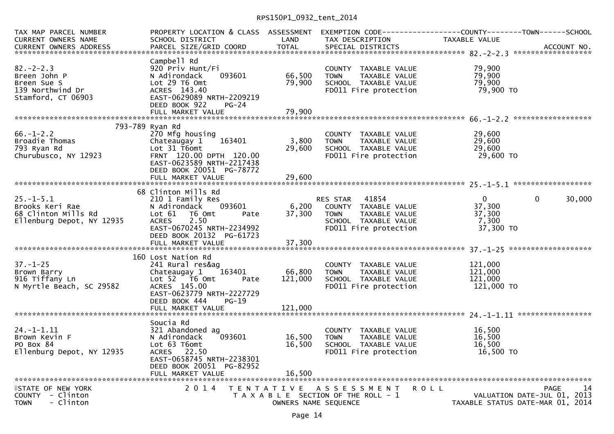| TAX MAP PARCEL NUMBER<br>CURRENT OWNERS NAME                                                        | SCHOOL DISTRICT                                                                                                                                                          | <b>LAND</b>                               | TAX DESCRIPTION                                                                                                            | PROPERTY LOCATION & CLASS ASSESSMENT EXEMPTION CODE----------------COUNTY-------TOWN------SCHOOL<br>TAXABLE VALUE<br>CURRENT OWNERS ADDRESS FORCEL SIZE/GRID COORD TOTAL SPECIAL DISTRICTS (2010) ACCOUNT NO. |
|-----------------------------------------------------------------------------------------------------|--------------------------------------------------------------------------------------------------------------------------------------------------------------------------|-------------------------------------------|----------------------------------------------------------------------------------------------------------------------------|---------------------------------------------------------------------------------------------------------------------------------------------------------------------------------------------------------------|
| $82 - 2 - 2.3$<br>Breen John P<br>Breen Sue S<br>139 Northwind Dr<br>Stamford, CT 06903             | Campbell Rd<br>920 Priv Hunt/Fi<br>093601<br>N Adirondack<br>Lot 29 T6 Omt<br>ACRES 143.40<br>EAST-0629089 NRTH-2209219<br>DEED BOOK 922<br>PG-24                        | 66,500<br>79,900                          | COUNTY TAXABLE VALUE<br><b>TOWN</b><br>TAXABLE VALUE<br>SCHOOL TAXABLE VALUE<br>FD011 Fire protection                      | 79,900<br>79,900<br>79,900<br>79,900 TO                                                                                                                                                                       |
|                                                                                                     |                                                                                                                                                                          |                                           |                                                                                                                            |                                                                                                                                                                                                               |
|                                                                                                     | 793-789 Ryan Rd                                                                                                                                                          |                                           |                                                                                                                            |                                                                                                                                                                                                               |
| $66. - 1 - 2.2$<br>Broadie Thomas<br>א נע<br>Churubusco, NY 12923                                   | 270 Mfg housing<br>163401<br>Chateaugay 1<br>Lot 31 T6omt<br>FRNT 120.00 DPTH 120.00<br>EAST-0623589 NRTH-2217438<br>DEED BOOK 20051 PG-78772<br>FULL MARKET VALUE       | 3,800<br>29,600<br>29,600                 | COUNTY TAXABLE VALUE<br>TOWN     TAXABLE VALUE<br>SCHOOL  TAXABLE VALUE<br>FDO11 Fire protection                           | 29,600<br>29,600<br>29,600<br>29,600 TO                                                                                                                                                                       |
|                                                                                                     |                                                                                                                                                                          |                                           |                                                                                                                            |                                                                                                                                                                                                               |
| $25. - 1 - 5.1$<br>25.-1-5.1<br>Brooks Keri Rae<br>68_Clinton Mills Rd<br>Ellenburg Depot, NY 12935 | 68 Clinton Mills Rd<br>210 1 Family Res<br>N Adirondack 093601<br>Lot 61 T6 Omt<br>Pate<br>2.50<br><b>ACRES</b><br>EAST-0670245 NRTH-2234992<br>DEED BOOK 20132 PG-61723 |                                           | KES SIAR 41854<br>6,200 COUNTY TAXABLE VALUE<br>37,300 TOWN TAXABLE VALUE<br>SCHOOL TAXABLE VALUE<br>FD011 Fire protection | $\mathbf{0}$<br>$\mathbf{0}$<br>30,000<br>37,300<br>37,300<br>7,300<br>37,300 TO                                                                                                                              |
|                                                                                                     | 160 Lost Nation Rd                                                                                                                                                       |                                           |                                                                                                                            |                                                                                                                                                                                                               |
| $37. - 1 - 25$<br>Brown Barry<br>916 Tiffany Ln<br>N Myrtle Beach, SC 29582                         | 241 Rural res&ag<br>Chateaugay 1 163401<br>Lot 52 T6 Omt<br>Pate<br>ACRES 145.00<br>EAST-0623779 NRTH-2227729<br>DEED BOOK 444<br>$PG-19$<br>FULL MARKET VALUE           | 66,800<br>121,000<br>121,000              | COUNTY TAXABLE VALUE<br><b>TOWN</b><br>TAXABLE VALUE<br>SCHOOL TAXABLE VALUE<br>FD011 Fire protection                      | 121,000<br>121,000<br>121,000<br>121,000 TO                                                                                                                                                                   |
|                                                                                                     |                                                                                                                                                                          |                                           |                                                                                                                            |                                                                                                                                                                                                               |
| $24. - 1 - 1.11$<br>Brown Kevin F<br>PO Box 84<br>Ellenburg Depot, NY 12935                         | Soucia Rd<br>321 Abandoned ag<br>093601<br>N Adirondack<br>Lot 63 T6omt<br>ACRES 22.50<br>EAST-0658745 NRTH-2238301<br>DEED BOOK 20051 PG-82952                          | 16,500<br>16,500                          | COUNTY TAXABLE VALUE<br><b>TOWN</b><br>TAXABLE VALUE<br>SCHOOL TAXABLE VALUE<br>FD011 Fire protection                      | 16,500<br>16,500<br>16,500<br>16,500 TO                                                                                                                                                                       |
|                                                                                                     | FULL MARKET VALUE                                                                                                                                                        | 16,500                                    |                                                                                                                            |                                                                                                                                                                                                               |
| <b>¥STATE OF NEW YORK</b><br>COUNTY - Clinton<br>- Clinton<br><b>TOWN</b>                           | 2 0 1 4                                                                                                                                                                  | T E N T A T I V E<br>OWNERS NAME SEQUENCE | A S S E S S M E N T<br><b>ROLL</b><br>T A X A B L E SECTION OF THE ROLL - 1                                                | <b>PAGE</b><br>14<br>VALUATION DATE-JUL 01, 2013<br>TAXABLE STATUS DATE-MAR 01, 2014                                                                                                                          |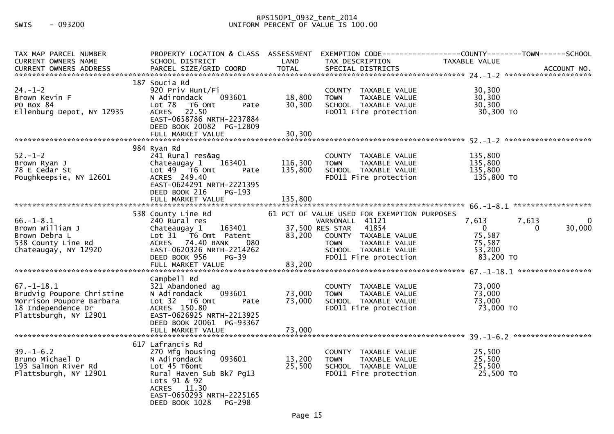## RPS150P1\_0932\_tent\_2014<br>300.00 UNIFORM PERCENT OF VALUE IS 100

| TAX MAP PARCEL NUMBER<br><b>CURRENT OWNERS NAME</b>                                                                      | PROPERTY LOCATION & CLASS ASSESSMENT<br>SCHOOL DISTRICT                                                                                                                                           | LAND                          | TAX DESCRIPTION                                                                                                                                                                                     | EXEMPTION CODE-----------------COUNTY-------TOWN------SCHOOL<br>TAXABLE VALUE                    |
|--------------------------------------------------------------------------------------------------------------------------|---------------------------------------------------------------------------------------------------------------------------------------------------------------------------------------------------|-------------------------------|-----------------------------------------------------------------------------------------------------------------------------------------------------------------------------------------------------|--------------------------------------------------------------------------------------------------|
| $24. - 1 - 2$<br>Brown Kevin F<br>PO Box 84<br>Ellenburg Depot, NY 12935                                                 | 187 Soucia Rd<br>920 Priv Hunt/Fi<br>093601<br>N Adirondack<br>Lot 78<br>T6 Omt<br>Pate<br>ACRES 22.50<br>EAST-0658786 NRTH-2237884<br>DEED BOOK 20082 PG-12809<br>FULL MARKET VALUE              | 18,800<br>30,300<br>30,300    | COUNTY TAXABLE VALUE<br><b>TOWN</b><br>TAXABLE VALUE<br>SCHOOL TAXABLE VALUE<br>FD011 Fire protection                                                                                               | 30,300<br>30,300<br>30,300<br>30,300 TO                                                          |
| $52 - 1 - 2$<br>Brown Ryan J<br>78 E Cedar St<br>Poughkeepsie, NY 12601                                                  | 984 Ryan Rd<br>241 Rural res&ag<br>163401<br>Chateaugay 1<br>Lot 49 T6 Omt<br>Pate<br>ACRES 249.40<br>EAST-0624291 NRTH-2221395<br>DEED BOOK 216<br>PG-193<br>FULL MARKET VALUE                   | 116,300<br>135,800<br>135,800 | COUNTY TAXABLE VALUE<br><b>TOWN</b><br>TAXABLE VALUE<br>SCHOOL TAXABLE VALUE<br>FD011 Fire protection                                                                                               | 135,800<br>135,800<br>135,800<br>135,800 TO                                                      |
| $66. - 1 - 8.1$<br>Brown William J<br>Brown Debra L<br>538 County Line Rd<br>Chateaugay, NY 12920                        | 538 County Line Rd<br>240 Rural res<br>163401<br>Chateaugay 1<br>Lot 31 T6 Omt Patent<br>ACRES 74.40 BANK<br>080<br>EAST-0620326 NRTH-2214262<br>DEED BOOK 956<br>PG-39                           | 83,200                        | 61 PCT OF VALUE USED FOR EXEMPTION PURPOSES<br>WARNONALL 41121<br>37,500 RES STAR<br>41854<br>COUNTY TAXABLE VALUE<br>TAXABLE VALUE<br><b>TOWN</b><br>SCHOOL TAXABLE VALUE<br>FD011 Fire protection | 7,613<br>7,613<br>0<br>$\Omega$<br>30,000<br>$\Omega$<br>75,587<br>75,587<br>53,200<br>83,200 TO |
| $67. - 1 - 18.1$<br>Brudvig Poupore Christine<br>Morrison Poupore Barbara<br>18 Independence Dr<br>Plattsburgh, NY 12901 | Campbell Rd<br>321 Abandoned ag<br>N Adirondack<br>093601<br>Lot 32 T6 Omt<br>Pate<br>ACRES 150.80<br>EAST-0626925 NRTH-2213925<br>DEED BOOK 20061 PG-93367<br>FULL MARKET VALUE                  | 73,000<br>73,000<br>73,000    | COUNTY TAXABLE VALUE<br><b>TOWN</b><br>TAXABLE VALUE<br>SCHOOL TAXABLE VALUE<br>FD011 Fire protection                                                                                               | 73,000<br>73,000<br>73,000<br>73,000 TO                                                          |
| $39. - 1 - 6.2$<br>Bruno Michael D<br>193 Salmon River Rd<br>Plattsburgh, NY 12901                                       | 617 Lafrancis Rd<br>270 Mfg housing<br>093601<br>N Adirondack<br>Lot 45 T6omt<br>Rural Haven Sub Bk7 Pg13<br>Lots 91 & 92<br>ACRES 11.30<br>EAST-0650293 NRTH-2225165<br>DEED BOOK 1028<br>PG-298 | 13,200<br>25,500              | COUNTY TAXABLE VALUE<br>TAXABLE VALUE<br><b>TOWN</b><br>SCHOOL TAXABLE VALUE<br>FD011 Fire protection                                                                                               | 25,500<br>25,500<br>25,500<br>25,500 TO                                                          |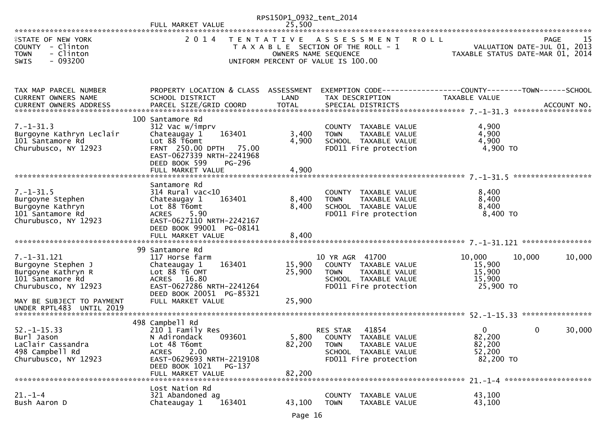|                                                                                                                                                                    |                                                                                                                                                                                      | RPS150P1_0932_tent_2014    |                                                                                                                                           |                                                             |                                                  |
|--------------------------------------------------------------------------------------------------------------------------------------------------------------------|--------------------------------------------------------------------------------------------------------------------------------------------------------------------------------------|----------------------------|-------------------------------------------------------------------------------------------------------------------------------------------|-------------------------------------------------------------|--------------------------------------------------|
| <b>ISTATE OF NEW YORK</b><br>COUNTY - Clinton<br><b>TOWN</b><br>- Clinton<br>$-093200$<br><b>SWIS</b>                                                              | 2 0 1 4                                                                                                                                                                              | T E N T A T I V E          | <b>ROLL</b><br>A S S E S S M E N T<br>T A X A B L E SECTION OF THE ROLL - 1<br>OWNERS NAME SEQUENCE<br>UNIFORM PERCENT OF VALUE IS 100.00 | TAXABLE STATUS DATE-MAR 01, 2014                            | 15<br><b>PAGE</b><br>VALUATION DATE-JUL 01, 2013 |
| TAX MAP PARCEL NUMBER<br>CURRENT OWNERS NAME                                                                                                                       | PROPERTY LOCATION & CLASS ASSESSMENT<br>SCHOOL DISTRICT                                                                                                                              | LAND                       | TAX DESCRIPTION                                                                                                                           | TAXABLE VALUE                                               |                                                  |
| $7. - 1 - 31.3$<br>Burgoyne Kathryn Leclair<br>101 Santamore Rd<br>Churubusco, NY 12923                                                                            | 100 Santamore Rd<br>312 Vac w/imprv<br>163401<br>Chateaugay 1<br>Lot 88 T6omt<br>FRNT 250.00 DPTH 75.00<br>EAST-0627339 NRTH-2241968<br>DEED BOOK 599<br>PG-296<br>FULL MARKET VALUE | 3,400<br>4,900<br>4,900    | COUNTY TAXABLE VALUE<br><b>TOWN</b><br>TAXABLE VALUE<br>SCHOOL TAXABLE VALUE<br>FD011 Fire protection                                     | 4,900<br>4,900<br>4,900<br>4,900 TO                         |                                                  |
| $7. - 1 - 31.5$<br>Burgoyne Stephen<br>Burgoyne Kathryn<br>101 Santamore Rd<br>Churubusco, NY 12923                                                                | Santamore Rd<br>$314$ Rural vac<10<br>Chateaugay 1<br>163401<br>Lot 88 T6omt<br><b>ACRES</b><br>5.90<br>EAST-0627110 NRTH-2242167<br>DEED BOOK 99001 PG-08141                        | 8,400<br>8,400             | COUNTY TAXABLE VALUE<br><b>TOWN</b><br>TAXABLE VALUE<br>SCHOOL TAXABLE VALUE<br>FD011 Fire protection                                     | 8,400<br>8,400<br>8,400<br>8,400 TO                         |                                                  |
| $7. - 1 - 31.121$<br>Burgoyne Stephen J<br>Burgoyne Kathryn R<br>101 Santamore Rd<br>Churubusco, NY 12923<br>MAY BE SUBJECT TO PAYMENT<br>UNDER RPTL483 UNTIL 2019 | 99 Santamore Rd<br>117 Horse farm<br>163401<br>Chateaugay 1<br>Lot 88 T6 OMT<br>ACRES 16.80<br>EAST-0627286 NRTH-2241264<br>DEED BOOK 20051 PG-85321<br>FULL MARKET VALUE            | 15,900<br>25,900<br>25,900 | 10 YR AGR 41700<br>COUNTY TAXABLE VALUE<br><b>TOWN</b><br>TAXABLE VALUE<br>SCHOOL TAXABLE VALUE<br>FD011 Fire protection                  | 10,000<br>10,000<br>15,900<br>15,900<br>15,900<br>25,900 TO | 10,000                                           |
| $52. -1 - 15.33$<br>Burl Jason<br>LaClair Cassandra<br>498 Campbell Rd<br>Churubusco, NY 12923                                                                     | 498 Campbell Rd<br>210 1 Family Res<br>093601<br>N Adirondack<br>Lot 48 T6omt<br>2.00<br><b>ACRES</b><br>EAST-0629693 NRTH-2219108<br>DEED BOOK 1021<br>PG-137<br>FULL MARKET VALUE  | 5,800<br>82,200<br>82,200  | 41854<br>RES STAR<br>COUNTY TAXABLE VALUE<br><b>TOWN</b><br>TAXABLE VALUE<br>SCHOOL TAXABLE VALUE<br>FD011 Fire protection                | 0<br>82,200<br>82,200<br>52,200<br>82,200 TO                | 30,000<br>$\Omega$                               |
| $21. - 1 - 4$<br>Bush Aaron D                                                                                                                                      | Lost Nation Rd<br>321 Abandoned ag<br>163401<br>Chateaugay 1                                                                                                                         | 43,100                     | <b>COUNTY</b><br>TAXABLE VALUE<br><b>TOWN</b><br>TAXABLE VALUE                                                                            | 43,100<br>43,100                                            |                                                  |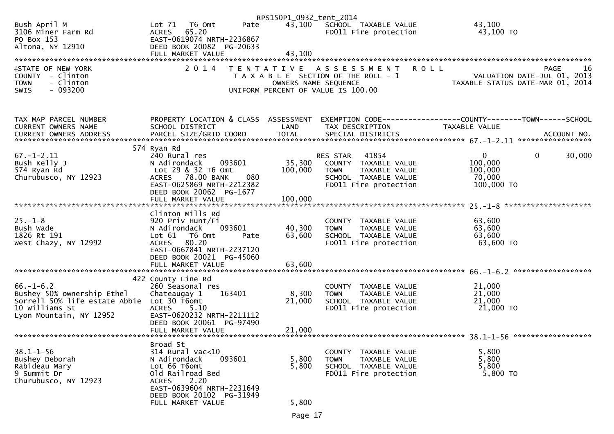| 43,100<br>Bush April M<br>Pate<br>43,100 SCHOOL TAXABLE VALUE<br>Lot 71 T6 Omt<br>3106 Miner Farm Rd<br>ACRES 65.20<br>FD011 Fire protection<br>43,100 TO<br>PO Box 153<br>EAST-0619074 NRTH-2236867<br>Altona, NY 12910<br>DEED BOOK 20082 PG-20633<br>43,100<br>FULL MARKET VALUE<br>2 0 1 4<br><b>ROLL</b><br><b>ISTATE OF NEW YORK</b><br><b>PAGE</b><br>TENTATIVE ASSESSMENT<br>T A X A B L E SECTION OF THE ROLL - 1<br>COUNTY - Clinton<br>VALUATION DATE-JUL 01, 2013<br>- Clinton<br>TAXABLE STATUS DATE-MAR 01, 2014<br><b>TOWN</b><br>OWNERS NAME SEQUENCE<br>$-093200$<br><b>SWIS</b><br>UNIFORM PERCENT OF VALUE IS 100.00<br>PROPERTY LOCATION & CLASS ASSESSMENT<br>EXEMPTION CODE------------------COUNTY--------TOWN------SCHOOL<br>TAX MAP PARCEL NUMBER<br>CURRENT OWNERS NAME<br>SCHOOL DISTRICT<br>LAND<br>TAX DESCRIPTION<br>TAXABLE VALUE<br>574 Ryan Rd |  | RPS150P1_0932_tent_2014 |  |    |
|---------------------------------------------------------------------------------------------------------------------------------------------------------------------------------------------------------------------------------------------------------------------------------------------------------------------------------------------------------------------------------------------------------------------------------------------------------------------------------------------------------------------------------------------------------------------------------------------------------------------------------------------------------------------------------------------------------------------------------------------------------------------------------------------------------------------------------------------------------------------------------|--|-------------------------|--|----|
|                                                                                                                                                                                                                                                                                                                                                                                                                                                                                                                                                                                                                                                                                                                                                                                                                                                                                 |  |                         |  |    |
|                                                                                                                                                                                                                                                                                                                                                                                                                                                                                                                                                                                                                                                                                                                                                                                                                                                                                 |  |                         |  |    |
|                                                                                                                                                                                                                                                                                                                                                                                                                                                                                                                                                                                                                                                                                                                                                                                                                                                                                 |  |                         |  |    |
|                                                                                                                                                                                                                                                                                                                                                                                                                                                                                                                                                                                                                                                                                                                                                                                                                                                                                 |  |                         |  | 16 |
|                                                                                                                                                                                                                                                                                                                                                                                                                                                                                                                                                                                                                                                                                                                                                                                                                                                                                 |  |                         |  |    |
|                                                                                                                                                                                                                                                                                                                                                                                                                                                                                                                                                                                                                                                                                                                                                                                                                                                                                 |  |                         |  |    |
|                                                                                                                                                                                                                                                                                                                                                                                                                                                                                                                                                                                                                                                                                                                                                                                                                                                                                 |  |                         |  |    |
| $67. - 1 - 2.11$<br>41854<br>$\overline{0}$<br>$\mathbf 0$<br>30,000<br>240 Rural res<br>RES STAR<br>Bush Kelly J<br>35,300<br>100,000<br>N Adirondack<br>093601<br>COUNTY TAXABLE VALUE<br>574 Ryan Rd<br>Lot 29 & 32 T6 Omt<br>100,000<br>100,000<br><b>TOWN</b><br>TAXABLE VALUE<br>Churubusco, NY 12923<br>ACRES 78.00 BANK<br>080<br>70,000<br>SCHOOL TAXABLE VALUE<br>100,000 TO<br>EAST-0625869 NRTH-2212382<br>FD011 Fire protection                                                                                                                                                                                                                                                                                                                                                                                                                                    |  |                         |  |    |
| DEED BOOK 20062 PG-1677                                                                                                                                                                                                                                                                                                                                                                                                                                                                                                                                                                                                                                                                                                                                                                                                                                                         |  |                         |  |    |
| Clinton Mills Rd                                                                                                                                                                                                                                                                                                                                                                                                                                                                                                                                                                                                                                                                                                                                                                                                                                                                |  |                         |  |    |
| $25. - 1 - 8$<br>920 Priv Hunt/Fi<br>63,600<br>COUNTY TAXABLE VALUE<br>093601<br>40,300<br>63,600<br>Bush Wade<br>N Adirondack<br>TAXABLE VALUE<br><b>TOWN</b>                                                                                                                                                                                                                                                                                                                                                                                                                                                                                                                                                                                                                                                                                                                  |  |                         |  |    |
| 63,600<br>1826 Rt 191<br>63,600<br>Lot $61$<br>T6 Omt<br>SCHOOL TAXABLE VALUE<br>Pate                                                                                                                                                                                                                                                                                                                                                                                                                                                                                                                                                                                                                                                                                                                                                                                           |  |                         |  |    |
| 80.20<br>63,600 TO<br>West Chazy, NY 12992<br>FD011 Fire protection<br><b>ACRES</b><br>EAST-0667841 NRTH-2237120<br>DEED BOOK 20021 PG-45060                                                                                                                                                                                                                                                                                                                                                                                                                                                                                                                                                                                                                                                                                                                                    |  |                         |  |    |
| 63,600<br>FULL MARKET VALUE                                                                                                                                                                                                                                                                                                                                                                                                                                                                                                                                                                                                                                                                                                                                                                                                                                                     |  |                         |  |    |
| 422 County Line Rd                                                                                                                                                                                                                                                                                                                                                                                                                                                                                                                                                                                                                                                                                                                                                                                                                                                              |  |                         |  |    |
| $66. - 1 - 6.2$<br>260 Seasonal res<br>21,000<br>COUNTY TAXABLE VALUE                                                                                                                                                                                                                                                                                                                                                                                                                                                                                                                                                                                                                                                                                                                                                                                                           |  |                         |  |    |
| Bushey 50% ownership Ethel<br>8,300<br>21,000<br>Chateaugay 1<br>163401<br>TAXABLE VALUE<br><b>TOWN</b><br>Sorrell 50% life estate Abbie Lot 30 T6omt<br>21,000<br>21,000<br>SCHOOL TAXABLE VALUE                                                                                                                                                                                                                                                                                                                                                                                                                                                                                                                                                                                                                                                                               |  |                         |  |    |
| 10 Williams St<br>5.10<br>21,000 TO<br><b>ACRES</b><br>FD011 Fire protection<br>Lyon Mountain, NY 12952<br>EAST-0620232 NRTH-2211112<br>DEED BOOK 20061 PG-97490                                                                                                                                                                                                                                                                                                                                                                                                                                                                                                                                                                                                                                                                                                                |  |                         |  |    |
| 21,000<br>FULL MARKET VALUE                                                                                                                                                                                                                                                                                                                                                                                                                                                                                                                                                                                                                                                                                                                                                                                                                                                     |  |                         |  |    |
| Broad St<br>$38.1 - 1 - 56$<br>314 Rural vac<10<br>5,800<br>TAXABLE VALUE<br>COUNTY                                                                                                                                                                                                                                                                                                                                                                                                                                                                                                                                                                                                                                                                                                                                                                                             |  |                         |  |    |
| Bushey Deborah<br>N Adirondack<br>093601<br>5,800<br>5,800<br><b>TOWN</b><br>TAXABLE VALUE                                                                                                                                                                                                                                                                                                                                                                                                                                                                                                                                                                                                                                                                                                                                                                                      |  |                         |  |    |
| Lot 66 T6omt<br>5,800<br>Rabideau Mary<br>5,800<br>SCHOOL TAXABLE VALUE<br>9 Summit Dr<br>Old Railroad Bed<br>FD011 Fire protection<br>5,800 TO                                                                                                                                                                                                                                                                                                                                                                                                                                                                                                                                                                                                                                                                                                                                 |  |                         |  |    |
| Churubusco, NY 12923<br><b>ACRES</b><br>2.20<br>EAST-0639604 NRTH-2231649                                                                                                                                                                                                                                                                                                                                                                                                                                                                                                                                                                                                                                                                                                                                                                                                       |  |                         |  |    |
| DEED BOOK 20102 PG-31949<br>5,800<br>FULL MARKET VALUE                                                                                                                                                                                                                                                                                                                                                                                                                                                                                                                                                                                                                                                                                                                                                                                                                          |  |                         |  |    |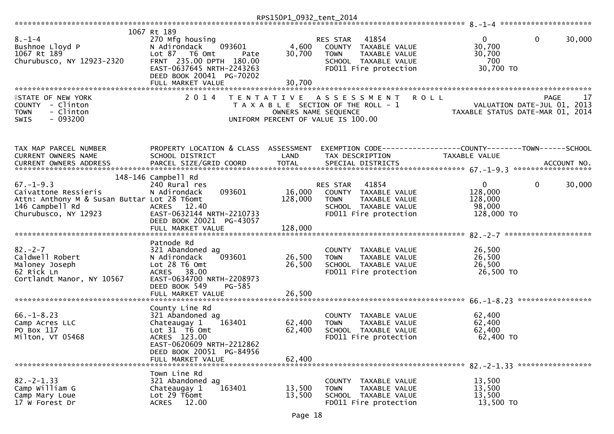|                                                                                                                                   |                                                                                                                                                                                            | RPS150P1_0932_tent_2014      |                                                                                                                                            |                                                                                        |            |
|-----------------------------------------------------------------------------------------------------------------------------------|--------------------------------------------------------------------------------------------------------------------------------------------------------------------------------------------|------------------------------|--------------------------------------------------------------------------------------------------------------------------------------------|----------------------------------------------------------------------------------------|------------|
| $8. - 1 - 4$<br>Bushnoe Lloyd P<br>1067 Rt 189<br>Churubusco, NY 12923-2320                                                       | 1067 Rt 189<br>270 Mfg housing<br>N Adirondack<br>093601<br>Lot 87 T6 Omt<br>Pate<br>FRNT 235.00 DPTH 180.00<br>EAST-0637645 NRTH-2243263<br>DEED BOOK 20041 PG-70202<br>FULL MARKET VALUE | 4,600<br>30,700<br>30,700    | RES STAR<br>41854<br>COUNTY TAXABLE VALUE<br><b>TOWN</b><br>TAXABLE VALUE<br>SCHOOL TAXABLE VALUE<br>FD011 Fire protection                 | $\mathbf{0}$<br>0<br>30,700<br>30,700<br>700<br>30,700 TO                              | 30,000     |
| <b>ISTATE OF NEW YORK</b><br>COUNTY - Clinton<br>- Clinton<br><b>TOWN</b><br>$-093200$<br>SWIS                                    | 2014                                                                                                                                                                                       |                              | <b>ROLL</b><br>TENTATIVE ASSESSMENT<br>T A X A B L E SECTION OF THE ROLL - 1<br>OWNERS NAME SEQUENCE<br>UNIFORM PERCENT OF VALUE IS 100.00 | VALUATION DATE-JUL 01, 2013<br>TAXABLE STATUS DATE-MAR 01, 2014                        | 17<br>PAGE |
| TAX MAP PARCEL NUMBER<br>CURRENT OWNERS NAME                                                                                      | PROPERTY LOCATION & CLASS ASSESSMENT<br>SCHOOL DISTRICT                                                                                                                                    | LAND                         | TAX DESCRIPTION                                                                                                                            | EXEMPTION CODE------------------COUNTY--------TOWN------SCHOOL<br><b>TAXABLE VALUE</b> |            |
| $67. - 1 - 9.3$<br>Caivattone Ressieris<br>Attn: Anthony M & Susan Buttar Lot 28 T6omt<br>146 Campbell Rd<br>Churubusco, NY 12923 | 148-146 Campbell Rd<br>240 Rural res<br>093601<br>N Adirondack<br>ACRES 12.40<br>EAST-0632144 NRTH-2210733<br>DEED BOOK 20021 PG-43057<br>FULL MARKET VALUE                                | 16,000<br>128,000<br>128,000 | 41854<br>RES STAR<br>COUNTY TAXABLE VALUE<br><b>TOWN</b><br>TAXABLE VALUE<br>SCHOOL TAXABLE VALUE<br>FD011 Fire protection                 | $\mathbf{0}$<br>$\mathbf 0$<br>128,000<br>128,000<br>98,000<br>128,000 TO              | 30,000     |
| $82 - 2 - 7$<br>Caldwell Robert<br>Maloney Joseph<br>62 Rick Ln<br>Cortlandt Manor, NY 10567                                      | Patnode Rd<br>321 Abandoned ag<br>093601<br>N Adirondack<br>Lot 28 T6 Omt<br>ACRES 38.00<br>EAST-0634700 NRTH-2208973<br>DEED BOOK 549<br>PG-585<br>FULL MARKET VALUE                      | 26,500<br>26,500<br>26,500   | COUNTY TAXABLE VALUE<br>TAXABLE VALUE<br><b>TOWN</b><br>SCHOOL TAXABLE VALUE<br>FD011 Fire protection                                      | 26,500<br>26,500<br>26,500<br>26,500 TO                                                |            |
| $66. - 1 - 8.23$<br>Camp Acres LLC<br>PO Box 117<br>Milton, VT 05468                                                              | County Line Rd<br>321 Abandoned ag<br>Chateaugay 1<br>163401<br>Lot 31 76 0mt<br>ACRES 123.00<br>EAST-0620609 NRTH-2212862<br>DEED BOOK 20051 PG-84956<br>FULL MARKET VALUE                | 62,400<br>62,400<br>62,400   | COUNTY TAXABLE VALUE<br>TAXABLE VALUE<br><b>TOWN</b><br>SCHOOL TAXABLE VALUE<br>FD011 Fire protection                                      | 62,400<br>62,400<br>62,400<br>62,400 TO<br>82. - 2 - 1.33 *******************          |            |
| $82 - 2 - 1.33$<br>Camp William G<br>Camp Mary Loue<br>17 W Forest Dr                                                             | Town Line Rd<br>321 Abandoned ag<br>163401<br>Chateaugay 1<br>Lot 29 T6omt<br>12.00<br><b>ACRES</b>                                                                                        | 13,500<br>13,500             | <b>COUNTY</b><br>TAXABLE VALUE<br>TAXABLE VALUE<br><b>TOWN</b><br>SCHOOL TAXABLE VALUE<br>FD011 Fire protection                            | 13,500<br>13,500<br>13,500<br>13,500 TO                                                |            |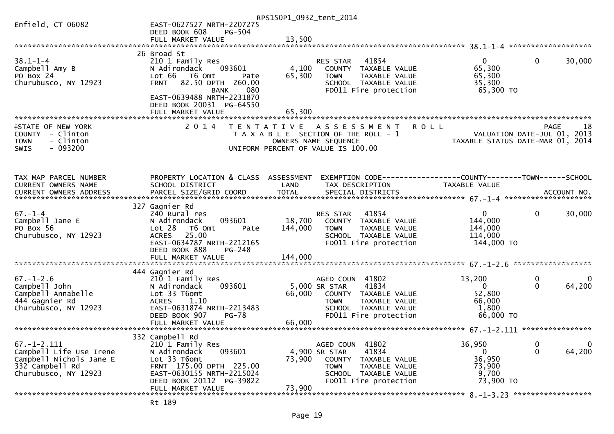|                               |                                                       | RPS150P1_0932_tent_2014                              |                                                                 |                         |
|-------------------------------|-------------------------------------------------------|------------------------------------------------------|-----------------------------------------------------------------|-------------------------|
| Enfield, CT 06082             | EAST-0627527 NRTH-2207275                             |                                                      |                                                                 |                         |
|                               | DEED BOOK 608<br><b>PG-504</b>                        |                                                      |                                                                 |                         |
|                               |                                                       |                                                      |                                                                 |                         |
|                               |                                                       |                                                      |                                                                 |                         |
|                               | 26 Broad St                                           |                                                      |                                                                 |                         |
| $38.1 - 1 - 4$                | 210 1 Family Res                                      | 41854<br>RES STAR                                    | $\mathbf{0}$                                                    | $\mathbf{0}$<br>30,000  |
| Campbell Amy B                | 093601<br>N Adirondack                                | 4,100<br>COUNTY TAXABLE VALUE                        | 65,300                                                          |                         |
| PO Box 24                     | Lot 66<br>T6 Omt<br>Pate                              | 65,300<br>TAXABLE VALUE<br><b>TOWN</b>               | 65,300                                                          |                         |
| Churubusco, NY 12923          | 82.50 DPTH 260.00<br><b>FRNT</b>                      | SCHOOL TAXABLE VALUE                                 | 35,300                                                          |                         |
|                               | <b>BANK</b><br>080                                    | FD011 Fire protection                                | 65,300 TO                                                       |                         |
|                               | EAST-0639488 NRTH-2231870                             |                                                      |                                                                 |                         |
|                               | DEED BOOK 20031 PG-64550                              |                                                      |                                                                 |                         |
| ***********************       | FULL MARKET VALUE                                     | 65,300                                               |                                                                 |                         |
|                               | 2 0 1 4                                               |                                                      |                                                                 |                         |
| <b>ISTATE OF NEW YORK</b>     |                                                       | T E N T A T I V E<br>A S S E S S M E N T             | <b>ROLL</b>                                                     | 18<br>PAGE              |
| COUNTY - Clinton<br>- Clinton |                                                       | T A X A B L E SECTION OF THE ROLL - 1                | VALUATION DATE-JUL 01, 2013<br>TAXABLE STATUS DATE-MAR 01, 2014 |                         |
| <b>TOWN</b>                   |                                                       | OWNERS NAME SEQUENCE                                 |                                                                 |                         |
| $-093200$<br>SWIS             |                                                       | UNIFORM PERCENT OF VALUE IS 100.00                   |                                                                 |                         |
|                               |                                                       |                                                      |                                                                 |                         |
|                               |                                                       |                                                      |                                                                 |                         |
| TAX MAP PARCEL NUMBER         | PROPERTY LOCATION & CLASS ASSESSMENT                  |                                                      | EXEMPTION CODE-----------------COUNTY--------TOWN------SCHOOL   |                         |
| CURRENT OWNERS NAME           | SCHOOL DISTRICT                                       | LAND<br>TAX DESCRIPTION                              | TAXABLE VALUE                                                   |                         |
|                               |                                                       |                                                      |                                                                 |                         |
|                               |                                                       |                                                      |                                                                 |                         |
|                               | 327 Gagnier Rd                                        |                                                      |                                                                 |                         |
| $67. - 1 - 4$                 | 240 Rural res                                         | 41854<br>RES STAR                                    | $\overline{0}$                                                  | $\mathbf{0}$<br>30,000  |
| Campbell Jane E               | 093601<br>N Adirondack                                | 18,700<br>COUNTY TAXABLE VALUE                       | 144,000                                                         |                         |
| PO Box 56                     | T6 Omt<br>Lot 28<br>Pate                              | 144,000<br><b>TOWN</b><br>TAXABLE VALUE              | 144,000                                                         |                         |
| Churubusco, NY 12923          | ACRES 25.00                                           | SCHOOL TAXABLE VALUE                                 | 114,000                                                         |                         |
|                               | EAST-0634787 NRTH-2212165                             | FD011 Fire protection                                | 144,000 TO                                                      |                         |
|                               | DEED BOOK 888<br>PG-248                               |                                                      |                                                                 |                         |
|                               | FULL MARKET VALUE                                     | 144,000                                              |                                                                 |                         |
|                               |                                                       |                                                      |                                                                 |                         |
|                               | 444 Gagnier Rd                                        |                                                      |                                                                 |                         |
| $67. - 1 - 2.6$               | 210 1 Family Res                                      | AGED COUN 41802                                      | 13,200                                                          | $\mathbf 0$<br>0        |
| Campbell John                 | 093601<br>N Adirondack                                | 5,000 SR STAR<br>41834                               | $\mathbf 0$                                                     | 64,200<br>$\Omega$      |
| Campbell Annabelle            | Lot 33 T6omt                                          | 66,000<br>COUNTY TAXABLE VALUE                       | 52,800                                                          |                         |
| 444 Gagnier Rd                | 1.10<br><b>ACRES</b>                                  | TAXABLE VALUE<br><b>TOWN</b>                         | 66,000                                                          |                         |
| Churubusco, NY 12923          | EAST-0631874 NRTH-2213483                             | SCHOOL TAXABLE VALUE                                 | 1,800                                                           |                         |
|                               | DEED BOOK 907<br><b>PG-78</b>                         | FD011 Fire protection                                | 66,000 TO                                                       |                         |
|                               | FULL MARKET VALUE                                     | 66,000                                               |                                                                 |                         |
|                               |                                                       |                                                      |                                                                 |                         |
|                               | 332 Campbell Rd                                       |                                                      |                                                                 |                         |
| $67. - 1 - 2.111$             | 210 1 Family Res                                      | AGED COUN 41802                                      | 36,950                                                          | $\bf{0}$<br>$\mathbf 0$ |
| Campbell Life Use Irene       | 093601<br>N Adirondack                                | 4,900 SR STAR<br>41834                               | 0                                                               | $\mathbf{0}$<br>64,200  |
| Campbell Nichols Jane E       | Lot 33 T6omt                                          | 73,900<br><b>COUNTY</b><br>TAXABLE VALUE             | 36,950                                                          |                         |
| 332 Campbell Rd               | FRNT 175.00 DPTH 225.00                               | <b>TOWN</b><br>TAXABLE VALUE<br>SCHOOL TAXABLE VALUE | 73,900<br>9,700                                                 |                         |
| Churubusco, NY 12923          | EAST-0630155 NRTH-2215024<br>DEED BOOK 20112 PG-39822 | FD011 Fire protection                                | 73,900 TO                                                       |                         |
|                               | FULL MARKET VALUE                                     | 73,900                                               |                                                                 |                         |
|                               |                                                       |                                                      |                                                                 |                         |
|                               |                                                       |                                                      |                                                                 |                         |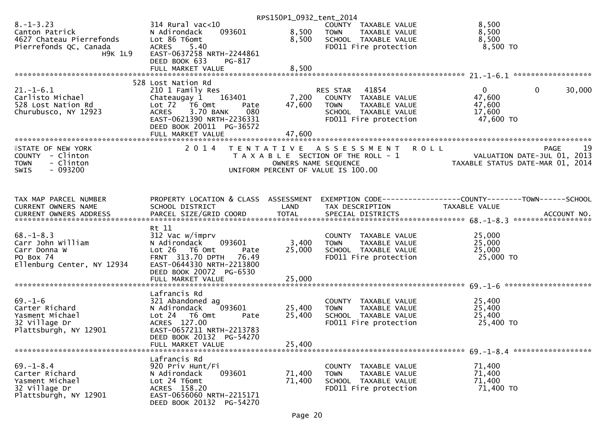|                                                                                                           |                                                                                                                                                                                      | RPS150P1_0932_tent_2014    |                                                                                                                            |                                                                                        |                   |
|-----------------------------------------------------------------------------------------------------------|--------------------------------------------------------------------------------------------------------------------------------------------------------------------------------------|----------------------------|----------------------------------------------------------------------------------------------------------------------------|----------------------------------------------------------------------------------------|-------------------|
| $8. - 1 - 3.23$<br>Canton Patrick<br>4627 Chateau Pierrefonds<br>Pierrefonds QC, Canada<br><b>H9K 1L9</b> | $314$ Rural vac<10<br>093601<br>N Adirondack<br>Lot 86 T6omt<br>5.40<br><b>ACRES</b><br>EAST-0637258 NRTH-2244861<br>DEED BOOK 633<br>PG-817                                         | 8,500<br>8,500             | COUNTY TAXABLE VALUE<br><b>TOWN</b><br>TAXABLE VALUE<br>SCHOOL TAXABLE VALUE<br>FD011 Fire protection                      | 8,500<br>8,500<br>8,500<br>8,500 TO                                                    |                   |
|                                                                                                           | FULL MARKET VALUE                                                                                                                                                                    | 8,500                      |                                                                                                                            |                                                                                        |                   |
|                                                                                                           | 528 Lost Nation Rd                                                                                                                                                                   |                            |                                                                                                                            |                                                                                        |                   |
| $21. - 1 - 6.1$<br>Carlisto Michael<br>528 Lost Nation Rd<br>Churubusco, NY 12923                         | 210 1 Family Res<br>163401<br>Chateaugay 1<br>Lot $72$ $\overline{76}$ Omt<br>Pate<br><b>ACRES</b><br>3.70 BANK<br>080<br>EAST-0621390 NRTH-2236331<br>DEED BOOK 20011 PG-36572      | 7,200<br>47,600            | 41854<br>RES STAR<br>COUNTY TAXABLE VALUE<br>TAXABLE VALUE<br><b>TOWN</b><br>SCHOOL TAXABLE VALUE<br>FD011 Fire protection | $\mathbf{0}$<br>$\mathbf{0}$<br>47,600<br>47,600<br>17,600<br>47,600 TO                | 30,000            |
|                                                                                                           |                                                                                                                                                                                      |                            |                                                                                                                            |                                                                                        |                   |
| <b>ISTATE OF NEW YORK</b><br>COUNTY - Clinton<br>- Clinton<br><b>TOWN</b><br>$-093200$<br><b>SWIS</b>     | 2 0 1 4                                                                                                                                                                              | OWNERS NAME SEQUENCE       | TENTATIVE ASSESSMENT<br>T A X A B L E SECTION OF THE ROLL - 1<br>UNIFORM PERCENT OF VALUE IS 100.00                        | <b>ROLL</b><br>VALUATION DATE-JUL 01, 2013<br>TAXABLE STATUS DATE-MAR 01, 2014         | 19<br><b>PAGE</b> |
| TAX MAP PARCEL NUMBER<br><b>CURRENT OWNERS NAME</b>                                                       | PROPERTY LOCATION & CLASS ASSESSMENT<br>SCHOOL DISTRICT                                                                                                                              | LAND                       | TAX DESCRIPTION                                                                                                            | EXEMPTION CODE------------------COUNTY--------TOWN------SCHOOL<br><b>TAXABLE VALUE</b> |                   |
| $68. - 1 - 8.3$<br>Carr John William<br>Carr Donna W<br>PO Box 74<br>Ellenburg Center, NY 12934           | Rt 11<br>312 Vac w/imprv<br>N Adirondack<br>093601<br>$Lot 26$ T6 Omt<br>Pate<br>FRNT 313.70 DPTH 76.49<br>EAST-0644330 NRTH-2213800<br>DEED BOOK 20072 PG-6530<br>FULL MARKET VALUE | 3,400<br>25,000<br>25,000  | COUNTY TAXABLE VALUE<br>TAXABLE VALUE<br><b>TOWN</b><br>SCHOOL TAXABLE VALUE<br>FD011 Fire protection                      | 25,000<br>25,000<br>25,000<br>25,000 TO                                                |                   |
| $69. - 1 - 6$<br>Carter Richard<br>Yasment Michael<br>32 Village Dr<br>Plattsburgh, NY 12901              | Lafrancis Rd<br>321 Abandoned ag<br>093601<br>N Adirondack<br>Lot 24  T6 Omt<br>Pate<br>ACRES 127.00<br>EAST-0657211 NRTH-2213783<br>DEED BOOK 20132 PG-54270<br>FULL MARKET VALUE   | 25,400<br>25,400<br>25,400 | COUNTY TAXABLE VALUE<br><b>TOWN</b><br>TAXABLE VALUE<br>SCHOOL TAXABLE VALUE<br>FD011 Fire protection                      | 25,400<br>25,400<br>25,400<br>25,400 TO                                                |                   |
| $69. - 1 - 8.4$<br>Carter Richard<br>Yasment Michael<br>32 Village Dr<br>Plattsburgh, NY 12901            | Lafrancis Rd<br>920 Priv Hunt/Fi<br>093601<br>N Adirondack<br>Lot 24 T6omt<br>ACRES 158.20<br>EAST-0656060 NRTH-2215171<br>DEED BOOK 20132 PG-54270                                  | 71,400<br>71,400           | <b>COUNTY</b><br>TAXABLE VALUE<br><b>TOWN</b><br>TAXABLE VALUE<br>SCHOOL TAXABLE VALUE<br>FD011 Fire protection            | 71,400<br>71,400<br>71,400<br>71,400 TO                                                |                   |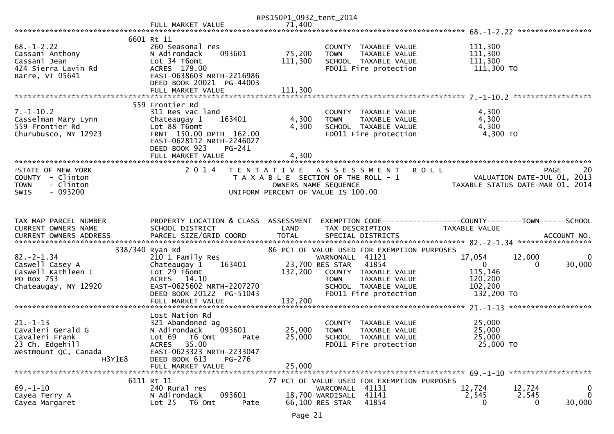| 6601 Rt 11<br>260 Seasonal res<br>111,300<br>COUNTY TAXABLE VALUE<br>75,200<br>111,300<br>N Adirondack<br>093601<br><b>TOWN</b><br>TAXABLE VALUE<br>Lot 34 T6omt<br>111,300<br>SCHOOL TAXABLE VALUE<br>111,300<br>ACRES 179.00<br>FD011 Fire protection<br>111,300 TO<br>Barre, VT 05641<br>EAST-0638603 NRTH-2216986<br>DEED BOOK 20021 PG-44003<br>111,300<br>FULL MARKET VALUE<br>559 Frontier Rd<br>311 Res vac land<br>4,300<br>COUNTY TAXABLE VALUE<br>4,300<br>4,300<br>Chateaugay 1<br>163401<br><b>TOWN</b><br>TAXABLE VALUE<br>4,300<br>4,300<br>Lot 88 T6omt<br>SCHOOL TAXABLE VALUE<br>FRNT 150.00 DPTH 162.00<br>FD011 Fire protection<br>4,300 TO<br>EAST-0628112 NRTH-2246027<br>DEED BOOK 923<br>PG-241<br>FULL MARKET VALUE<br>4,300<br>2 0 1 4<br>20<br>A S S E S S M E N T<br><b>ROLL</b><br><b>ISTATE OF NEW YORK</b><br>T E N T A T I V E<br>PAGE<br>VALUATION DATE-JUL 01, 2013<br>T A X A B L E SECTION OF THE ROLL - 1<br>- Clinton<br>OWNERS NAME SEQUENCE<br>TAXABLE STATUS DATE-MAR 01, 2014<br>$-093200$<br><b>SWIS</b><br>UNIFORM PERCENT OF VALUE IS 100.00<br>PROPERTY LOCATION & CLASS ASSESSMENT<br>EXEMPTION CODE------------------COUNTY--------TOWN------SCHOOL<br>SCHOOL DISTRICT<br>LAND<br>TAXABLE VALUE<br>TAX DESCRIPTION<br>338/340 Ryan Rd<br>86 PCT OF VALUE USED FOR EXEMPTION PURPOSES<br>$82 - 2 - 1.34$<br>17,054<br>$\mathbf{0}$<br>210 1 Family Res<br>WARNONALL 41121<br>12,000<br>41854<br>$\mathbf{0}$<br>30,000<br>Chateaugay 1<br>163401<br>23,700 RES STAR<br>$\Omega$<br>115,146<br>Lot 29 T6omt<br>132,200<br>COUNTY TAXABLE VALUE<br>PO Box 753<br>ACRES 14.10<br>TAXABLE VALUE<br>120,200<br><b>TOWN</b><br>EAST-0625602 NRTH-2207270<br>102,200<br>SCHOOL TAXABLE VALUE<br>FD011 Fire protection<br>132,200 TO<br>DEED BOOK 20122 PG-51043<br>132,200<br>FULL MARKET VALUE<br>Lost Nation Rd<br>25,000<br>321 Abandoned ag<br>COUNTY TAXABLE VALUE<br>093601<br>25,000<br>N Adirondack<br>25,000<br><b>TOWN</b><br>TAXABLE VALUE<br>25,000<br>25,000<br>Lot 69  T6 0mt<br>SCHOOL TAXABLE VALUE<br>Pate<br>25,000 TO<br>ACRES 35.00<br>FD011 Fire protection<br>23 Ch. Edgehill<br>EAST-0623323 NRTH-2233047<br>H3Y1E8<br>DEED BOOK 613<br>PG-276<br>25,000<br>FULL MARKET VALUE<br>6111 Rt 11<br>77 PCT OF VALUE USED FOR EXEMPTION PURPOSES<br>$69. - 1 - 10$<br>240 Rural res<br>WARCOMALL 41131<br>12,724<br>12,724<br>0<br>$\Omega$<br>N Adirondack<br>093601<br>18,700 WARDISALL 41141<br>2,545<br>2,545<br>Cayea Terry A<br>41854<br>30,000<br>Lot 25<br>T6 Omt<br>66,100 RES STAR<br>Cayea Margaret<br>0<br>0<br>Pate |                                                                                   |                   | RPS150P1_0932_tent_2014 |  |  |
|-------------------------------------------------------------------------------------------------------------------------------------------------------------------------------------------------------------------------------------------------------------------------------------------------------------------------------------------------------------------------------------------------------------------------------------------------------------------------------------------------------------------------------------------------------------------------------------------------------------------------------------------------------------------------------------------------------------------------------------------------------------------------------------------------------------------------------------------------------------------------------------------------------------------------------------------------------------------------------------------------------------------------------------------------------------------------------------------------------------------------------------------------------------------------------------------------------------------------------------------------------------------------------------------------------------------------------------------------------------------------------------------------------------------------------------------------------------------------------------------------------------------------------------------------------------------------------------------------------------------------------------------------------------------------------------------------------------------------------------------------------------------------------------------------------------------------------------------------------------------------------------------------------------------------------------------------------------------------------------------------------------------------------------------------------------------------------------------------------------------------------------------------------------------------------------------------------------------------------------------------------------------------------------------------------------------------------------------------------------------------------------------------------------------------------------------------------------------------------------------------------------------------------------------------------------------------------------------|-----------------------------------------------------------------------------------|-------------------|-------------------------|--|--|
|                                                                                                                                                                                                                                                                                                                                                                                                                                                                                                                                                                                                                                                                                                                                                                                                                                                                                                                                                                                                                                                                                                                                                                                                                                                                                                                                                                                                                                                                                                                                                                                                                                                                                                                                                                                                                                                                                                                                                                                                                                                                                                                                                                                                                                                                                                                                                                                                                                                                                                                                                                                           |                                                                                   | FULL MARKET VALUE | 71,400                  |  |  |
|                                                                                                                                                                                                                                                                                                                                                                                                                                                                                                                                                                                                                                                                                                                                                                                                                                                                                                                                                                                                                                                                                                                                                                                                                                                                                                                                                                                                                                                                                                                                                                                                                                                                                                                                                                                                                                                                                                                                                                                                                                                                                                                                                                                                                                                                                                                                                                                                                                                                                                                                                                                           |                                                                                   |                   |                         |  |  |
|                                                                                                                                                                                                                                                                                                                                                                                                                                                                                                                                                                                                                                                                                                                                                                                                                                                                                                                                                                                                                                                                                                                                                                                                                                                                                                                                                                                                                                                                                                                                                                                                                                                                                                                                                                                                                                                                                                                                                                                                                                                                                                                                                                                                                                                                                                                                                                                                                                                                                                                                                                                           | $68. - 1 - 2.22$<br>Cassani Anthony<br>Cassani Jean<br>424 Sierra Lavin Rd        |                   |                         |  |  |
|                                                                                                                                                                                                                                                                                                                                                                                                                                                                                                                                                                                                                                                                                                                                                                                                                                                                                                                                                                                                                                                                                                                                                                                                                                                                                                                                                                                                                                                                                                                                                                                                                                                                                                                                                                                                                                                                                                                                                                                                                                                                                                                                                                                                                                                                                                                                                                                                                                                                                                                                                                                           |                                                                                   |                   |                         |  |  |
|                                                                                                                                                                                                                                                                                                                                                                                                                                                                                                                                                                                                                                                                                                                                                                                                                                                                                                                                                                                                                                                                                                                                                                                                                                                                                                                                                                                                                                                                                                                                                                                                                                                                                                                                                                                                                                                                                                                                                                                                                                                                                                                                                                                                                                                                                                                                                                                                                                                                                                                                                                                           |                                                                                   |                   |                         |  |  |
|                                                                                                                                                                                                                                                                                                                                                                                                                                                                                                                                                                                                                                                                                                                                                                                                                                                                                                                                                                                                                                                                                                                                                                                                                                                                                                                                                                                                                                                                                                                                                                                                                                                                                                                                                                                                                                                                                                                                                                                                                                                                                                                                                                                                                                                                                                                                                                                                                                                                                                                                                                                           | $7. - 1 - 10.2$<br>Casselman Mary Lynn<br>559 Frontier Rd<br>Churubusco, NY 12923 |                   |                         |  |  |
|                                                                                                                                                                                                                                                                                                                                                                                                                                                                                                                                                                                                                                                                                                                                                                                                                                                                                                                                                                                                                                                                                                                                                                                                                                                                                                                                                                                                                                                                                                                                                                                                                                                                                                                                                                                                                                                                                                                                                                                                                                                                                                                                                                                                                                                                                                                                                                                                                                                                                                                                                                                           |                                                                                   |                   |                         |  |  |
|                                                                                                                                                                                                                                                                                                                                                                                                                                                                                                                                                                                                                                                                                                                                                                                                                                                                                                                                                                                                                                                                                                                                                                                                                                                                                                                                                                                                                                                                                                                                                                                                                                                                                                                                                                                                                                                                                                                                                                                                                                                                                                                                                                                                                                                                                                                                                                                                                                                                                                                                                                                           | COUNTY - Clinton<br><b>TOWN</b>                                                   |                   |                         |  |  |
|                                                                                                                                                                                                                                                                                                                                                                                                                                                                                                                                                                                                                                                                                                                                                                                                                                                                                                                                                                                                                                                                                                                                                                                                                                                                                                                                                                                                                                                                                                                                                                                                                                                                                                                                                                                                                                                                                                                                                                                                                                                                                                                                                                                                                                                                                                                                                                                                                                                                                                                                                                                           |                                                                                   |                   |                         |  |  |
|                                                                                                                                                                                                                                                                                                                                                                                                                                                                                                                                                                                                                                                                                                                                                                                                                                                                                                                                                                                                                                                                                                                                                                                                                                                                                                                                                                                                                                                                                                                                                                                                                                                                                                                                                                                                                                                                                                                                                                                                                                                                                                                                                                                                                                                                                                                                                                                                                                                                                                                                                                                           |                                                                                   |                   |                         |  |  |
|                                                                                                                                                                                                                                                                                                                                                                                                                                                                                                                                                                                                                                                                                                                                                                                                                                                                                                                                                                                                                                                                                                                                                                                                                                                                                                                                                                                                                                                                                                                                                                                                                                                                                                                                                                                                                                                                                                                                                                                                                                                                                                                                                                                                                                                                                                                                                                                                                                                                                                                                                                                           | TAX MAP PARCEL NUMBER<br>CURRENT OWNERS NAME                                      |                   |                         |  |  |
|                                                                                                                                                                                                                                                                                                                                                                                                                                                                                                                                                                                                                                                                                                                                                                                                                                                                                                                                                                                                                                                                                                                                                                                                                                                                                                                                                                                                                                                                                                                                                                                                                                                                                                                                                                                                                                                                                                                                                                                                                                                                                                                                                                                                                                                                                                                                                                                                                                                                                                                                                                                           |                                                                                   |                   |                         |  |  |
|                                                                                                                                                                                                                                                                                                                                                                                                                                                                                                                                                                                                                                                                                                                                                                                                                                                                                                                                                                                                                                                                                                                                                                                                                                                                                                                                                                                                                                                                                                                                                                                                                                                                                                                                                                                                                                                                                                                                                                                                                                                                                                                                                                                                                                                                                                                                                                                                                                                                                                                                                                                           |                                                                                   |                   |                         |  |  |
|                                                                                                                                                                                                                                                                                                                                                                                                                                                                                                                                                                                                                                                                                                                                                                                                                                                                                                                                                                                                                                                                                                                                                                                                                                                                                                                                                                                                                                                                                                                                                                                                                                                                                                                                                                                                                                                                                                                                                                                                                                                                                                                                                                                                                                                                                                                                                                                                                                                                                                                                                                                           | Caswell Casey A<br>Caswell Kathleen I<br>Chateaugay, NY 12920                     |                   |                         |  |  |
|                                                                                                                                                                                                                                                                                                                                                                                                                                                                                                                                                                                                                                                                                                                                                                                                                                                                                                                                                                                                                                                                                                                                                                                                                                                                                                                                                                                                                                                                                                                                                                                                                                                                                                                                                                                                                                                                                                                                                                                                                                                                                                                                                                                                                                                                                                                                                                                                                                                                                                                                                                                           |                                                                                   |                   |                         |  |  |
|                                                                                                                                                                                                                                                                                                                                                                                                                                                                                                                                                                                                                                                                                                                                                                                                                                                                                                                                                                                                                                                                                                                                                                                                                                                                                                                                                                                                                                                                                                                                                                                                                                                                                                                                                                                                                                                                                                                                                                                                                                                                                                                                                                                                                                                                                                                                                                                                                                                                                                                                                                                           |                                                                                   |                   |                         |  |  |
|                                                                                                                                                                                                                                                                                                                                                                                                                                                                                                                                                                                                                                                                                                                                                                                                                                                                                                                                                                                                                                                                                                                                                                                                                                                                                                                                                                                                                                                                                                                                                                                                                                                                                                                                                                                                                                                                                                                                                                                                                                                                                                                                                                                                                                                                                                                                                                                                                                                                                                                                                                                           | $21. - 1 - 13$<br>Cavaleri Gerald G<br>Cavaleri Frank<br>Westmount QC, Canada     |                   |                         |  |  |
|                                                                                                                                                                                                                                                                                                                                                                                                                                                                                                                                                                                                                                                                                                                                                                                                                                                                                                                                                                                                                                                                                                                                                                                                                                                                                                                                                                                                                                                                                                                                                                                                                                                                                                                                                                                                                                                                                                                                                                                                                                                                                                                                                                                                                                                                                                                                                                                                                                                                                                                                                                                           |                                                                                   |                   |                         |  |  |
|                                                                                                                                                                                                                                                                                                                                                                                                                                                                                                                                                                                                                                                                                                                                                                                                                                                                                                                                                                                                                                                                                                                                                                                                                                                                                                                                                                                                                                                                                                                                                                                                                                                                                                                                                                                                                                                                                                                                                                                                                                                                                                                                                                                                                                                                                                                                                                                                                                                                                                                                                                                           |                                                                                   |                   |                         |  |  |
|                                                                                                                                                                                                                                                                                                                                                                                                                                                                                                                                                                                                                                                                                                                                                                                                                                                                                                                                                                                                                                                                                                                                                                                                                                                                                                                                                                                                                                                                                                                                                                                                                                                                                                                                                                                                                                                                                                                                                                                                                                                                                                                                                                                                                                                                                                                                                                                                                                                                                                                                                                                           |                                                                                   |                   |                         |  |  |
|                                                                                                                                                                                                                                                                                                                                                                                                                                                                                                                                                                                                                                                                                                                                                                                                                                                                                                                                                                                                                                                                                                                                                                                                                                                                                                                                                                                                                                                                                                                                                                                                                                                                                                                                                                                                                                                                                                                                                                                                                                                                                                                                                                                                                                                                                                                                                                                                                                                                                                                                                                                           |                                                                                   |                   |                         |  |  |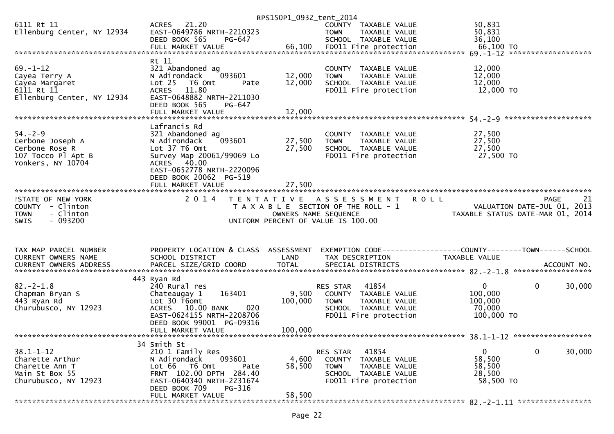|                                               |                                                       | RPS150P1_0932_tent_2014 |                                       |                                                                |
|-----------------------------------------------|-------------------------------------------------------|-------------------------|---------------------------------------|----------------------------------------------------------------|
| 6111 Rt 11                                    | ACRES 21.20                                           |                         | COUNTY TAXABLE VALUE                  | 50,831                                                         |
| Ellenburg Center, NY 12934                    | EAST-0649786 NRTH-2210323                             |                         | <b>TOWN</b><br>TAXABLE VALUE          | 50,831                                                         |
|                                               | DEED BOOK 565<br>PG-647                               |                         | SCHOOL TAXABLE VALUE                  | 36,100                                                         |
|                                               |                                                       |                         |                                       |                                                                |
|                                               |                                                       |                         |                                       |                                                                |
|                                               | Rt 11                                                 |                         |                                       |                                                                |
| $69. - 1 - 12$                                | 321 Abandoned ag                                      |                         | COUNTY TAXABLE VALUE                  | 12,000                                                         |
| Cayea Terry A                                 | 093601<br>N Adirondack                                | 12,000                  | <b>TOWN</b><br>TAXABLE VALUE          | 12,000                                                         |
| Cayea Margaret<br>6111 Rt 11                  | Lot 25 T6 Omt<br>Pate<br>11.80<br><b>ACRES</b>        | 12,000                  | SCHOOL TAXABLE VALUE                  | 12,000                                                         |
| Ellenburg Center, NY 12934                    | EAST-0648882 NRTH-2211030                             |                         | FD011 Fire protection                 | 12,000 TO                                                      |
|                                               | DEED BOOK 565<br>PG-647                               |                         |                                       |                                                                |
|                                               | FULL MARKET VALUE                                     | 12,000                  |                                       |                                                                |
|                                               |                                                       |                         |                                       |                                                                |
|                                               | Lafrancis Rd                                          |                         |                                       |                                                                |
| $54. - 2 - 9$                                 | 321 Abandoned ag                                      |                         | COUNTY TAXABLE VALUE                  | 27,500                                                         |
| Cerbone Joseph A                              | 093601<br>N Adirondack                                | 27,500                  | TAXABLE VALUE<br><b>TOWN</b>          | 27,500                                                         |
| Cerbone Rose R                                | Lot 37 T6 Omt                                         | 27,500                  | SCHOOL TAXABLE VALUE                  | 27,500                                                         |
| 107 Tocco Pl Apt B                            | Survey Map 20061/99069 Lo                             |                         | FD011 Fire protection                 | 27,500 TO                                                      |
| Yonkers, NY 10704                             | ACRES 40.00                                           |                         |                                       |                                                                |
|                                               | EAST-0652778 NRTH-2220096                             |                         |                                       |                                                                |
|                                               | DEED BOOK 20062 PG-519                                |                         |                                       |                                                                |
|                                               |                                                       |                         |                                       |                                                                |
|                                               | 2 0 1 4                                               |                         |                                       |                                                                |
| <b>ISTATE OF NEW YORK</b><br>COUNTY - Clinton |                                                       |                         | TENTATIVE ASSESSMENT                  | <b>ROLL</b><br><b>PAGE</b><br>21                               |
|                                               |                                                       |                         |                                       |                                                                |
|                                               |                                                       |                         | T A X A B L E SECTION OF THE ROLL - 1 | VALUATION DATE-JUL 01,<br>2013                                 |
| - Clinton<br><b>TOWN</b>                      |                                                       | OWNERS NAME SEQUENCE    |                                       | TAXABLE STATUS DATE-MAR 01, 2014                               |
| - 093200<br>SWIS                              |                                                       |                         | UNIFORM PERCENT OF VALUE IS 100.00    |                                                                |
|                                               |                                                       |                         |                                       |                                                                |
|                                               |                                                       |                         |                                       |                                                                |
| TAX MAP PARCEL NUMBER                         | PROPERTY LOCATION & CLASS ASSESSMENT                  |                         |                                       | EXEMPTION CODE------------------COUNTY--------TOWN------SCHOOL |
| CURRENT OWNERS NAME                           | SCHOOL DISTRICT                                       | LAND                    | TAX DESCRIPTION                       | TAXABLE VALUE                                                  |
| CURRENT OWNERS ADDRESS                        |                                                       |                         |                                       |                                                                |
|                                               |                                                       |                         |                                       |                                                                |
|                                               | 443 Ryan Rd                                           |                         |                                       |                                                                |
| $82 - 2 - 1.8$                                | 240 Rural res                                         |                         | 41854<br><b>RES STAR</b>              | $\mathbf{0}$<br>$\mathbf{0}$<br>30,000                         |
| Chapman Bryan S                               | 163401<br>Chateaugay 1                                | 9,500                   | COUNTY TAXABLE VALUE                  | 100,000                                                        |
| 443 Ryan Rd                                   | Lot 30 T6omt                                          | 100,000                 | TAXABLE VALUE<br><b>TOWN</b>          | 100,000                                                        |
| Churubusco, NY 12923                          | 020<br>10.00 BANK<br><b>ACRES</b>                     |                         | SCHOOL TAXABLE VALUE                  | 70,000                                                         |
|                                               | EAST-0624155 NRTH-2208706<br>DEED BOOK 99001 PG-09316 |                         | FD011 Fire protection                 | 100,000 TO                                                     |
|                                               | FULL MARKET VALUE                                     | 100,000                 |                                       |                                                                |
|                                               |                                                       |                         |                                       |                                                                |
|                                               | 34 Smith St                                           |                         |                                       |                                                                |
| $38.1 - 1 - 12$                               | 210 1 Family Res                                      |                         | 41854<br>RES STAR                     | 0<br>0<br>30,000                                               |
| Charette Arthur                               | N Adirondack<br>093601                                | 4,600                   | <b>COUNTY</b><br>TAXABLE VALUE        | 58,500                                                         |
| Charette Ann T                                | T6 Omt<br>Lot 66<br>Pate                              | 58,500                  | <b>TOWN</b><br>TAXABLE VALUE          | 58,500                                                         |
| Main St Box 55                                | FRNT 102.00 DPTH 284.40                               |                         | SCHOOL TAXABLE VALUE                  | 28,500                                                         |
| Churubusco, NY 12923                          | EAST-0640340 NRTH-2231674                             |                         | FD011 Fire protection                 | 58,500 TO                                                      |
|                                               | DEED BOOK 709<br>PG-316<br>FULL MARKET VALUE          | 58,500                  |                                       |                                                                |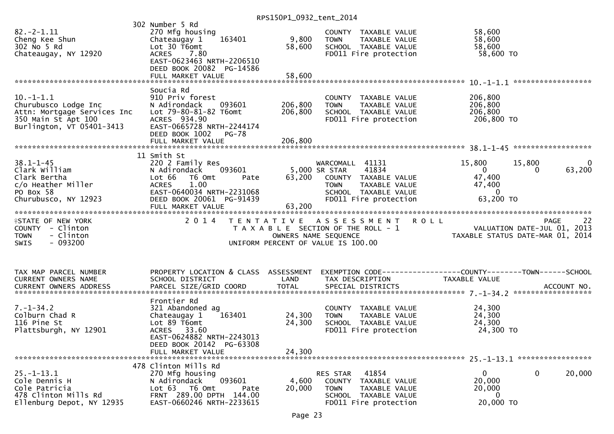| 58,600<br>302 No 5 Rd<br>Lot 30 T6omt<br>58,600<br>SCHOOL TAXABLE VALUE<br>58,600 TO<br>Chateaugay, NY 12920<br><b>ACRES</b><br>7.80<br>FD011 Fire protection<br>EAST-0623463 NRTH-2206510<br>DEED BOOK 20082 PG-14586<br>58,600<br>FULL MARKET VALUE                                                                                                                                                                                                                                                                                 |                        |
|---------------------------------------------------------------------------------------------------------------------------------------------------------------------------------------------------------------------------------------------------------------------------------------------------------------------------------------------------------------------------------------------------------------------------------------------------------------------------------------------------------------------------------------|------------------------|
| Soucia Rd                                                                                                                                                                                                                                                                                                                                                                                                                                                                                                                             |                        |
| $10. -1 - 1.1$<br>910 Priv forest<br>206,800<br>COUNTY TAXABLE VALUE<br>206,800<br>206,800<br>Churubusco Lodge Inc<br>N Adirondack<br>093601<br>TAXABLE VALUE<br><b>TOWN</b><br>206,800<br>Attn: Mortgage Services Inc<br>Lot 79-80-81-82 T6omt<br>206,800<br>SCHOOL TAXABLE VALUE<br>350 Main St Apt 100<br>ACRES 934.90<br>FD011 Fire protection<br>206,800 TO<br>Burlington, VT 05401-3413<br>EAST-0665728 NRTH-2244174<br>DEED BOOK 1002 PG-78                                                                                    |                        |
|                                                                                                                                                                                                                                                                                                                                                                                                                                                                                                                                       |                        |
| 11 Smith St                                                                                                                                                                                                                                                                                                                                                                                                                                                                                                                           |                        |
| $38.1 - 1 - 45$<br>220 2 Family Res<br>15,800<br>15,800<br>WARCOMALL 41131<br>5,000 SR STAR<br>Clark William<br>093601<br>41834<br>$\overline{0}$<br>N Adirondack<br>$\Omega$<br>63,200<br>47,400<br>Clark Bertha<br>Lot 66<br>T6 Omt<br>COUNTY TAXABLE VALUE<br>Pate<br>c/o Heather Miller<br>1.00<br>47,400<br><b>ACRES</b><br><b>TOWN</b><br>TAXABLE VALUE<br>EAST-0640034 NRTH-2231068<br>PO Box 58<br>$\Omega$<br>SCHOOL TAXABLE VALUE<br>63,200 TO<br>Churubusco, NY 12923<br>DEED BOOK 20061 PG-91439<br>FD011 Fire protection | $\mathbf{0}$<br>63,200 |
| 63,200<br>FULL MARKET VALUE                                                                                                                                                                                                                                                                                                                                                                                                                                                                                                           |                        |
| 2 0 1 4<br>TENTATIVE ASSESSMENT ROLL<br><b>ISTATE OF NEW YORK</b><br>PAGE<br>VALUATION DATE-JUL 01, 2013<br>TAXABLE STATUS DATE-MAR 01, 2014<br>COUNTY - Clinton<br>T A X A B L E SECTION OF THE ROLL - 1<br>- Clinton<br>OWNERS NAME SEQUENCE<br><b>TOWN</b><br>$-093200$<br><b>SWIS</b><br>UNIFORM PERCENT OF VALUE IS 100.00                                                                                                                                                                                                       | 22                     |
| PROPERTY LOCATION & CLASS ASSESSMENT<br>EXEMPTION CODE-----------------COUNTY--------TOWN------SCHOOL<br>TAX MAP PARCEL NUMBER<br>CURRENT OWNERS NAME<br>SCHOOL DISTRICT<br>LAND<br>TAX DESCRIPTION<br>TAXABLE VALUE<br><b>TOTAL</b><br>PARCEL SIZE/GRID COORD<br>SPECIAL DISTRICTS<br><b>CURRENT OWNERS ADDRESS</b>                                                                                                                                                                                                                  | ACCOUNT NO.            |
| Frontier Rd<br>$7. - 1 - 34.2$<br>321 Abandoned ag<br>24,300<br>COUNTY TAXABLE VALUE<br>24,300<br>Colburn Chad R<br>163401<br>24,300<br>Chateaugay 1<br>TAXABLE VALUE<br><b>TOWN</b><br>116 Pine St<br>Lot 89 T6omt<br>24,300<br>24,300<br>SCHOOL TAXABLE VALUE<br>Plattsburgh, NY 12901<br>24,300 TO<br>ACRES 33.60<br>FD011 Fire protection<br>EAST-0624882 NRTH-2243013<br>DEED BOOK 20142 PG-63308<br>24,300<br>FULL MARKET VALUE                                                                                                 |                        |
| 478 Clinton Mills Rd                                                                                                                                                                                                                                                                                                                                                                                                                                                                                                                  |                        |
| 0<br>$25. - 1 - 13.1$<br>RES STAR<br>41854<br>0<br>270 Mfg housing<br>093601<br>Cole Dennis H<br>N Adirondack<br>4,600<br>20,000<br>COUNTY TAXABLE VALUE<br>Cole Patricia<br>Lot 63 T6 Omt<br>20,000<br><b>TOWN</b><br>TAXABLE VALUE<br>20,000<br>Pate                                                                                                                                                                                                                                                                                | 20,000                 |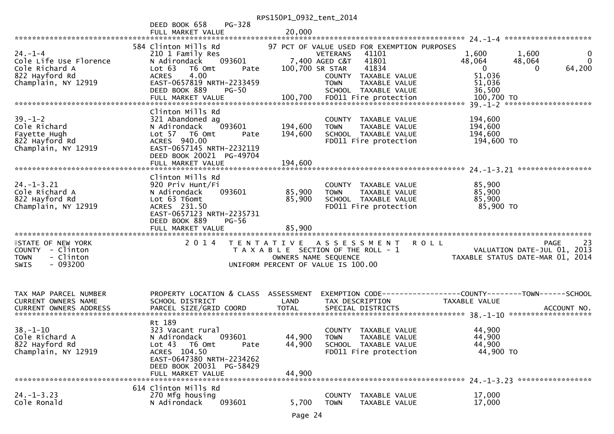|                                              |                                                       | RPS150P1_0932_tent_2014 |                                                      |                                                                    |
|----------------------------------------------|-------------------------------------------------------|-------------------------|------------------------------------------------------|--------------------------------------------------------------------|
|                                              | PG-328<br>DEED BOOK 658                               |                         |                                                      |                                                                    |
|                                              | FULL MARKET VALUE                                     | 20,000                  |                                                      |                                                                    |
|                                              | 584 Clinton Mills Rd                                  |                         | 97 PCT OF VALUE USED FOR EXEMPTION PURPOSES          |                                                                    |
| $24. - 1 - 4$                                | 210 1 Family Res                                      |                         | <b>VETERANS</b><br>41101                             | 1,600<br>$\mathbf 0$<br>1,600                                      |
| Cole Life Use Florence                       | 093601<br>N Adirondack                                |                         | 7,400 AGED C&T<br>41801                              | $\Omega$<br>48,064<br>48,064                                       |
| Cole Richard A                               | T6 Omt<br>Lot $63$<br>Pate                            | 100,700 SR STAR         | 41834                                                | 64,200<br>$\Omega$<br>0                                            |
| 822 Hayford Rd                               | 4.00<br><b>ACRES</b>                                  |                         | COUNTY TAXABLE VALUE                                 | 51,036                                                             |
| Champlain, NY 12919                          | EAST-0657819 NRTH-2233459<br>DEED BOOK 889<br>$PG-50$ |                         | TAXABLE VALUE<br><b>TOWN</b><br>SCHOOL TAXABLE VALUE | 51,036<br>36,500                                                   |
|                                              |                                                       |                         |                                                      |                                                                    |
|                                              |                                                       |                         |                                                      |                                                                    |
|                                              | Clinton Mills Rd                                      |                         |                                                      |                                                                    |
| $39. - 1 - 2$                                | 321 Abandoned ag                                      |                         | COUNTY TAXABLE VALUE                                 | 194,600                                                            |
| Cole Richard<br>Fayette Hugh                 | 093601<br>N Adirondack<br>Lot 57  T6 Omt<br>Pate      | 194,600<br>194,600      | <b>TOWN</b><br>TAXABLE VALUE<br>SCHOOL TAXABLE VALUE | 194,600<br>194,600                                                 |
| 822 Hayford Rd                               | ACRES 940.00                                          |                         | FD011 Fire protection                                | 194,600 TO                                                         |
| Champlain, NY 12919                          | EAST-0657145 NRTH-2232119                             |                         |                                                      |                                                                    |
|                                              | DEED BOOK 20021 PG-49704                              |                         |                                                      |                                                                    |
|                                              | FULL MARKET VALUE                                     | 194,600                 |                                                      |                                                                    |
|                                              | Clinton Mills Rd                                      |                         |                                                      |                                                                    |
| $24. - 1 - 3.21$                             | 920 Priv Hunt/Fi                                      |                         | COUNTY TAXABLE VALUE                                 | 85,900                                                             |
| Cole Richard A                               | 093601<br>N Adirondack                                | 85,900                  | TAXABLE VALUE<br><b>TOWN</b>                         | 85,900                                                             |
| 822 Hayford Rd                               | Lot 63 T6omt                                          | 85,900                  | SCHOOL TAXABLE VALUE                                 | 85,900                                                             |
| Champlain, NY 12919                          | ACRES 231.50<br>EAST-0657123 NRTH-2235731             |                         | FD011 Fire protection                                | 85,900 TO                                                          |
|                                              | DEED BOOK 889<br>$PG-56$                              |                         |                                                      |                                                                    |
|                                              | FULL MARKET VALUE                                     | 85,900                  |                                                      |                                                                    |
|                                              |                                                       |                         |                                                      |                                                                    |
| <b>ISTATE OF NEW YORK</b>                    | 2 0 1 4                                               | T E N T A T I V E       | A S S E S S M E N T                                  | 23<br><b>ROLL</b><br><b>PAGE</b>                                   |
| COUNTY - Clinton<br>- Clinton<br><b>TOWN</b> |                                                       | OWNERS NAME SEQUENCE    | T A X A B L E SECTION OF THE ROLL - 1                | 2013<br>VALUATION DATE-JUL 01,<br>TAXABLE STATUS DATE-MAR 01, 2014 |
| $-093200$<br>SWIS                            |                                                       |                         | UNIFORM PERCENT OF VALUE IS 100.00                   |                                                                    |
|                                              |                                                       |                         |                                                      |                                                                    |
|                                              |                                                       |                         |                                                      |                                                                    |
|                                              |                                                       |                         |                                                      |                                                                    |
|                                              |                                                       |                         |                                                      |                                                                    |
| TAX MAP PARCEL NUMBER                        | PROPERTY LOCATION & CLASS ASSESSMENT                  |                         |                                                      | EXEMPTION CODE-----------------COUNTY-------TOWN------SCHOOL       |
| <b>CURRENT OWNERS NAME</b>                   | SCHOOL DISTRICT                                       | LAND                    | TAX DESCRIPTION                                      | TAXABLE VALUE                                                      |
|                                              |                                                       |                         |                                                      |                                                                    |
|                                              | Rt 189                                                |                         |                                                      |                                                                    |
| $38 - 1 - 10$                                | 323 Vacant rural                                      |                         | COUNTY TAXABLE VALUE                                 | 44,900                                                             |
| Cole Richard A                               | 093601<br>N Adirondack                                | 44,900                  | <b>TOWN</b><br>TAXABLE VALUE                         | 44,900                                                             |
| 822 Hayford Rd                               | Lot 43<br>T6 Omt<br>Pate<br>ACRES 104.50              | 44,900                  | SCHOOL TAXABLE VALUE                                 | 44,900                                                             |
| Champlain, NY 12919                          | EAST-0647380 NRTH-2234262                             |                         | FD011 Fire protection                                | 44,900 TO                                                          |
|                                              | DEED BOOK 20031 PG-58429                              |                         |                                                      |                                                                    |
|                                              | FULL MARKET VALUE                                     | 44,900                  |                                                      |                                                                    |
|                                              | 614 Clinton Mills Rd                                  |                         |                                                      |                                                                    |
| $24. - 1 - 3.23$<br>Cole Ronald              | 270 Mfg housing<br>N Adirondack<br>093601             | 5,700                   | COUNTY<br>TAXABLE VALUE<br>TAXABLE VALUE             | 17,000<br>17,000                                                   |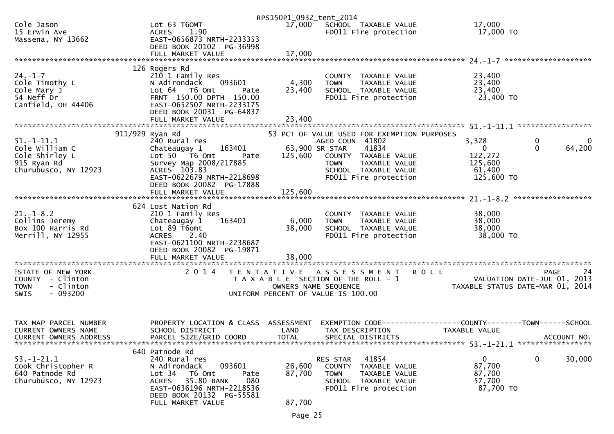|                               |                                      | RPS150P1_0932_tent_2014 |                                             |                                                                |
|-------------------------------|--------------------------------------|-------------------------|---------------------------------------------|----------------------------------------------------------------|
| Cole Jason                    | Lot 63 T60MT                         |                         | 17,000 SCHOOL TAXABLE VALUE                 | 17,000                                                         |
| 15 Erwin Ave                  | <b>ACRES</b><br>1.90                 |                         | FD011 Fire protection                       | 17,000 TO                                                      |
| Massena, NY 13662             | EAST-0656873 NRTH-2233353            |                         |                                             |                                                                |
|                               | DEED BOOK 20102 PG-36998             |                         |                                             |                                                                |
|                               | FULL MARKET VALUE                    | 17,000                  |                                             |                                                                |
|                               |                                      |                         |                                             |                                                                |
|                               | 126 Rogers Rd                        |                         |                                             |                                                                |
| $24. - 1 - 7$                 | 210 1 Family Res                     |                         | COUNTY TAXABLE VALUE                        | 23,400                                                         |
| Cole Timothy L                | 093601<br>N Adirondack               | 4,300                   | <b>TOWN</b><br>TAXABLE VALUE                | 23,400                                                         |
| Cole Mary J                   | Lot 64 76 0mt<br>Pate                | 23,400                  | SCHOOL TAXABLE VALUE                        | 23,400                                                         |
| 54 Neff Dr                    | FRNT 150.00 DPTH 150.00              |                         | FD011 Fire protection                       | 23,400 TO                                                      |
| Canfield, OH 44406            | EAST-0652507 NRTH-2233175            |                         |                                             |                                                                |
|                               | DEED BOOK 20031 PG-64837             |                         |                                             |                                                                |
|                               |                                      |                         |                                             |                                                                |
|                               |                                      |                         |                                             |                                                                |
|                               | 911/929 Ryan Rd                      |                         | 53 PCT OF VALUE USED FOR EXEMPTION PURPOSES |                                                                |
| $51. - 1 - 11.1$              | 240 Rural res                        |                         | AGED COUN 41802                             | $\mathbf 0$<br>3,328<br>$\overline{0}$                         |
| Cole William C                | Chateaugay 1<br>163401               |                         | 63,900 SR STAR<br>41834                     | 64,200<br>$\Omega$<br>$\mathbf{0}$                             |
| Cole Shirley L                | Lot 50  T6 0mt<br>Pate               | 125,600                 | COUNTY TAXABLE VALUE                        | 122,272                                                        |
| 915 Ryan Rd                   | Survey Map 2008/217885               |                         | <b>TOWN</b><br>TAXABLE VALUE                | 125,600                                                        |
| Churubusco, NY 12923          | ACRES 103.83                         |                         | SCHOOL TAXABLE VALUE                        | 61,400                                                         |
|                               | EAST-0622679 NRTH-2218698            |                         | FD011 Fire protection                       | 125,600 TO                                                     |
|                               | DEED BOOK 20082 PG-17888             |                         |                                             |                                                                |
|                               | FULL MARKET VALUE                    | 125,600                 |                                             |                                                                |
|                               |                                      |                         |                                             |                                                                |
|                               | 624 Lost Nation Rd                   |                         |                                             |                                                                |
| $21. - 1 - 8.2$               | 210 1 Family Res                     |                         | COUNTY TAXABLE VALUE                        | 38,000                                                         |
| Collins Jeremy                | 163401<br>Chateaugay 1               | 6,000                   | <b>TOWN</b><br>TAXABLE VALUE                | 38,000                                                         |
| Box 100 Harris Rd             | Lot 89 T6omt                         | 38,000                  | SCHOOL TAXABLE VALUE                        | 38,000                                                         |
| Merrill, NY 12955             | ACRES 2.40                           |                         |                                             | 38,000 TO                                                      |
|                               | EAST-0621100 NRTH-2238687            |                         | FD011 Fire protection                       |                                                                |
|                               |                                      |                         |                                             |                                                                |
|                               | DEED BOOK 20082 PG-19871             |                         |                                             |                                                                |
|                               | FULL MARKET VALUE                    | 38,000                  |                                             |                                                                |
|                               |                                      |                         |                                             |                                                                |
| <b>ISTATE OF NEW YORK</b>     | 2 0 1 4                              |                         | TENTATIVE ASSESSMENT                        | 24<br><b>ROLL</b><br>PAGE                                      |
| COUNTY - Clinton              |                                      |                         | T A X A B L E SECTION OF THE ROLL - 1       | VALUATION DATE-JUL 01, 2013                                    |
| - Clinton<br><b>TOWN</b>      |                                      |                         | OWNERS NAME SEQUENCE                        | TAXABLE STATUS DATE-MAR 01, 2014                               |
| $-093200$<br>SWIS             |                                      |                         | UNIFORM PERCENT OF VALUE IS 100.00          |                                                                |
|                               |                                      |                         |                                             |                                                                |
|                               |                                      |                         |                                             |                                                                |
|                               |                                      |                         |                                             |                                                                |
| TAX MAP PARCEL NUMBER         | PROPERTY LOCATION & CLASS ASSESSMENT |                         |                                             | EXEMPTION CODE------------------COUNTY--------TOWN------SCHOOL |
| CURRENT OWNERS NAME           | SCHOOL DISTRICT                      | LAND                    | TAX DESCRIPTION                             | TAXABLE VALUE                                                  |
| <b>CURRENT OWNERS ADDRESS</b> | PARCEL SIZE/GRID COORD               | <b>TOTAL</b>            | SPECIAL DISTRICTS                           | ACCOUNT NO.                                                    |
|                               |                                      |                         |                                             |                                                                |
|                               | 640 Patnode Rd                       |                         |                                             |                                                                |
| $53. - 1 - 21.1$              | 240 Rural res                        |                         | 41854<br>RES STAR                           | $\mathbf 0$<br>$\mathbf 0$<br>30,000                           |
| Cook Christopher R            | 093601<br>N Adirondack               | 26,600                  | COUNTY TAXABLE VALUE                        | 87,700                                                         |
| 640 Patnode Rd                | Lot <sub>34</sub><br>T6 Omt<br>Pate  | 87,700                  | <b>TOWN</b><br>TAXABLE VALUE                | 87,700                                                         |
| Churubusco, NY 12923          | 35.80 BANK<br>080<br>ACRES           |                         | SCHOOL TAXABLE VALUE                        | 57,700                                                         |
|                               | EAST-0636196 NRTH-2218536            |                         | FD011 Fire protection                       | 87,700 TO                                                      |
|                               | DEED BOOK 20132 PG-55581             |                         |                                             |                                                                |
|                               | FULL MARKET VALUE                    | 87,700                  |                                             |                                                                |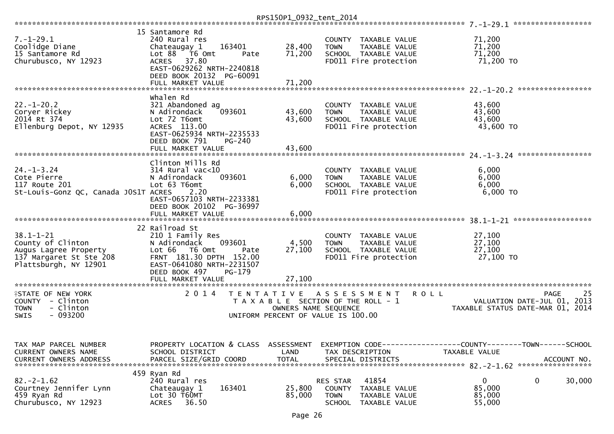|                                                                                                                             |                                                                                                                                                                                               | RPS150P1_0932_tent_2014    |                                                                                                                       |                                                                                                                                  |
|-----------------------------------------------------------------------------------------------------------------------------|-----------------------------------------------------------------------------------------------------------------------------------------------------------------------------------------------|----------------------------|-----------------------------------------------------------------------------------------------------------------------|----------------------------------------------------------------------------------------------------------------------------------|
| $7. - 1 - 29.1$<br>Coolidge Diane<br>15 Santamore Rd<br>Churubusco, NY 12923                                                | 15 Santamore Rd<br>240 Rural res<br>163401<br>Chateaugay 1<br>Lot 88<br>T6 Omt<br>Pate<br>37.80<br><b>ACRES</b><br>EAST-0629262 NRTH-2240818<br>DEED BOOK 20132 PG-60091<br>FULL MARKET VALUE | 28,400<br>71,200<br>71,200 | COUNTY TAXABLE VALUE<br><b>TOWN</b><br>TAXABLE VALUE<br>SCHOOL TAXABLE VALUE<br>FD011 Fire protection                 | 71,200<br>71,200<br>71,200<br>71,200 TO                                                                                          |
|                                                                                                                             |                                                                                                                                                                                               |                            |                                                                                                                       |                                                                                                                                  |
| $22. - 1 - 20.2$<br>Coryer Rickey<br>2014 Rt 374<br>Ellenburg Depot, NY 12935                                               | Whalen Rd<br>321 Abandoned ag<br>093601<br>N Adirondack<br>Lot 72 T6omt<br>ACRES 113.00<br>EAST-0625934 NRTH-2235533<br>DEED BOOK 791<br>PG-240                                               | 43,600<br>43,600           | COUNTY TAXABLE VALUE<br><b>TOWN</b><br>TAXABLE VALUE<br>SCHOOL TAXABLE VALUE<br>FD011 Fire protection                 | 43,600<br>43,600<br>43,600<br>43,600 TO                                                                                          |
|                                                                                                                             | FULL MARKET VALUE                                                                                                                                                                             | 43,600                     |                                                                                                                       |                                                                                                                                  |
| $24. - 1 - 3.24$<br>Cote Pierre<br>117 Route 201<br>St-Louis-Gonz QC, Canada JOS1T ACRES                                    | Clinton Mills Rd<br>$314$ Rural vac<10<br>N Adirondack<br>093601<br>Lot 63 T6omt<br>2.20<br>EAST-0657103 NRTH-2233381<br>DEED BOOK 20102 PG-36997                                             | 6,000<br>6,000             | COUNTY TAXABLE VALUE<br>TAXABLE VALUE<br><b>TOWN</b><br>SCHOOL TAXABLE VALUE<br>FD011 Fire protection                 | 6,000<br>6,000<br>6,000<br>$6,000$ TO                                                                                            |
|                                                                                                                             | FULL MARKET VALUE                                                                                                                                                                             | 6,000                      |                                                                                                                       |                                                                                                                                  |
| $38.1 - 1 - 21$<br>County of Clinton<br>Augus Lagree Property<br>137 Margaret St Ste 208<br>Plattsburgh, NY 12901           | 22 Railroad St<br>210 1 Family Res<br>093601<br>N Adirondack<br>Lot 66<br>T6 Omt<br>Pate<br>FRNT 181.30 DPTH 152.00<br>EAST-0641080 NRTH-2231507                                              | 4,500<br>27,100            | COUNTY TAXABLE VALUE<br><b>TOWN</b><br>TAXABLE VALUE<br>SCHOOL TAXABLE VALUE<br>FD011 Fire protection                 | 27,100<br>27,100<br>27,100<br>27,100 TO                                                                                          |
|                                                                                                                             | DEED BOOK 497<br>$PG-179$<br>FULL MARKET VALUE                                                                                                                                                | 27,100                     |                                                                                                                       |                                                                                                                                  |
| **********************<br><b>ISTATE OF NEW YORK</b><br>COUNTY<br>- Clinton<br>- Clinton<br><b>TOWN</b><br>$-093200$<br>SWIS | ******************<br>2 0 1 4<br>T E N T A T I V E                                                                                                                                            | OWNERS NAME SEQUENCE       | <b>ROLL</b><br>A S S E S S M E N T<br>T A X A B L E SECTION OF THE ROLL - 1<br>UNIFORM PERCENT OF VALUE IS 100.00     | 25<br><b>PAGE</b><br>VALUATION DATE-JUL 01, 2013<br>TAXABLE STATUS DATE-MAR 01, 2014                                             |
| TAX MAP PARCEL NUMBER<br>CURRENT OWNERS NAME<br><b>CURRENT OWNERS ADDRESS</b>                                               | SCHOOL DISTRICT<br>PARCEL SIZE/GRID COORD                                                                                                                                                     | LAND<br><b>TOTAL</b>       | TAX DESCRIPTION<br>SPECIAL DISTRICTS                                                                                  | PROPERTY LOCATION & CLASS ASSESSMENT EXEMPTION CODE----------------COUNTY-------TOWN------SCHOOL<br>TAXABLE VALUE<br>ACCOUNT NO. |
| $82. -2 - 1.62$<br>Courtney Jennifer Lynn<br>459 Ryan Rd<br>Churubusco, NY 12923                                            | 459 Ryan Rd<br>240 Rural res<br>163401<br>Chateaugay 1<br>Lot 30 T60MT<br><b>ACRES</b><br>36.50                                                                                               | 25,800<br>85,000           | RES STAR<br>41854<br>TAXABLE VALUE<br><b>COUNTY</b><br><b>TOWN</b><br>TAXABLE VALUE<br>TAXABLE VALUE<br><b>SCHOOL</b> | $\mathbf 0$<br>$\mathbf{0}$<br>30,000<br>85,000<br>85,000<br>55,000                                                              |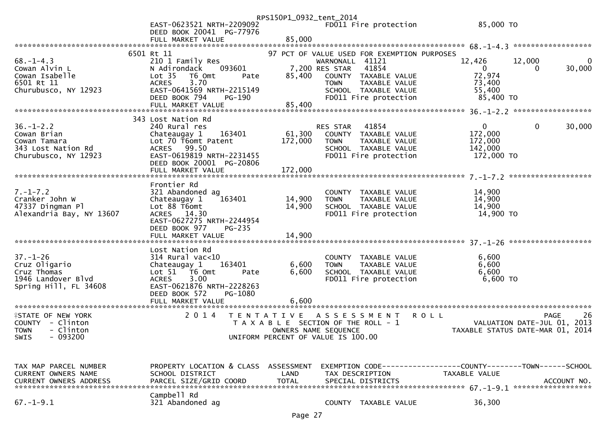|                               |                                                       | RPS150P1_0932_tent_2014 |                                             |                                                                 |             |
|-------------------------------|-------------------------------------------------------|-------------------------|---------------------------------------------|-----------------------------------------------------------------|-------------|
|                               | EAST-0623521 NRTH-2209092<br>DEED BOOK 20041 PG-77976 |                         | FD011 Fire protection                       | 85,000 TO                                                       |             |
|                               | FULL MARKET VALUE                                     | 85,000                  |                                             |                                                                 |             |
|                               | 6501 Rt 11                                            |                         | 97 PCT OF VALUE USED FOR EXEMPTION PURPOSES |                                                                 |             |
| $68. - 1 - 4.3$               | 210 1 Family Res                                      |                         | WARNONALL 41121                             | 12,000<br>12,426                                                |             |
| Cowan Alvin L                 | N Adirondack<br>093601                                |                         | 41854<br>7,200 RES STAR                     | $\overline{0}$<br>$\mathbf{0}$                                  | 30,000      |
| Cowan Isabelle                | Lot <sub>35</sub><br>T6 Omt<br>Pate                   | 85,400                  | COUNTY TAXABLE VALUE                        | 72,974                                                          |             |
| 6501 Rt 11                    | 3.70<br><b>ACRES</b>                                  |                         | TAXABLE VALUE<br><b>TOWN</b>                | 73,400                                                          |             |
| Churubusco, NY 12923          | EAST-0641569 NRTH-2215149                             |                         | SCHOOL TAXABLE VALUE                        | 55,400                                                          |             |
|                               | DEED BOOK 794<br><b>PG-190</b>                        | 85,400                  | FD011 Fire protection                       | 85,400 TO                                                       |             |
|                               | FULL MARKET VALUE                                     |                         |                                             |                                                                 |             |
|                               | 343 Lost Nation Rd                                    |                         |                                             |                                                                 |             |
| $36. - 1 - 2.2$               | 240 Rural res                                         |                         | 41854<br>RES STAR                           | $\mathbf{0}$<br>$\mathbf{0}$                                    | 30,000      |
| Cowan Brian                   | Chateaugay 1<br>163401                                | 61,300                  | COUNTY TAXABLE VALUE                        | 172,000                                                         |             |
| Cowan Tamara                  | Lot 70 T6omt Patent                                   | 172,000                 | TAXABLE VALUE<br><b>TOWN</b>                | 172,000                                                         |             |
| 343 Lost Nation Rd            | ACRES 99.50                                           |                         | SCHOOL TAXABLE VALUE                        | 142,000                                                         |             |
| Churubusco, NY 12923          | EAST-0619819 NRTH-2231455                             |                         | FD011 Fire protection                       | 172,000 TO                                                      |             |
|                               | DEED BOOK 20001 PG-20806                              |                         |                                             |                                                                 |             |
|                               | FULL MARKET VALUE                                     | 172,000                 |                                             |                                                                 |             |
|                               | Frontier Rd                                           |                         |                                             |                                                                 |             |
| $7. - 1 - 7.2$                | 321 Abandoned ag                                      |                         | COUNTY TAXABLE VALUE                        | 14,900                                                          |             |
| Cranker John W                | 163401<br>Chateaugay 1                                | 14,900                  | TAXABLE VALUE<br><b>TOWN</b>                | 14,900                                                          |             |
| 47337 Dingman Pl              | Lot 88 T6omt                                          | 14,900                  | SCHOOL TAXABLE VALUE                        | 14,900                                                          |             |
| Alexandria Bay, NY 13607      | ACRES 14.30                                           |                         | FD011 Fire protection                       | 14,900 TO                                                       |             |
|                               | EAST-0627275 NRTH-2244954                             |                         |                                             |                                                                 |             |
|                               | DEED BOOK 977<br>PG-235                               |                         |                                             |                                                                 |             |
|                               |                                                       |                         |                                             |                                                                 |             |
|                               | Lost Nation Rd                                        |                         |                                             |                                                                 |             |
| $37. - 1 - 26$                | $314$ Rural vac<10                                    |                         | COUNTY TAXABLE VALUE                        | 6,600                                                           |             |
| Cruz Oligario                 | 163401<br>Chateaugay 1                                | 6,600                   | <b>TOWN</b><br>TAXABLE VALUE                | 6,600                                                           |             |
| Cruz Thomas                   | Lot 51 76 0mt<br>Pate                                 | 6,600                   | SCHOOL TAXABLE VALUE                        | 6,600                                                           |             |
| 1946 Landover Blvd            | <b>ACRES</b><br>3.00                                  |                         | FD011 Fire protection                       | 6,600 TO                                                        |             |
| Spring Hill, FL 34608         | EAST-0621876 NRTH-2228263                             |                         |                                             |                                                                 |             |
|                               | PG-1080<br>DEED BOOK 572                              | 6.600                   |                                             |                                                                 |             |
|                               | FULL MARKET VALUE                                     |                         |                                             |                                                                 |             |
| <b>ASTATE OF NEW YORK</b>     | 2 0 1 4                                               | T E N T A T I V E       | A S S E S S M E N T                         | <b>ROLL</b>                                                     | PAGE<br>26  |
| COUNTY - Clinton              |                                                       |                         | T A X A B L E SECTION OF THE ROLL - 1       | VALUATION DATE-JUL 01, 2013                                     |             |
| - Clinton<br><b>TOWN</b>      |                                                       |                         | OWNERS NAME SEQUENCE                        | VALUATION DATE SUL 17. 2014<br>TAXABLE STATUS DATE-MAR 01, 2014 |             |
| SWIS - 093200                 |                                                       |                         | UNIFORM PERCENT OF VALUE IS 100.00          |                                                                 |             |
|                               |                                                       |                         |                                             |                                                                 |             |
|                               |                                                       |                         |                                             |                                                                 |             |
| TAX MAP PARCEL NUMBER         | PROPERTY LOCATION & CLASS ASSESSMENT                  |                         |                                             | EXEMPTION CODE-----------------COUNTY-------TOWN------SCHOOL    |             |
| <b>CURRENT OWNERS NAME</b>    | SCHOOL DISTRICT                                       | LAND                    | TAX DESCRIPTION                             | TAXABLE VALUE                                                   |             |
| <b>CURRENT OWNERS ADDRESS</b> | PARCEL SIZE/GRID COORD                                | <b>TOTAL</b>            | SPECIAL DISTRICTS                           |                                                                 | ACCOUNT NO. |
|                               |                                                       |                         |                                             |                                                                 |             |
|                               | Campbell Rd                                           |                         |                                             |                                                                 |             |
| $67. - 1 - 9.1$               | 321 Abandoned ag                                      |                         | COUNTY TAXABLE VALUE                        | 36,300                                                          |             |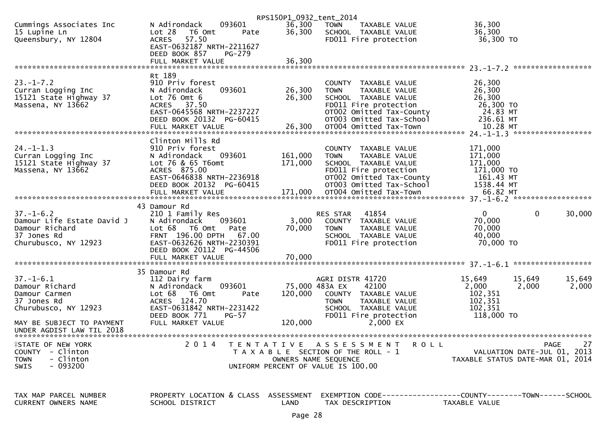|                            |                                               | RPS150P1_0932_tent_2014 |                                                             |                                                              |
|----------------------------|-----------------------------------------------|-------------------------|-------------------------------------------------------------|--------------------------------------------------------------|
| Cummings Associates Inc    | 093601<br>N Adirondack                        | 36,300                  | <b>TOWN</b><br>TAXABLE VALUE                                | 36,300                                                       |
| 15 Lupine Ln               | Lot 28<br>T6 Omt<br>Pate                      | 36,300                  | SCHOOL TAXABLE VALUE                                        | 36,300                                                       |
| Queensbury, NY 12804       | 57.50<br><b>ACRES</b>                         |                         | FD011 Fire protection                                       | 36,300 TO                                                    |
|                            | EAST-0632187 NRTH-2211627                     |                         |                                                             |                                                              |
|                            | DEED BOOK 857<br><b>PG-279</b>                |                         |                                                             |                                                              |
|                            | FULL MARKET VALUE                             | 36,300                  |                                                             |                                                              |
|                            |                                               |                         |                                                             |                                                              |
| $23. - 1 - 7.2$            | Rt 189                                        |                         |                                                             |                                                              |
| Curran Logging Inc         | 910 Priv forest<br>093601<br>N Adirondack     | 26,300                  | COUNTY TAXABLE VALUE<br><b>TOWN</b><br><b>TAXABLE VALUE</b> | 26,300<br>26,300                                             |
| 15121 State Highway 37     | Lot $76$ Omt $6$                              | 26,300                  | SCHOOL TAXABLE VALUE                                        | 26,300                                                       |
| Massena, NY 13662          | ACRES 37.50                                   |                         | FD011 Fire protection                                       | 26,300 TO                                                    |
|                            | EAST-0645568 NRTH-2237227                     |                         | OT002 Omitted Tax-County                                    | 24.83 MT                                                     |
|                            | DEED BOOK 20132 PG-60415                      |                         | OT003 Omitted Tax-School                                    | 236.61 MT                                                    |
|                            | FULL MARKET VALUE                             | 26,300                  | OT004 Omitted Tax-Town                                      | 10.28 MT                                                     |
|                            |                                               |                         |                                                             |                                                              |
|                            | Clinton Mills Rd                              |                         |                                                             |                                                              |
| $24. - 1 - 1.3$            | 910 Priv forest                               |                         | COUNTY TAXABLE VALUE                                        | 171,000                                                      |
| Curran Logging Inc         | 093601<br>N Adirondack                        | 161,000                 | <b>TOWN</b><br>TAXABLE VALUE                                | 171,000                                                      |
| 15121 State Highway 37     | Lot 76 & 65 T6omt                             | 171,000                 | SCHOOL TAXABLE VALUE                                        | 171,000                                                      |
| Massena, NY 13662          | ACRES 875.00                                  |                         | FD011 Fire protection                                       | 171,000 TO                                                   |
|                            | EAST-0646838 NRTH-2236918                     |                         | OT002 Omitted Tax-County                                    | 161.43 MT                                                    |
|                            | DEED BOOK 20132 PG-60415                      |                         | OT003 Omitted Tax-School                                    | 1538.44 MT                                                   |
|                            |                                               |                         |                                                             |                                                              |
|                            | 43 Damour Rd                                  |                         |                                                             |                                                              |
| $37. - 1 - 6.2$            | 210 1 Family Res                              |                         | RES STAR<br>41854                                           | $\mathbf{0}$<br>0<br>30,000                                  |
| Damour Life Estate David J | 093601<br>N Adirondack                        | 3,000                   | COUNTY TAXABLE VALUE                                        | 70,000                                                       |
| Damour Richard             | Lot 68 T6 Omt<br>Pate                         | 70,000                  | <b>TOWN</b><br>TAXABLE VALUE                                | 70,000                                                       |
| 37 Jones Rd                | FRNT 196.00 DPTH<br>67.00                     |                         | SCHOOL TAXABLE VALUE                                        | 40,000                                                       |
| Churubusco, NY 12923       | EAST-0632626 NRTH-2230391                     |                         | FD011 Fire protection                                       | 70,000 TO                                                    |
|                            | DEED BOOK 20112 PG-44506                      |                         |                                                             |                                                              |
|                            | FULL MARKET VALUE                             | 70,000                  |                                                             |                                                              |
|                            |                                               |                         |                                                             |                                                              |
|                            | 35 Damour Rd                                  |                         |                                                             |                                                              |
| $37. - 1 - 6.1$            | 112 Dairy farm                                |                         | AGRI DISTR 41720                                            | 15,649<br>15,649<br>15,649                                   |
| Damour Richard             | 093601<br>N Adirondack                        |                         | 75,000 483A EX<br>42100                                     | 2,000<br>2,000<br>2,000                                      |
| Damour Carmen              | Lot 68<br>T6 Omt<br>Pate                      | 120,000                 | COUNTY TAXABLE VALUE                                        | 102,351                                                      |
| 37 Jones Rd                | ACRES 124.70                                  |                         | <b>TOWN</b><br>TAXABLE VALUE                                | 102,351                                                      |
| Churubusco, NY 12923       | EAST-0631842 NRTH-2231422                     |                         | SCHOOL TAXABLE VALUE                                        | 102,351                                                      |
| MAY BE SUBJECT TO PAYMENT  | DEED BOOK 771<br>$PG-57$<br>FULL MARKET VALUE | 120,000                 | FD011 Fire protection<br>$2,000$ EX                         | 118,000 TO                                                   |
| UNDER AGDIST LAW TIL 2018  |                                               |                         |                                                             |                                                              |
|                            |                                               |                         |                                                             |                                                              |
| <b>ISTATE OF NEW YORK</b>  | 2014                                          |                         | TENTATIVE ASSESSMENT<br>R O L L                             | 27<br>PAGE                                                   |
| <b>COUNTY</b><br>- Clinton |                                               |                         | T A X A B L E SECTION OF THE ROLL - 1                       | VALUATION DATE-JUL 01, 2013                                  |
| <b>TOWN</b><br>- Clinton   |                                               |                         | OWNERS NAME SEQUENCE                                        | TAXABLE STATUS DATE-MAR 01, 2014                             |
| $-093200$<br><b>SWIS</b>   |                                               |                         | UNIFORM PERCENT OF VALUE IS 100.00                          |                                                              |
|                            |                                               |                         |                                                             |                                                              |
|                            |                                               |                         |                                                             |                                                              |
| TAX MAP PARCEL NUMBER      | PROPERTY LOCATION & CLASS ASSESSMENT          |                         |                                                             | EXEMPTION CODE-----------------COUNTY-------TOWN------SCHOOL |
| CURRENT OWNERS NAME        | SCHOOL DISTRICT                               | LAND                    | TAX DESCRIPTION                                             | TAXABLE VALUE                                                |
|                            |                                               |                         |                                                             |                                                              |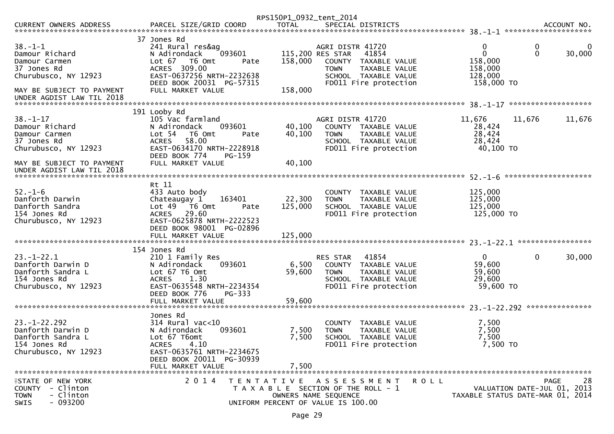|                                                                                                                      |                                                                                                                                                                                    | RPS150P1_0932_tent_2014              |                                                                                                                                                        |                                                         |                                                                               |
|----------------------------------------------------------------------------------------------------------------------|------------------------------------------------------------------------------------------------------------------------------------------------------------------------------------|--------------------------------------|--------------------------------------------------------------------------------------------------------------------------------------------------------|---------------------------------------------------------|-------------------------------------------------------------------------------|
| CURRENT OWNERS ADDRESS                                                                                               | PARCEL SIZE/GRID COORD                                                                                                                                                             | <b>TOTAL</b>                         | SPECIAL DISTRICTS                                                                                                                                      |                                                         | ACCOUNT NO.                                                                   |
| $38. - 1 - 1$<br>Damour Richard<br>Damour Carmen<br>37 Jones Rd<br>Churubusco, NY 12923<br>MAY BE SUBJECT TO PAYMENT | 37 Jones Rd<br>241 Rural res&ag<br>093601<br>N Adirondack<br>Lot 67 76 0mt<br>ACRES 309.00<br>EAST-0637256 NRTH-2232638<br>DEED BOOK 20031 PG-57315<br>FULL MARKET VALUE           | 158,000<br>Pate<br>158,000           | AGRI DISTR 41720<br>115,200 RES STAR<br>41854<br>COUNTY TAXABLE VALUE<br>TAXABLE VALUE<br><b>TOWN</b><br>SCHOOL TAXABLE VALUE<br>FD011 Fire protection | 0<br>0<br>158,000<br>158,000<br>128,000<br>158,000 TO   | 0<br>$\mathbf 0$<br>30,000                                                    |
| UNDER AGDIST LAW TIL 2018                                                                                            |                                                                                                                                                                                    |                                      |                                                                                                                                                        |                                                         | *******************                                                           |
| $38 - 1 - 17$<br>Damour Richard<br>Damour Carmen<br>37 Jones Rd<br>Churubusco, NY 12923                              | 191 Looby Rd<br>105 Vac farmland<br>N Adirondack<br>093601<br>Lot $54$<br>T6 Omt<br>58.00<br><b>ACRES</b><br>EAST-0634170 NRTH-2228918<br>DEED BOOK 774<br>PG-159                  | 40,100<br>40,100<br>Pate             | AGRI DISTR 41720<br>COUNTY TAXABLE VALUE<br>TAXABLE VALUE<br><b>TOWN</b><br>SCHOOL TAXABLE VALUE<br>FD011 Fire protection                              | 11,676<br>28,424<br>28,424<br>28,424<br>40,100 TO       | 11,676<br>11,676                                                              |
| MAY BE SUBJECT TO PAYMENT<br>UNDER AGDIST LAW TIL 2018                                                               | FULL MARKET VALUE                                                                                                                                                                  | 40,100                               |                                                                                                                                                        |                                                         |                                                                               |
| $52. - 1 - 6$<br>Danforth Darwin<br>Danforth Sandra<br>154 Jones Rd<br>Churubusco, NY 12923                          | Rt 11<br>433 Auto body<br>Chateaugay 1<br>163401<br>Lot 49  T6 0mt<br>29.60<br>ACRES<br>EAST-0625878 NRTH-2222523<br>DEED BOOK 98001 PG-02896<br>FULL MARKET VALUE<br>154 Jones Rd | 22,300<br>125,000<br>Pate<br>125,000 | COUNTY TAXABLE VALUE<br>TAXABLE VALUE<br><b>TOWN</b><br>SCHOOL TAXABLE VALUE<br>FD011 Fire protection                                                  | 125,000<br>125,000<br>125,000<br>125,000 TO             |                                                                               |
| $23. - 1 - 22.1$<br>Danforth Darwin D<br>Danforth Sandra L<br>154 Jones Rd<br>Churubusco, NY 12923                   | 210 1 Family Res<br>093601<br>N Adirondack<br>Lot 67 T6 Omt<br>1.30<br><b>ACRES</b><br>EAST-0635548 NRTH-2234354<br>DEED BOOK 776<br>PG-333<br>FULL MARKET VALUE                   | 6,500<br>59,600<br>59,600            | 41854<br>RES STAR<br>COUNTY<br>TAXABLE VALUE<br><b>TOWN</b><br>TAXABLE VALUE<br>SCHOOL TAXABLE VALUE<br>FD011 Fire protection                          | $\mathbf{0}$<br>59,600<br>59,600<br>29,600<br>59,600 TO | 30,000<br>0                                                                   |
| $23. - 1 - 22.292$<br>Danforth Darwin D<br>Danforth Sandra L<br>154 Jones Rd<br>Churubusco, NY 12923                 | Jones Rd<br>$314$ Rural vac<10<br>093601<br>N Adirondack<br>Lot 67 T6omt<br><b>ACRES</b><br>4.10<br>EAST-0635761 NRTH-2234675<br>DEED BOOK 20011 PG-30939<br>FULL MARKET VALUE     | 7,500<br>7,500<br>7,500              | COUNTY<br>TAXABLE VALUE<br><b>TOWN</b><br>TAXABLE VALUE<br>SCHOOL TAXABLE VALUE<br>FD011 Fire protection                                               | 7,500<br>7,500<br>7,500<br>7,500 TO                     |                                                                               |
| <b>ISTATE OF NEW YORK</b><br>- Clinton<br><b>COUNTY</b><br>- Clinton<br><b>TOWN</b><br>$-093200$<br><b>SWIS</b>      | 2 0 1 4                                                                                                                                                                            | UNIFORM PERCENT OF VALUE IS 100.00   | TENTATIVE ASSESSMENT<br>T A X A B L E SECTION OF THE ROLL - 1<br>OWNERS NAME SEQUENCE                                                                  | <b>ROLL</b>                                             | 28<br>PAGE<br>VALUATION DATE-JUL 01, 2013<br>TAXABLE STATUS DATE-MAR 01, 2014 |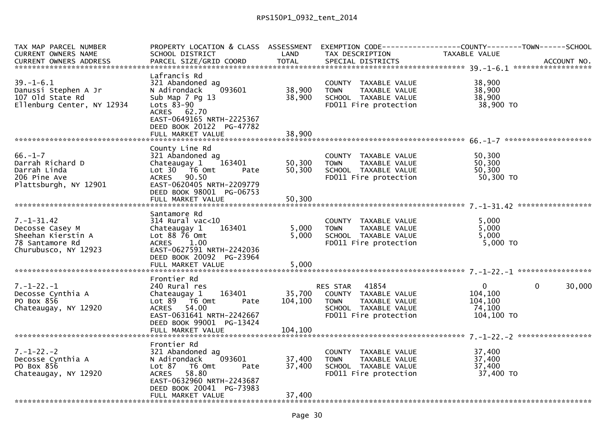| TAX MAP PARCEL NUMBER<br>CURRENT OWNERS NAME                                                         | SCHOOL DISTRICT                                                                                                                                                                   | LAND                       | TAX DESCRIPTION                                                                                                      | PROPERTY LOCATION & CLASS ASSESSMENT EXEMPTION CODE----------------COUNTY-------TOWN------SCHOOL<br>TAXABLE VALUE |        |
|------------------------------------------------------------------------------------------------------|-----------------------------------------------------------------------------------------------------------------------------------------------------------------------------------|----------------------------|----------------------------------------------------------------------------------------------------------------------|-------------------------------------------------------------------------------------------------------------------|--------|
|                                                                                                      |                                                                                                                                                                                   |                            |                                                                                                                      |                                                                                                                   |        |
| $39. - 1 - 6.1$<br>Danussi Stephen A Jr<br>107 old State Rd<br>Ellenburg Center, NY 12934            | Lafrancis Rd<br>321 Abandoned ag<br>$^{2}$ 093601 $\,$<br>N Adirondack<br>Sub Map 7 Pg 13<br>Lots $83-90$<br>ACRES 62.70<br>EAST-0649165 NRTH-2225367<br>DEED BOOK 20122 PG-47782 | 38,900<br>38,900           | COUNTY TAXABLE VALUE<br>TAXABLE VALUE<br><b>TOWN</b><br>SCHOOL TAXABLE VALUE<br>FD011 Fire protection                | 38,900<br>38,900<br>38,900<br>38,900<br>38,900 то                                                                 |        |
|                                                                                                      |                                                                                                                                                                                   |                            |                                                                                                                      |                                                                                                                   |        |
| $66. - 1 - 7$<br>Darrah Richard D<br>Darrah Linda<br>206 Pine Ave<br>Plattsburgh, NY 12901           | County Line Rd<br>321 Abandoned ag<br>Chateaugay 1 163401<br>Lot 30 T6 Omt<br>Pate<br>ACRES 90.50<br>EAST-0620405 NRTH-2209779<br>DEED BOOK 98001 PG-06753<br>FULL MARKET VALUE   | 50,300<br>50,300<br>50,300 | COUNTY TAXABLE VALUE<br><b>TOWN</b><br>TAXABLE VALUE<br>SCHOOL TAXABLE VALUE<br>FD011 Fire protection                | 50,300<br>50,300<br>50,300<br>50,300 TO                                                                           |        |
|                                                                                                      | Santamore Rd                                                                                                                                                                      |                            |                                                                                                                      |                                                                                                                   |        |
| $7. - 1 - 31.42$<br>Decosse Casey M<br>Sheehan Kierstin A<br>78 Santamore Rd<br>Churubusco, NY 12923 | $314$ Rural vac<10<br>Chateaugay 1<br>163401<br>Lot 88 76 Omt<br><b>ACRES</b><br>1.00<br>EAST-0627591 NRTH-2242036<br>DEED BOOK 20092 PG-23964                                    | 5,000<br>5,000             | COUNTY TAXABLE VALUE<br>TAXABLE VALUE<br><b>TOWN</b><br>SCHOOL TAXABLE VALUE<br>FD011 Fire protection                | 5,000<br>5,000<br>5,000<br>5,000 TO                                                                               |        |
|                                                                                                      |                                                                                                                                                                                   |                            |                                                                                                                      |                                                                                                                   |        |
| $7. - 1 - 22. - 1$<br>Decosse Cynthia A<br>PO Box 856<br>Chateaugay, NY 12920                        | Frontier Rd<br>240 Rural res<br>Chateaugay 1 163401<br>Lot $89$ $\overline{16}$ Omt<br>Pate<br>ACRES 54.00<br>EAST-0631641 NRTH-2242667<br>DEED BOOK 99001 PG-13424               | 104,100                    | RES STAR 41854<br>35,700 COUNTY TAXABLE VALUE<br>TOWN TAXABLE VALUE<br>SCHOOL TAXABLE VALUE<br>FD011 Fire protection | $\mathbf{0}$<br>0<br>104,100<br>104,100<br>74,100<br>104,100 TO                                                   | 30,000 |
|                                                                                                      | FULL MARKET VALUE                                                                                                                                                                 | 104,100                    |                                                                                                                      |                                                                                                                   |        |
| $7. - 1 - 22. - 2$<br>Decosse Cynthia A<br>PO Box 856<br>Chateaugay, NY 12920                        | Frontier Rd<br>321 Abandoned ag<br>N Adirondack 093601<br>Lot 87 76 0mt<br>Pate<br>58.80<br>ACRES<br>EAST-0632960 NRTH-2243687<br>DEED BOOK 20041 PG-73983                        | 37,400<br>37,400           | COUNTY TAXABLE VALUE<br><b>TOWN</b><br>TAXABLE VALUE<br>SCHOOL TAXABLE VALUE<br>FD011 Fire protection                | 37,400<br>37,400<br>37,400 TO                                                                                     |        |
|                                                                                                      | FULL MARKET VALUE                                                                                                                                                                 | 37,400                     |                                                                                                                      |                                                                                                                   |        |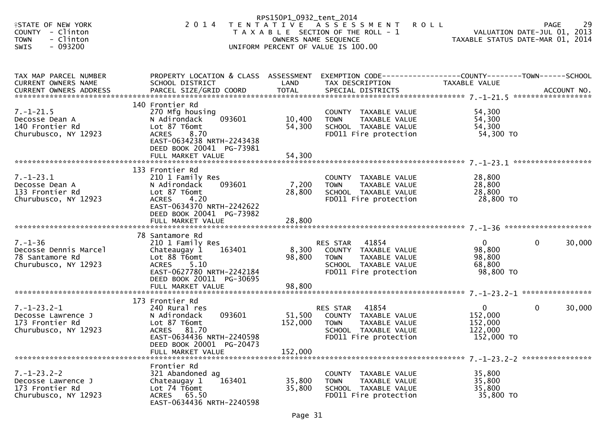|                                                                                                                        |                                                                                                                                                                                     | RPS150P1_0932_tent_2014      |                                                                                                                                            |                                                             |                                                                               |
|------------------------------------------------------------------------------------------------------------------------|-------------------------------------------------------------------------------------------------------------------------------------------------------------------------------------|------------------------------|--------------------------------------------------------------------------------------------------------------------------------------------|-------------------------------------------------------------|-------------------------------------------------------------------------------|
| <b>ISTATE OF NEW YORK</b><br><b>COUNTY</b><br>- Clinton<br>- Clinton<br><b>TOWN</b><br>$-093200$<br>SWIS               | 2 0 1 4                                                                                                                                                                             |                              | TENTATIVE ASSESSMENT<br><b>ROLL</b><br>T A X A B L E SECTION OF THE ROLL - 1<br>OWNERS NAME SEQUENCE<br>UNIFORM PERCENT OF VALUE IS 100.00 |                                                             | 29<br>PAGE<br>VALUATION DATE-JUL 01, 2013<br>TAXABLE STATUS DATE-MAR 01, 2014 |
| TAX MAP PARCEL NUMBER<br>CURRENT OWNERS NAME                                                                           | PROPERTY LOCATION & CLASS ASSESSMENT EXEMPTION CODE----------------COUNTY-------TOWN------SCHOOL<br>SCHOOL DISTRICT                                                                 | LAND                         | TAX DESCRIPTION                                                                                                                            | TAXABLE VALUE                                               |                                                                               |
| $7. - 1 - 21.5$<br>Decosse Dean A<br>140 Frontier Rd<br>Churubusco, NY 12923                                           | 140 Frontier Rd<br>270 Mfg housing<br>093601<br>N Adirondack<br>Lot 87 T6omt<br>8.70<br><b>ACRES</b><br>EAST-0634238 NRTH-2243438<br>DEED BOOK 20041 PG-73981<br>FULL MARKET VALUE  | 10,400<br>54,300<br>54,300   | COUNTY TAXABLE VALUE<br>TAXABLE VALUE<br><b>TOWN</b><br>SCHOOL TAXABLE VALUE<br>FD011 Fire protection                                      | 54,300<br>54,300<br>54,300<br>54,300 TO                     |                                                                               |
| $7. - 1 - 23.1$<br>Decosse Dean A<br>133 Frontier Rd<br>Churubusco, NY 12923                                           | 133 Frontier Rd<br>210 1 Family Res<br>093601<br>N Adirondack<br>Lot 87 T6omt<br><b>ACRES</b><br>4.20<br>EAST-0634370 NRTH-2242622<br>DEED BOOK 20041 PG-73982<br>FULL MARKET VALUE | 7,200<br>28,800<br>28,800    | COUNTY TAXABLE VALUE<br>TAXABLE VALUE<br><b>TOWN</b><br>SCHOOL TAXABLE VALUE<br>FD011 Fire protection                                      | 28,800<br>28,800<br>28,800<br>28,800 TO                     |                                                                               |
| $7. - 1 - 36$<br>Decosse Dennis Marcel<br>78 Santamore Rd<br>Churubusco, NY 12923                                      | 78 Santamore Rd<br>210 1 Family Res<br>163401<br>Chateaugay 1<br>Lot 88 T6omt<br>ACRES<br>5.10<br>EAST-0627780 NRTH-2242184<br>DEED BOOK 20011 PG-30695<br>FULL MARKET VALUE        | 8,300<br>98,800<br>98,800    | 41854<br>RES STAR<br>COUNTY TAXABLE VALUE<br><b>TOWN</b><br>TAXABLE VALUE<br>SCHOOL TAXABLE VALUE<br>FD011 Fire protection                 | $\overline{0}$<br>98,800<br>98,800<br>68,800<br>98,800 TO   | 30,000<br>$\mathbf{0}$                                                        |
| $7. - 1 - 23.2 - 1$<br>Decosse Lawrence J<br>173 Frontier Rd<br>Churubusco, NY 12923<br>****************************** | 173 Frontier Rd<br>240 Rural res<br>093601<br>N Adirondack<br>Lot 87 T6omt<br>ACRES 81.70<br>EAST-0634436 NRTH-2240598<br>DEED BOOK 20001 PG-20473<br>FULL MARKET VALUE             | 51,500<br>152,000<br>152,000 | 41854<br>RES STAR<br>COUNTY TAXABLE VALUE<br>TAXABLE VALUE<br><b>TOWN</b><br>SCHOOL TAXABLE VALUE<br>FD011 Fire protection                 | $\mathbf{0}$<br>152,000<br>152,000<br>122,000<br>152,000 TO | 30,000<br>$\mathbf{0}$                                                        |
| $7. - 1 - 23.2 - 2$<br>Decosse Lawrence J<br>173 Frontier Rd<br>Churubusco, NY 12923                                   | Frontier Rd<br>321 Abandoned ag<br>163401<br>Chateaugay 1<br>Lot 74 T6omt<br>ACRES 65.50<br>EAST-0634436 NRTH-2240598                                                               | 35,800<br>35,800             | COUNTY TAXABLE VALUE<br>TAXABLE VALUE<br><b>TOWN</b><br>SCHOOL TAXABLE VALUE<br>FD011 Fire protection                                      | 35,800<br>35,800<br>35,800<br>35,800 TO                     |                                                                               |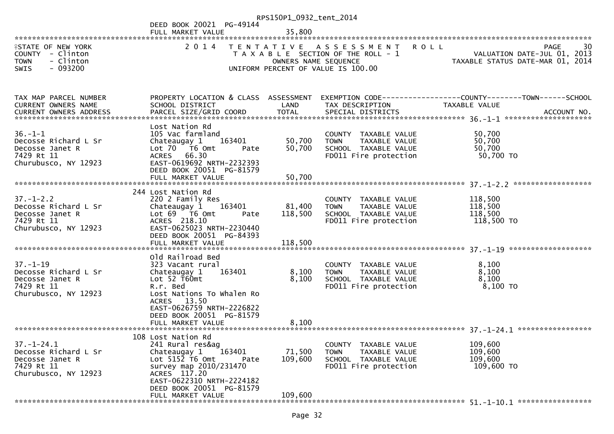|                                                                                                   |                                                                                                                                                                                                                        | RPS150P1_0932_tent_2014      |                                                                                                                    |                                                                               |
|---------------------------------------------------------------------------------------------------|------------------------------------------------------------------------------------------------------------------------------------------------------------------------------------------------------------------------|------------------------------|--------------------------------------------------------------------------------------------------------------------|-------------------------------------------------------------------------------|
|                                                                                                   | DEED BOOK 20021 PG-49144<br>FULL MARKET VALUE                                                                                                                                                                          | 35,800                       |                                                                                                                    |                                                                               |
| <b>ISTATE OF NEW YORK</b><br>COUNTY - Clinton<br>- Clinton<br><b>TOWN</b><br>$-093200$<br>SWIS    | 2 0 1 4                                                                                                                                                                                                                | OWNERS NAME SEQUENCE         | TENTATIVE ASSESSMENT<br><b>ROLL</b><br>T A X A B L E SECTION OF THE ROLL - 1<br>UNIFORM PERCENT OF VALUE IS 100.00 | 30<br>PAGE<br>VALUATION DATE-JUL 01, 2013<br>TAXABLE STATUS DATE-MAR 01, 2014 |
| TAX MAP PARCEL NUMBER<br>CURRENT OWNERS NAME<br><b>CURRENT OWNERS ADDRESS</b>                     | PROPERTY LOCATION & CLASS ASSESSMENT<br>SCHOOL DISTRICT<br>PARCEL SIZE/GRID COORD                                                                                                                                      | LAND<br><b>TOTAL</b>         | TAX DESCRIPTION<br>SPECIAL DISTRICTS                                                                               | TAXABLE VALUE<br>ACCOUNT NO.                                                  |
| $36. - 1 - 1$<br>Decosse Richard L Sr<br>Decosse Janet R<br>7429 Rt 11<br>Churubusco, NY 12923    | Lost Nation Rd<br>105 Vac farmland<br>Chateaugay 1<br>163401<br>Lot 70 T6 Omt<br>Pate<br>ACRES 66.30<br>EAST-0619692 NRTH-2232393<br>DEED BOOK 20051 PG-81579<br>FULL MARKET VALUE                                     | 50,700<br>50,700<br>50,700   | COUNTY TAXABLE VALUE<br>TAXABLE VALUE<br><b>TOWN</b><br>SCHOOL TAXABLE VALUE<br>FD011 Fire protection              | 50,700<br>50,700<br>50,700<br>50,700 TO                                       |
| $37. - 1 - 2.2$<br>Decosse Richard L Sr<br>Decosse Janet R<br>7429 Rt 11<br>Churubusco, NY 12923  | 244 Lost Nation Rd<br>220 2 Family Res<br>Chateaugay 1<br>163401<br>Lot 69 T6 Omt<br>Pate<br>ACRES 218.10<br>EAST-0625023 NRTH-2230440<br>DEED BOOK 20051 PG-84393<br>FULL MARKET VALUE                                | 81,400<br>118,500<br>118,500 | COUNTY TAXABLE VALUE<br>TAXABLE VALUE<br><b>TOWN</b><br>SCHOOL TAXABLE VALUE<br>FD011 Fire protection              | 118,500<br>118,500<br>118,500<br>118,500 TO                                   |
| $37. - 1 - 19$<br>Decosse Richard L Sr<br>Decosse Janet R<br>7429 Rt 11<br>Churubusco, NY 12923   | Old Railroad Bed<br>323 Vacant rural<br>Chateaugay 1<br>163401<br>Lot $52$ T60mt<br>R.r. Bed<br>Lost Nations To Whalen Ro<br>ACRES 13.50<br>EAST-0626759 NRTH-2226822<br>DEED BOOK 20051 PG-81579<br>FULL MARKET VALUE | 8,100<br>8,100<br>8,100      | COUNTY TAXABLE VALUE<br><b>TOWN</b><br>TAXABLE VALUE<br>SCHOOL TAXABLE VALUE<br>FD011 Fire protection              | 8,100<br>8,100<br>8,100<br>8,100 TO                                           |
| $37. - 1 - 24.1$<br>Decosse Richard L Sr<br>Decosse Janet R<br>7429 Rt 11<br>Churubusco, NY 12923 | 108 Lost Nation Rd<br>241 Rural res&ag<br>163401<br>Chateaugay 1<br>Lot 5152 T6 Omt<br>Pate<br>survey map 2010/231470<br>ACRES 117.20<br>EAST-0622310 NRTH-2224182<br>DEED BOOK 20051 PG-81579<br>FULL MARKET VALUE    | 71,500<br>109,600<br>109,600 | COUNTY TAXABLE VALUE<br>TAXABLE VALUE<br>TOWN<br>SCHOOL TAXABLE VALUE<br>FD011 Fire protection                     | 109,600<br>109,600<br>109,600<br>109,600 TO                                   |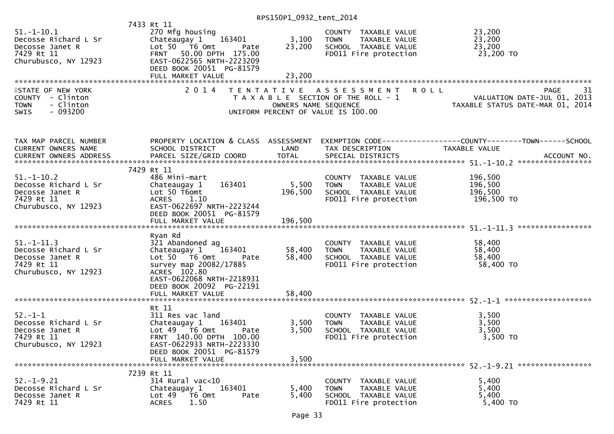| $51.-1-10.1$<br>Decosse Richard L Sr<br>Decosse Janet R<br>7429 Rt 11<br>Churubusco, NY 12923         | 7433 Rt 11<br>270 Mfg housing<br>Chateaugay $1 \t363401$<br>Lot 50 T6 Omt<br>Pate<br><b>FRNT</b><br>50.00 DPTH 175.00<br>EAST-0622565 NRTH-2223209<br>DEED BOOK 20051 PG-81579<br>FULL MARKET VALUE | 3,100<br>23,200<br>23,200   | COUNTY TAXABLE VALUE<br><b>TOWN</b><br>TAXABLE VALUE<br>SCHOOL TAXABLE VALUE<br>FD011 Fire protection    | 23,200<br>23,200<br>23,200<br>23,200 TO                                                                           |
|-------------------------------------------------------------------------------------------------------|-----------------------------------------------------------------------------------------------------------------------------------------------------------------------------------------------------|-----------------------------|----------------------------------------------------------------------------------------------------------|-------------------------------------------------------------------------------------------------------------------|
| <b>ISTATE OF NEW YORK</b><br>COUNTY - Clinton<br><b>TOWN</b><br>- Clinton<br>$-093200$<br><b>SWIS</b> | 2 0 1 4                                                                                                                                                                                             | OWNERS NAME SEQUENCE        | TENTATIVE ASSESSMENT ROLL<br>T A X A B L E SECTION OF THE ROLL - 1<br>UNIFORM PERCENT OF VALUE IS 100.00 | PAGE<br>31<br>ROLL - 1 NOTE- VALUATION DATE-JUL 01, 2013<br>TAXABLE STATUS DATE-MAR 01, 2014                      |
| TAX MAP PARCEL NUMBER<br>CURRENT OWNERS NAME                                                          | SCHOOL DISTRICT                                                                                                                                                                                     | LAND                        | TAX DESCRIPTION                                                                                          | PROPERTY LOCATION & CLASS ASSESSMENT EXEMPTION CODE----------------COUNTY-------TOWN------SCHOOL<br>TAXABLE VALUE |
| CURRENT OWNERS ADDRESS                                                                                | PARCEL SIZE/GRID COORD                                                                                                                                                                              | <b>TOTAL</b>                | SPECIAL DISTRICTS                                                                                        | ACCOUNT NO.                                                                                                       |
| $51.-1-10.2$<br>Decosse Richard L Sr<br>Decosse Janet R<br>7429 Rt 11<br>Churubusco, NY 12923         | 7429 Rt 11<br>486 Mini-mart<br>Chateaugay 1<br>163401<br>Lot 50 T6omt<br>ACRES 1.10<br>EAST-0622697 NRTH-2223244<br>DEED BOOK 20051 PG-81579<br>FULL MARKET VALUE<br>Ryan Rd                        | 5,500<br>196,500<br>196,500 | COUNTY TAXABLE VALUE<br>TAXABLE VALUE<br><b>TOWN</b><br>SCHOOL TAXABLE VALUE<br>FD011 Fire protection    | 196,500<br>196,500<br>196,500<br>196,500 TO                                                                       |
| $51. - 1 - 11.3$<br>Decosse Richard L Sr<br>Decosse Janet R<br>7429 Rt 11<br>Churubusco, NY 12923     | 321 Abandoned ag<br>Chateaugay 1<br>163401<br>Lot $50 - 76$ Omt<br>Pate<br>survey map 20082/17885<br>ACRES 102.80<br>EAST-0622068 NRTH-2218931<br>DEED BOOK 20092 PG-22191                          | 58,400<br>58,400            | COUNTY TAXABLE VALUE<br><b>TOWN</b><br>TAXABLE VALUE<br>SCHOOL TAXABLE VALUE<br>FD011 Fire protection    | 58,400<br>58,400<br>58,400<br>58,400 TO                                                                           |
|                                                                                                       | FULL MARKET VALUE                                                                                                                                                                                   | 58,400                      |                                                                                                          |                                                                                                                   |
| $52 - 1 - 1$<br>Decosse Richard L Sr<br>Decosse Janet R<br>7429 Rt 11<br>Churubusco, NY 12923         | Rt 11<br>311 Res vac land<br>Chateaugay 1 163401<br>Lot 49  T6 Omt<br>Pate<br>FRNT 140.00 DPTH 100.00<br>EAST-0622933 NRTH-2223330<br>DEED BOOK 20051 PG-81579                                      | 3,500<br>3,500              | COUNTY TAXABLE VALUE<br>TAXABLE VALUE<br><b>TOWN</b><br>SCHOOL TAXABLE VALUE<br>FD011 Fire protection    | 3,500<br>3,500<br>3,500<br>3,500 TO                                                                               |
|                                                                                                       | FULL MARKET VALUE                                                                                                                                                                                   | 3,500                       |                                                                                                          |                                                                                                                   |
| $52. - 1 - 9.21$<br>Decosse Richard L Sr<br>Decosse Janet R<br>7429 Rt 11                             | 7239 Rt 11<br>314 Rural vac<10<br>163401<br>Chateaugay 1<br>Lot <sub>49</sub><br>T6 Omt<br>Pate<br>1.50<br><b>ACRES</b>                                                                             | 5,400<br>5,400              | COUNTY TAXABLE VALUE<br><b>TOWN</b><br>TAXABLE VALUE<br>SCHOOL TAXABLE VALUE<br>FD011 Fire protection    | 5,400<br>5,400<br>5,400<br>5,400 TO                                                                               |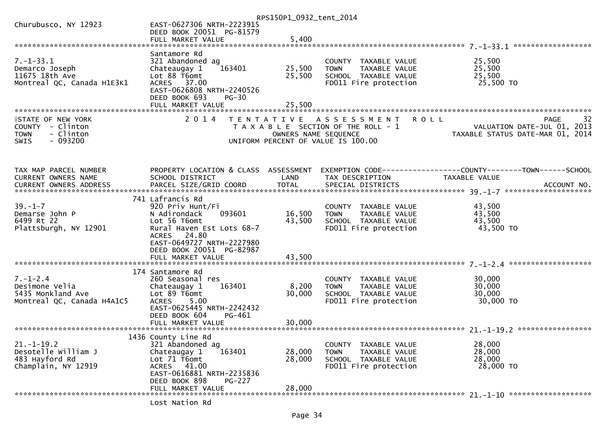| Churubusco, NY 12923<br>EAST-0627306 NRTH-2223915<br>DEED BOOK 20051 PG-81579<br>5,400<br>FULL MARKET VALUE<br>Santamore Rd<br>$7. - 1 - 33.1$<br>321 Abandoned ag<br>25,500<br>COUNTY TAXABLE VALUE<br>25,500<br>163401<br>25,500<br>Demarco Joseph<br>Chateaugay 1<br>TAXABLE VALUE<br>TOWN<br>11675 18th Ave<br>Lot 88 T6omt<br>SCHOOL TAXABLE VALUE<br>25,500<br>25,500<br>25,500 TO<br>Montreal QC, Canada H1E3K1<br>ACRES 37.00<br>FD011 Fire protection<br>EAST-0626808 NRTH-2240526<br>DEED BOOK 693<br><b>PG-30</b><br>25,500<br>FULL MARKET VALUE<br><b>ISTATE OF NEW YORK</b><br>2014<br>32<br>TENTATIVE ASSESSMENT<br><b>ROLL</b><br><b>PAGE</b><br>VALUATION DATE-JUL 01, 2013<br>COUNTY - Clinton<br>T A X A B L E SECTION OF THE ROLL - 1<br>- Clinton<br><b>TOWN</b><br>OWNERS NAME SEQUENCE<br>TAXABLE STATUS DATE-MAR 01, 2014<br>$-093200$<br><b>SWIS</b><br>UNIFORM PERCENT OF VALUE IS 100.00<br>PROPERTY LOCATION & CLASS ASSESSMENT<br>EXEMPTION CODE------------------COUNTY--------TOWN------SCHOOL<br>CURRENT OWNERS NAME<br>SCHOOL DISTRICT<br>LAND<br>TAX DESCRIPTION<br>TAXABLE VALUE<br>741 Lafrancis Rd<br>$39. - 1 - 7$<br>43,500<br>920 Priv Hunt/Fi<br>COUNTY TAXABLE VALUE<br>093601<br>16,500<br>43,500<br>Demarse John P<br>N Adirondack<br><b>TOWN</b><br>TAXABLE VALUE<br>43,500<br>43,500<br>6499 Rt 22<br>Lot 56 T6omt<br>SCHOOL TAXABLE VALUE<br>43,500 TO<br>Plattsburgh, NY 12901<br>Rural Haven Est Lots 68-7<br>FD011 Fire protection<br>ACRES 24.80<br>EAST-0649727 NRTH-2227980<br>DEED BOOK 20051 PG-82987<br>FULL MARKET VALUE<br>43,500<br>174 Santamore Rd<br>$7. - 1 - 2.4$<br>260 Seasonal res<br>30,000<br>COUNTY TAXABLE VALUE<br>30,000<br>Desimone Velia<br>163401<br>8,200<br>Chateaugay 1<br>TAXABLE VALUE<br><b>TOWN</b><br>5435 Monkland Ave<br>Lot 89 T6omt<br>30,000<br>30,000<br>SCHOOL TAXABLE VALUE<br>Montreal QC, Canada H4A1C5<br>5.00<br>FD011 Fire protection<br>30,000 TO<br><b>ACRES</b><br>EAST-0625445 NRTH-2242432<br>DEED BOOK 604<br>PG-461<br>FULL MARKET VALUE<br>30,000<br>1436 County Line Rd<br>$21. - 1 - 19.2$<br>321 Abandoned ag<br>COUNTY TAXABLE VALUE<br>28,000<br>Desotelle William J<br>28,000<br>163401<br>28,000<br>Chateaugay 1<br>TAXABLE VALUE<br><b>TOWN</b><br>483 Hayford Rd<br>Lot 71 T6omt<br>28,000<br>28,000<br>SCHOOL TAXABLE VALUE<br>28,000 TO<br>Champlain, NY 12919<br>ACRES 41.00<br>FD011 Fire protection<br>EAST-0616881 NRTH-2235836<br>DEED BOOK 898<br><b>PG-227</b><br>FULL MARKET VALUE<br>28,000 |                       |                | RPS150P1_0932_tent_2014 |  |
|-------------------------------------------------------------------------------------------------------------------------------------------------------------------------------------------------------------------------------------------------------------------------------------------------------------------------------------------------------------------------------------------------------------------------------------------------------------------------------------------------------------------------------------------------------------------------------------------------------------------------------------------------------------------------------------------------------------------------------------------------------------------------------------------------------------------------------------------------------------------------------------------------------------------------------------------------------------------------------------------------------------------------------------------------------------------------------------------------------------------------------------------------------------------------------------------------------------------------------------------------------------------------------------------------------------------------------------------------------------------------------------------------------------------------------------------------------------------------------------------------------------------------------------------------------------------------------------------------------------------------------------------------------------------------------------------------------------------------------------------------------------------------------------------------------------------------------------------------------------------------------------------------------------------------------------------------------------------------------------------------------------------------------------------------------------------------------------------------------------------------------------------------------------------------------------------------------------------------------------------------------------------------------------------------------------------------------------------------------------------------------------------------------------------------------------------------------------------------------------------------------------------------|-----------------------|----------------|-------------------------|--|
|                                                                                                                                                                                                                                                                                                                                                                                                                                                                                                                                                                                                                                                                                                                                                                                                                                                                                                                                                                                                                                                                                                                                                                                                                                                                                                                                                                                                                                                                                                                                                                                                                                                                                                                                                                                                                                                                                                                                                                                                                                                                                                                                                                                                                                                                                                                                                                                                                                                                                                                         |                       |                |                         |  |
|                                                                                                                                                                                                                                                                                                                                                                                                                                                                                                                                                                                                                                                                                                                                                                                                                                                                                                                                                                                                                                                                                                                                                                                                                                                                                                                                                                                                                                                                                                                                                                                                                                                                                                                                                                                                                                                                                                                                                                                                                                                                                                                                                                                                                                                                                                                                                                                                                                                                                                                         |                       |                |                         |  |
|                                                                                                                                                                                                                                                                                                                                                                                                                                                                                                                                                                                                                                                                                                                                                                                                                                                                                                                                                                                                                                                                                                                                                                                                                                                                                                                                                                                                                                                                                                                                                                                                                                                                                                                                                                                                                                                                                                                                                                                                                                                                                                                                                                                                                                                                                                                                                                                                                                                                                                                         |                       |                |                         |  |
|                                                                                                                                                                                                                                                                                                                                                                                                                                                                                                                                                                                                                                                                                                                                                                                                                                                                                                                                                                                                                                                                                                                                                                                                                                                                                                                                                                                                                                                                                                                                                                                                                                                                                                                                                                                                                                                                                                                                                                                                                                                                                                                                                                                                                                                                                                                                                                                                                                                                                                                         |                       |                |                         |  |
|                                                                                                                                                                                                                                                                                                                                                                                                                                                                                                                                                                                                                                                                                                                                                                                                                                                                                                                                                                                                                                                                                                                                                                                                                                                                                                                                                                                                                                                                                                                                                                                                                                                                                                                                                                                                                                                                                                                                                                                                                                                                                                                                                                                                                                                                                                                                                                                                                                                                                                                         |                       |                |                         |  |
|                                                                                                                                                                                                                                                                                                                                                                                                                                                                                                                                                                                                                                                                                                                                                                                                                                                                                                                                                                                                                                                                                                                                                                                                                                                                                                                                                                                                                                                                                                                                                                                                                                                                                                                                                                                                                                                                                                                                                                                                                                                                                                                                                                                                                                                                                                                                                                                                                                                                                                                         |                       |                |                         |  |
|                                                                                                                                                                                                                                                                                                                                                                                                                                                                                                                                                                                                                                                                                                                                                                                                                                                                                                                                                                                                                                                                                                                                                                                                                                                                                                                                                                                                                                                                                                                                                                                                                                                                                                                                                                                                                                                                                                                                                                                                                                                                                                                                                                                                                                                                                                                                                                                                                                                                                                                         |                       |                |                         |  |
|                                                                                                                                                                                                                                                                                                                                                                                                                                                                                                                                                                                                                                                                                                                                                                                                                                                                                                                                                                                                                                                                                                                                                                                                                                                                                                                                                                                                                                                                                                                                                                                                                                                                                                                                                                                                                                                                                                                                                                                                                                                                                                                                                                                                                                                                                                                                                                                                                                                                                                                         |                       |                |                         |  |
|                                                                                                                                                                                                                                                                                                                                                                                                                                                                                                                                                                                                                                                                                                                                                                                                                                                                                                                                                                                                                                                                                                                                                                                                                                                                                                                                                                                                                                                                                                                                                                                                                                                                                                                                                                                                                                                                                                                                                                                                                                                                                                                                                                                                                                                                                                                                                                                                                                                                                                                         |                       |                |                         |  |
|                                                                                                                                                                                                                                                                                                                                                                                                                                                                                                                                                                                                                                                                                                                                                                                                                                                                                                                                                                                                                                                                                                                                                                                                                                                                                                                                                                                                                                                                                                                                                                                                                                                                                                                                                                                                                                                                                                                                                                                                                                                                                                                                                                                                                                                                                                                                                                                                                                                                                                                         |                       |                |                         |  |
|                                                                                                                                                                                                                                                                                                                                                                                                                                                                                                                                                                                                                                                                                                                                                                                                                                                                                                                                                                                                                                                                                                                                                                                                                                                                                                                                                                                                                                                                                                                                                                                                                                                                                                                                                                                                                                                                                                                                                                                                                                                                                                                                                                                                                                                                                                                                                                                                                                                                                                                         |                       |                |                         |  |
|                                                                                                                                                                                                                                                                                                                                                                                                                                                                                                                                                                                                                                                                                                                                                                                                                                                                                                                                                                                                                                                                                                                                                                                                                                                                                                                                                                                                                                                                                                                                                                                                                                                                                                                                                                                                                                                                                                                                                                                                                                                                                                                                                                                                                                                                                                                                                                                                                                                                                                                         |                       |                |                         |  |
|                                                                                                                                                                                                                                                                                                                                                                                                                                                                                                                                                                                                                                                                                                                                                                                                                                                                                                                                                                                                                                                                                                                                                                                                                                                                                                                                                                                                                                                                                                                                                                                                                                                                                                                                                                                                                                                                                                                                                                                                                                                                                                                                                                                                                                                                                                                                                                                                                                                                                                                         |                       |                |                         |  |
|                                                                                                                                                                                                                                                                                                                                                                                                                                                                                                                                                                                                                                                                                                                                                                                                                                                                                                                                                                                                                                                                                                                                                                                                                                                                                                                                                                                                                                                                                                                                                                                                                                                                                                                                                                                                                                                                                                                                                                                                                                                                                                                                                                                                                                                                                                                                                                                                                                                                                                                         |                       |                |                         |  |
|                                                                                                                                                                                                                                                                                                                                                                                                                                                                                                                                                                                                                                                                                                                                                                                                                                                                                                                                                                                                                                                                                                                                                                                                                                                                                                                                                                                                                                                                                                                                                                                                                                                                                                                                                                                                                                                                                                                                                                                                                                                                                                                                                                                                                                                                                                                                                                                                                                                                                                                         |                       |                |                         |  |
|                                                                                                                                                                                                                                                                                                                                                                                                                                                                                                                                                                                                                                                                                                                                                                                                                                                                                                                                                                                                                                                                                                                                                                                                                                                                                                                                                                                                                                                                                                                                                                                                                                                                                                                                                                                                                                                                                                                                                                                                                                                                                                                                                                                                                                                                                                                                                                                                                                                                                                                         |                       |                |                         |  |
|                                                                                                                                                                                                                                                                                                                                                                                                                                                                                                                                                                                                                                                                                                                                                                                                                                                                                                                                                                                                                                                                                                                                                                                                                                                                                                                                                                                                                                                                                                                                                                                                                                                                                                                                                                                                                                                                                                                                                                                                                                                                                                                                                                                                                                                                                                                                                                                                                                                                                                                         |                       |                |                         |  |
|                                                                                                                                                                                                                                                                                                                                                                                                                                                                                                                                                                                                                                                                                                                                                                                                                                                                                                                                                                                                                                                                                                                                                                                                                                                                                                                                                                                                                                                                                                                                                                                                                                                                                                                                                                                                                                                                                                                                                                                                                                                                                                                                                                                                                                                                                                                                                                                                                                                                                                                         |                       |                |                         |  |
|                                                                                                                                                                                                                                                                                                                                                                                                                                                                                                                                                                                                                                                                                                                                                                                                                                                                                                                                                                                                                                                                                                                                                                                                                                                                                                                                                                                                                                                                                                                                                                                                                                                                                                                                                                                                                                                                                                                                                                                                                                                                                                                                                                                                                                                                                                                                                                                                                                                                                                                         |                       |                |                         |  |
|                                                                                                                                                                                                                                                                                                                                                                                                                                                                                                                                                                                                                                                                                                                                                                                                                                                                                                                                                                                                                                                                                                                                                                                                                                                                                                                                                                                                                                                                                                                                                                                                                                                                                                                                                                                                                                                                                                                                                                                                                                                                                                                                                                                                                                                                                                                                                                                                                                                                                                                         | TAX MAP PARCEL NUMBER |                |                         |  |
|                                                                                                                                                                                                                                                                                                                                                                                                                                                                                                                                                                                                                                                                                                                                                                                                                                                                                                                                                                                                                                                                                                                                                                                                                                                                                                                                                                                                                                                                                                                                                                                                                                                                                                                                                                                                                                                                                                                                                                                                                                                                                                                                                                                                                                                                                                                                                                                                                                                                                                                         |                       |                |                         |  |
|                                                                                                                                                                                                                                                                                                                                                                                                                                                                                                                                                                                                                                                                                                                                                                                                                                                                                                                                                                                                                                                                                                                                                                                                                                                                                                                                                                                                                                                                                                                                                                                                                                                                                                                                                                                                                                                                                                                                                                                                                                                                                                                                                                                                                                                                                                                                                                                                                                                                                                                         |                       |                |                         |  |
|                                                                                                                                                                                                                                                                                                                                                                                                                                                                                                                                                                                                                                                                                                                                                                                                                                                                                                                                                                                                                                                                                                                                                                                                                                                                                                                                                                                                                                                                                                                                                                                                                                                                                                                                                                                                                                                                                                                                                                                                                                                                                                                                                                                                                                                                                                                                                                                                                                                                                                                         |                       |                |                         |  |
|                                                                                                                                                                                                                                                                                                                                                                                                                                                                                                                                                                                                                                                                                                                                                                                                                                                                                                                                                                                                                                                                                                                                                                                                                                                                                                                                                                                                                                                                                                                                                                                                                                                                                                                                                                                                                                                                                                                                                                                                                                                                                                                                                                                                                                                                                                                                                                                                                                                                                                                         |                       |                |                         |  |
|                                                                                                                                                                                                                                                                                                                                                                                                                                                                                                                                                                                                                                                                                                                                                                                                                                                                                                                                                                                                                                                                                                                                                                                                                                                                                                                                                                                                                                                                                                                                                                                                                                                                                                                                                                                                                                                                                                                                                                                                                                                                                                                                                                                                                                                                                                                                                                                                                                                                                                                         |                       |                |                         |  |
|                                                                                                                                                                                                                                                                                                                                                                                                                                                                                                                                                                                                                                                                                                                                                                                                                                                                                                                                                                                                                                                                                                                                                                                                                                                                                                                                                                                                                                                                                                                                                                                                                                                                                                                                                                                                                                                                                                                                                                                                                                                                                                                                                                                                                                                                                                                                                                                                                                                                                                                         |                       |                |                         |  |
|                                                                                                                                                                                                                                                                                                                                                                                                                                                                                                                                                                                                                                                                                                                                                                                                                                                                                                                                                                                                                                                                                                                                                                                                                                                                                                                                                                                                                                                                                                                                                                                                                                                                                                                                                                                                                                                                                                                                                                                                                                                                                                                                                                                                                                                                                                                                                                                                                                                                                                                         |                       |                |                         |  |
|                                                                                                                                                                                                                                                                                                                                                                                                                                                                                                                                                                                                                                                                                                                                                                                                                                                                                                                                                                                                                                                                                                                                                                                                                                                                                                                                                                                                                                                                                                                                                                                                                                                                                                                                                                                                                                                                                                                                                                                                                                                                                                                                                                                                                                                                                                                                                                                                                                                                                                                         |                       |                |                         |  |
|                                                                                                                                                                                                                                                                                                                                                                                                                                                                                                                                                                                                                                                                                                                                                                                                                                                                                                                                                                                                                                                                                                                                                                                                                                                                                                                                                                                                                                                                                                                                                                                                                                                                                                                                                                                                                                                                                                                                                                                                                                                                                                                                                                                                                                                                                                                                                                                                                                                                                                                         |                       |                |                         |  |
|                                                                                                                                                                                                                                                                                                                                                                                                                                                                                                                                                                                                                                                                                                                                                                                                                                                                                                                                                                                                                                                                                                                                                                                                                                                                                                                                                                                                                                                                                                                                                                                                                                                                                                                                                                                                                                                                                                                                                                                                                                                                                                                                                                                                                                                                                                                                                                                                                                                                                                                         |                       |                |                         |  |
|                                                                                                                                                                                                                                                                                                                                                                                                                                                                                                                                                                                                                                                                                                                                                                                                                                                                                                                                                                                                                                                                                                                                                                                                                                                                                                                                                                                                                                                                                                                                                                                                                                                                                                                                                                                                                                                                                                                                                                                                                                                                                                                                                                                                                                                                                                                                                                                                                                                                                                                         |                       |                |                         |  |
|                                                                                                                                                                                                                                                                                                                                                                                                                                                                                                                                                                                                                                                                                                                                                                                                                                                                                                                                                                                                                                                                                                                                                                                                                                                                                                                                                                                                                                                                                                                                                                                                                                                                                                                                                                                                                                                                                                                                                                                                                                                                                                                                                                                                                                                                                                                                                                                                                                                                                                                         |                       |                |                         |  |
|                                                                                                                                                                                                                                                                                                                                                                                                                                                                                                                                                                                                                                                                                                                                                                                                                                                                                                                                                                                                                                                                                                                                                                                                                                                                                                                                                                                                                                                                                                                                                                                                                                                                                                                                                                                                                                                                                                                                                                                                                                                                                                                                                                                                                                                                                                                                                                                                                                                                                                                         |                       |                |                         |  |
|                                                                                                                                                                                                                                                                                                                                                                                                                                                                                                                                                                                                                                                                                                                                                                                                                                                                                                                                                                                                                                                                                                                                                                                                                                                                                                                                                                                                                                                                                                                                                                                                                                                                                                                                                                                                                                                                                                                                                                                                                                                                                                                                                                                                                                                                                                                                                                                                                                                                                                                         |                       |                |                         |  |
|                                                                                                                                                                                                                                                                                                                                                                                                                                                                                                                                                                                                                                                                                                                                                                                                                                                                                                                                                                                                                                                                                                                                                                                                                                                                                                                                                                                                                                                                                                                                                                                                                                                                                                                                                                                                                                                                                                                                                                                                                                                                                                                                                                                                                                                                                                                                                                                                                                                                                                                         |                       |                |                         |  |
|                                                                                                                                                                                                                                                                                                                                                                                                                                                                                                                                                                                                                                                                                                                                                                                                                                                                                                                                                                                                                                                                                                                                                                                                                                                                                                                                                                                                                                                                                                                                                                                                                                                                                                                                                                                                                                                                                                                                                                                                                                                                                                                                                                                                                                                                                                                                                                                                                                                                                                                         |                       |                |                         |  |
|                                                                                                                                                                                                                                                                                                                                                                                                                                                                                                                                                                                                                                                                                                                                                                                                                                                                                                                                                                                                                                                                                                                                                                                                                                                                                                                                                                                                                                                                                                                                                                                                                                                                                                                                                                                                                                                                                                                                                                                                                                                                                                                                                                                                                                                                                                                                                                                                                                                                                                                         |                       |                |                         |  |
|                                                                                                                                                                                                                                                                                                                                                                                                                                                                                                                                                                                                                                                                                                                                                                                                                                                                                                                                                                                                                                                                                                                                                                                                                                                                                                                                                                                                                                                                                                                                                                                                                                                                                                                                                                                                                                                                                                                                                                                                                                                                                                                                                                                                                                                                                                                                                                                                                                                                                                                         |                       |                |                         |  |
|                                                                                                                                                                                                                                                                                                                                                                                                                                                                                                                                                                                                                                                                                                                                                                                                                                                                                                                                                                                                                                                                                                                                                                                                                                                                                                                                                                                                                                                                                                                                                                                                                                                                                                                                                                                                                                                                                                                                                                                                                                                                                                                                                                                                                                                                                                                                                                                                                                                                                                                         |                       |                |                         |  |
|                                                                                                                                                                                                                                                                                                                                                                                                                                                                                                                                                                                                                                                                                                                                                                                                                                                                                                                                                                                                                                                                                                                                                                                                                                                                                                                                                                                                                                                                                                                                                                                                                                                                                                                                                                                                                                                                                                                                                                                                                                                                                                                                                                                                                                                                                                                                                                                                                                                                                                                         |                       |                |                         |  |
|                                                                                                                                                                                                                                                                                                                                                                                                                                                                                                                                                                                                                                                                                                                                                                                                                                                                                                                                                                                                                                                                                                                                                                                                                                                                                                                                                                                                                                                                                                                                                                                                                                                                                                                                                                                                                                                                                                                                                                                                                                                                                                                                                                                                                                                                                                                                                                                                                                                                                                                         |                       |                |                         |  |
|                                                                                                                                                                                                                                                                                                                                                                                                                                                                                                                                                                                                                                                                                                                                                                                                                                                                                                                                                                                                                                                                                                                                                                                                                                                                                                                                                                                                                                                                                                                                                                                                                                                                                                                                                                                                                                                                                                                                                                                                                                                                                                                                                                                                                                                                                                                                                                                                                                                                                                                         |                       |                |                         |  |
|                                                                                                                                                                                                                                                                                                                                                                                                                                                                                                                                                                                                                                                                                                                                                                                                                                                                                                                                                                                                                                                                                                                                                                                                                                                                                                                                                                                                                                                                                                                                                                                                                                                                                                                                                                                                                                                                                                                                                                                                                                                                                                                                                                                                                                                                                                                                                                                                                                                                                                                         |                       |                |                         |  |
|                                                                                                                                                                                                                                                                                                                                                                                                                                                                                                                                                                                                                                                                                                                                                                                                                                                                                                                                                                                                                                                                                                                                                                                                                                                                                                                                                                                                                                                                                                                                                                                                                                                                                                                                                                                                                                                                                                                                                                                                                                                                                                                                                                                                                                                                                                                                                                                                                                                                                                                         |                       |                |                         |  |
|                                                                                                                                                                                                                                                                                                                                                                                                                                                                                                                                                                                                                                                                                                                                                                                                                                                                                                                                                                                                                                                                                                                                                                                                                                                                                                                                                                                                                                                                                                                                                                                                                                                                                                                                                                                                                                                                                                                                                                                                                                                                                                                                                                                                                                                                                                                                                                                                                                                                                                                         |                       |                |                         |  |
|                                                                                                                                                                                                                                                                                                                                                                                                                                                                                                                                                                                                                                                                                                                                                                                                                                                                                                                                                                                                                                                                                                                                                                                                                                                                                                                                                                                                                                                                                                                                                                                                                                                                                                                                                                                                                                                                                                                                                                                                                                                                                                                                                                                                                                                                                                                                                                                                                                                                                                                         |                       |                |                         |  |
|                                                                                                                                                                                                                                                                                                                                                                                                                                                                                                                                                                                                                                                                                                                                                                                                                                                                                                                                                                                                                                                                                                                                                                                                                                                                                                                                                                                                                                                                                                                                                                                                                                                                                                                                                                                                                                                                                                                                                                                                                                                                                                                                                                                                                                                                                                                                                                                                                                                                                                                         |                       |                |                         |  |
|                                                                                                                                                                                                                                                                                                                                                                                                                                                                                                                                                                                                                                                                                                                                                                                                                                                                                                                                                                                                                                                                                                                                                                                                                                                                                                                                                                                                                                                                                                                                                                                                                                                                                                                                                                                                                                                                                                                                                                                                                                                                                                                                                                                                                                                                                                                                                                                                                                                                                                                         |                       |                |                         |  |
|                                                                                                                                                                                                                                                                                                                                                                                                                                                                                                                                                                                                                                                                                                                                                                                                                                                                                                                                                                                                                                                                                                                                                                                                                                                                                                                                                                                                                                                                                                                                                                                                                                                                                                                                                                                                                                                                                                                                                                                                                                                                                                                                                                                                                                                                                                                                                                                                                                                                                                                         |                       |                |                         |  |
|                                                                                                                                                                                                                                                                                                                                                                                                                                                                                                                                                                                                                                                                                                                                                                                                                                                                                                                                                                                                                                                                                                                                                                                                                                                                                                                                                                                                                                                                                                                                                                                                                                                                                                                                                                                                                                                                                                                                                                                                                                                                                                                                                                                                                                                                                                                                                                                                                                                                                                                         |                       | Lost Nation Rd |                         |  |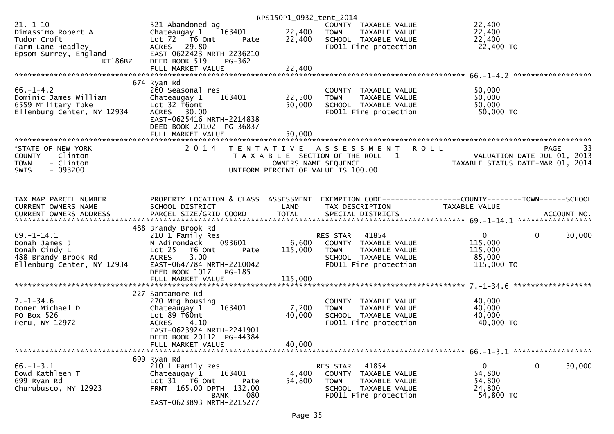|                            |                                                 | RPS150P1_0932_tent_2014 |                                       |                                                               |
|----------------------------|-------------------------------------------------|-------------------------|---------------------------------------|---------------------------------------------------------------|
| $21. - 1 - 10$             | 321 Abandoned ag                                |                         | COUNTY TAXABLE VALUE                  | 22,400                                                        |
| Dimassimo Robert A         | 163401<br>Chateaugay 1                          | 22,400                  | <b>TOWN</b><br>TAXABLE VALUE          | 22,400                                                        |
| Tudor Croft                | Lot $72$ T6 Omt<br>Pate                         | 22,400                  | SCHOOL TAXABLE VALUE                  | 22,400                                                        |
| Farm Lane Headley          | ACRES 29.80                                     |                         | FD011 Fire protection                 | 22,400 TO                                                     |
| Epsom Surrey, England      | EAST-0622423 NRTH-2236210                       |                         |                                       |                                                               |
| KT186BZ                    | DEED BOOK 519<br>PG-362                         |                         |                                       |                                                               |
|                            |                                                 |                         |                                       |                                                               |
|                            |                                                 |                         |                                       |                                                               |
|                            | 674 Ryan Rd                                     |                         |                                       |                                                               |
| $66. - 1 - 4.2$            | 260 Seasonal res                                |                         | COUNTY TAXABLE VALUE                  | 50,000                                                        |
| Dominic James William      | 163401                                          | 22,500                  | <b>TOWN</b><br>TAXABLE VALUE          | 50,000                                                        |
| 6559 Military Tpke         | Chateaugay 1<br>Lot 32 T6omt                    |                         |                                       | 50,000                                                        |
| Ellenburg Center, NY 12934 |                                                 | 50,000                  | SCHOOL TAXABLE VALUE                  | 50,000 TO                                                     |
|                            | ACRES 30.00                                     |                         | FD011 Fire protection                 |                                                               |
|                            | EAST-0625416 NRTH-2214838                       |                         |                                       |                                                               |
|                            | DEED BOOK 20102 PG-36837                        |                         |                                       |                                                               |
|                            |                                                 |                         |                                       |                                                               |
|                            |                                                 |                         |                                       |                                                               |
| <b>ISTATE OF NEW YORK</b>  | 2 0 1 4                                         |                         | TENTATIVE ASSESSMENT ROLL             | 33<br><b>PAGE</b>                                             |
| COUNTY - Clinton           |                                                 |                         | T A X A B L E SECTION OF THE ROLL - 1 | VALUATION DATE-JUL $01$ , 2013                                |
| - Clinton<br><b>TOWN</b>   |                                                 | OWNERS NAME SEQUENCE    |                                       | TAXABLE STATUS DATE-MAR 01, 2014                              |
| $-093200$<br><b>SWIS</b>   |                                                 |                         | UNIFORM PERCENT OF VALUE IS 100.00    |                                                               |
|                            |                                                 |                         |                                       |                                                               |
|                            |                                                 |                         |                                       |                                                               |
|                            |                                                 |                         |                                       |                                                               |
| TAX MAP PARCEL NUMBER      | PROPERTY LOCATION & CLASS ASSESSMENT            |                         |                                       | EXEMPTION CODE-----------------COUNTY--------TOWN------SCHOOL |
| CURRENT OWNERS NAME        | SCHOOL DISTRICT                                 | LAND                    | TAX DESCRIPTION                       | TAXABLE VALUE                                                 |
|                            |                                                 |                         |                                       |                                                               |
|                            |                                                 |                         |                                       |                                                               |
|                            | 488 Brandy Brook Rd                             |                         |                                       |                                                               |
| $69. - 1 - 14.1$           | 210 1 Family Res                                |                         | 41854<br>RES STAR                     | $\mathbf{0}$<br>$\mathbf{0}$<br>30,000                        |
| Donah James J              | N Adirondack<br>093601                          | 6,600                   | COUNTY TAXABLE VALUE                  | 115,000                                                       |
| Donah Cindy L              | Lot 25<br>T6 Omt<br>Pate                        | 115,000                 | TAXABLE VALUE<br><b>TOWN</b>          | 115,000                                                       |
| 488 Brandy Brook Rd        | 3.00<br><b>ACRES</b>                            |                         | SCHOOL TAXABLE VALUE                  | 85,000                                                        |
| Ellenburg Center, NY 12934 | EAST-0647784 NRTH-2210042                       |                         | FD011 Fire protection                 | 115,000 TO                                                    |
|                            | DEED BOOK 1017<br>PG-185                        |                         |                                       |                                                               |
|                            | FULL MARKET VALUE                               | 115,000                 |                                       |                                                               |
|                            |                                                 |                         |                                       |                                                               |
|                            | 227 Santamore Rd                                |                         |                                       |                                                               |
| $7. - 1 - 34.6$            | 270 Mfg housing                                 |                         | COUNTY TAXABLE VALUE                  | 40,000                                                        |
| Doner Michael D            | 163401<br>Chateaugay 1                          | 7,200                   | <b>TOWN</b><br>TAXABLE VALUE          | 40,000                                                        |
| PO Box 526                 | Lot $89$ T60mt                                  | 40,000                  | SCHOOL TAXABLE VALUE                  | 40,000                                                        |
| Peru, NY 12972             |                                                 |                         |                                       |                                                               |
|                            |                                                 |                         |                                       |                                                               |
|                            | <b>ACRES</b><br>4.10                            |                         | FD011 Fire protection                 | 40,000 TO                                                     |
|                            | EAST-0623924 NRTH-2241901                       |                         |                                       |                                                               |
|                            | DEED BOOK 20112 PG-44384                        |                         |                                       |                                                               |
|                            | FULL MARKET VALUE                               | 40,000                  |                                       |                                                               |
|                            |                                                 |                         |                                       |                                                               |
|                            | 699 Ryan Rd                                     |                         |                                       |                                                               |
| $66. - 1 - 3.1$            | 210 1 Family Res                                |                         | RES STAR<br>41854                     | $\mathbf 0$<br>30,000<br>$\mathbf{0}$                         |
| Dowd Kathleen T            | 163401<br>Chateaugay 1                          | 4,400                   | COUNTY TAXABLE VALUE                  | 54,800                                                        |
| 699 Ryan Rd                | Lot 31 T6 Omt<br>Pate                           | 54,800                  | <b>TOWN</b><br>TAXABLE VALUE          | 54,800                                                        |
| Churubusco, NY 12923       | FRNT 165.00 DPTH 132.00                         |                         | SCHOOL TAXABLE VALUE                  | 24,800                                                        |
|                            | 080<br><b>BANK</b><br>EAST-0623893 NRTH-2215277 |                         | FD011 Fire protection                 | 54,800 TO                                                     |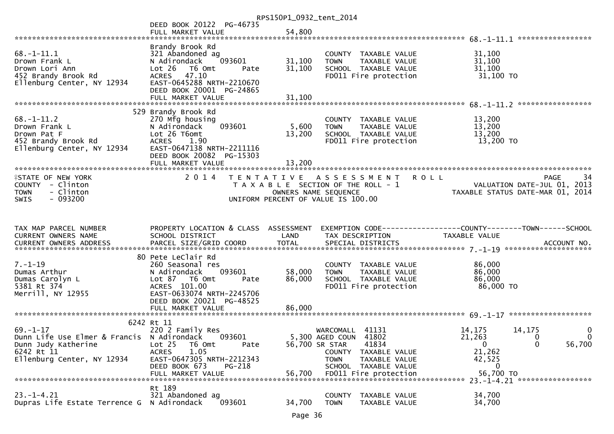|                                                                                                                                 |                                                                                                                                                                                      | RPS150P1_0932_tent_2014   |                                                                                                                                                                                 |                                                                                                                                                                 |
|---------------------------------------------------------------------------------------------------------------------------------|--------------------------------------------------------------------------------------------------------------------------------------------------------------------------------------|---------------------------|---------------------------------------------------------------------------------------------------------------------------------------------------------------------------------|-----------------------------------------------------------------------------------------------------------------------------------------------------------------|
|                                                                                                                                 | DEED BOOK 20122 PG-46735                                                                                                                                                             | 54,800                    |                                                                                                                                                                                 |                                                                                                                                                                 |
|                                                                                                                                 | FULL MARKET VALUE                                                                                                                                                                    |                           |                                                                                                                                                                                 |                                                                                                                                                                 |
| $68. - 1 - 11.1$<br>Drown Frank L<br>Drown Lori Ann<br>452 Brandy Brook Rd<br>Ellenburg Center, NY 12934                        | Brandy Brook Rd<br>321 Abandoned ag<br>093601<br>N Adirondack<br>Lot 26 T6 Omt<br>Pate<br>ACRES 47.10<br>EAST-0645288 NRTH-2210670<br>DEED BOOK 20001 PG-24865                       | 31,100<br>31,100          | COUNTY TAXABLE VALUE<br>TAXABLE VALUE<br><b>TOWN</b><br>SCHOOL TAXABLE VALUE<br>FD011 Fire protection                                                                           | 31,100<br>31,100<br>31,100<br>31,100 TO                                                                                                                         |
|                                                                                                                                 | 529 Brandy Brook Rd                                                                                                                                                                  |                           |                                                                                                                                                                                 |                                                                                                                                                                 |
| $68. - 1 - 11.2$<br>Drown Frank L<br>Drown Pat F<br>452 Brandy Brook Rd<br>Ellenburg Center, NY 12934                           | 270 Mfg housing<br>093601<br>N Adirondack<br>Lot 26 T6omt<br><b>ACRES</b><br>1.90<br>EAST-0647138 NRTH-2211116<br>DEED BOOK 20082 PG-15303<br>FULL MARKET VALUE                      | 5,600<br>13,200<br>13,200 | COUNTY TAXABLE VALUE<br><b>TOWN</b><br>TAXABLE VALUE<br>SCHOOL TAXABLE VALUE<br>FD011 Fire protection                                                                           | 13,200<br>13,200<br>13,200<br>13,200 TO                                                                                                                         |
|                                                                                                                                 |                                                                                                                                                                                      |                           |                                                                                                                                                                                 |                                                                                                                                                                 |
| <b>ISTATE OF NEW YORK</b><br>COUNTY - Clinton<br>- Clinton<br><b>TOWN</b><br>$-093200$<br><b>SWIS</b>                           |                                                                                                                                                                                      |                           | 2014 TENTATIVE ASSESSMENT ROLL<br>T A X A B L E SECTION OF THE ROLL - 1<br>OWNERS NAME SEQUENCE<br>UNIFORM PERCENT OF VALUE IS 100.00                                           | PAGE<br>34<br>VALUATION DATE-JUL 01, 2013<br>TAXABLE STATUS DATE-MAR 01, 2014                                                                                   |
| TAX MAP PARCEL NUMBER<br>CURRENT OWNERS NAME<br><b>CURRENT OWNERS ADDRESS</b>                                                   | PROPERTY LOCATION & CLASS ASSESSMENT<br>SCHOOL DISTRICT                                                                                                                              | LAND                      | TAX DESCRIPTION                                                                                                                                                                 | EXEMPTION CODE-----------------COUNTY--------TOWN------SCHOOL<br>TAXABLE VALUE                                                                                  |
|                                                                                                                                 |                                                                                                                                                                                      |                           |                                                                                                                                                                                 |                                                                                                                                                                 |
|                                                                                                                                 | 80 Pete LeClair Rd                                                                                                                                                                   |                           |                                                                                                                                                                                 |                                                                                                                                                                 |
| $7. - 1 - 19$<br>Dumas Arthur<br>Dumas Carolyn L<br>5381 Rt 374<br>Merrill, NY 12955                                            | 260 Seasonal res<br>093601<br>N Adirondack<br>Lot 87 T6 Omt<br>Pate<br>ACRES 101.00<br>EAST-0633074 NRTH-2245706<br>DEED BOOK 20021 PG-48525                                         | 58,000<br>86,000          | COUNTY TAXABLE VALUE<br><b>TOWN</b><br>TAXABLE VALUE<br>SCHOOL TAXABLE VALUE<br>FD011 Fire protection                                                                           | 86,000<br>86,000<br>86,000<br>86,000 TO                                                                                                                         |
|                                                                                                                                 |                                                                                                                                                                                      |                           |                                                                                                                                                                                 |                                                                                                                                                                 |
| $69. - 1 - 17$<br>Dunn Life Use Elmer & Francis N Adirondack<br>Dunn Judy Katherine<br>6242 Rt 11<br>Ellenburg Center, NY 12934 | 6242 Rt 11<br>220 2 Family Res<br>093601<br>Lot <sub>25</sub><br>T6 Omt<br>Pate<br>1.05<br><b>ACRES</b><br>EAST-0647305 NRTH-2212343<br>DEED BOOK 673<br>PG-218<br>FULL MARKET VALUE | 56,700                    | WARCOMALL 41131<br>5,300 AGED COUN 41802<br>56,700 SR STAR<br>41834<br>TAXABLE VALUE<br>COUNTY<br>TAXABLE VALUE<br><b>TOWN</b><br>SCHOOL TAXABLE VALUE<br>FD011 Fire protection | 14,175<br>0<br>14,175<br>$\Omega$<br>21,263<br>$\Omega$<br>$\mathbf{0}$<br>0<br>56,700<br>21,262<br>42,525<br>0<br>56,700 TO<br>23. -1-4. 21 ****************** |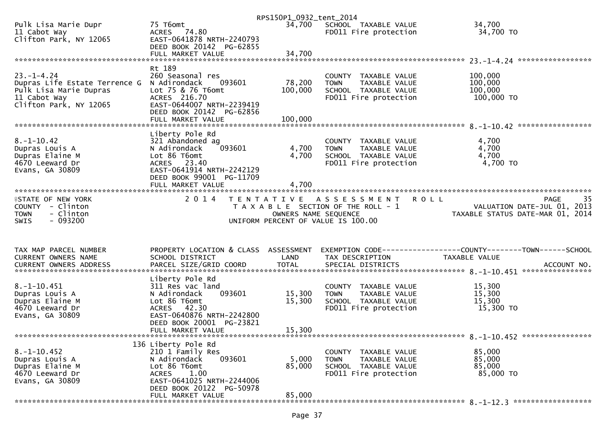|                                                                |                                                         | RPS150P1_0932_tent_2014 |                                                            |                                                                                      |
|----------------------------------------------------------------|---------------------------------------------------------|-------------------------|------------------------------------------------------------|--------------------------------------------------------------------------------------|
| Pulk Lisa Marie Dupr<br>11 Cabot Way<br>Clifton Park, NY 12065 | 75 T6omt<br>ACRES 74.80<br>EAST-0641878 NRTH-2240793    | 34,700                  | SCHOOL TAXABLE VALUE<br>FD011 Fire protection              | 34,700<br>34,700 TO                                                                  |
|                                                                | DEED BOOK 20142 PG-62855                                |                         |                                                            |                                                                                      |
|                                                                | FULL MARKET VALUE                                       | 34,700                  |                                                            |                                                                                      |
|                                                                | Rt 189                                                  |                         |                                                            |                                                                                      |
| $23. - 1 - 4.24$<br>Dupras Life Estate Terrence G              | 260 Seasonal res<br>N Adirondack<br>093601              | 78,200                  | COUNTY TAXABLE VALUE<br>TAXABLE VALUE<br><b>TOWN</b>       | 100,000<br>100,000                                                                   |
| Pulk Lisa Marie Dupras                                         | Lot 75 & 76 T6omt                                       | 100,000                 | SCHOOL TAXABLE VALUE                                       | 100,000                                                                              |
| 11 Cabot Way<br>Clifton Park, NY 12065                         | ACRES 216.70<br>EAST-0644007 NRTH-2239419               |                         | FD011 Fire protection                                      | 100,000 TO                                                                           |
|                                                                | DEED BOOK 20142 PG-62856                                |                         |                                                            |                                                                                      |
|                                                                | FULL MARKET VALUE                                       | 100,000                 |                                                            |                                                                                      |
|                                                                | Liberty Pole Rd                                         |                         |                                                            |                                                                                      |
| $8. - 1 - 10.42$<br>Dupras Louis A                             | 321 Abandoned ag<br>N Adirondack<br>093601              | 4,700                   | COUNTY TAXABLE VALUE<br>TAXABLE VALUE<br><b>TOWN</b>       | 4,700<br>4,700                                                                       |
| Dupras Elaine M                                                | Lot 86 T6omt                                            | 4,700                   | SCHOOL TAXABLE VALUE                                       | 4,700                                                                                |
| 4670 Leeward Dr<br>Evans, GA 30809                             | ACRES 23.40<br>EAST-0641914 NRTH-2242129                |                         | FD011 Fire protection                                      | 4,700 TO                                                                             |
|                                                                | DEED BOOK 99001 PG-11709                                |                         |                                                            |                                                                                      |
| ************************                                       |                                                         |                         |                                                            |                                                                                      |
| <b>ISTATE OF NEW YORK</b>                                      | 2 0 1 4                                                 |                         | TENTATIVE ASSESSMENT                                       | 35<br><b>ROLL</b><br><b>PAGE</b>                                                     |
| COUNTY - Clinton                                               |                                                         |                         | T A X A B L E SECTION OF THE ROLL - 1                      | VALUATION DATE-JUL 01, 2013                                                          |
|                                                                |                                                         |                         |                                                            |                                                                                      |
| - Clinton<br><b>TOWN</b><br><b>SWIS</b><br>- 093200            |                                                         |                         | OWNERS NAME SEQUENCE<br>UNIFORM PERCENT OF VALUE IS 100.00 | TAXABLE STATUS DATE-MAR 01, 2014                                                     |
|                                                                |                                                         |                         |                                                            |                                                                                      |
|                                                                |                                                         |                         |                                                            |                                                                                      |
| TAX MAP PARCEL NUMBER<br>CURRENT OWNERS NAME                   | PROPERTY LOCATION & CLASS ASSESSMENT<br>SCHOOL DISTRICT | LAND                    | TAX DESCRIPTION                                            | EXEMPTION        CODE-----------------COUNTY-------TOWN------SCHOOL<br>TAXABLE VALUE |
|                                                                |                                                         |                         |                                                            |                                                                                      |
|                                                                | Liberty Pole Rd                                         |                         |                                                            |                                                                                      |
| $8. -1 - 10.451$                                               | 311 Res vac land                                        |                         | COUNTY TAXABLE VALUE                                       | 15,300                                                                               |
| Dupras Louis A                                                 | 093601<br>N Adirondack                                  | 15,300                  | TAXABLE VALUE<br><b>TOWN</b>                               | 15,300                                                                               |
| Dupras Elaine M<br>4670 Leeward Dr                             | Lot 86 T6omt<br>42.30<br><b>ACRES</b>                   | 15,300                  | SCHOOL TAXABLE VALUE<br>FD011 Fire protection              | 15,300<br>15,300 TO                                                                  |
| Evans, GA 30809                                                | EAST-0640876 NRTH-2242800                               |                         |                                                            |                                                                                      |
|                                                                | DEED BOOK 20001 PG-23821<br>FULL MARKET VALUE           | 15,300                  |                                                            |                                                                                      |
|                                                                |                                                         |                         |                                                            |                                                                                      |
| $8. - 1 - 10.452$                                              | 136 Liberty Pole Rd<br>210 1 Family Res                 |                         | <b>COUNTY</b><br>TAXABLE VALUE                             | 85,000                                                                               |
| Dupras Louis A                                                 | N Adirondack<br>093601                                  | 5,000                   | <b>TOWN</b><br>TAXABLE VALUE                               | 85,000                                                                               |
| Dupras Elaine M<br>4670 Leeward Dr                             | Lot 86 T6omt<br>1.00<br><b>ACRES</b>                    | 85,000                  | SCHOOL TAXABLE VALUE<br>FD011 Fire protection              | 85,000<br>85,000 TO                                                                  |
| Evans, GA 30809                                                | EAST-0641025 NRTH-2244006                               |                         |                                                            |                                                                                      |
|                                                                | DEED BOOK 20122 PG-50978<br>FULL MARKET VALUE           | 85,000                  |                                                            |                                                                                      |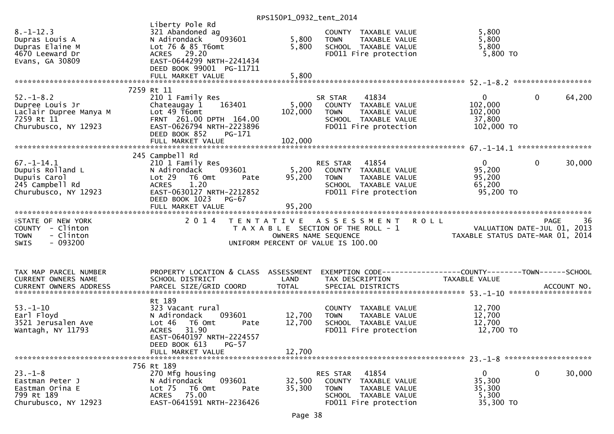|                                                                                                    |                                                                                                                                                            | 11.313011207322211122011 |                                                                                                                           |                                                                                                     |                        |
|----------------------------------------------------------------------------------------------------|------------------------------------------------------------------------------------------------------------------------------------------------------------|--------------------------|---------------------------------------------------------------------------------------------------------------------------|-----------------------------------------------------------------------------------------------------|------------------------|
| $8. - 1 - 12.3$<br>Dupras Louis A<br>Dupras Elaine M<br>4670 Leeward Dr<br>Evans, GA 30809         | Liberty Pole Rd<br>321 Abandoned ag<br>N Adirondack<br>093601<br>Lot 76 & 85 T6omt<br>ACRES 29.20<br>EAST-0644299 NRTH-2241434<br>DEED BOOK 99001 PG-11711 | 5,800<br>5,800           | COUNTY TAXABLE VALUE<br>TAXABLE VALUE<br><b>TOWN</b><br>SCHOOL TAXABLE VALUE<br>FD011 Fire protection                     | 5,800<br>5,800<br>5,800<br>$5,800$ TO                                                               |                        |
|                                                                                                    | FULL MARKET VALUE                                                                                                                                          | 5,800                    |                                                                                                                           |                                                                                                     |                        |
|                                                                                                    |                                                                                                                                                            |                          |                                                                                                                           |                                                                                                     |                        |
|                                                                                                    | 7259 Rt 11                                                                                                                                                 |                          |                                                                                                                           |                                                                                                     |                        |
| $52. - 1 - 8.2$<br>Dupree Louis Jr<br>Laclair Dupree Manya M<br>7259 Rt 11<br>Churubusco, NY 12923 | 210 1 Family Res<br>Chateaugay 1<br>163401<br>Lot 49 T6omt<br>FRNT 261.00 DPTH 164.00<br>EAST-0626794 NRTH-2223896                                         | 5,000<br>102,000         | 41834<br>SR STAR<br>COUNTY TAXABLE VALUE<br><b>TOWN</b><br>TAXABLE VALUE<br>SCHOOL TAXABLE VALUE<br>FD011 Fire protection | $\overline{0}$<br>102,000<br>102,000<br>37,800<br>102,000 TO                                        | $\mathbf{0}$<br>64,200 |
|                                                                                                    | DEED BOOK 852<br>PG-171                                                                                                                                    |                          |                                                                                                                           |                                                                                                     |                        |
|                                                                                                    |                                                                                                                                                            |                          |                                                                                                                           |                                                                                                     |                        |
|                                                                                                    |                                                                                                                                                            |                          |                                                                                                                           |                                                                                                     |                        |
|                                                                                                    | 245 Campbell Rd                                                                                                                                            |                          |                                                                                                                           |                                                                                                     |                        |
| $67. - 1 - 14.1$<br>Dupuis Rolland L<br>Dupuis Carol<br>245 Campbell Rd<br>Churubusco, NY 12923    | 210 1 Family Res<br>N Adirondack<br>093601<br>Lot 29<br>T6 Omt<br>Pate<br>1.20<br><b>ACRES</b><br>EAST-0630127 NRTH-2212852                                | 5,200<br>95,200          | RES STAR 41854<br>COUNTY TAXABLE VALUE<br>TAXABLE VALUE<br><b>TOWN</b><br>SCHOOL TAXABLE VALUE<br>FD011 Fire protection   | $\overline{0}$<br>95,200<br>95,200<br>65,200<br>95,200 TO                                           | $\mathbf{0}$<br>30,000 |
|                                                                                                    | DEED BOOK 1023<br>PG-67                                                                                                                                    |                          |                                                                                                                           |                                                                                                     |                        |
|                                                                                                    | FULL MARKET VALUE                                                                                                                                          | 95,200                   |                                                                                                                           |                                                                                                     |                        |
|                                                                                                    |                                                                                                                                                            |                          |                                                                                                                           |                                                                                                     |                        |
|                                                                                                    |                                                                                                                                                            |                          |                                                                                                                           |                                                                                                     |                        |
| <b>ISTATE OF NEW YORK</b>                                                                          | 2 0 1 4                                                                                                                                                    |                          | TENTATIVE ASSESSMENT<br><b>ROLL</b>                                                                                       |                                                                                                     | -36<br><b>PAGE</b>     |
| COUNTY - Clinton                                                                                   |                                                                                                                                                            |                          | T A X A B L E SECTION OF THE ROLL - 1                                                                                     |                                                                                                     |                        |
| - Clinton<br><b>TOWN</b>                                                                           |                                                                                                                                                            | OWNERS NAME SEQUENCE     |                                                                                                                           | VALUATION DATE-JUL 01, 2013<br>TAXARLE STATIIS DATE-MAR 01 2014<br>TAXABLE STATUS DATE-MAR 01, 2014 |                        |
| $-093200$<br>SWIS                                                                                  |                                                                                                                                                            |                          | UNIFORM PERCENT OF VALUE IS 100.00                                                                                        |                                                                                                     |                        |
|                                                                                                    |                                                                                                                                                            |                          |                                                                                                                           |                                                                                                     |                        |
|                                                                                                    |                                                                                                                                                            |                          |                                                                                                                           |                                                                                                     |                        |
|                                                                                                    |                                                                                                                                                            |                          |                                                                                                                           |                                                                                                     |                        |
| TAX MAP PARCEL NUMBER                                                                              | PROPERTY LOCATION & CLASS ASSESSMENT                                                                                                                       |                          |                                                                                                                           |                                                                                                     |                        |
| CURRENT OWNERS NAME                                                                                | SCHOOL DISTRICT                                                                                                                                            | LAND                     | TAX DESCRIPTION                                                                                                           | TAXABLE VALUE                                                                                       |                        |
|                                                                                                    |                                                                                                                                                            |                          |                                                                                                                           |                                                                                                     |                        |
|                                                                                                    |                                                                                                                                                            |                          |                                                                                                                           |                                                                                                     |                        |
|                                                                                                    | Rt 189                                                                                                                                                     |                          |                                                                                                                           |                                                                                                     |                        |
| $53. - 1 - 10$                                                                                     | 323 Vacant rural                                                                                                                                           |                          | COUNTY TAXABLE VALUE                                                                                                      | 12,700                                                                                              |                        |
| Earl Floyd                                                                                         | 093601<br>N Adirondack                                                                                                                                     | 12,700                   | TAXABLE VALUE<br><b>TOWN</b>                                                                                              | 12,700                                                                                              |                        |
| 3521 Jerusalen Ave                                                                                 | Lot 46<br>T6 Omt<br>Pate                                                                                                                                   | 12,700                   | SCHOOL TAXABLE VALUE                                                                                                      | 12,700                                                                                              |                        |
| Wantagh, NY 11793                                                                                  | 31.90<br><b>ACRES</b>                                                                                                                                      |                          | FD011 Fire protection                                                                                                     | 12,700 TO                                                                                           |                        |
|                                                                                                    | EAST-0640197 NRTH-2224557                                                                                                                                  |                          |                                                                                                                           |                                                                                                     |                        |
|                                                                                                    | DEED BOOK 613 PG-57                                                                                                                                        |                          |                                                                                                                           |                                                                                                     |                        |
|                                                                                                    | FULL MARKET VALUE                                                                                                                                          | 12,700                   |                                                                                                                           |                                                                                                     |                        |
|                                                                                                    |                                                                                                                                                            |                          |                                                                                                                           |                                                                                                     |                        |
|                                                                                                    | 756 Rt 189                                                                                                                                                 |                          |                                                                                                                           |                                                                                                     |                        |
| $23 - 1 - 8$                                                                                       | 270 Mfg housing                                                                                                                                            |                          | 41854<br>RES STAR                                                                                                         | 0                                                                                                   | 0<br>30,000            |
| Eastman Peter J                                                                                    | 093601<br>N Adirondack                                                                                                                                     | 32,500                   | COUNTY TAXABLE VALUE                                                                                                      | 35,300                                                                                              |                        |
| Eastman Orina E                                                                                    | Lot 75<br>T6 Omt<br>Pate                                                                                                                                   | 35,300                   | TAXABLE VALUE<br><b>TOWN</b>                                                                                              | 35,300                                                                                              |                        |
| 799 Rt 189<br>Churubusco, NY 12923                                                                 | 75.00<br>ACRES<br>EAST-0641591 NRTH-2236426                                                                                                                |                          | SCHOOL TAXABLE VALUE<br>FD011 Fire protection                                                                             | 5,300<br>35,300 TO                                                                                  |                        |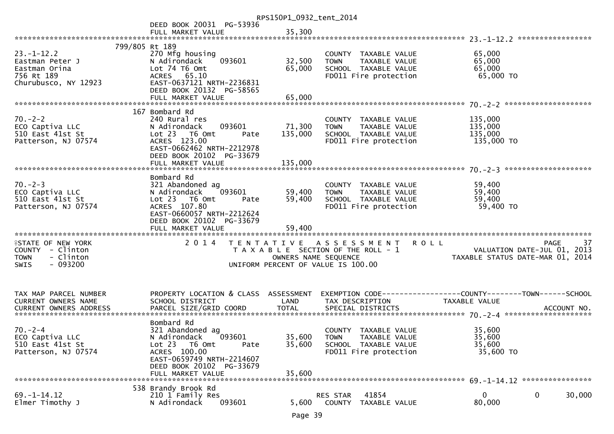|                                                                                                       |                                                                                                                                                                                   | RPS150P1_0932_tent_2014      |                                                                                                          |                                                                                              |
|-------------------------------------------------------------------------------------------------------|-----------------------------------------------------------------------------------------------------------------------------------------------------------------------------------|------------------------------|----------------------------------------------------------------------------------------------------------|----------------------------------------------------------------------------------------------|
|                                                                                                       | DEED BOOK 20031 PG-53936                                                                                                                                                          |                              |                                                                                                          |                                                                                              |
|                                                                                                       | FULL MARKET VALUE                                                                                                                                                                 | 35,300                       |                                                                                                          |                                                                                              |
| 799/805 Rt 189                                                                                        |                                                                                                                                                                                   |                              |                                                                                                          |                                                                                              |
| $23. - 1 - 12.2$<br>Eastman Peter J<br>Eastman Orina<br>756 Rt 189<br>Churubusco, NY 12923            | 270 Mfg housing<br>093601<br>N Adirondack<br>Lot 74 T6 Omt<br>ACRES 65.10<br>EAST-0637121 NRTH-2236831<br>DEED BOOK 20132 PG-58565                                                | 32,500<br>65,000             | COUNTY TAXABLE VALUE<br><b>TOWN</b><br>TAXABLE VALUE<br>SCHOOL TAXABLE VALUE<br>FD011 Fire protection    | 65,000<br>65,000<br>65,000<br>65,000 TO                                                      |
|                                                                                                       |                                                                                                                                                                                   |                              |                                                                                                          |                                                                                              |
| $70. - 2 - 2$<br>ECO Captiva LLC<br>510 East 41st St<br>Patterson, NJ 07574                           | 167 Bombard Rd<br>240 Rural res<br>093601<br>N Adirondack<br>Lot 23  T6 Omt<br>Pate<br>ACRES 123.00<br>EAST-0662462 NRTH-2212978<br>DEED BOOK 20102 PG-33679<br>FULL MARKET VALUE | 71,300<br>135,000<br>135,000 | COUNTY TAXABLE VALUE<br><b>TOWN</b><br>TAXABLE VALUE<br>SCHOOL TAXABLE VALUE<br>FD011 Fire protection    | 135,000<br>135,000<br>135,000<br>135,000 TO                                                  |
|                                                                                                       |                                                                                                                                                                                   |                              |                                                                                                          |                                                                                              |
| $70. - 2 - 3$<br>ECO Captiva LLC<br>510 East 41st St<br>Patterson, NJ 07574                           | Bombard Rd<br>321 Abandoned ag<br>093601<br>N Adirondack<br>Lot 23  T6 Omt<br>Pate<br>ACRES 107.80<br>EAST-0660057 NRTH-2212624<br>DEED BOOK 20102 PG-33679                       | 59,400<br>59,400             | COUNTY TAXABLE VALUE<br>TAXABLE VALUE<br><b>TOWN</b><br>SCHOOL TAXABLE VALUE<br>FD011 Fire protection    | 59,400<br>59,400<br>59,400<br>59,400 TO                                                      |
| <b>ISTATE OF NEW YORK</b><br>COUNTY - Clinton<br>- Clinton<br><b>TOWN</b><br>$-093200$<br><b>SWIS</b> |                                                                                                                                                                                   | OWNERS NAME SEQUENCE         | 2014 TENTATIVE ASSESSMENT<br>T A X A B L E SECTION OF THE ROLL - 1<br>UNIFORM PERCENT OF VALUE IS 100.00 | 37<br><b>ROLL</b><br>PAGE<br>VALUATION DATE-JUL 01, 2013<br>TAXABLE STATUS DATE-MAR 01, 2014 |
| TAX MAP PARCEL NUMBER<br>CURRENT OWNERS NAME                                                          | PROPERTY LOCATION & CLASS ASSESSMENT<br>SCHOOL DISTRICT                                                                                                                           | LAND                         | TAX DESCRIPTION                                                                                          | EXEMPTION CODE------------------COUNTY--------TOWN------SCHOOL<br>TAXABLE VALUE              |
| $70. - 2 - 4$<br>ECO Captiva LLC<br>510 East 41st St<br>Patterson, NJ 07574                           | Bombard Rd<br>321 Abandoned ag<br>093601<br>N Adirondack<br>Lot 23 T6 Omt<br>Pate<br>ACRES 100.00<br>EAST-0659749 NRTH-2214607<br>DEED BOOK 20102 PG-33679<br>FULL MARKET VALUE   | 35,600<br>35,600<br>35,600   | COUNTY TAXABLE VALUE<br><b>TOWN</b><br>TAXABLE VALUE<br>SCHOOL TAXABLE VALUE<br>FD011 Fire protection    | 35,600<br>35,600<br>35,600<br>35,600 TO                                                      |
|                                                                                                       | 538 Brandy Brook Rd                                                                                                                                                               |                              |                                                                                                          |                                                                                              |
| $69. - 1 - 14.12$<br>Elmer Timothy J                                                                  | 210 1 Family Res<br>093601<br>N Adirondack                                                                                                                                        | 5,600                        | 41854<br>RES STAR<br><b>COUNTY</b><br>TAXABLE VALUE                                                      | $\mathbf{0}$<br>0<br>30,000<br>80,000                                                        |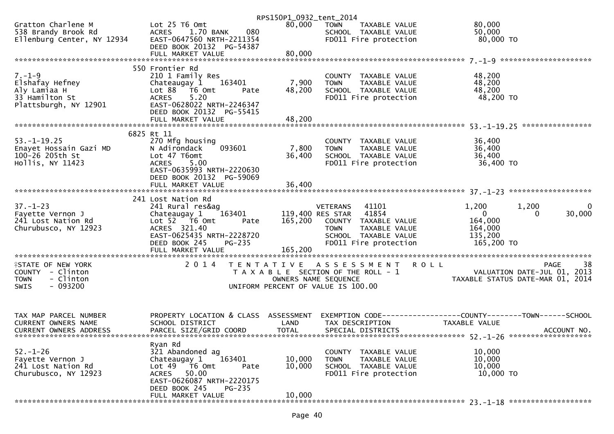|                                        |                                                      | RPS150P1_0932_tent_2014 |                                                         |                                                              |
|----------------------------------------|------------------------------------------------------|-------------------------|---------------------------------------------------------|--------------------------------------------------------------|
| Gratton Charlene M                     | Lot 25 T6 Omt                                        | 80,000                  | <b>TOWN</b><br>TAXABLE VALUE                            | 80,000                                                       |
| 538 Brandy Brook Rd                    | 080<br><b>ACRES</b><br>1.70 BANK                     |                         | SCHOOL TAXABLE VALUE                                    | 50,000                                                       |
| Ellenburg Center, NY 12934             | EAST-0647560 NRTH-2211354                            |                         | FD011 Fire protection                                   | 80,000 TO                                                    |
|                                        | DEED BOOK 20132 PG-54387                             |                         |                                                         |                                                              |
|                                        | FULL MARKET VALUE                                    | 80,000                  |                                                         |                                                              |
|                                        |                                                      |                         |                                                         |                                                              |
|                                        | 550 Frontier Rd                                      |                         |                                                         |                                                              |
| $7. - 1 - 9$                           | 210 1 Family Res                                     |                         | COUNTY TAXABLE VALUE                                    | 48,200                                                       |
| Elshafay Hefney                        | 163401<br>Chateaugay 1                               | 7,900                   | TAXABLE VALUE<br><b>TOWN</b>                            | 48,200                                                       |
| Aly Lamiaa H                           | Lot 88 T6 Omt<br>Pate                                | 48,200                  | SCHOOL TAXABLE VALUE                                    | 48,200                                                       |
| 33 Hamilton St                         | 5.20<br><b>ACRES</b>                                 |                         | FD011 Fire protection                                   | 48,200 TO                                                    |
| Plattsburgh, NY 12901                  | EAST-0628022 NRTH-2246347                            |                         |                                                         |                                                              |
|                                        | DEED BOOK 20132 PG-55415                             |                         |                                                         |                                                              |
|                                        |                                                      |                         |                                                         |                                                              |
|                                        |                                                      |                         |                                                         |                                                              |
|                                        | 6825 Rt 11                                           |                         |                                                         |                                                              |
| $53. - 1 - 19.25$                      | 270 Mfg housing                                      |                         | COUNTY TAXABLE VALUE                                    | 36,400                                                       |
| Enayet Hossain Gazi MD                 | N Adirondack<br>093601                               | 7,800                   | TAXABLE VALUE<br><b>TOWN</b>                            | 36,400                                                       |
| 100-26 205th St                        | Lot 47 T6omt                                         | 36,400                  | SCHOOL TAXABLE VALUE                                    | 36,400                                                       |
| Hollis, NY 11423                       | 5.00<br><b>ACRES</b>                                 |                         | FD011 Fire protection                                   | 36,400 TO                                                    |
|                                        | EAST-0635993 NRTH-2220630                            |                         |                                                         |                                                              |
|                                        | DEED BOOK 20132 PG-59069                             |                         |                                                         |                                                              |
|                                        |                                                      |                         |                                                         |                                                              |
|                                        |                                                      |                         |                                                         |                                                              |
|                                        | 241 Lost Nation Rd                                   |                         |                                                         |                                                              |
| $37. - 1 - 23$                         | 241 Rural res&ag                                     |                         | 41101<br>VETERANS                                       | 1,200<br>$\mathbf 0$<br>1,200                                |
|                                        | 163401<br>Chateaugay 1                               |                         | 119,400 RES STAR 41854                                  | $\overline{\mathbf{0}}$<br>30,000<br>0                       |
| Fayette Vernon J<br>241 Lost Nation Rd | Lot 52  T6 0mt                                       | 165,200                 |                                                         | 164,000                                                      |
|                                        | Pate<br>ACRES 321.40                                 |                         | COUNTY TAXABLE VALUE<br><b>TOWN</b><br>TAXABLE VALUE    |                                                              |
| Churubusco, NY 12923                   |                                                      |                         |                                                         | 164,000                                                      |
|                                        | EAST-0625435 NRTH-2228720                            |                         | SCHOOL TAXABLE VALUE                                    | 135,200                                                      |
|                                        | PG-235<br>DEED BOOK 245                              |                         | FD011 Fire protection                                   | 165,200 TO                                                   |
|                                        | FULL MARKET VALUE                                    | 165,200                 |                                                         |                                                              |
|                                        |                                                      |                         |                                                         |                                                              |
| <b>ISTATE OF NEW YORK</b>              | 2 0 1 4                                              | T E N T A T I V E       | A S S E S S M E N T                                     | <b>ROLL</b><br>38<br><b>PAGE</b>                             |
| COUNTY - Clinton                       |                                                      |                         | T A X A B L E SECTION OF THE ROLL - 1                   | VALUATION DATE-JUL 01, 2013                                  |
| - Clinton<br><b>TOWN</b>               |                                                      | OWNERS NAME SEQUENCE    |                                                         | TAXABLE STATUS DATE-MAR 01, 2014                             |
| $-093200$<br><b>SWIS</b>               |                                                      |                         | UNIFORM PERCENT OF VALUE IS 100.00                      |                                                              |
|                                        |                                                      |                         |                                                         |                                                              |
|                                        |                                                      |                         |                                                         |                                                              |
| TAX MAP PARCEL NUMBER                  | PROPERTY LOCATION & CLASS ASSESSMENT                 |                         |                                                         | EXEMPTION CODE-----------------COUNTY-------TOWN------SCHOOL |
| CURRENT OWNERS NAME                    | SCHOOL DISTRICT                                      | LAND                    | TAX DESCRIPTION                                         | TAXABLE VALUE                                                |
| <b>CURRENT OWNERS ADDRESS</b>          |                                                      | <b>TOTAL</b>            | SPECIAL DISTRICTS                                       |                                                              |
|                                        | PARCEL SIZE/GRID COORD                               |                         |                                                         | ACCOUNT NO.                                                  |
|                                        |                                                      |                         |                                                         |                                                              |
| $52 - 1 - 26$                          | Ryan Rd                                              |                         |                                                         |                                                              |
|                                        | 321 Abandoned ag<br>163401                           | 10,000                  | COUNTY<br>TAXABLE VALUE<br><b>TOWN</b><br>TAXABLE VALUE | 10,000<br>10,000                                             |
| Fayette Vernon J<br>241 Lost Nation Rd | Chateaugay 1<br>Lot $49$ $\overline{76}$ Omt<br>Pate | 10,000                  | SCHOOL TAXABLE VALUE                                    | 10,000                                                       |
| Churubusco, NY 12923                   | 50.00<br><b>ACRES</b>                                |                         | FD011 Fire protection                                   | 10,000 TO                                                    |
|                                        | EAST-0626087 NRTH-2220175                            |                         |                                                         |                                                              |
|                                        |                                                      |                         |                                                         |                                                              |
|                                        | DEED BOOK 245<br>$PG-235$                            | 10,000                  |                                                         |                                                              |
|                                        | FULL MARKET VALUE                                    |                         |                                                         |                                                              |
|                                        |                                                      |                         |                                                         |                                                              |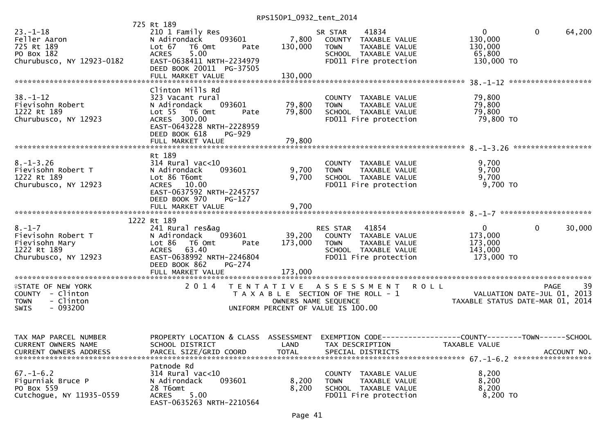|                           | 725 Rt 189                                        |                      |                                       |                                              |                   |
|---------------------------|---------------------------------------------------|----------------------|---------------------------------------|----------------------------------------------|-------------------|
| $23 - 1 - 18$             | 210 1 Family Res                                  |                      | 41834<br>SR STAR                      | $\mathbf{0}$<br>$\mathbf{0}$                 | 64,200            |
| Feller Aaron              | 093601<br>N Adirondack                            | 7,800                | COUNTY TAXABLE VALUE                  | 130,000                                      |                   |
| 725 Rt 189                | Lot 67 T6 Omt<br>Pate                             |                      | TAXABLE VALUE<br><b>TOWN</b>          | 130,000                                      |                   |
|                           |                                                   | 130,000              |                                       |                                              |                   |
| PO Box 182                | 5.00<br><b>ACRES</b>                              |                      | SCHOOL TAXABLE VALUE                  | 65,800                                       |                   |
| Churubusco, NY 12923-0182 | EAST-0638411 NRTH-2234979                         |                      | FD011 Fire protection                 | 130,000 TO                                   |                   |
|                           | DEED BOOK 20011 PG-37505                          |                      |                                       |                                              |                   |
|                           | FULL MARKET VALUE                                 | 130,000              |                                       |                                              |                   |
|                           |                                                   |                      |                                       |                                              |                   |
|                           | Clinton Mills Rd                                  |                      |                                       |                                              |                   |
| $38. - 1 - 12$            | 323 Vacant rural                                  |                      | COUNTY TAXABLE VALUE                  | 79,800                                       |                   |
|                           |                                                   |                      |                                       |                                              |                   |
| Fievisohn Robert          | 093601<br>N Adirondack                            | 79,800               | <b>TOWN</b><br>TAXABLE VALUE          | 79,800                                       |                   |
| 1222 Rt 189               | Lot 55 T6 Omt<br>Pate                             | 79,800               | SCHOOL TAXABLE VALUE                  | 79,800                                       |                   |
| Churubusco, NY 12923      | ACRES 300.00                                      |                      | FD011 Fire protection                 | 79,800 TO                                    |                   |
|                           | EAST-0643228 NRTH-2228959                         |                      |                                       |                                              |                   |
|                           | DEED BOOK 618<br>PG-929                           |                      |                                       |                                              |                   |
|                           |                                                   |                      |                                       |                                              |                   |
|                           |                                                   |                      |                                       |                                              |                   |
|                           | Rt 189                                            |                      |                                       |                                              |                   |
|                           |                                                   |                      |                                       |                                              |                   |
| $8. - 1 - 3.26$           | $314$ Rural vac<10                                |                      | COUNTY TAXABLE VALUE                  | 9,700                                        |                   |
| Fievisohn Robert T        | 093601<br>N Adirondack                            | 9,700                | <b>TOWN</b><br>TAXABLE VALUE          | 9,700                                        |                   |
| 1222 Rt 189               | Lot 86 T6omt                                      | 9,700                | SCHOOL TAXABLE VALUE                  | 9,700                                        |                   |
| Churubusco, NY 12923      | ACRES 10.00                                       |                      | FD011 Fire protection                 | 9,700 TO                                     |                   |
|                           | EAST-0637592 NRTH-2245757                         |                      |                                       |                                              |                   |
|                           | DEED BOOK 970<br>$PG-127$                         |                      |                                       |                                              |                   |
|                           | FULL MARKET VALUE                                 | 9,700                |                                       |                                              |                   |
|                           |                                                   |                      |                                       |                                              |                   |
|                           |                                                   |                      |                                       |                                              |                   |
|                           | 1222 Rt 189                                       |                      |                                       |                                              |                   |
| $8. - 1 - 7$              | 241 Rural res&ag                                  |                      | RES STAR<br>41854                     | $\mathbf 0$<br>$\overline{0}$                | 30,000            |
| Fievisohn Robert T        | 093601<br>N Adirondack                            |                      | 39,200 COUNTY TAXABLE VALUE           | 173,000                                      |                   |
| Fievisohn Mary            | Lot 86<br>T6 Omt<br>Pate                          | 173,000              | <b>TOWN</b><br>TAXABLE VALUE          | 173,000                                      |                   |
| 1222 Rt 189               | ACRES 63.40                                       |                      | SCHOOL TAXABLE VALUE                  | 143,000                                      |                   |
| Churubusco, NY 12923      | EAST-0638992 NRTH-2246804                         |                      | FD011 Fire protection                 | 173,000 TO                                   |                   |
|                           | DEED BOOK 862<br>PG-274                           |                      |                                       |                                              |                   |
|                           |                                                   |                      |                                       |                                              |                   |
|                           |                                                   |                      |                                       |                                              |                   |
|                           |                                                   |                      |                                       |                                              |                   |
| <b>ISTATE OF NEW YORK</b> |                                                   |                      |                                       |                                              |                   |
| COUNTY - Clinton          |                                                   |                      | 2014 TENTATIVE ASSESSMENT ROLL        |                                              | 39<br><b>PAGE</b> |
|                           |                                                   |                      | T A X A B L E SECTION OF THE ROLL - 1 |                                              |                   |
| <b>TOWN</b>               |                                                   |                      |                                       | VALUATION DATE-JUL 01, 2013                  |                   |
| - Clinton                 |                                                   | OWNERS NAME SEQUENCE |                                       | TAXABLE STATUS DATE-MAR 01, 2014             |                   |
| $-093200$<br>SWIS         |                                                   |                      | UNIFORM PERCENT OF VALUE IS 100.00    |                                              |                   |
|                           |                                                   |                      |                                       |                                              |                   |
|                           |                                                   |                      |                                       |                                              |                   |
|                           |                                                   |                      |                                       |                                              |                   |
| TAX MAP PARCEL NUMBER     | PROPERTY LOCATION & CLASS                         | ASSESSMENT           | EXEMPTION CODE--                      | --------------COUNTY--------TOWN------SCHOOL |                   |
| CURRENT OWNERS NAME       | SCHOOL DISTRICT                                   | LAND                 | TAX DESCRIPTION                       | TAXABLE VALUE                                |                   |
| CURRENT OWNERS ADDRESS    | PARCEL SIZE/GRID COORD                            | <b>TOTAL</b>         | SPECIAL DISTRICTS                     |                                              | ACCOUNT NO.       |
|                           |                                                   |                      |                                       |                                              |                   |
|                           | Patnode Rd                                        |                      |                                       |                                              |                   |
| $67. - 1 - 6.2$           |                                                   |                      |                                       |                                              |                   |
|                           | $314$ Rural vac<10                                |                      | COUNTY TAXABLE VALUE                  | 8,200                                        |                   |
| Figurniak Bruce P         | N Adirondack<br>093601                            | 8,200                | <b>TOWN</b><br>TAXABLE VALUE          | 8,200                                        |                   |
| PO Box 559                | 28 T6omt                                          | 8,200                | SCHOOL TAXABLE VALUE                  | 8,200                                        |                   |
| Cutchogue, NY 11935-0559  | 5.00<br><b>ACRES</b><br>EAST-0635263 NRTH-2210564 |                      | FD011 Fire protection                 | 8,200 TO                                     |                   |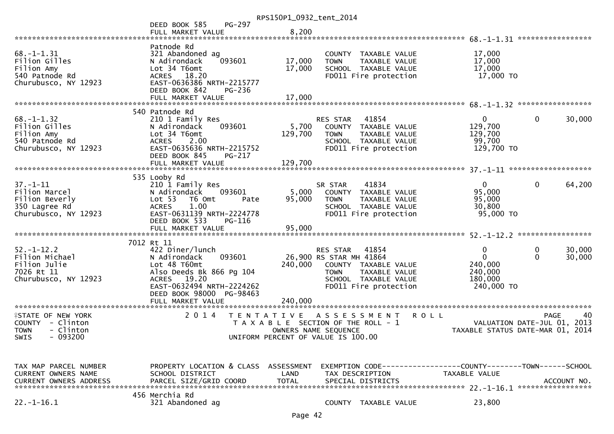|                                                                                                       |                                                                                                                                                                                    | RPS150P1_0932_tent_2014                                                                                                  |                                                    |                                                                                                 |                                                                               |               |                  |
|-------------------------------------------------------------------------------------------------------|------------------------------------------------------------------------------------------------------------------------------------------------------------------------------------|--------------------------------------------------------------------------------------------------------------------------|----------------------------------------------------|-------------------------------------------------------------------------------------------------|-------------------------------------------------------------------------------|---------------|------------------|
|                                                                                                       | PG-297<br>DEED BOOK 585                                                                                                                                                            |                                                                                                                          |                                                    |                                                                                                 |                                                                               |               |                  |
|                                                                                                       | FULL MARKET VALUE                                                                                                                                                                  | 8,200                                                                                                                    |                                                    |                                                                                                 |                                                                               |               |                  |
|                                                                                                       |                                                                                                                                                                                    |                                                                                                                          |                                                    |                                                                                                 |                                                                               |               |                  |
| $68. - 1 - 1.31$<br>Filion Gilles<br>Filion Amy<br>540 Patnode Rd<br>Churubusco, NY 12923             | Patnode Rd<br>321 Abandoned ag<br>093601<br>N Adirondack<br>Lot 34 T6omt<br>ACRES 18.20<br>EAST-0636386 NRTH-2215777<br>DEED BOOK 842<br>PG-236                                    | 17,000<br>17,000                                                                                                         | <b>TOWN</b>                                        | COUNTY TAXABLE VALUE<br>TAXABLE VALUE<br>SCHOOL TAXABLE VALUE<br>FD011 Fire protection          | 17,000<br>17,000<br>17,000<br>17,000 TO                                       |               |                  |
|                                                                                                       |                                                                                                                                                                                    |                                                                                                                          |                                                    |                                                                                                 |                                                                               |               |                  |
|                                                                                                       |                                                                                                                                                                                    |                                                                                                                          |                                                    |                                                                                                 |                                                                               |               |                  |
| $68. - 1 - 1.32$<br>Filion Gilles<br>Filion Amy<br>540 Patnode Rd<br>Churubusco, NY 12923             | 540 Patnode Rd<br>210 1 Family Res<br>093601<br>N Adirondack<br>Lot 34 T6omt<br><b>ACRES</b><br>2.00<br>EAST-0635636 NRTH-2215752<br>DEED BOOK 845<br>PG-217                       | 5,700<br>129,700                                                                                                         | <b>RES STAR</b><br><b>TOWN</b>                     | 41854<br>COUNTY TAXABLE VALUE<br>TAXABLE VALUE<br>SCHOOL TAXABLE VALUE<br>FD011 Fire protection | $\mathbf{0}$<br>129,700<br>129,700<br>99,700<br>129,700 TO                    | $\mathbf 0$   | 30,000           |
|                                                                                                       | FULL MARKET VALUE                                                                                                                                                                  | 129,700                                                                                                                  |                                                    |                                                                                                 |                                                                               |               |                  |
|                                                                                                       | 535 Looby Rd                                                                                                                                                                       |                                                                                                                          |                                                    |                                                                                                 |                                                                               |               |                  |
| $37. - 1 - 11$<br>Filion Marcel<br>Filion Beverly<br>350 Lagree Rd<br>Churubusco, NY 12923            | 210 1 Family Res<br>093601<br>N Adirondack<br>Lot 53<br>T6 Omt<br>Pate<br>1.00<br><b>ACRES</b><br>EAST-0631139 NRTH-2224778<br>DEED BOOK 533<br>PG-116                             | 5,000<br>95,000                                                                                                          | SR STAR<br><b>TOWN</b>                             | 41834<br>COUNTY TAXABLE VALUE<br>TAXABLE VALUE<br>SCHOOL TAXABLE VALUE<br>FD011 Fire protection | 0 <sup>1</sup><br>95,000<br>95,000<br>30,800<br>95,000 TO                     | $\mathbf 0$   | 64,200           |
|                                                                                                       |                                                                                                                                                                                    |                                                                                                                          |                                                    |                                                                                                 |                                                                               |               |                  |
|                                                                                                       |                                                                                                                                                                                    |                                                                                                                          |                                                    |                                                                                                 |                                                                               |               |                  |
|                                                                                                       | 7012 Rt 11                                                                                                                                                                         |                                                                                                                          |                                                    |                                                                                                 |                                                                               |               |                  |
| $52. - 1 - 12.2$<br>Filion Michael<br>Filion Julie<br>7026 Rt 11<br>Churubusco, NY 12923              | 422 Diner/lunch<br>N Adirondack<br>093601<br>Lot 48 T60mt<br>Also Deeds Bk 866 Pg 104<br>ACRES 19.20<br>EAST-0632494 NRTH-2224262<br>DEED BOOK 98000 PG-98463<br>FULL MARKET VALUE | 240,000<br>240,000                                                                                                       | RES STAR<br>26,900 RS STAR MH 41864<br><b>TOWN</b> | 41854<br>COUNTY TAXABLE VALUE<br>TAXABLE VALUE<br>SCHOOL TAXABLE VALUE<br>FD011 Fire protection | 0<br>$\mathbf 0$<br>240,000<br>240,000<br>180,000<br>240,000 TO               | 0<br>$\Omega$ | 30,000<br>30,000 |
|                                                                                                       |                                                                                                                                                                                    |                                                                                                                          |                                                    |                                                                                                 |                                                                               |               |                  |
| <b>FIRITE OF NEW YORK</b><br>COUNTY - Clinton<br><b>TOWN</b><br>- Clinton<br>$-093200$<br><b>SWIS</b> | 2 0 1 4                                                                                                                                                                            | T E N T A T I V E<br>T A X A B L E SECTION OF THE ROLL - 1<br>OWNERS NAME SEQUENCE<br>UNIFORM PERCENT OF VALUE IS 100.00 |                                                    | <b>ROLL</b><br>A S S E S S M E N T                                                              | VALUATION DATE-JUL 01, 2013<br>TAXABLE STATUS DATE-MAR 01, 2014               | <b>PAGE</b>   | 40               |
|                                                                                                       |                                                                                                                                                                                    |                                                                                                                          |                                                    |                                                                                                 |                                                                               |               |                  |
| TAX MAP PARCEL NUMBER<br><b>CURRENT OWNERS NAME</b><br><b>CURRENT OWNERS ADDRESS</b>                  | PROPERTY LOCATION & CLASS ASSESSMENT<br>SCHOOL DISTRICT<br>PARCEL SIZE/GRID COORD                                                                                                  | LAND<br><b>TOTAL</b>                                                                                                     | TAX DESCRIPTION                                    | SPECIAL DISTRICTS                                                                               | EXEMPTION CODE-----------------COUNTY-------TOWN------SCHOOL<br>TAXABLE VALUE |               | ACCOUNT NO.      |
| $22. - 1 - 16.1$                                                                                      | 456 Merchia Rd<br>321 Abandoned ag                                                                                                                                                 |                                                                                                                          |                                                    | COUNTY TAXABLE VALUE                                                                            | 23,800                                                                        |               |                  |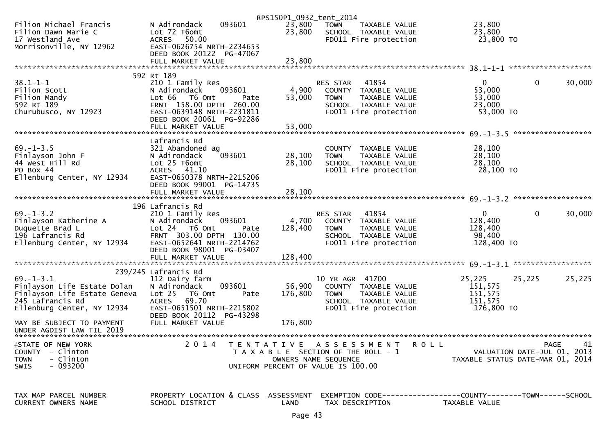|                                             |                                      | RPS150P1_0932_tent_2014 |                                       |                                                                |            |
|---------------------------------------------|--------------------------------------|-------------------------|---------------------------------------|----------------------------------------------------------------|------------|
| Filion Michael Francis                      | 093601<br>N Adirondack               | 23,800                  | <b>TOWN</b><br>TAXABLE VALUE          | 23,800                                                         |            |
| Filion Dawn Marie C                         | Lot 72 T6omt                         | 23,800                  | SCHOOL TAXABLE VALUE                  | 23,800                                                         |            |
| 17 Westland Ave                             | ACRES 50.00                          |                         | FD011 Fire protection                 | 23,800 TO                                                      |            |
| Morrisonville, NY 12962                     | EAST-0626754 NRTH-2234653            |                         |                                       |                                                                |            |
|                                             | DEED BOOK 20122 PG-47067             |                         |                                       |                                                                |            |
|                                             | FULL MARKET VALUE                    | 23,800                  |                                       |                                                                |            |
|                                             |                                      |                         |                                       |                                                                |            |
|                                             | 592 Rt 189                           |                         |                                       |                                                                |            |
| $38.1 - 1 - 1$                              | 210 1 Family Res                     |                         | RES STAR<br>41854                     | $\mathbf{0}$<br>$\overline{0}$                                 | 30,000     |
| Filion Scott                                | 093601<br>N Adirondack               | 4,900                   | COUNTY TAXABLE VALUE                  | 53,000                                                         |            |
| Filion Mandy                                | Lot 66 T6 Omt<br>Pate                | 53,000                  | <b>TOWN</b><br>TAXABLE VALUE          | 53,000                                                         |            |
| 592 Rt 189                                  | FRNT 158.00 DPTH 260.00              |                         | SCHOOL TAXABLE VALUE                  | 23,000                                                         |            |
| Churubusco, NY 12923                        | EAST-0639148 NRTH-2231811            |                         | FD011 Fire protection                 | 53,000 TO                                                      |            |
|                                             | DEED BOOK 20061 PG-92286             |                         |                                       |                                                                |            |
|                                             | FULL MARKET VALUE                    | 53,000                  |                                       |                                                                |            |
|                                             |                                      |                         |                                       |                                                                |            |
|                                             | Lafrancis Rd                         |                         |                                       |                                                                |            |
| $69. - 1 - 3.5$                             | 321 Abandoned ag                     |                         | COUNTY TAXABLE VALUE                  | 28,100                                                         |            |
| Finlayson John F                            | 093601                               | 28,100                  | <b>TOWN</b><br>TAXABLE VALUE          | 28,100                                                         |            |
| 44 West Hill Rd                             | N Adirondack<br>Lot 25 T6omt         | 28,100                  |                                       | 28,100                                                         |            |
| PO Box 44                                   |                                      |                         | SCHOOL TAXABLE VALUE                  |                                                                |            |
|                                             | ACRES 41.10                          |                         | FD011 Fire protection                 | 28,100 TO                                                      |            |
| Ellenburg Center, NY 12934                  | EAST-0650378 NRTH-2215206            |                         |                                       |                                                                |            |
|                                             | DEED BOOK 99001 PG-14735             |                         |                                       |                                                                |            |
|                                             | FULL MARKET VALUE                    | 28,100                  |                                       |                                                                |            |
|                                             |                                      |                         |                                       |                                                                |            |
|                                             | 196 Lafrancis Rd                     |                         |                                       |                                                                |            |
| $69. - 1 - 3.2$                             | 210 1 Family Res                     |                         | RES STAR<br>41854                     | $\mathbf{0}$<br>$\overline{0}$                                 | 30,000     |
| Finlayson Katherine A                       | 093601<br>N Adirondack               | 4,700                   | COUNTY TAXABLE VALUE                  | 128,400                                                        |            |
| Duquette Brad L                             | Lot 24 T6 Omt<br>Pate                | 128,400                 | <b>TOWN</b><br>TAXABLE VALUE          | 128,400                                                        |            |
| 196 Lafrancis Rd                            | FRNT 303.00 DPTH 130.00              |                         | SCHOOL TAXABLE VALUE                  | 98,400                                                         |            |
| Ellenburg Center, NY 12934                  | EAST-0652641 NRTH-2214762            |                         | FD011 Fire protection                 | 128,400 TO                                                     |            |
|                                             | DEED BOOK 98001 PG-03407             |                         |                                       |                                                                |            |
|                                             |                                      |                         |                                       |                                                                |            |
|                                             |                                      |                         |                                       |                                                                |            |
|                                             | 239/245 Lafrancis Rd                 |                         |                                       |                                                                |            |
| $69. - 1 - 3.1$                             | 112 Dairy farm                       |                         | 10 YR AGR 41700                       | 25,225<br>25,225                                               | 25,225     |
| Finlayson Life Estate Dolan                 | 093601<br>N Adirondack               | 56,900                  | COUNTY TAXABLE VALUE                  | 151,575                                                        |            |
| Finlayson Life Estate Geneva                | Lot <sub>25</sub><br>T6 Omt<br>Pate  | 176,800                 | <b>TOWN</b><br>TAXABLE VALUE          | 151,575                                                        |            |
| 245 Lafrancis Rd                            | <b>ACRES</b><br>69.70                |                         | SCHOOL TAXABLE VALUE                  | 151.575                                                        |            |
| Ellenburg Center, NY 12934                  | EAST-0651501 NRTH-2215802            |                         | FD011 Fire protection                 | 176,800 TO                                                     |            |
|                                             | DEED BOOK 20112 PG-43298             |                         |                                       |                                                                |            |
| MAY BE SUBJECT TO PAYMENT                   | FULL MARKET VALUE                    | 176,800                 |                                       |                                                                |            |
| UNDER AGDIST LAW TIL 2019                   |                                      |                         |                                       |                                                                |            |
|                                             |                                      |                         |                                       |                                                                |            |
| <b><i><del>I</del>STATE OF NEW YORK</i></b> | 2 0 1 4                              |                         | TENTATIVE ASSESSMENT<br><b>ROLL</b>   |                                                                | PAGE<br>41 |
| COUNTY - Clinton                            |                                      |                         | T A X A B L E SECTION OF THE ROLL - 1 | VALUATION DATE-JUL 01, 2013                                    |            |
| - Clinton<br><b>TOWN</b>                    |                                      |                         | OWNERS NAME SEQUENCE                  | TAXABLE STATUS DATE-MAR 01, 2014                               |            |
| $-093200$<br>SWIS                           |                                      |                         | UNIFORM PERCENT OF VALUE IS 100.00    |                                                                |            |
|                                             |                                      |                         |                                       |                                                                |            |
|                                             |                                      |                         |                                       |                                                                |            |
|                                             |                                      |                         |                                       |                                                                |            |
| TAX MAP PARCEL NUMBER                       | PROPERTY LOCATION & CLASS ASSESSMENT |                         |                                       | EXEMPTION CODE------------------COUNTY--------TOWN------SCHOOL |            |
| CURRENT OWNERS NAME                         | SCHOOL DISTRICT                      | LAND                    | TAX DESCRIPTION                       | TAXABLE VALUE                                                  |            |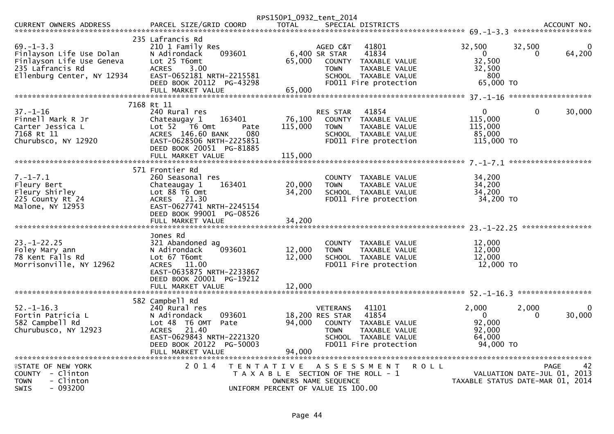|                                                                                                                            |                                                                                                                                                                                      | RPS150P1_0932_tent_2014      |                                                                                                                                                                                   |                                                                  |                                            |                    |
|----------------------------------------------------------------------------------------------------------------------------|--------------------------------------------------------------------------------------------------------------------------------------------------------------------------------------|------------------------------|-----------------------------------------------------------------------------------------------------------------------------------------------------------------------------------|------------------------------------------------------------------|--------------------------------------------|--------------------|
|                                                                                                                            |                                                                                                                                                                                      |                              |                                                                                                                                                                                   |                                                                  |                                            |                    |
| $69. - 1 - 3.3$<br>Finlayson Life Use Dolan<br>Finlayson Life Use Geneva<br>235 Lafrancis Rd<br>Ellenburg Center, NY 12934 | 235 Lafrancis Rd<br>210 1 Family Res<br>N Adirondack<br>093601<br>Lot 25 T6omt<br><b>ACRES</b><br>3.00<br>EAST-0652181 NRTH-2215581<br>DEED BOOK 20112 PG-43298<br>FULL MARKET VALUE | 65,000<br>65,000             | 41801<br>AGED C&T<br>6,400 SR STAR<br>41834<br>COUNTY<br>TAXABLE VALUE<br><b>TOWN</b><br>TAXABLE VALUE<br>SCHOOL TAXABLE VALUE<br>FD011 Fire protection                           | 32,500<br>$\overline{0}$<br>32,500<br>32,500<br>800<br>65,000 TO | 32,500<br>0                                | 0<br>64,200        |
|                                                                                                                            | 7168 Rt 11                                                                                                                                                                           |                              |                                                                                                                                                                                   |                                                                  |                                            |                    |
| $37. - 1 - 16$<br>Finnell Mark R Jr<br>Carter Jessica L<br>7168 Rt 11<br>Churubsco, NY 12920                               | 240 Rural res<br>Chateaugay 1<br>163401<br>Lot 52  T6 Omt<br>Pate<br>ACRES 146.60 BANK<br>080<br>EAST-0628506 NRTH-2225851<br>DEED BOOK 20051 PG-81885<br>FULL MARKET VALUE          | 76,100<br>115,000<br>115,000 | 41854<br>RES STAR<br>COUNTY TAXABLE VALUE<br><b>TOWN</b><br>TAXABLE VALUE<br>SCHOOL TAXABLE VALUE<br>FD011 Fire protection                                                        | $\mathbf{0}$<br>115,000<br>115,000<br>85,000<br>115,000 TO       | $\mathbf 0$                                | 30,000             |
|                                                                                                                            | 571 Frontier Rd                                                                                                                                                                      |                              |                                                                                                                                                                                   |                                                                  |                                            |                    |
| $7. - 1 - 7.1$<br>Fleury Bert<br>Fleury Shirley<br>225 County Rt 24<br>Malone, NY 12953                                    | 260 Seasonal res<br>163401<br>Chateaugay 1<br>Lot $88$ T6 Omt<br>ACRES 21.30<br>EAST-0627741 NRTH-2245154<br>DEED BOOK 99001 PG-08526<br>FULL MARKET VALUE                           | 20,000<br>34,200<br>34,200   | COUNTY TAXABLE VALUE<br>TAXABLE VALUE<br><b>TOWN</b><br>SCHOOL TAXABLE VALUE<br>FD011 Fire protection                                                                             | 34,200<br>34,200<br>34,200<br>34,200 TO                          |                                            |                    |
|                                                                                                                            |                                                                                                                                                                                      |                              |                                                                                                                                                                                   |                                                                  |                                            | ****************   |
| $23. - 1 - 22.25$<br>Foley Mary ann<br>78 Kent Falls Rd<br>Morrisonville, NY 12962                                         | Jones Rd<br>321 Abandoned ag<br>093601<br>N Adirondack<br>Lot 67 T6omt<br>ACRES 11.00<br>EAST-0635875 NRTH-2233867<br>DEED BOOK 20001 PG-19212                                       | 12,000<br>12,000             | COUNTY TAXABLE VALUE<br>TAXABLE VALUE<br><b>TOWN</b><br>SCHOOL TAXABLE VALUE<br>FD011 Fire protection                                                                             | 12,000<br>12,000<br>12,000<br>12,000 TO                          |                                            |                    |
|                                                                                                                            |                                                                                                                                                                                      |                              |                                                                                                                                                                                   |                                                                  |                                            | *****************  |
| $52. - 1 - 16.3$<br>Fortin Patricia L<br>582 Campbell Rd<br>Churubusco, NY 12923                                           | 582 Campbell Rd<br>240 Rural res<br>093601<br>N Adirondack<br>Lot 48 T6 OMT<br>Pate<br>21.40<br>ACRES<br>EAST-0629843 NRTH-2221320<br>DEED BOOK 20122 PG-50003<br>FULL MARKET VALUE  | 94,000<br>94,000             | 41101<br><b>VETERANS</b><br>18,200 RES STAR<br>41854<br>COUNTY<br>TAXABLE VALUE<br><b>TOWN</b><br><b>TAXABLE VALUE</b><br><b>SCHOOL</b><br>TAXABLE VALUE<br>FD011 Fire protection | 2,000<br>$\mathbf{0}$<br>92,000<br>92,000<br>64,000<br>94,000 TO | 2,000<br>0                                 | $\Omega$<br>30,000 |
| <b>ISTATE OF NEW YORK</b><br>COUNTY - Clinton<br><b>TOWN</b><br>- Clinton<br>$-093200$<br>SWIS                             | 2 0 1 4                                                                                                                                                                              |                              | TENTATIVE ASSESSMENT<br>T A X A B L E SECTION OF THE ROLL - 1<br>OWNERS NAME SEOUENCE<br>UNIFORM PERCENT OF VALUE IS 100.00                                                       | R O L L<br>TAXABLE STATUS DATE-MAR 01, 2014                      | <b>PAGE</b><br>VALUATION DATE-JUL 01, 2013 | 42                 |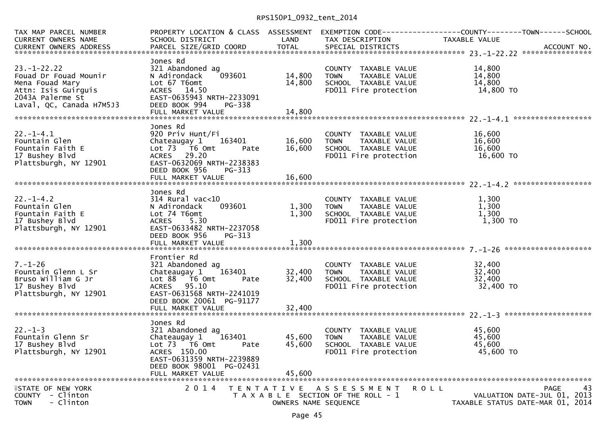| TAX MAP PARCEL NUMBER<br>CURRENT OWNERS NAME                                                                                        | SCHOOL DISTRICT<br><b>Example 12 DE LAND</b>                                                                                                                                |                            | TAX DESCRIPTION                                                                                                      | PROPERTY LOCATION & CLASS ASSESSMENT EXEMPTION CODE----------------COUNTY--------TOWN------SCHOOL<br>TAXABLE VALUE<br>CONNERS NOTE SENSITY OF THE CORD<br>CURRENT OWNERS ADDRESS PARCEL SIZE/GRID COORD TOTAL SPECIAL DISTRICTS ACCOUNT NO. |
|-------------------------------------------------------------------------------------------------------------------------------------|-----------------------------------------------------------------------------------------------------------------------------------------------------------------------------|----------------------------|----------------------------------------------------------------------------------------------------------------------|---------------------------------------------------------------------------------------------------------------------------------------------------------------------------------------------------------------------------------------------|
| $23 - 1 - 22.22$<br>Fouad Dr Fouad Mounir<br>Mena Fouad Mary<br>Attn: Isis Guirguis<br>2043A Palerme St<br>Laval, QC, Canada H7M5J3 | Jones Rd<br>321 Abandoned ag<br>093601<br>N Adirondack<br>Lot 67 T6omt<br>ACRES 14.50<br>EAST-0635943 NRTH-2233091<br>DEED BOOK 994<br>PG-338<br>FULL MARKET VALUE          | 14,800<br>14,800<br>14,800 | COUNTY TAXABLE VALUE<br><b>TOWN</b><br>TAXABLE VALUE<br>SCHOOL TAXABLE VALUE<br>FD011 Fire protection                | 14,800<br>14,800<br>14,800<br>14,800 TO                                                                                                                                                                                                     |
| $22. - 1 - 4.1$                                                                                                                     | Jones Rd<br>920 Priv Hunt/Fi                                                                                                                                                |                            | COUNTY TAXABLE VALUE                                                                                                 | 16,600                                                                                                                                                                                                                                      |
| Fountain Glen<br>Fountain Faith E<br>17 Bushey Blvd<br>Plattsburgh, NY 12901                                                        | 163401<br>Chateaugay 1<br>Lot 73  T6 Omt<br>Pate<br>ACRES 29.20<br>EAST-0632069 NRTH-2238383<br>DEED BOOK 956<br>PG-313                                                     | 16,600<br>16,600           | <b>TOWN</b><br>TAXABLE VALUE<br>TOWN IAANLLE<br>SCHOOL TAXABLE VALUE<br>In protection<br>FD011 Fire protection       | 16,600<br>16,600<br>16,600 TO                                                                                                                                                                                                               |
|                                                                                                                                     |                                                                                                                                                                             |                            |                                                                                                                      |                                                                                                                                                                                                                                             |
| $22. - 1 - 4.2$<br>Fountain Glen<br>Fountain Faith E<br>17 Bushey Blvd<br>Plattsburgh, NY 12901                                     | Jones Rd<br>$314$ Rural vac<10<br>093601<br>N Adirondack<br>Lot 74 T6omt<br><b>ACRES</b><br>5.30<br>EAST-0633482 NRTH-2237058<br>DEED BOOK 956<br>PG-313                    | 1,300<br>1,300             | COUNTY TAXABLE VALUE<br>TAXABLE VALUE<br><b>TOWN</b><br>TOWN LAARLE WALUE<br>SCHOOL TAXABLE VALUE<br>Time protection | 1,300<br>1,300<br>1,300<br>1,300 TO                                                                                                                                                                                                         |
|                                                                                                                                     | Frontier Rd                                                                                                                                                                 |                            |                                                                                                                      |                                                                                                                                                                                                                                             |
| $7. - 1 - 26$<br>Fountain Glenn L Sr<br>Bruso William G Jr<br>17 Bushey Blvd<br>Plattsburgh, NY 12901                               | 321 Abandoned ag<br>Chateaugay $1 \qquad 163401$<br>Lot 88 T6 Omt<br>Pate<br>ACRES 95.10<br>EAST-0631568 NRTH-2241019<br>DEED BOOK 20061 PG-91177                           | 32,400<br>32,400           | COUNTY TAXABLE VALUE<br><b>TOWN</b><br>TAXABLE VALUE<br>SCHOOL TAXABLE VALUE<br>FD011 Fire protection                | 32,400<br>32,400<br>32,400<br>32,400 TO                                                                                                                                                                                                     |
|                                                                                                                                     | FULL MARKET VALUE                                                                                                                                                           | 32,400                     |                                                                                                                      |                                                                                                                                                                                                                                             |
| $22. - 1 - 3$<br>Fountain Glenn Sr<br>17 Bushey Blvd<br>Plattsburgh, NY 12901                                                       | Jones Rd<br>321 Abandoned ag<br>Chateaugay 1 163401<br>Lot 73  T6 0mt<br>Pate<br>ACRES 150.00<br>EAST-0631359 NRTH-2239889<br>DEED BOOK 98001 PG-02431<br>FULL MARKET VALUE | 45,600<br>45,600<br>45,600 | COUNTY TAXABLE VALUE<br>TAXABLE VALUE<br><b>TOWN</b><br>SCHOOL TAXABLE VALUE<br>FD011 Fire protection                | 45,600<br>45,600<br>45,600<br>45,600 TO                                                                                                                                                                                                     |
| <b>ISTATE OF NEW YORK</b>                                                                                                           | 2 0 1 4                                                                                                                                                                     |                            | TENTATIVE ASSESSMENT                                                                                                 | PAGE<br>43<br>R O L L                                                                                                                                                                                                                       |
| COUNTY - Clinton<br>- Clinton<br><b>TOWN</b>                                                                                        |                                                                                                                                                                             | OWNERS NAME SEQUENCE       | T A X A B L E SECTION OF THE ROLL - 1                                                                                | VALUATION DATE-JUL 01, 2013<br>TAXABLE STATUS DATE-MAR 01, 2014                                                                                                                                                                             |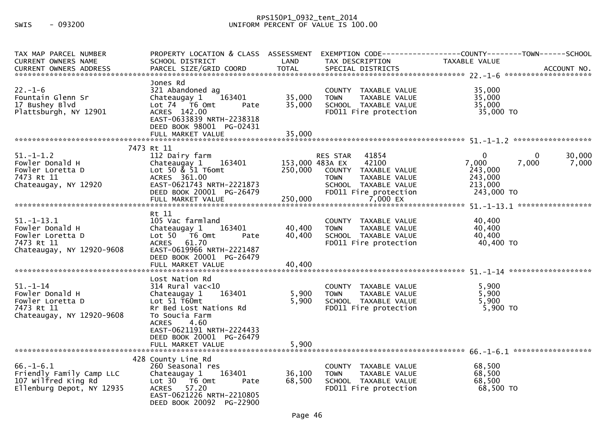## RPS150P1\_0932\_tent\_2014 SWIS - 093200 UNIFORM PERCENT OF VALUE IS 100.00

| TAX MAP PARCEL NUMBER<br><b>CURRENT OWNERS NAME</b>                                                | PROPERTY LOCATION & CLASS ASSESSMENT<br>SCHOOL DISTRICT                                                                                                                                      | LAND                       | TAX DESCRIPTION                                                                                                                                               | EXEMPTION        CODE-----------------COUNTY-------TOWN------SCHOOL<br>TAXABLE VALUE                  |
|----------------------------------------------------------------------------------------------------|----------------------------------------------------------------------------------------------------------------------------------------------------------------------------------------------|----------------------------|---------------------------------------------------------------------------------------------------------------------------------------------------------------|-------------------------------------------------------------------------------------------------------|
| $22. - 1 - 6$<br>Fountain Glenn Sr<br>17 Bushey Blvd<br>Plattsburgh, NY 12901                      | Jones Rd<br>321 Abandoned ag<br>Chateaugay 1<br>163401<br>Lot $74$ $\overline{76}$ Omt<br>Pate<br>ACRES 142.00<br>EAST-0633839 NRTH-2238318<br>DEED BOOK 98001 PG-02431<br>FULL MARKET VALUE | 35,000<br>35,000<br>35,000 | COUNTY TAXABLE VALUE<br>TAXABLE VALUE<br><b>TOWN</b><br>SCHOOL TAXABLE VALUE<br>FD011 Fire protection                                                         | 35,000<br>35,000<br>35,000<br>35,000 TO                                                               |
|                                                                                                    | 7473 Rt 11                                                                                                                                                                                   |                            |                                                                                                                                                               |                                                                                                       |
| $51. - 1 - 1.2$<br>Fowler Donald H<br>Fowler Loretta D<br>7473 Rt 11<br>Chateaugay, NY 12920       | 112 Dairy farm<br>163401<br>Chateaugay 1<br>Lot 50 $\&$ 51 T6omt<br>ACRES 361.00<br>EAST-0621743 NRTH-2221873<br>DEED BOOK 20001 PG-26479                                                    | 250,000                    | 41854<br><b>RES STAR</b><br>153,000 483A EX<br>42100<br>COUNTY TAXABLE VALUE<br><b>TOWN</b><br>TAXABLE VALUE<br>SCHOOL TAXABLE VALUE<br>FD011 Fire protection | $\mathbf{0}$<br>30,000<br>0<br>7,000<br>7,000<br>7,000<br>243,000<br>243,000<br>213,000<br>243,000 TO |
|                                                                                                    |                                                                                                                                                                                              |                            |                                                                                                                                                               |                                                                                                       |
| $51. - 1 - 13.1$<br>Fowler Donald H<br>Fowler Loretta D<br>7473 Rt 11<br>Chateaugay, NY 12920-9608 | Rt 11<br>105 Vac farmland<br>Chateaugay 1<br>163401<br>Lot $50$ $\overline{76}$ Omt<br>Pate<br><b>ACRES</b><br>61.70<br>EAST-0619966 NRTH-2221487<br>DEED BOOK 20001 PG-26479                | 40,400<br>40,400           | COUNTY TAXABLE VALUE<br><b>TOWN</b><br>TAXABLE VALUE<br>SCHOOL TAXABLE VALUE<br>FD011 Fire protection                                                         | 40,400<br>40,400<br>40,400<br>40,400 TO                                                               |
|                                                                                                    | Lost Nation Rd                                                                                                                                                                               |                            |                                                                                                                                                               |                                                                                                       |
| $51 - 1 - 14$<br>Fowler Donald H<br>Fowler Loretta D<br>7473 Rt 11<br>Chateaugay, NY 12920-9608    | $314$ Rural vac<10<br>163401<br>Chateaugay 1<br>Lot $51$ T60mt<br>Rr Bed Lost Nations Rd<br>To Soucia Farm<br><b>ACRES</b><br>4.60<br>EAST-0621191 NRTH-2224433<br>DEED BOOK 20001 PG-26479  | 5,900<br>5,900             | COUNTY TAXABLE VALUE<br>TAXABLE VALUE<br><b>TOWN</b><br>SCHOOL TAXABLE VALUE<br>FD011 Fire protection                                                         | 5,900<br>5,900<br>5,900<br>$5,900$ TO                                                                 |
|                                                                                                    | FULL MARKET VALUE                                                                                                                                                                            | 5,900                      |                                                                                                                                                               |                                                                                                       |
| $66. - 1 - 6.1$<br>Friendly Family Camp LLC<br>107 Wilfred King Rd<br>Ellenburg Depot, NY 12935    | 428 County Line Rd<br>260 Seasonal res<br>Chateaugay 1<br>163401<br>Lot 30 T6 Omt<br>Pate<br>57.20<br><b>ACRES</b><br>EAST-0621226 NRTH-2210805<br>DEED BOOK 20092 PG-22900                  | 36,100<br>68,500           | COUNTY TAXABLE VALUE<br>TAXABLE VALUE<br><b>TOWN</b><br>SCHOOL TAXABLE VALUE<br>FD011 Fire protection                                                         | 68,500<br>68,500<br>68,500<br>68,500 TO                                                               |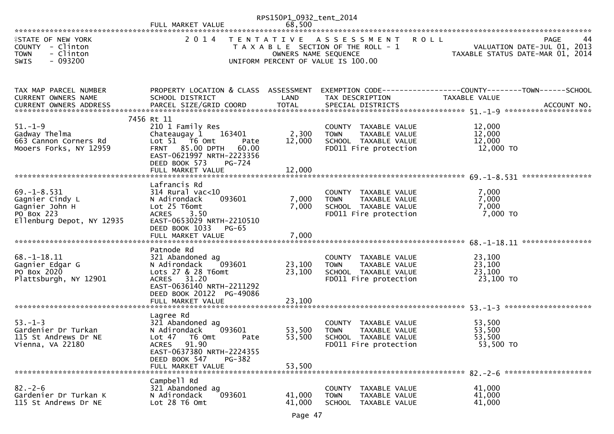|                                                                                                   | FULL MARKET VALUE                                                                                                                                                                                                | RPS150P1_0932_tent_2014<br>68,500 |                                                                                                                    |                                                                                      |
|---------------------------------------------------------------------------------------------------|------------------------------------------------------------------------------------------------------------------------------------------------------------------------------------------------------------------|-----------------------------------|--------------------------------------------------------------------------------------------------------------------|--------------------------------------------------------------------------------------|
| <b>ISTATE OF NEW YORK</b><br>COUNTY - Clinton<br><b>TOWN</b><br>- Clinton<br>$-093200$<br>SWIS    | 2 0 1 4                                                                                                                                                                                                          | OWNERS NAME SEQUENCE              | TENTATIVE ASSESSMENT<br><b>ROLL</b><br>T A X A B L E SECTION OF THE ROLL - 1<br>UNIFORM PERCENT OF VALUE IS 100.00 | <b>PAGE</b><br>44<br>VALUATION DATE-JUL 01, 2013<br>TAXABLE STATUS DATE-MAR 01, 2014 |
| TAX MAP PARCEL NUMBER<br><b>CURRENT OWNERS NAME</b>                                               | PROPERTY LOCATION & CLASS ASSESSMENT<br>SCHOOL DISTRICT                                                                                                                                                          | LAND                              | TAX DESCRIPTION                                                                                                    | EXEMPTION CODE------------------COUNTY--------TOWN------SCHOOL<br>TAXABLE VALUE      |
| $51. - 1 - 9$<br>Gadway Thelma<br>663 Cannon Corners Rd<br>Mooers Forks, NY 12959                 | 7456 Rt 11<br>210 1 Family Res<br>Chateaugay 1<br>163401<br>Lot $51$ $\overline{76}$ Omt<br>Pate<br><b>FRNT 85.00 DPTH</b><br>60.00<br>EAST-0621997 NRTH-2223356<br>DEED BOOK 573<br>PG-724<br>FULL MARKET VALUE | 2,300<br>12,000<br>12,000         | COUNTY TAXABLE VALUE<br>TAXABLE VALUE<br><b>TOWN</b><br>SCHOOL TAXABLE VALUE<br>FD011 Fire protection              | 12,000<br>12,000<br>12,000<br>12,000 TO                                              |
| $69. - 1 - 8.531$<br>Gagnier Cindy L<br>Gagnier John H<br>PO Box 223<br>Ellenburg Depot, NY 12935 | Lafrancis Rd<br>314 Rural vac<10<br>093601<br>N Adirondack<br>Lot 25 T6omt<br>3.50<br><b>ACRES</b><br>EAST-0653029 NRTH-2210510<br>DEED BOOK 1033<br><b>PG-65</b>                                                | 7,000<br>7,000                    | COUNTY TAXABLE VALUE<br>TAXABLE VALUE<br>TOWN<br>SCHOOL TAXABLE VALUE<br>FD011 Fire protection                     | 7,000<br>7,000<br>7,000<br>7,000 TO<br>****************                              |
| $68. - 1 - 18.11$<br>Gagnier Edgar G<br>PO Box 2020<br>Plattsburgh, NY 12901                      | Patnode Rd<br>321 Abandoned ag<br>N Adirondack<br>093601<br>Lots 27 & 28 T6omt<br>ACRES 31.20<br>EAST-0636140 NRTH-2211292<br>DEED BOOK 20122 PG-49086                                                           | 23,100<br>23,100                  | COUNTY TAXABLE VALUE<br><b>TOWN</b><br>TAXABLE VALUE<br>SCHOOL TAXABLE VALUE<br>FD011 Fire protection              | 23,100<br>23,100<br>23,100<br>23,100 TO                                              |
| $53. - 1 - 3$<br>Gardenier Dr Turkan<br>115 St Andrews Dr NE<br>Vienna, VA 22180                  | Lagree Rd<br>321 Abandoned ag<br>N Adirondack<br>093601<br>Lot 47 T6 Omt<br>Pate<br>ACRES 91.90<br>EAST-0637380 NRTH-2224355<br>DEED BOOK 547<br>PG-382<br>FULL MARKET VALUE                                     | 53,500<br>53,500<br>53,500        | COUNTY TAXABLE VALUE<br><b>TOWN</b><br>TAXABLE VALUE<br>SCHOOL TAXABLE VALUE<br>FD011 Fire protection              | 53,500<br>53,500<br>53,500<br>53,500 TO                                              |
| $82 - 2 - 6$<br>Gardenier Dr Turkan K<br>115 St Andrews Dr NE                                     | Campbell Rd<br>321 Abandoned ag<br>093601<br>N Adirondack<br>Lot $28$ T6 Omt                                                                                                                                     | 41,000<br>41,000                  | COUNTY TAXABLE VALUE<br><b>TOWN</b><br>TAXABLE VALUE<br><b>SCHOOL</b><br>TAXABLE VALUE                             | 41,000<br>41,000<br>41,000                                                           |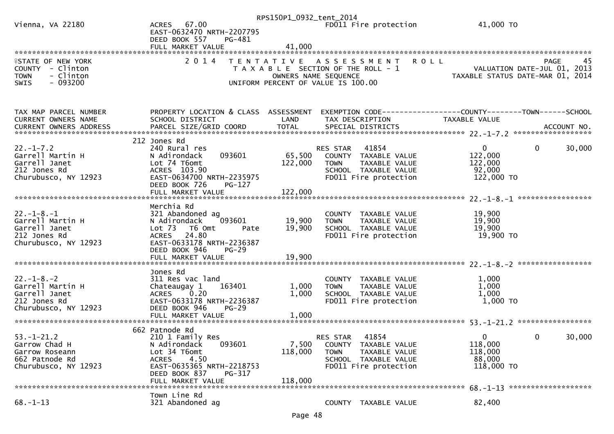|                                     |                                                        | RPS150P1_0932_tent_2014 |                                                      |                                                              |
|-------------------------------------|--------------------------------------------------------|-------------------------|------------------------------------------------------|--------------------------------------------------------------|
| Vienna, VA 22180                    | ACRES 67.00                                            |                         | FD011 Fire protection                                | 41,000 TO                                                    |
|                                     | EAST-0632470 NRTH-2207795                              |                         |                                                      |                                                              |
|                                     | DEED BOOK 557<br>PG-481                                |                         |                                                      |                                                              |
|                                     | FULL MARKET VALUE                                      | 41,000                  |                                                      |                                                              |
| <b>ISTATE OF NEW YORK</b>           | 2 0 1 4                                                |                         | TENTATIVE ASSESSMENT                                 | 45<br><b>ROLL</b><br>PAGE                                    |
| COUNTY - Clinton                    |                                                        |                         | T A X A B L E SECTION OF THE ROLL - 1                | VALUATION DATE-JUL 01, 2013                                  |
| <b>TOWN</b><br>- Clinton            |                                                        |                         | OWNERS NAME SEQUENCE                                 | TAXABLE STATUS DATE-MAR 01, 2014                             |
| $-093200$<br>SWIS                   |                                                        |                         | UNIFORM PERCENT OF VALUE IS 100.00                   |                                                              |
|                                     |                                                        |                         |                                                      |                                                              |
|                                     |                                                        |                         |                                                      |                                                              |
| TAX MAP PARCEL NUMBER               | PROPERTY LOCATION & CLASS ASSESSMENT                   |                         |                                                      | EXEMPTION CODE-----------------COUNTY-------TOWN------SCHOOL |
| CURRENT OWNERS NAME                 | SCHOOL DISTRICT                                        | LAND                    | TAX DESCRIPTION                                      | TAXABLE VALUE                                                |
| CURRENT OWNERS ADDRESS              |                                                        |                         |                                                      |                                                              |
|                                     |                                                        |                         |                                                      |                                                              |
|                                     | 212 Jones Rd                                           |                         |                                                      |                                                              |
| $22. - 1 - 7.2$<br>Garrell Martin H | 240 Rural res<br>093601<br>N Adirondack                | 65,500                  | RES STAR 41854<br>COUNTY TAXABLE VALUE               | $\mathbf 0$<br>30,000<br>$\mathbf{0}$<br>122,000             |
| Garrell Janet                       | Lot 74 T6omt                                           | 122,000                 | TAXABLE VALUE<br><b>TOWN</b>                         | 122,000                                                      |
| 212 Jones Rd                        | ACRES 103.90                                           |                         | SCHOOL TAXABLE VALUE                                 | 92,000                                                       |
| Churubusco, NY 12923                | EAST-0634700 NRTH-2235975                              |                         | FD011 Fire protection                                | 122,000 TO                                                   |
|                                     | DEED BOOK 726<br>PG-127                                |                         |                                                      |                                                              |
|                                     |                                                        |                         |                                                      |                                                              |
|                                     |                                                        |                         |                                                      |                                                              |
|                                     | Merchia Rd                                             |                         |                                                      |                                                              |
| $22. - 1 - 8. - 1$                  | 321 Abandoned ag                                       |                         | COUNTY TAXABLE VALUE                                 | 19,900                                                       |
| Garrell Martin H<br>Garrell Janet   | 093601<br>N Adirondack<br>$Lot$ $73$<br>T6 Omt<br>Pate | 19,900<br>19,900        | <b>TOWN</b><br>TAXABLE VALUE<br>SCHOOL TAXABLE VALUE | 19,900<br>19,900                                             |
| 212 Jones Rd                        | 24.80<br><b>ACRES</b>                                  |                         | FD011 Fire protection                                | 19,900 TO                                                    |
| Churubusco, NY 12923                | EAST-0633178 NRTH-2236387                              |                         |                                                      |                                                              |
|                                     | DEED BOOK 946<br>$PG-29$                               |                         |                                                      |                                                              |
|                                     | FULL MARKET VALUE                                      | 19,900                  |                                                      |                                                              |
|                                     |                                                        |                         |                                                      |                                                              |
|                                     | Jones Rd                                               |                         |                                                      |                                                              |
| $22. - 1 - 8. - 2$                  | 311 Res vac land                                       |                         | COUNTY TAXABLE VALUE                                 | 1,000                                                        |
| Garrell Martin H<br>Garrell Janet   | Chateaugay 1<br>163401<br>ACRES 0.20                   | 1,000<br>1,000          | TAXABLE VALUE<br><b>TOWN</b><br>SCHOOL TAXABLE VALUE | 1,000<br>1,000                                               |
| 212 Jones Rd                        | EAST-0633178 NRTH-2236387                              |                         | FD011 Fire protection                                | 1,000 TO                                                     |
| Churubusco, NY 12923                | DEED BOOK 946<br>$PG-29$                               |                         |                                                      |                                                              |
|                                     | FULL MARKET VALUE                                      | 1,000                   |                                                      |                                                              |
|                                     |                                                        |                         |                                                      |                                                              |
|                                     | 662 Patnode Rd                                         |                         |                                                      |                                                              |
| $53. - 1 - 21.2$                    | 210 1 Family Res                                       |                         | 41854<br>RES STAR                                    | $\mathbf{0}$<br>30,000<br>0                                  |
| Garrow Chad H                       | N Adirondack<br>093601                                 | 7,500                   | COUNTY TAXABLE VALUE                                 | 118,000                                                      |
| Garrow Roseann<br>662 Patnode Rd    | Lot 34 T6omt<br>ACRES<br>4.50                          | 118,000                 | <b>TOWN</b><br>TAXABLE VALUE<br>SCHOOL TAXABLE VALUE | 118,000<br>88,000                                            |
| Churubusco, NY 12923                | EAST-0635365 NRTH-2218753                              |                         | FD011 Fire protection                                | 118,000 TO                                                   |
|                                     | DEED BOOK 837<br>PG-317                                |                         |                                                      |                                                              |
|                                     | FULL MARKET VALUE                                      | 118,000                 |                                                      |                                                              |
|                                     |                                                        |                         |                                                      | 68. -1-13 *********************                              |
|                                     | Town Line Rd                                           |                         |                                                      |                                                              |
| $68. - 1 - 13$                      | 321 Abandoned ag                                       |                         | COUNTY TAXABLE VALUE                                 | 82,400                                                       |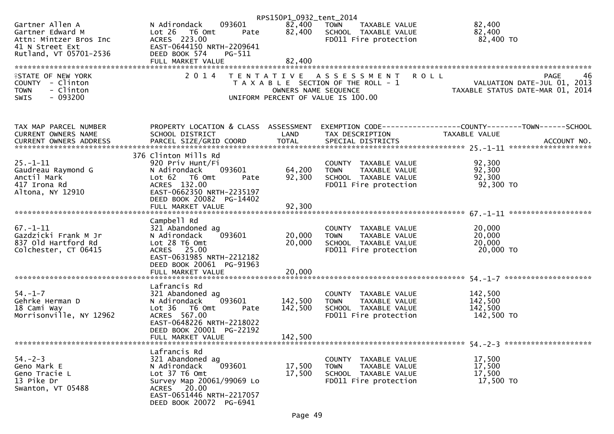|                                                                           |                                                                                     | RPS150P1_0932_tent_2014 |                                                                               |                                                                                                                             |
|---------------------------------------------------------------------------|-------------------------------------------------------------------------------------|-------------------------|-------------------------------------------------------------------------------|-----------------------------------------------------------------------------------------------------------------------------|
| Gartner Allen A<br>Gartner Edward M<br>Attn: Mintzer Bros Inc             | 093601<br>N Adirondack<br>Lot 26 76 Omt<br>ACRES 223.00<br>EAST-0644150 NPT<br>Pate | 82,400                  | 82,400 TOWN<br>TAXABLE VALUE<br>SCHOOL TAXABLE VALUE<br>FD011 Fire protection | 82,400<br>82,400<br>82,400 TO                                                                                               |
| 41 N Street Ext<br>Rutland, VT 05701-2536                                 | EAST-0644150 NRTH-2209641<br>DEED BOOK 574<br>PG-511                                |                         |                                                                               |                                                                                                                             |
|                                                                           | FULL MARKET VALUE                                                                   | 82,400                  |                                                                               |                                                                                                                             |
| <b>ISTATE OF NEW YORK</b><br>COUNTY - Clinton<br>- Clinton<br><b>TOWN</b> |                                                                                     |                         | 2014 TENTATIVE ASSESSMENT ROLL                                                | 46<br><b>PAGE</b><br>T A X A B L E SECTION OF THE ROLL - 1<br>T A X A B L E SECTION OF THE ROLL - 1<br>OWNERS NAME SEQUENCE |
| $-093200$<br>SWIS                                                         |                                                                                     |                         | UNIFORM PERCENT OF VALUE IS 100.00                                            |                                                                                                                             |
| TAX MAP PARCEL NUMBER                                                     |                                                                                     |                         |                                                                               | PROPERTY LOCATION & CLASS ASSESSMENT EXEMPTION CODE----------------COUNTY-------TOWN------SCHOOL                            |
| CURRENT OWNERS NAME                                                       | SCHOOL DISTRICT                                                                     | LAND                    | TAX DESCRIPTION                                                               | TAXABLE VALUE                                                                                                               |
|                                                                           | 376 Clinton Mills Rd                                                                |                         |                                                                               |                                                                                                                             |
| $25. - 1 - 11$                                                            | 920 Priv Hunt/Fi                                                                    |                         | COUNTY TAXABLE VALUE                                                          | 92,300                                                                                                                      |
| Gaudreau Raymond G<br>Anctil Mark                                         | N Adirondack<br>Lot 62 T6 Omt                                                       |                         |                                                                               | 92,300                                                                                                                      |
| 417 Irona Rd                                                              | ACRES 132.00                                                                        |                         |                                                                               | 92,300<br>92,300 TO                                                                                                         |
| Altona, NY 12910                                                          | EAST-0662350 NRTH-2235197<br>DEED BOOK 20082 PG-14402                               |                         |                                                                               |                                                                                                                             |
|                                                                           |                                                                                     |                         |                                                                               |                                                                                                                             |
|                                                                           | Campbell Rd                                                                         |                         |                                                                               |                                                                                                                             |
| $67. - 1 - 11$                                                            | 321 Abandoned ag                                                                    |                         | COUNTY TAXABLE VALUE                                                          | 20,000                                                                                                                      |
| Gazdzicki Frank M Jr<br>837 Old Hartford Rd                               | 093601<br>N Adirondack<br>Lot 28 T6 Omt                                             | 20,000<br>20,000        | <b>TOWN</b><br>TAXABLE VALUE<br>SCHOOL TAXABLE VALUE                          | 20,000<br>20,000                                                                                                            |
| Colchester, CT 06415                                                      | ACRES 25.00                                                                         |                         | FD011 Fire protection                                                         | 20,000 TO                                                                                                                   |
|                                                                           | EAST-0631985 NRTH-2212182<br>DEED BOOK 20061 PG-91963                               |                         |                                                                               |                                                                                                                             |
|                                                                           |                                                                                     |                         |                                                                               |                                                                                                                             |
|                                                                           |                                                                                     |                         |                                                                               |                                                                                                                             |
|                                                                           | Lafrancis Rd                                                                        |                         |                                                                               |                                                                                                                             |
| $54. - 1 - 7$<br>Gehrke Herman D                                          | 321 Abandoned ag<br>093601<br>N Adirondack                                          | 142,500                 | COUNTY TAXABLE VALUE<br><b>TOWN</b><br>TAXABLE VALUE                          | 142,500<br>142,500                                                                                                          |
| 18 Cami Way                                                               | Lot <sub>36</sub><br>T6 Omt<br>Pate                                                 | 142,500                 | SCHOOL TAXABLE VALUE                                                          | 142,500                                                                                                                     |
| Morrisonville, NY 12962                                                   | ACRES 567.00                                                                        |                         | FD011 Fire protection                                                         | 142,500 TO                                                                                                                  |
|                                                                           | EAST-0648226 NRTH-2218022                                                           |                         |                                                                               |                                                                                                                             |
|                                                                           | DEED BOOK 20001 PG-22192                                                            |                         |                                                                               |                                                                                                                             |
|                                                                           | FULL MARKET VALUE                                                                   | 142,500                 |                                                                               |                                                                                                                             |
|                                                                           | Lafrancis Rd                                                                        |                         |                                                                               |                                                                                                                             |
| $54. - 2 - 3$                                                             | 321 Abandoned ag                                                                    |                         | COUNTY TAXABLE VALUE                                                          | 17,500                                                                                                                      |
| Geno Mark E                                                               | 093601<br>N Adirondack                                                              | 17,500                  | <b>TOWN</b><br>TAXABLE VALUE                                                  | 17,500                                                                                                                      |
| Geno Tracie L<br>13 Pike Dr                                               | Lot 37 T6 Omt<br>Survey Map 20061/99069 Lo                                          | 17,500                  | SCHOOL TAXABLE VALUE<br>FD011 Fire protection                                 | 17,500<br>17,500 TO                                                                                                         |
| Swanton, VT 05488                                                         | ACRES 20.00<br>EAST-0651446 NRTH-2217057<br>DEED BOOK 20072 PG-6941                 |                         |                                                                               |                                                                                                                             |
|                                                                           |                                                                                     |                         |                                                                               |                                                                                                                             |
|                                                                           |                                                                                     |                         |                                                                               |                                                                                                                             |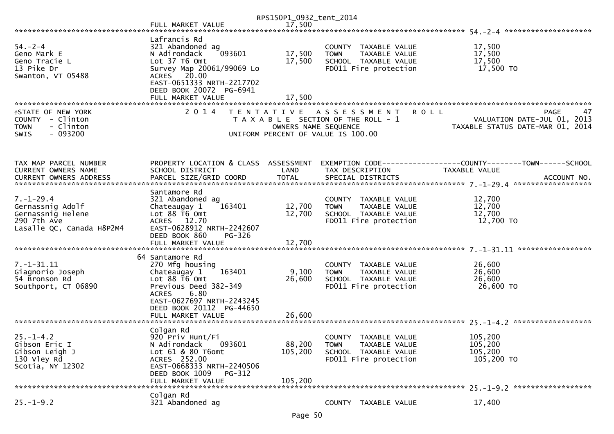| 17,500<br>FULL MARKET VALUE                                                                                                                                                                                                                                                                                                                                                                                                                                                |    |
|----------------------------------------------------------------------------------------------------------------------------------------------------------------------------------------------------------------------------------------------------------------------------------------------------------------------------------------------------------------------------------------------------------------------------------------------------------------------------|----|
|                                                                                                                                                                                                                                                                                                                                                                                                                                                                            |    |
| Lafrancis Rd<br>$54. - 2 - 4$<br>321 Abandoned ag<br>17,500<br>COUNTY TAXABLE VALUE<br>093601<br>17,500<br>17,500<br>N Adirondack<br>TAXABLE VALUE<br>Geno Mark E<br><b>TOWN</b><br>Lot 37 T6 Omt<br>17,500<br>SCHOOL TAXABLE VALUE<br>17,500<br>Geno Tracie L<br>17,500 TO<br>13 Pike Dr<br>FD011 Fire protection<br>Survey Map 20061/99069 Lo<br>ACRES 20.00<br>Swanton, VT 05488<br>EAST-0651333 NRTH-2217702<br>DEED BOOK 20072 PG-6941                                |    |
|                                                                                                                                                                                                                                                                                                                                                                                                                                                                            |    |
| 2 0 1 4<br><b>ISTATE OF NEW YORK</b><br>TENTATIVE ASSESSMENT<br><b>ROLL</b><br><b>PAGE</b><br>COUNTY - Clinton<br>T A X A B L E SECTION OF THE ROLL - 1<br>VALUATION DATE-JUL 01, 2013<br>- Clinton<br>OWNERS NAME SEQUENCE<br>TAXABLE STATUS DATE-MAR 01, 2014<br><b>TOWN</b><br>$-093200$<br><b>SWIS</b><br>UNIFORM PERCENT OF VALUE IS 100.00                                                                                                                           | 47 |
| PROPERTY LOCATION & CLASS ASSESSMENT<br>TAX MAP PARCEL NUMBER<br>EXEMPTION        CODE-----------------COUNTY-------TOWN------SCHOOL<br>CURRENT OWNERS NAME<br>SCHOOL DISTRICT<br>LAND<br>TAX DESCRIPTION<br>TAXABLE VALUE<br><b>TOTAL</b><br><b>CURRENT OWNERS ADDRESS</b><br>PARCEL SIZE/GRID COORD<br>SPECIAL DISTRICTS<br>ACCOUNT NO.                                                                                                                                  |    |
| Santamore Rd<br>$7. - 1 - 29.4$<br>12,700<br>321 Abandoned ag<br>COUNTY TAXABLE VALUE<br>163401<br>12,700<br>Gernassnig Adolf<br>12,700<br>TAXABLE VALUE<br>Chateaugay 1<br><b>TOWN</b><br>Lot 88 T6 Omt<br>12,700<br>12,700<br>Gernassnig Helene<br>SCHOOL TAXABLE VALUE<br>290 7th Ave<br>ACRES 12.70<br>12,700 TO<br>FD011 Fire protection<br>Lasalle QC, Canada H8P2M4<br>EAST-0628912 NRTH-2242607<br>DEED BOOK 860<br>PG-326<br>FULL MARKET VALUE<br>12,700          |    |
| 64 Santamore Rd<br>7. -1 - 31.11<br>270 Mfg housing<br>26,600<br>COUNTY TAXABLE VALUE<br>163401<br>9,100<br>26,600<br>Giagnorio Joseph<br>Chateaugay 1<br><b>TOWN</b><br>TAXABLE VALUE<br>26,600<br>54 Bronson Rd<br>Lot 88 T6 Omt<br>26,600<br>SCHOOL TAXABLE VALUE<br>26,600 TO<br>Southport, CT 06890<br>Previous Deed 382-349<br>FD011 Fire protection<br>6.80<br><b>ACRES</b><br>EAST-0627697 NRTH-2243245<br>DEED BOOK 20112 PG-44650<br>26,600<br>FULL MARKET VALUE |    |
| Colgan Rd<br>920 Priv Hunt/Fi<br>105,200<br>$25. - 1 - 4.2$<br><b>COUNTY</b><br>TAXABLE VALUE<br>88,200<br>105,200<br>Gibson Eric I<br>N Adirondack<br>093601<br><b>TOWN</b><br>TAXABLE VALUE<br>Gibson Leigh J<br>Lot 61 & 80 T6omt<br>105,200<br>105,200<br>SCHOOL TAXABLE VALUE<br>130 Vley Rd<br>ACRES 252.00<br>FD011 Fire protection<br>105,200 TO<br>Scotia, NY 12302<br>EAST-0668333 NRTH-2240506<br>DEED BOOK 1009<br>PG-312<br>105,200<br>FULL MARKET VALUE      |    |
| Colgan Rd<br>$25. - 1 - 9.2$<br>321 Abandoned ag<br>17,400<br>COUNTY TAXABLE VALUE                                                                                                                                                                                                                                                                                                                                                                                         |    |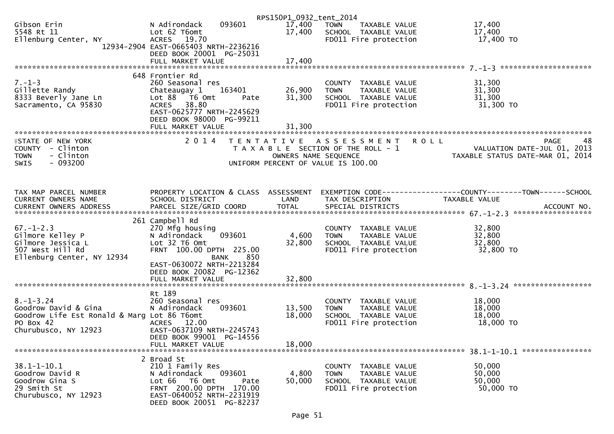|                                                                                                                             |                                                                                                                                                                                         | RPS150P1_0932_tent_2014 |                                                                                                               |                                                                                      |
|-----------------------------------------------------------------------------------------------------------------------------|-----------------------------------------------------------------------------------------------------------------------------------------------------------------------------------------|-------------------------|---------------------------------------------------------------------------------------------------------------|--------------------------------------------------------------------------------------|
| Gibson Erin<br>5548 Rt 11<br>Ellenburg Center, NY                                                                           | 093601<br>N Adirondack<br>Lot 62 T6omt<br>ACRES 19.70<br>12934-2904 EAST-0665403 NRTH-2236216                                                                                           | 17,400 TOWN<br>17,400   | TAXABLE VALUE<br>SCHOOL TAXABLE VALUE<br>FD011 Fire protection                                                | 17,400<br>17,400<br>17,400 TO                                                        |
|                                                                                                                             | DEED BOOK 20001 PG-25031<br>FULL MARKET VALUE                                                                                                                                           | 17,400                  |                                                                                                               |                                                                                      |
|                                                                                                                             | 648 Frontier Rd                                                                                                                                                                         |                         |                                                                                                               |                                                                                      |
| $7. - 1 - 3$<br>Gillette Randy<br>8333 Beverly Jane Ln<br>Sacramento, CA 95830                                              | 260 Seasonal res<br>163401<br>Chateaugay 1<br>Lot 88 T6 Omt<br>Pate<br>ACRES 38.80<br>EAST-0625777 NRTH-2245629<br>DEED BOOK 98000 PG-99211                                             | 26,900<br>31,300        | COUNTY TAXABLE VALUE<br>TAXABLE VALUE<br><b>TOWN</b><br>SCHOOL TAXABLE VALUE<br>FD011 Fire protection         | 31,300<br>31,300<br>31,300<br>$31,300$ TO                                            |
|                                                                                                                             | FULL MARKET VALUE                                                                                                                                                                       | 31,300                  |                                                                                                               |                                                                                      |
| <b>ISTATE OF NEW YORK</b><br>COUNTY - Clinton<br>- Clinton<br><b>TOWN</b><br>$-093200$<br><b>SWIS</b>                       |                                                                                                                                                                                         | OWNERS NAME SEQUENCE    | 2014 TENTATIVE ASSESSMENT ROLL<br>T A X A B L E SECTION OF THE ROLL - 1<br>UNIFORM PERCENT OF VALUE IS 100.00 | 48<br><b>PAGE</b><br>VALUATION DATE-JUL 01, 2013<br>TAXABLE STATUS DATE-MAR 01, 2014 |
| TAX MAP PARCEL NUMBER<br>CURRENT OWNERS NAME                                                                                | PROPERTY LOCATION & CLASS ASSESSMENT<br>SCHOOL DISTRICT                                                                                                                                 | LAND                    | TAX DESCRIPTION                                                                                               | EXEMPTION CODE-----------------COUNTY-------TOWN------SCHOOL<br>TAXABLE VALUE        |
| $67. - 1 - 2.3$<br>Gilmore Kelley P<br>Gilmore Jessica L<br>507 West Hill Rd<br>Ellenburg Center, NY 12934                  | 261 Campbell Rd<br>270 Mfg housing<br>093601<br>N Adirondack<br>Lot 32 T6 Omt<br>FRNT 100.00 DPTH 225.00<br><b>BANK</b><br>850<br>EAST-0630072 NRTH-2213284<br>DEED BOOK 20082 PG-12362 | 4,600<br>32,800         | COUNTY TAXABLE VALUE<br>TAXABLE VALUE<br><b>TOWN</b><br>SCHOOL TAXABLE VALUE<br>FD011 Fire protection         | 32,800<br>32,800<br>32,800<br>32,800 TO                                              |
|                                                                                                                             | FULL MARKET VALUE                                                                                                                                                                       | 32,800                  |                                                                                                               |                                                                                      |
| $8. - 1 - 3.24$<br>Goodrow David & Gina<br>Goodrow Life Est Ronald & Marg Lot 86 T6omt<br>PO Box 42<br>Churubusco, NY 12923 | Rt 189<br>260 Seasonal res<br>093601<br>N Adirondack<br>ACRES 12.00<br>EAST-0637109 NRTH-2245743<br>DEED BOOK 99001 PG-14556                                                            | 13,500<br>18,000        | COUNTY TAXABLE VALUE<br><b>TOWN</b><br>TAXABLE VALUE<br>SCHOOL TAXABLE VALUE<br>FD011 Fire protection         | 18,000<br>18,000<br>18,000<br>18,000 TO                                              |
|                                                                                                                             | FULL MARKET VALUE                                                                                                                                                                       | 18,000                  |                                                                                                               |                                                                                      |
| $38.1 - 1 - 10.1$<br>Goodrow David R<br>Goodrow Gina S<br>29 Smith St<br>Churubusco, NY 12923                               | 2 Broad St<br>210 1 Family Res<br>N Adirondack<br>093601<br>Lot 66 T6 Omt<br>Pate<br>FRNT 200.00 DPTH 170.00<br>EAST-0640052 NRTH-2231919<br>DEED BOOK 20051 PG-82237                   | 4,800<br>50,000         | COUNTY<br>TAXABLE VALUE<br><b>TOWN</b><br>TAXABLE VALUE<br>SCHOOL TAXABLE VALUE<br>FD011 Fire protection      | 50,000<br>50,000<br>50,000<br>50,000 TO                                              |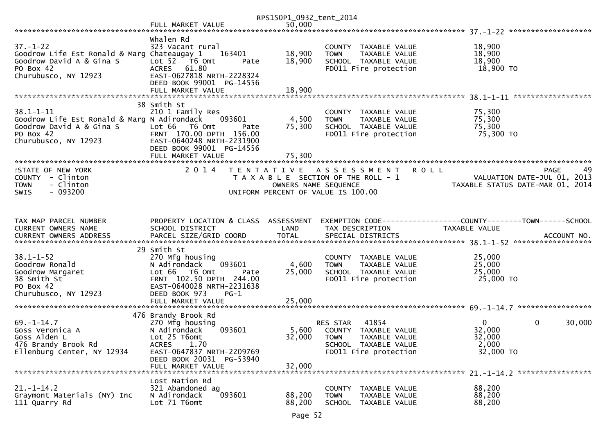|                                                                                                                                 |                                                                                                                                                                                            | RPS150P1_0932_tent_2014                   |                                                                                                                               |                                                                                 |        |
|---------------------------------------------------------------------------------------------------------------------------------|--------------------------------------------------------------------------------------------------------------------------------------------------------------------------------------------|-------------------------------------------|-------------------------------------------------------------------------------------------------------------------------------|---------------------------------------------------------------------------------|--------|
|                                                                                                                                 | FULL MARKET VALUE                                                                                                                                                                          | 50,000                                    |                                                                                                                               |                                                                                 |        |
| $37. - 1 - 22$<br>Goodrow Life Est Ronald & Marg Chateaugay 1<br>Goodrow David A & Gina S<br>PO Box 42<br>Churubusco, NY 12923  | Whalen Rd<br>323 Vacant rural<br>163401<br>Lot 52  T6 Omt<br>Pate<br>ACRES 61.80<br>EAST-0627818 NRTH-2228324<br>DEED BOOK 99001 PG-14556                                                  | 18,900<br>18,900                          | COUNTY TAXABLE VALUE<br><b>TOWN</b><br>TAXABLE VALUE<br>SCHOOL TAXABLE VALUE<br>FD011 Fire protection                         | 18,900<br>18,900<br>18,900<br>18,900 TO                                         |        |
|                                                                                                                                 | FULL MARKET VALUE                                                                                                                                                                          | 18,900                                    |                                                                                                                               |                                                                                 |        |
| $38.1 - 1 - 11$<br>Goodrow Life Est Ronald & Marg N Adirondack<br>Goodrow David A & Gina S<br>PO Box 42<br>Churubusco, NY 12923 | 38 Smith St<br>210 1 Family Res<br>093601<br>Lot 66 T6 Omt<br>Pate<br>FRNT 170.00 DPTH 156.00<br>EAST-0640248 NRTH-2231900<br>DEED BOOK 99001 PG-14556<br>FULL MARKET VALUE                | 4,500<br>75,300<br>75,300                 | COUNTY TAXABLE VALUE<br><b>TOWN</b><br>TAXABLE VALUE<br>SCHOOL TAXABLE VALUE<br>FD011 Fire protection                         | 75,300<br>75,300<br>75,300<br>75,300 TO                                         |        |
| <b>ISTATE OF NEW YORK</b><br>COUNTY - Clinton<br>- Clinton<br><b>TOWN</b><br>$-093200$<br><b>SWIS</b>                           | 2 0 1 4                                                                                                                                                                                    | T E N T A T I V E<br>OWNERS NAME SEQUENCE | <b>ROLL</b><br>A S S E S S M E N T<br>T A X A B L E SECTION OF THE ROLL - 1<br>UNIFORM PERCENT OF VALUE IS 100.00             | <b>PAGE</b><br>VALUATION DATE-JUL 01, 2013<br>TAXABLE STATUS DATE-MAR 01, 2014  | 49     |
| TAX MAP PARCEL NUMBER<br>CURRENT OWNERS NAME                                                                                    | PROPERTY LOCATION & CLASS ASSESSMENT<br>SCHOOL DISTRICT                                                                                                                                    | LAND<br><b>TOTAL</b>                      | TAX DESCRIPTION                                                                                                               | EXEMPTION CODE------------------COUNTY--------TOWN------SCHOOL<br>TAXABLE VALUE |        |
| $38.1 - 1 - 52$<br>Goodrow Ronald<br>Goodrow Margaret<br>38 Smith St<br>PO Box 42<br>Churubusco, NY 12923                       | 29 Smith St<br>270 Mfg housing<br>093601<br>N Adirondack<br>Lot 66  T6 0mt<br>Pate<br>FRNT 102.50 DPTH 244.00<br>EAST-0640028 NRTH-2231638<br>DEED BOOK 973<br>$PG-1$<br>FULL MARKET VALUE | 4,600<br>25,000<br>25,000                 | COUNTY TAXABLE VALUE<br>TAXABLE VALUE<br><b>TOWN</b><br>SCHOOL TAXABLE VALUE<br>FD011 Fire protection                         | 25,000<br>25,000<br>25,000<br>25,000 TO                                         |        |
| $69. - 1 - 14.7$<br>Goss Veronica A<br>Goss Alden L<br>476 Brandy Brook Rd<br>Ellenburg Center, NY 12934                        | 476 Brandy Brook Rd<br>270 Mfg housing<br>093601<br>N Adirondack<br>Lot 25 T6omt<br>1.70<br><b>ACRES</b><br>EAST-0647837 NRTH-2209769<br>DEED BOOK 20031 PG-53940<br>FULL MARKET VALUE     | 5,600<br>32,000<br>32,000                 | 41854<br>RES STAR<br>COUNTY<br>TAXABLE VALUE<br><b>TOWN</b><br>TAXABLE VALUE<br>SCHOOL TAXABLE VALUE<br>FD011 Fire protection | $\Omega$<br>0<br>32,000<br>32,000<br>2,000<br>32,000 TO                         | 30,000 |
| $21. - 1 - 14.2$<br>Graymont Materials (NY) Inc<br>111 Quarry Rd                                                                | Lost Nation Rd<br>321 Abandoned ag<br>093601<br>N Adirondack<br>Lot 71 T6omt                                                                                                               | 88,200<br>88,200                          | <b>COUNTY</b><br>TAXABLE VALUE<br>TAXABLE VALUE<br><b>TOWN</b><br><b>SCHOOL</b><br>TAXABLE VALUE                              | 88,200<br>88,200<br>88,200                                                      |        |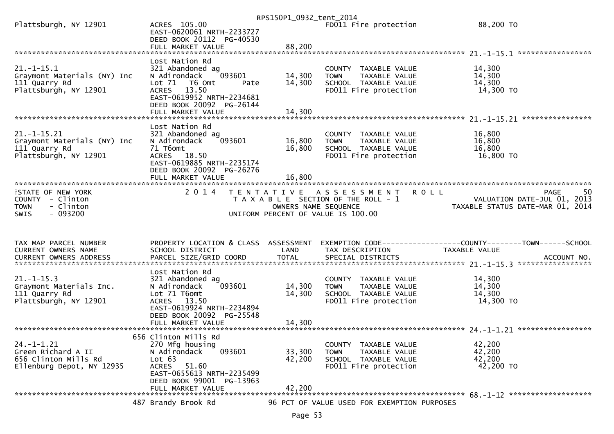|                                               |                                                                       | RPS150P1_0932_tent_2014 |                                                      |                                  |
|-----------------------------------------------|-----------------------------------------------------------------------|-------------------------|------------------------------------------------------|----------------------------------|
| Plattsburgh, NY 12901                         | ACRES 105.00<br>EAST-0620061 NRTH-2233727<br>DEED BOOK 20112 PG-40530 |                         | FD011 Fire protection                                | 88,200 TO                        |
|                                               | FULL MARKET VALUE                                                     | 88,200                  |                                                      |                                  |
|                                               |                                                                       |                         |                                                      |                                  |
| $21. - 1 - 15.1$                              | Lost Nation Rd<br>321 Abandoned ag                                    |                         | COUNTY TAXABLE VALUE                                 |                                  |
| Graymont Materials (NY) Inc                   | N Adirondack<br>093601                                                | 14,300                  | TAXABLE VALUE<br><b>TOWN</b>                         | 14,300<br>14,300                 |
| 111 Quarry Rd                                 | Lot 71<br>T6 Omt<br>Pate                                              | 14,300                  | SCHOOL TAXABLE VALUE                                 | 14,300                           |
| Plattsburgh, NY 12901                         | 13.50<br><b>ACRES</b><br>EAST-0619952 NRTH-2234681                    |                         | FD011 Fire protection                                | 14,300 TO                        |
|                                               | DEED BOOK 20092 PG-26144<br>FULL MARKET VALUE                         | 14,300                  |                                                      |                                  |
|                                               |                                                                       |                         |                                                      | ****************                 |
|                                               | Lost Nation Rd                                                        |                         |                                                      |                                  |
| $21. -1 - 15.21$                              | 321 Abandoned ag<br>093601                                            |                         | COUNTY TAXABLE VALUE                                 | 16,800                           |
| Graymont Materials (NY) Inc<br>111 Quarry Rd  | N Adirondack<br>71 T6omt                                              | 16,800<br>16,800        | TAXABLE VALUE<br><b>TOWN</b><br>SCHOOL TAXABLE VALUE | 16,800<br>16,800                 |
| Plattsburgh, NY 12901                         | ACRES 18.50                                                           |                         | FD011 Fire protection                                | 16,800 TO                        |
|                                               | EAST-0619885 NRTH-2235174                                             |                         |                                                      |                                  |
|                                               | DEED BOOK 20092 PG-26276                                              |                         |                                                      |                                  |
|                                               | FULL MARKET VALUE                                                     | 16,800                  |                                                      |                                  |
| <b>ISTATE OF NEW YORK</b>                     | 2 0 1 4                                                               | T E N T A T I V E       | A S S E S S M E N T<br><b>ROLL</b>                   | -50<br><b>PAGE</b>               |
| COUNTY - Clinton                              |                                                                       |                         | T A X A B L E SECTION OF THE ROLL - 1                | VALUATION DATE-JUL 01, 2013      |
| <b>TOWN</b><br>- Clinton                      |                                                                       | OWNERS NAME SEQUENCE    |                                                      | TAXABLE STATUS DATE-MAR 01, 2014 |
|                                               |                                                                       |                         |                                                      |                                  |
| $-093200$<br>SWIS                             |                                                                       |                         | UNIFORM PERCENT OF VALUE IS 100.00                   |                                  |
|                                               |                                                                       |                         |                                                      |                                  |
|                                               |                                                                       |                         |                                                      |                                  |
| TAX MAP PARCEL NUMBER                         | PROPERTY LOCATION & CLASS ASSESSMENT                                  |                         |                                                      |                                  |
| CURRENT OWNERS NAME<br>CURRENT OWNERS ADDRESS | SCHOOL DISTRICT<br>PARCEL SIZE/GRID COORD                             | LAND<br><b>TOTAL</b>    | TAX DESCRIPTION<br>SPECIAL DISTRICTS                 | TAXABLE VALUE<br>ACCOUNT NO.     |
|                                               |                                                                       |                         |                                                      |                                  |
|                                               | Lost Nation Rd                                                        |                         |                                                      |                                  |
| $21. - 1 - 15.3$                              | 321 Abandoned ag<br>093601                                            |                         | COUNTY TAXABLE VALUE<br><b>TOWN</b>                  | 14,300                           |
| Graymont Materials Inc.<br>111 Quarry Rd      | N Adirondack<br>Lot 71 T6omt                                          | 14,300<br>14,300        | TAXABLE VALUE<br>SCHOOL TAXABLE VALUE                | 14,300<br>14,300                 |
| Plattsburgh, NY 12901                         | 13.50<br><b>ACRES</b>                                                 |                         | FD011 Fire protection                                | 14,300 TO                        |
|                                               | EAST-0619924 NRTH-2234894                                             |                         |                                                      |                                  |
|                                               | DEED BOOK 20092 PG-25548                                              |                         |                                                      |                                  |
|                                               |                                                                       |                         |                                                      |                                  |
|                                               | 656 Clinton Mills Rd                                                  |                         |                                                      |                                  |
| $24. - 1 - 1.21$                              | 270 Mfg housing                                                       |                         | COUNTY TAXABLE VALUE                                 | 42,200                           |
| Green Richard A II                            | 093601<br>N Adirondack                                                | 33,300                  | <b>TOWN</b><br>TAXABLE VALUE                         | 42,200                           |
| 656 Clinton Mills Rd                          | Lot 63                                                                | 42,200                  | SCHOOL TAXABLE VALUE<br>FD011 Fire protection        | 42,200<br>42,200 TO              |
| Ellenburg Depot, NY 12935                     | ACRES 51.60<br>EAST-0655613 NRTH-2235499                              |                         |                                                      |                                  |
|                                               | DEED BOOK 99001 PG-13963                                              |                         |                                                      |                                  |
|                                               | FULL MARKET VALUE                                                     | 42,200                  |                                                      |                                  |
|                                               | 487 Brandy Brook Rd                                                   |                         | 96 PCT OF VALUE USED FOR EXEMPTION PURPOSES          |                                  |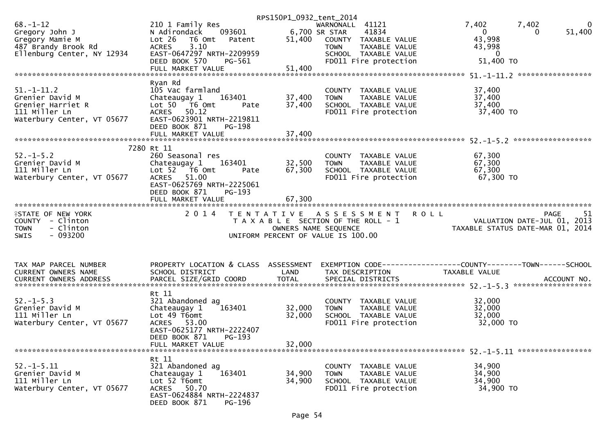|                               |                                                      | RPS150P1_0932_tent_2014 |                                       |                                                                                                  |
|-------------------------------|------------------------------------------------------|-------------------------|---------------------------------------|--------------------------------------------------------------------------------------------------|
| $68. - 1 - 12$                | 210 1 Family Res                                     |                         | WARNONALL 41121                       | 7,402<br>7,402<br>$\bf{0}$                                                                       |
| Gregory John J                | N Adirondack                                         |                         | 41834                                 | $\overline{0}$<br>51,400<br>0                                                                    |
|                               | Lot 26<br>T6 Omt                                     |                         |                                       | 43,998                                                                                           |
| Gregory Mamie M               | Patent                                               |                         | 51,400 COUNTY TAXABLE VALUE           |                                                                                                  |
| 487 Brandy Brook Rd           | 3.10<br><b>ACRES</b>                                 |                         | <b>TOWN</b><br>TAXABLE VALUE          | 43,998                                                                                           |
| Ellenburg Center, NY 12934    | EAST-0647297 NRTH-2209959                            |                         | SCHOOL TAXABLE VALUE                  | $\bf{0}$                                                                                         |
|                               | DEED BOOK 570<br>PG-561                              |                         | FD011 Fire protection                 | 51,400 TO                                                                                        |
|                               | FULL MARKET VALUE                                    | 51,400                  |                                       |                                                                                                  |
|                               |                                                      |                         |                                       |                                                                                                  |
|                               | Ryan Rd                                              |                         |                                       |                                                                                                  |
|                               |                                                      |                         |                                       |                                                                                                  |
| $51. - 1 - 11.2$              | 105 Vac farmland                                     |                         | COUNTY TAXABLE VALUE                  | 37,400                                                                                           |
| Grenier David M               | Chateaugay 1 163401                                  | 37,400                  | TAXABLE VALUE<br><b>TOWN</b>          | 37,400                                                                                           |
| Grenier Harriet R             | Lot $50$ $\overline{76}$ Omt<br>Pate                 | 37,400                  | SCHOOL TAXABLE VALUE                  | 37,400                                                                                           |
| 111 Miller Ln                 | ACRES 50.12                                          |                         | FD011 Fire protection                 | 37,400 TO                                                                                        |
| Waterbury Center, VT 05677    | EAST-0623901 NRTH-2219811                            |                         |                                       |                                                                                                  |
|                               | DEED BOOK 871<br>PG-198                              |                         |                                       |                                                                                                  |
|                               |                                                      |                         |                                       |                                                                                                  |
|                               |                                                      |                         |                                       |                                                                                                  |
|                               |                                                      |                         |                                       |                                                                                                  |
|                               | 7280 Rt 11                                           |                         |                                       |                                                                                                  |
| $52. - 1 - 5.2$               | 260 Seasonal res                                     |                         | COUNTY TAXABLE VALUE                  | 67,300                                                                                           |
| Grenier David M               | Chateaugay 1 163401                                  | 32,500                  | TAXABLE VALUE<br><b>TOWN</b>          | 67,300                                                                                           |
| 111 Miller Ln                 | Lot 52 76 0mt<br>Pate                                | 67,300                  | SCHOOL TAXABLE VALUE                  | 67,300                                                                                           |
| Waterbury Center, VT 05677    | ACRES 51.00                                          |                         | FD011 Fire protection                 | 67,300 TO                                                                                        |
|                               |                                                      |                         |                                       |                                                                                                  |
|                               | EAST-0625769 NRTH-2225061                            |                         |                                       |                                                                                                  |
|                               | DEED BOOK 871<br>PG-193                              |                         |                                       |                                                                                                  |
|                               | FULL MARKET VALUE                                    | 67,300                  |                                       |                                                                                                  |
|                               |                                                      |                         |                                       |                                                                                                  |
|                               |                                                      |                         |                                       |                                                                                                  |
|                               |                                                      |                         |                                       |                                                                                                  |
| <b>ISTATE OF NEW YORK</b>     |                                                      |                         | 2014 TENTATIVE ASSESSMENT ROLL        | <b>PAGE</b><br>51                                                                                |
| COUNTY - Clinton              |                                                      |                         | T A X A B L E SECTION OF THE ROLL - 1 |                                                                                                  |
| - Clinton<br><b>TOWN</b>      |                                                      | OWNERS NAME SEQUENCE    |                                       | VALUATION DATE-JUL 01, 2013<br>TAXABLE STATUS DATE-MAR 01, 2014                                  |
| $-093200$<br><b>SWIS</b>      |                                                      |                         | UNIFORM PERCENT OF VALUE IS 100.00    |                                                                                                  |
|                               |                                                      |                         |                                       |                                                                                                  |
|                               |                                                      |                         |                                       |                                                                                                  |
|                               |                                                      |                         |                                       |                                                                                                  |
| TAX MAP PARCEL NUMBER         |                                                      |                         |                                       | PROPERTY LOCATION & CLASS ASSESSMENT EXEMPTION CODE----------------COUNTY-------TOWN------SCHOOL |
| CURRENT OWNERS NAME           |                                                      | LAND                    |                                       | TAXABLE VALUE                                                                                    |
|                               | SCHOOL DISTRICT                                      |                         | TAX DESCRIPTION                       |                                                                                                  |
| <b>CURRENT OWNERS ADDRESS</b> | PARCEL SIZE/GRID COORD                               | <b>TOTAL</b>            | SPECIAL DISTRICTS                     | ACCOUNT NO.                                                                                      |
|                               |                                                      |                         |                                       |                                                                                                  |
|                               | Rt 11                                                |                         |                                       |                                                                                                  |
| $52. - 1 - 5.3$               | 321 Abandoned ag                                     |                         | COUNTY TAXABLE VALUE                  | 32,000                                                                                           |
| Grenier David M               | 163401<br>Chateaugay 1                               | 32,000                  | TAXABLE VALUE<br><b>TOWN</b>          | 32,000                                                                                           |
| 111 Miller Ln                 | Lot 49 T6omt                                         | 32,000                  | SCHOOL TAXABLE VALUE                  | 32,000                                                                                           |
| Waterbury Center, VT 05677    | ACRES 53.00                                          |                         | FD011 Fire protection                 | 32,000 TO                                                                                        |
|                               |                                                      |                         |                                       |                                                                                                  |
|                               | EAST-0625177 NRTH-2222407                            |                         |                                       |                                                                                                  |
|                               | DEED BOOK 871<br>PG-193                              |                         |                                       |                                                                                                  |
|                               | FULL MARKET VALUE                                    | 32,000                  |                                       |                                                                                                  |
|                               |                                                      |                         |                                       |                                                                                                  |
|                               | Rt 11                                                |                         |                                       |                                                                                                  |
| $52. - 1 - 5.11$              | 321 Abandoned ag                                     |                         | COUNTY TAXABLE VALUE                  | 34,900                                                                                           |
| Grenier David M               | 163401<br>Chateaugay 1                               | 34,900                  | <b>TOWN</b><br>TAXABLE VALUE          | 34,900                                                                                           |
| 111 Miller Ln                 | Lot 52 T6omt                                         |                         |                                       | 34,900                                                                                           |
|                               |                                                      | 34,900                  | SCHOOL TAXABLE VALUE                  |                                                                                                  |
| Waterbury Center, VT 05677    | ACRES 50.70                                          |                         | FD011 Fire protection                 | 34,900 TO                                                                                        |
|                               | EAST-0624884 NRTH-2224837<br>DEED BOOK 871<br>PG-196 |                         |                                       |                                                                                                  |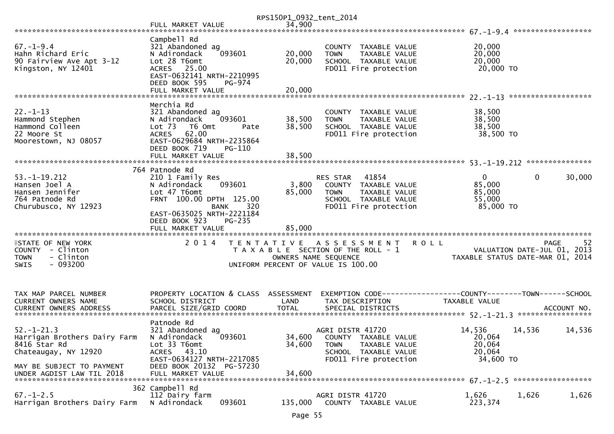|                                                        |                                                                                                            | RPS150P1_0932_tent_2014 |                                                                                 |                                                                 |              |        |
|--------------------------------------------------------|------------------------------------------------------------------------------------------------------------|-------------------------|---------------------------------------------------------------------------------|-----------------------------------------------------------------|--------------|--------|
|                                                        |                                                                                                            |                         |                                                                                 |                                                                 |              |        |
| $67 - 1 - 9.4$<br>Hahn Richard Eric                    | Campbell Rd<br>321 Abandoned ag<br>093601<br>N Adirondack                                                  | 20,000                  | COUNTY TAXABLE VALUE<br>TAXABLE VALUE<br><b>TOWN</b>                            | 20,000<br>20,000                                                |              |        |
| 90 Fairview Ave Apt 3-12<br>Kingston, NY 12401         | Lot 28 T6omt<br>ACRES 25.00<br>EAST-0632141 NRTH-2210995<br>DEED BOOK 595<br>PG-974                        | 20,000                  | SCHOOL TAXABLE VALUE<br>FD011 Fire protection                                   | 20,000<br>20,000 TO                                             |              |        |
|                                                        | FULL MARKET VALUE                                                                                          | 20,000                  |                                                                                 |                                                                 |              |        |
|                                                        | Merchia Rd                                                                                                 |                         |                                                                                 |                                                                 |              |        |
| $22. - 1 - 13$<br>Hammond Stephen                      | 321 Abandoned ag<br>093601<br>N Adirondack                                                                 | 38,500                  | COUNTY TAXABLE VALUE<br><b>TOWN</b><br>TAXABLE VALUE                            | 38,500<br>38,500                                                |              |        |
| Hammond Colleen<br>22 Moore St<br>Moorestown, NJ 08057 | Lot <sub>73</sub><br>T6 Omt<br>Pate<br>ACRES 62.00<br>EAST-0629684 NRTH-2235864<br>DEED BOOK 719<br>PG-110 | 38,500                  | SCHOOL TAXABLE VALUE<br>FD011 Fire protection                                   | 38,500<br>38,500 TO                                             |              |        |
|                                                        | FULL MARKET VALUE                                                                                          | 38,500                  |                                                                                 |                                                                 |              |        |
| $53. - 1 - 19.212$                                     | 764 Patnode Rd<br>210 1 Family Res                                                                         |                         | RES STAR<br>41854                                                               | $\mathbf{0}$                                                    | $\mathbf{0}$ | 30,000 |
| Hansen Joel A                                          | 093601<br>N Adirondack                                                                                     | 3,800                   | COUNTY TAXABLE VALUE                                                            | 85,000                                                          |              |        |
| Hansen Jennifer                                        | Lot 47 T6omt                                                                                               | 85,000                  | <b>TOWN</b><br>TAXABLE VALUE                                                    | 85,000                                                          |              |        |
| 764 Patnode Rd                                         | FRNT 100.00 DPTH 125.00                                                                                    |                         | SCHOOL TAXABLE VALUE                                                            | 55,000                                                          |              |        |
| Churubusco, NY 12923                                   | <b>BANK</b><br>320<br>EAST-0635025 NRTH-2221184<br>DEED BOOK 923<br>PG-235<br>FULL MARKET VALUE            | 85,000                  | FD011 Fire protection                                                           | 85,000 TO                                                       |              |        |
| <b>ISTATE OF NEW YORK</b>                              | 2 0 1 4                                                                                                    |                         | TENTATIVE ASSESSMENT<br><b>ROLL</b>                                             |                                                                 | PAGE         | 52     |
| COUNTY - Clinton<br>- Clinton<br><b>TOWN</b>           |                                                                                                            | OWNERS NAME SEQUENCE    | T A X A B L E SECTION OF THE ROLL - 1                                           | VALUATION DATE-JUL 01, 2013<br>TAXABLE STATUS DATE-MAR 01, 2014 |              |        |
| $-093200$<br><b>SWIS</b>                               |                                                                                                            |                         | UNIFORM PERCENT OF VALUE IS 100.00                                              |                                                                 |              |        |
| TAX MAP PARCEL NUMBER<br>CURRENT OWNERS NAME           | PROPERTY LOCATION & CLASS ASSESSMENT<br>SCHOOL DISTRICT                                                    | LAND                    | EXEMPTION CODE-----------------COUNTY-------TOWN------SCHOOL<br>TAX DESCRIPTION | <b>TAXABLE VALUE</b>                                            |              |        |
|                                                        |                                                                                                            |                         |                                                                                 |                                                                 |              |        |
|                                                        | Patnode Rd                                                                                                 |                         |                                                                                 |                                                                 |              |        |
| $52. - 1 - 21.3$<br>Harrigan Brothers Dairy Farm       | 321 Abandoned ag<br>093601<br>N Adirondack                                                                 |                         | AGRI DISTR 41720<br>34,600 COUNTY TAXABLE VALUE                                 | 14,536<br>20,064                                                | 14,536       | 14,536 |
| 8416 Star Rd                                           | Lot 33 T6omt                                                                                               | 34,600                  | <b>TOWN</b><br>TAXABLE VALUE                                                    | 20,064                                                          |              |        |
| Chateaugay, NY 12920                                   | 43.10<br><b>ACRES</b>                                                                                      |                         | SCHOOL TAXABLE VALUE                                                            | 20,064                                                          |              |        |
|                                                        | EAST-0634127 NRTH-2217085                                                                                  |                         | FD011 Fire protection                                                           | 34,600 TO                                                       |              |        |
| MAY BE SUBJECT TO PAYMENT<br>UNDER AGDIST LAW TIL 2018 | DEED BOOK 20132 PG-57230<br>FULL MARKET VALUE                                                              | 34,600                  |                                                                                 |                                                                 |              |        |
|                                                        | 362 Campbell Rd                                                                                            |                         |                                                                                 |                                                                 |              |        |
| $67. - 1 - 2.5$<br>Harrigan Brothers Dairy Farm        | 112 Dairy farm<br>N Adirondack<br>093601                                                                   | 135,000                 | AGRI DISTR 41720<br>COUNTY TAXABLE VALUE                                        | 1,626<br>223,374                                                | 1,626        | 1,626  |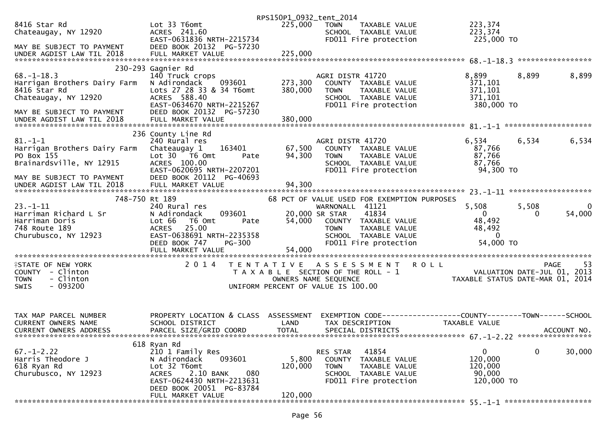|                                                                                                                      |                                                                                                                                                                                             | RPS150P1_0932_tent_2014     |                                                                                                                                                                                                    |                                                                                |                           |
|----------------------------------------------------------------------------------------------------------------------|---------------------------------------------------------------------------------------------------------------------------------------------------------------------------------------------|-----------------------------|----------------------------------------------------------------------------------------------------------------------------------------------------------------------------------------------------|--------------------------------------------------------------------------------|---------------------------|
| 8416 Star Rd<br>Chateaugay, NY 12920                                                                                 | Lot 33 T6omt<br>ACRES 241.60<br>EAST-0631836 NRTH-2215734                                                                                                                                   | 225,000                     | <b>TOWN</b><br>TAXABLE VALUE<br>SCHOOL TAXABLE VALUE<br>FD011 Fire protection                                                                                                                      | 223,374<br>223,374<br>225,000 TO                                               |                           |
| MAY BE SUBJECT TO PAYMENT<br>UNDER AGDIST LAW TIL 2018                                                               | DEED BOOK 20132 PG-57230<br>FULL MARKET VALUE                                                                                                                                               | 225,000                     |                                                                                                                                                                                                    |                                                                                |                           |
|                                                                                                                      | 230-293 Gagnier Rd                                                                                                                                                                          |                             |                                                                                                                                                                                                    |                                                                                |                           |
| $68. - 1 - 18.3$<br>Harrigan Brothers Dairy Farm<br>8416 Star Rd<br>Chateaugay, NY 12920                             | 140 Truck crops<br>N Adirondack<br>093601<br>Lots 27 28 33 & 34 T6omt<br>ACRES 588.40<br>EAST-0634670 NRTH-2215267                                                                          | 273,300<br>380,000          | AGRI DISTR 41720<br>COUNTY TAXABLE VALUE<br>TAXABLE VALUE<br><b>TOWN</b><br>SCHOOL TAXABLE VALUE<br>FD011 Fire protection                                                                          | 8,899<br>371,101<br>371,101<br>371,101<br>380,000 TO                           | 8,899<br>8,899            |
| MAY BE SUBJECT TO PAYMENT<br>UNDER AGDIST LAW TIL 2018                                                               | DEED BOOK 20132 PG-57230                                                                                                                                                                    |                             |                                                                                                                                                                                                    |                                                                                |                           |
|                                                                                                                      | 236 County Line Rd                                                                                                                                                                          |                             |                                                                                                                                                                                                    |                                                                                |                           |
| $81. - 1 - 1$<br>Harrigan Brothers Dairy Farm<br>PO Box 155<br>Brainardsville, NY 12915<br>MAY BE SUBJECT TO PAYMENT | 240 Rural res<br>163401<br>Chateaugay 1<br>Lot 30 76 0mt<br>Pate<br>ACRES 100.00<br>EAST-0620695 NRTH-2207201<br>DEED BOOK 20112 PG-40693                                                   | 67,500<br>94,300            | AGRI DISTR 41720<br>COUNTY TAXABLE VALUE<br>TAXABLE VALUE<br><b>TOWN</b><br>SCHOOL TAXABLE VALUE<br>FD011 Fire protection                                                                          | 6,534<br>87,766<br>87,766<br>87,766<br>94,300 TO                               | 6,534<br>6,534            |
|                                                                                                                      |                                                                                                                                                                                             |                             |                                                                                                                                                                                                    |                                                                                |                           |
|                                                                                                                      |                                                                                                                                                                                             |                             |                                                                                                                                                                                                    |                                                                                |                           |
| 748-750 Rt 189<br>$23. - 1 - 11$<br>Harriman Richard L Sr<br>Harriman Doris<br>748 Route 189<br>Churubusco, NY 12923 | 240 Rural res<br>093601<br>N Adirondack<br>Lot 66<br>T6 Omt<br>Pate<br>25.00<br><b>ACRES</b><br>EAST-0638691 NRTH-2235358<br>DEED BOOK 747<br><b>PG-300</b><br>FULL MARKET VALUE            | 54,000<br>54,000            | 68 PCT OF VALUE USED FOR EXEMPTION PURPOSES<br>WARNONALL 41121<br>41834<br>20,000 SR STAR<br>COUNTY TAXABLE VALUE<br><b>TOWN</b><br>TAXABLE VALUE<br>SCHOOL TAXABLE VALUE<br>FD011 Fire protection | 5,508<br>$\mathbf{0}$<br>48,492<br>48,492<br>$\mathbf{0}$<br>54,000 TO         | 5,508<br>0<br>54,000<br>0 |
|                                                                                                                      |                                                                                                                                                                                             |                             |                                                                                                                                                                                                    |                                                                                |                           |
| <b>ISTATE OF NEW YORK</b><br>COUNTY - Clinton<br>- Clinton<br><b>TOWN</b><br>$-093200$<br><b>SWIS</b>                | 2 0 1 4                                                                                                                                                                                     |                             | TENTATIVE ASSESSMENT<br>T A X A B L E SECTION OF THE ROLL - 1<br>OWNERS NAME SEQUENCE<br>UNIFORM PERCENT OF VALUE IS 100.00                                                                        | <b>ROLL</b><br>VALUATION DATE-JUL 01, 2013<br>TAXABLE STATUS DATE-MAR 01, 2014 | <b>PAGE</b><br>-53        |
| TAX MAP PARCEL NUMBER<br><b>CURRENT OWNERS NAME</b><br><b>CURRENT OWNERS ADDRESS</b>                                 | PROPERTY LOCATION & CLASS ASSESSMENT<br>SCHOOL DISTRICT<br>PARCEL SIZE/GRID COORD                                                                                                           | LAND<br><b>TOTAL</b>        | EXEMPTION CODE------------------COUNTY--------TOWN------SCHOOL<br>TAX DESCRIPTION<br>SPECIAL DISTRICTS                                                                                             | <b>TAXABLE VALUE</b>                                                           | ACCOUNT NO.               |
| $67. - 1 - 2.22$<br>Harris Theodore J<br>618 Ryan Rd<br>Churubusco, NY 12923                                         | 618 Ryan Rd<br>210 1 Family Res<br>093601<br>N Adirondack<br>Lot 32 T6omt<br>2.10 BANK<br>080<br><b>ACRES</b><br>EAST-0624430 NRTH-2213631<br>DEED BOOK 20051 PG-83784<br>FULL MARKET VALUE | 5,800<br>120,000<br>120,000 | 41854<br><b>RES STAR</b><br>COUNTY<br>TAXABLE VALUE<br><b>TOWN</b><br>TAXABLE VALUE<br>SCHOOL TAXABLE VALUE<br>FD011 Fire protection                                                               | 0<br>120,000<br>120,000<br>90,000<br>120,000 TO                                | $\mathbf{0}$<br>30,000    |
|                                                                                                                      |                                                                                                                                                                                             |                             |                                                                                                                                                                                                    |                                                                                |                           |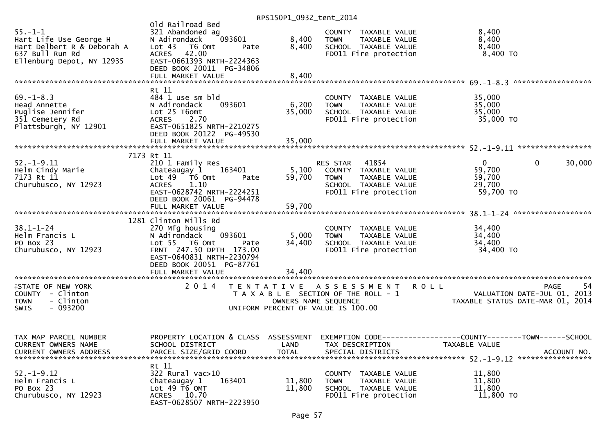|                                                                                                                       |                                                                                                                                                                                                      | 11.313011207322211122011  |                                                                                                                               |                                                                                                                    |             |
|-----------------------------------------------------------------------------------------------------------------------|------------------------------------------------------------------------------------------------------------------------------------------------------------------------------------------------------|---------------------------|-------------------------------------------------------------------------------------------------------------------------------|--------------------------------------------------------------------------------------------------------------------|-------------|
| $55. - 1 - 1$<br>Hart Life Use George H<br>Hart Delbert R & Deborah A<br>637 Bull Run Rd<br>Ellenburg Depot, NY 12935 | Old Railroad Bed<br>321 Abandoned ag<br>093601<br>N Adirondack<br>Lot 43 T6 Omt<br>Pate<br>ACRES 42.00<br>EAST-0661393 NRTH-2224363<br>DEED BOOK 20011 PG-34806                                      | 8,400<br>8,400            | COUNTY TAXABLE VALUE<br><b>TOWN</b><br>TAXABLE VALUE<br>SCHOOL TAXABLE VALUE<br>FD011 Fire protection                         | 8,400<br>8,400<br>8,400<br>8,400 TO                                                                                |             |
| $69. - 1 - 8.3$<br>Head Annette<br>Puglise Jennifer<br>351 Cemetery Rd<br>Plattsburgh, NY 12901                       | Rt 11<br>484 1 use sm bld<br>N Adirondack<br>093601<br>Lot 25 T6omt<br><b>ACRES</b><br>2.70<br>EAST-0651825 NRTH-2210275<br>DEED BOOK 20122 PG-49530                                                 | 6,200<br>35,000           | COUNTY TAXABLE VALUE<br><b>TOWN</b><br>TAXABLE VALUE<br>SCHOOL TAXABLE VALUE<br>FD011 Fire protection                         | 35,000<br>35,000<br>35,000<br>35,000 TO                                                                            |             |
| $52. - 1 - 9.11$<br>Helm Cindy Marie<br>7173 Rt 11<br>Churubusco, NY 12923                                            | 7173 Rt 11<br>210 1 Family Res<br>Chateaugay 1 163401<br>Lot 49 T6 Omt<br>Pate<br><b>ACRES</b><br>1.10<br>EAST-0628742 NRTH-2224251<br>DEED BOOK 20061 PG-94478<br>FULL MARKET VALUE                 | 59,700<br>59,700          | RES STAR 41854<br>5,100 COUNTY TAXABLE VALUE<br><b>TOWN</b><br>TAXABLE VALUE<br>SCHOOL TAXABLE VALUE<br>FD011 Fire protection | $\overline{0}$<br>$\mathbf{0}$<br>59,700<br>59,700<br>29,700<br>59,700 TO                                          | 30,000      |
| $38.1 - 1 - 24$<br>Helm Francis L<br>PO Box 23<br>Churubusco, NY 12923                                                | 1281 Clinton Mills Rd<br>270 Mfg housing<br>093601<br>N Adirondack<br>Lot 55 T6 Omt<br>Pate<br>FRNT 247.50 DPTH 173.00<br>EAST-0640831 NRTH-2230794<br>DEED BOOK 20051 PG-87761<br>FULL MARKET VALUE | 5,000<br>34,400<br>34,400 | COUNTY TAXABLE VALUE<br>TAXABLE VALUE<br><b>TOWN</b><br>SCHOOL TAXABLE VALUE<br>FD011 Fire protection                         | 34,400<br>34,400<br>34,400<br>34,400 TO                                                                            |             |
| <b>ISTATE OF NEW YORK</b><br>COUNTY - Clinton<br>- Clinton<br><b>TOWN</b><br>$-093200$<br><b>SWIS</b>                 | 2014                                                                                                                                                                                                 | OWNERS NAME SEQUENCE      | TENTATIVE ASSESSMENT<br>T A X A B L E SECTION OF THE ROLL - 1<br>UNIFORM PERCENT OF VALUE IS 100.00                           | <b>ROLL</b><br>VALUATION DATE-JUL 01, 2013<br>TAXABLE STATUS DATE-MAR 01, 2014                                     | -54<br>PAGE |
| TAX MAP PARCEL NUMBER<br>CURRENT OWNERS NAME<br>CURRENT OWNERS ADDRESS                                                | SCHOOL DISTRICT LAND TAX DESCRIPTION<br>PARCEL SIZE/GRID COORD                                                                                                                                       | <b>TOTAL</b>              | SPECIAL DISTRICTS                                                                                                             | PROPERTY LOCATION & CLASS ASSESSMENT EXEMPTION CODE----------------COUNTY--------TOWN------SCHOOL<br>TAXABLE VALUE | ACCOUNT NO. |
| $52. - 1 - 9.12$<br>Helm Francis L<br>PO Box 23<br>Churubusco, NY 12923                                               | Rt 11<br>322 Rural vac>10<br>163401<br>Chateaugay 1<br>Lot 49 T6 OMT<br>ACRES 10.70<br>EAST-0628507 NRTH-2223950                                                                                     | 11,800<br>11,800          | COUNTY TAXABLE VALUE<br>TAXABLE VALUE<br><b>TOWN</b><br>SCHOOL TAXABLE VALUE<br>FD011 Fire protection                         | 11,800<br>11,800<br>11,800<br>11,800 TO                                                                            |             |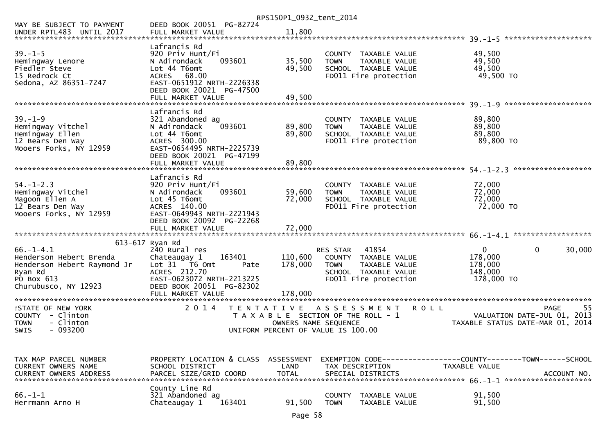|                                                                                                                            |                                                                                                                                                                                   | RPS150P1_0932_tent_2014       |                                                                                                                                   |                                                                                               |        |
|----------------------------------------------------------------------------------------------------------------------------|-----------------------------------------------------------------------------------------------------------------------------------------------------------------------------------|-------------------------------|-----------------------------------------------------------------------------------------------------------------------------------|-----------------------------------------------------------------------------------------------|--------|
| MAY BE SUBJECT TO PAYMENT                                                                                                  | DEED BOOK 20051 PG-82724                                                                                                                                                          |                               |                                                                                                                                   |                                                                                               |        |
| $39. - 1 - 5$<br>Hemingway Lenore<br>Fiedler Steve<br>15 Redrock Ct<br>Sedona, AZ 86351-7247                               | Lafrancis Rd<br>920 Priv Hunt/Fi<br>093601<br>N Adirondack<br>Lot 44 T6omt<br>ACRES 68.00<br>EAST-0651912 NRTH-2226338<br>DEED BOOK 20021 PG-47500                                | 35,500<br>49,500              | COUNTY TAXABLE VALUE<br><b>TOWN</b><br>TAXABLE VALUE<br>SCHOOL TAXABLE VALUE<br>FD011 Fire protection                             | 49,500<br>49,500<br>49,500<br>49,500 TO                                                       |        |
|                                                                                                                            | Lafrancis Rd                                                                                                                                                                      |                               |                                                                                                                                   | *********************                                                                         |        |
| $39. - 1 - 9$<br>Hemingway Vitchel<br>Hemingway Ellen<br>12 Bears Den Way<br>Mooers Forks, NY 12959                        | 321 Abandoned ag<br>093601<br>N Adirondack<br>Lot 44 T6omt<br>ACRES 300.00<br>EAST-0654495 NRTH-2225739<br>DEED BOOK 20021 PG-47199                                               | 89,800<br>89,800              | COUNTY TAXABLE VALUE<br>TAXABLE VALUE<br><b>TOWN</b><br>SCHOOL TAXABLE VALUE<br>FD011 Fire protection                             | 89,800<br>89,800<br>89,800<br>89,800 TO                                                       |        |
|                                                                                                                            | FULL MARKET VALUE                                                                                                                                                                 | 89,800                        |                                                                                                                                   |                                                                                               |        |
| $54. - 1 - 2.3$<br>Hemingway Vitchel<br>Magoon Ellen A<br>12 Bears Den Way<br>Mooers Forks, NY 12959                       | Lafrancis Rd<br>920 Priv Hunt/Fi<br>093601<br>N Adirondack<br>Lot 45 T6omt<br>ACRES 140.00<br>EAST-0649943 NRTH-2221943<br>DEED BOOK 20092 PG-22268                               | 59,600<br>72,000              | COUNTY TAXABLE VALUE<br>TAXABLE VALUE<br><b>TOWN</b><br>SCHOOL TAXABLE VALUE<br>FD011 Fire protection                             | 72,000<br>72,000<br>72,000<br>72,000 TO                                                       |        |
|                                                                                                                            |                                                                                                                                                                                   |                               |                                                                                                                                   |                                                                                               |        |
| $66. - 1 - 4.1$<br>Henderson Hebert Brenda<br>Henderson Hebert Raymond Jr<br>Ryan Rd<br>PO Box 613<br>Churubusco, NY 12923 | 613-617 Ryan Rd<br>240 Rural res<br>163401<br>Chateaugay 1<br>Lot 31 76 0mt<br>Pate<br>ACRES 212.70<br>EAST-0623072 NRTH-2213225<br>DEED BOOK 20051 PG-82302<br>FULL MARKET VALUE | 110,600<br>178,000<br>178,000 | 41854<br><b>RES STAR</b><br>COUNTY TAXABLE VALUE<br><b>TOWN</b><br>TAXABLE VALUE<br>SCHOOL TAXABLE VALUE<br>FD011 Fire protection | $\mathbf 0$<br>$\overline{0}$<br>178,000<br>178,000<br>148,000<br>178,000 TO                  | 30,000 |
| <b>ISTATE OF NEW YORK</b><br>COUNTY - Clinton<br>- Clinton<br><b>TOWN</b><br>$-093200$<br><b>SWIS</b>                      | 2 0 1 4<br>T E N T A T I V E                                                                                                                                                      | OWNERS NAME SEQUENCE          | A S S E S S M E N T<br>T A X A B L E SECTION OF THE ROLL - 1<br>UNIFORM PERCENT OF VALUE IS 100.00                                | <b>ROLL</b><br><b>PAGE</b><br>VALUATION DATE-JUL 01, 2013<br>TAXABLE STATUS DATE-MAR 01, 2014 | -55    |
| TAX MAP PARCEL NUMBER<br>CURRENT OWNERS NAME<br><b>CURRENT OWNERS ADDRESS</b>                                              | PROPERTY LOCATION & CLASS ASSESSMENT<br>SCHOOL DISTRICT<br>PARCEL SIZE/GRID COORD                                                                                                 | LAND<br><b>TOTAL</b>          | TAX DESCRIPTION<br>SPECIAL DISTRICTS                                                                                              | EXEMPTION CODE-----------------COUNTY-------TOWN------SCHOOL<br>TAXABLE VALUE<br>ACCOUNT NO.  |        |
| $66. -1 - 1$<br>Herrmann Arno H                                                                                            | County Line Rd<br>321 Abandoned ag<br>Chateaugay 1<br>163401                                                                                                                      | 91,500                        | <b>COUNTY</b><br>TAXABLE VALUE<br><b>TOWN</b><br>TAXABLE VALUE                                                                    | 91,500<br>91,500                                                                              |        |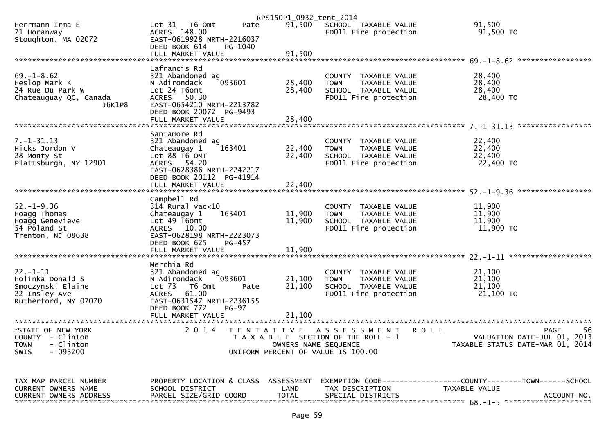|                                                       |                                                                       | RPS150P1_0932_tent_2014 |                                                                              |                                                                                      |
|-------------------------------------------------------|-----------------------------------------------------------------------|-------------------------|------------------------------------------------------------------------------|--------------------------------------------------------------------------------------|
| Herrmann Irma E<br>71 Horanway<br>Stoughton, MA 02072 | Lot 31<br>T6 Omt<br>Pate<br>ACRES 148.00<br>EAST-0619928 NRTH-2216037 | 91,500                  | SCHOOL TAXABLE VALUE<br>FD011 Fire protection                                | 91,500<br>91,500 TO                                                                  |
|                                                       | DEED BOOK 614<br>PG-1040                                              |                         |                                                                              |                                                                                      |
|                                                       |                                                                       |                         |                                                                              |                                                                                      |
| $69. - 1 - 8.62$                                      | Lafrancis Rd<br>321 Abandoned ag                                      |                         | COUNTY TAXABLE VALUE                                                         | 28,400                                                                               |
| Heslop Mark K                                         | 093601<br>N Adirondack                                                | 28,400                  | <b>TOWN</b><br>TAXABLE VALUE                                                 | 28,400                                                                               |
| 24 Rue Du Park W<br>Chateauguay QC, Canada            | Lot 24 T6omt<br>ACRES 50.30                                           | 28,400                  | SCHOOL TAXABLE VALUE<br>FD011 Fire protection                                | 28,400<br>28,400 TO                                                                  |
| J6K1P8                                                | EAST-0654210 NRTH-2213782<br>DEED BOOK 20072 PG-9493                  |                         |                                                                              |                                                                                      |
|                                                       | FULL MARKET VALUE                                                     | 28,400                  |                                                                              |                                                                                      |
|                                                       | Santamore Rd                                                          |                         |                                                                              |                                                                                      |
| $7. - 1 - 31.13$                                      | 321 Abandoned ag                                                      |                         | COUNTY TAXABLE VALUE                                                         | 22,400                                                                               |
| Hicks Jordon V<br>28 Monty St                         | 163401<br>Chateaugay 1<br>Lot 88 T6 OMT                               | 22,400<br>22,400        | <b>TOWN</b><br>TAXABLE VALUE<br>SCHOOL TAXABLE VALUE                         | 22,400<br>22,400                                                                     |
| Plattsburgh, NY 12901                                 | ACRES 54.20<br>EAST-0628386 NRTH-2242217                              |                         | FD011 Fire protection                                                        | 22,400 TO                                                                            |
|                                                       | DEED BOOK 20112 PG-41914                                              |                         |                                                                              |                                                                                      |
|                                                       |                                                                       |                         |                                                                              |                                                                                      |
| $52. - 1 - 9.36$                                      | Campbell Rd<br>$314$ Rural vac<10                                     |                         | COUNTY TAXABLE VALUE                                                         | 11,900                                                                               |
| Hoagg Thomas                                          | Chateaugay 1<br>163401                                                | 11,900                  | <b>TOWN</b><br>TAXABLE VALUE                                                 | 11,900                                                                               |
| Hoagg Genevieve<br>54 Poland St                       | Lot 49 T6omt<br>ACRES 10.00                                           | 11,900                  | SCHOOL TAXABLE VALUE<br>FD011 Fire protection                                | 11,900<br>11,900 TO                                                                  |
| Trenton, NJ 08638                                     | EAST-0628198 NRTH-2223073<br>DEED BOOK 625<br>PG-457                  |                         |                                                                              |                                                                                      |
|                                                       |                                                                       |                         |                                                                              |                                                                                      |
|                                                       | Merchia Rd                                                            |                         |                                                                              |                                                                                      |
| $22. - 1 - 11$<br>Holinka Donald S                    | 321 Abandoned ag<br>093601<br>N Adirondack                            | 21,100                  | COUNTY TAXABLE VALUE<br><b>TOWN</b><br>TAXABLE VALUE                         | 21,100<br>21,100                                                                     |
| Smoczynski Elaine                                     | Lot $73$<br>T6 Omt<br>Pate                                            | 21,100                  | SCHOOL TAXABLE VALUE                                                         | 21,100                                                                               |
| 22 Insley Ave<br>Rutherford, NY 07070                 | <b>ACRES</b><br>61.00<br>EAST-0631547 NRTH-2236155                    |                         | FD011 Fire protection                                                        | $21,100$ TO                                                                          |
|                                                       | DEED BOOK 772<br>$PG-97$                                              |                         |                                                                              |                                                                                      |
|                                                       |                                                                       |                         |                                                                              |                                                                                      |
| <b>¥STATE OF NEW YORK</b><br>COUNTY - Clinton         | 2 0 1 4                                                               |                         | TENTATIVE ASSESSMENT<br><b>ROLL</b><br>T A X A B L E SECTION OF THE ROLL - 1 | 56<br>PAGE<br>VALUATION DATE-JUL 01, 2013                                            |
| - Clinton<br>TOWN                                     |                                                                       | OWNERS NAME SEQUENCE    |                                                                              | TAXABLE STATUS DATE-MAR 01, 2014                                                     |
| - 093200<br><b>SWIS</b>                               |                                                                       |                         | UNIFORM PERCENT OF VALUE IS 100.00                                           |                                                                                      |
|                                                       |                                                                       |                         |                                                                              |                                                                                      |
| TAX MAP PARCEL NUMBER<br><b>CURRENT OWNERS NAME</b>   | PROPERTY LOCATION & CLASS ASSESSMENT<br>SCHOOL DISTRICT               | LAND                    | TAX DESCRIPTION                                                              | EXEMPTION        CODE-----------------COUNTY-------TOWN------SCHOOL<br>TAXABLE VALUE |

CURRENT OWNERS NAME SCHOOL DISTRICT LAND TAX DESCRIPTION TAXABLE VALUE CURRENT OWNERS ADDRESS PARCEL SIZE/GRID COORD TOTAL SPECIAL DISTRICTS ACCOUNT NO. \*\*\*\*\*\*\*\*\*\*\*\*\*\*\*\*\*\*\*\*\*\*\*\*\*\*\*\*\*\*\*\*\*\*\*\*\*\*\*\*\*\*\*\*\*\*\*\*\*\*\*\*\*\*\*\*\*\*\*\*\*\*\*\*\*\*\*\*\*\*\*\*\*\*\*\*\*\*\*\*\*\*\*\*\*\*\*\*\*\*\*\*\*\*\*\*\*\*\*\*\*\*\* 68.-1-5 \*\*\*\*\*\*\*\*\*\*\*\*\*\*\*\*\*\*\*\*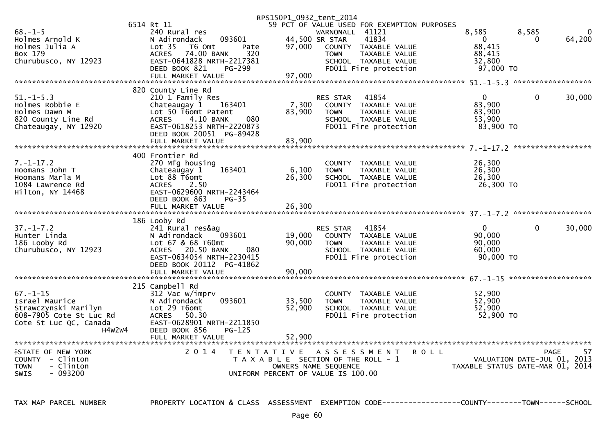|                           |                                     | RPS150P1_0932_tent_2014                                 |                                        |    |
|---------------------------|-------------------------------------|---------------------------------------------------------|----------------------------------------|----|
|                           | 6514 Rt 11                          | 59 PCT OF VALUE USED FOR EXEMPTION PURPOSES             |                                        |    |
| $68. - 1 - 5$             | 240 Rural res                       | WARNONALL 41121                                         | 8,585<br>8,585                         |    |
| Holmes Arnold K           | 093601<br>N Adirondack              | 41834<br>44,500 SR STAR                                 | 64,200<br>$\overline{0}$<br>$\Omega$   |    |
| Holmes Julia A            | Lot <sub>35</sub><br>T6 Omt<br>Pate | 97,000<br>COUNTY TAXABLE VALUE                          | 88,415                                 |    |
| Box 179                   | 74.00 BANK<br><b>ACRES</b><br>320   | <b>TOWN</b><br>TAXABLE VALUE                            | 88,415                                 |    |
| Churubusco, NY 12923      | EAST-0641828 NRTH-2217381           | SCHOOL TAXABLE VALUE                                    | 32,800                                 |    |
|                           | DEED BOOK 821<br>PG-299             | FD011 Fire protection                                   | 97,000 TO                              |    |
|                           | FULL MARKET VALUE                   | 97,000                                                  |                                        |    |
|                           |                                     |                                                         |                                        |    |
|                           | 820 County Line Rd                  |                                                         |                                        |    |
| $51. - 1 - 5.3$           | 210 1 Family Res                    | <b>RES STAR</b><br>41854                                | $\mathbf{0}$<br>$\mathbf{0}$<br>30,000 |    |
| Holmes Robbie E           | Chateaugay 1<br>163401              | 7,300<br>COUNTY TAXABLE VALUE                           | 83,900                                 |    |
| Holmes Dawn M             | Lot 50 T6omt Patent                 | 83,900<br><b>TOWN</b><br>TAXABLE VALUE                  | 83,900                                 |    |
| 820 County Line Rd        | 4.10 BANK<br>080<br><b>ACRES</b>    | SCHOOL TAXABLE VALUE                                    | 53,900                                 |    |
| Chateaugay, NY 12920      | EAST-0618253 NRTH-2220873           | FD011 Fire protection                                   | 83,900 TO                              |    |
|                           | DEED BOOK 20051 PG-89428            |                                                         |                                        |    |
|                           | FULL MARKET VALUE                   | 83,900                                                  |                                        |    |
|                           |                                     |                                                         |                                        |    |
|                           | 400 Frontier Rd                     |                                                         |                                        |    |
| $7. - 1 - 17.2$           | 270 Mfg housing                     | COUNTY TAXABLE VALUE                                    | 26,300                                 |    |
| Hoomans John T            | 163401<br>Chateaugay 1              | 6,100<br>TAXABLE VALUE<br><b>TOWN</b>                   | 26,300                                 |    |
| Hoomans Marla M           | Lot 88 T6omt                        | 26,300<br>SCHOOL TAXABLE VALUE                          | 26,300                                 |    |
| 1084 Lawrence Rd          | <b>ACRES</b><br>2.50                | FD011 Fire protection                                   | 26,300 TO                              |    |
| Hilton, NY 14468          | EAST-0629600 NRTH-2243464           |                                                         |                                        |    |
|                           | DEED BOOK 863<br>$PG-35$            |                                                         |                                        |    |
|                           | FULL MARKET VALUE                   | 26,300                                                  |                                        |    |
|                           |                                     |                                                         |                                        |    |
|                           |                                     |                                                         |                                        |    |
|                           |                                     |                                                         |                                        |    |
|                           | 186 Looby Rd                        |                                                         |                                        |    |
| $37. - 1 - 7.2$           | 241 Rural res&ag                    | <b>RES STAR</b><br>41854                                | $\mathbf{0}$<br>$\Omega$<br>30,000     |    |
| Hunter Linda              | N Adirondack<br>093601              | 19,000<br>COUNTY TAXABLE VALUE                          | 90,000                                 |    |
| 186 Looby Rd              | Lot 67 & 68 T60mt                   | 90,000<br>TAXABLE VALUE<br><b>TOWN</b>                  | 90,000                                 |    |
| Churubusco, NY 12923      | ACRES 20.50 BANK<br>080             | SCHOOL TAXABLE VALUE                                    | 60,000                                 |    |
|                           | EAST-0634054 NRTH-2230415           | FD011 Fire protection                                   | 90,000 TO                              |    |
|                           | DEED BOOK 20112 PG-41862            |                                                         |                                        |    |
|                           | FULL MARKET VALUE                   | 90,000                                                  |                                        |    |
|                           |                                     |                                                         |                                        |    |
|                           | 215 Campbell Rd                     |                                                         |                                        |    |
| $67. - 1 - 15$            | 312 Vac w/imprv                     | COUNTY TAXABLE VALUE                                    | 52,900                                 |    |
| Israel Maurice            | 093601<br>N Adirondack              | 33,500<br>TAXABLE VALUE<br><b>TOWN</b>                  | 52,900                                 |    |
| Strawczynski Marilyn      | Lot 29 T6omt                        | 52,900<br>SCHOOL TAXABLE VALUE                          | 52,900                                 |    |
| 608-7905 Cote St Luc Rd   | ACRES 50.30                         | FD011 Fire protection                                   | 52,900 TO                              |    |
| Cote St Luc QC, Canada    | EAST-0628901 NRTH-2211850           |                                                         |                                        |    |
| H4W2W4                    | DEED BOOK 856<br>$PG-125$           |                                                         |                                        |    |
|                           |                                     |                                                         |                                        |    |
|                           |                                     |                                                         |                                        |    |
| <b>¥STATE OF NEW YORK</b> | 2 0 1 4                             | T E N T A T I V E<br>A S S E S S M E N T<br><b>ROLL</b> | PAGE                                   | 57 |
| COUNTY - Clinton          |                                     | T A X A B L E SECTION OF THE ROLL - 1                   | VALUATION DATE-JUL 01, 2013            |    |
| - Clinton<br><b>TOWN</b>  |                                     | OWNERS NAME SEQUENCE                                    | TAXABLE STATUS DATE-MAR 01, 2014       |    |
| <b>SWIS</b><br>- 093200   |                                     | UNIFORM PERCENT OF VALUE IS 100.00                      |                                        |    |

TAX MAP PARCEL NUMBER PROPERTY LOCATION & CLASS ASSESSMENT EXEMPTION CODE----------------COUNTY--------TOWN------SCHOOL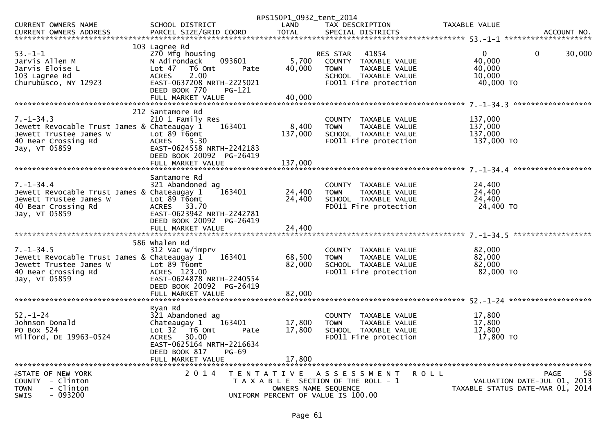| RPS150P1_0932_tent_2014                                                                                   |        |
|-----------------------------------------------------------------------------------------------------------|--------|
| SCHOOL DISTRICT<br><b>CURRENT OWNERS NAME</b><br>LAND<br>TAX DESCRIPTION<br>TAXABLE VALUE                 |        |
|                                                                                                           |        |
|                                                                                                           |        |
| 103 Lagree Rd                                                                                             |        |
| $53. - 1 - 1$<br>270 Mfg housing<br>41854<br>$\mathbf 0$<br>$\overline{0}$<br>RES STAR                    | 30,000 |
| Jarvis Allen M<br>5,700<br>40,000<br>N Adirondack<br>093601<br>COUNTY TAXABLE VALUE                       |        |
| Jarvis Eloise L<br>40,000<br>40,000<br>Lot 47<br>T6 Omt<br><b>TOWN</b><br>TAXABLE VALUE<br>Pate           |        |
| 2.00<br>103 Lagree Rd<br><b>ACRES</b><br>SCHOOL TAXABLE VALUE<br>10,000                                   |        |
| EAST-0637208 NRTH-2225021<br>FD011 Fire protection<br>40,000 TO<br>Churubusco, NY 12923                   |        |
| DEED BOOK 770<br>PG-121                                                                                   |        |
|                                                                                                           |        |
| ******************                                                                                        |        |
| 212 Santamore Rd                                                                                          |        |
| $7. - 1 - 34.3$<br>137,000<br>210 1 Family Res<br>COUNTY TAXABLE VALUE                                    |        |
| 8,400<br>137,000<br>Jewett Revocable Trust James & Chateaugay 1<br>163401<br><b>TOWN</b><br>TAXABLE VALUE |        |
| Lot 89 T6omt<br>Jewett Trustee James W<br>137,000<br>SCHOOL TAXABLE VALUE<br>137,000                      |        |
| 5.30<br>137,000 TO<br><b>ACRES</b><br>FD011 Fire protection<br>40 Bear Crossing Rd                        |        |
| EAST-0624558 NRTH-2242183<br>Jay, VT 05859                                                                |        |
| DEED BOOK 20092 PG-26419                                                                                  |        |
|                                                                                                           |        |
|                                                                                                           |        |
| Santamore Rd                                                                                              |        |
| $7. - 1 - 34.4$<br>321 Abandoned ag<br>24,400<br>COUNTY TAXABLE VALUE                                     |        |
| Jewett Revocable Trust James & Chateaugay 1<br>24,400                                                     |        |
| 24,400<br>163401<br>TAXABLE VALUE<br><b>TOWN</b>                                                          |        |
| 24,400<br>Lot 89 T6omt<br>24,400<br>Jewett Trustee James W<br>SCHOOL TAXABLE VALUE                        |        |
| ACRES 33.70<br>FD011 Fire protection<br>24,400 TO<br>40 Bear Crossing Rd                                  |        |
| EAST-0623942 NRTH-2242781<br>Jay, VT 05859                                                                |        |
| DEED BOOK 20092 PG-26419                                                                                  |        |
| 24,400<br>FULL MARKET VALUE                                                                               |        |
| ******************                                                                                        |        |
| 586 Whalen Rd                                                                                             |        |
| $7. - 1 - 34.5$<br>82,000<br>312 Vac w/imprv<br>COUNTY TAXABLE VALUE                                      |        |
| 163401<br>68,500<br>82,000<br>Jewett Revocable Trust James & Chateaugay 1<br>TAXABLE VALUE<br><b>TOWN</b> |        |
| 82,000<br>82,000<br>Jewett Trustee James W<br>Lot 89 T6omt<br>SCHOOL TAXABLE VALUE                        |        |
| ACRES 123.00<br>FD011 Fire protection<br>82,000 TO<br>40 Bear Crossing Rd                                 |        |
| EAST-0624878 NRTH-2240554<br>Jay, VT 05859                                                                |        |
| DEED BOOK 20092 PG-26419                                                                                  |        |
| 82,000<br>FULL MARKET VALUE                                                                               |        |
|                                                                                                           |        |
| Ryan Rd                                                                                                   |        |
| $52 - 1 - 24$<br>321 Abandoned ag<br>17,800<br>COUNTY TAXABLE VALUE                                       |        |
| 17,800<br>Johnson Donald<br>163401<br>17,800<br>Chateaugay 1<br>TAXABLE VALUE<br><b>TOWN</b>              |        |
| 17,800<br>17,800<br>PO Box 524<br>Lot 32<br>SCHOOL TAXABLE VALUE<br>T6 Omt<br>Pate                        |        |
| Milford, DE 19963-0524<br><b>ACRES</b><br>30.00<br>FD011 Fire protection<br>17,800 TO                     |        |
| EAST-0625164 NRTH-2216634                                                                                 |        |
| DEED BOOK 817<br>PG-69                                                                                    |        |
| FULL MARKET VALUE<br>17,800                                                                               |        |
|                                                                                                           |        |
| 2 0 1 4<br><b>ISTATE OF NEW YORK</b><br>TENTATIVE ASSESSMENT<br>ROLL<br><b>PAGE</b>                       | 58     |
| COUNTY - Clinton<br>VALUATION DATE-JUL 01, 2013<br>T A X A B L E SECTION OF THE ROLL - 1                  |        |
| - Clinton<br>OWNERS NAME SEQUENCE<br>TAXABLE STATUS DATE-MAR 01, 2014<br><b>TOWN</b>                      |        |
| $-093200$<br><b>SWIS</b><br>UNIFORM PERCENT OF VALUE IS 100.00                                            |        |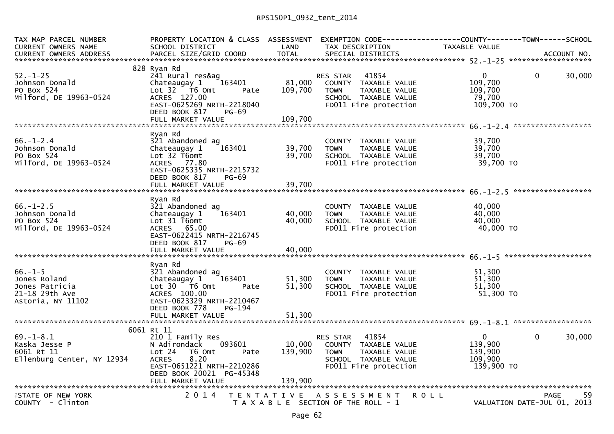| TAX MAP PARCEL NUMBER<br><b>CURRENT OWNERS NAME</b>                                   | PROPERTY LOCATION & CLASS ASSESSMENT EXEMPTION CODE----------------COUNTY--------TOWN------SCHOOL<br>SCHOOL DISTRICT                                                            | LAND              | TAX DESCRIPTION                                                                                                                          | TAXABLE VALUE                                               |                                                  |
|---------------------------------------------------------------------------------------|---------------------------------------------------------------------------------------------------------------------------------------------------------------------------------|-------------------|------------------------------------------------------------------------------------------------------------------------------------------|-------------------------------------------------------------|--------------------------------------------------|
|                                                                                       |                                                                                                                                                                                 |                   |                                                                                                                                          |                                                             |                                                  |
| $52 - 1 - 25$<br>Johnson Donald<br>PO Box 524<br>Milford, DE 19963-0524               | 828 Ryan Rd<br>241 Rural res&ag<br>Chateaugay 1<br>163401<br>Lot $32$ $\overline{76}$ Omt<br>Pate<br>ACRES 127.00<br>EAST-0625269 NRTH-2218040<br>DEED BOOK 817<br><b>PG-69</b> | 81,000<br>109,700 | 41854<br>RES STAR<br>COUNTY TAXABLE VALUE<br><b>TOWN</b><br>TAXABLE VALUE<br>SCHOOL TAXABLE VALUE<br>FD011 Fire protection               | $\mathbf{0}$<br>109,700<br>109,700<br>79,700<br>109,700 TO  | $\mathbf{0}$<br>30,000                           |
|                                                                                       | Ryan Rd                                                                                                                                                                         |                   |                                                                                                                                          |                                                             |                                                  |
| $66. - 1 - 2.4$<br>Johnson Donald<br>PO Box 524<br>Milford, DE 19963-0524             | 321 Abandoned ag<br>Chateaugay 1<br>163401<br>Lot 32 T6omt<br>ACRES 77.80<br>EAST-0625335 NRTH-2215732<br>DEED BOOK 817<br>$PG-69$                                              | 39,700<br>39,700  | COUNTY TAXABLE VALUE<br>TAXABLE VALUE<br><b>TOWN</b><br>SCHOOL TAXABLE VALUE<br>FD011 Fire protection                                    | 39,700<br>39,700<br>39,700<br>39,700 TO                     |                                                  |
|                                                                                       |                                                                                                                                                                                 |                   |                                                                                                                                          |                                                             |                                                  |
| $66. - 1 - 2.5$<br>Johnson Donald<br>PO Box 524<br>Milford, DE 19963-0524             | Ryan Rd<br>321 Abandoned ag<br>Chateaugay 1<br>163401<br>Lot 31 T6omt<br>ACRES 65.00<br>EAST-0622415 NRTH-2216745<br>DEED BOOK 817<br>PG-69                                     | 40,000<br>40,000  | COUNTY TAXABLE VALUE<br><b>TOWN</b><br>TAXABLE VALUE<br>SCHOOL TAXABLE VALUE<br>FD011 Fire protection                                    | 40,000<br>40,000<br>40,000<br>40,000 TO                     |                                                  |
|                                                                                       |                                                                                                                                                                                 |                   |                                                                                                                                          |                                                             |                                                  |
| $66. -1 - 5$<br>Jones Roland<br>Jones Patricia<br>21-18 29th Ave<br>Astoria, NY 11102 | Ryan Rd<br>321 Abandoned ag<br>Chateaugay 1<br>163401<br>$Lot 30 76 0$ $m$ t<br>Pate<br>ACRES 100.00<br>EAST-0623329 NRTH-2210467<br>DEED BOOK 778<br>PG-194                    | 51,300<br>51,300  | COUNTY TAXABLE VALUE<br><b>TOWN</b><br>TAXABLE VALUE<br>SCHOOL TAXABLE VALUE<br>FD011 Fire protection                                    | 51,300<br>51,300<br>51.300<br>51,300 TO                     |                                                  |
|                                                                                       |                                                                                                                                                                                 |                   |                                                                                                                                          |                                                             |                                                  |
|                                                                                       | 6061 Rt 11                                                                                                                                                                      |                   |                                                                                                                                          |                                                             |                                                  |
| $69. - 1 - 8.1$<br>Kaska Jesse P<br>6061 Rt 11<br>Ellenburg Center, NY 12934          | 210 1 Family Res<br>N Adirondack 093601<br>Lot 24<br>T6 Omt<br>Pate<br>8.20<br><b>ACRES</b><br>EAST-0651221 NRTH-2210286<br>DEED BOOK 20021 PG-45348                            | 139,900           | 41854<br><b>RES STAR</b><br>10,000 COUNTY TAXABLE VALUE<br><b>TOWN</b><br>TAXABLE VALUE<br>SCHOOL TAXABLE VALUE<br>FD011 Fire protection | $\mathbf{0}$<br>139,900<br>139,900<br>109,900<br>139,900 TO | 30,000<br>$\Omega$                               |
|                                                                                       |                                                                                                                                                                                 |                   |                                                                                                                                          |                                                             |                                                  |
| <b>ISTATE OF NEW YORK</b><br>COUNTY - Clinton                                         | 2 0 1 4                                                                                                                                                                         |                   | TENTATIVE ASSESSMENT<br>T A X A B L E SECTION OF THE ROLL - 1                                                                            | <b>ROLL</b>                                                 | 59<br><b>PAGE</b><br>VALUATION DATE-JUL 01, 2013 |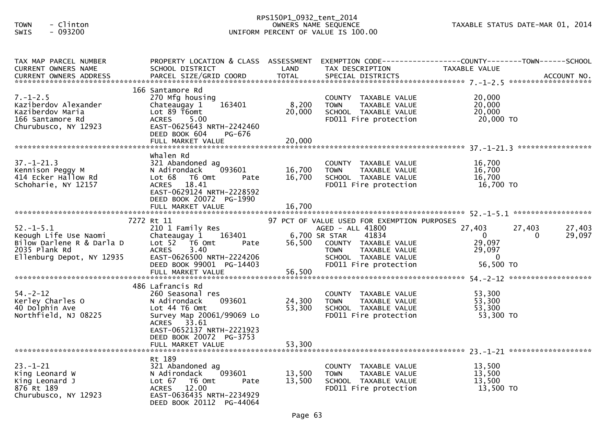## RPS150P1\_0932\_tent\_2014 TOWN - Clinton OWNERS NAME SEQUENCE TAXABLE STATUS DATE-MAR 01, 2014SWIS - 093200 UNIFORM PERCENT OF VALUE IS 100.00

| TAX MAP PARCEL NUMBER<br><b>CURRENT OWNERS NAME</b>                                                                 | PROPERTY LOCATION & CLASS ASSESSMENT<br>SCHOOL DISTRICT                                                                                                                             | LAND                       | EXEMPTION CODE------------------COUNTY--------TOWN------SCHOOL<br>TAX DESCRIPTION                                                                          | TAXABLE VALUE                                            |                                        |
|---------------------------------------------------------------------------------------------------------------------|-------------------------------------------------------------------------------------------------------------------------------------------------------------------------------------|----------------------------|------------------------------------------------------------------------------------------------------------------------------------------------------------|----------------------------------------------------------|----------------------------------------|
|                                                                                                                     |                                                                                                                                                                                     |                            |                                                                                                                                                            |                                                          |                                        |
| $7. - 1 - 2.5$<br>Kaziberdov Alexander<br>Kaziberdov Maria<br>166 Santamore Rd<br>Churubusco, NY 12923              | 166 Santamore Rd<br>270 Mfg housing<br>163401<br>Chateaugay 1<br>Lot 89 T6omt<br><b>ACRES</b><br>5.00<br>EAST-0625643 NRTH-2242460<br>DEED BOOK 604<br>PG-676                       | 8,200<br>20,000            | COUNTY TAXABLE VALUE<br><b>TOWN</b><br>TAXABLE VALUE<br>SCHOOL TAXABLE VALUE<br>FD011 Fire protection                                                      | 20,000<br>20,000<br>20,000<br>20,000 TO                  |                                        |
| $37. - 1 - 21.3$<br>Kennison Peggy M<br>414 Ecker Hallow Rd<br>Schoharie, NY 12157                                  | whalen Rd<br>321 Abandoned ag<br>093601<br>N Adirondack<br>Lot 68 T6 Omt<br>Pate<br>ACRES 18.41<br>EAST-0629124 NRTH-2228592<br>DEED BOOK 20072 PG-1990<br>FULL MARKET VALUE        | 16,700<br>16,700<br>16,700 | COUNTY TAXABLE VALUE<br><b>TOWN</b><br>TAXABLE VALUE<br>SCHOOL TAXABLE VALUE<br>FD011 Fire protection                                                      | 16,700<br>16,700<br>16,700<br>16,700 TO                  |                                        |
|                                                                                                                     | 7272 Rt 11                                                                                                                                                                          |                            | 97 PCT OF VALUE USED FOR EXEMPTION PURPOSES                                                                                                                |                                                          |                                        |
| $52. - 1 - 5.1$<br>Keough Life Use Naomi<br>Bilow Darlene R & Darla D<br>2035 Plank Rd<br>Ellenburg Depot, NY 12935 | 210 1 Family Res<br>Chateaugay 1 163401<br>Lot $52$ $\overline{76}$ Omt<br>Pate<br><b>ACRES</b><br>3.40<br>EAST-0626500 NRTH-2224206<br>DEED BOOK 99001 PG-14403                    |                            | AGED - ALL 41800<br>6,700 SR STAR<br>41834<br>56,500 COUNTY TAXABLE VALUE<br>TAXABLE VALUE<br><b>TOWN</b><br>SCHOOL TAXABLE VALUE<br>FD011 Fire protection | 27,403<br>0<br>29,097<br>29,097<br>$\sim$ 0<br>56,500 TO | 27,403<br>27,403<br>29,097<br>$\Omega$ |
|                                                                                                                     | FULL MARKET VALUE                                                                                                                                                                   | 56,500                     |                                                                                                                                                            |                                                          |                                        |
| $54. - 2 - 12$<br>Kerley Charles O<br>40 Dolphin Ave<br>Northfield, NJ 08225                                        | 486 Lafrancis Rd<br>260 Seasonal res<br>N Adirondack<br>093601<br>Lot 44 T6 Omt<br>Survey Map 20061/99069 Lo<br>ACRES 33.61<br>EAST-0652137 NRTH-2221923<br>DEED BOOK 20072 PG-3753 | 24,300 TOWN<br>53,300      | COUNTY TAXABLE VALUE<br>TAXABLE VALUE<br>SCHOOL TAXABLE VALUE<br>FD011 Fire protection                                                                     | 53,300<br>53,300<br>53,300<br>53,300 TO                  |                                        |
|                                                                                                                     |                                                                                                                                                                                     |                            |                                                                                                                                                            |                                                          |                                        |
| $23 - 1 - 21$<br>King Leonard W<br>King Leonard J<br>876 Rt 189<br>Churubusco, NY 12923                             | Rt 189<br>321 Abandoned ag<br>093601<br>N Adirondack<br>Lot 67<br>T6 Omt<br>Pate<br><b>ACRES</b><br>12.00<br>EAST-0636435 NRTH-2234929<br>DEED BOOK 20112 PG-44064                  | 13,500<br>13,500           | COUNTY TAXABLE VALUE<br>TAXABLE VALUE<br><b>TOWN</b><br>SCHOOL TAXABLE VALUE<br>FD011 Fire protection                                                      | 13,500<br>13,500<br>13,500<br>13,500 TO                  |                                        |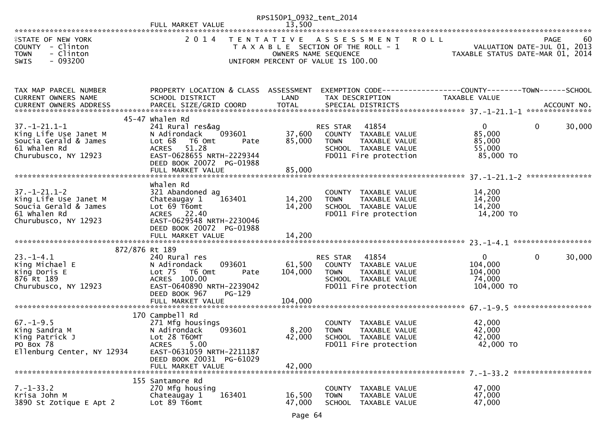|                                                                                                                | FULL MARKET VALUE                                                                                                                                                                                | RPS150P1_0932_tent_2014<br>13,500 |                                                                                                                                            |                                                                 |                                                  |
|----------------------------------------------------------------------------------------------------------------|--------------------------------------------------------------------------------------------------------------------------------------------------------------------------------------------------|-----------------------------------|--------------------------------------------------------------------------------------------------------------------------------------------|-----------------------------------------------------------------|--------------------------------------------------|
| <b>ISTATE OF NEW YORK</b><br>COUNTY - Clinton<br>- Clinton<br><b>TOWN</b><br>$-093200$<br>SWIS                 | 2014                                                                                                                                                                                             |                                   | TENTATIVE ASSESSMENT<br><b>ROLL</b><br>T A X A B L E SECTION OF THE ROLL - 1<br>OWNERS NAME SEQUENCE<br>UNIFORM PERCENT OF VALUE IS 100.00 | VALUATION DATE-JUL UI, 2U15<br>TAXABLE STATUS DATE-MAR 01, 2014 | 60<br><b>PAGE</b><br>VALUATION DATE-JUL 01, 2013 |
| TAX MAP PARCEL NUMBER<br>CURRENT OWNERS NAME                                                                   | PROPERTY LOCATION & CLASS ASSESSMENT<br>SCHOOL DISTRICT                                                                                                                                          | LAND                              | EXEMPTION CODE------------------COUNTY--------TOWN------SCHOOL<br>TAX DESCRIPTION                                                          | TAXABLE VALUE                                                   |                                                  |
| $37. - 1 - 21.1 - 1$<br>King Life Use Janet M<br>Soucia Gerald & James<br>61 Whalen Rd<br>Churubusco, NY 12923 | 45-47 whalen Rd<br>241 Rural res&ag<br>093601<br>N Adirondack<br>Lot 68<br>T6 Omt<br>Pate<br><b>ACRES</b><br>51.28<br>EAST-0628655 NRTH-2229344<br>DEED BOOK 20072 PG-01988<br>FULL MARKET VALUE | 37,600<br>85,000<br>85,000        | RES STAR<br>41854<br>COUNTY TAXABLE VALUE<br>TAXABLE VALUE<br><b>TOWN</b><br>SCHOOL TAXABLE VALUE<br>FD011 Fire protection                 | $\overline{0}$<br>85,000<br>85,000<br>55,000<br>85,000 TO       | $\mathbf 0$<br>30,000                            |
| $37. - 1 - 21.1 - 2$<br>King Life Use Janet M<br>Soucia Gerald & James<br>61 Whalen Rd<br>Churubusco, NY 12923 | Whalen Rd<br>321 Abandoned ag<br>163401<br>Chateaugay 1<br>Lot 69 T6omt<br>ACRES 22.40<br>EAST-0629548 NRTH-2230046<br>DEED BOOK 20072 PG-01988                                                  | 14,200<br>14,200                  | COUNTY TAXABLE VALUE<br><b>TOWN</b><br>TAXABLE VALUE<br>SCHOOL TAXABLE VALUE<br>FD011 Fire protection                                      | 14,200<br>14,200<br>14,200<br>14,200 TO                         |                                                  |
| 872/876 Rt 189                                                                                                 |                                                                                                                                                                                                  |                                   |                                                                                                                                            |                                                                 |                                                  |
| $23. - 1 - 4.1$<br>King Michael E<br>King Doris E<br>876 Rt 189<br>Churubusco, NY 12923                        | 240 Rural res<br>093601<br>N Adirondack<br>Lot 75<br>T6 Omt<br>Pate<br>ACRES 100.00<br>EAST-0640890 NRTH-2239042<br>DEED BOOK 967<br>PG-129                                                      | 61,500<br>104,000                 | 41854<br>RES STAR<br>COUNTY TAXABLE VALUE<br>TAXABLE VALUE<br>TOWN<br>SCHOOL TAXABLE VALUE<br>FD011 Fire protection                        | $\mathbf{0}$<br>104,000<br>104,000<br>74,000<br>104,000 TO      | $\mathbf 0$<br>30,000                            |
| $67. - 1 - 9.5$<br>King Sandra M<br>King Patrick J<br>PO Box 78<br>Ellenburg Center, NY 12934                  | 170 Campbell Rd<br>271 Mfg housings<br>N Adirondack<br>093601<br>Lot 28 T60MT<br>5.00<br><b>ACRES</b><br>EAST-0631059 NRTH-2211187<br>DEED BOOK 20031 PG-61029<br>FULL MARKET VALUE              | 8,200<br>42,000<br>42,000         | COUNTY TAXABLE VALUE<br><b>TOWN</b><br>TAXABLE VALUE<br>SCHOOL TAXABLE VALUE<br>FD011 Fire protection                                      | 42,000<br>42,000<br>42,000<br>42,000 TO                         |                                                  |
| $7. - 1 - 33.2$<br>Krisa John M<br>3890 St Zotique E Apt 2                                                     | 155 Santamore Rd<br>270 Mfg housing<br>163401<br>Chateaugay 1<br>Lot 89 T6omt                                                                                                                    | 16,500<br>47,000                  | <b>COUNTY</b><br>TAXABLE VALUE<br><b>TOWN</b><br>TAXABLE VALUE<br><b>SCHOOL</b><br>TAXABLE VALUE                                           | 47,000<br>47,000<br>47,000                                      |                                                  |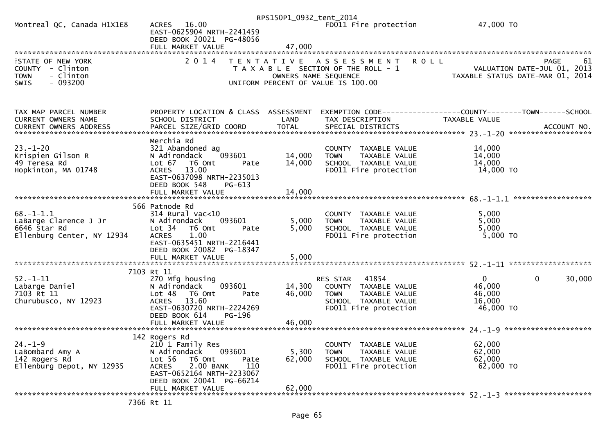|                                                                                                       |                                                                                                                                                                                        | RPS150P1_0932_tent_2014 |                                                                                                                            |                                                                                    |
|-------------------------------------------------------------------------------------------------------|----------------------------------------------------------------------------------------------------------------------------------------------------------------------------------------|-------------------------|----------------------------------------------------------------------------------------------------------------------------|------------------------------------------------------------------------------------|
| Montreal QC, Canada H1X1E8                                                                            | ACRES 16.00<br>EAST-0625904 NRTH-2241459<br>DEED BOOK 20021 PG-48056                                                                                                                   |                         | FD011 Fire protection                                                                                                      | 47,000 TO                                                                          |
|                                                                                                       | FULL MARKET VALUE                                                                                                                                                                      | 47,000                  |                                                                                                                            |                                                                                    |
|                                                                                                       |                                                                                                                                                                                        |                         |                                                                                                                            |                                                                                    |
| <b>FSTATE OF NEW YORK</b><br>COUNTY - Clinton<br><b>TOWN</b><br>- Clinton<br>$-093200$<br><b>SWIS</b> | 2 0 1 4                                                                                                                                                                                | OWNERS NAME SEQUENCE    | <b>ROLL</b><br>TENTATIVE ASSESSMENT<br>T A X A B L E SECTION OF THE ROLL - 1<br>UNIFORM PERCENT OF VALUE IS 100.00         | PAGE<br>61<br>VALUATION DATE-JUL 01, 2013<br>TAXABLE STATUS DATE-MAR 01, 2014      |
| TAX MAP PARCEL NUMBER                                                                                 | PROPERTY LOCATION & CLASS ASSESSMENT                                                                                                                                                   |                         |                                                                                                                            | EXEMPTION CODE------------------COUNTY--------TOWN------SCHOOL                     |
| <b>CURRENT OWNERS NAME</b>                                                                            | SCHOOL DISTRICT                                                                                                                                                                        | LAND                    | TAX DESCRIPTION                                                                                                            | <b>TAXABLE VALUE</b>                                                               |
|                                                                                                       |                                                                                                                                                                                        |                         |                                                                                                                            |                                                                                    |
| $23. - 1 - 20$<br>Krispien Gilson R                                                                   | Merchia Rd<br>321 Abandoned ag<br>093601                                                                                                                                               | 14,000                  | COUNTY TAXABLE VALUE<br><b>TOWN</b>                                                                                        | 14,000<br>14,000                                                                   |
| 49 Teresa Rd                                                                                          | N Adirondack<br>Lot 67<br>T6 Omt<br>Pate                                                                                                                                               | 14,000                  | TAXABLE VALUE<br>SCHOOL TAXABLE VALUE                                                                                      | 14,000                                                                             |
| Hopkinton, MA 01748                                                                                   | 13.00<br><b>ACRES</b><br>EAST-0637098 NRTH-2235013<br>DEED BOOK 548<br>PG-613                                                                                                          |                         | FD011 Fire protection                                                                                                      | 14,000 TO                                                                          |
|                                                                                                       |                                                                                                                                                                                        |                         |                                                                                                                            |                                                                                    |
| $68. - 1 - 1.1$<br>LaBarge Clarence J Jr<br>6646 Star Rd<br>Ellenburg Center, NY 12934                | 566 Patnode Rd<br>$314$ Rural vac<10<br>093601<br>N Adirondack<br>Lot <sub>34</sub><br>T6 Omt<br>Pate<br>1.00<br><b>ACRES</b><br>EAST-0635451 NRTH-2216441<br>DEED BOOK 20082 PG-18347 | 5,000<br>5,000          | COUNTY TAXABLE VALUE<br>TAXABLE VALUE<br><b>TOWN</b><br>SCHOOL TAXABLE VALUE<br>FD011 Fire protection                      | 5,000<br>5,000<br>5,000<br>5,000 TO                                                |
|                                                                                                       | FULL MARKET VALUE                                                                                                                                                                      | 5,000                   |                                                                                                                            |                                                                                    |
|                                                                                                       | 7103 Rt 11                                                                                                                                                                             |                         |                                                                                                                            |                                                                                    |
| $52. - 1 - 11$<br>Labarge Daniel<br>7103 Rt 11<br>Churubusco, NY 12923                                | 270 Mfg housing<br>N Adirondack<br>093601<br>Lot 48<br>T6 Omt<br>Pate<br>13.60<br><b>ACRES</b><br>EAST-0630720 NRTH-2224269<br>DEED BOOK 614<br>PG-196                                 | 14,300<br>46,000        | 41854<br>RES STAR<br>COUNTY TAXABLE VALUE<br><b>TOWN</b><br>TAXABLE VALUE<br>SCHOOL TAXABLE VALUE<br>FD011 Fire protection | $\mathbf 0$<br>$\overline{0}$<br>30,000<br>46,000<br>46,000<br>16,000<br>46,000 TO |
|                                                                                                       | FULL MARKET VALUE                                                                                                                                                                      | 46,000                  |                                                                                                                            |                                                                                    |
|                                                                                                       | 142 Rogers Rd                                                                                                                                                                          |                         |                                                                                                                            |                                                                                    |
| $24. - 1 - 9$                                                                                         | 210 1 Family Res                                                                                                                                                                       |                         | COUNTY TAXABLE VALUE                                                                                                       | 62,000                                                                             |
| LaBombard Amy A<br>142 Rogers Rd<br>Ellenburg Depot, NY 12935                                         | 093601<br>N Adirondack<br>Lot 56<br>T6 Omt<br>Pate<br>2.00 BANK<br>110<br><b>ACRES</b>                                                                                                 | 5,300<br>62,000         | <b>TOWN</b><br>TAXABLE VALUE<br>SCHOOL TAXABLE VALUE<br>FD011 Fire protection                                              | 62,000<br>62,000<br>62,000 TO                                                      |
|                                                                                                       | EAST-0652164 NRTH-2233067<br>DEED BOOK 20041 PG-66214<br>FULL MARKET VALUE                                                                                                             | 62,000                  |                                                                                                                            |                                                                                    |
|                                                                                                       |                                                                                                                                                                                        |                         |                                                                                                                            |                                                                                    |

7366 Rt 11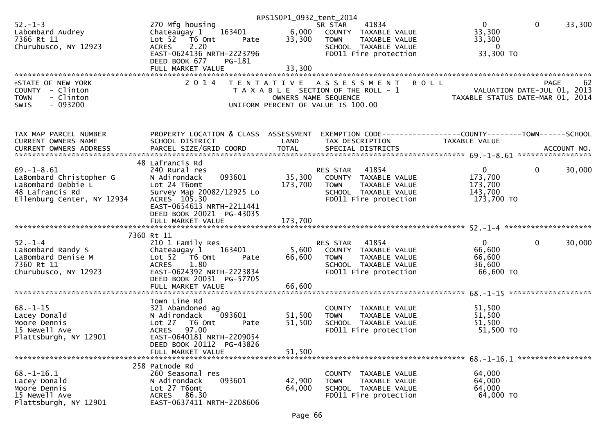|                            |                                               | RPS150P1_0932_tent_2014 |                                                                                                                                               |                |                        |
|----------------------------|-----------------------------------------------|-------------------------|-----------------------------------------------------------------------------------------------------------------------------------------------|----------------|------------------------|
| $52 - 1 - 3$               | 270 Mfg housing                               |                         | 41834<br>SR STAR                                                                                                                              | $\overline{0}$ | $\mathbf{0}$<br>33,300 |
| Labombard Audrey           | $\frac{3401}{10152}$ Chateaugay 1 163401 6.00 |                         | 6,000 COUNTY TAXABLE VALUE                                                                                                                    | 33,300         |                        |
| 7366 Rt 11                 | Lot 52 76 0mt<br>Pate                         | 33,300                  |                                                                                                                                               | 33,300         |                        |
|                            |                                               |                         |                                                                                                                                               | $\overline{0}$ |                        |
| Churubusco, NY 12923       | 2.20<br><b>ACRES</b>                          |                         | <b>COUNTY TAXABLE VALUE<br/>TOWN TAXABLE VALUE<br/>SCHOOL TAXABLE VALUE<br/>FDO11 Fire protection</b>                                         |                |                        |
|                            | EAST-0624136 NRTH-2223796                     |                         |                                                                                                                                               | 33,300 TO      |                        |
|                            | DEED BOOK 677<br>PG-181                       |                         |                                                                                                                                               |                |                        |
|                            |                                               | 33,300                  |                                                                                                                                               |                |                        |
|                            |                                               |                         |                                                                                                                                               |                |                        |
| <b>ISTATE OF NEW YORK</b>  | 2 0 1 4                                       |                         |                                                                                                                                               |                |                        |
|                            |                                               |                         |                                                                                                                                               |                |                        |
| COUNTY - Clinton           |                                               |                         |                                                                                                                                               |                |                        |
| - Clinton<br><b>TOWN</b>   |                                               |                         |                                                                                                                                               |                |                        |
| $-093200$<br><b>SWIS</b>   |                                               |                         | PAGE 62<br>OWNERS NAME SEQUENCE<br>OWNERS NAME SEQUENCE<br>OWNERS NAME SEQUENCE<br>OWNERS NAME SEQUENCE<br>ONIFORM PERCENT OF VALUE IS 100.00 |                |                        |
|                            |                                               |                         |                                                                                                                                               |                |                        |
|                            |                                               |                         |                                                                                                                                               |                |                        |
| TAX MAP PARCEL NUMBER      | PROPERTY LOCATION & CLASS ASSESSMENT          |                         | EXEMPTION CODE-----------------COUNTY-------TOWN-----SCHOOL                                                                                   |                |                        |
| CURRENT OWNERS NAME        | SCHOOL DISTRICT                               | LAND                    | TAX DESCRIPTION                                                                                                                               | TAXABLE VALUE  |                        |
|                            |                                               |                         |                                                                                                                                               |                |                        |
|                            |                                               |                         |                                                                                                                                               |                |                        |
|                            | 48 Lafrancis Rd                               |                         |                                                                                                                                               |                |                        |
| $69. - 1 - 8.61$           | 240 Rural res                                 |                         | RES STAR 41854                                                                                                                                | $\overline{0}$ | $\mathbf{0}$<br>30,000 |
|                            |                                               |                         |                                                                                                                                               |                |                        |
| LaBombard Christopher G    | 093601<br>N Adirondack                        |                         | 35,300 COUNTY TAXABLE VALUE                                                                                                                   | 173,700        |                        |
| LaBombard Debbie L         | Lot 24 T6omt                                  | 173,700                 | <b>TOWN</b><br>TAXABLE VALUE                                                                                                                  | 173,700        |                        |
| 48 Lafrancis Rd            | Survey Map 20082/12925 Lo                     |                         | SCHOOL TAXABLE VALUE                                                                                                                          | 143,700        |                        |
| Ellenburg Center, NY 12934 | ACRES 105.30                                  |                         | FD011 Fire protection                                                                                                                         | 173,700 TO     |                        |
|                            | EAST-0654613 NRTH-2211441                     |                         |                                                                                                                                               |                |                        |
|                            | DEED BOOK 20021 PG-43035                      |                         |                                                                                                                                               |                |                        |
|                            |                                               |                         |                                                                                                                                               |                |                        |
|                            |                                               |                         |                                                                                                                                               |                |                        |
|                            |                                               |                         |                                                                                                                                               |                |                        |
|                            | 7360 Rt 11                                    |                         |                                                                                                                                               |                |                        |
| $52 - 1 - 4$               | 210 1 Family Res                              |                         | 41854<br>RES STAR                                                                                                                             | $\mathbf{0}$   | $\mathbf 0$<br>30,000  |
| LaBombard Randy S          | Chateaugay 1 163401                           |                         | 5,600 COUNTY TAXABLE VALUE                                                                                                                    | 66,600         |                        |
| LaBombard Denise M         | Lot 52 T6 Omt<br>Pate                         | 66,600                  | <b>TOWN</b><br>TAXABLE VALUE                                                                                                                  | 66,600         |                        |
| 7360 Rt 11                 | <b>ACRES</b><br>1.80                          |                         | SCHOOL TAXABLE VALUE                                                                                                                          | 36,600         |                        |
| Churubusco, NY 12923       | EAST-0624392 NRTH-2223834                     |                         | FD011 Fire protection                                                                                                                         | 66,600 TO      |                        |
|                            |                                               |                         |                                                                                                                                               |                |                        |
|                            | DEED BOOK 20031 PG-57705                      |                         |                                                                                                                                               |                |                        |
|                            |                                               |                         |                                                                                                                                               |                |                        |
|                            |                                               |                         |                                                                                                                                               |                |                        |
|                            | Town Line Rd                                  |                         |                                                                                                                                               |                |                        |
| $68. - 1 - 15$             | 321 Abandoned ag                              |                         | COUNTY TAXABLE VALUE                                                                                                                          | 51,500         |                        |
| Lacey Donald               | 093601<br>N Adirondack                        | 51,500                  | TAXABLE VALUE<br><b>TOWN</b>                                                                                                                  | 51,500         |                        |
| Moore Dennis               | Lot 27 T6 Omt<br>Pate                         | 51,500                  | SCHOOL TAXABLE VALUE                                                                                                                          | 51,500         |                        |
|                            |                                               |                         |                                                                                                                                               |                |                        |
| 15 Newell Ave              | ACRES 97.00                                   |                         | FD011 Fire protection                                                                                                                         | 51,500 TO      |                        |
| Plattsburgh, NY 12901      | EAST-0640181 NRTH-2209054                     |                         |                                                                                                                                               |                |                        |
|                            | DEED BOOK 20112 PG-43826                      |                         |                                                                                                                                               |                |                        |
|                            | FULL MARKET VALUE                             | 51,500                  |                                                                                                                                               |                |                        |
|                            |                                               |                         |                                                                                                                                               |                |                        |
|                            | 258 Patnode Rd                                |                         |                                                                                                                                               |                |                        |
| $68. - 1 - 16.1$           | 260 Seasonal res                              |                         | COUNTY TAXABLE VALUE                                                                                                                          | 64,000         |                        |
|                            |                                               |                         |                                                                                                                                               |                |                        |
| Lacey Donald               | 093601<br>N Adirondack                        | 42,900                  | <b>TOWN</b><br>TAXABLE VALUE                                                                                                                  | 64,000         |                        |
| Moore Dennis               | Lot 27 T6omt                                  | 64,000                  | SCHOOL TAXABLE VALUE                                                                                                                          | 64,000         |                        |
| 15 Newell Ave              | ACRES 86.30                                   |                         | FD011 Fire protection                                                                                                                         | 64,000 TO      |                        |
| Plattsburgh, NY 12901      | EAST-0637411 NRTH-2208606                     |                         |                                                                                                                                               |                |                        |
|                            |                                               |                         |                                                                                                                                               |                |                        |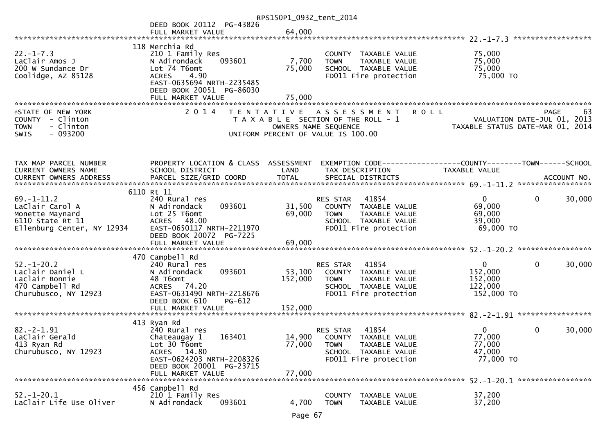|                                                                                                          |                                                                                                                                                                     | RPS150P1_0932_tent_2014    |                                                                                                                                            |                                                                                       |
|----------------------------------------------------------------------------------------------------------|---------------------------------------------------------------------------------------------------------------------------------------------------------------------|----------------------------|--------------------------------------------------------------------------------------------------------------------------------------------|---------------------------------------------------------------------------------------|
|                                                                                                          | DEED BOOK 20112 PG-43826                                                                                                                                            |                            |                                                                                                                                            |                                                                                       |
|                                                                                                          | FULL MARKET VALUE                                                                                                                                                   | 64,000                     |                                                                                                                                            |                                                                                       |
|                                                                                                          | 118 Merchia Rd                                                                                                                                                      |                            |                                                                                                                                            |                                                                                       |
| $22. - 1 - 7.3$<br>LaClair Amos J<br>200 W Sundance Dr<br>Coolidge, AZ 85128                             | 210 1 Family Res<br>093601<br>N Adirondack<br>Lot 74 T6omt<br>4.90<br><b>ACRES</b><br>EAST-0635694 NRTH-2235485<br>DEED BOOK 20051 PG-86030                         | 7,700<br>75,000            | COUNTY TAXABLE VALUE<br><b>TOWN</b><br>TAXABLE VALUE<br>SCHOOL TAXABLE VALUE<br>FD011 Fire protection                                      | 75,000<br>75,000<br>75,000<br>75,000 TO                                               |
|                                                                                                          |                                                                                                                                                                     |                            |                                                                                                                                            |                                                                                       |
|                                                                                                          |                                                                                                                                                                     |                            |                                                                                                                                            |                                                                                       |
| <b>ISTATE OF NEW YORK</b><br>COUNTY - Clinton<br>- Clinton<br><b>TOWN</b><br>$-093200$<br><b>SWIS</b>    | 2 0 1 4                                                                                                                                                             |                            | <b>ROLL</b><br>TENTATIVE ASSESSMENT<br>T A X A B L E SECTION OF THE ROLL - 1<br>OWNERS NAME SEQUENCE<br>UNIFORM PERCENT OF VALUE IS 100.00 | 63<br><b>PAGE</b><br>VALUATION DATE-JUL 01, 2013<br>TAXABLE STATUS DATE-MAR 01, 2014  |
| TAX MAP PARCEL NUMBER<br>CURRENT OWNERS NAME                                                             | PROPERTY LOCATION & CLASS ASSESSMENT<br>SCHOOL DISTRICT                                                                                                             | LAND                       | TAX DESCRIPTION                                                                                                                            | EXEMPTION CODE-----------------COUNTY-------TOWN------SCHOOL<br><b>TAXABLE VALUE</b>  |
|                                                                                                          |                                                                                                                                                                     |                            |                                                                                                                                            |                                                                                       |
|                                                                                                          |                                                                                                                                                                     |                            |                                                                                                                                            |                                                                                       |
|                                                                                                          | 6110 Rt 11                                                                                                                                                          |                            |                                                                                                                                            |                                                                                       |
| $69. - 1 - 11.2$<br>LaClair Carol A<br>Monette Maynard<br>6110 State Rt 11<br>Ellenburg Center, NY 12934 | 240 Rural res<br>093601<br>N Adirondack<br>Lot 25 T6omt<br>ACRES 48.00<br>EAST-0650117 NRTH-2211970<br>DEED BOOK 20072 PG-7225                                      | 31,500<br>69,000           | 41854<br>RES STAR<br>COUNTY TAXABLE VALUE<br><b>TOWN</b><br>TAXABLE VALUE<br>SCHOOL TAXABLE VALUE<br>FD011 Fire protection                 | $\mathbf{0}$<br>30,000<br>$\Omega$<br>69,000<br>69,000<br>39,000<br>69,000 TO         |
|                                                                                                          | FULL MARKET VALUE                                                                                                                                                   | 69,000                     |                                                                                                                                            |                                                                                       |
|                                                                                                          |                                                                                                                                                                     |                            |                                                                                                                                            |                                                                                       |
| $52. - 1 - 20.2$<br>Laclair Daniel L<br>Laclair Bonnie<br>470 Campbell Rd<br>Churubusco, NY 12923        | 470 Campbell Rd<br>240 Rural res<br>093601<br>N Adirondack<br>48 T6omt<br>ACRES 74.20<br>EAST-0631490 NRTH-2218676<br>DEED BOOK 610<br>PG-612                       | 53,100<br>152,000          | 41854<br>RES STAR<br>COUNTY TAXABLE VALUE<br><b>TOWN</b><br>TAXABLE VALUE<br>SCHOOL TAXABLE VALUE<br>FD011 Fire protection                 | $\mathbf{0}$<br>$\mathbf{0}$<br>30,000<br>152,000<br>152,000<br>122,000<br>152,000 TO |
|                                                                                                          | FULL MARKET VALUE                                                                                                                                                   | 152,000                    |                                                                                                                                            |                                                                                       |
|                                                                                                          |                                                                                                                                                                     |                            |                                                                                                                                            |                                                                                       |
| $82. - 2 - 1.91$<br>LaClair Gerald<br>413 Ryan Rd<br>Churubusco, NY 12923                                | 413 Ryan Rd<br>240 Rural res<br>163401<br>Chateaugay 1<br>Lot 30 T6omt<br>ACRES 14.80<br>EAST-0624203 NRTH-2208326<br>DEED BOOK 20001 PG-23715<br>FULL MARKET VALUE | 14,900<br>77,000<br>77,000 | 41854<br><b>RES STAR</b><br>COUNTY TAXABLE VALUE<br>TAXABLE VALUE<br><b>TOWN</b><br>SCHOOL TAXABLE VALUE<br>FD011 Fire protection          | 30,000<br>0<br>0<br>77.000<br>77,000<br>47,000<br>77,000 TO                           |
|                                                                                                          |                                                                                                                                                                     |                            |                                                                                                                                            |                                                                                       |
| $52. - 1 - 20.1$<br>LaClair Life Use Oliver                                                              | 456 Campbell Rd<br>210 1 Family Res<br>N Adirondack<br>093601                                                                                                       | 4,700                      | <b>COUNTY</b><br>TAXABLE VALUE<br><b>TOWN</b><br>TAXABLE VALUE                                                                             | 37,200<br>37,200                                                                      |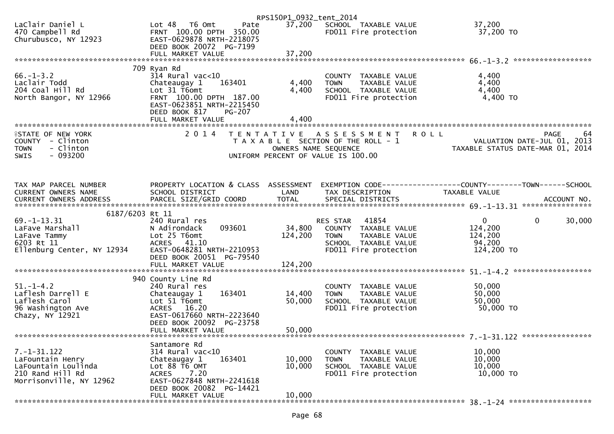|                                                             |                                                                                                          | RPS150P1_0932_tent_2014 |                                                                             |                                                 |
|-------------------------------------------------------------|----------------------------------------------------------------------------------------------------------|-------------------------|-----------------------------------------------------------------------------|-------------------------------------------------|
| LaClair Daniel L<br>470 Campbell Rd<br>Churubusco, NY 12923 | Lot 48 T6 Omt<br>Pate<br>FRNT 100.00 DPTH 350.00<br>EAST-0629878 NRTH-2218075<br>DEED BOOK 20072 PG-7199 |                         | 37,200 SCHOOL TAXABLE VALUE<br>FD011 Fire protection                        | 37,200<br>37,200 TO                             |
|                                                             |                                                                                                          |                         |                                                                             |                                                 |
|                                                             | 709 Ryan Rd                                                                                              |                         |                                                                             |                                                 |
| $66. - 1 - 3.2$<br>Laclair Todd                             | $314$ Rural vac< $10$<br>163401<br>Chateaugay 1                                                          | 4,400                   | COUNTY TAXABLE VALUE<br>TAXABLE VALUE<br><b>TOWN</b>                        | 4,400<br>4,400                                  |
| 204 Coal Hill Rd                                            | Lot 31 T6omt                                                                                             | 4,400                   | SCHOOL TAXABLE VALUE                                                        | 4,400                                           |
| North Bangor, NY 12966                                      | FRNT 100.00 DPTH 187.00<br>EAST-0623851 NRTH-2215450<br>DEED BOOK 817<br>PG-207                          |                         | FD011 Fire protection                                                       | 4,400 TO                                        |
|                                                             | FULL MARKET VALUE                                                                                        | 4,400                   |                                                                             |                                                 |
| <b>ISTATE OF NEW YORK</b><br>COUNTY - Clinton               | 2014                                                                                                     | T E N T A T I V E       | <b>ROLL</b><br>A S S E S S M E N T<br>T A X A B L E SECTION OF THE ROLL - 1 | PAGE<br>64<br>VALUATION DATE-JUL 01, 2013       |
| - Clinton<br><b>TOWN</b><br>$-093200$<br><b>SWIS</b>        |                                                                                                          |                         | OWNERS NAME SEQUENCE<br>UNIFORM PERCENT OF VALUE IS 100.00                  | TAXABLE STATUS DATE-MAR 01, 2014                |
|                                                             |                                                                                                          |                         |                                                                             |                                                 |
| TAX MAP PARCEL NUMBER                                       | PROPERTY LOCATION & CLASS ASSESSMENT                                                                     |                         |                                                                             |                                                 |
| CURRENT OWNERS NAME<br>CURRENT OWNERS ADDRESS               | SCHOOL DISTRICT                                                                                          | LAND                    | TAX DESCRIPTION                                                             | TAXABLE VALUE                                   |
|                                                             |                                                                                                          |                         |                                                                             |                                                 |
| 6187/6203 Rt 11                                             |                                                                                                          |                         |                                                                             |                                                 |
| $69. - 1 - 13.31$<br>LaFave Marshall                        | 240 Rural res<br>N Adirondack<br>093601                                                                  | 34,800                  | 41854<br>RES STAR<br>COUNTY TAXABLE VALUE                                   | $\overline{0}$<br>$\Omega$<br>30,000<br>124,200 |
| LaFave Tammy                                                | Lot 25 T6omt                                                                                             | 124,200                 | <b>TOWN</b><br>TAXABLE VALUE                                                | 124,200                                         |
| 6203 Rt 11                                                  | ACRES 41.10                                                                                              |                         | SCHOOL TAXABLE VALUE                                                        | 94,200                                          |
| Ellenburg Center, NY 12934                                  | EAST-0648281 NRTH-2210953<br>DEED BOOK 20051 PG-79540                                                    |                         | FD011 Fire protection                                                       | 124,200 TO                                      |
|                                                             |                                                                                                          |                         |                                                                             |                                                 |
|                                                             |                                                                                                          |                         |                                                                             |                                                 |
| $51. - 1 - 4.2$                                             | 940 County Line Rd<br>240 Rural res                                                                      |                         | COUNTY TAXABLE VALUE                                                        | 50,000                                          |
| Laflesh Darrell E                                           | 163401<br>Chateaugay 1                                                                                   | 14,400                  | TAXABLE VALUE<br><b>TOWN</b>                                                | 50,000                                          |
| Laflesh Carol                                               | Lot 51 T6omt                                                                                             | 50,000                  | SCHOOL TAXABLE VALUE                                                        | 50,000                                          |
| 96 Washington Ave                                           | ACRES 16.20                                                                                              |                         | FD011 Fire protection                                                       | 50,000 TO                                       |
| Chazy, NY 12921                                             | EAST-0617660 NRTH-2223640<br>DEED BOOK 20092 PG-23758                                                    |                         |                                                                             |                                                 |
|                                                             | FULL MARKET VALUE                                                                                        | 50,000                  |                                                                             |                                                 |
|                                                             |                                                                                                          |                         |                                                                             |                                                 |
| $7. - 1 - 31.122$                                           | Santamore Rd<br>$314$ Rural vac<10                                                                       |                         | TAXABLE VALUE<br><b>COUNTY</b>                                              | 10,000                                          |
| LaFountain Henry                                            | 163401<br>Chateaugay 1                                                                                   | 10,000                  | <b>TOWN</b><br>TAXABLE VALUE                                                | 10,000                                          |
| LaFountain Loulinda                                         | Lot 88 T6 OMT                                                                                            | 10,000                  | SCHOOL TAXABLE VALUE                                                        | 10,000                                          |
| 210 Rand Hill Rd                                            | <b>ACRES</b><br>7.20<br>EAST-0627848 NRTH-2241618                                                        |                         | FD011 Fire protection                                                       | 10,000 TO                                       |
| Morrisonville, NY 12962                                     | DEED BOOK 20082 PG-14421                                                                                 |                         |                                                                             |                                                 |
|                                                             | FULL MARKET VALUE                                                                                        | 10,000                  |                                                                             |                                                 |
|                                                             |                                                                                                          |                         |                                                                             |                                                 |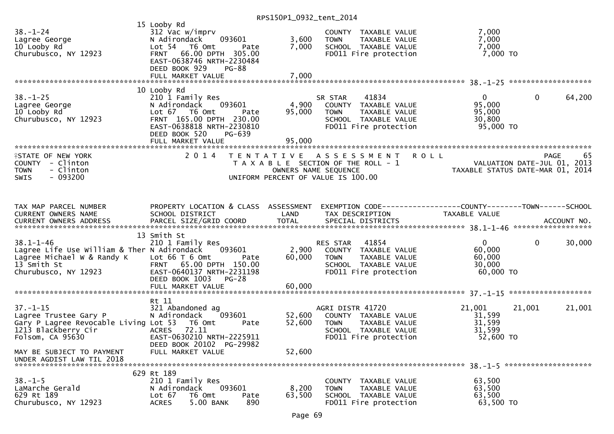| $38. - 1 - 24$<br>Lagree George<br>10 Looby Rd<br>Churubusco, NY 12923                                                              | 15 Looby Rd<br>312 Vac w/imprv<br>093601<br>N Adirondack<br>Lot 54 T6 Omt<br>Pate<br><b>FRNT</b><br>66.00 DPTH 305.00<br>EAST-0638746 NRTH-2230484<br>DEED BOOK 929<br><b>PG-88</b><br>FULL MARKET VALUE | 3,600<br>7,000<br>7,000   | COUNTY TAXABLE VALUE<br><b>TOWN</b><br>TAXABLE VALUE<br>SCHOOL TAXABLE VALUE<br>FD011 Fire protection                            | 7,000<br>7,000<br>7,000<br>$7,000$ TO                     |                                                                                      |
|-------------------------------------------------------------------------------------------------------------------------------------|----------------------------------------------------------------------------------------------------------------------------------------------------------------------------------------------------------|---------------------------|----------------------------------------------------------------------------------------------------------------------------------|-----------------------------------------------------------|--------------------------------------------------------------------------------------|
|                                                                                                                                     | 10 Looby Rd                                                                                                                                                                                              |                           |                                                                                                                                  |                                                           |                                                                                      |
| $38. - 1 - 25$<br>Lagree George<br>10 Looby Rd<br>Churubusco, NY 12923                                                              | 210 1 Family Res<br>N Adirondack<br>093601<br>Lot 67 76 0mt<br>Pate<br>FRNT 165.00 DPTH 230.00<br>EAST-0638818 NRTH-2230810<br>PG-639<br>DEED BOOK 520<br>FULL MARKET VALUE                              | 4,900<br>95,000<br>95,000 | 41834<br>SR STAR<br>COUNTY TAXABLE VALUE<br><b>TOWN</b><br>TAXABLE VALUE<br>SCHOOL TAXABLE VALUE<br>FD011 Fire protection        | $\overline{0}$<br>95,000<br>95,000<br>30,800<br>95,000 TO | $\mathbf 0$<br>64,200                                                                |
|                                                                                                                                     |                                                                                                                                                                                                          |                           |                                                                                                                                  |                                                           |                                                                                      |
| <b>ISTATE OF NEW YORK</b><br>COUNTY - Clinton<br>- Clinton<br><b>TOWN</b><br>$-093200$<br><b>SWIS</b>                               | 2 0 1 4                                                                                                                                                                                                  |                           | TENTATIVE ASSESSMENT<br>T A X A B L E SECTION OF THE ROLL - 1<br>OWNERS NAME SEQUENCE<br>UNIFORM PERCENT OF VALUE IS 100.00      | <b>ROLL</b>                                               | 65<br><b>PAGE</b><br>VALUATION DATE-JUL 01, 2013<br>TAXABLE STATUS DATE-MAR 01, 2014 |
| TAX MAP PARCEL NUMBER<br>CURRENT OWNERS NAME                                                                                        | PROPERTY LOCATION & CLASS ASSESSMENT<br>SCHOOL DISTRICT                                                                                                                                                  | LAND                      | EXEMPTION CODE-----------------COUNTY-------TOWN------SCHOOL<br>TAX DESCRIPTION                                                  | TAXABLE VALUE                                             |                                                                                      |
|                                                                                                                                     |                                                                                                                                                                                                          |                           |                                                                                                                                  |                                                           |                                                                                      |
|                                                                                                                                     | 13 Smith St                                                                                                                                                                                              |                           |                                                                                                                                  |                                                           |                                                                                      |
| $38.1 - 1 - 46$<br>Lagree Life Use William & Ther N Adirondack<br>Lagree Michael W & Randy K<br>13 Smith St<br>Churubusco, NY 12923 | 210 1 Family Res<br>093601<br>Lot $66T6$ Omt<br>Pate<br>FRNT 65.00 DPTH 150.00<br>EAST-0640137 NRTH-2231198<br>DEED BOOK 1003<br>$PG-28$<br>FULL MARKET VALUE                                            | 2,900<br>60,000<br>60,000 | 41854<br>RES STAR<br>COUNTY TAXABLE VALUE<br><b>TOWN</b><br>TAXABLE VALUE<br>SCHOOL TAXABLE VALUE<br>FD011 Fire protection       | $\mathbf{0}$<br>60,000<br>60,000<br>30,000<br>60,000 TO   | $\mathbf 0$<br>30,000                                                                |
|                                                                                                                                     |                                                                                                                                                                                                          |                           |                                                                                                                                  |                                                           |                                                                                      |
| $37. - 1 - 15$<br>Lagree Trustee Gary P<br>Gary P Lagree Revocable Living Lot 53<br>1213 Blackberry Cir<br>Folsom, CA 95630         | Rt 11<br>321 Abandoned ag<br>093601<br>N Adirondack<br>T6 Omt<br>Pate<br>72.11<br><b>ACRES</b><br>EAST-0630210 NRTH-2225911                                                                              | 52,600<br>52,600          | AGRI DISTR 41720<br>COUNTY TAXABLE VALUE<br><b>TOWN</b><br><b>TAXABLE VALUE</b><br>SCHOOL TAXABLE VALUE<br>FD011 Fire protection | 21,001<br>31,599<br>31,599<br>31,599<br>52,600 TO         | 21,001<br>21,001                                                                     |
| MAY BE SUBJECT TO PAYMENT<br>UNDER AGDIST LAW TIL 2018                                                                              | DEED BOOK 20102 PG-29982<br>FULL MARKET VALUE                                                                                                                                                            | 52,600                    |                                                                                                                                  |                                                           |                                                                                      |
|                                                                                                                                     | 629 Rt 189                                                                                                                                                                                               |                           |                                                                                                                                  |                                                           |                                                                                      |
| $38. - 1 - 5$<br>LaMarche Gerald<br>629 Rt 189<br>Churubusco, NY 12923                                                              | 210 1 Family Res<br>093601<br>N Adirondack<br>Lot 67<br>T6 Omt<br>Pate<br>5.00 BANK<br>890<br><b>ACRES</b>                                                                                               | 8,200<br>63,500           | COUNTY TAXABLE VALUE<br>TAXABLE VALUE<br><b>TOWN</b><br>SCHOOL TAXABLE VALUE<br>FD011 Fire protection                            | 63,500<br>63,500<br>63,500<br>63,500 TO                   |                                                                                      |
|                                                                                                                                     |                                                                                                                                                                                                          |                           |                                                                                                                                  |                                                           |                                                                                      |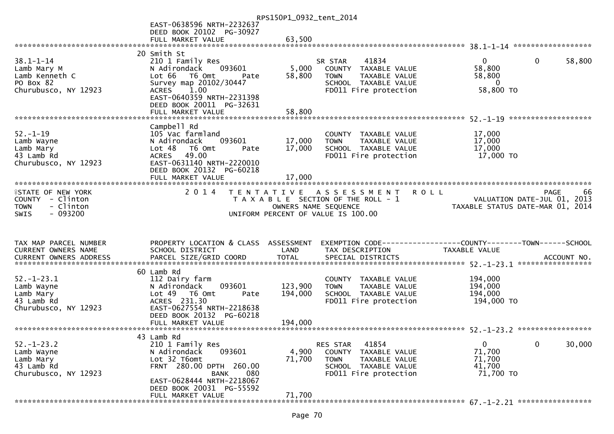|                                                                                   |                                                                                                                                                                                    | RPS150P1_0932_tent_2014 |                                                                                                                                      |                                                                        |             |
|-----------------------------------------------------------------------------------|------------------------------------------------------------------------------------------------------------------------------------------------------------------------------------|-------------------------|--------------------------------------------------------------------------------------------------------------------------------------|------------------------------------------------------------------------|-------------|
|                                                                                   | EAST-0638596 NRTH-2232637<br>DEED BOOK 20102 PG-30927                                                                                                                              |                         |                                                                                                                                      |                                                                        |             |
|                                                                                   | FULL MARKET VALUE                                                                                                                                                                  | 63,500                  |                                                                                                                                      |                                                                        |             |
|                                                                                   |                                                                                                                                                                                    |                         |                                                                                                                                      |                                                                        |             |
| $38.1 - 1 - 14$<br>Lamb Mary M<br>Lamb Kenneth C<br>PO Box 82                     | 20 Smith St<br>210 1 Family Res<br>093601<br>N Adirondack<br>Lot 66  T6 0mt<br>Pate<br>Survey map 20102/30447                                                                      | 5,000<br>58,800         | 41834<br>SR STAR<br>COUNTY TAXABLE VALUE<br>TAXABLE VALUE<br><b>TOWN</b><br>SCHOOL TAXABLE VALUE                                     | $\mathbf{0}$<br>$\overline{0}$<br>58,800<br>58,800<br>$\overline{0}$   | 58,800      |
| Churubusco, NY 12923                                                              | 1.00<br><b>ACRES</b><br>EAST-0640359 NRTH-2231398<br>DEED BOOK 20011 PG-32631<br>FULL MARKET VALUE                                                                                 | 58,800                  | FD011 Fire protection                                                                                                                | 58,800 TO                                                              |             |
|                                                                                   |                                                                                                                                                                                    |                         |                                                                                                                                      |                                                                        |             |
| $52. - 1 - 19$<br>Lamb Wayne<br>Lamb Mary<br>43 Lamb Rd<br>Churubusco, NY 12923   | Campbell Rd<br>105 Vac farmland<br>093601<br>N Adirondack<br>Lot 48<br>T6 Omt<br>Pate<br>49.00<br><b>ACRES</b><br>EAST-0631140 NRTH-2220010<br>DEED BOOK 20132 PG-60218            | 17,000<br>17,000        | COUNTY TAXABLE VALUE<br><b>TOWN</b><br>TAXABLE VALUE<br>SCHOOL TAXABLE VALUE<br>FD011 Fire protection                                | 17,000<br>17,000<br>17,000<br>17,000 TO                                |             |
|                                                                                   | FULL MARKET VALUE                                                                                                                                                                  | 17,000                  |                                                                                                                                      |                                                                        |             |
| <b>ISTATE OF NEW YORK</b><br>COUNTY - Clinton<br><b>TOWN</b><br>- Clinton         | 2014                                                                                                                                                                               |                         | TENTATIVE ASSESSMENT<br>T A X A B L E SECTION OF THE ROLL - 1                                                                        | <b>ROLL</b><br><b>PAGE</b><br>VALUATION DATE-JUL 01, 2013              | 66          |
| $-093200$<br><b>SWIS</b>                                                          |                                                                                                                                                                                    |                         | OWNERS NAME SEQUENCE<br>UNIFORM PERCENT OF VALUE IS 100.00                                                                           | TAXABLE STATUS DATE-MAR 01, 2014                                       |             |
| TAX MAP PARCEL NUMBER<br><b>CURRENT OWNERS NAME</b>                               | PROPERTY LOCATION & CLASS ASSESSMENT<br>SCHOOL DISTRICT                                                                                                                            | LAND                    | TAX DESCRIPTION                                                                                                                      | TAXABLE VALUE                                                          | ACCOUNT NO. |
|                                                                                   |                                                                                                                                                                                    |                         |                                                                                                                                      | *****************                                                      |             |
| $52. - 1 - 23.1$<br>Lamb Wayne<br>Lamb Mary<br>43 Lamb Rd<br>Churubusco, NY 12923 | 60 Lamb Rd<br>112 Dairy farm<br>093601<br>N Adirondack<br>Lot 49  T6 0mt<br>Pate<br>ACRES 231.30<br>EAST-0627554 NRTH-2218638                                                      | 123,900<br>194,000      | COUNTY TAXABLE VALUE<br><b>TOWN</b><br>TAXABLE VALUE<br>SCHOOL TAXABLE VALUE<br>FD011 Fire protection                                | 194,000<br>194,000<br>194,000<br>194,000 TO                            |             |
|                                                                                   | DEED BOOK 20132 PG-60218                                                                                                                                                           |                         |                                                                                                                                      |                                                                        |             |
|                                                                                   |                                                                                                                                                                                    |                         |                                                                                                                                      |                                                                        |             |
| $52. - 1 - 23.2$<br>Lamb Wayne<br>Lamb Mary<br>43 Lamb Rd<br>Churubusco, NY 12923 | 43 Lamb Rd<br>210 1 Family Res<br>093601<br>N Adirondack<br>Lot 32 T6omt<br>FRNT 280.00 DPTH 260.00<br>080<br><b>BANK</b><br>EAST-0628444 NRTH-2218067<br>DEED BOOK 20031 PG-55592 | 4,900<br>71,700         | 41854<br>RES STAR<br><b>COUNTY</b><br>TAXABLE VALUE<br>TAXABLE VALUE<br><b>TOWN</b><br>SCHOOL TAXABLE VALUE<br>FD011 Fire protection | $\mathbf 0$<br>$\mathbf{0}$<br>71,700<br>71,700<br>41,700<br>71,700 TO | 30,000      |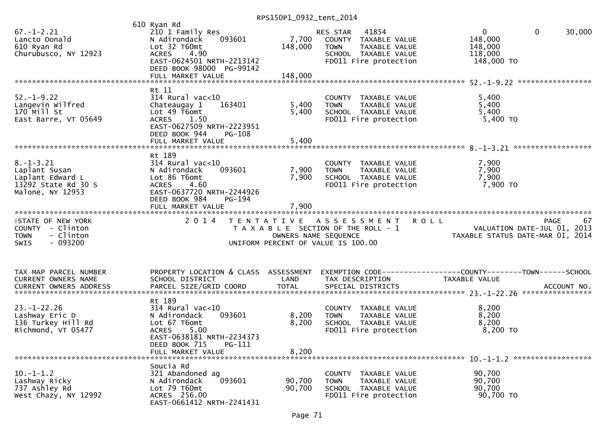| $67. - 1 - 2.21$<br>Lancto Donald<br>610 Ryan Rd<br>Churubusco, NY 12923                              | 610 Ryan Rd<br>210 1 Family Res<br>093601<br>N Adirondack<br>Lot 32 T60mt<br>4.90<br><b>ACRES</b><br>EAST-0624501 NRTH-2213142<br>DEED BOOK 98000 PG-99142<br>FULL MARKET VALUE    | 7,700<br>148,000<br>148,000 | 41854<br>RES STAR<br>COUNTY TAXABLE VALUE<br>TAXABLE VALUE<br><b>TOWN</b><br>SCHOOL TAXABLE VALUE<br>FD011 Fire protection       | $\overline{0}$<br>$\mathbf{0}$<br>30,000<br>148,000<br>148,000<br>118,000<br>148,000 TO      |
|-------------------------------------------------------------------------------------------------------|------------------------------------------------------------------------------------------------------------------------------------------------------------------------------------|-----------------------------|----------------------------------------------------------------------------------------------------------------------------------|----------------------------------------------------------------------------------------------|
|                                                                                                       | Rt 11                                                                                                                                                                              |                             |                                                                                                                                  |                                                                                              |
| $52. - 1 - 9.22$<br>Langevin Wilfred<br>170 Mill St<br>East Barre, VT 05649                           | $314$ Rural vac<10<br>Chateaugay 1<br>163401<br>Lot 49 T6omt<br><b>ACRES</b><br>1.50<br>EAST-0627509 NRTH-2223951<br>DEED BOOK 944<br>PG-108                                       | 5,400<br>5,400              | COUNTY TAXABLE VALUE<br>TAXABLE VALUE<br><b>TOWN</b><br>SCHOOL TAXABLE VALUE<br>FD011 Fire protection                            | 5,400<br>5,400<br>5,400<br>5,400 TO                                                          |
|                                                                                                       |                                                                                                                                                                                    |                             |                                                                                                                                  |                                                                                              |
| $8. - 1 - 3.21$<br>Laplant Susan<br>Laplant Edward L<br>13292 State Rd 30 S<br>Malone, NY 12953       | Rt 189<br>$314$ Rural vac<10<br>093601<br>N Adirondack<br>Lot 86 T6omt<br><b>ACRES</b><br>4.60<br>EAST-0637720 NRTH-2244926<br>DEED BOOK 984<br><b>PG-194</b><br>FULL MARKET VALUE | 7,900<br>7,900<br>7,900     | COUNTY TAXABLE VALUE<br><b>TOWN</b><br>TAXABLE VALUE<br>SCHOOL TAXABLE VALUE<br>FD011 Fire protection                            | 7,900<br>7,900<br>7,900<br>7,900 TO                                                          |
| <b>ISTATE OF NEW YORK</b><br>COUNTY - Clinton<br>- Clinton<br><b>TOWN</b><br>$-093200$<br><b>SWIS</b> | 2 0 1 4                                                                                                                                                                            |                             | TENTATIVE ASSESSMENT ROLL<br>T A X A B L E SECTION OF THE ROLL - 1<br>OWNERS NAME SEQUENCE<br>UNIFORM PERCENT OF VALUE IS 100.00 | <b>PAGE</b><br>67<br>VALUATION DATE-JUL 01, 2013<br>TAXABLE STATUS DATE-MAR 01, 2014         |
| TAX MAP PARCEL NUMBER<br>CURRENT OWNERS NAME<br>CURRENT OWNERS ADDRESS                                | PROPERTY LOCATION & CLASS ASSESSMENT<br>SCHOOL DISTRICT<br>PARCEL SIZE/GRID COORD                                                                                                  | LAND<br><b>TOTAL</b>        | TAX DESCRIPTION<br>SPECIAL DISTRICTS                                                                                             | EXEMPTION CODE-----------------COUNTY-------TOWN------SCHOOL<br>TAXABLE VALUE<br>ACCOUNT NO. |
| $23. - 1 - 22.26$<br>Lashway Eric D<br>136 Turkey Hill Rd<br>Richmond, VT 05477                       | Rt 189<br>$314$ Rural vac<10<br>N Adirondack<br>093601<br>Lot 67 T6omt<br><b>ACRES</b><br>5.00<br>EAST-0638181 NRTH-2234373<br>DEED BOOK 715<br>PG-111<br>FULL MARKET VALUE        | 8,200<br>8,200<br>8,200     | COUNTY TAXABLE VALUE<br>TAXABLE VALUE<br><b>TOWN</b><br>SCHOOL TAXABLE VALUE<br>FD011 Fire protection                            | 8,200<br>8,200<br>8,200<br>8,200 TO                                                          |
| $10. -1 - 1.2$<br>Lashway Ricky<br>737 Ashley Rd<br>West Chazy, NY 12992                              | Soucia Rd<br>321 Abandoned ag<br>093601<br>N Adirondack<br>Lot 79 T60mt<br>ACRES 256.00<br>EAST-0661412 NRTH-2241431                                                               | 90,700<br>90,700            | COUNTY<br>TAXABLE VALUE<br>TAXABLE VALUE<br><b>TOWN</b><br>SCHOOL TAXABLE VALUE<br>FD011 Fire protection                         | 90,700<br>90,700<br>90,700<br>90,700 TO                                                      |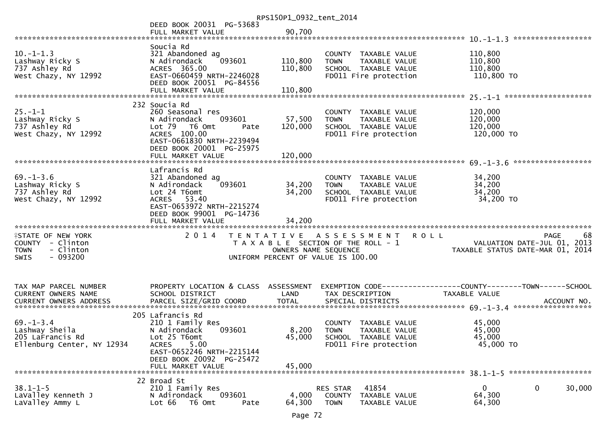|                                       |                                                       | RPS150P1_0932_tent_2014 |                                                                |                                  |        |
|---------------------------------------|-------------------------------------------------------|-------------------------|----------------------------------------------------------------|----------------------------------|--------|
|                                       | DEED BOOK 20031 PG-53683                              |                         |                                                                |                                  |        |
|                                       | FULL MARKET VALUE                                     | 90,700                  |                                                                |                                  |        |
|                                       | Soucia Rd                                             |                         |                                                                |                                  |        |
| $10. - 1 - 1.3$                       | 321 Abandoned ag                                      |                         | COUNTY TAXABLE VALUE                                           | 110,800                          |        |
| Lashway Ricky S                       | 093601<br>N Adirondack                                | 110,800                 | TAXABLE VALUE<br><b>TOWN</b>                                   | 110,800                          |        |
| 737 Ashley Rd                         | ACRES 365.00                                          | 110,800                 | SCHOOL TAXABLE VALUE                                           | 110,800                          |        |
| West Chazy, NY 12992                  | EAST-0660459 NRTH-2246028                             |                         | FD011 Fire protection                                          | 110,800 TO                       |        |
|                                       | DEED BOOK 20051 PG-84556                              |                         |                                                                |                                  |        |
|                                       |                                                       |                         |                                                                |                                  |        |
|                                       |                                                       |                         |                                                                |                                  |        |
|                                       | 232 Soucia Rd                                         |                         |                                                                |                                  |        |
| $25. - 1 - 1$                         | 260 Seasonal res                                      |                         | COUNTY TAXABLE VALUE                                           | 120,000<br>120,000               |        |
| Lashway Ricky S<br>737 Ashley Rd      | N Adirondack<br>093601<br>Lot 79  T6 0mt<br>Pate      | 57,500<br>120,000       | TAXABLE VALUE<br><b>TOWN</b><br>SCHOOL TAXABLE VALUE           | 120,000                          |        |
| West Chazy, NY 12992                  | ACRES 100.00                                          |                         | FD011 Fire protection                                          | 120,000 TO                       |        |
|                                       | EAST-0661830 NRTH-2239494                             |                         |                                                                |                                  |        |
|                                       | DEED BOOK 20001 PG-25975                              |                         |                                                                |                                  |        |
|                                       | FULL MARKET VALUE                                     | 120,000                 |                                                                |                                  |        |
|                                       |                                                       |                         |                                                                | ******************               |        |
|                                       | Lafrancis Rd                                          |                         |                                                                |                                  |        |
| $69. - 1 - 3.6$                       | 321 Abandoned ag                                      |                         | COUNTY TAXABLE VALUE                                           | 34,200                           |        |
| Lashway Ricky S                       | 093601<br>N Adirondack                                | 34,200                  | TAXABLE VALUE<br><b>TOWN</b>                                   | 34,200                           |        |
| 737 Ashley Rd<br>West Chazy, NY 12992 | Lot 24 T6omt<br>ACRES 53.40                           | 34,200                  | SCHOOL TAXABLE VALUE<br>FD011 Fire protection                  | 34,200<br>34,200 TO              |        |
|                                       | EAST-0653972 NRTH-2215274                             |                         |                                                                |                                  |        |
|                                       | DEED BOOK 99001 PG-14736                              |                         |                                                                |                                  |        |
|                                       | FULL MARKET VALUE                                     | 34,200                  |                                                                |                                  |        |
|                                       |                                                       |                         |                                                                |                                  |        |
| <b>ISTATE OF NEW YORK</b>             | 2 0 1 4                                               |                         |                                                                |                                  |        |
|                                       |                                                       |                         | <b>ROLL</b><br>TENTATIVE ASSESSMENT                            | <b>PAGE</b>                      | 68     |
| COUNTY - Clinton                      |                                                       |                         | T A X A B L E SECTION OF THE ROLL - 1                          | VALUATION DATE-JUL 01, 2013      |        |
| - Clinton<br><b>TOWN</b>              |                                                       | OWNERS NAME SEQUENCE    |                                                                | TAXABLE STATUS DATE-MAR 01, 2014 |        |
| $-093200$<br><b>SWIS</b>              |                                                       |                         | UNIFORM PERCENT OF VALUE IS 100.00                             |                                  |        |
|                                       |                                                       |                         |                                                                |                                  |        |
|                                       |                                                       |                         |                                                                |                                  |        |
| TAX MAP PARCEL NUMBER                 | PROPERTY LOCATION & CLASS ASSESSMENT                  |                         |                                                                |                                  |        |
| CURRENT OWNERS NAME                   | SCHOOL DISTRICT                                       | LAND                    | TAX DESCRIPTION                                                | TAXABLE VALUE                    |        |
|                                       |                                                       |                         |                                                                |                                  |        |
|                                       |                                                       |                         |                                                                |                                  |        |
|                                       | 205 Lafrancis Rd                                      |                         |                                                                |                                  |        |
| $69. - 1 - 3.4$                       | 210 1 Family Res                                      |                         | COUNTY TAXABLE VALUE                                           | 45,000                           |        |
| Lashway Sheila                        | N Adirondack<br>093601                                | 8,200                   | <b>TOWN</b><br>TAXABLE VALUE                                   | 45,000                           |        |
| 205 LaFrancis Rd                      | Lot 25 T6omt                                          | 45,000                  | SCHOOL TAXABLE VALUE                                           | 45,000                           |        |
| Ellenburg Center, NY 12934            | 5.00<br><b>ACRES</b>                                  |                         | FD011 Fire protection                                          | 45,000 TO                        |        |
|                                       | EAST-0652246 NRTH-2215144<br>DEED BOOK 20092 PG-25472 |                         |                                                                |                                  |        |
|                                       | FULL MARKET VALUE                                     | 45,000                  |                                                                |                                  |        |
|                                       |                                                       |                         |                                                                |                                  |        |
|                                       | 22 Broad St                                           |                         |                                                                |                                  |        |
| $38.1 - 1 - 5$                        | 210 1 Family Res                                      |                         | 41854<br>RES STAR                                              | 0<br>0                           | 30,000 |
| LaValley Kenneth J<br>LaValley Ammy L | 093601<br>N Adirondack<br>Lot 66<br>T6 Omt<br>Pate    | 4,000<br>64,300         | <b>COUNTY</b><br>TAXABLE VALUE<br><b>TOWN</b><br>TAXABLE VALUE | 64,300<br>64,300                 |        |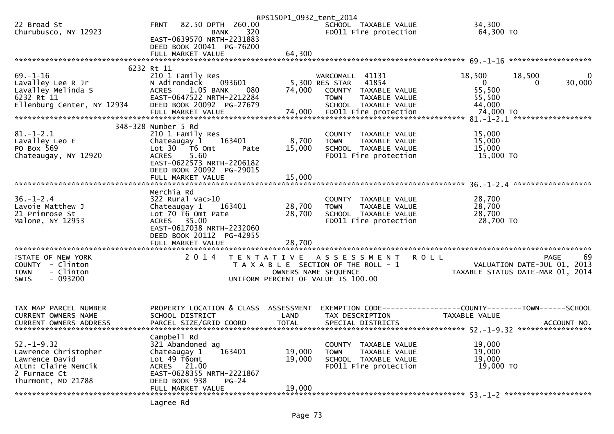|                                               |                                                   | RPS150P1_0932_tent_2014 |                                                                             |                                                                 |                    |
|-----------------------------------------------|---------------------------------------------------|-------------------------|-----------------------------------------------------------------------------|-----------------------------------------------------------------|--------------------|
| 22 Broad St<br>Churubusco, NY 12923           | <b>FRNT</b><br>82.50 DPTH 260.00<br>320<br>BANK   |                         | SCHOOL TAXABLE VALUE<br>FD011 Fire protection                               | 34,300<br>64,300 TO                                             |                    |
|                                               | EAST-0639570 NRTH-2231883                         |                         |                                                                             |                                                                 |                    |
|                                               | DEED BOOK 20041 PG-76200                          | 64,300                  |                                                                             |                                                                 |                    |
|                                               | FULL MARKET VALUE                                 |                         |                                                                             |                                                                 |                    |
| $69. - 1 - 16$                                | 6232 Rt 11<br>210 1 Family Res                    |                         | WARCOMALL 41131                                                             | 18,500<br>18,500                                                |                    |
| Lavalley Lee R Jr                             | N Adirondack<br>093601                            |                         | 41854<br>5,300 RES STAR                                                     | $\mathbf{0}$                                                    | 30,000<br>$\Omega$ |
| Lavalley Melinda S                            | <b>ACRES</b><br>1.05 BANK<br>080                  | 74,000                  | COUNTY TAXABLE VALUE                                                        | 55,500                                                          |                    |
| 6232 Rt 11                                    | EAST-0647522 NRTH-2212284                         |                         | TAXABLE VALUE<br><b>TOWN</b>                                                | 55,500                                                          |                    |
| Ellenburg Center, NY 12934                    | DEED BOOK 20092 PG-27679                          |                         | SCHOOL TAXABLE VALUE                                                        | 44,000                                                          |                    |
|                                               |                                                   |                         |                                                                             |                                                                 |                    |
|                                               | 348-328 Number 5 Rd                               |                         |                                                                             |                                                                 |                    |
| $81.-1-2.1$                                   | 210 1 Family Res                                  |                         | COUNTY TAXABLE VALUE                                                        | 15,000                                                          |                    |
| Lavalley Leo E                                | Chateaugay 1<br>163401                            | 8,700                   | TAXABLE VALUE<br><b>TOWN</b>                                                | 15,000                                                          |                    |
| PO Box 569                                    | Lot 30 T6 Omt<br>Pate                             | 15,000                  | SCHOOL TAXABLE VALUE                                                        | 15,000                                                          |                    |
| Chateaugay, NY 12920                          | 5.60<br><b>ACRES</b><br>EAST-0622573 NRTH-2206182 |                         | FD011 Fire protection                                                       | 15,000 TO                                                       |                    |
|                                               | DEED BOOK 20092 PG-29015                          |                         |                                                                             |                                                                 |                    |
|                                               | FULL MARKET VALUE                                 | 15,000                  |                                                                             |                                                                 |                    |
|                                               |                                                   |                         |                                                                             |                                                                 |                    |
|                                               | Merchia Rd                                        |                         |                                                                             |                                                                 |                    |
| $36. - 1 - 2.4$                               | $322$ Rural vac $>10$                             |                         | COUNTY TAXABLE VALUE                                                        | 28,700                                                          |                    |
| Lavoie Matthew J                              | 163401<br>Chateaugay 1                            | 28,700                  | TAXABLE VALUE<br><b>TOWN</b>                                                | 28,700                                                          |                    |
| 21 Primrose St<br>Malone, NY 12953            | Lot 70 T6 Omt Pate<br>ACRES 35.00                 | 28,700                  | SCHOOL TAXABLE VALUE<br>FD011 Fire protection                               | 28,700<br>28,700 TO                                             |                    |
|                                               | EAST-0617038 NRTH-2232060                         |                         |                                                                             |                                                                 |                    |
|                                               | DEED BOOK 20112 PG-42955                          |                         |                                                                             |                                                                 |                    |
|                                               | FULL MARKET VALUE                                 | 28,700                  |                                                                             |                                                                 |                    |
|                                               |                                                   |                         |                                                                             |                                                                 |                    |
| <b>ISTATE OF NEW YORK</b><br>COUNTY - Clinton | 2 0 1 4                                           | T E N T A T I V E       | A S S E S S M E N T<br><b>ROLL</b><br>T A X A B L E SECTION OF THE ROLL - 1 |                                                                 | 69<br>PAGE         |
| - Clinton<br><b>TOWN</b>                      |                                                   | OWNERS NAME SEQUENCE    |                                                                             | VALUATION DATE-JUL 01, 2013<br>TAXABLE STATUS DATE-MAR 01, 2014 |                    |
| $-093200$<br>SWIS                             |                                                   |                         | UNIFORM PERCENT OF VALUE IS 100.00                                          |                                                                 |                    |
|                                               |                                                   |                         |                                                                             |                                                                 |                    |
| TAX MAP PARCEL NUMBER                         | PROPERTY LOCATION & CLASS ASSESSMENT              |                         | EXEMPTION CODE-----------------COUNTY-------TOWN------SCHOOL                |                                                                 |                    |
| CURRENT OWNERS NAME                           | SCHOOL DISTRICT                                   | LAND                    | TAX DESCRIPTION                                                             | TAXABLE VALUE                                                   |                    |
|                                               |                                                   |                         |                                                                             |                                                                 |                    |
|                                               |                                                   |                         |                                                                             |                                                                 |                    |
|                                               | Campbell Rd                                       |                         |                                                                             |                                                                 |                    |
| $52. - 1 - 9.32$<br>Lawrence Christopher      | 321 Abandoned ag<br>163401<br>Chateaugay 1        | 19,000                  | COUNTY TAXABLE VALUE<br>TAXABLE VALUE<br><b>TOWN</b>                        | 19,000<br>19,000                                                |                    |
| Lawrence David                                | Lot 49 T6omt                                      | 19,000                  | SCHOOL TAXABLE VALUE                                                        | 19,000                                                          |                    |
| Attn: Claire Nemcik                           | ACRES 21.00                                       |                         | FD011 Fire protection                                                       | 19,000 TO                                                       |                    |
| 2 Furnace Ct                                  | EAST-0628355 NRTH-2221867                         |                         |                                                                             |                                                                 |                    |
| Thurmont, MD 21788                            | DEED BOOK 938<br>$PG-24$                          |                         |                                                                             |                                                                 |                    |
|                                               | FULL MARKET VALUE                                 | 19,000                  |                                                                             |                                                                 |                    |
|                                               | Lagree Rd                                         |                         |                                                                             |                                                                 |                    |
|                                               |                                                   |                         |                                                                             |                                                                 |                    |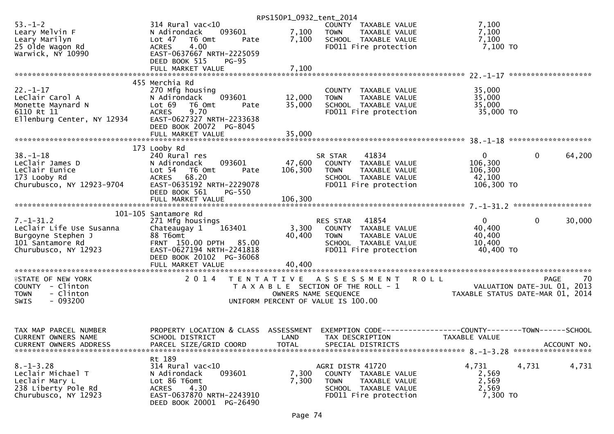|                                                        |                                                                            | RPS150P1_0932_tent_2014 |                                                                    |                                                              |                        |
|--------------------------------------------------------|----------------------------------------------------------------------------|-------------------------|--------------------------------------------------------------------|--------------------------------------------------------------|------------------------|
| $53. - 1 - 2$<br>Leary Melvin F                        | $314$ Rural vac<10<br>093601<br>N Adirondack                               | 7,100                   | COUNTY TAXABLE VALUE<br><b>TOWN</b><br>TAXABLE VALUE               | 7,100<br>7,100                                               |                        |
| Leary Marilyn<br>25 Olde Wagon Rd<br>Warwick, NY 10990 | Lot 47 T6 Omt<br>Pate<br>4.00<br><b>ACRES</b><br>EAST-0637667 NRTH-2225059 | 7,100                   | SCHOOL TAXABLE VALUE<br>FD011 Fire protection                      | 7,100<br>7,100 TO                                            |                        |
|                                                        | DEED BOOK 515<br><b>PG-95</b><br>FULL MARKET VALUE                         | 7,100                   |                                                                    |                                                              |                        |
|                                                        | 455 Merchia Rd                                                             |                         |                                                                    |                                                              |                        |
| $22 - 1 - 17$                                          | 270 Mfg housing                                                            |                         | COUNTY TAXABLE VALUE                                               | 35,000                                                       |                        |
| LeClair Carol A<br>Monette Maynard N                   | 093601<br>N Adirondack<br>Lot 69<br>T6 Omt<br>Pate                         | 12,000<br>35,000        | TAXABLE VALUE<br><b>TOWN</b><br>SCHOOL TAXABLE VALUE               | 35,000<br>35,000                                             |                        |
| 6110 Rt 11                                             | <b>ACRES</b><br>9.70                                                       |                         | FD011 Fire protection                                              | 35,000 TO                                                    |                        |
| Ellenburg Center, NY 12934                             | EAST-0627327 NRTH-2233638<br>DEED BOOK 20072 PG-8045                       |                         |                                                                    |                                                              |                        |
|                                                        |                                                                            |                         |                                                                    |                                                              |                        |
|                                                        |                                                                            |                         |                                                                    |                                                              |                        |
| $38. - 1 - 18$                                         | 173 Looby Rd<br>240 Rural res                                              |                         | 41834<br>SR STAR                                                   | $\mathbf{0}$                                                 | $\mathbf{0}$<br>64,200 |
| LeClair James D                                        | 093601<br>N Adirondack                                                     | 47,600                  | COUNTY TAXABLE VALUE                                               | 106,300                                                      |                        |
| LeClair Eunice                                         | Lot 54 T6 Omt<br>Pate                                                      | 106,300                 | TAXABLE VALUE<br><b>TOWN</b>                                       | 106,300                                                      |                        |
| 173 Looby Rd<br>Churubusco, NY 12923-9704              | 68.20<br><b>ACRES</b><br>EAST-0635192 NRTH-2229078                         |                         | SCHOOL TAXABLE VALUE<br>FD011 Fire protection                      | 42,100<br>106,300 TO                                         |                        |
|                                                        | DEED BOOK 561<br><b>PG-550</b>                                             |                         |                                                                    |                                                              |                        |
|                                                        |                                                                            |                         |                                                                    |                                                              |                        |
|                                                        | 101-105 Santamore Rd                                                       |                         |                                                                    |                                                              |                        |
| $7. - 1 - 31.2$                                        | 271 Mfg housings                                                           |                         | 41854<br>RES STAR                                                  | $\overline{0}$                                               | $\mathbf{0}$<br>30,000 |
| Leclair Life Use Susanna<br>Burgoyne Stephen J         | 163401<br>Chateaugay 1<br>88 T6omt                                         | 40,400                  | 3,300 COUNTY TAXABLE VALUE<br><b>TOWN</b><br>TAXABLE VALUE         | 40,400<br>40,400                                             |                        |
| 101 Santamore Rd                                       | FRNT 150.00 DPTH 85.00                                                     |                         | SCHOOL TAXABLE VALUE                                               | 10,400                                                       |                        |
| Churubusco, NY 12923                                   | EAST-0627194 NRTH-2241818<br>DEED BOOK 20102 PG-36068                      |                         | FD011 Fire protection                                              | 40,400 TO                                                    |                        |
|                                                        |                                                                            |                         |                                                                    |                                                              |                        |
|                                                        |                                                                            |                         |                                                                    |                                                              |                        |
| <b>ISTATE OF NEW YORK</b><br>COUNTY - Clinton          | 2014                                                                       |                         | TENTATIVE ASSESSMENT ROLL<br>T A X A B L E SECTION OF THE ROLL - 1 | $\sim$ - $\sim$ VALUATION DATE-JUL 01, 2013                  | 70<br>PAGE             |
| - Clinton<br><b>TOWN</b>                               |                                                                            |                         | OWNERS NAME SEQUENCE                                               | TAXABLE STATUS DATE-MAR 01, 2014                             |                        |
| $-093200$<br>SWIS                                      |                                                                            |                         | UNIFORM PERCENT OF VALUE IS 100.00                                 |                                                              |                        |
|                                                        |                                                                            |                         |                                                                    |                                                              |                        |
| TAX MAP PARCEL NUMBER                                  | PROPERTY LOCATION & CLASS                                                  | ASSESSMENT              |                                                                    | EXEMPTION CODE-----------------COUNTY-------TOWN------SCHOOL |                        |
| <b>CURRENT OWNERS NAME</b>                             | SCHOOL DISTRICT                                                            | LAND                    | TAX DESCRIPTION                                                    | TAXABLE VALUE                                                | ACCOUNT NO.            |
| <b>CURRENT OWNERS ADDRESS</b>                          | PARCEL SIZE/GRID COORD                                                     | <b>TOTAL</b>            | SPECIAL DISTRICTS                                                  |                                                              |                        |
|                                                        | Rt 189                                                                     |                         |                                                                    |                                                              |                        |
| $8. - 1 - 3.28$<br>Leclair Michael T                   | 314 Rural vac<10<br>093601<br>N Adirondack                                 | 7,300                   | AGRI DISTR 41720<br>COUNTY TAXABLE VALUE                           | 4,731<br>4,731<br>2,569                                      | 4,731                  |
| Leclair Mary L                                         | Lot 86 T6omt                                                               | 7,300                   | <b>TOWN</b><br>TAXABLE VALUE                                       | 2,569                                                        |                        |
| 238 Liberty Pole Rd                                    | 4.30<br><b>ACRES</b>                                                       |                         | SCHOOL TAXABLE VALUE                                               | 2,569                                                        |                        |
| Churubusco, NY 12923                                   | EAST-0637870 NRTH-2243910<br>DEED BOOK 20001 PG-26490                      |                         | FD011 Fire protection                                              | 7,300 TO                                                     |                        |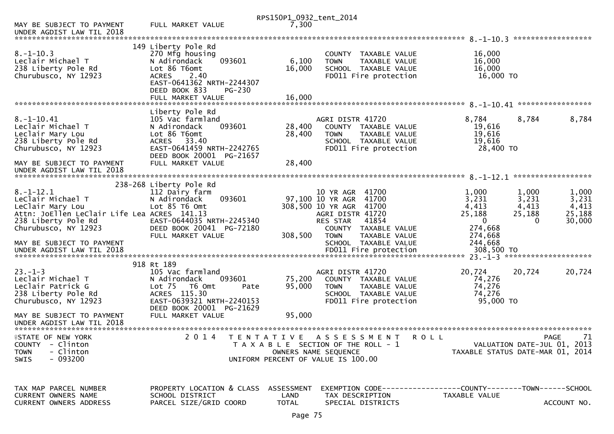|                                                                                                                 |                                                                                                                                                                    | RPS150P1_0932_tent_2014 |                                                                                                                            |                                                                                |                           |
|-----------------------------------------------------------------------------------------------------------------|--------------------------------------------------------------------------------------------------------------------------------------------------------------------|-------------------------|----------------------------------------------------------------------------------------------------------------------------|--------------------------------------------------------------------------------|---------------------------|
| MAY BE SUBJECT TO PAYMENT<br>UNDER AGDIST LAW TIL 2018                                                          | FULL MARKET VALUE                                                                                                                                                  | 7,300                   |                                                                                                                            |                                                                                |                           |
|                                                                                                                 |                                                                                                                                                                    |                         |                                                                                                                            |                                                                                |                           |
| $8. - 1 - 10.3$<br>Leclair Michael T<br>238 Liberty Pole Rd<br>Churubusco, NY 12923                             | 149 Liberty Pole Rd<br>270 Mfg housing<br>N Adirondack<br>093601<br>Lot 86 T6omt<br>2.40<br><b>ACRES</b><br>EAST-0641362 NRTH-2244307<br>DEED BOOK 833<br>$PG-230$ | 6,100<br>16,000         | COUNTY TAXABLE VALUE<br><b>TOWN</b><br>TAXABLE VALUE<br>SCHOOL TAXABLE VALUE<br>FD011 Fire protection                      | 16,000<br>16,000<br>16,000<br>16,000 TO                                        |                           |
|                                                                                                                 | FULL MARKET VALUE                                                                                                                                                  | 16,000                  |                                                                                                                            |                                                                                |                           |
|                                                                                                                 | Liberty Pole Rd                                                                                                                                                    |                         |                                                                                                                            |                                                                                |                           |
| $8. -1 - 10.41$<br>Leclair Michael T<br>Leclair Mary Lou<br>238 Liberty Pole Rd<br>Churubusco, NY 12923         | 105 Vac farmland<br>093601<br>N Adirondack<br>Lot 86 T6omt<br>33.40<br><b>ACRES</b><br>EAST-0641459 NRTH-2242765                                                   | 28,400<br>28,400        | AGRI DISTR 41720<br>COUNTY TAXABLE VALUE<br><b>TOWN</b><br>TAXABLE VALUE<br>SCHOOL TAXABLE VALUE<br>FD011 Fire protection  | 8,784<br>8,784<br>19,616<br>19,616<br>19,616<br>28,400 TO                      | 8,784                     |
| MAY BE SUBJECT TO PAYMENT<br>UNDER AGDIST LAW TIL 2018                                                          | DEED BOOK 20001 PG-21657<br>FULL MARKET VALUE                                                                                                                      | 28,400                  |                                                                                                                            |                                                                                |                           |
|                                                                                                                 |                                                                                                                                                                    |                         |                                                                                                                            |                                                                                |                           |
| $8. - 1 - 12.1$<br>LeClair Michael T                                                                            | 238-268 Liberty Pole Rd<br>112 Dairy farm<br>093601<br>N Adirondack                                                                                                |                         | 10 YR AGR 41700<br>97,100 10 YR AGR<br>41700                                                                               | 1,000<br>1,000<br>3,231<br>3,231                                               | 1,000<br>3,231            |
| LeClair Mary Lou<br>Attn: JoEllen LeClair Life Lea ACRES 141.13<br>238 Liberty Pole Rd                          | Lot 85 T6 Omt<br>EAST-0644035 NRTH-2245340                                                                                                                         |                         | 308,500 10 YR AGR 41700<br>AGRI DISTR 41720<br>RES STAR<br>41854                                                           | 4,413<br>4,413<br>25,188<br>25,188<br>$\mathbf{0}$<br>0                        | 4,413<br>25,188<br>30,000 |
| Churubusco, NY 12923<br>MAY BE SUBJECT TO PAYMENT<br>UNDER AGDIST LAW TIL 2018                                  | DEED BOOK 20041 PG-72180<br>FULL MARKET VALUE                                                                                                                      | 308,500                 | COUNTY TAXABLE VALUE<br>TAXABLE VALUE<br><b>TOWN</b><br>SCHOOL TAXABLE VALUE<br>FD011 Fire protection                      | 274,668<br>274,668<br>244,668<br>308,500 TO                                    |                           |
|                                                                                                                 |                                                                                                                                                                    |                         |                                                                                                                            |                                                                                |                           |
| $23. - 1 - 3$<br>Leclair Michael T<br>Leclair Patrick G                                                         | 918 Rt 189<br>105 Vac farmland<br>N Adirondack<br>093601<br>Lot 75  T6 Omt<br>Pate                                                                                 | 75,200<br>95,000        | AGRI DISTR 41720<br>COUNTY TAXABLE VALUE<br><b>TOWN</b><br>TAXABLE VALUE                                                   | 20,724<br>20,724<br>74,276<br>74,276                                           | 20,724                    |
| 238 Liberty Pole Rd<br>Churubusco, NY 12923                                                                     | ACRES 115.30<br>EAST-0639321 NRTH-2240153<br>DEED BOOK 20001 PG-21629                                                                                              |                         | SCHOOL TAXABLE VALUE<br>FD011 Fire protection                                                                              | 74,276<br>95,000 TO                                                            |                           |
| MAY BE SUBJECT TO PAYMENT<br>UNDER AGDIST LAW TIL 2018                                                          | FULL MARKET VALUE                                                                                                                                                  | 95,000                  |                                                                                                                            |                                                                                |                           |
| <b>ISTATE OF NEW YORK</b><br>- Clinton<br><b>COUNTY</b><br>- Clinton<br><b>TOWN</b><br>$-093200$<br><b>SWIS</b> | 2 0 1 4                                                                                                                                                            | T E N T A T I V E       | A S S E S S M E N T<br>T A X A B L E SECTION OF THE ROLL - 1<br>OWNERS NAME SEQUENCE<br>UNIFORM PERCENT OF VALUE IS 100.00 | <b>ROLL</b><br>VALUATION DATE-JUL 01, 2013<br>TAXABLE STATUS DATE-MAR 01, 2014 | 71<br><b>PAGE</b>         |
|                                                                                                                 |                                                                                                                                                                    |                         |                                                                                                                            |                                                                                |                           |
| TAX MAP PARCEL NUMBER                                                                                           | PROPERTY LOCATION & CLASS                                                                                                                                          | <b>ASSESSMENT</b>       |                                                                                                                            | EXEMPTION        CODE------------------COUNTY-------TOWN------SCHOOL           |                           |
| CURRENT OWNERS NAME<br><b>CURRENT OWNERS ADDRESS</b>                                                            | SCHOOL DISTRICT<br>PARCEL SIZE/GRID COORD                                                                                                                          | LAND<br><b>TOTAL</b>    | TAX DESCRIPTION<br>SPECIAL DISTRICTS                                                                                       | TAXABLE VALUE                                                                  | ACCOUNT NO.               |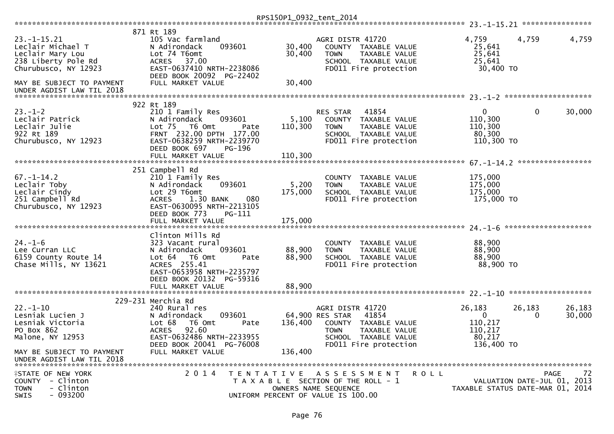|                                                                                                                                        |                                                                                                                                                                              | RPS150P1_0932_tent_2014    |                                                                                                                                                       |                                                                        |                                     |                  |
|----------------------------------------------------------------------------------------------------------------------------------------|------------------------------------------------------------------------------------------------------------------------------------------------------------------------------|----------------------------|-------------------------------------------------------------------------------------------------------------------------------------------------------|------------------------------------------------------------------------|-------------------------------------|------------------|
|                                                                                                                                        |                                                                                                                                                                              |                            |                                                                                                                                                       |                                                                        |                                     |                  |
| $23. - 1 - 15.21$<br>Leclair Michael T<br>Leclair Mary Lou<br>238 Liberty Pole Rd<br>Churubusco, NY 12923<br>MAY BE SUBJECT TO PAYMENT | 871 Rt 189<br>105 Vac farmland<br>093601<br>N Adirondack<br>Lot 74 T6omt<br>ACRES 37.00<br>EAST-0637410 NRTH-2238086<br>DEED BOOK 20092 PG-22402<br>FULL MARKET VALUE        | 30,400<br>30,400<br>30,400 | AGRI DISTR 41720<br>COUNTY TAXABLE VALUE<br>TAXABLE VALUE<br><b>TOWN</b><br>SCHOOL TAXABLE VALUE<br>FD011 Fire protection                             | 4,759<br>25,641<br>25,641<br>25,641<br>30,400 TO                       | 4,759                               | 4,759            |
|                                                                                                                                        |                                                                                                                                                                              |                            |                                                                                                                                                       |                                                                        |                                     |                  |
| $23. - 1 - 2$<br>Leclair Patrick<br>Leclair Julie<br>922 Rt 189<br>Churubusco, NY 12923                                                | 922 Rt 189<br>210 1 Family Res<br>N Adirondack<br>093601<br>Lot 75  T6 Omt<br>Pate<br>FRNT 232.00 DPTH 177.00<br>EAST-0638259 NRTH-2239770<br>DEED BOOK 697<br><b>PG-196</b> | 5,100<br>110,300           | 41854<br>RES STAR<br>COUNTY TAXABLE VALUE<br><b>TOWN</b><br>TAXABLE VALUE<br>SCHOOL TAXABLE VALUE<br>FD011 Fire protection                            | $\mathbf{0}$<br>110,300<br>110,300<br>80,300<br>110,300 TO             | $\mathbf 0$                         | 30,000           |
|                                                                                                                                        | FULL MARKET VALUE                                                                                                                                                            | 110,300                    |                                                                                                                                                       |                                                                        |                                     |                  |
|                                                                                                                                        | 251 Campbell Rd                                                                                                                                                              |                            |                                                                                                                                                       |                                                                        | *****************                   |                  |
| $67. - 1 - 14.2$<br>Leclair Toby<br>Leclair Cindy<br>251 Campbell Rd<br>Churubusco, NY 12923                                           | 210 1 Family Res<br>093601<br>N Adirondack<br>Lot 29 T6omt<br>ACRES 1.30 BANK<br>080<br>EAST-0630095 NRTH-2213105<br>DEED BOOK 773<br>PG-111                                 | 5,200<br>175,000           | COUNTY TAXABLE VALUE<br>TAXABLE VALUE<br><b>TOWN</b><br>SCHOOL TAXABLE VALUE<br>FD011 Fire protection                                                 | 175,000<br>175,000<br>175,000<br>175,000 TO                            |                                     |                  |
|                                                                                                                                        | FULL MARKET VALUE                                                                                                                                                            | 175,000                    |                                                                                                                                                       |                                                                        |                                     |                  |
| $24. - 1 - 6$<br>Lee Curran LLC<br>6159 County Route 14<br>Chase Mills, NY 13621                                                       | Clinton Mills Rd<br>323 Vacant rural<br>093601<br>N Adirondack<br>Lot 64  T6 Omt<br>Pate<br>ACRES 255.41<br>EAST-0653958 NRTH-2235797<br>DEED BOOK 20132 PG-59316            | 88,900<br>88,900           | COUNTY TAXABLE VALUE<br>TAXABLE VALUE<br><b>TOWN</b><br>SCHOOL TAXABLE VALUE<br>FD011 Fire protection                                                 | 88,900<br>88,900<br>88,900<br>88,900 TO                                |                                     |                  |
|                                                                                                                                        |                                                                                                                                                                              |                            |                                                                                                                                                       |                                                                        |                                     |                  |
|                                                                                                                                        | 229-231 Merchia Rd                                                                                                                                                           |                            |                                                                                                                                                       |                                                                        |                                     |                  |
| $22. - 1 - 10$<br>Lesniak Lucien J<br>Lesniak Victoria<br>PO Box 862<br>Malone, NY 12953                                               | 240 Rural res<br>093601<br>N Adirondack<br>Lot 68<br>T6 Omt<br>Pate<br>92.60<br><b>ACRES</b><br>EAST-0632486 NRTH-2233955<br>DEED BOOK 20041 PG-76008                        | 136,400                    | AGRI DISTR 41720<br>64,900 RES STAR<br>41854<br>COUNTY TAXABLE VALUE<br><b>TOWN</b><br>TAXABLE VALUE<br>SCHOOL TAXABLE VALUE<br>FD011 Fire protection | 26,183<br>$\overline{0}$<br>110,217<br>110,217<br>80,217<br>136,400 TO | 26,183<br>0                         | 26,183<br>30,000 |
| MAY BE SUBJECT TO PAYMENT<br>UNDER AGDIST LAW TIL 2018                                                                                 | FULL MARKET VALUE                                                                                                                                                            | 136,400                    |                                                                                                                                                       |                                                                        |                                     |                  |
| <b>ISTATE OF NEW YORK</b><br>COUNTY - Clinton<br><b>TOWN</b><br>- Clinton<br>$-093200$<br>SWIS                                         | 2014                                                                                                                                                                         |                            | TENTATIVE ASSESSMENT<br>T A X A B L E SECTION OF THE ROLL - 1<br>OWNERS NAME SEQUENCE<br>UNIFORM PERCENT OF VALUE IS 100.00                           | R O L L<br>TAXABLE STATUS DATE-MAR 01, 2014                            | PAGE<br>VALUATION DATE-JUL 01, 2013 | 72               |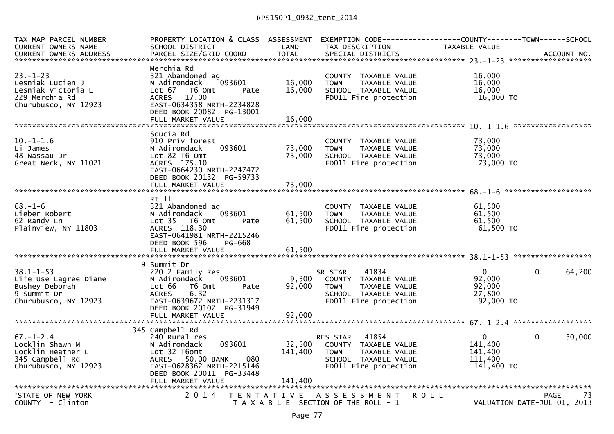## RPS150P1\_0932\_tent\_2014

| <b>TOTAL</b><br>PARCEL SIZE/GRID COORD<br><b>CURRENT OWNERS ADDRESS</b><br>SPECIAL DISTRICTS<br>ACCOUNT NO.<br>Merchia Rd<br>$23 - 1 - 23$<br>16,000<br>321 Abandoned ag<br>COUNTY TAXABLE VALUE<br>16,000<br>16,000<br>Lesniak Lucien J<br>N Adirondack<br>093601<br>TAXABLE VALUE<br><b>TOWN</b><br>Lesniak Victoria L<br>16,000<br>Lot 67<br>T6 Omt<br>SCHOOL TAXABLE VALUE<br>16,000<br>Pate<br>229 Merchia Rd<br>16,000 TO<br>17.00<br>FD011 Fire protection<br><b>ACRES</b><br>EAST-0634358 NRTH-2234828<br>Churubusco, NY 12923<br>DEED BOOK 20082 PG-13001<br>******************<br>Soucia Rd<br>$10.-1-1.6$<br>910 Priv forest<br>73,000<br>COUNTY TAXABLE VALUE<br>73,000<br>093601<br>73,000<br>Li James<br>N Adirondack<br>TAXABLE VALUE<br><b>TOWN</b><br>73,000<br>73,000<br>48 Nassau Dr<br>Lot 82 T6 Omt<br>SCHOOL TAXABLE VALUE<br>73,000 TO<br>ACRES 175.10<br>FD011 Fire protection<br>Great Neck, NY 11021<br>EAST-0664230 NRTH-2247472<br>DEED BOOK 20132 PG-59733<br>Rt 11<br>$68. - 1 - 6$<br>321 Abandoned ag<br>61,500<br>COUNTY TAXABLE VALUE<br>61,500<br>61,500<br>Lieber Robert<br>093601<br>TAXABLE VALUE<br>N Adirondack<br><b>TOWN</b><br>61,500<br>62 Randy Ln<br>Lot 35 T6 Omt<br>61,500<br>SCHOOL TAXABLE VALUE<br>Pate<br>ACRES 118.30<br>61,500 TO<br>Plainview, NY 11803<br>FD011 Fire protection<br>EAST-0641981 NRTH-2215246<br>DEED BOOK 596<br>PG-668<br>9 Summit Dr<br>$38.1 - 1 - 53$<br>220 2 Family Res<br>$\mathbf{0}$<br>$\mathbf{0}$<br>64,200<br>SR STAR<br>41834<br>9,300<br>92,000<br>Life Use Lagree Diane<br>093601<br>COUNTY TAXABLE VALUE<br>N Adirondack<br>92,000<br>Bushey Deborah<br>Lot 66<br>T6 Omt<br>92,000<br><b>TOWN</b><br>TAXABLE VALUE<br>Pate<br>9 Summit Dr<br><b>ACRES</b><br>6.32<br>27,800<br>SCHOOL TAXABLE VALUE<br>FD011 Fire protection<br>Churubusco, NY 12923<br>EAST-0639672 NRTH-2231317<br>92,000 TO<br>DEED BOOK 20102 PG-31949<br>FULL MARKET VALUE<br>92,000<br>345 Campbell Rd<br>$67. - 1 - 2.4$<br>RES STAR 41854<br>$\Omega$<br>$\Omega$<br>30,000<br>240 Rural res<br>32,500<br>Locklin Shawn M<br>093601<br>141,400<br>N Adirondack<br>COUNTY TAXABLE VALUE<br>Locklin Heather L<br>Lot 32 T6omt<br>141,400<br>141,400<br><b>TOWN</b><br>TAXABLE VALUE<br>080<br>345 Campbell Rd<br>ACRES 50.00 BANK<br>SCHOOL TAXABLE VALUE<br>111,400<br>EAST-0628362 NRTH-2215146<br>Churubusco, NY 12923<br>FD011 Fire protection<br>141,400 TO<br>DEED BOOK 20011 PG-33448<br>141,400<br>FULL MARKET VALUE<br><b><i>FSTATE OF NEW YORK</i></b><br>2 0 1 4<br>TENTATIVE ASSESSMENT<br><b>ROLL</b><br><b>PAGE</b><br>-73<br>COUNTY - Clinton<br>VALUATION DATE-JUL 01, 2013<br>T A X A B L E SECTION OF THE ROLL - 1 | TAX MAP PARCEL NUMBER      | PROPERTY LOCATION & CLASS ASSESSMENT |      |                 |               |  |
|-----------------------------------------------------------------------------------------------------------------------------------------------------------------------------------------------------------------------------------------------------------------------------------------------------------------------------------------------------------------------------------------------------------------------------------------------------------------------------------------------------------------------------------------------------------------------------------------------------------------------------------------------------------------------------------------------------------------------------------------------------------------------------------------------------------------------------------------------------------------------------------------------------------------------------------------------------------------------------------------------------------------------------------------------------------------------------------------------------------------------------------------------------------------------------------------------------------------------------------------------------------------------------------------------------------------------------------------------------------------------------------------------------------------------------------------------------------------------------------------------------------------------------------------------------------------------------------------------------------------------------------------------------------------------------------------------------------------------------------------------------------------------------------------------------------------------------------------------------------------------------------------------------------------------------------------------------------------------------------------------------------------------------------------------------------------------------------------------------------------------------------------------------------------------------------------------------------------------------------------------------------------------------------------------------------------------------------------------------------------------------------------------------------------------------------------------------------------------------------------------------------------------------------------------------------------------------------------------------------------------------------------------------------------------------------------------------|----------------------------|--------------------------------------|------|-----------------|---------------|--|
|                                                                                                                                                                                                                                                                                                                                                                                                                                                                                                                                                                                                                                                                                                                                                                                                                                                                                                                                                                                                                                                                                                                                                                                                                                                                                                                                                                                                                                                                                                                                                                                                                                                                                                                                                                                                                                                                                                                                                                                                                                                                                                                                                                                                                                                                                                                                                                                                                                                                                                                                                                                                                                                                                                     | <b>CURRENT OWNERS NAME</b> | SCHOOL DISTRICT                      | LAND | TAX DESCRIPTION | TAXABLE VALUE |  |
|                                                                                                                                                                                                                                                                                                                                                                                                                                                                                                                                                                                                                                                                                                                                                                                                                                                                                                                                                                                                                                                                                                                                                                                                                                                                                                                                                                                                                                                                                                                                                                                                                                                                                                                                                                                                                                                                                                                                                                                                                                                                                                                                                                                                                                                                                                                                                                                                                                                                                                                                                                                                                                                                                                     |                            |                                      |      |                 |               |  |
|                                                                                                                                                                                                                                                                                                                                                                                                                                                                                                                                                                                                                                                                                                                                                                                                                                                                                                                                                                                                                                                                                                                                                                                                                                                                                                                                                                                                                                                                                                                                                                                                                                                                                                                                                                                                                                                                                                                                                                                                                                                                                                                                                                                                                                                                                                                                                                                                                                                                                                                                                                                                                                                                                                     |                            |                                      |      |                 |               |  |
|                                                                                                                                                                                                                                                                                                                                                                                                                                                                                                                                                                                                                                                                                                                                                                                                                                                                                                                                                                                                                                                                                                                                                                                                                                                                                                                                                                                                                                                                                                                                                                                                                                                                                                                                                                                                                                                                                                                                                                                                                                                                                                                                                                                                                                                                                                                                                                                                                                                                                                                                                                                                                                                                                                     |                            |                                      |      |                 |               |  |
|                                                                                                                                                                                                                                                                                                                                                                                                                                                                                                                                                                                                                                                                                                                                                                                                                                                                                                                                                                                                                                                                                                                                                                                                                                                                                                                                                                                                                                                                                                                                                                                                                                                                                                                                                                                                                                                                                                                                                                                                                                                                                                                                                                                                                                                                                                                                                                                                                                                                                                                                                                                                                                                                                                     |                            |                                      |      |                 |               |  |
|                                                                                                                                                                                                                                                                                                                                                                                                                                                                                                                                                                                                                                                                                                                                                                                                                                                                                                                                                                                                                                                                                                                                                                                                                                                                                                                                                                                                                                                                                                                                                                                                                                                                                                                                                                                                                                                                                                                                                                                                                                                                                                                                                                                                                                                                                                                                                                                                                                                                                                                                                                                                                                                                                                     |                            |                                      |      |                 |               |  |
|                                                                                                                                                                                                                                                                                                                                                                                                                                                                                                                                                                                                                                                                                                                                                                                                                                                                                                                                                                                                                                                                                                                                                                                                                                                                                                                                                                                                                                                                                                                                                                                                                                                                                                                                                                                                                                                                                                                                                                                                                                                                                                                                                                                                                                                                                                                                                                                                                                                                                                                                                                                                                                                                                                     |                            |                                      |      |                 |               |  |
|                                                                                                                                                                                                                                                                                                                                                                                                                                                                                                                                                                                                                                                                                                                                                                                                                                                                                                                                                                                                                                                                                                                                                                                                                                                                                                                                                                                                                                                                                                                                                                                                                                                                                                                                                                                                                                                                                                                                                                                                                                                                                                                                                                                                                                                                                                                                                                                                                                                                                                                                                                                                                                                                                                     |                            |                                      |      |                 |               |  |
|                                                                                                                                                                                                                                                                                                                                                                                                                                                                                                                                                                                                                                                                                                                                                                                                                                                                                                                                                                                                                                                                                                                                                                                                                                                                                                                                                                                                                                                                                                                                                                                                                                                                                                                                                                                                                                                                                                                                                                                                                                                                                                                                                                                                                                                                                                                                                                                                                                                                                                                                                                                                                                                                                                     |                            |                                      |      |                 |               |  |
|                                                                                                                                                                                                                                                                                                                                                                                                                                                                                                                                                                                                                                                                                                                                                                                                                                                                                                                                                                                                                                                                                                                                                                                                                                                                                                                                                                                                                                                                                                                                                                                                                                                                                                                                                                                                                                                                                                                                                                                                                                                                                                                                                                                                                                                                                                                                                                                                                                                                                                                                                                                                                                                                                                     |                            |                                      |      |                 |               |  |
|                                                                                                                                                                                                                                                                                                                                                                                                                                                                                                                                                                                                                                                                                                                                                                                                                                                                                                                                                                                                                                                                                                                                                                                                                                                                                                                                                                                                                                                                                                                                                                                                                                                                                                                                                                                                                                                                                                                                                                                                                                                                                                                                                                                                                                                                                                                                                                                                                                                                                                                                                                                                                                                                                                     |                            |                                      |      |                 |               |  |
|                                                                                                                                                                                                                                                                                                                                                                                                                                                                                                                                                                                                                                                                                                                                                                                                                                                                                                                                                                                                                                                                                                                                                                                                                                                                                                                                                                                                                                                                                                                                                                                                                                                                                                                                                                                                                                                                                                                                                                                                                                                                                                                                                                                                                                                                                                                                                                                                                                                                                                                                                                                                                                                                                                     |                            |                                      |      |                 |               |  |
|                                                                                                                                                                                                                                                                                                                                                                                                                                                                                                                                                                                                                                                                                                                                                                                                                                                                                                                                                                                                                                                                                                                                                                                                                                                                                                                                                                                                                                                                                                                                                                                                                                                                                                                                                                                                                                                                                                                                                                                                                                                                                                                                                                                                                                                                                                                                                                                                                                                                                                                                                                                                                                                                                                     |                            |                                      |      |                 |               |  |
|                                                                                                                                                                                                                                                                                                                                                                                                                                                                                                                                                                                                                                                                                                                                                                                                                                                                                                                                                                                                                                                                                                                                                                                                                                                                                                                                                                                                                                                                                                                                                                                                                                                                                                                                                                                                                                                                                                                                                                                                                                                                                                                                                                                                                                                                                                                                                                                                                                                                                                                                                                                                                                                                                                     |                            |                                      |      |                 |               |  |
|                                                                                                                                                                                                                                                                                                                                                                                                                                                                                                                                                                                                                                                                                                                                                                                                                                                                                                                                                                                                                                                                                                                                                                                                                                                                                                                                                                                                                                                                                                                                                                                                                                                                                                                                                                                                                                                                                                                                                                                                                                                                                                                                                                                                                                                                                                                                                                                                                                                                                                                                                                                                                                                                                                     |                            |                                      |      |                 |               |  |
|                                                                                                                                                                                                                                                                                                                                                                                                                                                                                                                                                                                                                                                                                                                                                                                                                                                                                                                                                                                                                                                                                                                                                                                                                                                                                                                                                                                                                                                                                                                                                                                                                                                                                                                                                                                                                                                                                                                                                                                                                                                                                                                                                                                                                                                                                                                                                                                                                                                                                                                                                                                                                                                                                                     |                            |                                      |      |                 |               |  |
|                                                                                                                                                                                                                                                                                                                                                                                                                                                                                                                                                                                                                                                                                                                                                                                                                                                                                                                                                                                                                                                                                                                                                                                                                                                                                                                                                                                                                                                                                                                                                                                                                                                                                                                                                                                                                                                                                                                                                                                                                                                                                                                                                                                                                                                                                                                                                                                                                                                                                                                                                                                                                                                                                                     |                            |                                      |      |                 |               |  |
|                                                                                                                                                                                                                                                                                                                                                                                                                                                                                                                                                                                                                                                                                                                                                                                                                                                                                                                                                                                                                                                                                                                                                                                                                                                                                                                                                                                                                                                                                                                                                                                                                                                                                                                                                                                                                                                                                                                                                                                                                                                                                                                                                                                                                                                                                                                                                                                                                                                                                                                                                                                                                                                                                                     |                            |                                      |      |                 |               |  |
|                                                                                                                                                                                                                                                                                                                                                                                                                                                                                                                                                                                                                                                                                                                                                                                                                                                                                                                                                                                                                                                                                                                                                                                                                                                                                                                                                                                                                                                                                                                                                                                                                                                                                                                                                                                                                                                                                                                                                                                                                                                                                                                                                                                                                                                                                                                                                                                                                                                                                                                                                                                                                                                                                                     |                            |                                      |      |                 |               |  |
|                                                                                                                                                                                                                                                                                                                                                                                                                                                                                                                                                                                                                                                                                                                                                                                                                                                                                                                                                                                                                                                                                                                                                                                                                                                                                                                                                                                                                                                                                                                                                                                                                                                                                                                                                                                                                                                                                                                                                                                                                                                                                                                                                                                                                                                                                                                                                                                                                                                                                                                                                                                                                                                                                                     |                            |                                      |      |                 |               |  |
|                                                                                                                                                                                                                                                                                                                                                                                                                                                                                                                                                                                                                                                                                                                                                                                                                                                                                                                                                                                                                                                                                                                                                                                                                                                                                                                                                                                                                                                                                                                                                                                                                                                                                                                                                                                                                                                                                                                                                                                                                                                                                                                                                                                                                                                                                                                                                                                                                                                                                                                                                                                                                                                                                                     |                            |                                      |      |                 |               |  |
|                                                                                                                                                                                                                                                                                                                                                                                                                                                                                                                                                                                                                                                                                                                                                                                                                                                                                                                                                                                                                                                                                                                                                                                                                                                                                                                                                                                                                                                                                                                                                                                                                                                                                                                                                                                                                                                                                                                                                                                                                                                                                                                                                                                                                                                                                                                                                                                                                                                                                                                                                                                                                                                                                                     |                            |                                      |      |                 |               |  |
|                                                                                                                                                                                                                                                                                                                                                                                                                                                                                                                                                                                                                                                                                                                                                                                                                                                                                                                                                                                                                                                                                                                                                                                                                                                                                                                                                                                                                                                                                                                                                                                                                                                                                                                                                                                                                                                                                                                                                                                                                                                                                                                                                                                                                                                                                                                                                                                                                                                                                                                                                                                                                                                                                                     |                            |                                      |      |                 |               |  |
|                                                                                                                                                                                                                                                                                                                                                                                                                                                                                                                                                                                                                                                                                                                                                                                                                                                                                                                                                                                                                                                                                                                                                                                                                                                                                                                                                                                                                                                                                                                                                                                                                                                                                                                                                                                                                                                                                                                                                                                                                                                                                                                                                                                                                                                                                                                                                                                                                                                                                                                                                                                                                                                                                                     |                            |                                      |      |                 |               |  |
|                                                                                                                                                                                                                                                                                                                                                                                                                                                                                                                                                                                                                                                                                                                                                                                                                                                                                                                                                                                                                                                                                                                                                                                                                                                                                                                                                                                                                                                                                                                                                                                                                                                                                                                                                                                                                                                                                                                                                                                                                                                                                                                                                                                                                                                                                                                                                                                                                                                                                                                                                                                                                                                                                                     |                            |                                      |      |                 |               |  |
|                                                                                                                                                                                                                                                                                                                                                                                                                                                                                                                                                                                                                                                                                                                                                                                                                                                                                                                                                                                                                                                                                                                                                                                                                                                                                                                                                                                                                                                                                                                                                                                                                                                                                                                                                                                                                                                                                                                                                                                                                                                                                                                                                                                                                                                                                                                                                                                                                                                                                                                                                                                                                                                                                                     |                            |                                      |      |                 |               |  |
|                                                                                                                                                                                                                                                                                                                                                                                                                                                                                                                                                                                                                                                                                                                                                                                                                                                                                                                                                                                                                                                                                                                                                                                                                                                                                                                                                                                                                                                                                                                                                                                                                                                                                                                                                                                                                                                                                                                                                                                                                                                                                                                                                                                                                                                                                                                                                                                                                                                                                                                                                                                                                                                                                                     |                            |                                      |      |                 |               |  |
|                                                                                                                                                                                                                                                                                                                                                                                                                                                                                                                                                                                                                                                                                                                                                                                                                                                                                                                                                                                                                                                                                                                                                                                                                                                                                                                                                                                                                                                                                                                                                                                                                                                                                                                                                                                                                                                                                                                                                                                                                                                                                                                                                                                                                                                                                                                                                                                                                                                                                                                                                                                                                                                                                                     |                            |                                      |      |                 |               |  |
|                                                                                                                                                                                                                                                                                                                                                                                                                                                                                                                                                                                                                                                                                                                                                                                                                                                                                                                                                                                                                                                                                                                                                                                                                                                                                                                                                                                                                                                                                                                                                                                                                                                                                                                                                                                                                                                                                                                                                                                                                                                                                                                                                                                                                                                                                                                                                                                                                                                                                                                                                                                                                                                                                                     |                            |                                      |      |                 |               |  |
|                                                                                                                                                                                                                                                                                                                                                                                                                                                                                                                                                                                                                                                                                                                                                                                                                                                                                                                                                                                                                                                                                                                                                                                                                                                                                                                                                                                                                                                                                                                                                                                                                                                                                                                                                                                                                                                                                                                                                                                                                                                                                                                                                                                                                                                                                                                                                                                                                                                                                                                                                                                                                                                                                                     |                            |                                      |      |                 |               |  |
|                                                                                                                                                                                                                                                                                                                                                                                                                                                                                                                                                                                                                                                                                                                                                                                                                                                                                                                                                                                                                                                                                                                                                                                                                                                                                                                                                                                                                                                                                                                                                                                                                                                                                                                                                                                                                                                                                                                                                                                                                                                                                                                                                                                                                                                                                                                                                                                                                                                                                                                                                                                                                                                                                                     |                            |                                      |      |                 |               |  |
|                                                                                                                                                                                                                                                                                                                                                                                                                                                                                                                                                                                                                                                                                                                                                                                                                                                                                                                                                                                                                                                                                                                                                                                                                                                                                                                                                                                                                                                                                                                                                                                                                                                                                                                                                                                                                                                                                                                                                                                                                                                                                                                                                                                                                                                                                                                                                                                                                                                                                                                                                                                                                                                                                                     |                            |                                      |      |                 |               |  |
|                                                                                                                                                                                                                                                                                                                                                                                                                                                                                                                                                                                                                                                                                                                                                                                                                                                                                                                                                                                                                                                                                                                                                                                                                                                                                                                                                                                                                                                                                                                                                                                                                                                                                                                                                                                                                                                                                                                                                                                                                                                                                                                                                                                                                                                                                                                                                                                                                                                                                                                                                                                                                                                                                                     |                            |                                      |      |                 |               |  |
|                                                                                                                                                                                                                                                                                                                                                                                                                                                                                                                                                                                                                                                                                                                                                                                                                                                                                                                                                                                                                                                                                                                                                                                                                                                                                                                                                                                                                                                                                                                                                                                                                                                                                                                                                                                                                                                                                                                                                                                                                                                                                                                                                                                                                                                                                                                                                                                                                                                                                                                                                                                                                                                                                                     |                            |                                      |      |                 |               |  |
|                                                                                                                                                                                                                                                                                                                                                                                                                                                                                                                                                                                                                                                                                                                                                                                                                                                                                                                                                                                                                                                                                                                                                                                                                                                                                                                                                                                                                                                                                                                                                                                                                                                                                                                                                                                                                                                                                                                                                                                                                                                                                                                                                                                                                                                                                                                                                                                                                                                                                                                                                                                                                                                                                                     |                            |                                      |      |                 |               |  |
|                                                                                                                                                                                                                                                                                                                                                                                                                                                                                                                                                                                                                                                                                                                                                                                                                                                                                                                                                                                                                                                                                                                                                                                                                                                                                                                                                                                                                                                                                                                                                                                                                                                                                                                                                                                                                                                                                                                                                                                                                                                                                                                                                                                                                                                                                                                                                                                                                                                                                                                                                                                                                                                                                                     |                            |                                      |      |                 |               |  |
|                                                                                                                                                                                                                                                                                                                                                                                                                                                                                                                                                                                                                                                                                                                                                                                                                                                                                                                                                                                                                                                                                                                                                                                                                                                                                                                                                                                                                                                                                                                                                                                                                                                                                                                                                                                                                                                                                                                                                                                                                                                                                                                                                                                                                                                                                                                                                                                                                                                                                                                                                                                                                                                                                                     |                            |                                      |      |                 |               |  |
|                                                                                                                                                                                                                                                                                                                                                                                                                                                                                                                                                                                                                                                                                                                                                                                                                                                                                                                                                                                                                                                                                                                                                                                                                                                                                                                                                                                                                                                                                                                                                                                                                                                                                                                                                                                                                                                                                                                                                                                                                                                                                                                                                                                                                                                                                                                                                                                                                                                                                                                                                                                                                                                                                                     |                            |                                      |      |                 |               |  |
|                                                                                                                                                                                                                                                                                                                                                                                                                                                                                                                                                                                                                                                                                                                                                                                                                                                                                                                                                                                                                                                                                                                                                                                                                                                                                                                                                                                                                                                                                                                                                                                                                                                                                                                                                                                                                                                                                                                                                                                                                                                                                                                                                                                                                                                                                                                                                                                                                                                                                                                                                                                                                                                                                                     |                            |                                      |      |                 |               |  |
|                                                                                                                                                                                                                                                                                                                                                                                                                                                                                                                                                                                                                                                                                                                                                                                                                                                                                                                                                                                                                                                                                                                                                                                                                                                                                                                                                                                                                                                                                                                                                                                                                                                                                                                                                                                                                                                                                                                                                                                                                                                                                                                                                                                                                                                                                                                                                                                                                                                                                                                                                                                                                                                                                                     |                            |                                      |      |                 |               |  |
|                                                                                                                                                                                                                                                                                                                                                                                                                                                                                                                                                                                                                                                                                                                                                                                                                                                                                                                                                                                                                                                                                                                                                                                                                                                                                                                                                                                                                                                                                                                                                                                                                                                                                                                                                                                                                                                                                                                                                                                                                                                                                                                                                                                                                                                                                                                                                                                                                                                                                                                                                                                                                                                                                                     |                            |                                      |      |                 |               |  |
|                                                                                                                                                                                                                                                                                                                                                                                                                                                                                                                                                                                                                                                                                                                                                                                                                                                                                                                                                                                                                                                                                                                                                                                                                                                                                                                                                                                                                                                                                                                                                                                                                                                                                                                                                                                                                                                                                                                                                                                                                                                                                                                                                                                                                                                                                                                                                                                                                                                                                                                                                                                                                                                                                                     |                            |                                      |      |                 |               |  |
|                                                                                                                                                                                                                                                                                                                                                                                                                                                                                                                                                                                                                                                                                                                                                                                                                                                                                                                                                                                                                                                                                                                                                                                                                                                                                                                                                                                                                                                                                                                                                                                                                                                                                                                                                                                                                                                                                                                                                                                                                                                                                                                                                                                                                                                                                                                                                                                                                                                                                                                                                                                                                                                                                                     |                            |                                      |      |                 |               |  |
|                                                                                                                                                                                                                                                                                                                                                                                                                                                                                                                                                                                                                                                                                                                                                                                                                                                                                                                                                                                                                                                                                                                                                                                                                                                                                                                                                                                                                                                                                                                                                                                                                                                                                                                                                                                                                                                                                                                                                                                                                                                                                                                                                                                                                                                                                                                                                                                                                                                                                                                                                                                                                                                                                                     |                            |                                      |      |                 |               |  |
|                                                                                                                                                                                                                                                                                                                                                                                                                                                                                                                                                                                                                                                                                                                                                                                                                                                                                                                                                                                                                                                                                                                                                                                                                                                                                                                                                                                                                                                                                                                                                                                                                                                                                                                                                                                                                                                                                                                                                                                                                                                                                                                                                                                                                                                                                                                                                                                                                                                                                                                                                                                                                                                                                                     |                            |                                      |      |                 |               |  |
|                                                                                                                                                                                                                                                                                                                                                                                                                                                                                                                                                                                                                                                                                                                                                                                                                                                                                                                                                                                                                                                                                                                                                                                                                                                                                                                                                                                                                                                                                                                                                                                                                                                                                                                                                                                                                                                                                                                                                                                                                                                                                                                                                                                                                                                                                                                                                                                                                                                                                                                                                                                                                                                                                                     |                            |                                      |      |                 |               |  |
|                                                                                                                                                                                                                                                                                                                                                                                                                                                                                                                                                                                                                                                                                                                                                                                                                                                                                                                                                                                                                                                                                                                                                                                                                                                                                                                                                                                                                                                                                                                                                                                                                                                                                                                                                                                                                                                                                                                                                                                                                                                                                                                                                                                                                                                                                                                                                                                                                                                                                                                                                                                                                                                                                                     |                            |                                      |      |                 |               |  |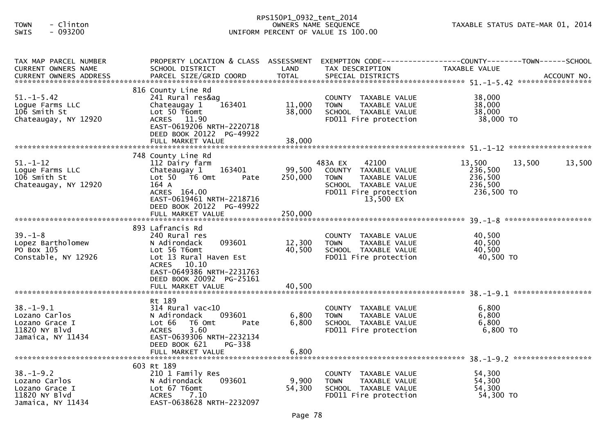## RPS150P1\_0932\_tent\_2014 TOWN - Clinton OWNERS NAME SEQUENCE TAXABLE STATUS DATE-MAR 01, 2014SWIS - 093200 UNIFORM PERCENT OF VALUE IS 100.00

| TAX MAP PARCEL NUMBER<br><b>CURRENT OWNERS NAME</b> | PROPERTY LOCATION & CLASS ASSESSMENT<br>SCHOOL DISTRICT | LAND    | TAX DESCRIPTION                                      | EXEMPTION CODE------------------COUNTY--------TOWN------SCHOOL<br>TAXABLE VALUE |        |
|-----------------------------------------------------|---------------------------------------------------------|---------|------------------------------------------------------|---------------------------------------------------------------------------------|--------|
|                                                     |                                                         |         |                                                      |                                                                                 |        |
|                                                     |                                                         |         |                                                      |                                                                                 |        |
| $51. - 1 - 5.42$                                    | 816 County Line Rd<br>241 Rural res&ag                  |         | COUNTY TAXABLE VALUE                                 | 38,000                                                                          |        |
| Logue Farms LLC                                     | Chateaugay 1<br>163401                                  | 11,000  | <b>TOWN</b><br>TAXABLE VALUE                         | 38,000                                                                          |        |
| 106 Smith St                                        | Lot 50 T6omt                                            | 38,000  | SCHOOL TAXABLE VALUE                                 | 38,000                                                                          |        |
| Chateaugay, NY 12920                                | ACRES 11.90                                             |         | FD011 Fire protection                                | 38,000 TO                                                                       |        |
|                                                     | EAST-0619206 NRTH-2220718                               |         |                                                      |                                                                                 |        |
|                                                     | DEED BOOK 20122 PG-49922                                |         |                                                      |                                                                                 |        |
|                                                     |                                                         |         |                                                      |                                                                                 |        |
|                                                     | 748 County Line Rd                                      |         |                                                      |                                                                                 |        |
| $51 - 1 - 12$                                       | 112 Dairy farm                                          |         | 483A EX<br>42100                                     | 13,500<br>13,500                                                                | 13,500 |
| Logue Farms LLC                                     | 163401<br>Chateaugay 1                                  | 99,500  | COUNTY TAXABLE VALUE                                 | 236,500                                                                         |        |
| 106 Smith St                                        | Lot 50 T6 Omt<br>Pate                                   | 250,000 | TAXABLE VALUE<br><b>TOWN</b>                         | 236,500                                                                         |        |
| Chateaugay, NY 12920                                | 164 A                                                   |         | SCHOOL TAXABLE VALUE                                 | 236,500                                                                         |        |
|                                                     | ACRES 164.00<br>EAST-0619461 NRTH-2218716               |         | FD011 Fire protection<br>13,500 EX                   | 236,500 TO                                                                      |        |
|                                                     | DEED BOOK 20122 PG-49922                                |         |                                                      |                                                                                 |        |
|                                                     |                                                         |         |                                                      |                                                                                 |        |
|                                                     |                                                         |         |                                                      |                                                                                 |        |
|                                                     | 893 Lafrancis Rd                                        |         |                                                      |                                                                                 |        |
| $39. - 1 - 8$<br>Lopez Bartholomew                  | 240 Rural res<br>093601<br>N Adirondack                 | 12,300  | COUNTY TAXABLE VALUE<br><b>TOWN</b><br>TAXABLE VALUE | 40,500<br>40,500                                                                |        |
| PO Box 105                                          | Lot 56 T6omt                                            | 40,500  | SCHOOL TAXABLE VALUE                                 | 40,500                                                                          |        |
| Constable, NY 12926                                 | Lot 13 Rural Haven Est                                  |         | FD011 Fire protection                                | 40,500 TO                                                                       |        |
|                                                     | ACRES 10.10                                             |         |                                                      |                                                                                 |        |
|                                                     | EAST-0649386 NRTH-2231763                               |         |                                                      |                                                                                 |        |
|                                                     | DEED BOOK 20092 PG-25161                                |         |                                                      |                                                                                 |        |
|                                                     |                                                         |         |                                                      |                                                                                 |        |
|                                                     | Rt 189                                                  |         |                                                      |                                                                                 |        |
| $38. - 1 - 9.1$                                     | 314 Rural vac<10                                        |         | COUNTY TAXABLE VALUE                                 | 6,800                                                                           |        |
| Lozano Carlos                                       | N Adirondack<br>093601                                  | 6,800   | TAXABLE VALUE<br><b>TOWN</b>                         | 6,800                                                                           |        |
| Lozano Grace I                                      | T6 Omt<br>Lot 66<br>Pate                                | 6,800   | SCHOOL TAXABLE VALUE                                 | 6,800                                                                           |        |
| 11820 NY Blvd                                       | 3.60<br><b>ACRES</b>                                    |         | FD011 Fire protection                                | 6,800 TO                                                                        |        |
| Jamaica, NY 11434                                   | EAST-0639306 NRTH-2232134                               |         |                                                      |                                                                                 |        |
|                                                     | DEED BOOK 621<br>PG-338                                 |         |                                                      |                                                                                 |        |
|                                                     |                                                         |         |                                                      |                                                                                 |        |
|                                                     | 603 Rt 189                                              |         |                                                      |                                                                                 |        |
| $38. - 1 - 9.2$                                     | 210 1 Family Res                                        |         | COUNTY TAXABLE VALUE                                 | 54,300                                                                          |        |
| Lozano Carlos                                       | N Adirondack<br>093601                                  | 9,900   | TAXABLE VALUE<br><b>TOWN</b>                         | 54,300                                                                          |        |
| Lozano Grace I                                      | Lot 67 T6omt                                            | 54,300  | SCHOOL TAXABLE VALUE                                 | 54,300                                                                          |        |
| 11820 NY Blvd<br>Jamaica, NY 11434                  | <b>ACRES</b><br>7.10<br>EAST-0638628 NRTH-2232097       |         | FD011 Fire protection                                | 54,300 TO                                                                       |        |
|                                                     |                                                         |         |                                                      |                                                                                 |        |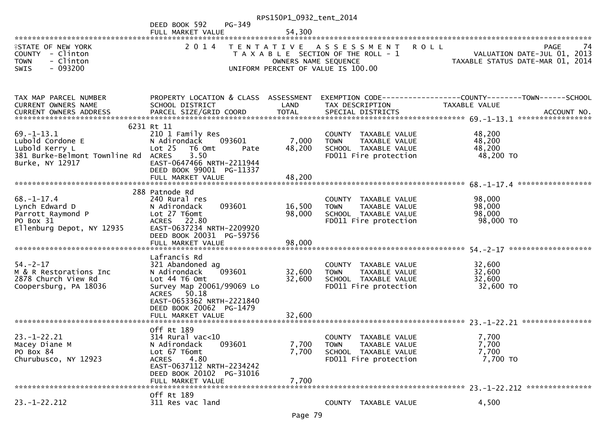|                                                                                                            |                                                                                                                                                                                         | RPS150P1_0932_tent_2014                   |                                                                                                                   |                                                                               |
|------------------------------------------------------------------------------------------------------------|-----------------------------------------------------------------------------------------------------------------------------------------------------------------------------------------|-------------------------------------------|-------------------------------------------------------------------------------------------------------------------|-------------------------------------------------------------------------------|
|                                                                                                            | PG-349<br>DEED BOOK 592                                                                                                                                                                 |                                           |                                                                                                                   |                                                                               |
|                                                                                                            | FULL MARKET VALUE                                                                                                                                                                       | 54,300                                    |                                                                                                                   |                                                                               |
| <b>ISTATE OF NEW YORK</b><br>COUNTY - Clinton<br>- Clinton<br><b>TOWN</b><br>$-093200$<br><b>SWIS</b>      | 2 0 1 4                                                                                                                                                                                 | T E N T A T I V E<br>OWNERS NAME SEQUENCE | <b>ROLL</b><br>A S S E S S M E N T<br>T A X A B L E SECTION OF THE ROLL - 1<br>UNIFORM PERCENT OF VALUE IS 100.00 | PAGE<br>74<br>VALUATION DATE-JUL 01, 2013<br>TAXABLE STATUS DATE-MAR 01, 2014 |
| TAX MAP PARCEL NUMBER<br>CURRENT OWNERS NAME<br>CURRENT OWNERS ADDRESS                                     | PROPERTY LOCATION & CLASS ASSESSMENT<br>SCHOOL DISTRICT<br>PARCEL SIZE/GRID COORD                                                                                                       | LAND<br><b>TOTAL</b>                      | TAX DESCRIPTION<br>SPECIAL DISTRICTS                                                                              | TAXABLE VALUE<br>ACCOUNT NO.                                                  |
|                                                                                                            | 6231 Rt 11                                                                                                                                                                              |                                           |                                                                                                                   |                                                                               |
| $69. - 1 - 13.1$<br>Lubold Cordone E<br>Lubold Kerry L<br>381 Burke-Belmont Townline Rd<br>Burke, NY 12917 | 210 1 Family Res<br>N Adirondack<br>093601<br>Lot <sub>25</sub><br>T6 Omt<br>Pate<br><b>ACRES</b><br>3.50<br>EAST-0647466 NRTH-2211944<br>DEED BOOK 99001 PG-11337<br>FULL MARKET VALUE | 7,000<br>48,200<br>48,200                 | COUNTY TAXABLE VALUE<br><b>TOWN</b><br>TAXABLE VALUE<br>SCHOOL TAXABLE VALUE<br>FD011 Fire protection             | 48,200<br>48,200<br>48,200<br>48,200 TO                                       |
|                                                                                                            | 288 Patnode Rd                                                                                                                                                                          |                                           |                                                                                                                   |                                                                               |
| $68. - 1 - 17.4$<br>Lynch Edward D<br>Parrott Raymond P<br>PO Box 31<br>Ellenburg Depot, NY 12935          | 240 Rural res<br>093601<br>N Adirondack<br>Lot 27 T6omt<br>ACRES 22.80<br>EAST-0637234 NRTH-2209920<br>DEED BOOK 20031 PG-59756                                                         | 16,500<br>98,000                          | COUNTY TAXABLE VALUE<br>TAXABLE VALUE<br><b>TOWN</b><br>SCHOOL TAXABLE VALUE<br>FD011 Fire protection             | 98,000<br>98,000<br>98,000<br>98,000 TO                                       |
|                                                                                                            | FULL MARKET VALUE                                                                                                                                                                       | 98,000                                    |                                                                                                                   |                                                                               |
| $54. - 2 - 17$<br>M & R Restorations Inc<br>2878 Church View Rd<br>Coopersburg, PA 18036                   | Lafrancis Rd<br>321 Abandoned ag<br>093601<br>N Adirondack<br>Lot 44 76 0mt<br>Survey Map 20061/99069 Lo<br>ACRES 50.18<br>EAST-0653362 NRTH-2221840<br>DEED BOOK 20062 PG-1479         | 32,600<br>32,600                          | COUNTY TAXABLE VALUE<br><b>TOWN</b><br>TAXABLE VALUE<br>SCHOOL TAXABLE VALUE<br>FD011 Fire protection             | 32,600<br>32,600<br>32,600<br>32,600 TO                                       |
|                                                                                                            |                                                                                                                                                                                         |                                           |                                                                                                                   |                                                                               |
| $23. - 1 - 22.21$<br>Macey Diane M<br>PO Box 84<br>Churubusco, NY 12923                                    | Off Rt 189<br>$314$ Rural vac<10<br>093601<br>N Adirondack<br>Lot 67 T6omt<br>4.80<br><b>ACRES</b><br>EAST-0637112 NRTH-2234242<br>DEED BOOK 20102 PG-31016<br>FULL MARKET VALUE        | 7,700<br>7,700<br>7,700                   | COUNTY TAXABLE VALUE<br>TAXABLE VALUE<br><b>TOWN</b><br>SCHOOL TAXABLE VALUE<br>FD011 Fire protection             | 7,700<br>7,700<br>7,700<br>7,700 TO                                           |
|                                                                                                            |                                                                                                                                                                                         |                                           |                                                                                                                   |                                                                               |
| $23. - 1 - 22.212$                                                                                         | Off Rt 189<br>311 Res vac land                                                                                                                                                          |                                           | COUNTY TAXABLE VALUE                                                                                              | 4,500                                                                         |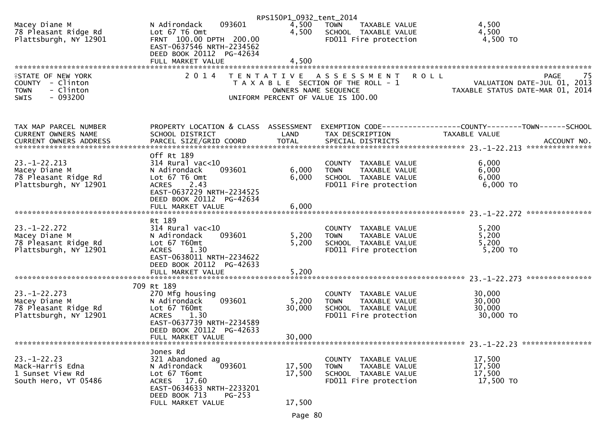|                                                                                                       |                                                                                                                             | RPS150P1_0932_tent_2014 |                                                                                                     |                                                                             |
|-------------------------------------------------------------------------------------------------------|-----------------------------------------------------------------------------------------------------------------------------|-------------------------|-----------------------------------------------------------------------------------------------------|-----------------------------------------------------------------------------|
| Macey Diane M<br>78 Pleasant Ridge Rd<br>Plattsburgh, NY 12901                                        | 093601<br>N Adirondack<br>Lot 67 T6 Omt<br>FRNT 100.00 DPTH 200.00<br>EAST-0637546 NRTH-2234562<br>DEED BOOK 20112 PG-42634 | 4,500<br>4,500          | <b>TOWN</b><br>TAXABLE VALUE<br>SCHOOL TAXABLE VALUE<br>FD011 Fire protection                       | 4,500<br>4,500<br>4,500 TO                                                  |
|                                                                                                       | FULL MARKET VALUE                                                                                                           | 4,500                   |                                                                                                     |                                                                             |
|                                                                                                       |                                                                                                                             |                         |                                                                                                     |                                                                             |
| <b>ISTATE OF NEW YORK</b><br>COUNTY - Clinton<br>- Clinton<br><b>TOWN</b><br>$-093200$<br><b>SWIS</b> | 2 0 1 4                                                                                                                     | OWNERS NAME SEQUENCE    | TENTATIVE ASSESSMENT<br>T A X A B L E SECTION OF THE ROLL - 1<br>UNIFORM PERCENT OF VALUE IS 100.00 | 75 PAGE<br>VALUATION DATE-JUL 01, 2013<br>TAXABLE STATUS DATE WARE 21, 2013 |
| TAX MAP PARCEL NUMBER                                                                                 | PROPERTY LOCATION & CLASS ASSESSMENT                                                                                        |                         |                                                                                                     | EXEMPTION CODE------------------COUNTY--------TOWN------SCHOOL              |
| CURRENT OWNERS NAME                                                                                   | SCHOOL DISTRICT                                                                                                             | LAND                    | TAX DESCRIPTION                                                                                     | TAXABLE VALUE                                                               |
|                                                                                                       |                                                                                                                             |                         |                                                                                                     |                                                                             |
|                                                                                                       |                                                                                                                             |                         |                                                                                                     |                                                                             |
|                                                                                                       | Off Rt 189                                                                                                                  |                         |                                                                                                     |                                                                             |
| $23. - 1 - 22.213$                                                                                    | $314$ Rural vac<10                                                                                                          |                         | COUNTY TAXABLE VALUE                                                                                | 6,000                                                                       |
| Macey Diane M                                                                                         | 093601<br>N Adirondack                                                                                                      | 6,000                   | <b>TOWN</b><br>TAXABLE VALUE                                                                        | 6,000                                                                       |
| 78 Pleasant Ridge Rd                                                                                  | Lot 67 T6 Omt                                                                                                               | 6,000                   | SCHOOL TAXABLE VALUE                                                                                | 6,000                                                                       |
| Plattsburgh, NY 12901                                                                                 | 2.43<br><b>ACRES</b><br>EAST-0637229 NRTH-2234525<br>DEED BOOK 20112 PG-42634                                               |                         | FD011 Fire protection                                                                               | 6,000 TO                                                                    |
|                                                                                                       | FULL MARKET VALUE                                                                                                           | 6,000                   |                                                                                                     |                                                                             |
|                                                                                                       |                                                                                                                             |                         |                                                                                                     |                                                                             |
|                                                                                                       | Rt 189                                                                                                                      |                         |                                                                                                     |                                                                             |
| $23. - 1 - 22.272$                                                                                    | $314$ Rural vac<10                                                                                                          |                         | COUNTY TAXABLE VALUE                                                                                | 5,200                                                                       |
| Macey Diane M<br>78 Pleasant Ridge Rd                                                                 | 093601<br>N Adirondack<br>Lot 67 T60mt                                                                                      | 5,200<br>5,200          | <b>TOWN</b><br>TAXABLE VALUE<br>SCHOOL TAXABLE VALUE                                                | 5,200<br>5,200                                                              |
| Plattsburgh, NY 12901                                                                                 | <b>ACRES</b><br>1.30                                                                                                        |                         | FD011 Fire protection                                                                               | 5,200 TO                                                                    |
|                                                                                                       | EAST-0638011 NRTH-2234622                                                                                                   |                         |                                                                                                     |                                                                             |
|                                                                                                       | DEED BOOK 20112 PG-42633                                                                                                    |                         |                                                                                                     |                                                                             |
|                                                                                                       | FULL MARKET VALUE                                                                                                           | 5,200                   |                                                                                                     |                                                                             |
|                                                                                                       |                                                                                                                             |                         |                                                                                                     |                                                                             |
|                                                                                                       | 709 Rt 189                                                                                                                  |                         |                                                                                                     |                                                                             |
| $23. - 1 - 22.273$                                                                                    | 270 Mfg housing                                                                                                             |                         | COUNTY TAXABLE VALUE                                                                                | 30,000                                                                      |
| Macey Diane M                                                                                         | 093601<br>N Adirondack                                                                                                      | 5,200                   | TAXABLE VALUE<br><b>TOWN</b>                                                                        | 30,000                                                                      |
| 78 Pleasant Ridge Rd                                                                                  | Lot 67 T60mt                                                                                                                | 30,000                  | SCHOOL TAXABLE VALUE                                                                                | 30,000                                                                      |
| Plattsburgh, NY 12901                                                                                 | 1.30<br><b>ACRES</b><br>EAST-0637739 NRTH-2234589                                                                           |                         | FD011 Fire protection                                                                               | 30,000 TO                                                                   |
|                                                                                                       | DEED BOOK 20112 PG-42633                                                                                                    |                         |                                                                                                     |                                                                             |
|                                                                                                       | FULL MARKET VALUE                                                                                                           | 30,000                  |                                                                                                     |                                                                             |
|                                                                                                       |                                                                                                                             |                         |                                                                                                     | 23. -1-22. 23 *****************                                             |
|                                                                                                       | Jones Rd                                                                                                                    |                         |                                                                                                     |                                                                             |
| $23. - 1 - 22.23$                                                                                     | 321 Abandoned ag                                                                                                            |                         | COUNTY TAXABLE VALUE                                                                                | 17,500                                                                      |
| Mack-Harris Edna                                                                                      | 093601<br>N Adirondack                                                                                                      | 17,500                  | <b>TOWN</b><br>TAXABLE VALUE                                                                        | 17,500                                                                      |
| 1 Sunset View Rd                                                                                      | Lot 67 T6omt                                                                                                                | 17,500                  | SCHOOL TAXABLE VALUE                                                                                | 17,500                                                                      |
| South Hero, VT 05486                                                                                  | ACRES 17.60                                                                                                                 |                         | FD011 Fire protection                                                                               | 17,500 TO                                                                   |
|                                                                                                       | EAST-0634633 NRTH-2233201                                                                                                   |                         |                                                                                                     |                                                                             |
|                                                                                                       | DEED BOOK 713<br>$PG-253$<br>FULL MARKET VALUE                                                                              | 17,500                  |                                                                                                     |                                                                             |
|                                                                                                       |                                                                                                                             |                         |                                                                                                     |                                                                             |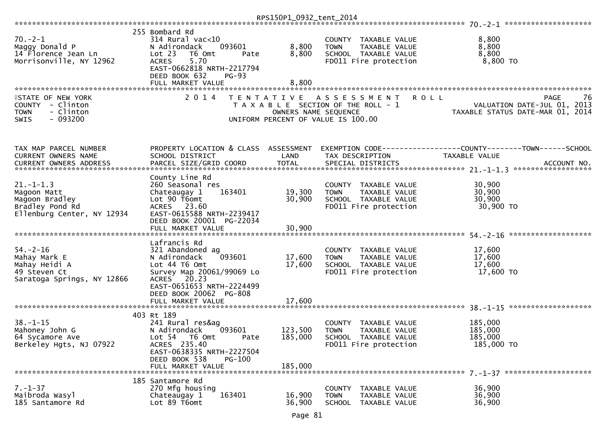|                                                                                                   |                                                                                                                                                                                          | RPS150P1_0932_tent_2014                   |                                                                                                              |                                                                                                     |
|---------------------------------------------------------------------------------------------------|------------------------------------------------------------------------------------------------------------------------------------------------------------------------------------------|-------------------------------------------|--------------------------------------------------------------------------------------------------------------|-----------------------------------------------------------------------------------------------------|
|                                                                                                   |                                                                                                                                                                                          |                                           |                                                                                                              |                                                                                                     |
| $70. - 2 - 1$<br>Maggy Donald P<br>14 Florence Jean Ln<br>Morrisonville, NY 12962                 | 255 Bombard Rd<br>$314$ Rural vac<10<br>N Adirondack<br>093601<br>Lot 23<br>T6 Omt<br>Pate<br>5.70<br><b>ACRES</b><br>EAST-0662818 NRTH-2217794<br>DEED BOOK 632<br>$PG-93$              | 8,800<br>8,800                            | COUNTY TAXABLE VALUE<br>TAXABLE VALUE<br><b>TOWN</b><br>SCHOOL TAXABLE VALUE<br>FD011 Fire protection        | 8,800<br>8,800<br>8,800<br>8,800 TO                                                                 |
|                                                                                                   | FULL MARKET VALUE                                                                                                                                                                        | 8,800                                     |                                                                                                              |                                                                                                     |
| FSTATE OF NEW YORK<br>COUNTY - Clinton<br>- Clinton<br><b>TOWN</b><br>$-093200$<br><b>SWIS</b>    | 2 0 1 4                                                                                                                                                                                  | T E N T A T I V E<br>OWNERS NAME SEQUENCE | A S S E S S M E N T<br>T A X A B L E SECTION OF THE ROLL - 1<br>UNIFORM PERCENT OF VALUE IS 100.00           | 76<br><b>ROLL</b><br><b>PAGE</b><br>VALUATION DATE-JUL 01, 2013<br>TAXABLE STATUS DATE-MAR 01, 2014 |
| TAX MAP PARCEL NUMBER<br><b>CURRENT OWNERS NAME</b>                                               | PROPERTY LOCATION & CLASS ASSESSMENT<br>SCHOOL DISTRICT                                                                                                                                  | LAND                                      | TAX DESCRIPTION                                                                                              | TAXABLE VALUE<br>ACCOUNT NO.<br>******************                                                  |
| $21. - 1 - 1.3$<br>Magoon Matt<br>Magoon Bradley<br>Bradley Pond Rd<br>Ellenburg Center, NY 12934 | County Line Rd<br>260 Seasonal res<br>Chateaugay 1<br>163401<br>Lot 90 T6omt<br>ACRES 23.60<br>EAST-0615588 NRTH-2239417<br>DEED BOOK 20001 PG-22034<br>FULL MARKET VALUE                | 19,300<br>30,900<br>30,900                | COUNTY TAXABLE VALUE<br><b>TOWN</b><br><b>TAXABLE VALUE</b><br>SCHOOL TAXABLE VALUE<br>FD011 Fire protection | 30,900<br>30,900<br>30,900<br>30,900 TO                                                             |
|                                                                                                   | Lafrancis Rd                                                                                                                                                                             |                                           |                                                                                                              | *******************                                                                                 |
| $54. - 2 - 16$<br>Mahay Mark E<br>Mahay Heidi A<br>49 Steven Ct<br>Saratoga Springs, NY 12866     | 321 Abandoned ag<br>093601<br>N Adirondack<br>Lot 44 T6 Omt<br>Survey Map 20061/99069 Lo<br>ACRES 20.23<br>EAST-0651653 NRTH-2224499<br>DEED BOOK 20062 PG-808<br>FULL MARKET VALUE      | 17,600<br>17,600<br>17,600                | COUNTY TAXABLE VALUE<br><b>TOWN</b><br>TAXABLE VALUE<br>SCHOOL TAXABLE VALUE<br>FD011 Fire protection        | 17,600<br>17,600<br>17,600<br>17,600 TO                                                             |
|                                                                                                   |                                                                                                                                                                                          |                                           |                                                                                                              |                                                                                                     |
| $38. - 1 - 15$<br>Mahoney John G<br>64 Sycamore Ave<br>Berkeley Hgts, NJ 07922                    | 403 Rt 189<br>241 Rural res&ag<br>093601<br>N Adirondack<br>Lot 54<br>T6 Omt<br>Pate<br>ACRES 235.40<br>EAST-0638335 NRTH-2227504<br>DEED BOOK 538<br><b>PG-100</b><br>FULL MARKET VALUE | 123,500<br>185,000<br>185,000             | COUNTY TAXABLE VALUE<br><b>TOWN</b><br>TAXABLE VALUE<br>SCHOOL TAXABLE VALUE<br>FD011 Fire protection        | 185,000<br>185,000<br>185,000<br>185,000 TO                                                         |
|                                                                                                   | 185 Santamore Rd                                                                                                                                                                         |                                           |                                                                                                              |                                                                                                     |
| $7. - 1 - 37$<br>Maibroda Wasyl<br>185 Santamore Rd                                               | 270 Mfg housing<br>Chateaugay 1<br>163401<br>Lot 89 T6omt                                                                                                                                | 16,900<br>36,900                          | COUNTY TAXABLE VALUE<br><b>TOWN</b><br>TAXABLE VALUE<br>SCHOOL TAXABLE VALUE                                 | 36,900<br>36,900<br>36,900                                                                          |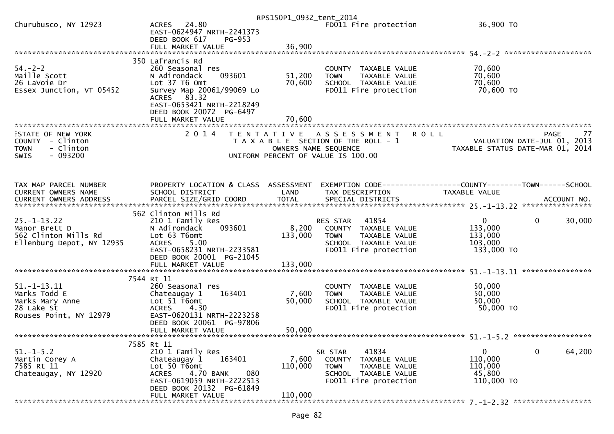|                                                   |                                                       | RPS150P1_0932_tent_2014 |                                                      |                                                                 |
|---------------------------------------------------|-------------------------------------------------------|-------------------------|------------------------------------------------------|-----------------------------------------------------------------|
| Churubusco, NY 12923                              | ACRES 24.80<br>EAST-0624947 NRTH-2241373              |                         | FD011 Fire protection                                | 36,900 TO                                                       |
|                                                   | DEED BOOK 617<br>PG-953                               |                         |                                                      |                                                                 |
|                                                   | FULL MARKET VALUE                                     | 36,900                  |                                                      |                                                                 |
| $54. - 2 - 2$                                     | 350 Lafrancis Rd<br>260 Seasonal res                  |                         | COUNTY TAXABLE VALUE                                 | 70,600                                                          |
| Maille Scott                                      | 093601<br>N Adirondack                                | 51,200                  | <b>TOWN</b><br>TAXABLE VALUE                         | 70,600                                                          |
| 26 LaVoie Dr                                      | Lot 37 T6 Omt                                         | 70,600                  | SCHOOL TAXABLE VALUE                                 | 70,600                                                          |
| Essex Junction, VT 05452                          | Survey Map 20061/99069 Lo<br>ACRES 83.32              |                         | FD011 Fire protection                                | 70,600 TO                                                       |
|                                                   | EAST-0653421 NRTH-2218249                             |                         |                                                      |                                                                 |
|                                                   | DEED BOOK 20072 PG-6497                               |                         |                                                      |                                                                 |
|                                                   |                                                       | 70,600                  |                                                      |                                                                 |
| <b>ISTATE OF NEW YORK</b>                         | 2 0 1 4                                               |                         | TENTATIVE ASSESSMENT ROLL                            | <b>PAGE</b><br>77                                               |
| COUNTY - Clinton                                  |                                                       |                         | T A X A B L E SECTION OF THE ROLL - 1                | VALUATION DATE-JUL 01, 2013                                     |
| - Clinton<br><b>TOWN</b>                          |                                                       |                         | OWNERS NAME SEQUENCE                                 | VALUATION DATE-JUL 01, 2013<br>TAXABLE STATUS DATE-MAR 01, 2014 |
| $-093200$<br><b>SWIS</b>                          |                                                       |                         | UNIFORM PERCENT OF VALUE IS 100.00                   |                                                                 |
|                                                   |                                                       |                         |                                                      |                                                                 |
| TAX MAP PARCEL NUMBER                             | PROPERTY LOCATION & CLASS ASSESSMENT                  |                         |                                                      | EXEMPTION CODE-----------------COUNTY--------TOWN------SCHOOL   |
| CURRENT OWNERS NAME                               | SCHOOL DISTRICT                                       | LAND                    | TAX DESCRIPTION                                      | TAXABLE VALUE                                                   |
|                                                   |                                                       |                         |                                                      |                                                                 |
|                                                   | 562 Clinton Mills Rd                                  |                         |                                                      |                                                                 |
| $25. - 1 - 13.22$                                 | 210 1 Family Res                                      |                         | RES STAR 41854                                       | $\mathbf{0}$<br>30,000<br>$\mathbf{0}$                          |
| Manor Brett D                                     | 093601<br>N Adirondack                                | 8,200                   | COUNTY TAXABLE VALUE                                 | 133,000                                                         |
| 562 Clinton Mills Rd<br>Ellenburg Depot, NY 12935 | Lot 63 T6omt<br>5.00<br><b>ACRES</b>                  | 133,000                 | <b>TOWN</b><br>TAXABLE VALUE<br>SCHOOL TAXABLE VALUE | 133,000<br>103,000                                              |
|                                                   | EAST-0658231 NRTH-2233581                             |                         | FD011 Fire protection                                | 133,000 TO                                                      |
|                                                   | DEED BOOK 20001 PG-21045                              |                         |                                                      |                                                                 |
|                                                   | FULL MARKET VALUE                                     | 133,000                 |                                                      |                                                                 |
|                                                   | 7544 Rt 11                                            |                         |                                                      |                                                                 |
| $51. - 1 - 13.11$                                 | 260 Seasonal res                                      |                         | COUNTY TAXABLE VALUE                                 | 50,000                                                          |
| Marks Todd E                                      | Chateaugay 1<br>163401                                | 7,600                   | TAXABLE VALUE<br><b>TOWN</b>                         | 50,000                                                          |
| Marks Mary Anne                                   | Lot 51 T6omt                                          | 50,000                  | SCHOOL TAXABLE VALUE                                 | 50,000                                                          |
| 28 Lake St<br>Rouses Point, NY 12979              | <b>ACRES</b><br>4.30<br>EAST-0620131 NRTH-2223258     |                         | FD011 Fire protection                                | 50,000 TO                                                       |
|                                                   | DEED BOOK 20061 PG-97806                              |                         |                                                      |                                                                 |
|                                                   | FULL MARKET VALUE                                     | 50,000                  |                                                      |                                                                 |
|                                                   |                                                       |                         |                                                      |                                                                 |
| $51.-1-5.2$                                       | 7585 Rt 11<br>210 1 Family Res                        |                         | 41834<br>SR STAR                                     | $\mathbf 0$<br>64,200<br>0                                      |
| Martin Corey A                                    | 163401<br>Chateaugay 1                                | 7,600                   | COUNTY<br>TAXABLE VALUE                              | 110,000                                                         |
| 7585 Rt 11                                        | Lot 50 T6omt                                          | 110,000                 | TAXABLE VALUE<br><b>TOWN</b>                         | 110,000                                                         |
| Chateaugay, NY 12920                              | 4.70 BANK<br>080<br><b>ACRES</b>                      |                         | SCHOOL TAXABLE VALUE                                 | 45,800                                                          |
|                                                   | EAST-0619059 NRTH-2222513<br>DEED BOOK 20132 PG-61849 |                         | FD011 Fire protection                                | 110,000 TO                                                      |
|                                                   | FULL MARKET VALUE                                     | 110,000                 |                                                      |                                                                 |
|                                                   |                                                       |                         |                                                      |                                                                 |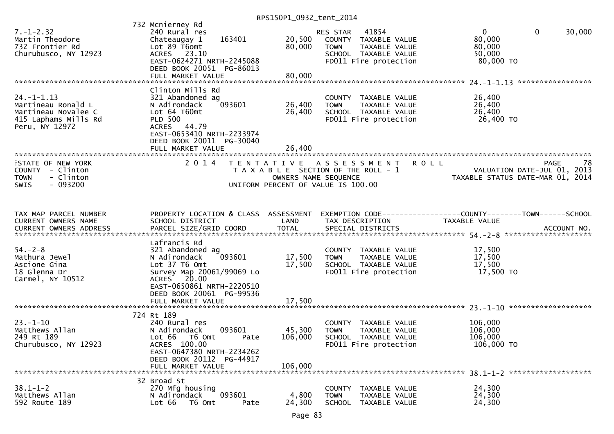RPS150P1\_0932\_tent\_2014

| $7. - 1 - 2.32$<br>Martin Theodore<br>732 Frontier Rd<br>Churubusco, NY 12923                           | 732 Mcnierney Rd<br>240 Rural res<br>163401<br>Chateaugay 1<br>Lot 89 T6omt<br>ACRES 23.10<br>EAST-0624271 NRTH-2245088<br>DEED BOOK 20051 PG-86013<br>FULL MARKET VALUE         | 20,500<br>80,000<br>80,000   | 41854<br><b>RES STAR</b><br>COUNTY TAXABLE VALUE<br><b>TOWN</b><br>TAXABLE VALUE<br>SCHOOL TAXABLE VALUE<br>FD011 Fire protection | $\mathbf{0}$<br>$\overline{0}$<br>30,000<br>80,000<br>80,000<br>50,000<br>80,000 TO                                |
|---------------------------------------------------------------------------------------------------------|----------------------------------------------------------------------------------------------------------------------------------------------------------------------------------|------------------------------|-----------------------------------------------------------------------------------------------------------------------------------|--------------------------------------------------------------------------------------------------------------------|
|                                                                                                         |                                                                                                                                                                                  |                              |                                                                                                                                   |                                                                                                                    |
| $24. - 1 - 1.13$<br>Martineau Ronald L<br>Martineau Novalee C<br>415 Laphams Mills Rd<br>Peru, NY 12972 | Clinton Mills Rd<br>321 Abandoned ag<br>N Adirondack<br>093601<br>Lot 64 T60mt<br><b>PLD 500</b><br>ACRES 44.79<br>EAST-0653410 NRTH-2233974                                     | 26,400<br>26,400             | COUNTY TAXABLE VALUE<br>TAXABLE VALUE<br><b>TOWN</b><br>SCHOOL TAXABLE VALUE<br>FD011 Fire protection                             | 26,400<br>26,400<br>26,400<br>26,400 TO                                                                            |
|                                                                                                         | DEED BOOK 20011 PG-30040                                                                                                                                                         |                              |                                                                                                                                   |                                                                                                                    |
|                                                                                                         | FULL MARKET VALUE                                                                                                                                                                | 26,400                       |                                                                                                                                   |                                                                                                                    |
| <b>ISTATE OF NEW YORK</b><br>COUNTY - Clinton<br><b>TOWN</b><br>- Clinton<br>$-093200$<br><b>SWIS</b>   | 2 0 1 4<br>T E N T A T I V E                                                                                                                                                     | OWNERS NAME SEQUENCE         | <b>ROLL</b><br>A S S E S S M E N T<br>T A X A B L E SECTION OF THE ROLL - 1<br>UNIFORM PERCENT OF VALUE IS 100.00                 | 78<br><b>PAGE</b><br>VALUATION DATE-JUL 01, 2013<br>TAXABLE STATUS DATE-MAR 01, 2014                               |
| TAX MAP PARCEL NUMBER<br>CURRENT OWNERS NAME                                                            | PROPERTY LOCATION & CLASS ASSESSMENT<br>SCHOOL DISTRICT                                                                                                                          | LAND                         | TAX DESCRIPTION                                                                                                                   | EXEMPTION CODE-----------------COUNTY--------TOWN------SCHOOL<br>TAXABLE VALUE                                     |
|                                                                                                         |                                                                                                                                                                                  |                              |                                                                                                                                   | .000 ACCOUNT NO . PARCEL SIZE/GRID COORD TOTAL SPECIAL DISTRICTS AND ELLE ACCOUNT NO . ACCOUNT NO . AND . AND RESS |
| $54. - 2 - 8$<br>Mathura Jewel<br>Ascione Gina<br>18 Glenna Dr<br>Carmel, NY 10512                      | Lafrancis Rd<br>321 Abandoned ag<br>093601<br>N Adirondack<br>Lot 37 T6 Omt<br>Survey Map 20061/99069 Lo<br>ACRES 20.00<br>EAST-0650861 NRTH-2220510<br>DEED BOOK 20061 PG-99536 | 17,500<br>17,500             | COUNTY TAXABLE VALUE<br>TAXABLE VALUE<br><b>TOWN</b><br>SCHOOL TAXABLE VALUE<br>FD011 Fire protection                             | 17,500<br>17,500<br>17,500<br>17,500 TO                                                                            |
|                                                                                                         | FULL MARKET VALUE                                                                                                                                                                | 17,500                       |                                                                                                                                   |                                                                                                                    |
|                                                                                                         | 724 Rt 189                                                                                                                                                                       |                              |                                                                                                                                   |                                                                                                                    |
| $23 - 1 - 10$<br>Matthews Allan<br>249 Rt 189<br>Churubusco, NY 12923                                   | 240 Rural res<br>N Adirondack<br>093601<br>T6 Omt<br>Lot 66<br>Pate<br>ACRES 100.00<br>EAST-0647380 NRTH-2234262<br>DEED BOOK 20112 PG-44917<br>FULL MARKET VALUE                | 45,300<br>106,000<br>106,000 | COUNTY TAXABLE VALUE<br>TAXABLE VALUE<br><b>TOWN</b><br>SCHOOL TAXABLE VALUE<br>FD011 Fire protection                             | 106,000<br>106,000<br>106,000<br>106,000 TO                                                                        |
|                                                                                                         | 32 Broad St                                                                                                                                                                      |                              |                                                                                                                                   |                                                                                                                    |
| $38.1 - 1 - 2$<br>Matthews Allan<br>592 Route 189                                                       | 270 Mfg housing<br>093601<br>N Adirondack<br>Lot 66<br>T6 Omt<br>Pate                                                                                                            | 4,800<br>24,300              | COUNTY TAXABLE VALUE<br><b>TOWN</b><br>TAXABLE VALUE<br>SCHOOL TAXABLE VALUE                                                      | 24,300<br>24,300<br>24,300                                                                                         |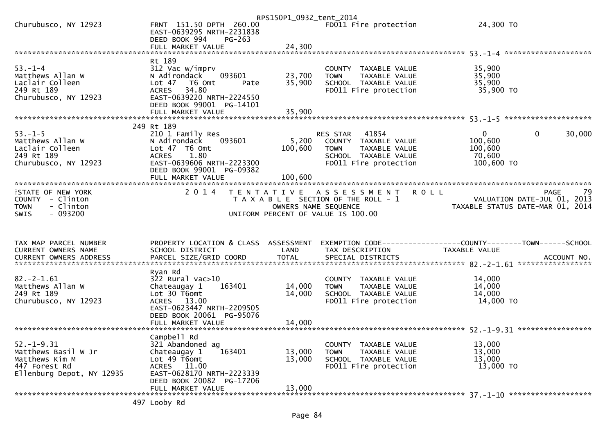|                                                                                                         |                                                                                                                                                                                 | RPS150P1_0932_tent_2014                   |                                                                                                                            |                                                                                  |    |
|---------------------------------------------------------------------------------------------------------|---------------------------------------------------------------------------------------------------------------------------------------------------------------------------------|-------------------------------------------|----------------------------------------------------------------------------------------------------------------------------|----------------------------------------------------------------------------------|----|
| Churubusco, NY 12923                                                                                    | FRNT 151.50 DPTH 260.00<br>EAST-0639295 NRTH-2231838<br>DEED BOOK 994<br>$PG-263$                                                                                               |                                           | FD011 Fire protection                                                                                                      | 24,300 TO                                                                        |    |
|                                                                                                         |                                                                                                                                                                                 |                                           |                                                                                                                            |                                                                                  |    |
|                                                                                                         |                                                                                                                                                                                 |                                           |                                                                                                                            |                                                                                  |    |
| $53. - 1 - 4$<br>Matthews Allan W<br>Laclair Colleen<br>249 Rt 189<br>Churubusco, NY 12923              | Rt 189<br>312 Vac w/imprv<br>093601<br>N Adirondack<br>Lot <sub>47</sub><br>T6 Omt<br>Pate<br>34.80<br><b>ACRES</b><br>EAST-0639220 NRTH-2224550<br>DEED BOOK 99001 PG-14101    | 23,700<br>35,900                          | COUNTY TAXABLE VALUE<br>TAXABLE VALUE<br><b>TOWN</b><br>SCHOOL TAXABLE VALUE<br>FD011 Fire protection                      | 35,900<br>35,900<br>35,900<br>35,900 TO                                          |    |
|                                                                                                         | FULL MARKET VALUE                                                                                                                                                               | 35,900                                    |                                                                                                                            |                                                                                  |    |
|                                                                                                         |                                                                                                                                                                                 |                                           |                                                                                                                            |                                                                                  |    |
| $53. - 1 - 5$<br>Matthews Allan W<br>Laclair Colleen<br>249 Rt 189<br>Churubusco, NY 12923              | 249 Rt 189<br>210 1 Family Res<br>N Adirondack<br>093601<br>Lot 47 T6 Omt<br>1.80<br><b>ACRES</b><br>EAST-0639606 NRTH-2223300<br>DEED BOOK 99001 PG-09382<br>FULL MARKET VALUE | 5,200<br>100,600<br>100,600               | RES STAR<br>41854<br>COUNTY TAXABLE VALUE<br><b>TOWN</b><br>TAXABLE VALUE<br>SCHOOL TAXABLE VALUE<br>FD011 Fire protection | $\mathbf{0}$<br>$\Omega$<br>30,000<br>100,600<br>100,600<br>70,600<br>100,600 TO |    |
|                                                                                                         |                                                                                                                                                                                 |                                           |                                                                                                                            |                                                                                  |    |
| <b>ISTATE OF NEW YORK</b><br>COUNTY - Clinton<br><b>TOWN</b><br>- Clinton<br>$-093200$<br><b>SWIS</b>   | 2 0 1 4                                                                                                                                                                         | T E N T A T I V E<br>OWNERS NAME SEQUENCE | <b>ROLL</b><br>A S S E S S M E N T<br>T A X A B L E SECTION OF THE ROLL - 1                                                | <b>PAGE</b><br>VALUATION DATE-JUL 01, 2013<br>TAXABLE STATUS DATE-MAR 01, 2014   | 79 |
|                                                                                                         |                                                                                                                                                                                 |                                           | UNIFORM PERCENT OF VALUE IS 100.00                                                                                         |                                                                                  |    |
| TAX MAP PARCEL NUMBER<br>CURRENT OWNERS NAME                                                            | PROPERTY LOCATION & CLASS ASSESSMENT<br>SCHOOL DISTRICT                                                                                                                         | LAND                                      | TAX DESCRIPTION                                                                                                            | EXEMPTION CODE-----------------COUNTY-------TOWN------SCHOOL<br>TAXABLE VALUE    |    |
|                                                                                                         | Ryan Rd                                                                                                                                                                         |                                           |                                                                                                                            |                                                                                  |    |
| $82. - 2 - 1.61$<br>Matthews Allan W<br>249 Rt 189<br>Churubusco, NY 12923                              | 322 Rural vac>10<br>Chateaugay 1<br>163401<br>Lot 30 T6omt<br>ACRES 13.00<br>EAST-0623447 NRTH-2209505<br>DEED BOOK 20061 PG-95076                                              | 14,000<br>14,000                          | COUNTY TAXABLE VALUE<br>TAXABLE VALUE<br><b>TOWN</b><br>SCHOOL TAXABLE VALUE<br>FD011 Fire protection                      | 14,000<br>14,000<br>14,000<br>14,000 TO                                          |    |
|                                                                                                         |                                                                                                                                                                                 |                                           |                                                                                                                            |                                                                                  |    |
|                                                                                                         |                                                                                                                                                                                 |                                           |                                                                                                                            |                                                                                  |    |
| $52. - 1 - 9.31$<br>Matthews Basil W Jr<br>Matthews Kim M<br>447 Forest Rd<br>Ellenburg Depot, NY 12935 | Campbell Rd<br>321 Abandoned ag<br>163401<br>Chateaugay 1<br>Lot 49 T6omt<br>ACRES 11.00<br>EAST-0628170 NRTH-2223339<br>DEED BOOK 20082 PG-17206                               | 13,000<br>13,000                          | COUNTY TAXABLE VALUE<br><b>TOWN</b><br>TAXABLE VALUE<br>SCHOOL TAXABLE VALUE<br>FD011 Fire protection                      | 13,000<br>13,000<br>13,000<br>13,000 TO                                          |    |
|                                                                                                         | FULL MARKET VALUE                                                                                                                                                               | 13,000                                    |                                                                                                                            |                                                                                  |    |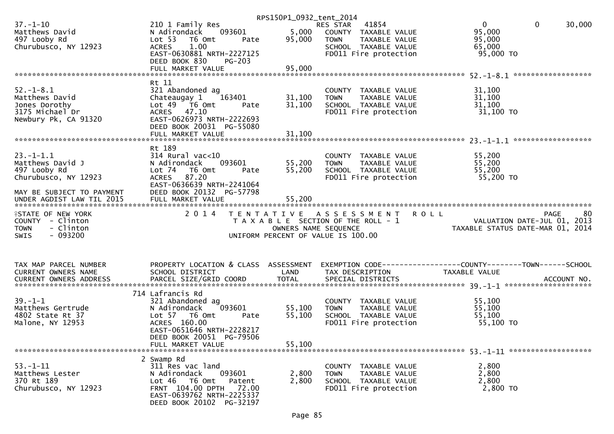|                           |                                                       | RPS150P1_0932_tent_2014 |                                       |                                                                                                  |
|---------------------------|-------------------------------------------------------|-------------------------|---------------------------------------|--------------------------------------------------------------------------------------------------|
| $37. - 1 - 10$            | 210 1 Family Res                                      |                         | 41854<br>RES STAR                     | $\overline{0}$<br>$\mathbf{0}$<br>30,000                                                         |
| Matthews David            | 093601<br>N Adirondack                                | 5,000                   | COUNTY TAXABLE VALUE                  | 95,000                                                                                           |
| 497 Looby Rd              | Lot <sub>53</sub><br>T6 Omt<br>Pate                   | 95,000                  | TAXABLE VALUE<br><b>TOWN</b>          | 95,000                                                                                           |
| Churubusco, NY 12923      | 1.00<br><b>ACRES</b>                                  |                         | SCHOOL TAXABLE VALUE                  | 65,000                                                                                           |
|                           | EAST-0630881 NRTH-2227125                             |                         | FD011 Fire protection                 | 95,000 TO                                                                                        |
|                           | DEED BOOK 830<br>$PG-203$                             |                         |                                       |                                                                                                  |
|                           |                                                       |                         |                                       |                                                                                                  |
|                           | FULL MARKET VALUE                                     | 95,000                  |                                       |                                                                                                  |
|                           |                                                       |                         |                                       |                                                                                                  |
|                           | Rt 11                                                 |                         |                                       |                                                                                                  |
| $52. - 1 - 8.1$           | 321 Abandoned ag                                      |                         | COUNTY TAXABLE VALUE                  | 31,100                                                                                           |
| Matthews David            | 163401<br>Chateaugay 1                                | 31,100                  | TAXABLE VALUE<br><b>TOWN</b>          | 31,100                                                                                           |
| Jones Dorothy             | Lot $49$ $\overline{76}$ Omt<br>Pate                  | 31,100                  | SCHOOL TAXABLE VALUE                  | 31,100                                                                                           |
| 3175 Michael Dr           | ACRES 47.10                                           |                         | FD011 Fire protection                 | 31,100 TO                                                                                        |
| Newbury Pk, CA 91320      | EAST-0626973 NRTH-2222693                             |                         |                                       |                                                                                                  |
|                           | DEED BOOK 20031 PG-55080                              |                         |                                       |                                                                                                  |
|                           |                                                       |                         |                                       |                                                                                                  |
|                           |                                                       |                         |                                       |                                                                                                  |
|                           |                                                       |                         |                                       |                                                                                                  |
|                           | Rt 189                                                |                         |                                       |                                                                                                  |
| $23. - 1 - 1.1$           | 314 Rural vac<10                                      |                         | COUNTY TAXABLE VALUE                  | 55,200                                                                                           |
| Matthews David J          | 093601<br>N Adirondack                                | 55,200                  | TAXABLE VALUE<br><b>TOWN</b>          | 55,200                                                                                           |
| 497 Looby Rd              | Lot 74<br>T6 Omt<br>Pate                              | 55,200                  | SCHOOL TAXABLE VALUE                  | 55,200                                                                                           |
| Churubusco, NY 12923      | ACRES 87.20                                           |                         | FD011 Fire protection                 | 55,200 TO                                                                                        |
|                           | EAST-0636639 NRTH-2241064                             |                         |                                       |                                                                                                  |
| MAY BE SUBJECT TO PAYMENT | DEED BOOK 20132 PG-57798                              |                         |                                       |                                                                                                  |
|                           |                                                       |                         |                                       |                                                                                                  |
|                           |                                                       |                         |                                       |                                                                                                  |
|                           |                                                       |                         |                                       |                                                                                                  |
|                           |                                                       |                         |                                       |                                                                                                  |
| <b>ISTATE OF NEW YORK</b> | 2 0 1 4                                               | T E N T A T I V E       | A S S E S S M E N T R O L L           | 80<br><b>PAGE</b>                                                                                |
| COUNTY - Clinton          |                                                       |                         | T A X A B L E SECTION OF THE ROLL - 1 |                                                                                                  |
| - Clinton<br><b>TOWN</b>  |                                                       | OWNERS NAME SEQUENCE    |                                       | VALUATION DATE-JUL 01, 2013<br>TAXABLE STATUS DATE-MAR 01, 2014                                  |
| $-093200$<br><b>SWIS</b>  |                                                       |                         | UNIFORM PERCENT OF VALUE IS 100.00    |                                                                                                  |
|                           |                                                       |                         |                                       |                                                                                                  |
|                           |                                                       |                         |                                       |                                                                                                  |
|                           |                                                       |                         |                                       |                                                                                                  |
| TAX MAP PARCEL NUMBER     |                                                       |                         |                                       | PROPERTY LOCATION & CLASS ASSESSMENT EXEMPTION CODE----------------COUNTY-------TOWN------SCHOOL |
|                           |                                                       |                         |                                       |                                                                                                  |
| CURRENT OWNERS NAME       | SCHOOL DISTRICT                                       | LAND                    | TAX DESCRIPTION                       | TAXABLE VALUE                                                                                    |
| CURRENT OWNERS ADDRESS    | PARCEL SIZE/GRID COORD                                | <b>TOTAL</b>            | SPECIAL DISTRICTS                     | ACCOUNT NO.                                                                                      |
|                           |                                                       |                         |                                       |                                                                                                  |
|                           | 714 Lafrancis Rd                                      |                         |                                       |                                                                                                  |
| $39. - 1 - 1$             | 321 Abandoned ag                                      |                         | COUNTY TAXABLE VALUE                  | 55,100                                                                                           |
| Matthews Gertrude         | 093601<br>N Adirondack                                | 55,100                  | TAXABLE VALUE<br><b>TOWN</b>          | 55,100                                                                                           |
| 4802 State Rt 37          | Lot 57 T6 Omt<br>Pate                                 | 55,100                  | SCHOOL TAXABLE VALUE                  | 55,100                                                                                           |
| Malone, NY 12953          | ACRES 160.00                                          |                         | FD011 Fire protection                 | 55,100 TO                                                                                        |
|                           | EAST-0651646 NRTH-2228217                             |                         |                                       |                                                                                                  |
|                           | DEED BOOK 20051 PG-79506                              |                         |                                       |                                                                                                  |
|                           | FULL MARKET VALUE                                     | 55,100                  |                                       |                                                                                                  |
|                           |                                                       |                         |                                       |                                                                                                  |
|                           | 2 Swamp Rd                                            |                         |                                       |                                                                                                  |
|                           |                                                       |                         |                                       |                                                                                                  |
| $53. - 1 - 11$            | 311 Res vac land<br>093601                            |                         | COUNTY TAXABLE VALUE<br><b>TOWN</b>   | 2,800                                                                                            |
| Matthews Lester           | N Adirondack                                          | 2,800                   | TAXABLE VALUE                         | 2,800                                                                                            |
| 370 Rt 189                | Lot 46 T6 Omt<br>Patent                               | 2,800                   | SCHOOL TAXABLE VALUE                  | 2,800                                                                                            |
| Churubusco, NY 12923      | FRNT 104.00 DPTH 72.00                                |                         | FD011 Fire protection                 | 2,800 TO                                                                                         |
|                           | EAST-0639762 NRTH-2225337<br>DEED BOOK 20102 PG-32197 |                         |                                       |                                                                                                  |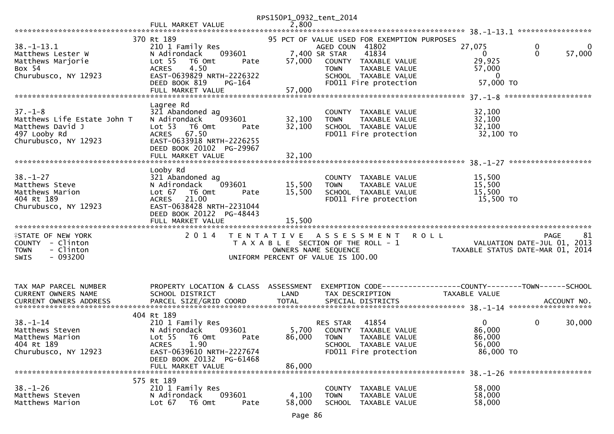|                             |                                      | RPS150P1_0932_tent_2014 |                                                                |                                                              |        |
|-----------------------------|--------------------------------------|-------------------------|----------------------------------------------------------------|--------------------------------------------------------------|--------|
|                             | FULL MARKET VALUE                    | 2,800                   |                                                                |                                                              |        |
|                             | 370 Rt 189                           |                         |                                                                |                                                              |        |
| $38. - 1 - 13.1$            | 210 1 Family Res                     |                         | 95 PCT OF VALUE USED FOR EXEMPTION PURPOSES<br>AGED COUN 41802 | 27,075<br>0                                                  | 0      |
| Matthews Lester W           | 093601<br>N Adirondack               |                         | 7,400 SR STAR<br>41834                                         | $\Omega$<br>$\Omega$                                         | 57,000 |
|                             | Lot <sub>55</sub><br>T6 Omt          | 57,000                  |                                                                | 29,925                                                       |        |
| Matthews Marjorie<br>Box 54 | Pate<br>4.50<br><b>ACRES</b>         |                         | COUNTY TAXABLE VALUE<br><b>TOWN</b>                            | 57,000                                                       |        |
| Churubusco, NY 12923        | EAST-0639829 NRTH-2226322            |                         | TAXABLE VALUE<br>SCHOOL TAXABLE VALUE                          | $\overline{0}$                                               |        |
|                             | DEED BOOK 819<br>$PG-164$            |                         | FD011 Fire protection                                          | 57,000 TO                                                    |        |
|                             | FULL MARKET VALUE                    | 57,000                  |                                                                |                                                              |        |
|                             |                                      |                         |                                                                |                                                              |        |
|                             | Lagree Rd                            |                         |                                                                |                                                              |        |
| $37. - 1 - 8$               | 321 Abandoned ag                     |                         | COUNTY TAXABLE VALUE                                           | 32,100                                                       |        |
| Matthews Life Estate John T | 093601<br>N Adirondack               | 32,100                  | TAXABLE VALUE<br><b>TOWN</b>                                   | 32,100                                                       |        |
| Matthews David J            | Lot 53<br>T6 Omt<br>Pate             | 32,100                  | SCHOOL TAXABLE VALUE                                           | 32,100                                                       |        |
| 497 Looby Rd                | ACRES 67.50                          |                         | FD011 Fire protection                                          | 32,100 TO                                                    |        |
| Churubusco, NY 12923        | EAST-0633918 NRTH-2226255            |                         |                                                                |                                                              |        |
|                             | DEED BOOK 20102 PG-29967             |                         |                                                                |                                                              |        |
|                             | FULL MARKET VALUE                    | 32,100                  |                                                                |                                                              |        |
|                             |                                      |                         |                                                                |                                                              |        |
|                             | Looby Rd                             |                         |                                                                |                                                              |        |
| $38. - 1 - 27$              | 321 Abandoned ag                     |                         | COUNTY TAXABLE VALUE                                           | 15,500                                                       |        |
| Matthews Steve              | N Adirondack<br>093601               | 15,500                  | <b>TOWN</b><br>TAXABLE VALUE                                   | 15,500                                                       |        |
| Matthews Marion             | Lot $67$<br>T6 Omt<br>Pate           | 15,500                  | SCHOOL TAXABLE VALUE                                           | 15,500                                                       |        |
| 404 Rt 189                  | 21.00<br><b>ACRES</b>                |                         | FD011 Fire protection                                          | 15,500 TO                                                    |        |
| Churubusco, NY 12923        | EAST-0638428 NRTH-2231044            |                         |                                                                |                                                              |        |
|                             | DEED BOOK 20122 PG-48443             |                         |                                                                |                                                              |        |
|                             | FULL MARKET VALUE                    | 15,500                  |                                                                |                                                              |        |
|                             |                                      |                         |                                                                |                                                              |        |
| <b>ISTATE OF NEW YORK</b>   | 2 0 1 4                              |                         | TENTATIVE ASSESSMENT                                           | <b>ROLL</b><br><b>PAGE</b>                                   | 81     |
| COUNTY - Clinton            |                                      |                         | T A X A B L E SECTION OF THE ROLL - 1                          | VALUATION DATE-JUL 01, 2013                                  |        |
| - Clinton<br><b>TOWN</b>    |                                      |                         | OWNERS NAME SEQUENCE                                           | TAXABLE STATUS DATE-MAR 01, 2014                             |        |
| $-093200$<br><b>SWIS</b>    |                                      |                         | UNIFORM PERCENT OF VALUE IS 100.00                             |                                                              |        |
|                             |                                      |                         |                                                                |                                                              |        |
|                             |                                      |                         |                                                                |                                                              |        |
| TAX MAP PARCEL NUMBER       | PROPERTY LOCATION & CLASS ASSESSMENT |                         |                                                                | EXEMPTION CODE-----------------COUNTY-------TOWN------SCHOOL |        |
| CURRENT OWNERS NAME         | SCHOOL DISTRICT                      | LAND                    | TAX DESCRIPTION                                                | TAXABLE VALUE                                                |        |
|                             |                                      |                         |                                                                |                                                              |        |
|                             |                                      |                         |                                                                |                                                              |        |
|                             | 404 Rt 189                           |                         |                                                                |                                                              |        |
| $38 - 1 - 14$               | 210 1 Family Res                     |                         | 41854<br>RES STAR                                              | $\overline{0}$<br>$\mathbf 0$                                | 30,000 |
| Matthews Steven             | N Adirondack<br>093601               |                         | 5,700 COUNTY TAXABLE VALUE                                     | 86,000                                                       |        |
| Matthews Marion             | Lot 55  T6 Omt<br>Pate               | 86,000 TOWN             | TAXABLE VALUE                                                  | 86,000                                                       |        |
| 404 Rt 189                  | 1.90<br><b>ACRES</b>                 |                         | SCHOOL TAXABLE VALUE                                           | 56,000                                                       |        |
| Churubusco, NY 12923        | EAST-0639610 NRTH-2227674            |                         | FD011 Fire protection                                          | 86,000 TO                                                    |        |
|                             | DEED BOOK 20132 PG-61468             |                         |                                                                |                                                              |        |
|                             | FULL MARKET VALUE                    | 86,000                  |                                                                |                                                              |        |
|                             |                                      |                         |                                                                |                                                              |        |
|                             | 575 Rt 189                           |                         |                                                                |                                                              |        |
| $38. - 1 - 26$              | 210 1 Family Res                     |                         | COUNTY TAXABLE VALUE                                           | 58,000                                                       |        |
| Matthews Steven             | 093601<br>N Adirondack               | 4,100                   | <b>TOWN</b><br>TAXABLE VALUE                                   | 58,000                                                       |        |
| Matthews Marion             | Lot $67$<br>T6 Omt<br>Pate           | 58,000                  | <b>SCHOOL</b><br>TAXABLE VALUE                                 | 58,000                                                       |        |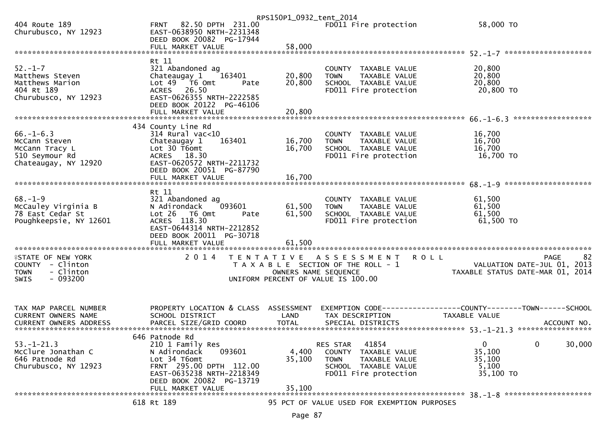|                                                                                                |                                                                                                                                                                                       | RPS150P1_0932_tent_2014    |                                                                                                                            |                                                                                      |
|------------------------------------------------------------------------------------------------|---------------------------------------------------------------------------------------------------------------------------------------------------------------------------------------|----------------------------|----------------------------------------------------------------------------------------------------------------------------|--------------------------------------------------------------------------------------|
| 404 Route 189<br>Churubusco, NY 12923                                                          | FRNT 82.50 DPTH 231.00<br>EAST-0638950 NRTH-2231348<br>DEED BOOK 20082 PG-17944                                                                                                       |                            | FD011 Fire protection                                                                                                      | 58,000 TO                                                                            |
|                                                                                                | FULL MARKET VALUE                                                                                                                                                                     | 58,000                     |                                                                                                                            |                                                                                      |
| $52 - 1 - 7$<br>Matthews Steven<br>Matthews Marion<br>404 Rt 189<br>Churubusco, NY 12923       | Rt 11<br>321 Abandoned ag<br>Chateaugay 1<br>163401<br>Lot 49 T6 Omt<br>Pate<br>ACRES 26.50<br>EAST-0626355 NRTH-2222585<br>DEED BOOK 20122 PG-46106                                  | 20,800<br>20,800           | COUNTY TAXABLE VALUE<br><b>TOWN</b><br>TAXABLE VALUE<br>SCHOOL TAXABLE VALUE<br>FD011 Fire protection                      | 20,800<br>20,800<br>20,800<br>20,800 TO                                              |
|                                                                                                | FULL MARKET VALUE                                                                                                                                                                     | 20,800                     |                                                                                                                            |                                                                                      |
| $66. - 1 - 6.3$<br>McCann Steven<br>McCann Tracy L<br>510 Seymour Rd<br>Chateaugay, NY 12920   | 434 County Line Rd<br>314 Rural vac<10<br>Chateaugay 1<br>163401<br>Lot 30 T6omt<br>ACRES 18.30<br>EAST-0620572 NRTH-2211732<br>DEED BOOK 20051 PG-87790<br>FULL MARKET VALUE         | 16,700<br>16,700<br>16,700 | COUNTY TAXABLE VALUE<br><b>TOWN</b><br>TAXABLE VALUE<br>SCHOOL TAXABLE VALUE<br>FD011 Fire protection                      | 16,700<br>16,700<br>16,700<br>16,700 TO                                              |
|                                                                                                |                                                                                                                                                                                       |                            |                                                                                                                            |                                                                                      |
| $68. - 1 - 9$<br>McCauley Virginia B<br>78 East Cedar St<br>Poughkeepsie, NY 12601             | Rt 11<br>321 Abandoned ag<br>N Adirondack<br>093601<br>Lot 26<br>T6 Omt<br>Pate<br>ACRES 118.30<br>EAST-0644314 NRTH-2212852<br>DEED BOOK 20011 PG-30718                              | 61,500<br>61,500           | COUNTY TAXABLE VALUE<br>TAXABLE VALUE<br>TOWN<br>SCHOOL TAXABLE VALUE<br>FD011 Fire protection                             | 61,500<br>61,500<br>61,500<br>$61,500$ TO                                            |
|                                                                                                | FULL MARKET VALUE                                                                                                                                                                     | 61,500                     |                                                                                                                            |                                                                                      |
| <b>ISTATE OF NEW YORK</b><br>COUNTY - Clinton<br><b>TOWN</b><br>- Clinton<br>$-093200$<br>SWIS | 2014                                                                                                                                                                                  | OWNERS NAME SEQUENCE       | <b>ROLL</b><br>TENTATIVE ASSESSMENT<br>T A X A B L E SECTION OF THE ROLL - 1<br>UNIFORM PERCENT OF VALUE IS 100.00         | 82<br><b>PAGE</b><br>VALUATION DATE-JUL 01, 2013<br>TAXABLE STATUS DATE-MAR 01, 2014 |
| TAX MAP PARCEL NUMBER<br><b>CURRENT OWNERS NAME</b>                                            | PROPERTY LOCATION & CLASS ASSESSMENT<br>SCHOOL DISTRICT                                                                                                                               | LAND                       | TAX DESCRIPTION                                                                                                            | EXEMPTION CODE------------------COUNTY--------TOWN------SCHOOL<br>TAXABLE VALUE      |
| $53. - 1 - 21.3$<br>McClure Jonathan C<br>646 Patnode Rd<br>Churubusco, NY 12923               | 646 Patnode Rd<br>210 1 Family Res<br>093601<br>N Adirondack<br>Lot 34 T6omt<br>FRNT 295.00 DPTH 112.00<br>EAST-0635238 NRTH-2218349<br>DEED BOOK 20082 PG-13719<br>FULL MARKET VALUE | 4,400<br>35,100<br>35,100  | 41854<br>RES STAR<br>COUNTY TAXABLE VALUE<br><b>TOWN</b><br>TAXABLE VALUE<br>SCHOOL TAXABLE VALUE<br>FD011 Fire protection | $\mathbf{0}$<br>0<br>30,000<br>35,100<br>35,100<br>5,100<br>35,100 TO                |
|                                                                                                | 618 Rt 189                                                                                                                                                                            |                            | 95 PCT OF VALUE USED FOR EXEMPTION PURPOSES                                                                                |                                                                                      |
|                                                                                                |                                                                                                                                                                                       |                            |                                                                                                                            |                                                                                      |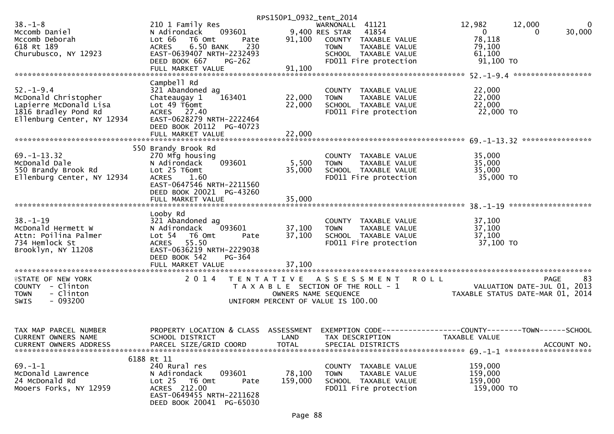|                               |                                     | RPS150P1_0932_tent_2014               |                  |                       |                                               |                                  |
|-------------------------------|-------------------------------------|---------------------------------------|------------------|-----------------------|-----------------------------------------------|----------------------------------|
| $38. - 1 - 8$                 | 210 1 Family Res                    |                                       | WARNONALL 41121  |                       | 12,982                                        | 12,000<br>0                      |
| Mccomb Daniel                 | 093601<br>N Adirondack              |                                       | 9,400 RES STAR   | 41854                 | $\mathbf{0}$                                  | 30,000<br>0                      |
| Mccomb Deborah                | Lot 66<br>T6 Omt<br>Pate            | 91,100                                |                  | COUNTY TAXABLE VALUE  | 78,118                                        |                                  |
| 618 Rt 189                    | 6.50 BANK<br>230<br><b>ACRES</b>    |                                       | <b>TOWN</b>      | TAXABLE VALUE         | 79,100                                        |                                  |
| Churubusco, NY 12923          | EAST-0639407 NRTH-2232493           |                                       |                  | SCHOOL TAXABLE VALUE  | 61,100                                        |                                  |
|                               | DEED BOOK 667                       |                                       |                  | FD011 Fire protection | 91,100 TO                                     |                                  |
|                               | $PG-262$                            |                                       |                  |                       |                                               |                                  |
|                               | FULL MARKET VALUE                   | 91,100                                |                  |                       |                                               |                                  |
|                               |                                     |                                       |                  |                       |                                               |                                  |
|                               | Campbell Rd                         |                                       |                  |                       |                                               |                                  |
| $52. - 1 - 9.4$               | 321 Abandoned ag                    |                                       |                  | COUNTY TAXABLE VALUE  | 22,000                                        |                                  |
| McDonald Christopher          | Chateaugay 1<br>163401              | 22,000                                | <b>TOWN</b>      | TAXABLE VALUE         | 22,000                                        |                                  |
| Lapierre McDonald Lisa        | Lot 49 T6omt                        | 22,000                                |                  | SCHOOL TAXABLE VALUE  | 22,000                                        |                                  |
| 1816 Bradley Pond Rd          | ACRES 27.40                         |                                       |                  | FD011 Fire protection | 22,000 TO                                     |                                  |
| Ellenburg Center, NY 12934    | EAST-0628279 NRTH-2222464           |                                       |                  |                       |                                               |                                  |
|                               | DEED BOOK 20112 PG-40723            |                                       |                  |                       |                                               |                                  |
|                               |                                     |                                       |                  |                       |                                               |                                  |
|                               |                                     |                                       |                  |                       |                                               |                                  |
|                               |                                     |                                       |                  |                       |                                               |                                  |
|                               | 550 Brandy Brook Rd                 |                                       |                  |                       |                                               |                                  |
| $69. - 1 - 13.32$             | 270 Mfg housing                     |                                       |                  | COUNTY TAXABLE VALUE  | 35,000                                        |                                  |
| McDonald Dale                 | 093601<br>N Adirondack              | 5,500                                 | <b>TOWN</b>      | TAXABLE VALUE         | 35,000                                        |                                  |
| 550 Brandy Brook Rd           | Lot 25 T6omt                        | 35,000                                |                  | SCHOOL TAXABLE VALUE  | 35,000                                        |                                  |
| Ellenburg Center, NY 12934    | <b>ACRES</b><br>1.60                |                                       |                  | FD011 Fire protection | 35,000 TO                                     |                                  |
|                               | EAST-0647546 NRTH-2211560           |                                       |                  |                       |                                               |                                  |
|                               | DEED BOOK 20021 PG-43260            |                                       |                  |                       |                                               |                                  |
|                               | FULL MARKET VALUE                   | 35,000                                |                  |                       |                                               |                                  |
|                               |                                     |                                       |                  |                       |                                               |                                  |
|                               |                                     |                                       |                  |                       |                                               |                                  |
|                               | Looby Rd                            |                                       |                  |                       |                                               |                                  |
| $38. - 1 - 19$                | 321 Abandoned ag                    |                                       |                  | COUNTY TAXABLE VALUE  | 37,100                                        |                                  |
| McDonald Hermett W            | 093601<br>N Adirondack              | 37,100                                | <b>TOWN</b>      | TAXABLE VALUE         | 37,100                                        |                                  |
| Attn: Poilina Palmer          | Lot <sub>54</sub><br>T6 Omt<br>Pate | 37,100                                |                  | SCHOOL TAXABLE VALUE  | 37,100                                        |                                  |
| 734 Hemlock St                | ACRES 55.50                         |                                       |                  | FD011 Fire protection | 37,100 TO                                     |                                  |
| Brooklyn, NY 11208            | EAST-0636219 NRTH-2229038           |                                       |                  |                       |                                               |                                  |
|                               | DEED BOOK 542<br>PG-364             |                                       |                  |                       |                                               |                                  |
|                               |                                     |                                       |                  |                       |                                               |                                  |
|                               |                                     |                                       |                  |                       |                                               |                                  |
| <b>ISTATE OF NEW YORK</b>     | 2 0 1 4                             | T E N T A T I V E                     |                  | ASSESSMENT            | <b>ROLL</b>                                   | 83<br>PAGE                       |
| COUNTY - Clinton              |                                     |                                       |                  |                       |                                               | VALUATION DATE-JUL 01,<br>2013   |
|                               |                                     | T A X A B L E SECTION OF THE ROLL - 1 |                  |                       |                                               |                                  |
| <b>TOWN</b><br>- Clinton      |                                     | OWNERS NAME SEQUENCE                  |                  |                       |                                               | TAXABLE STATUS DATE-MAR 01, 2014 |
| <b>SWIS</b><br>- 093200       |                                     | UNIFORM PERCENT OF VALUE IS 100.00    |                  |                       |                                               |                                  |
|                               |                                     |                                       |                  |                       |                                               |                                  |
|                               |                                     |                                       |                  |                       |                                               |                                  |
|                               |                                     |                                       |                  |                       |                                               |                                  |
| TAX MAP PARCEL NUMBER         | PROPERTY LOCATION & CLASS           | ASSESSMENT                            | EXEMPTION CODE-- |                       | ---------------COUNTY--------TOWN------SCHOOL |                                  |
| CURRENT OWNERS NAME           | SCHOOL DISTRICT                     | LAND                                  |                  | TAX DESCRIPTION       | TAXABLE VALUE                                 |                                  |
| <b>CURRENT OWNERS ADDRESS</b> | PARCEL SIZE/GRID COORD              | TOTAL                                 |                  | SPECIAL DISTRICTS     |                                               | ACCOUNT NO.                      |
|                               |                                     |                                       |                  |                       |                                               |                                  |
|                               | 6188 Rt 11                          |                                       |                  |                       |                                               |                                  |
| $69. - 1 - 1$                 | 240 Rural res                       |                                       |                  | COUNTY TAXABLE VALUE  | 159,000                                       |                                  |
| McDonald Lawrence             | 093601<br>N Adirondack              | 78,100                                | <b>TOWN</b>      | TAXABLE VALUE         | 159,000                                       |                                  |
|                               |                                     |                                       |                  |                       |                                               |                                  |
| 24 McDonald Rd                | $Lot 25$ T6 Omt<br>Pate             | 159,000                               |                  | SCHOOL TAXABLE VALUE  | 159,000                                       |                                  |
| Mooers Forks, NY 12959        | ACRES 212.00                        |                                       |                  | FD011 Fire protection | 159,000 TO                                    |                                  |
|                               | EAST-0649455 NRTH-2211628           |                                       |                  |                       |                                               |                                  |
|                               | DEED BOOK 20041 PG-65030            |                                       |                  |                       |                                               |                                  |
|                               |                                     |                                       |                  |                       |                                               |                                  |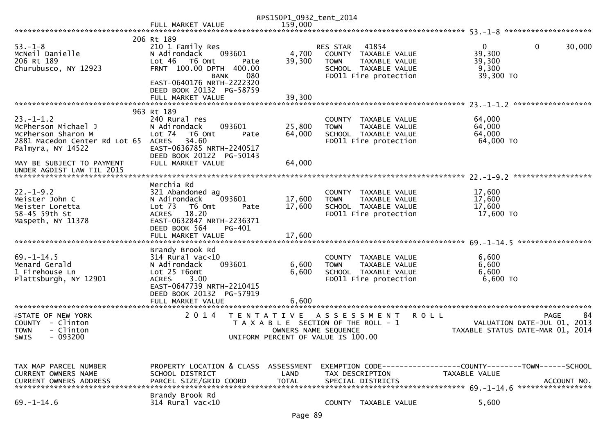|                                                                                                                    |                                                                                                                                                                                                | RPS150P1_0932_tent_2014    |                                                                                                                                   |                                                                                 |                   |
|--------------------------------------------------------------------------------------------------------------------|------------------------------------------------------------------------------------------------------------------------------------------------------------------------------------------------|----------------------------|-----------------------------------------------------------------------------------------------------------------------------------|---------------------------------------------------------------------------------|-------------------|
|                                                                                                                    | FULL MARKET VALUE                                                                                                                                                                              | 159,000                    |                                                                                                                                   |                                                                                 |                   |
|                                                                                                                    |                                                                                                                                                                                                |                            |                                                                                                                                   |                                                                                 |                   |
| $53 - 1 - 8$<br>MCNeil Danielle<br>206 Rt 189<br>Churubusco, NY 12923                                              | 206 Rt 189<br>210 1 Family Res<br>N Adirondack<br>093601<br>Lot 46<br>T6 Omt<br>Pate<br>FRNT 100.00 DPTH 400.00<br>080<br><b>BANK</b><br>EAST-0640176 NRTH-2222320<br>DEED BOOK 20132 PG-58759 | 4,700<br>39,300            | 41854<br><b>RES STAR</b><br>COUNTY TAXABLE VALUE<br><b>TOWN</b><br>TAXABLE VALUE<br>SCHOOL TAXABLE VALUE<br>FD011 Fire protection | $\mathbf 0$<br>$\Omega$<br>39,300<br>39,300<br>9,300<br>39,300 TO               | 30,000            |
|                                                                                                                    |                                                                                                                                                                                                |                            |                                                                                                                                   |                                                                                 |                   |
|                                                                                                                    |                                                                                                                                                                                                |                            |                                                                                                                                   |                                                                                 |                   |
| $23. - 1 - 1.2$<br>McPherson Michael J<br>McPherson Sharon M<br>2881 Macedon Center Rd Lot 65<br>Palmyra, NY 14522 | 963 Rt 189<br>240 Rural res<br>093601<br>N Adirondack<br>Lot $74$<br>T6 Omt<br>Pate<br>34.60<br><b>ACRES</b><br>EAST-0636785 NRTH-2240517<br>DEED BOOK 20122 PG-50143                          | 25,800<br>64,000           | COUNTY TAXABLE VALUE<br>TAXABLE VALUE<br><b>TOWN</b><br>SCHOOL TAXABLE VALUE<br>FD011 Fire protection                             | 64,000<br>64,000<br>64,000<br>64,000 TO                                         |                   |
| MAY BE SUBJECT TO PAYMENT                                                                                          | FULL MARKET VALUE                                                                                                                                                                              | 64,000                     |                                                                                                                                   |                                                                                 |                   |
| UNDER AGDIST LAW TIL 2015                                                                                          |                                                                                                                                                                                                |                            |                                                                                                                                   |                                                                                 |                   |
|                                                                                                                    |                                                                                                                                                                                                |                            |                                                                                                                                   |                                                                                 |                   |
| $22. - 1 - 9.2$<br>Meister John C<br>Meister Loretta<br>58-45 59th St<br>Maspeth, NY 11378                         | Merchia Rd<br>321 Abandoned ag<br>N Adirondack<br>093601<br>Lot <sub>73</sub><br>T6 Omt<br>Pate<br>ACRES 18.20<br>EAST-0632847 NRTH-2236371<br>DEED BOOK 564<br>PG-401<br>FULL MARKET VALUE    | 17,600<br>17,600<br>17,600 | COUNTY TAXABLE VALUE<br><b>TAXABLE VALUE</b><br><b>TOWN</b><br>SCHOOL TAXABLE VALUE<br>FD011 Fire protection                      | 17,600<br>17,600<br>17,600<br>17,600 TO                                         |                   |
|                                                                                                                    |                                                                                                                                                                                                |                            |                                                                                                                                   |                                                                                 | ***************** |
| $69. - 1 - 14.5$<br>Menard Gerald<br>1 Firehouse Ln<br>Plattsburgh, NY 12901                                       | Brandy Brook Rd<br>$314$ Rural vac<10<br>N Adirondack<br>093601<br>Lot 25 T6omt<br>3.00<br><b>ACRES</b><br>EAST-0647739 NRTH-2210415<br>DEED BOOK 20132 PG-57919<br>FULL MARKET VALUE          | 6,600<br>6,600<br>6.600    | COUNTY TAXABLE VALUE<br>TAXABLE VALUE<br><b>TOWN</b><br>SCHOOL TAXABLE VALUE<br>FD011 Fire protection                             | 6,600<br>6,600<br>6,600<br>6,600 TO                                             |                   |
| <b>ISTATE OF NEW YORK</b><br>COUNTY - Clinton<br><b>TOWN</b><br>- Clinton<br>$-093200$<br><b>SWIS</b>              | 2 0 1 4                                                                                                                                                                                        | T E N T A T I V E          | A S S E S S M E N T<br>T A X A B L E SECTION OF THE ROLL - 1<br>OWNERS NAME SEQUENCE<br>UNIFORM PERCENT OF VALUE IS 100.00        | <b>ROLL</b><br>VALUATION DATE-JUL 01, 2013<br>TAXABLE STATUS DATE-MAR 01, 2014  | 84<br><b>PAGE</b> |
| TAX MAP PARCEL NUMBER<br><b>CURRENT OWNERS NAME</b>                                                                | PROPERTY LOCATION & CLASS ASSESSMENT<br>SCHOOL DISTRICT<br>Brandy Brook Rd                                                                                                                     | LAND                       | TAX DESCRIPTION                                                                                                                   | EXEMPTION CODE------------------COUNTY--------TOWN------SCHOOL<br>TAXABLE VALUE |                   |
| $69. - 1 - 14.6$                                                                                                   | $314$ Rural vac<10                                                                                                                                                                             |                            | COUNTY TAXABLE VALUE                                                                                                              | 5,600                                                                           |                   |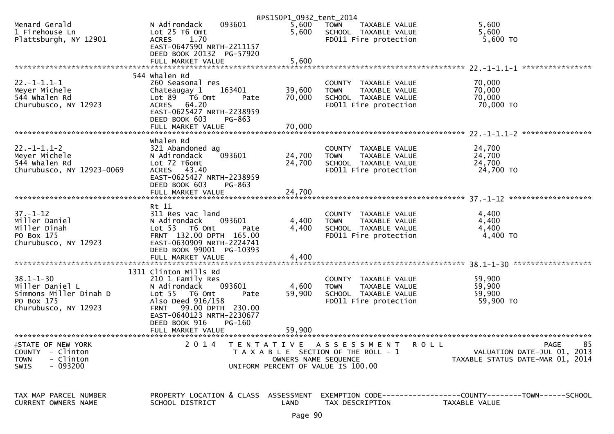|                                                     |                                      | RPS150P1_0932_tent_2014 |                                       |                                                                     |
|-----------------------------------------------------|--------------------------------------|-------------------------|---------------------------------------|---------------------------------------------------------------------|
| Menard Gerald                                       | 093601<br>N Adirondack               | 5,600                   | <b>TOWN</b><br>TAXABLE VALUE          | 5,600                                                               |
| 1 Firehouse Ln                                      | Lot 25 T6 Omt                        | 5,600                   | SCHOOL TAXABLE VALUE                  | 5,600                                                               |
| Plattsburgh, NY 12901                               | ACRES 1.70                           |                         | FD011 Fire protection                 | $5,600$ TO                                                          |
|                                                     | EAST-0647590 NRTH-2211157            |                         |                                       |                                                                     |
|                                                     | DEED BOOK 20132 PG-57920             |                         |                                       |                                                                     |
|                                                     |                                      |                         |                                       |                                                                     |
|                                                     | FULL MARKET VALUE                    | 5,600                   |                                       | ****************                                                    |
|                                                     |                                      |                         |                                       |                                                                     |
|                                                     | 544 Whalen Rd                        |                         |                                       |                                                                     |
| $22. -1 - 1.1 - 1$                                  | 260 Seasonal res                     |                         | COUNTY TAXABLE VALUE                  | 70,000                                                              |
| Meyer Michele                                       | Chateaugay 1<br>163401               | 39,600                  | <b>TOWN</b><br>TAXABLE VALUE          | 70,000                                                              |
| 544 whalen Rd                                       | Lot 89 T6 Omt<br>Pate                | 70,000                  | SCHOOL TAXABLE VALUE                  | 70,000                                                              |
| Churubusco, NY 12923                                | ACRES 64.20                          |                         | FD011 Fire protection                 | 70,000 TO                                                           |
|                                                     | EAST-0625427 NRTH-2238959            |                         |                                       |                                                                     |
|                                                     | DEED BOOK 603<br>PG-863              |                         |                                       |                                                                     |
|                                                     | FULL MARKET VALUE                    | 70,000                  |                                       |                                                                     |
|                                                     |                                      |                         |                                       |                                                                     |
|                                                     |                                      |                         |                                       |                                                                     |
|                                                     | whalen Rd                            |                         |                                       |                                                                     |
| $22. - 1 - 1.1 - 2$                                 | 321 Abandoned ag                     |                         | COUNTY TAXABLE VALUE                  | 24,700                                                              |
| Meyer Michele                                       | 093601<br>N Adirondack               | 24,700                  | <b>TOWN</b><br>TAXABLE VALUE          | 24,700                                                              |
| 544 whalen Rd                                       | Lot 72 T6omt                         | 24,700                  | SCHOOL TAXABLE VALUE                  | 24,700                                                              |
| Churubusco, NY 12923-0069                           | ACRES 43.40                          |                         | FD011 Fire protection                 | 24,700 TO                                                           |
|                                                     | EAST-0625427 NRTH-2238959            |                         |                                       |                                                                     |
|                                                     | DEED BOOK 603<br>PG-863              |                         |                                       |                                                                     |
|                                                     | FULL MARKET VALUE                    | 24,700                  |                                       |                                                                     |
|                                                     |                                      |                         |                                       |                                                                     |
|                                                     | Rt 11                                |                         |                                       |                                                                     |
|                                                     |                                      |                         |                                       |                                                                     |
| $37. - 1 - 12$                                      | 311 Res vac land                     |                         | COUNTY TAXABLE VALUE                  | 4,400                                                               |
| Miller Daniel                                       | N Adirondack<br>093601               | 4,400                   | <b>TOWN</b><br>TAXABLE VALUE          | 4,400                                                               |
| Miller Dinah                                        | Lot 53 T6 Omt<br>Pate                | 4,400                   | SCHOOL TAXABLE VALUE                  | 4,400                                                               |
| PO Box 175                                          | FRNT 132.00 DPTH 165.00              |                         | FD011 Fire protection                 | 4,400 TO                                                            |
| Churubusco, NY 12923                                | EAST-0630909 NRTH-2224741            |                         |                                       |                                                                     |
|                                                     | DEED BOOK 99001 PG-10393             |                         |                                       |                                                                     |
|                                                     | FULL MARKET VALUE                    | 4,400                   |                                       |                                                                     |
|                                                     |                                      |                         |                                       |                                                                     |
|                                                     | 1311 Clinton Mills Rd                |                         |                                       |                                                                     |
| $38.1 - 1 - 30$                                     | 210 1 Family Res                     |                         | COUNTY TAXABLE VALUE                  | 59,900                                                              |
| Miller Daniel L                                     | 093601                               | 4,600                   |                                       | 59,900                                                              |
|                                                     | N Adirondack                         |                         | TAXABLE VALUE<br><b>TOWN</b>          |                                                                     |
| Simmons Miller Dinah D                              | Lot 55  T6 Omt<br>Pate               | 59,900                  | SCHOOL TAXABLE VALUE                  | 59,900                                                              |
| PO Box 175                                          | Also Deed 916/158                    |                         | FD011 Fire protection                 | 59,900 TO                                                           |
| Churubusco, NY 12923                                | 99.00 DPTH 230.00<br><b>FRNT</b>     |                         |                                       |                                                                     |
|                                                     | EAST-0640123 NRTH-2230677            |                         |                                       |                                                                     |
|                                                     | DEED BOOK 916<br>PG-160              |                         |                                       |                                                                     |
|                                                     | FULL MARKET VALUE                    | 59.900                  |                                       |                                                                     |
|                                                     |                                      |                         |                                       |                                                                     |
| FSTATE OF NEW YORK                                  | 2 0 1 4                              |                         | TENTATIVE ASSESSMENT<br><b>ROLL</b>   | 85<br>PAGE                                                          |
| <b>COUNTY</b><br>- Clinton                          |                                      |                         | T A X A B L E SECTION OF THE ROLL - 1 | VALUATION DATE-JUL 01, 2013                                         |
| - Clinton<br><b>TOWN</b>                            |                                      | OWNERS NAME SEQUENCE    |                                       | TAXABLE STATUS DATE-MAR 01, 2014                                    |
| $-093200$<br>SWIS                                   |                                      |                         | UNIFORM PERCENT OF VALUE IS 100.00    |                                                                     |
|                                                     |                                      |                         |                                       |                                                                     |
|                                                     |                                      |                         |                                       |                                                                     |
|                                                     |                                      |                         |                                       |                                                                     |
|                                                     | PROPERTY LOCATION & CLASS ASSESSMENT |                         |                                       | EXEMPTION        CODE-----------------COUNTY-------TOWN------SCHOOL |
| TAX MAP PARCEL NUMBER<br><b>CURRENT OWNERS NAME</b> |                                      |                         |                                       |                                                                     |
|                                                     | SCHOOL DISTRICT                      | LAND                    | TAX DESCRIPTION                       | TAXABLE VALUE                                                       |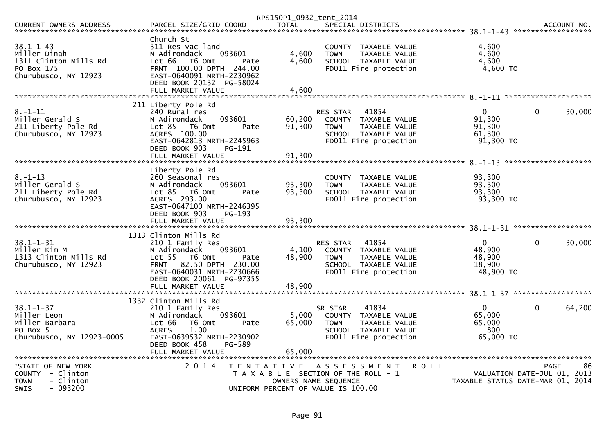|                                                                                                       |                                                                                                                                                                                            | RPS150P1_0932_tent_2014   |                                                                                                                                   |             |                                                                 |              |            |
|-------------------------------------------------------------------------------------------------------|--------------------------------------------------------------------------------------------------------------------------------------------------------------------------------------------|---------------------------|-----------------------------------------------------------------------------------------------------------------------------------|-------------|-----------------------------------------------------------------|--------------|------------|
| <b>CURRENT OWNERS ADDRESS</b><br>********************************                                     | PARCEL SIZE/GRID COORD                                                                                                                                                                     | <b>TOTAL</b>              | SPECIAL DISTRICTS                                                                                                                 |             |                                                                 |              | ACCOUNT NO |
| $38.1 - 1 - 43$<br>Miller Dinah<br>1311 Clinton Mills Rd<br>PO Box 175<br>Churubusco, NY 12923        | Church St<br>311 Res vac land<br>N Adirondack<br>093601<br>Lot 66  T6 0mt<br>Pate<br>FRNT 100.00 DPTH 244.00<br>EAST-0640091 NRTH-2230962<br>DEED BOOK 20132 PG-58024<br>FULL MARKET VALUE | 4,600<br>4.600<br>4,600   | COUNTY TAXABLE VALUE<br><b>TOWN</b><br>TAXABLE VALUE<br>SCHOOL TAXABLE VALUE<br>FD011 Fire protection                             |             | 4,600<br>4,600<br>4,600<br>4,600 TO                             |              |            |
|                                                                                                       | 211 Liberty Pole Rd                                                                                                                                                                        |                           |                                                                                                                                   |             |                                                                 |              |            |
| $8. - 1 - 11$<br>Miller Gerald S<br>211 Liberty Pole Rd<br>Churubusco, NY 12923                       | 240 Rural res<br>093601<br>N Adirondack<br>Lot $85$ T6 Omt<br>Pate<br>ACRES 100.00<br>EAST-0642813 NRTH-2245963<br>DEED BOOK 903<br>PG-191                                                 | 60,200<br>91,300          | 41854<br><b>RES STAR</b><br>COUNTY TAXABLE VALUE<br>TAXABLE VALUE<br><b>TOWN</b><br>SCHOOL TAXABLE VALUE<br>FD011 Fire protection |             | $\mathbf{0}$<br>91,300<br>91,300<br>61,300<br>$91,300$ TO       | $\mathbf{0}$ | 30,000     |
|                                                                                                       | FULL MARKET VALUE                                                                                                                                                                          | 91.300                    |                                                                                                                                   |             |                                                                 |              |            |
| $8. - 1 - 13$<br>Miller Gerald S<br>211 Liberty Pole Rd<br>Churubusco, NY 12923                       | Liberty Pole Rd<br>260 Seasonal res<br>N Adirondack<br>093601<br>Lot 85 T6 Omt<br>Pate<br>ACRES 293.00<br>EAST-0647100 NRTH-2246395<br>DEED BOOK 903<br>$PG-193$                           | 93,300<br>93,300          | COUNTY TAXABLE VALUE<br><b>TOWN</b><br>TAXABLE VALUE<br>SCHOOL TAXABLE VALUE<br>FD011 Fire protection                             |             | 93,300<br>93,300<br>93.300<br>93,300 TO                         |              |            |
|                                                                                                       | 1313 Clinton Mills Rd                                                                                                                                                                      |                           |                                                                                                                                   |             |                                                                 |              |            |
| $38.1 - 1 - 31$<br>Miller Kim M<br>1313 Clinton Mills Rd<br>Churubusco, NY 12923                      | 210 1 Family Res<br>N Adirondack<br>093601<br>Lot 55 T6 Omt<br>Pate<br>FRNT 82.50 DPTH 230.00<br>EAST-0640031 NRTH-2230666<br>DEED BOOK 20061 PG-97355<br>FULL MARKET VALUE                | 4,100<br>48,900<br>48.900 | 41854<br><b>RES STAR</b><br>COUNTY TAXABLE VALUE<br><b>TOWN</b><br>TAXABLE VALUE<br>SCHOOL TAXABLE VALUE<br>FD011 Fire protection |             | $\Omega$<br>48,900<br>48,900<br>18,900<br>48,900 TO             | $\Omega$     | 30,000     |
|                                                                                                       |                                                                                                                                                                                            |                           |                                                                                                                                   |             |                                                                 |              |            |
| $38.1 - 1 - 37$<br>Miller Leon<br>Miller Barbara<br>PO Box 5<br>Churubusco, NY 12923-0005             | 1332 Clinton Mills Rd<br>210 1 Family Res<br>N Adirondack<br>093601<br>Lot 66<br>T6 Omt<br>Pate<br>1.00<br><b>ACRES</b><br>EAST-0639532 NRTH-2230902<br>DEED BOOK 458<br>PG-589            | 5,000<br>65,000           | 41834<br>SR STAR<br>COUNTY TAXABLE VALUE<br><b>TOWN</b><br>TAXABLE VALUE<br>SCHOOL TAXABLE VALUE<br>FD011 Fire protection         |             | $\mathbf{0}$<br>65,000<br>65,000<br>800<br>65,000 TO            | $\mathbf{0}$ | 64,200     |
|                                                                                                       |                                                                                                                                                                                            |                           |                                                                                                                                   |             |                                                                 |              |            |
| <b>fSTATE OF NEW YORK</b><br>COUNTY - Clinton<br><b>TOWN</b><br>- Clinton<br>$-093200$<br><b>SWIS</b> | 2 0 1 4<br>T E N T A T I V E                                                                                                                                                               | OWNERS NAME SEQUENCE      | A S S E S S M E N T<br>T A X A B L E SECTION OF THE ROLL - 1<br>UNIFORM PERCENT OF VALUE IS 100.00                                | <b>ROLL</b> | VALUATION DATE-JUL 01, 2013<br>TAXABLE STATUS DATE-MAR 01, 2014 | <b>PAGE</b>  | 86         |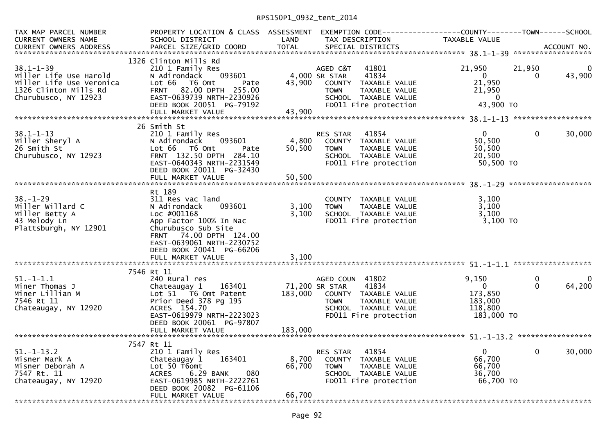## RPS150P1\_0932\_tent\_2014

| TAX MAP PARCEL NUMBER<br><b>CURRENT OWNERS NAME</b>                                                                    | PROPERTY LOCATION & CLASS ASSESSMENT<br>SCHOOL DISTRICT                                                                                                                                              | LAND                      | EXEMPTION CODE-----------------COUNTY-------TOWN------SCHOOL<br>TAX DESCRIPTION                                                                            | TAXABLE VALUE                                                          |                      |             |
|------------------------------------------------------------------------------------------------------------------------|------------------------------------------------------------------------------------------------------------------------------------------------------------------------------------------------------|---------------------------|------------------------------------------------------------------------------------------------------------------------------------------------------------|------------------------------------------------------------------------|----------------------|-------------|
| $38.1 - 1 - 39$<br>Miller Life Use Harold<br>Miller Life Use Veronica<br>1326 Clinton Mills Rd<br>Churubusco, NY 12923 | 1326 Clinton Mills Rd<br>210 1 Family Res<br>N Adirondack<br>093601<br>Lot 66 T6 Omt<br>Pate<br>FRNT 82.00 DPTH 255.00<br>EAST-0639739 NRTH-2230926<br>DEED BOOK 20051 PG-79192<br>FULL MARKET VALUE | 43,900<br>43,900          | AGED C&T<br>41801<br>4,000 SR STAR<br>41834<br>COUNTY TAXABLE VALUE<br><b>TOWN</b><br>TAXABLE VALUE<br>SCHOOL TAXABLE VALUE<br>FD011 Fire protection       | 21,950<br>$\Omega$<br>21,950<br>21,950<br>$\mathbf{0}$<br>43,900 TO    | 21,950<br>$\Omega$   | 43,900      |
|                                                                                                                        | 26 Smith St                                                                                                                                                                                          |                           |                                                                                                                                                            |                                                                        |                      |             |
| $38.1 - 1 - 13$<br>Miller Sheryl A<br>26 Smith St<br>Churubusco, NY 12923                                              | 210 1 Family Res<br>N Adirondack<br>093601<br>Lot 66 T6 Omt<br>Pate<br>FRNT 132.50 DPTH 284.10<br>EAST-0640343 NRTH-2231549<br>DEED BOOK 20011 PG-32430                                              | 4,800<br>50,500           | <b>RES STAR</b><br>41854<br>COUNTY TAXABLE VALUE<br>TAXABLE VALUE<br><b>TOWN</b><br>SCHOOL TAXABLE VALUE<br>FD011 Fire protection                          | $\mathbf{0}$<br>50,500<br>50,500<br>20,500<br>50,500 TO                | $\Omega$             | 30,000      |
|                                                                                                                        |                                                                                                                                                                                                      |                           |                                                                                                                                                            |                                                                        |                      |             |
|                                                                                                                        | Rt 189                                                                                                                                                                                               |                           |                                                                                                                                                            |                                                                        |                      |             |
| $38. - 1 - 29$<br>Miller Willard C<br>Miller Betty A<br>43 Melody Ln<br>Plattsburgh, NY 12901                          | 311 Res vac land<br>N Adirondack<br>093601<br>Loc #001168<br>App Factor 100% In Nac<br>Churubusco Sub Site<br>FRNT 74.00 DPTH 124.00<br>EAST-0639061 NRTH-2230752<br>DEED BOOK 20041 PG-66206        | 3,100<br>3,100            | COUNTY TAXABLE VALUE<br><b>TOWN</b><br>TAXABLE VALUE<br>SCHOOL TAXABLE VALUE<br>FD011 Fire protection                                                      | 3,100<br>3,100<br>3,100<br>$3,100$ TO                                  |                      |             |
|                                                                                                                        | FULL MARKET VALUE                                                                                                                                                                                    | 3,100                     |                                                                                                                                                            |                                                                        |                      |             |
| $51. - 1 - 1.1$<br>Miner Thomas J<br>Miner Lillian M<br>7546 Rt 11<br>Chateaugay, NY 12920                             | 7546 Rt 11<br>240 Rural res<br>163401<br>Chateaugay 1<br>Lot 51 T6 Omt Patent<br>Prior Deed 378 Pg 195<br>ACRES 154.70<br>EAST-0619979 NRTH-2223023<br>DEED BOOK 20061 PG-97807                      | 183,000                   | AGED COUN 41802<br>71,200 SR STAR<br>41834<br>COUNTY TAXABLE VALUE<br><b>TAXABLE VALUE</b><br><b>TOWN</b><br>SCHOOL TAXABLE VALUE<br>FD011 Fire protection | 9,150<br>$\overline{0}$<br>173,850<br>183,000<br>118,800<br>183,000 TO | $\Omega$<br>$\Omega$ | 0<br>64,200 |
|                                                                                                                        | FULL MARKET VALUE                                                                                                                                                                                    | 183,000                   |                                                                                                                                                            |                                                                        |                      |             |
|                                                                                                                        | 7547 Rt 11                                                                                                                                                                                           |                           |                                                                                                                                                            |                                                                        |                      |             |
| $51. - 1 - 13.2$<br>Misner Mark A<br>Misner Deborah A<br>7547 Rt. 11<br>Chateaugay, NY 12920                           | 210 1 Family Res<br>163401<br>Chateaugay 1<br>Lot 50 T6omt<br><b>ACRES</b><br>6.29 BANK<br>080<br>EAST-0619985 NRTH-2222761<br>DEED BOOK 20082 PG-61106                                              | 8,700<br>66,700<br>66,700 | 41854<br><b>RES STAR</b><br>COUNTY TAXABLE VALUE<br><b>TOWN</b><br>TAXABLE VALUE<br>SCHOOL TAXABLE VALUE<br>FD011 Fire protection                          | $\mathbf{0}$<br>66,700<br>66.700<br>36,700<br>66,700 TO                | $\Omega$             | 30,000      |
|                                                                                                                        | FULL MARKET VALUE                                                                                                                                                                                    |                           |                                                                                                                                                            |                                                                        |                      |             |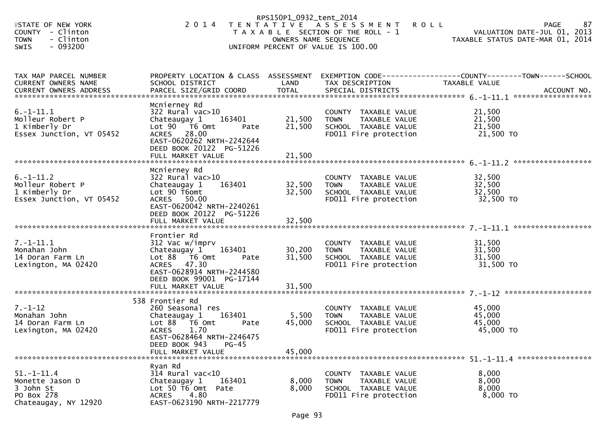|                                                                                                                 |                                                                                                                                                                                              | RPS150P1_0932_tent_2014    |                                                                                                                             |                                                 |                                                  |
|-----------------------------------------------------------------------------------------------------------------|----------------------------------------------------------------------------------------------------------------------------------------------------------------------------------------------|----------------------------|-----------------------------------------------------------------------------------------------------------------------------|-------------------------------------------------|--------------------------------------------------|
| <b>ISTATE OF NEW YORK</b><br><b>COUNTY</b><br>- Clinton<br>- Clinton<br><b>TOWN</b><br>$-093200$<br><b>SWIS</b> | 2 0 1 4                                                                                                                                                                                      |                            | TENTATIVE ASSESSMENT<br>T A X A B L E SECTION OF THE ROLL - 1<br>OWNERS NAME SEQUENCE<br>UNIFORM PERCENT OF VALUE IS 100.00 | <b>ROLL</b><br>TAXABLE STATUS DATE-MAR 01, 2014 | 87<br><b>PAGE</b><br>VALUATION DATE-JUL 01, 2013 |
| TAX MAP PARCEL NUMBER<br>CURRENT OWNERS NAME                                                                    | PROPERTY LOCATION & CLASS ASSESSMENT EXEMPTION CODE----------------COUNTY-------TOWN------SCHOOL<br>SCHOOL DISTRICT                                                                          | LAND                       | TAX DESCRIPTION                                                                                                             | TAXABLE VALUE                                   |                                                  |
| $6. -1 - 11.1$<br>Molleur Robert P<br>1 Kimberly Dr<br>Essex Junction, VT 05452                                 | Mcnierney Rd<br>322 Rural vac>10<br>Chateaugay 1<br>163401<br>Lot 90 T6 Omt<br>Pate<br>ACRES 28.00<br>EAST-0620262 NRTH-2242644<br>DEED BOOK 20122 PG-51226<br>FULL MARKET VALUE             | 21,500<br>21,500<br>21,500 | COUNTY TAXABLE VALUE<br>TAXABLE VALUE<br>TOWN<br>SCHOOL TAXABLE VALUE<br>FD011 Fire protection                              | 21,500<br>21,500<br>21,500<br>21,500 TO         |                                                  |
| $6. -1 - 11.2$<br>Molleur Robert P<br>1 Kimberly Dr<br>Essex Junction, VT 05452                                 | Mcnierney Rd<br>$322$ Rural vac $>10$<br>163401<br>Chateaugay 1<br>Lot 90 T6omt<br>ACRES 50.00<br>EAST-0620042 NRTH-2240261<br>DEED BOOK 20122 PG-51226<br>FULL MARKET VALUE                 | 32,500<br>32,500<br>32,500 | COUNTY TAXABLE VALUE<br><b>TOWN</b><br>TAXABLE VALUE<br>SCHOOL TAXABLE VALUE<br>FD011 Fire protection                       | 32,500<br>32,500<br>32,500<br>32,500 TO         |                                                  |
| $7. - 1 - 11.1$<br>Monahan John<br>14 Doran Farm Ln<br>Lexington, MA 02420                                      | Frontier Rd<br>312 Vac w/imprv<br>Chateaugay 1<br>163401<br>Lot $88$ $\overline{76}$ Omt<br>Pate<br>ACRES 47.30<br>EAST-0628914 NRTH-2244580<br>DEED BOOK 99001 PG-17144                     | 30,200<br>31,500           | COUNTY TAXABLE VALUE<br><b>TOWN</b><br>TAXABLE VALUE<br>SCHOOL TAXABLE VALUE<br>FD011 Fire protection                       | 31,500<br>31,500<br>31,500<br>31,500 TO         |                                                  |
| $7. - 1 - 12$<br>Monahan John<br>14 Doran Farm Ln<br>Lexington, MA 02420<br>*******************************     | 538 Frontier Rd<br>260 Seasonal res<br>163401<br>Chateaugay 1<br>Lot 88 T6 Omt<br>Pate<br><b>ACRES</b><br>1.70<br>EAST-0628464 NRTH-2246475<br>$PG-45$<br>DEED BOOK 943<br>FULL MARKET VALUE | 5,500<br>45,000<br>45,000  | COUNTY TAXABLE VALUE<br><b>TOWN</b><br>TAXABLE VALUE<br>SCHOOL TAXABLE VALUE<br>FD011 Fire protection                       | 45,000<br>45,000<br>45,000<br>45,000 TO         |                                                  |
| $51. - 1 - 11.4$<br>Monette Jason D<br>3 John St<br>PO Box 278<br>Chateaugay, NY 12920                          | Ryan Rd<br>$314$ Rural vac<10<br>Chateaugay 1<br>163401<br>Lot 50 T6 Omt Pate<br>4.80<br><b>ACRES</b><br>EAST-0623190 NRTH-2217779                                                           | 8,000<br>8,000             | COUNTY TAXABLE VALUE<br><b>TAXABLE VALUE</b><br>TOWN<br>SCHOOL TAXABLE VALUE<br>FD011 Fire protection                       | 8,000<br>8,000<br>8,000<br>8,000 TO             |                                                  |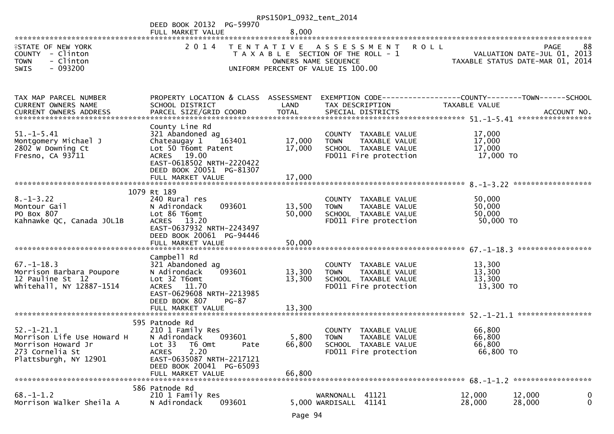|                                                                                                                  |                                                                                                                                                                                                | RPS150P1_0932_tent_2014   |                                                                                                          |                                                                                               |                  |
|------------------------------------------------------------------------------------------------------------------|------------------------------------------------------------------------------------------------------------------------------------------------------------------------------------------------|---------------------------|----------------------------------------------------------------------------------------------------------|-----------------------------------------------------------------------------------------------|------------------|
|                                                                                                                  | DEED BOOK 20132 PG-59970<br>FULL MARKET VALUE                                                                                                                                                  | 8,000                     |                                                                                                          |                                                                                               |                  |
|                                                                                                                  |                                                                                                                                                                                                |                           |                                                                                                          |                                                                                               |                  |
| <b>ISTATE OF NEW YORK</b><br>COUNTY - Clinton<br>- Clinton<br><b>TOWN</b><br>$-093200$<br><b>SWIS</b>            | 2 0 1 4                                                                                                                                                                                        | OWNERS NAME SEQUENCE      | TENTATIVE ASSESSMENT<br>T A X A B L E SECTION OF THE ROLL - 1<br>UNIFORM PERCENT OF VALUE IS 100.00      | <b>ROLL</b><br><b>PAGE</b><br>VALUATION DATE-JUL 01, 2013<br>TAXABLE STATUS DATE-MAR 01, 2014 | 88               |
|                                                                                                                  |                                                                                                                                                                                                |                           |                                                                                                          |                                                                                               |                  |
| TAX MAP PARCEL NUMBER<br>CURRENT OWNERS NAME                                                                     | PROPERTY LOCATION & CLASS ASSESSMENT<br>SCHOOL DISTRICT                                                                                                                                        | LAND                      | TAX DESCRIPTION                                                                                          | EXEMPTION CODE------------------COUNTY--------TOWN------SCHOOL<br>TAXABLE VALUE               |                  |
|                                                                                                                  | County Line Rd                                                                                                                                                                                 |                           |                                                                                                          |                                                                                               |                  |
| $51. - 1 - 5.41$<br>Montgomery Michael J<br>2802 W Downing Ct<br>Fresno, CA 93711                                | 321 Abandoned ag<br>Chateaugay 1<br>163401<br>Lot 50 T6omt Patent<br>ACRES 19.00<br>EAST-0618502 NRTH-2220422<br>DEED BOOK 20051 PG-81307                                                      | 17,000<br>17,000          | COUNTY TAXABLE VALUE<br>TAXABLE VALUE<br><b>TOWN</b><br>SCHOOL TAXABLE VALUE<br>FD011 Fire protection    | 17,000<br>17,000<br>17,000<br>17,000 TO                                                       |                  |
|                                                                                                                  | FULL MARKET VALUE                                                                                                                                                                              | 17,000                    |                                                                                                          |                                                                                               |                  |
|                                                                                                                  | 1079 Rt 189                                                                                                                                                                                    |                           |                                                                                                          |                                                                                               |                  |
| $8. - 1 - 3.22$<br>Montour Gail<br>PO Box 807<br>Kahnawke QC, Canada JOL1B                                       | 240 Rural res<br>093601<br>N Adirondack<br>Lot 86 T6omt<br>ACRES 13.20<br>EAST-0637932 NRTH-2243497<br>DEED BOOK 20061 PG-94446                                                                | 13,500<br>50,000          | COUNTY TAXABLE VALUE<br><b>TOWN</b><br>TAXABLE VALUE<br>SCHOOL TAXABLE VALUE<br>FD011 Fire protection    | 50,000<br>50,000<br>50,000<br>50,000 TO                                                       |                  |
|                                                                                                                  | FULL MARKET VALUE                                                                                                                                                                              | 50,000                    |                                                                                                          |                                                                                               |                  |
| $67. - 1 - 18.3$<br>Morrison Barbara Poupore<br>12 Pauline St 12<br>whitehall, NY 12887-1514                     | Campbell Rd<br>321 Abandoned ag<br>093601<br>N Adirondack<br>Lot 32 T6omt<br>ACRES 11.70<br>EAST-0629608 NRTH-2213985<br>DEED BOOK 807<br>$PG-87$                                              | 13,300<br>13,300          | COUNTY TAXABLE VALUE<br>TAXABLE VALUE<br><b>TOWN</b><br>SCHOOL TAXABLE VALUE<br>FD011 Fire protection    | 13,300<br>13,300<br>13,300<br>13,300 TO                                                       |                  |
|                                                                                                                  | FULL MARKET VALUE                                                                                                                                                                              | 13,300                    |                                                                                                          |                                                                                               |                  |
| $52. - 1 - 21.1$<br>Morrison Life Use Howard H<br>Morrison Howard Jr<br>273 Cornelia St<br>Plattsburgh, NY 12901 | 595 Patnode Rd<br>210 1 Family Res<br>N Adirondack<br>093601<br>Lot 33<br>T6 Omt<br>Pate<br>2.20<br><b>ACRES</b><br>EAST-0635087 NRTH-2217121<br>DEED BOOK 20041 PG-65093<br>FULL MARKET VALUE | 5,800<br>66,800<br>66,800 | TAXABLE VALUE<br>COUNTY<br><b>TOWN</b><br>TAXABLE VALUE<br>SCHOOL TAXABLE VALUE<br>FD011 Fire protection | 66,800<br>66,800<br>66,800<br>66,800 TO                                                       |                  |
| $68. - 1 - 1.2$<br>Morrison Walker Sheila A                                                                      | 586 Patnode Rd<br>210 1 Family Res<br>093601<br>N Adirondack                                                                                                                                   |                           | WARNONALL 41121<br>41141<br>5,000 WARDISALL                                                              | 12,000<br>12,000<br>28,000<br>28,000                                                          | 0<br>$\mathbf 0$ |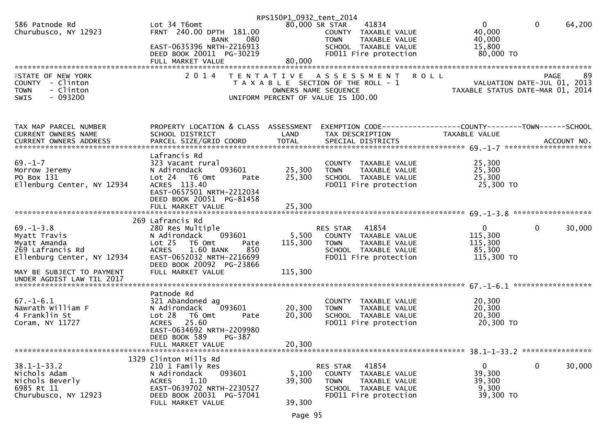|                            |                                               | RPS150P1_0932_tent_2014 |                                                      |                                                                        |                        |
|----------------------------|-----------------------------------------------|-------------------------|------------------------------------------------------|------------------------------------------------------------------------|------------------------|
| 586 Patnode Rd             | Lot 34 T6omt                                  | 80,000 SR STAR          | 41834                                                | $\mathbf{0}$                                                           | $\mathbf{0}$<br>64,200 |
| Churubusco, NY 12923       | FRNT 240.00 DPTH 181.00                       |                         | COUNTY TAXABLE VALUE                                 | 40,000                                                                 |                        |
|                            | BANK<br>080                                   |                         | TAXABLE VALUE<br><b>TOWN</b>                         | 40,000                                                                 |                        |
|                            | EAST-0635396 NRTH-2216913                     |                         | SCHOOL TAXABLE VALUE                                 | 15,800                                                                 |                        |
|                            | DEED BOOK 20011 PG-30219                      |                         | FD011 Fire protection                                | 80,000 TO                                                              |                        |
|                            | FULL MARKET VALUE                             | 80,000                  |                                                      |                                                                        |                        |
| <b>ISTATE OF NEW YORK</b>  | 2 0 1 4                                       |                         | TENTATIVE ASSESSMENT ROLL                            |                                                                        | 89<br><b>PAGE</b>      |
| COUNTY - Clinton           |                                               |                         | T A X A B L E SECTION OF THE ROLL - 1                |                                                                        |                        |
| - Clinton<br><b>TOWN</b>   |                                               | OWNERS NAME SEQUENCE    |                                                      | - 1<br>VALUATION DATE-JUL 01, 2013<br>TAXABLE STATUS DATE-MAR 01, 2014 |                        |
| $-093200$<br>SWIS          |                                               |                         | UNIFORM PERCENT OF VALUE IS 100.00                   |                                                                        |                        |
|                            |                                               |                         |                                                      |                                                                        |                        |
|                            |                                               |                         |                                                      |                                                                        |                        |
|                            |                                               |                         |                                                      |                                                                        |                        |
| TAX MAP PARCEL NUMBER      | PROPERTY LOCATION & CLASS ASSESSMENT          |                         |                                                      | EXEMPTION CODE-----------------COUNTY--------TOWN-----SCHOOL           |                        |
| CURRENT OWNERS NAME        | SCHOOL DISTRICT                               | LAND                    | TAX DESCRIPTION                                      | TAXABLE VALUE                                                          |                        |
|                            |                                               |                         |                                                      |                                                                        |                        |
|                            |                                               |                         |                                                      |                                                                        |                        |
| $69. - 1 - 7$              | Lafrancis Rd                                  |                         |                                                      | 25,300                                                                 |                        |
| Morrow Jeremy              | 323 Vacant rural<br>093601<br>N Adirondack    | 25,300                  | COUNTY TAXABLE VALUE<br><b>TOWN</b><br>TAXABLE VALUE | 25,300                                                                 |                        |
| PO Box 131                 | Lot 24 T6 Omt<br>Pate                         | 25,300                  | SCHOOL TAXABLE VALUE                                 | 25,300                                                                 |                        |
| Ellenburg Center, NY 12934 | ACRES 113.40                                  |                         | FD011 Fire protection                                | 25,300 TO                                                              |                        |
|                            | EAST-0657501 NRTH-2212034                     |                         |                                                      |                                                                        |                        |
|                            | DEED BOOK 20051 PG-81458                      |                         |                                                      |                                                                        |                        |
|                            |                                               |                         |                                                      |                                                                        |                        |
|                            |                                               |                         |                                                      |                                                                        |                        |
|                            |                                               |                         |                                                      |                                                                        |                        |
|                            | 269 Lafrancis Rd                              |                         |                                                      |                                                                        |                        |
| $69. - 1 - 3.8$            | 280 Res Multiple                              |                         | RES STAR 41854                                       | $\overline{0}$                                                         | $\mathbf 0$<br>30,000  |
| Myatt Travis               | 093601<br>N Adirondack                        | 5,500                   | COUNTY TAXABLE VALUE                                 | 115,300                                                                |                        |
| Myatt Amanda               | Lot <sub>25</sub><br>T6 Omt<br>Pate           | 115,300                 | <b>TOWN</b><br>TAXABLE VALUE                         | 115,300                                                                |                        |
| 269 Lafrancis Rd           | 1.60 BANK<br>850<br><b>ACRES</b>              |                         | SCHOOL TAXABLE VALUE                                 | 85,300                                                                 |                        |
| Ellenburg Center, NY 12934 | EAST-0652032 NRTH-2216699                     |                         | FD011 Fire protection                                | 115,300 TO                                                             |                        |
|                            | DEED BOOK 20092 PG-23866                      |                         |                                                      |                                                                        |                        |
| MAY BE SUBJECT TO PAYMENT  | FULL MARKET VALUE                             | 115,300                 |                                                      |                                                                        |                        |
| UNDER AGDIST LAW TIL 2017  |                                               |                         |                                                      |                                                                        |                        |
|                            |                                               |                         |                                                      |                                                                        |                        |
|                            | Patnode Rd                                    |                         |                                                      |                                                                        |                        |
| $67. - 1 - 6.1$            | 321 Abandoned ag                              |                         | COUNTY TAXABLE VALUE                                 | 20,300                                                                 |                        |
| Nawrath William F          | 093601<br>N Adirondack                        | 20,300                  | TAXABLE VALUE<br><b>TOWN</b>                         | 20,300                                                                 |                        |
| 4 Franklin St              | Lot 28 T6 Omt<br>Pate                         | 20,300                  | SCHOOL TAXABLE VALUE                                 | 20,300                                                                 |                        |
| Coram, NY 11727            | <b>ACRES</b><br>25.60                         |                         | FD011 Fire protection                                | 20,300 TO                                                              |                        |
|                            | EAST-0634692 NRTH-2209980                     |                         |                                                      |                                                                        |                        |
|                            | DEED BOOK 589<br>PG-387<br>FULL MARKET VALUE  |                         |                                                      |                                                                        |                        |
|                            |                                               | 20,300                  |                                                      |                                                                        |                        |
|                            | 1329 Clinton Mills Rd                         |                         |                                                      |                                                                        |                        |
| $38.1 - 1 - 33.2$          | 210 1 Family Res                              |                         | 41854<br>RES STAR                                    | $\mathbf{0}$                                                           | $\mathbf 0$<br>30,000  |
| Nichols Adam               | 093601<br>N Adirondack                        | 5,100                   | COUNTY TAXABLE VALUE                                 | 39,300                                                                 |                        |
| Nichols Beverly            | 1.10<br><b>ACRES</b>                          | 39,300                  | TAXABLE VALUE<br><b>TOWN</b>                         | 39,300                                                                 |                        |
| 6985 Rt 11                 | EAST-0639702 NRTH-2230527                     |                         | SCHOOL TAXABLE VALUE                                 | 9,300                                                                  |                        |
| Churubusco, NY 12923       | DEED BOOK 20031 PG-57041<br>FULL MARKET VALUE | 39,300                  | FD011 Fire protection                                | 39,300 TO                                                              |                        |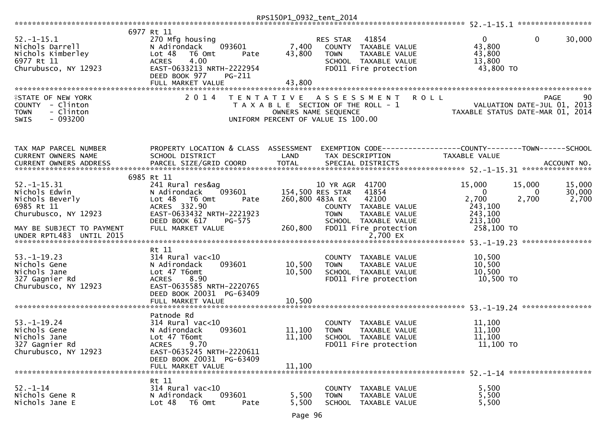|                                                                                                                                                      |                                                                                                                                                                                   | RPS150P1_0932_tent_2014    |                                                                                                                                                                                               |                                                                                                           |                           |
|------------------------------------------------------------------------------------------------------------------------------------------------------|-----------------------------------------------------------------------------------------------------------------------------------------------------------------------------------|----------------------------|-----------------------------------------------------------------------------------------------------------------------------------------------------------------------------------------------|-----------------------------------------------------------------------------------------------------------|---------------------------|
| $52. - 1 - 15.1$<br>Nichols Darrell<br>Nichols Kimberley<br>6977 Rt 11<br>Churubusco, NY 12923                                                       | 6977 Rt 11<br>270 Mfg housing<br>093601<br>N Adirondack<br>Lot 48<br>T6 Omt<br>Pate<br>4.00<br><b>ACRES</b><br>EAST-0633213 NRTH-2222954<br>DEED BOOK 977<br>PG-211               | 7,400<br>43,800            | RES STAR<br>41854<br>COUNTY<br>TAXABLE VALUE<br>TAXABLE VALUE<br><b>TOWN</b><br>SCHOOL TAXABLE VALUE<br>FD011 Fire protection                                                                 | $\overline{0}$<br>0<br>43,800<br>43,800<br>13,800<br>43,800 TO                                            | 30,000                    |
| <b>ISTATE OF NEW YORK</b><br>- Clinton<br>COUNTY<br>- Clinton<br><b>TOWN</b><br>$-093200$<br><b>SWIS</b>                                             | FULL MARKET VALUE<br>2 0 1 4                                                                                                                                                      | 43,800                     | TENTATIVE ASSESSMENT<br>T A X A B L E SECTION OF THE ROLL - 1<br>OWNERS NAME SEQUENCE<br>UNIFORM PERCENT OF VALUE IS 100.00                                                                   | <b>ROLL</b><br><b>PAGE</b><br>VALUATION DATE-JUL 01, 2013<br>TAXABLE STATUS DATE-MAR 01, 2014             | 90                        |
| TAX MAP PARCEL NUMBER<br>CURRENT OWNERS NAME                                                                                                         | PROPERTY LOCATION & CLASS ASSESSMENT<br>SCHOOL DISTRICT                                                                                                                           | LAND                       | TAX DESCRIPTION                                                                                                                                                                               | TAXABLE VALUE                                                                                             |                           |
| $52. - 1 - 15.31$<br>Nichols Edwin<br>Nichols Beverly<br>6985 Rt 11<br>Churubusco, NY 12923<br>MAY BE SUBJECT TO PAYMENT<br>UNDER RPTL483 UNTIL 2015 | 6985 Rt 11<br>241 Rural res&ag<br>N Adirondack<br>093601<br>Lot 48<br>T6 Omt<br>Pate<br>ACRES 332.90<br>EAST-0633432 NRTH-2221923<br>DEED BOOK 617<br>PG-575<br>FULL MARKET VALUE | 260,800                    | 10 YR AGR 41700<br>41854<br>154,500 RES STAR<br>260,800 483A EX<br>42100<br>COUNTY TAXABLE VALUE<br>TAXABLE VALUE<br><b>TOWN</b><br>SCHOOL TAXABLE VALUE<br>FD011 Fire protection<br>2,700 EX | 15,000<br>15,000<br>$\Omega$<br>$\Omega$<br>2,700<br>2,700<br>243,100<br>243,100<br>213,100<br>258,100 TO | 15,000<br>30,000<br>2,700 |
| $53. - 1 - 19.23$<br>Nichols Gene<br>Nichols Jane<br>327 Gagnier Rd<br>Churubusco, NY 12923                                                          | Rt 11<br>$314$ Rural vac<10<br>N Adirondack<br>093601<br>Lot 47 T6omt<br>8.90<br><b>ACRES</b><br>EAST-0635585 NRTH-2220765<br>DEED BOOK 20031 PG-63409<br>FULL MARKET VALUE       | 10,500<br>10,500<br>10,500 | COUNTY<br>TAXABLE VALUE<br>TAXABLE VALUE<br><b>TOWN</b><br>SCHOOL TAXABLE VALUE<br>FD011 Fire protection                                                                                      | 10,500<br>10,500<br>10,500<br>10,500 TO                                                                   |                           |
| $53. - 1 - 19.24$<br>Nichols Gene<br>Nichols Jane<br>327 Gagnier Rd<br>Churubusco, NY 12923                                                          | Patnode Rd<br>314 Rural vac<10<br>093601<br>N Adirondack<br>Lot 47 T6omt<br>ACRES 9.70<br>EAST-0635245 NRTH-2220611<br>DEED BOOK 20031 PG-63409<br>FULL MARKET VALUE              | 11,100<br>11,100<br>11,100 | COUNTY<br>TAXABLE VALUE<br><b>TOWN</b><br>TAXABLE VALUE<br>SCHOOL TAXABLE VALUE<br>FD011 Fire protection                                                                                      | 11,100<br>11,100<br>11,100<br>11,100 TO                                                                   |                           |
| $52 - 1 - 14$<br>Nichols Gene R<br>Nichols Jane E                                                                                                    | Rt 11<br>314 Rural vac<10<br>N Adirondack<br>093601<br>Lot <sub>48</sub><br>T6 Omt<br>Pate                                                                                        | 5,500<br>5,500             | COUNTY TAXABLE VALUE<br><b>TOWN</b><br>TAXABLE VALUE<br>SCHOOL TAXABLE VALUE                                                                                                                  | 5,500<br>5,500<br>5,500                                                                                   |                           |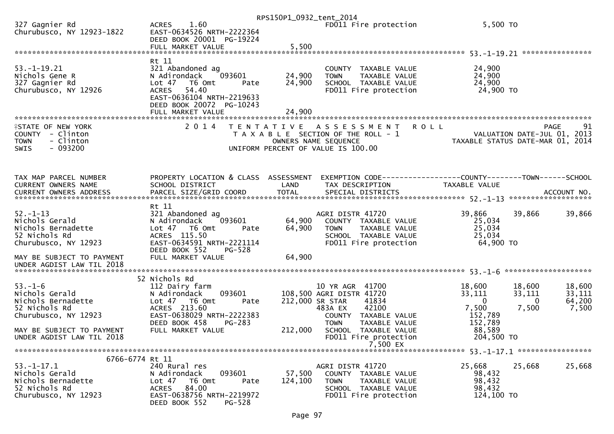|                                                                                        |                                                                                                     | RPS150P1_0932_tent_2014 |                                                                                                     |                     |                                                                                      |
|----------------------------------------------------------------------------------------|-----------------------------------------------------------------------------------------------------|-------------------------|-----------------------------------------------------------------------------------------------------|---------------------|--------------------------------------------------------------------------------------|
| 327 Gagnier Rd<br>Churubusco, NY 12923-1822                                            | 1.60<br><b>ACRES</b><br>EAST-0634526 NRTH-2222364<br>DEED BOOK 20001 PG-19224                       |                         | FD011 Fire protection                                                                               | 5,500 TO            |                                                                                      |
|                                                                                        | FULL MARKET VALUE                                                                                   | 5,500                   |                                                                                                     |                     |                                                                                      |
|                                                                                        |                                                                                                     |                         |                                                                                                     |                     |                                                                                      |
| $53. - 1 - 19.21$<br>Nichols Gene R                                                    | Rt 11<br>321 Abandoned ag<br>093601<br>N Adirondack                                                 | 24,900                  | COUNTY TAXABLE VALUE<br><b>TOWN</b><br>TAXABLE VALUE                                                | 24,900<br>24,900    |                                                                                      |
| 327 Gagnier Rd                                                                         | Lot <sub>47</sub><br>T6 Omt<br>Pate                                                                 | 24,900                  | SCHOOL TAXABLE VALUE                                                                                | 24,900              |                                                                                      |
| Churubusco, NY 12926                                                                   | 54.40<br><b>ACRES</b><br>EAST-0636104 NRTH-2219633<br>DEED BOOK 20072 PG-10243<br>FULL MARKET VALUE | 24,900                  | FD011 Fire protection                                                                               | 24,900 TO           |                                                                                      |
| ************************                                                               | *******************************<br>2 0 1 4                                                          |                         |                                                                                                     |                     |                                                                                      |
| <b>ISTATE OF NEW YORK</b><br>COUNTY - Clinton<br>- Clinton<br><b>TOWN</b><br>$-093200$ |                                                                                                     | T E N T A T I V E       | A S S E S S M E N T<br><b>ROLL</b><br>T A X A B L E SECTION OF THE ROLL - 1<br>OWNERS NAME SEQUENCE |                     | 91<br><b>PAGE</b><br>VALUATION DATE-JUL 01, 2013<br>TAXABLE STATUS DATE-MAR 01, 2014 |
| SWIS                                                                                   |                                                                                                     |                         | UNIFORM PERCENT OF VALUE IS 100.00                                                                  |                     |                                                                                      |
|                                                                                        |                                                                                                     |                         |                                                                                                     |                     |                                                                                      |
| TAX MAP PARCEL NUMBER                                                                  | PROPERTY LOCATION & CLASS ASSESSMENT                                                                |                         | EXEMPTION CODE-----------------COUNTY-------TOWN------SCHOOL                                        |                     |                                                                                      |
| CURRENT OWNERS NAME                                                                    | SCHOOL DISTRICT                                                                                     | LAND                    | TAX DESCRIPTION                                                                                     | TAXABLE VALUE       |                                                                                      |
|                                                                                        |                                                                                                     |                         |                                                                                                     |                     |                                                                                      |
|                                                                                        | Rt 11                                                                                               |                         |                                                                                                     |                     |                                                                                      |
| $52. - 1 - 13$                                                                         | 321 Abandoned ag                                                                                    |                         | AGRI DISTR 41720                                                                                    | 39,866              | 39,866<br>39,866                                                                     |
| Nichols Gerald                                                                         | 093601<br>N Adirondack                                                                              | 64,900                  | COUNTY TAXABLE VALUE                                                                                | 25,034              |                                                                                      |
| Nichols Bernadette                                                                     | Lot 47<br>T6 Omt<br>Pate                                                                            | 64,900                  | <b>TOWN</b><br>TAXABLE VALUE                                                                        | 25,034              |                                                                                      |
| 52 Nichols Rd<br>Churubusco, NY 12923                                                  | ACRES 115.50<br>EAST-0634591 NRTH-2221114                                                           |                         | SCHOOL TAXABLE VALUE<br>FD011 Fire protection                                                       | 25,034<br>64,900 TO |                                                                                      |
|                                                                                        | DEED BOOK 552<br>$PG-528$                                                                           |                         |                                                                                                     |                     |                                                                                      |
| MAY BE SUBJECT TO PAYMENT<br>UNDER AGDIST LAW TIL 2018                                 | FULL MARKET VALUE                                                                                   | 64,900                  |                                                                                                     |                     |                                                                                      |
|                                                                                        | 52 Nichols Rd                                                                                       |                         |                                                                                                     |                     |                                                                                      |
| $53. - 1 - 6$                                                                          | 112 Dairy farm                                                                                      |                         | 10 YR AGR 41700                                                                                     | 18,600              | 18,600<br>18,600                                                                     |
| Nichols Gerald                                                                         | 093601<br>N Adirondack                                                                              |                         | 108,500 AGRI DISTR 41720                                                                            | 33,111              | 33,111<br>33,111                                                                     |
| Nichols Bernadette<br>52 Nichols Rd                                                    | Lot 47 T6 Omt<br>Pate<br>ACRES 213.60                                                               |                         | 212,000 SR STAR<br>41834<br>42100<br>483A EX                                                        | $\Omega$<br>7,500   | 64,200<br>$\mathbf{0}$<br>7,500<br>7,500                                             |
| Churubusco, NY 12923                                                                   | EAST-0638029 NRTH-2222383                                                                           |                         | COUNTY TAXABLE VALUE                                                                                | 152,789             |                                                                                      |
|                                                                                        | DEED BOOK 458<br>PG-283                                                                             |                         | <b>TOWN</b><br>TAXABLE VALUE                                                                        | 152,789             |                                                                                      |
| MAY BE SUBJECT TO PAYMENT                                                              | FULL MARKET VALUE                                                                                   | 212,000                 | SCHOOL TAXABLE VALUE                                                                                | 88,589              |                                                                                      |
| UNDER AGDIST LAW TIL 2018                                                              |                                                                                                     |                         | FD011 Fire protection<br>7,500 EX                                                                   | 204,500 TO          |                                                                                      |
|                                                                                        |                                                                                                     |                         |                                                                                                     |                     |                                                                                      |
| 6766-6774 Rt 11                                                                        |                                                                                                     |                         |                                                                                                     |                     |                                                                                      |
| $53. - 1 - 17.1$<br>Nichols Gerald                                                     | 240 Rural res<br>093601<br>N Adirondack                                                             | 57,500                  | AGRI DISTR 41720<br>COUNTY TAXABLE VALUE                                                            | 25,668<br>98,432    | 25,668<br>25,668                                                                     |
| Nichols Bernadette                                                                     | T6 Omt<br>Lot $47$<br>Pate                                                                          | 124,100                 | <b>TOWN</b><br>TAXABLE VALUE                                                                        | 98,432              |                                                                                      |
| 52 Nichols Rd                                                                          | 84.00<br><b>ACRES</b>                                                                               |                         | SCHOOL TAXABLE VALUE                                                                                | 98,432              |                                                                                      |
| Churubusco, NY 12923                                                                   | EAST-0638756 NRTH-2219972<br>DEED BOOK 552<br>PG-528                                                |                         | FD011 Fire protection                                                                               | 124,100 TO          |                                                                                      |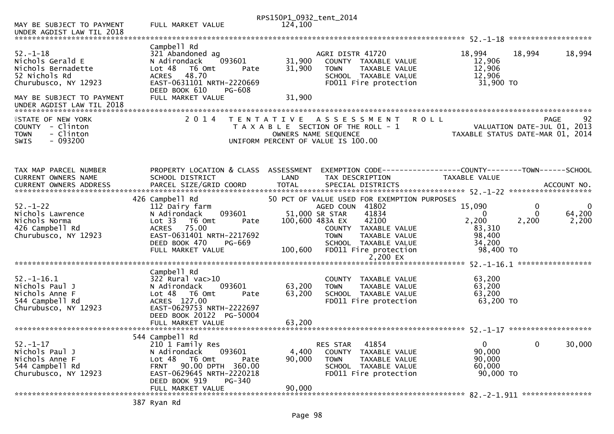|                                                                                                   |                                                                                                                                                                                             | RPS150P1_0932_tent_2014    |                                                                                                                           |                                                   |                                            |                   |
|---------------------------------------------------------------------------------------------------|---------------------------------------------------------------------------------------------------------------------------------------------------------------------------------------------|----------------------------|---------------------------------------------------------------------------------------------------------------------------|---------------------------------------------------|--------------------------------------------|-------------------|
| MAY BE SUBJECT TO PAYMENT<br>UNDER AGDIST LAW TIL 2018                                            | FULL MARKET VALUE                                                                                                                                                                           | 124,100                    |                                                                                                                           |                                                   |                                            |                   |
|                                                                                                   |                                                                                                                                                                                             |                            |                                                                                                                           |                                                   |                                            |                   |
| $52. - 1 - 18$<br>Nichols Gerald E<br>Nichols Bernadette<br>52 Nichols Rd<br>Churubusco, NY 12923 | Campbell Rd<br>321 Abandoned ag<br>093601<br>N Adirondack<br>Lot 48<br>T6 Omt<br>Pate<br>48.70<br><b>ACRES</b><br>EAST-0631101 NRTH-2220669<br>DEED BOOK 610<br>PG-608<br>FULL MARKET VALUE | 31,900<br>31,900<br>31,900 | AGRI DISTR 41720<br>COUNTY TAXABLE VALUE<br>TAXABLE VALUE<br><b>TOWN</b><br>SCHOOL TAXABLE VALUE<br>FD011 Fire protection | 18,994<br>12,906<br>12,906<br>12,906<br>31,900 TO | 18,994                                     | 18,994            |
| MAY BE SUBJECT TO PAYMENT<br>UNDER AGDIST LAW TIL 2018                                            |                                                                                                                                                                                             |                            |                                                                                                                           |                                                   |                                            |                   |
| <b>ISTATE OF NEW YORK</b><br>COUNTY - Clinton                                                     | 2 0 1 4                                                                                                                                                                                     | T E N T A T I V E          | A S S E S S M E N T<br>T A X A B L E SECTION OF THE ROLL - 1                                                              | R O L L                                           | <b>PAGE</b><br>VALUATION DATE-JUL 01, 2013 | 92                |
| - Clinton<br><b>TOWN</b><br>$-093200$<br><b>SWIS</b>                                              |                                                                                                                                                                                             |                            | OWNERS NAME SEQUENCE<br>UNIFORM PERCENT OF VALUE IS 100.00                                                                | TAXABLE STATUS DATE-MAR 01, 2014                  |                                            |                   |
|                                                                                                   |                                                                                                                                                                                             |                            |                                                                                                                           |                                                   |                                            |                   |
| TAX MAP PARCEL NUMBER                                                                             | PROPERTY LOCATION & CLASS ASSESSMENT                                                                                                                                                        |                            | EXEMPTION CODE-----------------COUNTY-------TOWN------SCHOOL                                                              |                                                   |                                            |                   |
| CURRENT OWNERS NAME                                                                               | SCHOOL DISTRICT                                                                                                                                                                             | LAND                       | TAX DESCRIPTION                                                                                                           | TAXABLE VALUE                                     |                                            |                   |
|                                                                                                   | 426 Campbell Rd                                                                                                                                                                             |                            | 50 PCT OF VALUE USED FOR EXEMPTION PURPOSES                                                                               |                                                   |                                            |                   |
| $52. - 1 - 22$                                                                                    | 112 Dairy farm                                                                                                                                                                              |                            | AGED COUN 41802<br>41834                                                                                                  | 15,090                                            | 0                                          | 0                 |
| Nichols Lawrence<br>Nichols Norma                                                                 | 093601<br>N Adirondack<br>T6 Omt<br>Lot 33<br>Pate                                                                                                                                          |                            | 51,000 SR STAR<br>100,600 483A EX<br>42100                                                                                | 0<br>2,200                                        | 0<br>2,200                                 | 64,200<br>2,200   |
| 426 Campbell Rd                                                                                   | 75.00<br><b>ACRES</b>                                                                                                                                                                       |                            | COUNTY TAXABLE VALUE                                                                                                      | 83,310                                            |                                            |                   |
| Churubusco, NY 12923                                                                              | EAST-0631401 NRTH-2217692                                                                                                                                                                   |                            | <b>TOWN</b><br>TAXABLE VALUE                                                                                              | 98,400                                            |                                            |                   |
|                                                                                                   | DEED BOOK 470<br><b>PG-669</b><br>FULL MARKET VALUE                                                                                                                                         | 100,600                    | SCHOOL TAXABLE VALUE<br>FD011 Fire protection                                                                             | 34,200<br>98,400 TO                               |                                            |                   |
|                                                                                                   |                                                                                                                                                                                             |                            | 2,200 EX                                                                                                                  |                                                   |                                            |                   |
|                                                                                                   |                                                                                                                                                                                             |                            |                                                                                                                           |                                                   |                                            | ***************** |
|                                                                                                   | Campbell Rd                                                                                                                                                                                 |                            |                                                                                                                           |                                                   |                                            |                   |
| $52. - 1 - 16.1$<br>Nichols Paul J                                                                | 322 Rural vac>10<br>093601<br>N Adirondack                                                                                                                                                  | 63,200                     | COUNTY TAXABLE VALUE<br>TAXABLE VALUE<br><b>TOWN</b>                                                                      | 63,200<br>63,200                                  |                                            |                   |
| Nichols Anne F                                                                                    | Lot 48<br>T6 Omt<br>Pate                                                                                                                                                                    | 63,200                     | SCHOOL TAXABLE VALUE                                                                                                      | 63,200                                            |                                            |                   |
| 544 Campbell Rd                                                                                   | ACRES 127.00                                                                                                                                                                                |                            | FD011 Fire protection                                                                                                     | 63,200 TO                                         |                                            |                   |
| Churubusco, NY 12923                                                                              | EAST-0629753 NRTH-2222697<br>DEED BOOK 20122 PG-50004                                                                                                                                       |                            |                                                                                                                           |                                                   |                                            |                   |
|                                                                                                   |                                                                                                                                                                                             |                            |                                                                                                                           |                                                   |                                            |                   |
|                                                                                                   | 544 Campbell Rd                                                                                                                                                                             |                            |                                                                                                                           |                                                   |                                            |                   |
| $52. - 1 - 17$                                                                                    | 210 1 Family Res                                                                                                                                                                            |                            | 41854<br>RES STAR                                                                                                         | $\mathbf 0$                                       | 0                                          | 30,000            |
| Nichols Paul J<br>Nichols Anne F                                                                  | N Adirondack<br>093601<br>Lot 48<br>T6 Omt<br>Pate                                                                                                                                          | 4,400<br>90,000            | <b>COUNTY</b><br>TAXABLE VALUE<br><b>TOWN</b><br>TAXABLE VALUE                                                            | 90,000<br>90,000                                  |                                            |                   |
| 544 Campbell Rd                                                                                   | FRNT 90.00 DPTH 360.00                                                                                                                                                                      |                            | SCHOOL TAXABLE VALUE                                                                                                      | 60,000                                            |                                            |                   |
| Churubusco, NY 12923                                                                              | EAST-0629645 NRTH-2220218<br>DEED BOOK 919<br>PG-340                                                                                                                                        |                            | FD011 Fire protection                                                                                                     | 90,000 TO                                         |                                            |                   |
|                                                                                                   | FULL MARKET VALUE                                                                                                                                                                           | 90,000                     |                                                                                                                           |                                                   |                                            |                   |
|                                                                                                   |                                                                                                                                                                                             |                            |                                                                                                                           |                                                   |                                            |                   |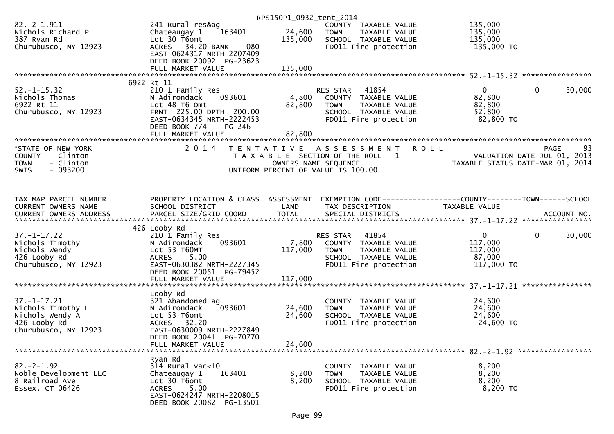|                                       |                                            | RPS150P1_0932_tent_2014 |                                                      |                                          |
|---------------------------------------|--------------------------------------------|-------------------------|------------------------------------------------------|------------------------------------------|
| $82. -2 - 1.911$<br>Nichols Richard P | 241 Rural res&ag<br>163401<br>Chateaugay 1 | 24,600                  | COUNTY TAXABLE VALUE<br><b>TOWN</b><br>TAXABLE VALUE | 135,000<br>135,000                       |
| 387 Ryan Rd                           | Lot 30 T6omt                               | 135,000                 | SCHOOL TAXABLE VALUE                                 | 135,000                                  |
| Churubusco, NY 12923                  | ACRES 34.20 BANK<br>080                    |                         | FD011 Fire protection                                | 135,000 TO                               |
|                                       | EAST-0624317 NRTH-2207409                  |                         |                                                      |                                          |
|                                       | DEED BOOK 20092 PG-23623                   |                         |                                                      |                                          |
|                                       |                                            |                         |                                                      |                                          |
|                                       | 6922 Rt 11                                 |                         |                                                      |                                          |
| $52. - 1 - 15.32$                     | 210 1 Family Res                           |                         | 41854<br>RES STAR                                    | $\overline{0}$<br>$\mathbf{0}$<br>30,000 |
| Nichols Thomas                        | 093601<br>N Adirondack                     | 4,800                   | COUNTY TAXABLE VALUE                                 | 82,800                                   |
| 6922 Rt 11                            | Lot 48 T6 Omt                              | 82,800                  | TAXABLE VALUE<br><b>TOWN</b>                         | 82,800                                   |
| Churubusco, NY 12923                  | FRNT 225.00 DPTH 200.00                    |                         | SCHOOL TAXABLE VALUE                                 | 52,800                                   |
|                                       | EAST-0634345 NRTH-2222453                  |                         | FD011 Fire protection                                | 82,800 TO                                |
|                                       | PG-246<br>DEED BOOK 774                    |                         |                                                      |                                          |
|                                       |                                            |                         |                                                      |                                          |
| <b>ISTATE OF NEW YORK</b>             | 2 0 1 4                                    |                         | TENTATIVE ASSESSMENT ROLL                            | 93<br>PAGE                               |
| COUNTY - Clinton                      |                                            |                         | T A X A B L E SECTION OF THE ROLL - 1                | VALUATION DATE-JUL 01, 2013              |
| - Clinton<br><b>TOWN</b>              |                                            | OWNERS NAME SEQUENCE    |                                                      | TAXABLE STATUS DATE-MAR 01, 2014         |
| $-093200$<br><b>SWIS</b>              |                                            |                         | UNIFORM PERCENT OF VALUE IS 100.00                   |                                          |
|                                       |                                            |                         |                                                      |                                          |
| TAX MAP PARCEL NUMBER                 | PROPERTY LOCATION & CLASS ASSESSMENT       |                         |                                                      |                                          |
| CURRENT OWNERS NAME                   | SCHOOL DISTRICT                            | LAND                    | TAX DESCRIPTION                                      | TAXABLE VALUE                            |
|                                       |                                            |                         |                                                      |                                          |
|                                       | 426 Looby Rd                               |                         |                                                      |                                          |
| $37. - 1 - 17.22$                     | 210 1 Family Res                           |                         | 41854<br>RES STAR                                    | $\mathbf{0}$<br>$\mathbf{0}$<br>30,000   |
| Nichols Timothy                       | 093601<br>N Adirondack                     | 7,800                   | COUNTY TAXABLE VALUE                                 | 117,000                                  |
| Nichols Wendy                         | Lot 53 T60MT                               | 117,000                 | <b>TOWN</b><br>TAXABLE VALUE                         | 117,000                                  |
| 426 Looby Rd                          | ACRES 5.00                                 |                         | SCHOOL TAXABLE VALUE                                 | 87,000                                   |
| Churubusco, NY 12923                  | EAST-0630382 NRTH-2227345                  |                         | FD011 Fire protection                                | 117,000 TO                               |
|                                       | DEED BOOK 20051 PG-79452                   |                         |                                                      |                                          |
|                                       | FULL MARKET VALUE                          | 117,000                 |                                                      |                                          |
|                                       | Looby Rd                                   |                         |                                                      |                                          |
| $37. - 1 - 17.21$                     | 321 Abandoned ag                           |                         | <b>COUNTY</b><br>TAXABLE VALUE                       | 24,600                                   |
| Nichols Timothy L                     | 093601<br>N Adirondack                     | 24,600                  | <b>TOWN</b><br>TAXABLE VALUE                         | 24,600                                   |
| Nichols Wendy A                       | Lot 53 T6omt                               | 24,600                  | SCHOOL TAXABLE VALUE                                 | 24,600                                   |
| 426 Looby Rd                          | ACRES 32.20                                |                         | FD011 Fire protection                                | 24,600 TO                                |
| Churubusco, NY 12923                  | EAST-0630009 NRTH-2227849                  |                         |                                                      |                                          |
|                                       | DEED BOOK 20041 PG-70770                   |                         |                                                      |                                          |
|                                       | FULL MARKET VALUE                          | 24,600                  |                                                      |                                          |
|                                       | Ryan Rd                                    |                         |                                                      |                                          |
| $82 - 2 - 1.92$                       | $314$ Rural vac<10                         |                         | <b>COUNTY</b><br>TAXABLE VALUE                       | 8,200                                    |
| Noble Development LLC                 | 163401<br>Chateaugay 1                     | 8,200                   | TAXABLE VALUE<br><b>TOWN</b>                         | 8,200                                    |
| 8 Railroad Ave                        | Lot 30 T6omt                               | 8,200                   | SCHOOL TAXABLE VALUE                                 | 8,200                                    |
| Essex, CT 06426                       | 5.00<br><b>ACRES</b>                       |                         | FD011 Fire protection                                | 8,200 TO                                 |
|                                       | EAST-0624247 NRTH-2208015                  |                         |                                                      |                                          |
|                                       | DEED BOOK 20082 PG-13501                   |                         |                                                      |                                          |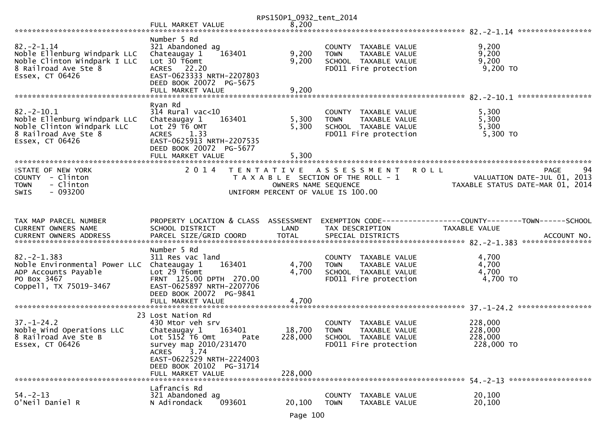|                                                                                                                                 |                                                                                                                                                                                                                       | RPS150P1_0932_tent_2014      |                                                                                                                    |                                                                               |
|---------------------------------------------------------------------------------------------------------------------------------|-----------------------------------------------------------------------------------------------------------------------------------------------------------------------------------------------------------------------|------------------------------|--------------------------------------------------------------------------------------------------------------------|-------------------------------------------------------------------------------|
|                                                                                                                                 | FULL MARKET VALUE                                                                                                                                                                                                     | 8,200                        |                                                                                                                    |                                                                               |
| $82 - 2 - 1.14$<br>Noble Ellenburg Windpark LLC<br>Noble Clinton Windpark I LLC<br>8 Railroad Ave Ste 8<br>Essex, CT 06426      | Number 5 Rd<br>321 Abandoned ag<br>163401<br>Chateaugay 1<br>Lot 30 T6omt<br>ACRES 22.20<br>EAST-0623333 NRTH-2207803<br>DEED BOOK 20072 PG-5675                                                                      | 9,200<br>9,200               | COUNTY TAXABLE VALUE<br><b>TOWN</b><br><b>TAXABLE VALUE</b><br>SCHOOL TAXABLE VALUE<br>FD011 Fire protection       | *****************<br>9,200<br>9,200<br>9,200<br>9,200 TO                      |
|                                                                                                                                 | FULL MARKET VALUE                                                                                                                                                                                                     | 9,200                        |                                                                                                                    |                                                                               |
| $82 - 2 - 10.1$<br>Noble Ellenburg Windpark LLC<br>Noble Clinton Windpark LLC<br>8 Railroad Ave Ste 8<br>Essex, CT 06426        | Ryan Rd<br>$314$ Rural vac<10<br>163401<br>Chateaugay 1<br>Lot 29 T6 OMT<br>ACRES 1.33<br>EAST-0625913 NRTH-2207535<br>DEED BOOK 20072 PG-5677<br>FULL MARKET VALUE                                                   | 5,300<br>5,300<br>5,300      | COUNTY TAXABLE VALUE<br>TAXABLE VALUE<br><b>TOWN</b><br>SCHOOL TAXABLE VALUE<br>FD011 Fire protection              | 5,300<br>5,300<br>5,300<br>5,300 TO                                           |
| <b>ISTATE OF NEW YORK</b><br>COUNTY - Clinton<br><b>TOWN</b><br>- Clinton<br>$-093200$<br><b>SWIS</b>                           | 2 0 1 4                                                                                                                                                                                                               | OWNERS NAME SEQUENCE         | TENTATIVE ASSESSMENT<br><b>ROLL</b><br>T A X A B L E SECTION OF THE ROLL - 1<br>UNIFORM PERCENT OF VALUE IS 100.00 | 94<br>PAGE<br>VALUATION DATE-JUL 01, 2013<br>TAXABLE STATUS DATE-MAR 01, 2014 |
| TAX MAP PARCEL NUMBER<br><b>CURRENT OWNERS NAME</b>                                                                             | PROPERTY LOCATION & CLASS ASSESSMENT<br>SCHOOL DISTRICT                                                                                                                                                               | LAND                         | TAX DESCRIPTION                                                                                                    | TAXABLE VALUE<br>ACCOUNT NO.<br>****************                              |
| $82 - 2 - 1.383$<br>Noble Environmental Power LLC Chateaugay 1<br>ADP Accounts Payable<br>PO Box 3467<br>Coppell, TX 75019-3467 | Number 5 Rd<br>311 Res vac land<br>163401<br>Lot 29 T6omt<br>FRNT 125.00 DPTH 270.00<br>EAST-0625897 NRTH-2207706<br>DEED BOOK 20072 PG-9841<br>FULL MARKET VALUE                                                     | 4,700<br>4,700<br>4,700      | COUNTY TAXABLE VALUE<br>TAXABLE VALUE<br><b>TOWN</b><br>SCHOOL TAXABLE VALUE<br>FD011 Fire protection              | 4,700<br>4,700<br>4,700<br>4,700 TO                                           |
|                                                                                                                                 |                                                                                                                                                                                                                       |                              |                                                                                                                    |                                                                               |
| $37. - 1 - 24.2$<br>Noble Wind Operations LLC<br>8 Railroad Ave Ste B<br>Essex, CT 06426                                        | 23 Lost Nation Rd<br>430 Mtor veh srv<br>163401<br>Chateaugay 1<br>Lot $5152$ T6 Omt<br>Pate<br>survey map 2010/231470<br>3.74<br>ACRES<br>EAST-0622529 NRTH-2224003<br>DEED BOOK 20102 PG-31714<br>FULL MARKET VALUE | 18,700<br>228,000<br>228,000 | COUNTY TAXABLE VALUE<br><b>TOWN</b><br>TAXABLE VALUE<br>SCHOOL TAXABLE VALUE<br>FD011 Fire protection              | 228,000<br>228,000<br>228,000<br>228,000 TO                                   |
| $54. - 2 - 13$<br>O'Neil Daniel R                                                                                               | Lafrancis Rd<br>321 Abandoned ag<br>093601<br>N Adirondack                                                                                                                                                            | 20,100                       | <b>COUNTY</b><br>TAXABLE VALUE<br>TAXABLE VALUE<br><b>TOWN</b>                                                     | 20,100<br>20,100                                                              |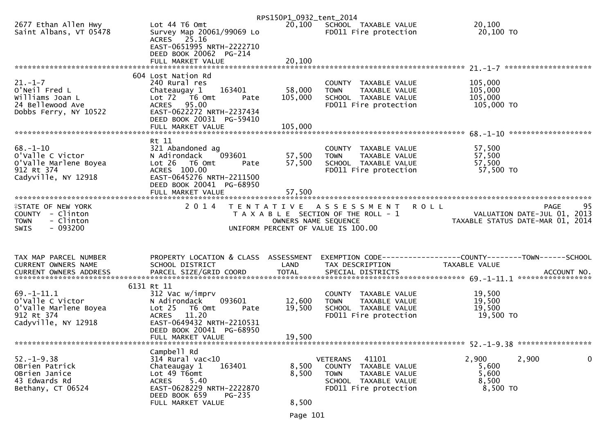|                                                |                                                                          | RPS150P1_0932_tent_2014 |                                                      |                                                                                                                                                                                    |
|------------------------------------------------|--------------------------------------------------------------------------|-------------------------|------------------------------------------------------|------------------------------------------------------------------------------------------------------------------------------------------------------------------------------------|
| 2677 Ethan Allen Hwy<br>Saint Albans, VT 05478 | Lot 44 T6 Omt<br>Survey Map 20061/99069 Lo<br>ACRES 25.16                |                         | 20,100 SCHOOL TAXABLE VALUE<br>FD011 Fire protection | 20,100<br>20,100 TO                                                                                                                                                                |
|                                                | EAST-0651995 NRTH-2222710<br>DEED BOOK 20062 PG-214<br>FULL MARKET VALUE | 20,100                  |                                                      |                                                                                                                                                                                    |
|                                                |                                                                          |                         |                                                      |                                                                                                                                                                                    |
|                                                | 604 Lost Nation Rd                                                       |                         |                                                      |                                                                                                                                                                                    |
| $21. - 1 - 7$<br>O'Neil Fred L                 | 240 Rural res<br>163401                                                  | 58,000                  | COUNTY TAXABLE VALUE<br>TAXABLE VALUE<br><b>TOWN</b> | 105,000<br>105,000                                                                                                                                                                 |
| Williams Joan L                                | Chateaugay 1<br>Lot 72  T6 Omt<br>Pate                                   | 105,000                 | SCHOOL TAXABLE VALUE                                 | 105,000                                                                                                                                                                            |
| 24 Bellewood Ave                               | ACRES 95.00                                                              |                         | FD011 Fire protection                                | 105,000 TO                                                                                                                                                                         |
| Dobbs Ferry, NY 10522                          | EAST-0622272 NRTH-2237434                                                |                         |                                                      |                                                                                                                                                                                    |
|                                                | DEED BOOK 20031 PG-59410                                                 |                         |                                                      |                                                                                                                                                                                    |
|                                                | FULL MARKET VALUE                                                        | 105,000                 |                                                      |                                                                                                                                                                                    |
|                                                | Rt 11                                                                    |                         |                                                      |                                                                                                                                                                                    |
| $68. - 1 - 10$                                 | 321 Abandoned ag                                                         |                         | COUNTY TAXABLE VALUE                                 | 57,500                                                                                                                                                                             |
| o'valle C victor                               | 093601<br>N Adirondack                                                   | 57,500                  | TAXABLE VALUE<br><b>TOWN</b>                         | 57,500                                                                                                                                                                             |
| O'Valle Marlene Boyea<br>912 Rt 374            | $Lot 26$ T6 Omt<br>Pate<br>ACRES 100.00                                  | 57,500                  | SCHOOL TAXABLE VALUE<br>FD011 Fire protection        | 57,500<br>57,500 TO                                                                                                                                                                |
| Cadyville, NY 12918                            | EAST-0645276 NRTH-2211500                                                |                         |                                                      |                                                                                                                                                                                    |
|                                                | DEED BOOK 20041 PG-68950                                                 |                         |                                                      |                                                                                                                                                                                    |
|                                                | FULL MARKET VALUE                                                        | 57,500                  |                                                      |                                                                                                                                                                                    |
| <b>ISTATE OF NEW YORK</b>                      | 2014                                                                     |                         | TENTATIVE ASSESSMENT ROLL                            | 95<br>PAGE                                                                                                                                                                         |
| COUNTY - Clinton                               |                                                                          |                         | T A X A B L E SECTION OF THE ROLL - 1                | VALUATION DATE-JUL 01, 2013                                                                                                                                                        |
| - Clinton<br><b>TOWN</b>                       |                                                                          | OWNERS NAME SEQUENCE    |                                                      | TAXABLE STATUS DATE-MAR 01, 2014                                                                                                                                                   |
| $-093200$<br>SWIS                              |                                                                          |                         | UNIFORM PERCENT OF VALUE IS 100.00                   |                                                                                                                                                                                    |
|                                                |                                                                          |                         |                                                      |                                                                                                                                                                                    |
|                                                |                                                                          |                         |                                                      |                                                                                                                                                                                    |
| TAX MAP PARCEL NUMBER                          | PROPERTY LOCATION & CLASS ASSESSMENT                                     |                         |                                                      | EXEMPTION CODE-----------------COUNTY-------TOWN------SCHOOL                                                                                                                       |
| CURRENT OWNERS NAME                            | SCHOOL DISTRICT                                                          | LAND                    | TAX DESCRIPTION                                      |                                                                                                                                                                                    |
|                                                |                                                                          |                         |                                                      | TAXABLE VALUE                                                                                                                                                                      |
|                                                |                                                                          |                         |                                                      |                                                                                                                                                                                    |
|                                                |                                                                          |                         |                                                      | -CURRENT OWNERS ADDRESS PARCEL SIZE/GRID COORD TOTAL SPECIAL DISTRICTS AND MONERS ADDRESS PARCEL SIZE/GRID COORD TOTAL SPECIAL DISTRICTS AND MONERS ADDRESS PARCEL SIZE/GRID COORD |
| $69. - 1 - 11.1$                               | 6131 Rt 11<br>312 Vac w/imprv                                            |                         | COUNTY TAXABLE VALUE                                 | 19,500                                                                                                                                                                             |
| o'valle C victor                               | N Adirondack<br>093601                                                   | 12,600                  | TAXABLE VALUE<br><b>TOWN</b>                         | 19,500                                                                                                                                                                             |
| O'Valle Marlene Boyea                          | T6 Omt<br>Lot 25<br>Pate                                                 | 19,500                  | SCHOOL TAXABLE VALUE                                 | 19,500                                                                                                                                                                             |
| 912 Rt 374                                     | 11.20<br><b>ACRES</b>                                                    |                         | FD011 Fire protection                                | 19,500 TO                                                                                                                                                                          |
| Cadyville, NY 12918                            | EAST-0649432 NRTH-2210531<br>DEED BOOK 20041 PG-68950                    |                         |                                                      |                                                                                                                                                                                    |
|                                                | FULL MARKET VALUE                                                        | 19,500                  |                                                      |                                                                                                                                                                                    |
|                                                |                                                                          |                         |                                                      |                                                                                                                                                                                    |
|                                                | Campbell Rd                                                              |                         |                                                      |                                                                                                                                                                                    |
| $52. - 1 - 9.38$<br>OBrien Patrick             | 314 Rural vac<10<br>163401<br>Chateaugay 1                               | 8,500                   | 41101<br>VETERANS<br>COUNTY TAXABLE VALUE            | 2,900<br>2,900<br>$\mathbf 0$<br>5,600                                                                                                                                             |
| OBrien Janice                                  | Lot 49 T6omt                                                             | 8,500                   | <b>TOWN</b><br>TAXABLE VALUE                         | 5,600                                                                                                                                                                              |
| 43 Edwards Rd                                  | 5.40<br><b>ACRES</b>                                                     |                         | SCHOOL TAXABLE VALUE                                 | 8,500                                                                                                                                                                              |
| Bethany, CT 06524                              | EAST-0628229 NRTH-2222870                                                |                         | FD011 Fire protection                                | 8,500 TO                                                                                                                                                                           |
|                                                | DEED BOOK 659<br>$PG-235$<br>FULL MARKET VALUE                           | 8,500                   |                                                      |                                                                                                                                                                                    |

Page 101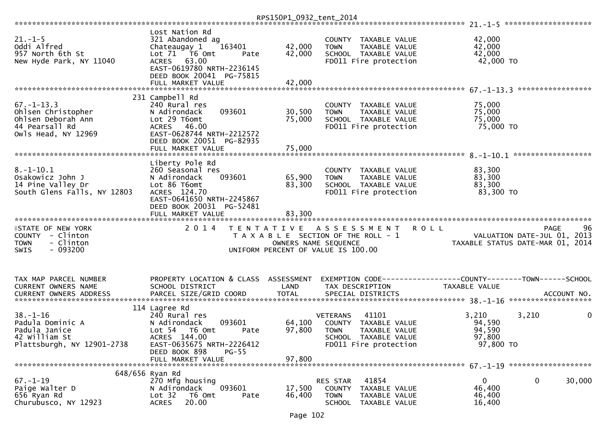|                                                                                                       |                                                                                                                                                        | RPS150P1_0932_tent_2014 |                                                                                                                                   |                                                                                                |    |
|-------------------------------------------------------------------------------------------------------|--------------------------------------------------------------------------------------------------------------------------------------------------------|-------------------------|-----------------------------------------------------------------------------------------------------------------------------------|------------------------------------------------------------------------------------------------|----|
|                                                                                                       |                                                                                                                                                        |                         |                                                                                                                                   |                                                                                                |    |
| $21. - 1 - 5$<br>Oddi Alfred<br>957 North 6th St<br>New Hyde Park, NY 11040                           | Lost Nation Rd<br>321 Abandoned ag<br>163401<br>Chateaugay 1<br>Lot 71  T6 0mt<br>Pate<br>ACRES 63.00<br>EAST-0619780 NRTH-2236145                     | 42,000<br>42,000        | COUNTY TAXABLE VALUE<br>TAXABLE VALUE<br><b>TOWN</b><br>SCHOOL TAXABLE VALUE<br>FD011 Fire protection                             | 42,000<br>42,000<br>42,000<br>42,000 TO                                                        |    |
|                                                                                                       | DEED BOOK 20041 PG-75815<br>FULL MARKET VALUE                                                                                                          | 42,000                  |                                                                                                                                   |                                                                                                |    |
| $67. - 1 - 13.3$<br>Ohlsen Christopher<br>Ohlsen Deborah Ann<br>44 Pearsall Rd<br>Owls Head, NY 12969 | 231 Campbell Rd<br>240 Rural res<br>093601<br>N Adirondack<br>Lot 29 T6omt<br>ACRES 46.00<br>EAST-0628744 NRTH-2212572<br>DEED BOOK 20051 PG-82935     | 30,500<br>75,000        | COUNTY TAXABLE VALUE<br><b>TOWN</b><br><b>TAXABLE VALUE</b><br>SCHOOL TAXABLE VALUE<br>FD011 Fire protection                      | 75,000<br>75,000<br>75,000<br>75,000 TO                                                        |    |
|                                                                                                       | FULL MARKET VALUE                                                                                                                                      | 75,000                  |                                                                                                                                   |                                                                                                |    |
| $8. - 1 - 10.1$<br>Osakowicz John J<br>14 Pine Valley Dr<br>South Glens Falls, NY 12803               | Liberty Pole Rd<br>260 Seasonal res<br>N Adirondack<br>093601<br>Lot 86 T6omt<br>ACRES 124.70<br>EAST-0641650 NRTH-2245867<br>DEED BOOK 20031 PG-52481 | 65,900<br>83,300        | COUNTY<br>TAXABLE VALUE<br><b>TOWN</b><br>TAXABLE VALUE<br>SCHOOL TAXABLE VALUE<br>FD011 Fire protection                          | 83,300<br>83,300<br>83,300<br>83,300 TO                                                        |    |
|                                                                                                       | FULL MARKET VALUE                                                                                                                                      | 83,300                  |                                                                                                                                   |                                                                                                |    |
| <b>ISTATE OF NEW YORK</b><br>COUNTY - Clinton<br>- Clinton<br><b>TOWN</b><br>$-093200$<br>SWIS        | 2 0 1 4                                                                                                                                                |                         | TENTATIVE ASSESSMENT<br>T A X A B L E SECTION OF THE ROLL - 1<br>OWNERS NAME SEQUENCE<br>UNIFORM PERCENT OF VALUE IS 100.00       | <b>ROLL</b><br><b>PAGE</b><br>VALUATION DATE-JUL 01, 2013<br>TAXABLE STATUS DATE-MAR 01, 2014  | 96 |
| TAX MAP PARCEL NUMBER<br>CURRENT OWNERS NAME<br><b>CURRENT OWNERS ADDRESS</b>                         | PROPERTY LOCATION & CLASS ASSESSMENT<br>SCHOOL DISTRICT<br>PARCEL SIZE/GRID COORD                                                                      | LAND<br><b>TOTAL</b>    | TAX DESCRIPTION<br>SPECIAL DISTRICTS                                                                                              | EXEMPTION CODE------------------COUNTY--------TOWN------SCHOOL<br>TAXABLE VALUE<br>ACCOUNT NO. |    |
|                                                                                                       | 114 Lagree Rd                                                                                                                                          |                         |                                                                                                                                   |                                                                                                |    |
| $38. - 1 - 16$<br>Padula Dominic A<br>Padula Janice<br>42 William St<br>Plattsburgh, NY 12901-2738    | 240 Rural res<br>N Adirondack<br>093601<br>T6 Omt<br>Lot $54$<br>Pate<br>ACRES 144.00<br>EAST-0635675 NRTH-2226412<br>DEED BOOK 898<br>$PG-55$         | 64,100<br>97,800        | 41101<br><b>VETERANS</b><br>COUNTY TAXABLE VALUE<br><b>TOWN</b><br>TAXABLE VALUE<br>SCHOOL TAXABLE VALUE<br>FD011 Fire protection | 3,210<br>3,210<br>94,590<br>94,590<br>97,800<br>97,800 TO                                      | 0  |
|                                                                                                       | FULL MARKET VALUE                                                                                                                                      | 97,800                  |                                                                                                                                   |                                                                                                |    |
|                                                                                                       |                                                                                                                                                        |                         |                                                                                                                                   |                                                                                                |    |
| 648/656 Ryan Rd<br>$67. - 1 - 19$<br>Paige Walter D<br>656 Ryan Rd<br>Churubusco, NY 12923            | 270 Mfg housing<br>093601<br>N Adirondack<br>Lot 32<br>T6 Omt<br>Pate<br>20.00<br><b>ACRES</b>                                                         | 17,500<br>46,400        | 41854<br>RES STAR<br>COUNTY<br>TAXABLE VALUE<br><b>TOWN</b><br>TAXABLE VALUE<br><b>SCHOOL</b><br>TAXABLE VALUE                    | $\mathbf{0}$<br>$\mathbf 0$<br>30,000<br>46,400<br>46,400<br>16,400                            |    |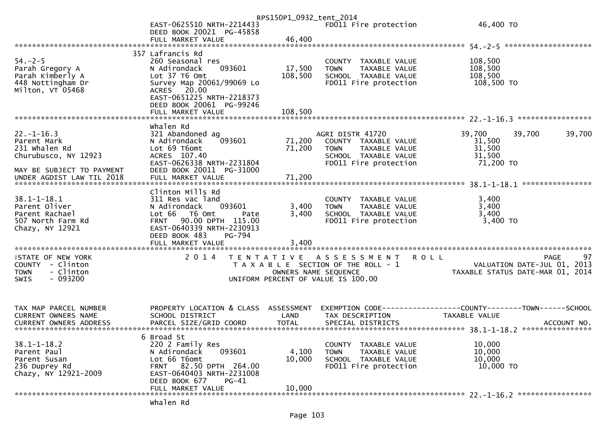|                                                        |                                                       | RPS150P1_0932_tent_2014 |                                                      |                                                                 |        |
|--------------------------------------------------------|-------------------------------------------------------|-------------------------|------------------------------------------------------|-----------------------------------------------------------------|--------|
|                                                        | EAST-0625510 NRTH-2214433<br>DEED BOOK 20021 PG-45858 |                         | FD011 Fire protection                                | 46,400 TO                                                       |        |
|                                                        | FULL MARKET VALUE                                     | 46,400                  |                                                      |                                                                 |        |
|                                                        | 357 Lafrancis Rd                                      |                         |                                                      |                                                                 |        |
| $54. - 2 - 5$                                          | 260 Seasonal res                                      |                         | COUNTY TAXABLE VALUE                                 | 108,500                                                         |        |
| Parah Gregory A                                        | N Adirondack<br>093601                                | 17,500                  | <b>TOWN</b><br><b>TAXABLE VALUE</b>                  | 108,500                                                         |        |
| Parah Kimberly A<br>448 Nottingham Dr                  | Lot 37 T6 Omt<br>Survey Map 20061/99069 Lo            | 108,500                 | SCHOOL TAXABLE VALUE<br>FD011 Fire protection        | 108,500<br>108,500 TO                                           |        |
| Milton, VT 05468                                       | ACRES 20.00                                           |                         |                                                      |                                                                 |        |
|                                                        | EAST-0651225 NRTH-2218373                             |                         |                                                      |                                                                 |        |
|                                                        | DEED BOOK 20061 PG-99246                              |                         |                                                      |                                                                 |        |
|                                                        | FULL MARKET VALUE                                     | 108,500                 |                                                      |                                                                 |        |
|                                                        | Whalen Rd                                             |                         |                                                      |                                                                 |        |
| $22. - 1 - 16.3$                                       | 321 Abandoned ag                                      |                         | AGRI DISTR 41720                                     | 39,700<br>39,700                                                | 39,700 |
| Parent Mark<br>231 whalen Rd                           | 093601<br>N Adirondack<br>Lot 69 T6omt                | 71,200<br>71,200        | COUNTY TAXABLE VALUE<br>TAXABLE VALUE<br><b>TOWN</b> | 31,500<br>31,500                                                |        |
| Churubusco, NY 12923                                   | ACRES 107.40                                          |                         | SCHOOL TAXABLE VALUE                                 | 31,500                                                          |        |
|                                                        | EAST-0626338 NRTH-2231804                             |                         | FD011 Fire protection                                | 71,200 TO                                                       |        |
| MAY BE SUBJECT TO PAYMENT<br>UNDER AGDIST LAW TIL 2018 | DEED BOOK 20011 PG-31000<br>FULL MARKET VALUE         | 71,200                  |                                                      |                                                                 |        |
|                                                        |                                                       |                         |                                                      |                                                                 |        |
|                                                        | Clinton Mills Rd                                      |                         |                                                      |                                                                 |        |
| $38.1 - 1 - 18.1$                                      | 311 Res vac land                                      |                         | COUNTY TAXABLE VALUE                                 | 3,400                                                           |        |
| Parent Oliver<br>Parent Rachael                        | N Adirondack<br>093601<br>Lot 66 T6 Omt<br>Pate       | 3,400<br>3,400          | TAXABLE VALUE<br><b>TOWN</b><br>SCHOOL TAXABLE VALUE | 3,400<br>3,400                                                  |        |
| 507 North Farm Rd                                      | 90.00 DPTH 115.00<br><b>FRNT</b>                      |                         | FD011 Fire protection                                | $3,400$ TO                                                      |        |
| Chazy, NY 12921                                        | EAST-0640339 NRTH-2230913                             |                         |                                                      |                                                                 |        |
|                                                        | DEED BOOK 483<br>PG-794<br>FULL MARKET VALUE          | 3,400                   |                                                      |                                                                 |        |
|                                                        |                                                       |                         |                                                      |                                                                 |        |
| <b>ISTATE OF NEW YORK</b>                              | 2 0 1 4                                               |                         | TENTATIVE ASSESSMENT                                 | <b>ROLL</b><br><b>PAGE</b>                                      | 97     |
| COUNTY - Clinton<br>- Clinton                          |                                                       | OWNERS NAME SEQUENCE    | T A X A B L E SECTION OF THE ROLL - 1                | VALUATION DATE-JUL 01, 2013<br>TAXABLE STATUS DATE-MAR 01, 2014 |        |
| <b>TOWN</b><br>$-093200$<br><b>SWIS</b>                |                                                       |                         | UNIFORM PERCENT OF VALUE IS 100.00                   |                                                                 |        |
|                                                        |                                                       |                         |                                                      |                                                                 |        |
|                                                        |                                                       |                         |                                                      |                                                                 |        |
| TAX MAP PARCEL NUMBER                                  | PROPERTY LOCATION & CLASS ASSESSMENT                  |                         |                                                      | EXEMPTION CODE------------------COUNTY--------TOWN------SCHOOL  |        |
| CURRENT OWNERS NAME                                    | SCHOOL DISTRICT                                       | LAND                    | TAX DESCRIPTION                                      | <b>TAXABLE VALUE</b>                                            |        |
| CURRENT OWNERS ADDRESS                                 | PARCEL SIZE/GRID COORD                                | <b>TOTAL</b>            | SPECIAL DISTRICTS                                    | ACCOUNT NO.                                                     |        |
|                                                        | 6 Broad St                                            |                         |                                                      |                                                                 |        |
| $38.1 - 1 - 18.2$                                      | 220 2 Family Res                                      |                         | TAXABLE VALUE<br>COUNTY                              | 10,000                                                          |        |
| Parent Paul                                            | 093601<br>N Adirondack                                | 4,100                   | <b>TOWN</b><br>TAXABLE VALUE                         | 10,000                                                          |        |
| Parent Susan<br>236 Duprey Rd                          | Lot 66 T6omt<br>FRNT 82.50 DPTH 264.00                | 10,000                  | SCHOOL TAXABLE VALUE<br>FD011 Fire protection        | 10,000<br>10,000 TO                                             |        |
| Chazy, NY 12921-2009                                   | EAST-0640403 NRTH-2231008                             |                         |                                                      |                                                                 |        |
|                                                        | DEED BOOK 677<br>PG-41                                |                         |                                                      |                                                                 |        |
|                                                        | FULL MARKET VALUE                                     | 10,000                  |                                                      |                                                                 |        |
|                                                        | whalen Rd                                             |                         |                                                      |                                                                 |        |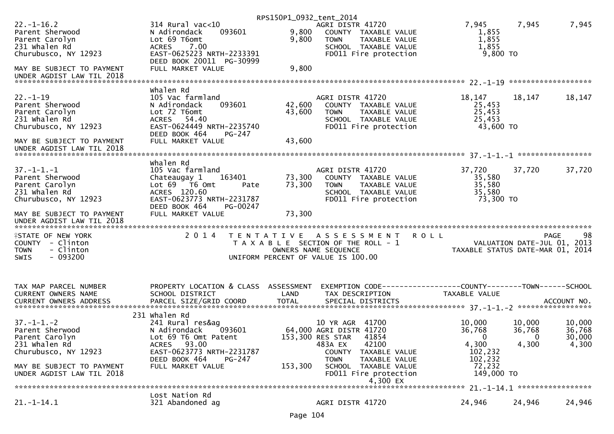|                                                                                                  |                                                                                                                                                  | RPS150P1_0932_tent_2014 |                                                                                                                                  |                                                   |                                       |                                                  |
|--------------------------------------------------------------------------------------------------|--------------------------------------------------------------------------------------------------------------------------------------------------|-------------------------|----------------------------------------------------------------------------------------------------------------------------------|---------------------------------------------------|---------------------------------------|--------------------------------------------------|
| $22. - 1 - 16.2$<br>Parent Sherwood<br>Parent Carolyn<br>231 Whalen Rd<br>Churubusco, NY 12923   | $314$ Rural vac<10<br>093601<br>N Adirondack<br>Lot 69 T6omt<br>7.00<br><b>ACRES</b><br>EAST-0625223 NRTH-2233391                                | 9,800<br>9,800          | AGRI DISTR 41720<br>COUNTY TAXABLE VALUE<br>TAXABLE VALUE<br><b>TOWN</b><br>SCHOOL TAXABLE VALUE<br>FD011 Fire protection        | 7,945<br>1,855<br>1,855<br>1,855<br>9,800 TO      | 7,945                                 | 7,945                                            |
| MAY BE SUBJECT TO PAYMENT                                                                        | DEED BOOK 20011 PG-30999<br>FULL MARKET VALUE                                                                                                    | 9,800                   |                                                                                                                                  |                                                   |                                       |                                                  |
|                                                                                                  |                                                                                                                                                  |                         |                                                                                                                                  |                                                   |                                       |                                                  |
| $22. - 1 - 19$<br>Parent Sherwood<br>Parent Carolyn<br>231 whalen Rd<br>Churubusco, NY 12923     | Whalen Rd<br>105 Vac farmland<br>N Adirondack<br>093601<br>Lot 72 T6omt<br>ACRES 54.40<br>EAST-0624449 NRTH-2235740<br>DEED BOOK 464<br>$PG-247$ | 42,600<br>43,600        | AGRI DISTR 41720<br>COUNTY TAXABLE VALUE<br>TAXABLE VALUE<br><b>TOWN</b><br>SCHOOL TAXABLE VALUE<br>FD011 Fire protection        | 18,147<br>25,453<br>25,453<br>25,453<br>43,600 TO | 18,147                                | 18,147                                           |
| MAY BE SUBJECT TO PAYMENT<br>UNDER AGDIST LAW TIL 2018                                           | FULL MARKET VALUE                                                                                                                                | 43,600                  |                                                                                                                                  |                                                   |                                       |                                                  |
|                                                                                                  | whalen Rd                                                                                                                                        |                         |                                                                                                                                  |                                                   |                                       |                                                  |
| $37. - 1 - 1. - 1$<br>Parent Sherwood<br>Parent Carolyn<br>231 Whalen Rd<br>Churubusco, NY 12923 | 105 Vac farmland<br>Chateaugay 1<br>163401<br>Lot $69$ $\overline{76}$ Omt<br>Pate<br>ACRES 120.60<br>EAST-0623773 NRTH-2231787                  | 73,300<br>73,300        | AGRI DISTR 41720<br>COUNTY TAXABLE VALUE<br><b>TOWN</b><br>TAXABLE VALUE<br>SCHOOL TAXABLE VALUE<br>FD011 Fire protection        | 37,720<br>35,580<br>35,580<br>35,580<br>73,300 TO | 37,720                                | 37,720                                           |
| MAY BE SUBJECT TO PAYMENT<br>UNDER AGDIST LAW TIL 2018                                           | DEED BOOK 464<br>PG-00247<br>FULL MARKET VALUE                                                                                                   | 73,300                  |                                                                                                                                  |                                                   |                                       |                                                  |
| <b>ISTATE OF NEW YORK</b><br>COUNTY - Clinton<br>- Clinton<br><b>TOWN</b><br>SWIS<br>$-093200$   | 2 0 1 4                                                                                                                                          |                         | TENTATIVE ASSESSMENT ROLL<br>T A X A B L E SECTION OF THE ROLL - 1<br>OWNERS NAME SEQUENCE<br>UNIFORM PERCENT OF VALUE IS 100.00 | TAXABLE STATUS DATE-MAR 01, 2014                  |                                       | 98<br><b>PAGE</b><br>VALUATION DATE-JUL 01, 2013 |
| TAX MAP PARCEL NUMBER                                                                            | PROPERTY LOCATION & CLASS ASSESSMENT                                                                                                             |                         |                                                                                                                                  |                                                   |                                       |                                                  |
| CURRENT OWNERS NAME                                                                              | SCHOOL DISTRICT                                                                                                                                  | LAND                    | TAX DESCRIPTION                                                                                                                  | TAXABLE VALUE                                     |                                       |                                                  |
|                                                                                                  |                                                                                                                                                  |                         |                                                                                                                                  |                                                   |                                       |                                                  |
|                                                                                                  |                                                                                                                                                  |                         |                                                                                                                                  |                                                   |                                       |                                                  |
| $37. - 1 - 1. - 2$<br>Parent Sherwood<br>Parent Carolyn<br>231 whalen Rd<br>Churubusco, NY 12923 | 231 Whalen Rd<br>241 Rural res&ag<br>093601<br>N Adirondack<br>Lot 69 T6 Omt Patent<br>ACRES 93.00<br>EAST-0623773 NRTH-2231787                  |                         | 10 YR AGR 41700<br>64,000 AGRI DISTR 41720<br>153,300 RES STAR<br>41854<br>483A EX<br>42100<br><b>COUNTY</b><br>TAXABLE VALUE    | 10,000<br>36,768<br>$\Omega$<br>4,300<br>102,232  | 10,000<br>36,768<br>$\Omega$<br>4,300 | 10,000<br>36,768<br>30,000<br>4,300              |
| MAY BE SUBJECT TO PAYMENT<br>UNDER AGDIST LAW TIL 2018                                           | DEED BOOK 464<br>PG-247<br>FULL MARKET VALUE                                                                                                     | 153,300                 | <b>TOWN</b><br>TAXABLE VALUE<br>SCHOOL TAXABLE VALUE<br>FD011 Fire protection                                                    | 102,232<br>72,232<br>149,000 TO                   |                                       |                                                  |
|                                                                                                  | Lost Nation Rd                                                                                                                                   |                         | 4,300 EX                                                                                                                         |                                                   |                                       | 21. -1-14.1 ******************                   |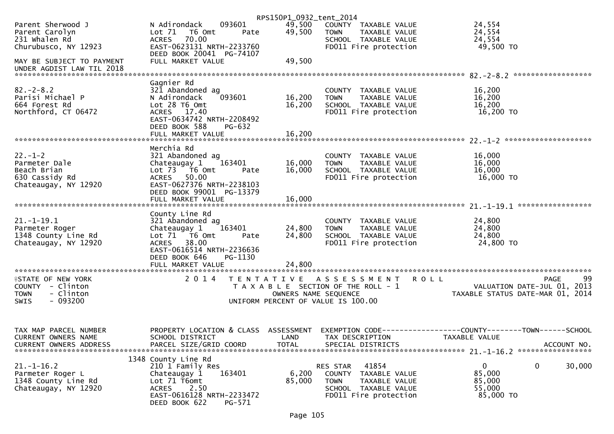|                                                                                                |                                                                                                                                                                      | RPS150P1_0932_tent_2014            |                                                                                                                            |                                                                                              |
|------------------------------------------------------------------------------------------------|----------------------------------------------------------------------------------------------------------------------------------------------------------------------|------------------------------------|----------------------------------------------------------------------------------------------------------------------------|----------------------------------------------------------------------------------------------|
| Parent Sherwood J<br>Parent Carolyn<br>231 whalen Rd<br>Churubusco, NY 12923                   | 093601<br>N Adirondack<br>Lot $71$<br>T6 Omt<br>Pate<br>70.00<br><b>ACRES</b><br>EAST-0623131 NRTH-2233760<br>DEED BOOK 20041 PG-74107                               | 49,500<br>49,500                   | COUNTY TAXABLE VALUE<br><b>TOWN</b><br>TAXABLE VALUE<br>SCHOOL TAXABLE VALUE<br>FD011 Fire protection                      | 24,554<br>24,554<br>24,554<br>49,500 TO                                                      |
| MAY BE SUBJECT TO PAYMENT<br>UNDER AGDIST LAW TIL 2018                                         | FULL MARKET VALUE                                                                                                                                                    | 49,500                             |                                                                                                                            |                                                                                              |
|                                                                                                | Gagnier Rd                                                                                                                                                           |                                    |                                                                                                                            |                                                                                              |
| $82 - 2 - 8.2$<br>Parisi Michael P<br>664 Forest Rd<br>Northford, CT 06472                     | 321 Abandoned ag<br>093601<br>N Adirondack<br>Lot 28 T6 Omt<br>ACRES 17.40<br>EAST-0634742 NRTH-2208492<br>DEED BOOK 588<br>PG-632                                   | 16,200<br>16,200                   | COUNTY TAXABLE VALUE<br>TAXABLE VALUE<br><b>TOWN</b><br>SCHOOL TAXABLE VALUE<br>FD011 Fire protection                      | 16,200<br>16,200<br>16,200<br>16,200 TO                                                      |
|                                                                                                |                                                                                                                                                                      |                                    |                                                                                                                            |                                                                                              |
|                                                                                                |                                                                                                                                                                      |                                    |                                                                                                                            |                                                                                              |
| $22 - 1 - 2$<br>Parmeter Dale<br>Beach Brian<br>630 Cassidy Rd<br>Chateaugay, NY 12920         | Merchia Rd<br>321 Abandoned ag<br>163401<br>Chateaugay 1<br>Lot 73  T6 Omt<br>Pate<br><b>ACRES</b><br>50.00<br>EAST-0627376 NRTH-2238103<br>DEED BOOK 99001 PG-13379 | 16,000<br>16,000                   | COUNTY TAXABLE VALUE<br>TAXABLE VALUE<br><b>TOWN</b><br>SCHOOL TAXABLE VALUE<br>FD011 Fire protection                      | 16,000<br>16,000<br>16,000<br>16,000 TO                                                      |
|                                                                                                | FULL MARKET VALUE                                                                                                                                                    | 16,000                             |                                                                                                                            |                                                                                              |
|                                                                                                | County Line Rd                                                                                                                                                       |                                    |                                                                                                                            |                                                                                              |
| $21. - 1 - 19.1$<br>Parmeter Roger<br>1348 County Line Rd<br>Chateaugay, NY 12920              | 321 Abandoned ag<br>163401<br>Chateaugay 1<br>Lot 71 T6 Omt<br>Pate<br>ACRES 38.00<br>EAST-0616514 NRTH-2236636<br>DEED BOOK 646<br>PG-1130                          | 24,800<br>24,800                   | COUNTY TAXABLE VALUE<br><b>TOWN</b><br>TAXABLE VALUE<br>SCHOOL TAXABLE VALUE<br>FD011 Fire protection                      | 24,800<br>24,800<br>24,800<br>24,800 TO                                                      |
|                                                                                                |                                                                                                                                                                      |                                    |                                                                                                                            |                                                                                              |
| <b>ISTATE OF NEW YORK</b><br>COUNTY - Clinton<br>- Clinton<br><b>TOWN</b><br>$-093200$<br>SWIS | 2014                                                                                                                                                                 | OWNERS NAME SEQUENCE               | TENTATIVE ASSESSMENT<br><b>ROLL</b><br>T A X A B L E SECTION OF THE ROLL - 1<br>UNIFORM PERCENT OF VALUE IS 100.00         | 99<br><b>PAGE</b><br>VALUATION DATE-JUL 01, 2013<br>TAXABLE STATUS DATE-MAR 01, 2014         |
| TAX MAP PARCEL NUMBER<br>CURRENT OWNERS NAME<br><b>CURRENT OWNERS ADDRESS</b>                  | PROPERTY LOCATION & CLASS<br>SCHOOL DISTRICT<br>PARCEL SIZE/GRID COORD                                                                                               | ASSESSMENT<br>LAND<br><b>TOTAL</b> | TAX DESCRIPTION<br>SPECIAL DISTRICTS                                                                                       | EXEMPTION CODE-----------------COUNTY-------TOWN------SCHOOL<br>TAXABLE VALUE<br>ACCOUNT NO. |
| $21. - 1 - 16.2$<br>Parmeter Roger L<br>1348 County Line Rd<br>Chateaugay, NY 12920            | 1348 County Line Rd<br>210 1 Family Res<br>163401<br>Chateaugay 1<br>Lot 71 T6omt<br>2.50<br><b>ACRES</b><br>EAST-0616128 NRTH-2233472<br>DEED BOOK 622<br>PG-571    | 6,200<br>85,000                    | RES STAR<br>41854<br>COUNTY TAXABLE VALUE<br><b>TOWN</b><br>TAXABLE VALUE<br>SCHOOL TAXABLE VALUE<br>FD011 Fire protection | 0<br>0<br>30,000<br>85,000<br>85,000<br>55,000<br>85,000 TO                                  |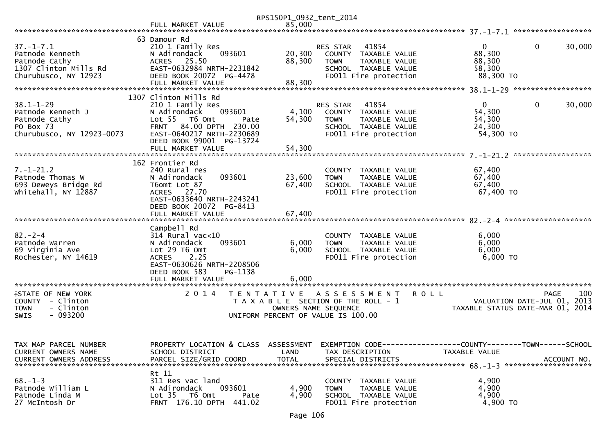|                                                                                                      |                                                                                                                                                                                                                    | RPS150P1_0932_tent_2014    |                                                                                                                                  |                                                                                          |
|------------------------------------------------------------------------------------------------------|--------------------------------------------------------------------------------------------------------------------------------------------------------------------------------------------------------------------|----------------------------|----------------------------------------------------------------------------------------------------------------------------------|------------------------------------------------------------------------------------------|
|                                                                                                      | FULL MARKET VALUE                                                                                                                                                                                                  | 85,000                     |                                                                                                                                  |                                                                                          |
| $37. - 1 - 7.1$<br>Patnode Kenneth<br>Patnode Cathy<br>1307 Clinton Mills Rd<br>Churubusco, NY 12923 | 63 Damour Rd<br>210 1 Family Res<br>093601<br>N Adirondack<br>ACRES 25.50<br>EAST-0632984 NRTH-2231842<br>DEED BOOK 20072 PG-4478<br>FULL MARKET VALUE                                                             | 20,300<br>88,300<br>88,300 | 41854<br>RES STAR<br>COUNTY TAXABLE VALUE<br>TAXABLE VALUE<br><b>TOWN</b><br>SCHOOL TAXABLE VALUE<br>FD011 Fire protection       | $\Omega$<br>$\mathbf{0}$<br>30,000<br>88,300<br>88,300<br>58,300<br>88,300 TO            |
|                                                                                                      |                                                                                                                                                                                                                    |                            |                                                                                                                                  |                                                                                          |
| $38.1 - 1 - 29$<br>Patnode Kenneth J<br>Patnode Cathy<br>PO Box 73<br>Churubusco, NY 12923-0073      | 1307 Clinton Mills Rd<br>210 1 Family Res<br>N Adirondack<br>093601<br>Lot <sub>55</sub><br>T6 Omt<br>Pate<br>FRNT 84.00 DPTH 230.00<br>EAST-0640217 NRTH-2230689<br>DEED BOOK 99001 PG-13724<br>FULL MARKET VALUE | 4,100<br>54,300<br>54,300  | 41854<br>RES STAR<br>COUNTY TAXABLE VALUE<br><b>TOWN</b><br>TAXABLE VALUE<br>SCHOOL TAXABLE VALUE<br>FD011 Fire protection       | $\Omega$<br>$\mathbf 0$<br>30,000<br>54,300<br>54,300<br>24,300<br>54,300 TO             |
|                                                                                                      |                                                                                                                                                                                                                    |                            |                                                                                                                                  | ******************                                                                       |
| $7. - 1 - 21.2$<br>Patnode Thomas W<br>693 Deweys Bridge Rd<br>whitehall, NY 12887                   | 162 Frontier Rd<br>240 Rural res<br>093601<br>N Adirondack<br>T6omt Lot 87<br>ACRES 27.70<br>EAST-0633640 NRTH-2243241<br>DEED BOOK 20072 PG-8413<br>FULL MARKET VALUE                                             | 23,600<br>67,400<br>67,400 | COUNTY TAXABLE VALUE<br>TAXABLE VALUE<br><b>TOWN</b><br>SCHOOL TAXABLE VALUE<br>FD011 Fire protection                            | 67,400<br>67,400<br>67,400<br>67,400 TO                                                  |
|                                                                                                      |                                                                                                                                                                                                                    |                            |                                                                                                                                  |                                                                                          |
| $82 - 2 - 4$<br>Patnode Warren<br>69 Virginia Ave<br>Rochester, NY 14619                             | Campbell Rd<br>$314$ Rural vac<10<br>093601<br>N Adirondack<br>Lot 29 T6 Omt<br>2.25<br><b>ACRES</b><br>EAST-0630626 NRTH-2208506<br>DEED BOOK 583<br>PG-1138                                                      | 6,000<br>6,000             | COUNTY TAXABLE VALUE<br><b>TOWN</b><br>TAXABLE VALUE<br>SCHOOL TAXABLE VALUE<br>FD011 Fire protection                            | 6,000<br>6,000<br>6,000<br>6,000 TO                                                      |
|                                                                                                      | FULL MARKET VALUE<br>***********************                                                                                                                                                                       | 6,000                      |                                                                                                                                  |                                                                                          |
| <b>ISTATE OF NEW YORK</b><br>COUNTY - Clinton<br>- Clinton<br><b>TOWN</b><br>$-093200$<br>SWIS       | 2 0 1 4<br>T E N T A T I V E                                                                                                                                                                                       |                            | ASSESSMENT<br><b>ROLL</b><br>T A X A B L E SECTION OF THE ROLL - 1<br>OWNERS NAME SEQUENCE<br>UNIFORM PERCENT OF VALUE IS 100.00 | <b>PAGE</b><br>100<br>2013<br>VALUATION DATE-JUL 01,<br>TAXABLE STATUS DATE-MAR 01, 2014 |
| TAX MAP PARCEL NUMBER<br>CURRENT OWNERS NAME<br><b>CURRENT OWNERS ADDRESS</b>                        | PROPERTY LOCATION & CLASS ASSESSMENT<br>SCHOOL DISTRICT<br>PARCEL SIZE/GRID COORD                                                                                                                                  | LAND<br><b>TOTAL</b>       | EXEMPTION CODE------------------COUNTY--------TOWN------SCHOOL<br>TAX DESCRIPTION<br>SPECIAL DISTRICTS                           | TAXABLE VALUE<br>ACCOUNT NO.                                                             |
| $68. - 1 - 3$<br>Patnode William L<br>Patnode Linda M<br>27 McIntosh Dr                              | Rt 11<br>311 Res vac land<br>093601<br>N Adirondack<br>Lot 35 T6 Omt<br>Pate<br>FRNT 176.10 DPTH 441.02                                                                                                            | 4,900<br>4,900             | COUNTY TAXABLE VALUE<br>TAXABLE VALUE<br><b>TOWN</b><br>SCHOOL TAXABLE VALUE<br>FD011 Fire protection                            | 4,900<br>4,900<br>4,900<br>4,900 TO                                                      |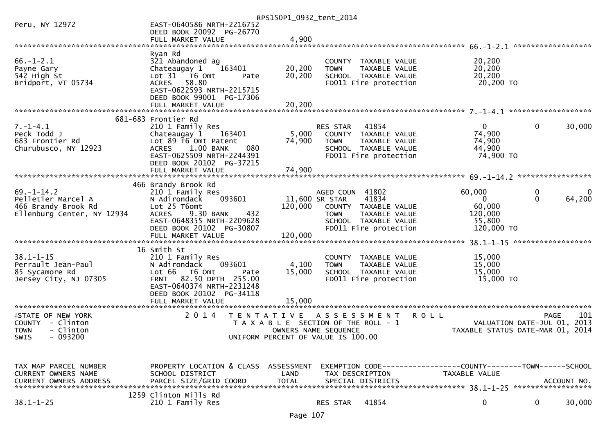|                                |                                                               | RPS150P1_0932_tent_2014               |                      |                                               |                                  |              |                    |
|--------------------------------|---------------------------------------------------------------|---------------------------------------|----------------------|-----------------------------------------------|----------------------------------|--------------|--------------------|
| Peru, NY 12972                 | EAST-0640586 NRTH-2216752                                     |                                       |                      |                                               |                                  |              |                    |
|                                | DEED BOOK 20092 PG-26770                                      |                                       |                      |                                               |                                  |              |                    |
|                                | FULL MARKET VALUE                                             | 4,900                                 |                      |                                               |                                  |              |                    |
|                                | Ryan Rd                                                       |                                       |                      |                                               |                                  |              |                    |
| $66. - 1 - 2.1$                | 321 Abandoned ag                                              |                                       |                      | COUNTY TAXABLE VALUE                          | 20,200                           |              |                    |
| Payne Gary                     | Chateaugay 1<br>163401                                        | 20,200                                | <b>TOWN</b>          | TAXABLE VALUE                                 | 20,200                           |              |                    |
| 542 High St                    | Lot 31 76 0mt<br>Pate                                         | 20,200                                |                      | SCHOOL TAXABLE VALUE                          | 20,200                           |              |                    |
| Bridport, VT 05734             | ACRES 58.80                                                   |                                       |                      | FD011 Fire protection                         | 20,200 TO                        |              |                    |
|                                | EAST-0622593 NRTH-2215715                                     |                                       |                      |                                               |                                  |              |                    |
|                                | DEED BOOK 99001 PG-17306                                      |                                       |                      |                                               |                                  |              |                    |
|                                | FULL MARKET VALUE                                             | 20,200                                |                      |                                               |                                  |              |                    |
|                                |                                                               |                                       |                      |                                               |                                  |              |                    |
|                                | 681-683 Frontier Rd                                           |                                       |                      |                                               |                                  |              |                    |
| $7. - 1 - 4.1$                 | 210 1 Family Res                                              |                                       | RES STAR             | 41854                                         | $\overline{0}$                   | $\mathbf{0}$ | 30,000             |
| Peck Todd J<br>683 Frontier Rd | Chateaugay 1<br>163401<br>Lot 89 T6 Omt Patent                | 5,000<br>74,900                       | <b>TOWN</b>          | COUNTY TAXABLE VALUE<br>TAXABLE VALUE         | 74,900<br>74,900                 |              |                    |
| Churubusco, NY 12923           | ACRES 1.00 BANK<br>080                                        |                                       |                      | SCHOOL TAXABLE VALUE                          | 44,900                           |              |                    |
|                                | EAST-0625509 NRTH-2244391                                     |                                       |                      | FD011 Fire protection                         | 74,900 TO                        |              |                    |
|                                | DEED BOOK 20102 PG-37215                                      |                                       |                      |                                               |                                  |              |                    |
|                                |                                                               |                                       |                      |                                               |                                  |              |                    |
|                                |                                                               |                                       |                      |                                               |                                  |              |                    |
|                                | 466 Brandy Brook Rd                                           |                                       |                      |                                               |                                  |              |                    |
| $69. - 1 - 14.2$               | 210 1 Family Res                                              |                                       | AGED COUN 41802      |                                               | 60,000                           | 0            | 0                  |
| Pelletier Marcel A             | 093601<br>N Adirondack                                        |                                       | 11,600 SR STAR       | 41834                                         | $\overline{0}$                   | $\Omega$     | 64,200             |
| 466 Brandy Brook Rd            | Lot 25 T6omt                                                  | 120,000                               |                      | COUNTY TAXABLE VALUE                          | 60,000                           |              |                    |
| Ellenburg Center, NY 12934     | <b>ACRES</b><br>9.30 BANK<br>432<br>EAST-0648355 NRTH-2209628 |                                       | TOWN                 | TAXABLE VALUE                                 | 120,000                          |              |                    |
|                                | DEED BOOK 20102 PG-30807                                      |                                       |                      | SCHOOL TAXABLE VALUE<br>FD011 Fire protection | 55,800<br>120,000 TO             |              |                    |
|                                | FULL MARKET VALUE                                             | 120,000                               |                      |                                               |                                  |              |                    |
|                                |                                                               |                                       |                      |                                               |                                  |              | ****************** |
|                                | 16 Smith St                                                   |                                       |                      |                                               |                                  |              |                    |
| $38.1 - 1 - 15$                | 210 1 Family Res                                              |                                       | COUNTY               | TAXABLE VALUE                                 | 15,000                           |              |                    |
| Perrault Jean-Paul             | N Adirondack<br>093601                                        | 4,100                                 | <b>TOWN</b>          | TAXABLE VALUE                                 | 15,000                           |              |                    |
| 85 Sycamore Rd                 | Lot 66<br>T6 Omt<br>Pate                                      | 15,000                                |                      | SCHOOL TAXABLE VALUE                          | 15,000                           |              |                    |
| Jersey City, NJ 07305          | 82.50 DPTH 255.00<br><b>FRNT</b>                              |                                       |                      | FD011 Fire protection                         | 15,000 TO                        |              |                    |
|                                | EAST-0640374 NRTH-2231248                                     |                                       |                      |                                               |                                  |              |                    |
|                                | DEED BOOK 20102 PG-34118                                      |                                       |                      |                                               |                                  |              |                    |
|                                | FULL MARKET VALUE                                             | 15,000                                |                      |                                               |                                  |              |                    |
| <b>ISTATE OF NEW YORK</b>      | 2 0 1 4                                                       | T E N T A T I V E                     | A S S E S S M E N T  | <b>ROLL</b>                                   |                                  | <b>PAGE</b>  | 101                |
| COUNTY - Clinton               |                                                               | T A X A B L E SECTION OF THE ROLL - 1 |                      |                                               | VALUATION DATE-JUL 01, 2013      |              |                    |
| - Clinton<br><b>TOWN</b>       |                                                               |                                       | OWNERS NAME SEQUENCE |                                               | TAXABLE STATUS DATE-MAR 01, 2014 |              |                    |
| $-093200$<br>SWIS              |                                                               | UNIFORM PERCENT OF VALUE IS 100.00    |                      |                                               |                                  |              |                    |
|                                |                                                               |                                       |                      |                                               |                                  |              |                    |
|                                |                                                               |                                       |                      |                                               |                                  |              |                    |
|                                |                                                               |                                       |                      |                                               |                                  |              |                    |
| TAX MAP PARCEL NUMBER          | PROPERTY LOCATION & CLASS ASSESSMENT                          |                                       |                      |                                               |                                  |              |                    |
| CURRENT OWNERS NAME            | SCHOOL DISTRICT                                               | LAND                                  | TAX DESCRIPTION      |                                               | TAXABLE VALUE                    |              |                    |
| <b>CURRENT OWNERS ADDRESS</b>  | PARCEL SIZE/GRID COORD                                        | <b>TOTAL</b>                          |                      | SPECIAL DISTRICTS                             |                                  |              | ACCOUNT NO.        |
|                                | 1259 Clinton Mills Rd                                         |                                       |                      |                                               |                                  |              |                    |
| $38.1 - 1 - 25$                | 210 1 Family Res                                              |                                       | RES STAR             | 41854                                         | $\mathbf{0}$                     | 0            | 30,000             |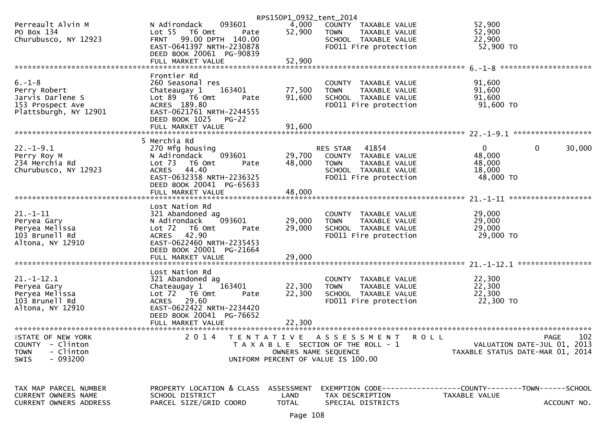|                                 |                                     | RPS150P1_0932_tent_2014 |                                       |                                                               |
|---------------------------------|-------------------------------------|-------------------------|---------------------------------------|---------------------------------------------------------------|
| Perreault Alvin M               | 093601<br>N Adirondack              | 4,000                   | COUNTY TAXABLE VALUE                  | 52,900                                                        |
| PO Box 134                      | Lot 55  T6 Omt<br>Pate              | 52,900                  | <b>TOWN</b><br>TAXABLE VALUE          | 52,900                                                        |
| Churubusco, NY 12923            | FRNT 99.00 DPTH 140.00              |                         | SCHOOL TAXABLE VALUE                  | 22,900                                                        |
|                                 | EAST-0641397 NRTH-2230878           |                         | FD011 Fire protection                 | 52,900 TO                                                     |
|                                 | DEED BOOK 20061 PG-90839            |                         |                                       |                                                               |
|                                 | FULL MARKET VALUE                   | 52,900                  |                                       |                                                               |
|                                 |                                     |                         |                                       |                                                               |
|                                 | Frontier Rd                         |                         |                                       |                                                               |
| $6. - 1 - 8$                    | 260 Seasonal res                    |                         | COUNTY TAXABLE VALUE                  | 91,600                                                        |
| Perry Robert                    | 163401<br>Chateaugay 1              | 77,500                  | TAXABLE VALUE<br><b>TOWN</b>          | 91,600                                                        |
| Jarvis Darlene S                | Lot 89 T6 Omt<br>Pate               | 91,600                  | SCHOOL TAXABLE VALUE                  | 91,600                                                        |
| 153 Prospect Ave                | ACRES 189.80                        |                         | FD011 Fire protection                 | $91,600$ TO                                                   |
| Plattsburgh, NY 12901           | EAST-0621761 NRTH-2244555           |                         |                                       |                                                               |
|                                 | DEED BOOK 1025<br><b>PG-22</b>      |                         |                                       |                                                               |
|                                 | FULL MARKET VALUE                   | 91,600                  |                                       |                                                               |
|                                 |                                     |                         |                                       |                                                               |
|                                 | 5 Merchia Rd                        |                         |                                       |                                                               |
| $22. - 1 - 9.1$                 | 270 Mfg housing                     |                         | RES STAR 41854                        | $\mathbf{0}$<br>$\mathbf{0}$<br>30,000                        |
| Perry Roy M                     | 093601<br>N Adirondack              | 29,700                  | COUNTY TAXABLE VALUE                  | 48,000                                                        |
| 234 Merchia Rd                  | Lot 73<br>T6 Omt<br>Pate            | 48,000                  | <b>TOWN</b><br>TAXABLE VALUE          | 48,000                                                        |
| Churubusco, NY 12923            | 44.40<br><b>ACRES</b>               |                         | SCHOOL TAXABLE VALUE                  | 18,000                                                        |
|                                 | EAST-0632358 NRTH-2236325           |                         | FD011 Fire protection                 | 48,000 TO                                                     |
|                                 | DEED BOOK 20041 PG-65633            |                         |                                       |                                                               |
|                                 | FULL MARKET VALUE                   | 48,000                  |                                       |                                                               |
|                                 | Lost Nation Rd                      |                         |                                       |                                                               |
| $21. - 1 - 11$                  | 321 Abandoned ag                    |                         | COUNTY TAXABLE VALUE                  | 29,000                                                        |
| Peryea Gary                     | 093601<br>N Adirondack              | 29,000                  | TAXABLE VALUE<br><b>TOWN</b>          | 29,000                                                        |
| Peryea Melissa                  | Lot <sub>72</sub><br>T6 Omt<br>Pate | 29,000                  | SCHOOL TAXABLE VALUE                  | 29,000                                                        |
| 103 Brunell Rd                  | 42.90<br>ACRES                      |                         | FD011 Fire protection                 | 29,000 TO                                                     |
| Altona, NY 12910                | EAST-0622460 NRTH-2235453           |                         |                                       |                                                               |
|                                 | DEED BOOK 20001 PG-21664            |                         |                                       |                                                               |
|                                 | FULL MARKET VALUE                   | 29,000                  |                                       |                                                               |
|                                 |                                     |                         |                                       |                                                               |
|                                 | Lost Nation Rd                      |                         |                                       |                                                               |
| $21. - 1 - 12.1$                | 321 Abandoned ag                    |                         | COUNTY TAXABLE VALUE                  | 22,300                                                        |
| Peryea Gary                     | Chateaugay 1<br>163401              | 22,300                  | TAXABLE VALUE<br><b>TOWN</b>          | 22,300                                                        |
| Peryea Melissa                  | Lot 72  T6 0mt<br>Pate              | 22,300                  | SCHOOL TAXABLE VALUE                  | 22,300                                                        |
| 103 Brunell Rd                  | ACRES 29.60                         |                         | FD011 Fire protection                 | 22,300 TO                                                     |
| Altona, NY 12910                | EAST-0622422 NRTH-2234420           |                         |                                       |                                                               |
|                                 | DEED BOOK 20041 PG-76652            |                         |                                       |                                                               |
|                                 | FULL MARKET VALUE                   | 22,300                  |                                       |                                                               |
| ******************************* | ***************************         |                         |                                       |                                                               |
| <b>ISTATE OF NEW YORK</b>       | 2 0 1 4                             |                         | TENTATIVE ASSESSMENT ROLL             | 102<br>PAGE                                                   |
| <b>COUNTY</b><br>- Clinton      |                                     |                         | T A X A B L E SECTION OF THE ROLL - 1 | VALUATION DATE-JUL 01, 2013                                   |
| - Clinton<br><b>TOWN</b>        |                                     | OWNERS NAME SEQUENCE    |                                       | TAXABLE STATUS DATE-MAR 01, 2014                              |
| $-093200$<br><b>SWIS</b>        |                                     |                         | UNIFORM PERCENT OF VALUE IS 100.00    |                                                               |
|                                 |                                     |                         |                                       |                                                               |
|                                 |                                     |                         |                                       |                                                               |
| TAX MAP PARCEL NUMBER           | PROPERTY LOCATION & CLASS           | ASSESSMENT              |                                       | EXEMPTION CODE------------------COUNTY-------TOWN------SCHOOL |
| CURRENT OWNERS NAME             | SCHOOL DISTRICT                     | LAND                    | TAX DESCRIPTION                       | TAXABLE VALUE                                                 |
| <b>CURRENT OWNERS ADDRESS</b>   | PARCEL SIZE/GRID COORD              | <b>TOTAL</b>            | SPECIAL DISTRICTS                     | ACCOUNT NO.                                                   |
|                                 |                                     |                         |                                       |                                                               |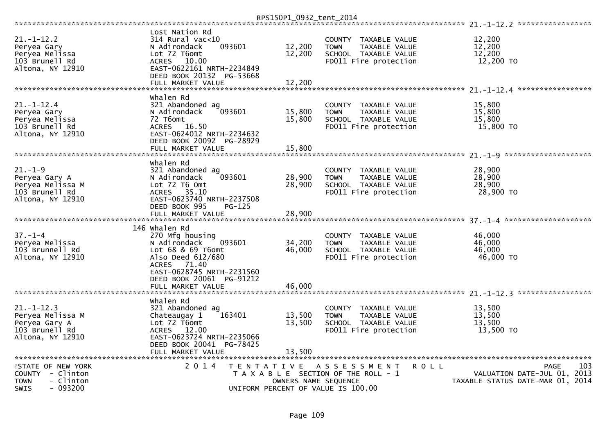|                                              |                                    |                                       | RPS150P1_0932_tent_2014 |               |                                               |                                  |                      |
|----------------------------------------------|------------------------------------|---------------------------------------|-------------------------|---------------|-----------------------------------------------|----------------------------------|----------------------|
|                                              | Lost Nation Rd                     |                                       |                         |               |                                               |                                  |                      |
| $21. - 1 - 12.2$                             | $314$ Rural vac<10                 |                                       |                         | <b>COUNTY</b> | TAXABLE VALUE                                 | 12,200                           |                      |
| Peryea Gary                                  | N Adirondack                       | 093601                                | 12,200                  | <b>TOWN</b>   | TAXABLE VALUE                                 | 12,200                           |                      |
| Peryea Melissa                               | Lot 72 T6omt                       |                                       | 12,200                  |               | SCHOOL TAXABLE VALUE                          | 12,200                           |                      |
| 103 Brunell Rd                               | <b>ACRES</b><br>10.00              |                                       |                         |               | FD011 Fire protection                         | 12,200 TO                        |                      |
| Altona, NY 12910                             | EAST-0622161 NRTH-2234849          |                                       |                         |               |                                               |                                  |                      |
|                                              | DEED BOOK 20132 PG-53668           |                                       |                         |               |                                               |                                  |                      |
|                                              | FULL MARKET VALUE                  |                                       | 12,200                  |               |                                               |                                  |                      |
|                                              |                                    |                                       |                         |               |                                               | 21. -1-12. 4 ******************  |                      |
|                                              | whalen Rd                          |                                       |                         |               |                                               |                                  |                      |
| $21. - 1 - 12.4$                             | 321 Abandoned ag                   | 093601                                | 15,800                  | <b>COUNTY</b> | TAXABLE VALUE                                 | 15,800<br>15,800                 |                      |
| Peryea Gary                                  | N Adirondack<br>72 T6omt           |                                       | 15,800                  | <b>TOWN</b>   | TAXABLE VALUE                                 | 15,800                           |                      |
| Peryea Melissa<br>103 Brunell Rd             | 16.50<br><b>ACRES</b>              |                                       |                         |               | SCHOOL TAXABLE VALUE<br>FD011 Fire protection | 15,800 TO                        |                      |
| Altona, NY 12910                             | EAST-0624012 NRTH-2234632          |                                       |                         |               |                                               |                                  |                      |
|                                              | DEED BOOK 20092 PG-28929           |                                       |                         |               |                                               |                                  |                      |
|                                              | FULL MARKET VALUE                  |                                       | 15,800                  |               |                                               |                                  |                      |
|                                              |                                    |                                       |                         |               |                                               |                                  |                      |
|                                              | Whalen Rd                          |                                       |                         |               |                                               |                                  |                      |
| $21 - 1 - 9$                                 | 321 Abandoned ag                   |                                       |                         |               | COUNTY TAXABLE VALUE                          | 28,900                           |                      |
| Peryea Gary A                                | N Adirondack                       | 093601                                | 28,900                  | <b>TOWN</b>   | TAXABLE VALUE                                 | 28,900                           |                      |
| Peryea Melissa M                             | $Lot$ $72$ $T6$ $Omt$              |                                       | 28,900                  |               | SCHOOL TAXABLE VALUE                          | 28,900                           |                      |
| 103 Brunell Rd                               | 35.10<br>ACRES                     |                                       |                         |               | FD011 Fire protection                         | 28,900 TO                        |                      |
| Altona, NY 12910                             | EAST-0623740 NRTH-2237508          |                                       |                         |               |                                               |                                  |                      |
|                                              | DEED BOOK 995<br>FULL MARKET VALUE | PG-125                                | 28,900                  |               |                                               |                                  |                      |
|                                              |                                    |                                       |                         |               |                                               | $37 - 1 - 4$                     | ******************** |
|                                              | 146 Whalen Rd                      |                                       |                         |               |                                               |                                  |                      |
| $37. - 1 - 4$                                | 270 Mfg housing                    |                                       |                         | <b>COUNTY</b> | TAXABLE VALUE                                 | 46,000                           |                      |
| Peryea Melissa                               | N Adirondack                       | 093601                                | 34,200                  | <b>TOWN</b>   | TAXABLE VALUE                                 | 46,000                           |                      |
| 103 Brunnell Rd                              | Lot 68 & 69 T6omt                  |                                       | 46,000                  |               | SCHOOL TAXABLE VALUE                          | 46,000                           |                      |
| Altona, NY 12910                             | Also Deed 612/680                  |                                       |                         |               | FD011 Fire protection                         | 46,000 TO                        |                      |
|                                              | <b>ACRES</b><br>71.40              |                                       |                         |               |                                               |                                  |                      |
|                                              | EAST-0628745 NRTH-2231560          |                                       |                         |               |                                               |                                  |                      |
|                                              | DEED BOOK 20061 PG-91212           |                                       |                         |               |                                               |                                  |                      |
|                                              | FULL MARKET VALUE                  |                                       | 46,000                  |               |                                               |                                  |                      |
|                                              | whalen Rd                          |                                       |                         |               |                                               |                                  |                      |
| $21. - 1 - 12.3$                             | 321 Abandoned ag                   |                                       |                         | <b>COUNTY</b> | TAXABLE VALUE                                 | 13,500                           |                      |
| Peryea Melissa M                             | Chateaugay 1                       | 163401                                | 13,500                  | <b>TOWN</b>   | <b>TAXABLE VALUE</b>                          | 13.500                           |                      |
| Peryea Gary A                                | Lot 72 T6omt                       |                                       | 13,500                  |               | SCHOOL TAXABLE VALUE                          | 13,500                           |                      |
| 103 Brunell Rd                               | <b>ACRES</b><br>12.00              |                                       |                         |               | FD011 Fire protection                         | 13,500 TO                        |                      |
| Altona, NY 12910                             | EAST-0623724 NRTH-2235066          |                                       |                         |               |                                               |                                  |                      |
|                                              | DEED BOOK 20041 PG-78425           |                                       |                         |               |                                               |                                  |                      |
|                                              | FULL MARKET VALUE                  |                                       | 13.500                  |               |                                               |                                  |                      |
|                                              |                                    |                                       |                         |               |                                               |                                  |                      |
| <b>fSTATE OF NEW YORK</b>                    | 2 0 1 4                            | T E N T A T I V E                     |                         |               | A S S E S S M E N T<br>R O L L                |                                  | 103<br><b>PAGE</b>   |
| COUNTY - Clinton                             |                                    | T A X A B L E SECTION OF THE ROLL - 1 |                         |               |                                               | VALUATION DATE-JUL 01,           | -2013                |
| TOWN<br>- Clinton<br>- 093200<br><b>SWIS</b> |                                    | UNIFORM PERCENT OF VALUE IS 100.00    | OWNERS NAME SEQUENCE    |               |                                               | TAXABLE STATUS DATE-MAR 01, 2014 |                      |
|                                              |                                    |                                       |                         |               |                                               |                                  |                      |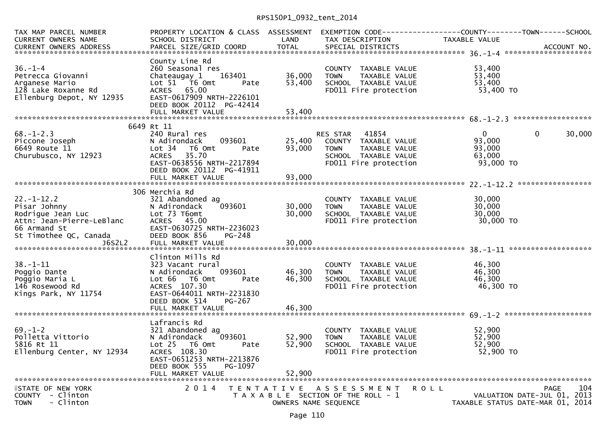## RPS150P1\_0932\_tent\_2014

| TAX MAP PARCEL NUMBER<br>CURRENT OWNERS NAME<br>CONNERS AND DESCRIPTION TO THE SECTION SERVER SERVER ACCOUNT NO.<br>CURRENT OWNERS ADDRESS PARCEL SIZE/GRID COORD TOTAL SPECIAL DISTRICTS AND RESERVERS AND ACCOUNT NO.<br>CURRENT OWNERS ADDRESS | PROPERTY LOCATION & CLASS ASSESSMENT EXEMPTION CODE----------------COUNTY--------TOWN------SCHOOL<br>SCHOOL DISTRICT                                                              | <b>Example 18 DE LAND</b>  | TAX DESCRIPTION                                                                                                                | TAXABLE VALUE                                           |                                                                                |
|---------------------------------------------------------------------------------------------------------------------------------------------------------------------------------------------------------------------------------------------------|-----------------------------------------------------------------------------------------------------------------------------------------------------------------------------------|----------------------------|--------------------------------------------------------------------------------------------------------------------------------|---------------------------------------------------------|--------------------------------------------------------------------------------|
| $36. - 1 - 4$<br>Petrecca Giovanni<br>Arganese Mario<br>128 Lake Roxanne Rd<br>Ellenburg Depot, NY 12935                                                                                                                                          | County Line Rd<br>260 Seasonal res<br>163401<br>Chateaugay 1<br>Lot 51 T6 Omt<br>Pate<br>ACRES 65.00<br>EAST-0617909 NRTH-2226101<br>DEED BOOK 20112 PG-42414                     | 36,000<br>53,400           | COUNTY TAXABLE VALUE<br><b>TOWN</b><br>TAXABLE VALUE<br>SCHOOL TAXABLE VALUE<br>FD011 Fire protection                          | 53,400<br>53,400<br>53,400<br>53,400 TO                 |                                                                                |
|                                                                                                                                                                                                                                                   | 6649 Rt 11                                                                                                                                                                        |                            |                                                                                                                                |                                                         |                                                                                |
| $68. - 1 - 2.3$<br>Piccone Joseph<br>6649 Route 11<br>Churubusco, NY 12923                                                                                                                                                                        | 240 Rural res<br>093601<br>N Adirondack<br>Lot 34 76 0mt<br>Pate<br>35.70<br><b>ACRES</b><br>EAST-0638556 NRTH-2217894<br>DEED BOOK 20112 PG-41911<br>FULL MARKET VALUE           | 93,000<br>93,000           | RES STAR 41854<br>25,400 COUNTY TAXABLE VALUE<br>TAXABLE VALUE<br><b>TOWN</b><br>SCHOOL TAXABLE VALUE<br>FD011 Fire protection | $\mathbf{0}$<br>93,000<br>93,000<br>63,000<br>93,000 TO | 30,000<br>0                                                                    |
|                                                                                                                                                                                                                                                   |                                                                                                                                                                                   |                            |                                                                                                                                |                                                         |                                                                                |
| $22 - 1 - 12.2$<br>Pisar Johnny<br>Rodrigue Jean Luc<br>Attn: Jean-Pierre-LeBlanc<br>66 Armand St<br>St Timothee QC, Canada                                                                                                                       | 306 Merchia Rd<br>321 Abandoned ag<br>093601<br>N Adirondack<br>Lot 73 T6omt<br>ACRES 45.00<br>EAST-0630725 NRTH-2236023<br>DEED BOOK 856<br>PG-248                               | 30,000<br>30,000           | COUNTY TAXABLE VALUE<br><b>TOWN</b><br>TAXABLE VALUE<br>SCHOOL TAXABLE VALUE<br>FD011 Fire protection                          | 30,000<br>30,000<br>30,000<br>30,000 TO                 |                                                                                |
|                                                                                                                                                                                                                                                   |                                                                                                                                                                                   |                            |                                                                                                                                |                                                         |                                                                                |
| $38. - 1 - 11$<br>Poggio Dante<br>Poggio Maria L<br>146 Rosewood Rd<br>Kings Park, NY 11754                                                                                                                                                       | Clinton Mills Rd<br>323 Vacant rural<br>093601<br>N Adirondack<br>Lot 66 T6 Omt<br>Pate<br>ACRES 107.30<br>EAST-0644011 NRTH-2231830<br>DEED BOOK 514<br>PG-267                   | 46,300<br>46,300           | COUNTY TAXABLE VALUE<br><b>TOWN</b><br>TAXABLE VALUE<br>SCHOOL TAXABLE VALUE<br>FD011 Fire protection                          | 46,300<br>46,300<br>46,300<br>46,300 TO                 |                                                                                |
|                                                                                                                                                                                                                                                   | FULL MARKET VALUE                                                                                                                                                                 | 46,300                     |                                                                                                                                |                                                         |                                                                                |
| $69. - 1 - 2$<br>Polletta Vittorio<br>5816 Rt 11<br>Ellenburg Center, NY 12934                                                                                                                                                                    | Lafrancis Rd<br>321 Abandoned ag<br>093601<br>N Adirondack<br>Lot 25 T6 Omt<br>Pate<br>ACRES 108.30<br>EAST-0651253 NRTH-2213876<br>DEED BOOK 555<br>PG-1097<br>FULL MARKET VALUE | 52,900<br>52,900<br>52,900 | COUNTY TAXABLE VALUE<br>TAXABLE VALUE<br><b>TOWN</b><br>SCHOOL TAXABLE VALUE<br>FD011 Fire protection                          | 52,900<br>52,900<br>52,900<br>52,900 TO                 |                                                                                |
|                                                                                                                                                                                                                                                   |                                                                                                                                                                                   |                            |                                                                                                                                |                                                         |                                                                                |
| <b>ISTATE OF NEW YORK</b><br>COUNTY - Clinton<br>- Clinton<br><b>TOWN</b>                                                                                                                                                                         | 2 0 1 4                                                                                                                                                                           | OWNERS NAME SEQUENCE       | TENTATIVE ASSESSMENT<br>T A X A B L E SECTION OF THE ROLL - 1                                                                  | ROLL                                                    | 104<br>PAGE<br>VALUATION DATE-JUL 01, 2013<br>TAXABLE STATUS DATE-MAR 01, 2014 |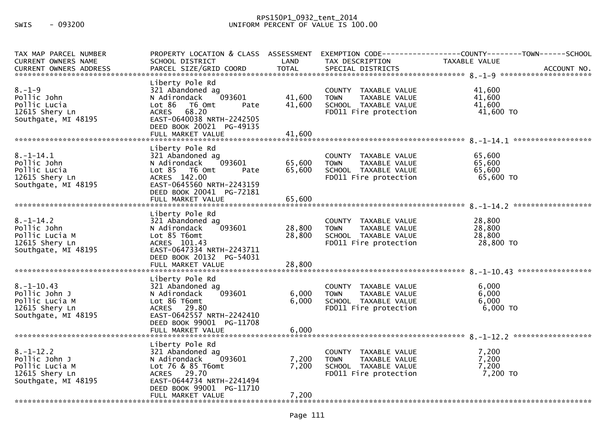## RPS150P1\_0932\_tent\_2014<br>300.00 UNIFORM PERCENT OF VALUE IS 100

| TAX MAP PARCEL NUMBER<br><b>CURRENT OWNERS NAME</b>                                          | PROPERTY LOCATION & CLASS ASSESSMENT<br>SCHOOL DISTRICT                                                                                                                                       | LAND                       | TAX DESCRIPTION                                                                                       | EXEMPTION CODE------------------COUNTY--------TOWN------SCHOOL<br>TAXABLE VALUE<br>.CURRENT OWNERS ADDRESS PARCEL SIZE/GRID COORD TOTAL SPECIAL DISTRICTS CORRENT OWNERS ADDRESS PARCEL SIZE/GRID COORD TOTAL SPECIAL DISTRICTS AND MOTHER ACCOUNT NO |
|----------------------------------------------------------------------------------------------|-----------------------------------------------------------------------------------------------------------------------------------------------------------------------------------------------|----------------------------|-------------------------------------------------------------------------------------------------------|-------------------------------------------------------------------------------------------------------------------------------------------------------------------------------------------------------------------------------------------------------|
| $8. - 1 - 9$<br>Pollic John<br>Pollic Lucia<br>12615 Shery Ln<br>Southgate, MI 48195         | Liberty Pole Rd<br>321 Abandoned ag<br>N Adirondack<br>093601<br>Lot 86 T6 Omt<br>Pate<br><b>ACRES</b><br>68.20<br>EAST-0640038 NRTH-2242505<br>DEED BOOK 20021 PG-49135<br>FULL MARKET VALUE | 41,600<br>41,600<br>41,600 | COUNTY TAXABLE VALUE<br><b>TOWN</b><br>TAXABLE VALUE<br>SCHOOL TAXABLE VALUE<br>FD011 Fire protection | 41.600<br>41,600<br>41,600<br>41,600 TO                                                                                                                                                                                                               |
|                                                                                              |                                                                                                                                                                                               |                            |                                                                                                       |                                                                                                                                                                                                                                                       |
| $8. - 1 - 14.1$<br>Pollic John<br>Pollic Lucia<br>12615 Shery Ln<br>Southgate, MI 48195      | Liberty Pole Rd<br>321 Abandoned ag<br>093601<br>N Adirondack<br>Lot 85 T6 Omt<br>Pate<br>ACRES 142.00<br>EAST-0645560 NRTH-2243159<br>DEED BOOK 20041 PG-72181                               | 65,600<br>65,600           | COUNTY TAXABLE VALUE<br><b>TOWN</b><br>TAXABLE VALUE<br>SCHOOL TAXABLE VALUE<br>FD011 Fire protection | 65,600<br>65,600<br>65,600<br>65,600 TO                                                                                                                                                                                                               |
|                                                                                              | FULL MARKET VALUE                                                                                                                                                                             | 65,600                     |                                                                                                       |                                                                                                                                                                                                                                                       |
|                                                                                              |                                                                                                                                                                                               |                            |                                                                                                       |                                                                                                                                                                                                                                                       |
| $8. - 1 - 14.2$<br>Pollic John<br>Pollic Lucia M<br>12615 Shery Ln<br>Southgate, MI 48195    | Liberty Pole Rd<br>321 Abandoned ag<br>N Adirondack<br>093601<br>Lot 85 T6omt<br>ACRES 101.43<br>EAST-0647334 NRTH-2243711<br>DEED BOOK 20132 PG-54031                                        | 28,800<br>28,800           | COUNTY TAXABLE VALUE<br><b>TOWN</b><br>TAXABLE VALUE<br>SCHOOL TAXABLE VALUE<br>FD011 Fire protection | 28,800<br>28,800<br>28,800<br>28,800 TO                                                                                                                                                                                                               |
|                                                                                              | Liberty Pole Rd                                                                                                                                                                               |                            |                                                                                                       |                                                                                                                                                                                                                                                       |
| $8. - 1 - 10.43$<br>Pollic John J<br>Pollic Lucia M<br>12615 Shery Ln<br>Southgate, MI 48195 | 321 Abandoned ag<br>N Adirondack<br>093601<br>Lot 86 T6omt<br>ACRES 29.80<br>EAST-0642557 NRTH-2242410<br>DEED BOOK 99001 PG-11708                                                            | 6,000<br>6,000             | COUNTY TAXABLE VALUE<br><b>TOWN</b><br>TAXABLE VALUE<br>SCHOOL TAXABLE VALUE<br>FD011 Fire protection | 6,000<br>6,000<br>6,000<br>$6,000$ TO                                                                                                                                                                                                                 |
|                                                                                              | FULL MARKET VALUE                                                                                                                                                                             | 6,000                      |                                                                                                       |                                                                                                                                                                                                                                                       |
|                                                                                              | Liberty Pole Rd                                                                                                                                                                               |                            |                                                                                                       |                                                                                                                                                                                                                                                       |
| $8. - 1 - 12.2$<br>Pollic John J<br>Pollic Lucia M<br>12615 Shery Ln<br>Southgate, MI 48195  | 321 Abandoned ag<br>N Adirondack<br>093601<br>Lot 76 & 85 T6omt<br>ACRES 29.70<br>EAST-0644734 NRTH-2241494<br>DEED BOOK 99001 PG-11710                                                       | 7,200<br>7,200             | COUNTY TAXABLE VALUE<br><b>TOWN</b><br>TAXABLE VALUE<br>SCHOOL TAXABLE VALUE<br>FD011 Fire protection | 7,200<br>7,200<br>7,200<br>7,200 TO                                                                                                                                                                                                                   |
|                                                                                              | FULL MARKET VALUE                                                                                                                                                                             | 7,200                      |                                                                                                       |                                                                                                                                                                                                                                                       |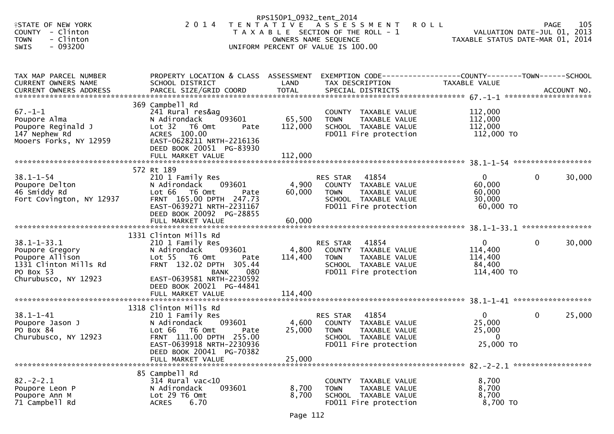|                                                                                                                       |                                                                                                                                                                                                                              | RPS150P1_0932_tent_2014      |                                                                                                                                   |                                                               |                                                   |
|-----------------------------------------------------------------------------------------------------------------------|------------------------------------------------------------------------------------------------------------------------------------------------------------------------------------------------------------------------------|------------------------------|-----------------------------------------------------------------------------------------------------------------------------------|---------------------------------------------------------------|---------------------------------------------------|
| <b>ISTATE OF NEW YORK</b><br><b>COUNTY</b><br>- Clinton<br>- Clinton<br><b>TOWN</b><br>$-093200$<br>SWIS              | 2 0 1 4                                                                                                                                                                                                                      | OWNERS NAME SEQUENCE         | TENTATIVE ASSESSMENT<br><b>ROLL</b><br>T A X A B L E SECTION OF THE ROLL - 1<br>UNIFORM PERCENT OF VALUE IS 100.00                | TAXABLE STATUS DATE-MAR 01, 2014                              | 105<br><b>PAGE</b><br>VALUATION DATE-JUL 01, 2013 |
| TAX MAP PARCEL NUMBER<br><b>CURRENT OWNERS NAME</b>                                                                   | PROPERTY LOCATION & CLASS ASSESSMENT<br>SCHOOL DISTRICT                                                                                                                                                                      | LAND                         | EXEMPTION CODE-----------------COUNTY-------TOWN------SCHOOL<br>TAX DESCRIPTION                                                   | TAXABLE VALUE                                                 |                                                   |
| $67. - 1 - 1$<br>Poupore Alma<br>Poupore Reginald J<br>147 Nephew Rd<br>Mooers Forks, NY 12959                        | 369 Campbell Rd<br>241 Rural res&ag<br>093601<br>N Adirondack<br>Lot 32 T6 Omt<br>Pate<br>ACRES 100.00<br>EAST-0628211 NRTH-2216136<br>DEED BOOK 20051 PG-83930<br>FULL MARKET VALUE                                         | 65,500<br>112,000<br>112,000 | COUNTY TAXABLE VALUE<br><b>TOWN</b><br>TAXABLE VALUE<br>SCHOOL TAXABLE VALUE<br>FD011 Fire protection                             | 112,000<br>112,000<br>112,000<br>112,000 TO                   |                                                   |
| $38.1 - 1 - 54$<br>Poupore Delton<br>46 Smiddy Rd<br>Fort Covington, NY 12937                                         | 572 Rt 189<br>210 1 Family Res<br>093601<br>N Adirondack<br>Lot 66<br>T6 Omt<br>Pate<br>FRNT 165.00 DPTH 247.73<br>EAST-0639271 NRTH-2231167<br>DEED BOOK 20092 PG-28855<br>FULL MARKET VALUE                                | 4,900<br>60,000<br>60,000    | 41854<br><b>RES STAR</b><br>COUNTY TAXABLE VALUE<br><b>TOWN</b><br>TAXABLE VALUE<br>SCHOOL TAXABLE VALUE<br>FD011 Fire protection | $\mathbf{0}$<br>60,000<br>60,000<br>30,000<br>60,000 TO       | 30,000<br>0                                       |
| $38.1 - 1 - 33.1$<br>Poupore Gregory<br>Poupore Allison<br>1331 Clinton Mills Rd<br>PO Box 53<br>Churubusco, NY 12923 | 1331 Clinton Mills Rd<br>210 1 Family Res<br>093601<br>N Adirondack<br>Lot 55  T6 Omt<br>Pate<br>FRNT 132.02 DPTH 305.44<br>080<br><b>BANK</b><br>EAST-0639581 NRTH-2230592<br>DEED BOOK 20021 PG-44841<br>FULL MARKET VALUE | 4,800<br>114,400<br>114,400  | 41854<br>RES STAR<br>COUNTY TAXABLE VALUE<br>TAXABLE VALUE<br><b>TOWN</b><br>SCHOOL TAXABLE VALUE<br>FD011 Fire protection        | $\overline{0}$<br>114,400<br>114,400<br>84,400<br>114,400 TO  | 30,000<br>$\mathbf{0}$                            |
| $38.1 - 1 - 41$<br>Poupore Jason J<br>PO Box 84<br>Churubusco, NY 12923                                               | 1318 Clinton Mills Rd<br>210 1 Family Res<br>093601<br>N Adirondack<br>Lot 66 T6 Omt<br>Pate<br>FRNT 111.00 DPTH 255.00<br>EAST-0639918 NRTH-2230936<br>DEED BOOK 20041 PG-70382<br>FULL MARKET VALUE                        | 4,600<br>25,000<br>25,000    | 41854<br>RES STAR<br>COUNTY TAXABLE VALUE<br><b>TOWN</b><br>TAXABLE VALUE<br>SCHOOL TAXABLE VALUE<br>FD011 Fire protection        | $\mathbf{0}$<br>25,000<br>25,000<br>$\mathbf{0}$<br>25,000 TO | 25,000<br>$\mathbf{0}$                            |
| $82 - 2 - 2.1$<br>Poupore Leon P<br>Poupore Ann M<br>71 Campbell Rd                                                   | 85 Campbell Rd<br>314 Rural vac<10<br>093601<br>N Adirondack<br>Lot 29 T6 Omt<br>6.70<br><b>ACRES</b>                                                                                                                        | 8,700<br>8,700               | COUNTY TAXABLE VALUE<br><b>TOWN</b><br>TAXABLE VALUE<br>SCHOOL TAXABLE VALUE<br>FD011 Fire protection                             | 8,700<br>8,700<br>8,700<br>8,700 TO                           |                                                   |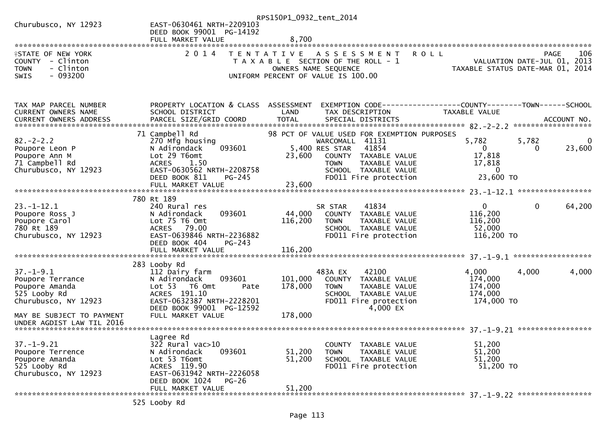| Churubusco, NY 12923                                                                                                                                    | EAST-0630461 NRTH-2209103<br>DEED BOOK 99001 PG-14192<br>FULL MARKET VALUE                                                                                                      | RPS150P1_0932_tent_2014<br>8,700 |                                                                                                                                                                                                    |                                                                    |                                                                                       |
|---------------------------------------------------------------------------------------------------------------------------------------------------------|---------------------------------------------------------------------------------------------------------------------------------------------------------------------------------|----------------------------------|----------------------------------------------------------------------------------------------------------------------------------------------------------------------------------------------------|--------------------------------------------------------------------|---------------------------------------------------------------------------------------|
| <b>ISTATE OF NEW YORK</b><br>COUNTY - Clinton<br>- Clinton<br><b>TOWN</b><br>$-093200$<br><b>SWIS</b>                                                   | 2 0 1 4                                                                                                                                                                         |                                  | TENTATIVE ASSESSMENT<br>T A X A B L E SECTION OF THE ROLL - 1<br>OWNERS NAME SEQUENCE<br>UNIFORM PERCENT OF VALUE IS 100.00                                                                        | <b>ROLL</b>                                                        | 106<br><b>PAGE</b><br>VALUATION DATE-JUL 01, 2013<br>TAXABLE STATUS DATE-MAR 01, 2014 |
| TAX MAP PARCEL NUMBER<br>CURRENT OWNERS NAME                                                                                                            | PROPERTY LOCATION & CLASS ASSESSMENT<br>SCHOOL DISTRICT                                                                                                                         | LAND                             | TAX DESCRIPTION                                                                                                                                                                                    | TAXABLE VALUE                                                      |                                                                                       |
| $82 - 2 - 2.2$<br>Poupore Leon P<br>Poupore Ann M<br>71 Campbell Rd<br>Churubusco, NY 12923                                                             | 71 Campbell Rd<br>270 Mfg housing<br>093601<br>N Adirondack<br>Lot 29 T6omt<br>ACRES 1.50<br>EAST-0630562 NRTH-2208758<br>DEED BOOK 811<br>$PG-245$<br>FULL MARKET VALUE        | 23,600<br>23,600                 | 98 PCT OF VALUE USED FOR EXEMPTION PURPOSES<br>WARCOMALL 41131<br>41854<br>5,400 RES STAR<br>COUNTY TAXABLE VALUE<br>TAXABLE VALUE<br><b>TOWN</b><br>SCHOOL TAXABLE VALUE<br>FD011 Fire protection | 5,782<br>$\mathbf{0}$<br>17,818<br>17,818<br>$\Omega$<br>23,600 TO | 5,782<br>$\mathbf 0$<br>23,600<br>$\Omega$                                            |
| $23. - 1 - 12.1$<br>Poupore Ross J<br>Poupore Carol<br>780 Rt 189<br>Churubusco, NY 12923                                                               | 780 Rt 189<br>240 Rural res<br>093601<br>N Adirondack<br>Lot 75 T6 Omt<br>ACRES 79.00<br>EAST-0639846 NRTH-2236882<br>DEED BOOK 404<br>$PG-243$<br>FULL MARKET VALUE            | 44,000<br>116,200<br>116,200     | 41834<br>SR STAR<br>COUNTY TAXABLE VALUE<br><b>TOWN</b><br>TAXABLE VALUE<br>SCHOOL TAXABLE VALUE<br>FD011 Fire protection                                                                          | $\mathbf{0}$<br>116,200<br>116,200<br>52,000<br>116,200 TO         | 64,200<br>$\mathbf{0}$                                                                |
| $37. - 1 - 9.1$<br>Poupore Terrance<br>Poupore Amanda<br>525 Looby Rd<br>Churubusco, NY 12923<br>MAY BE SUBJECT TO PAYMENT<br>UNDER AGDIST LAW TIL 2016 | 283 Looby Rd<br>112 Dairy farm<br>093601<br>N Adirondack<br>Lot 53 T6 Omt<br>Pate<br>ACRES 191.10<br>EAST-0632387 NRTH-2228201<br>DEED BOOK 99001 PG-12592<br>FULL MARKET VALUE | 101,000<br>178,000<br>178,000    | 483A EX<br>42100<br>COUNTY TAXABLE VALUE<br><b>TOWN</b><br>TAXABLE VALUE<br>SCHOOL TAXABLE VALUE<br>FD011 Fire protection<br>$4,000$ EX                                                            | 4,000<br>174,000<br>174,000<br>174,000<br>174,000 TO               | 4,000<br>4,000                                                                        |
| $37. - 1 - 9.21$<br>Poupore Terrence<br>Poupore Amanda<br>525 Looby Rd<br>Churubusco, NY 12923                                                          | Lagree Rd<br>322 Rural vac>10<br>093601<br>N Adirondack<br>Lot 53 T6omt<br>ACRES 119.90<br>EAST-0631942 NRTH-2226058<br>DEED BOOK 1024<br>$PG-26$<br>FULL MARKET VALUE          | 51,200<br>51,200<br>51,200       | <b>COUNTY</b><br>TAXABLE VALUE<br>TAXABLE VALUE<br>TOWN<br>SCHOOL TAXABLE VALUE<br>FD011 Fire protection                                                                                           | 51,200<br>51,200<br>51,200<br>51,200 TO                            |                                                                                       |

525 Looby Rd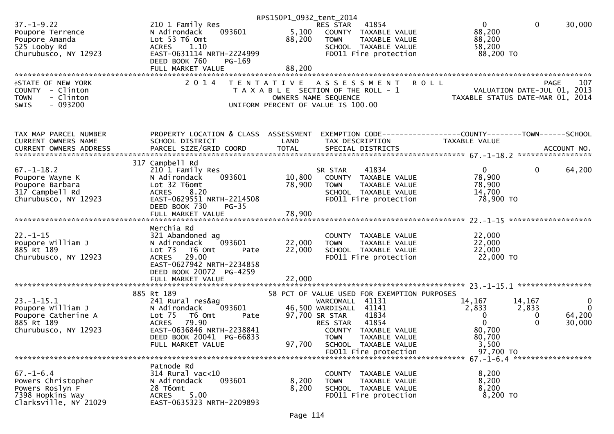|                                              |                                                      | RPS150P1_0932_tent_2014 |                                                               |                                                                 |                                  |
|----------------------------------------------|------------------------------------------------------|-------------------------|---------------------------------------------------------------|-----------------------------------------------------------------|----------------------------------|
| $37. - 1 - 9.22$                             | 210 1 Family Res                                     |                         | 41854<br>RES STAR                                             | $\mathbf{0}$                                                    | $\mathbf{0}$<br>30,000           |
| Poupore Terrence                             | 093601<br>N Adirondack                               |                         | 5,100 COUNTY TAXABLE VALUE                                    | 88,200                                                          |                                  |
| Poupore Amanda                               | Lot 53 T6 Omt                                        | 88,200                  | <b>TOWN</b><br>TAXABLE VALUE                                  | 88,200                                                          |                                  |
| 525 Looby Rd                                 | 1.10<br><b>ACRES</b>                                 |                         | SCHOOL TAXABLE VALUE                                          | 58,200                                                          |                                  |
| Churubusco, NY 12923                         | EAST-0631114 NRTH-2224999<br>DEED BOOK 760<br>PG-169 |                         | FD011 Fire protection                                         | 88,200 TO                                                       |                                  |
|                                              | FULL MARKET VALUE                                    | 88,200                  |                                                               |                                                                 |                                  |
|                                              |                                                      |                         |                                                               |                                                                 |                                  |
| <b>ISTATE OF NEW YORK</b>                    | 2 0 1 4                                              | T E N T A T I V E       | A S S E S S M E N T                                           | <b>ROLL</b>                                                     | PAGE<br>107                      |
| COUNTY - Clinton<br>- Clinton<br><b>TOWN</b> |                                                      |                         | T A X A B L E SECTION OF THE ROLL - 1<br>OWNERS NAME SEQUENCE | VALUATION DATE-JUL 01, 2013<br>TAXABLE STATUS DATE-MAR 01, 2014 |                                  |
| $-093200$<br><b>SWIS</b>                     |                                                      |                         | UNIFORM PERCENT OF VALUE IS 100.00                            |                                                                 |                                  |
|                                              |                                                      |                         |                                                               |                                                                 |                                  |
|                                              |                                                      |                         |                                                               |                                                                 |                                  |
| TAX MAP PARCEL NUMBER                        | PROPERTY LOCATION & CLASS ASSESSMENT                 |                         |                                                               | EXEMPTION CODE------------------COUNTY--------TOWN------SCHOOL  |                                  |
| CURRENT OWNERS NAME                          | SCHOOL DISTRICT                                      | LAND                    | TAX DESCRIPTION                                               | TAXABLE VALUE                                                   |                                  |
| CURRENT OWNERS ADDRESS                       |                                                      |                         |                                                               |                                                                 |                                  |
|                                              | 317 Campbell Rd                                      |                         |                                                               |                                                                 |                                  |
| $67. - 1 - 18.2$                             | 210 1 Family Res                                     |                         | 41834<br>SR STAR                                              | $\overline{0}$                                                  | $\mathbf 0$<br>64,200            |
| Poupore Wayne K                              | N Adirondack<br>093601                               | 10,800                  | COUNTY TAXABLE VALUE                                          | 78,900                                                          |                                  |
| Poupore Barbara                              | Lot 32 T6omt                                         | 78,900                  | TAXABLE VALUE<br><b>TOWN</b>                                  | 78,900                                                          |                                  |
| 317 Campbell Rd                              | 8.20<br><b>ACRES</b>                                 |                         | SCHOOL TAXABLE VALUE                                          | 14,700                                                          |                                  |
| Churubusco, NY 12923                         | EAST-0629551 NRTH-2214508                            |                         | FD011 Fire protection                                         | 78,900 TO                                                       |                                  |
|                                              | DEED BOOK 730<br>$PG-35$                             |                         |                                                               |                                                                 |                                  |
|                                              |                                                      |                         |                                                               |                                                                 |                                  |
|                                              |                                                      |                         |                                                               |                                                                 |                                  |
|                                              |                                                      |                         |                                                               |                                                                 |                                  |
|                                              | Merchia Rd                                           |                         |                                                               |                                                                 |                                  |
| $22. - 1 - 15$                               | 321 Abandoned ag                                     |                         | COUNTY TAXABLE VALUE                                          | 22,000                                                          |                                  |
| Poupore William J                            | 093601<br>N Adirondack                               | 22,000                  | TAXABLE VALUE<br><b>TOWN</b>                                  | 22,000                                                          |                                  |
| 885 Rt 189                                   | Lot 73  T6 Omt<br>Pate                               | 22,000                  | SCHOOL TAXABLE VALUE                                          | 22,000                                                          |                                  |
| Churubusco, NY 12923                         | <b>ACRES</b><br>29.00                                |                         | FD011 Fire protection                                         | 22,000 TO                                                       |                                  |
|                                              | EAST-0627942 NRTH-2234858                            |                         |                                                               |                                                                 |                                  |
|                                              | DEED BOOK 20072 PG-4259                              |                         |                                                               |                                                                 |                                  |
|                                              | FULL MARKET VALUE                                    | 22,000                  |                                                               |                                                                 |                                  |
|                                              | 885 Rt 189                                           |                         | 58 PCT OF VALUE USED FOR EXEMPTION PURPOSES                   |                                                                 |                                  |
| $23. - 1 - 15.1$                             | 241 Rural res&ag                                     |                         | WARCOMALL<br>41131                                            | 14,167                                                          | 14,167<br>$\overline{0}$         |
| Poupore William J                            | 093601<br>N Adirondack                               |                         | 46,500 WARDISALL 41141                                        | 2,833                                                           | $\overline{0}$<br>2,833          |
| Poupore Catherine A                          | Lot <sub>75</sub><br>T6 Omt<br>Pate                  |                         | 97,700 SR STAR<br>41834                                       | 0                                                               | 64,200<br>0                      |
| 885 Rt 189                                   | <b>ACRES</b><br>79.90                                |                         | 41854<br>RES STAR                                             | $\Omega$                                                        | $\Omega$<br>30,000               |
| Churubusco, NY 12923                         | EAST-0636846 NRTH-2238841                            |                         | COUNTY TAXABLE VALUE                                          | 80,700                                                          |                                  |
|                                              | DEED BOOK 20041 PG-66833                             |                         | <b>TOWN</b><br>TAXABLE VALUE                                  | 80,700                                                          |                                  |
|                                              | FULL MARKET VALUE                                    | 97,700                  | SCHOOL TAXABLE VALUE                                          | 3,500                                                           |                                  |
|                                              |                                                      |                         |                                                               | 97,700 TO                                                       |                                  |
|                                              | Patnode Rd                                           |                         |                                                               |                                                                 | 67. -1-6. 4 ******************** |
| $67. - 1 - 6.4$                              | 314 Rural vac<10                                     |                         | COUNTY TAXABLE VALUE                                          | 8,200                                                           |                                  |
| Powers Christopher                           | N Adirondack<br>093601                               | 8,200                   | <b>TOWN</b><br>TAXABLE VALUE                                  | 8,200                                                           |                                  |
| Powers Roslyn F                              | 28 T6omt                                             | 8,200                   | SCHOOL TAXABLE VALUE                                          | 8,200                                                           |                                  |
| 7398 Hopkins Way<br>Clarksville, NY 21029    | 5.00<br><b>ACRES</b><br>EAST-0635323 NRTH-2209893    |                         | FD011 Fire protection                                         | 8,200 TO                                                        |                                  |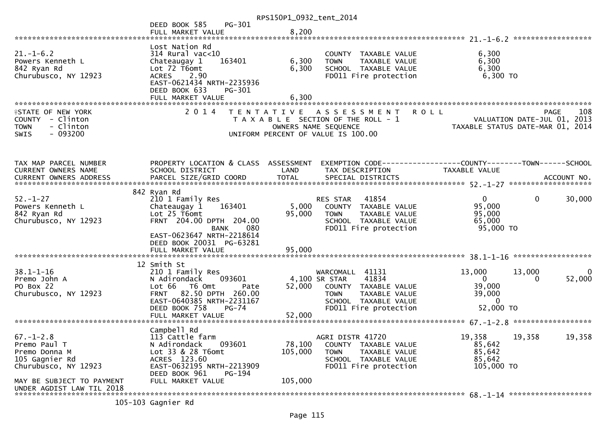|                                                                                                                                                      |                                                                                                                                                                                     | RPS150P1_0932_tent_2014      |                                                                                                                                                    |                                                                                                                                |                                                |
|------------------------------------------------------------------------------------------------------------------------------------------------------|-------------------------------------------------------------------------------------------------------------------------------------------------------------------------------------|------------------------------|----------------------------------------------------------------------------------------------------------------------------------------------------|--------------------------------------------------------------------------------------------------------------------------------|------------------------------------------------|
|                                                                                                                                                      | PG-301<br>DEED BOOK 585<br>FULL MARKET VALUE                                                                                                                                        | 8,200                        |                                                                                                                                                    |                                                                                                                                |                                                |
|                                                                                                                                                      |                                                                                                                                                                                     |                              |                                                                                                                                                    |                                                                                                                                |                                                |
| $21. - 1 - 6.2$<br>Powers Kenneth L<br>842 Ryan Rd<br>Churubusco, NY 12923                                                                           | Lost Nation Rd<br>$314$ Rural vac< $10$<br>Chateaugay 1<br>163401<br>Lot 72 T6omt<br>2.90<br><b>ACRES</b><br>EAST-0621434 NRTH-2235936<br>DEED BOOK 633<br>PG-301                   | 6,300<br>6,300               | COUNTY TAXABLE VALUE<br>TAXABLE VALUE<br><b>TOWN</b><br>SCHOOL TAXABLE VALUE<br>FD011 Fire protection                                              | 6,300<br>6,300<br>6,300<br>6,300 TO                                                                                            |                                                |
|                                                                                                                                                      |                                                                                                                                                                                     |                              |                                                                                                                                                    |                                                                                                                                |                                                |
| <b>ISTATE OF NEW YORK</b><br>COUNTY - Clinton<br>- Clinton<br><b>TOWN</b><br>$-093200$<br><b>SWIS</b>                                                | 2 0 1 4                                                                                                                                                                             |                              | TENTATIVE ASSESSMENT<br>T A X A B L E SECTION OF THE ROLL - 1<br>OWNERS NAME SEQUENCE<br>UNIFORM PERCENT OF VALUE IS 100.00                        | <b>ROLL</b><br>PAGE 108<br>VALUATION DATE-JUL 01, 2013<br>TAXARLE STATUS DATE 110 01, 2013<br>TAXABLE STATUS DATE-MAR 01, 2014 | 108<br><b>PAGE</b>                             |
| TAX MAP PARCEL NUMBER<br>CURRENT OWNERS NAME                                                                                                         | PROPERTY LOCATION & CLASS ASSESSMENT<br>SCHOOL DISTRICT                                                                                                                             | LAND                         | EXEMPTION CODE-----------------COUNTY-------TOWN------SCHOOL<br>TAX DESCRIPTION                                                                    | TAXABLE VALUE                                                                                                                  |                                                |
| $52 - 1 - 27$<br>Powers Kenneth L<br>842 Ryan Rd<br>Churubusco, NY 12923                                                                             | 842 Ryan Rd<br>210 1 Family Res<br>163401<br>Chateaugay 1<br>Lot 25 T6omt<br>FRNT 204.00 DPTH 204.00<br><b>BANK</b><br>080<br>EAST-0623647 NRTH-2218614<br>DEED BOOK 20031 PG-63281 | 5,000<br>95,000              | 41854<br>RES STAR<br>COUNTY TAXABLE VALUE<br>TAXABLE VALUE<br><b>TOWN</b><br>SCHOOL TAXABLE VALUE<br>FD011 Fire protection                         | $\mathbf{0}$<br>95,000<br>95,000<br>65,000<br>95,000 TO                                                                        | 30,000<br>$\mathbf{0}$                         |
|                                                                                                                                                      | FULL MARKET VALUE                                                                                                                                                                   | 95,000                       |                                                                                                                                                    |                                                                                                                                |                                                |
|                                                                                                                                                      |                                                                                                                                                                                     |                              |                                                                                                                                                    |                                                                                                                                |                                                |
| $38.1 - 1 - 16$<br>Premo John A<br>PO Box 22<br>Churubusco, NY 12923                                                                                 | 12 Smith St<br>210 1 Family Res<br>N Adirondack<br>093601<br>Lot 66 T6 Omt<br>Pate<br>FRNT 82.50 DPTH 260.00<br>EAST-0640385 NRTH-2231167                                           | 52,000                       | WARCOMALL 41131<br>41834<br>4,100 SR STAR<br>COUNTY TAXABLE VALUE<br><b>TOWN</b><br>TAXABLE VALUE<br>SCHOOL TAXABLE VALUE<br>FD011 Fire protection | 13,000<br>$\overline{0}$<br>39,000<br>39,000<br>$\Omega$<br>52,000 TO                                                          | 13,000<br>$\overline{0}$<br>52,000<br>$\Omega$ |
|                                                                                                                                                      | DEED BOOK 758<br><b>PG-74</b>                                                                                                                                                       |                              |                                                                                                                                                    |                                                                                                                                |                                                |
| $67. - 1 - 2.8$<br>Premo Paul T<br>Premo Donna M<br>105 Gagnier Rd<br>Churubusco, NY 12923<br>MAY BE SUBJECT TO PAYMENT<br>UNDER AGDIST LAW TIL 2018 | Campbell Rd<br>113 Cattle farm<br>093601<br>N Adirondack<br>Lot 33 & 28 T6omt<br>ACRES 123.60<br>EAST-0632195 NRTH-2213909<br>DEED BOOK 961<br><b>PG-194</b><br>FULL MARKET VALUE   | 78,100<br>105,000<br>105,000 | AGRI DISTR 41720<br>COUNTY TAXABLE VALUE<br>TAXABLE VALUE<br><b>TOWN</b><br>SCHOOL TAXABLE VALUE<br>FD011 Fire protection                          | 19,358<br>19,358<br>85,642<br>85,642<br>85,642<br>105,000 TO                                                                   | 19,358                                         |
| 105.30                                                                                                                                               |                                                                                                                                                                                     |                              |                                                                                                                                                    |                                                                                                                                |                                                |

105-103 Gagnier Rd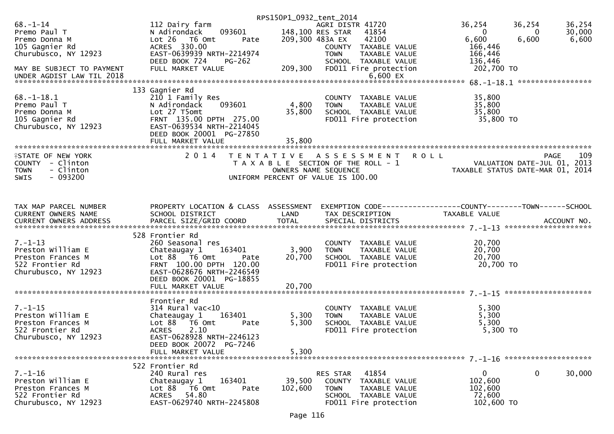|                                                           |                                                                                  | RPS150P1_0932_tent_2014 |                                                                              |                                                                        |                                                   |
|-----------------------------------------------------------|----------------------------------------------------------------------------------|-------------------------|------------------------------------------------------------------------------|------------------------------------------------------------------------|---------------------------------------------------|
| $68. - 1 - 14$<br>Premo Paul T<br>Premo Donna M           | 112 Dairy farm<br>093601<br>N Adirondack<br>Lot 26<br>T6 Omt<br>Pate             |                         | AGRI DISTR 41720<br>148,100 RES STAR<br>41854<br>209,300 483A EX<br>42100    | 36,254<br>$\mathbf{0}$<br>6,600                                        | 36,254<br>36,254<br>30,000<br>0<br>6,600<br>6,600 |
| 105 Gagnier Rd<br>Churubusco, NY 12923                    | ACRES 330.00<br>EAST-0639939 NRTH-2214974<br>DEED BOOK 724<br>PG-262             |                         | COUNTY TAXABLE VALUE<br><b>TOWN</b><br>TAXABLE VALUE<br>SCHOOL TAXABLE VALUE | 166,446<br>166,446<br>136,446                                          |                                                   |
| MAY BE SUBJECT TO PAYMENT<br>UNDER AGDIST LAW TIL 2018    | FULL MARKET VALUE                                                                | 209,300                 | FD011 Fire protection<br>$6,600$ EX                                          | 202,700 TO                                                             |                                                   |
|                                                           | 133 Gagnier Rd                                                                   |                         |                                                                              |                                                                        |                                                   |
| $68. - 1 - 18.1$<br>Premo Paul T                          | 210 1 Family Res<br>093601<br>N Adirondack                                       | 4,800                   | COUNTY TAXABLE VALUE<br>TAXABLE VALUE<br><b>TOWN</b>                         | 35,800<br>35,800                                                       |                                                   |
| Premo Donna M                                             | Lot 27 T5omt                                                                     | 35,800                  | SCHOOL TAXABLE VALUE                                                         | 35,800                                                                 |                                                   |
| 105 Gagnier Rd<br>Churubusco, NY 12923                    | FRNT 135.00 DPTH 275.00<br>EAST-0639534 NRTH-2214045<br>DEED BOOK 20001 PG-27850 |                         | FD011 Fire protection                                                        | 35,800 TO                                                              |                                                   |
|                                                           | FULL MARKET VALUE                                                                | 35,800                  |                                                                              |                                                                        |                                                   |
| <b>ISTATE OF NEW YORK</b>                                 | 2 0 1 4                                                                          |                         | TENTATIVE ASSESSMENT ROLL                                                    |                                                                        | 109<br>PAGE                                       |
| COUNTY - Clinton<br><b>TOWN</b><br>- Clinton<br>$-093200$ |                                                                                  |                         | T A X A B L E SECTION OF THE ROLL - 1<br>OWNERS NAME SEQUENCE                | 109<br>VALUATION DATE-JUL 01, 2013<br>TAXABLE STATIIS DATE-MAP 01 2014 | TAXABLE STATUS DATE-MAR 01, 2014                  |
| SWIS                                                      |                                                                                  |                         | UNIFORM PERCENT OF VALUE IS 100.00                                           |                                                                        |                                                   |
| TAX MAP PARCEL NUMBER                                     | PROPERTY LOCATION & CLASS ASSESSMENT                                             |                         | EXEMPTION CODE-----------------COUNTY--------TOWN------SCHOOL                |                                                                        |                                                   |
| CURRENT OWNERS NAME                                       | SCHOOL DISTRICT                                                                  | LAND                    | TAX DESCRIPTION                                                              | TAXABLE VALUE                                                          |                                                   |
|                                                           |                                                                                  |                         |                                                                              |                                                                        |                                                   |
|                                                           | 528 Frontier Rd                                                                  |                         |                                                                              |                                                                        |                                                   |
| $7. - 1 - 13$<br>Preston William E                        | 260 Seasonal res<br>Chateaugay 1<br>163401                                       | 3,900                   | COUNTY TAXABLE VALUE<br>TAXABLE VALUE<br><b>TOWN</b>                         | 20,700<br>20,700                                                       |                                                   |
| Preston Frances M                                         | Lot $88$ $\overline{76}$ Omt<br>Pate                                             | 20,700                  | SCHOOL TAXABLE VALUE                                                         | 20,700                                                                 |                                                   |
| 522 Frontier Rd<br>Churubusco, NY 12923                   | FRNT 100.00 DPTH 120.00<br>EAST-0628676 NRTH-2246549<br>DEED BOOK 20001 PG-18855 |                         | FD011 Fire protection                                                        | 20,700 TO                                                              |                                                   |
|                                                           |                                                                                  |                         |                                                                              |                                                                        |                                                   |
|                                                           | Frontier Rd                                                                      |                         |                                                                              |                                                                        |                                                   |
| $7. - 1 - 15$                                             | $314$ Rural vac<10                                                               |                         | COUNTY TAXABLE VALUE                                                         | 5,300                                                                  |                                                   |
| Preston William E                                         | 163401<br>Chateaugay 1                                                           | 5,300                   | TAXABLE VALUE<br><b>TOWN</b>                                                 | 5,300                                                                  |                                                   |
| Preston Frances M                                         | Lot 88 T6 Omt<br>Pate                                                            | 5,300                   | SCHOOL TAXABLE VALUE                                                         | 5,300                                                                  |                                                   |
| 522 Frontier Rd<br>Churubusco, NY 12923                   | <b>ACRES</b><br>2.10<br>EAST-0628928 NRTH-2246123                                |                         | FD011 Fire protection                                                        | 5,300 TO                                                               |                                                   |
|                                                           | DEED BOOK 20072 PG-7246                                                          |                         |                                                                              |                                                                        |                                                   |
|                                                           | FULL MARKET VALUE                                                                | 5,300                   |                                                                              |                                                                        |                                                   |
|                                                           | 522 Frontier Rd                                                                  |                         |                                                                              |                                                                        |                                                   |
| $7. - 1 - 16$<br>Preston William E                        | 240 Rural res<br>163401                                                          | 39,500                  | RES STAR<br>41854<br>COUNTY TAXABLE VALUE                                    | $\mathbf{0}$<br>102,600                                                | $\mathbf 0$<br>30,000                             |
| Preston Frances M                                         | Chateaugay 1<br>Lot 88<br>$-$ T6 Omt<br>Pate                                     | 102,600                 | <b>TOWN</b><br>TAXABLE VALUE                                                 | 102,600                                                                |                                                   |
| 522 Frontier Rd                                           | 54.80<br><b>ACRES</b>                                                            |                         | SCHOOL TAXABLE VALUE                                                         | 72,600                                                                 |                                                   |
| Churubusco, NY 12923                                      | EAST-0629740 NRTH-2245808                                                        |                         | FD011 Fire protection                                                        | 102,600 TO                                                             |                                                   |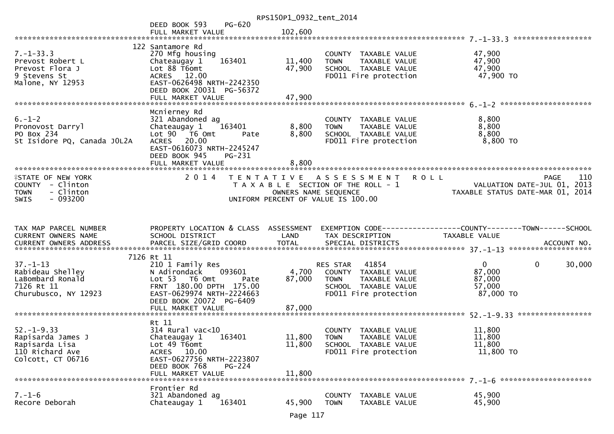|                                     |                                                      | RPS150P1_0932_tent_2014 |                                                         |                                                                 |
|-------------------------------------|------------------------------------------------------|-------------------------|---------------------------------------------------------|-----------------------------------------------------------------|
|                                     | <b>PG-620</b><br>DEED BOOK 593                       |                         |                                                         |                                                                 |
|                                     | FULL MARKET VALUE                                    | 102,600                 |                                                         |                                                                 |
|                                     | 122 Santamore Rd                                     |                         |                                                         |                                                                 |
| $7. - 1 - 33.3$                     | 270 Mfg housing                                      |                         | COUNTY TAXABLE VALUE                                    | 47,900                                                          |
| Prevost Robert L                    | 163401<br>Chateaugay 1                               | 11,400                  | TAXABLE VALUE<br><b>TOWN</b>                            | 47,900                                                          |
| Prevost Flora J                     | Lot 88 T6omt                                         | 47,900                  | SCHOOL TAXABLE VALUE                                    | 47,900                                                          |
| 9 Stevens St<br>Malone, NY 12953    | ACRES 12.00<br>EAST-0626498 NRTH-2242350             |                         | FD011 Fire protection                                   | 47,900 TO                                                       |
|                                     | DEED BOOK 20031 PG-56372                             |                         |                                                         |                                                                 |
|                                     |                                                      |                         |                                                         |                                                                 |
|                                     |                                                      |                         |                                                         |                                                                 |
|                                     | Mcnierney Rd                                         |                         |                                                         |                                                                 |
| $6. - 1 - 2$<br>Pronovost Darryl    | 321 Abandoned ag<br>163401<br>Chateaugay 1           | 8,800                   | COUNTY TAXABLE VALUE<br><b>TOWN</b><br>TAXABLE VALUE    | 8,800<br>8,800                                                  |
| PO Box 234                          | Lot 90 T6 Omt<br>Pate                                | 8,800                   | SCHOOL TAXABLE VALUE                                    | 8,800                                                           |
| St Isidore PQ, Canada JOL2A         | ACRES 20.00                                          |                         | FD011 Fire protection                                   | 8,800 TO                                                        |
|                                     | EAST-0616073 NRTH-2245247                            |                         |                                                         |                                                                 |
|                                     | DEED BOOK 945<br>PG-231                              | 8,800                   |                                                         |                                                                 |
|                                     | FULL MARKET VALUE                                    |                         |                                                         |                                                                 |
| <b>ISTATE OF NEW YORK</b>           | 2 0 1 4                                              | T E N T A T I V E       | A S S E S S M E N T<br><b>ROLL</b>                      | 110<br>PAGE                                                     |
| COUNTY - Clinton                    |                                                      |                         | T A X A B L E SECTION OF THE ROLL - 1                   | VALUATION DATE-JUL 01, 2013<br>TAXABLE STATUS DATE-MAR 01, 2014 |
| - Clinton<br><b>TOWN</b>            |                                                      | OWNERS NAME SEQUENCE    |                                                         |                                                                 |
| - 093200<br><b>SWIS</b>             |                                                      |                         | UNIFORM PERCENT OF VALUE IS 100.00                      |                                                                 |
|                                     |                                                      |                         |                                                         |                                                                 |
|                                     |                                                      |                         |                                                         |                                                                 |
|                                     |                                                      |                         |                                                         |                                                                 |
| TAX MAP PARCEL NUMBER               | PROPERTY LOCATION & CLASS ASSESSMENT                 |                         |                                                         | EXEMPTION CODE-----------------COUNTY-------TOWN------SCHOOL    |
| CURRENT OWNERS NAME                 | SCHOOL DISTRICT                                      | LAND                    | TAX DESCRIPTION                                         | TAXABLE VALUE                                                   |
|                                     |                                                      |                         |                                                         |                                                                 |
|                                     | 7126 Rt 11                                           |                         |                                                         |                                                                 |
| $37. - 1 - 13$                      | 210 1 Family Res                                     |                         | 41854<br>RES STAR                                       | $\mathbf{0}$<br>$\mathbf{0}$<br>30,000                          |
| Rabideau Shelley                    | N Adirondack<br>093601                               | 4,700                   | COUNTY TAXABLE VALUE                                    | 87,000                                                          |
| LaBombard Ronald                    | Lot 53 T6 Omt<br>Pate                                | 87,000                  | <b>TOWN</b><br>TAXABLE VALUE                            | 87,000                                                          |
| 7126 Rt 11                          | FRNT 180.00 DPTH 175.00                              |                         | SCHOOL TAXABLE VALUE                                    | 57,000                                                          |
| Churubusco, NY 12923                | EAST-0629974 NRTH-2224663<br>DEED BOOK 20072 PG-6409 |                         | FD011 Fire protection                                   | 87,000 TO                                                       |
|                                     | FULL MARKET VALUE                                    | 87,000                  |                                                         |                                                                 |
|                                     |                                                      |                         |                                                         |                                                                 |
|                                     | Rt 11                                                |                         |                                                         |                                                                 |
| $52. - 1 - 9.33$                    | $314$ Rural vac<10                                   |                         | COUNTY<br>TAXABLE VALUE                                 | 11,800                                                          |
| Rapisarda James J<br>Rapisarda Lisa | Chateaugay 1<br>163401<br>Lot 49 T6omt               | 11,800                  | <b>TOWN</b><br>TAXABLE VALUE<br>SCHOOL TAXABLE VALUE    | 11,800<br>11,800                                                |
| 110 Richard Ave                     | ACRES 10.00                                          | 11,800                  | FD011 Fire protection                                   | 11,800 TO                                                       |
| Colcott, CT 06716                   | EAST-0627756 NRTH-2223807                            |                         |                                                         |                                                                 |
|                                     | DEED BOOK 768<br>$PG-224$                            |                         |                                                         |                                                                 |
|                                     | FULL MARKET VALUE                                    | 11,800                  |                                                         |                                                                 |
|                                     | Frontier Rd                                          |                         |                                                         |                                                                 |
| $7. - 1 - 6$<br>Recore Deborah      | 321 Abandoned ag<br>Chateaugay 1<br>163401           | 45,900                  | COUNTY<br>TAXABLE VALUE<br><b>TOWN</b><br>TAXABLE VALUE | 45,900<br>45,900                                                |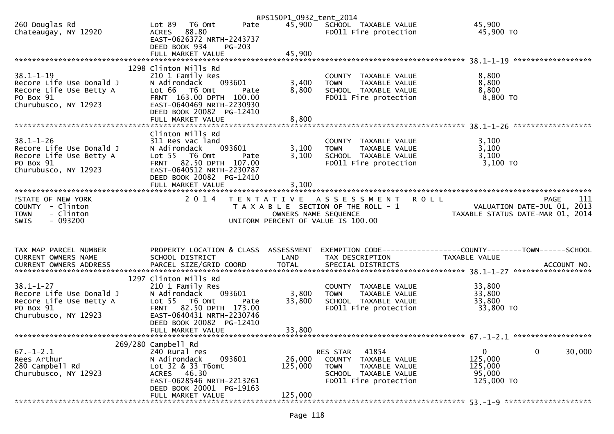|                                                     |                                                                                                       | RPS150P1_0932_tent_2014 |                                                      |                                                                 |     |
|-----------------------------------------------------|-------------------------------------------------------------------------------------------------------|-------------------------|------------------------------------------------------|-----------------------------------------------------------------|-----|
| 260 Douglas Rd<br>Chateaugay, NY 12920              | Lot 89<br>T6 Omt<br>Pate<br>88.80<br><b>ACRES</b><br>EAST-0626372 NRTH-2243737                        | 45,900                  | SCHOOL TAXABLE VALUE<br>FD011 Fire protection        | 45,900<br>45,900 TO                                             |     |
|                                                     | DEED BOOK 934<br>$PG-203$<br>FULL MARKET VALUE                                                        | 45,900                  |                                                      |                                                                 |     |
|                                                     | 1298 Clinton Mills Rd                                                                                 |                         |                                                      |                                                                 |     |
| $38.1 - 1 - 19$                                     | 210 1 Family Res                                                                                      |                         | COUNTY TAXABLE VALUE                                 | 8,800                                                           |     |
| Recore Life Use Donald J                            | N Adirondack<br>093601                                                                                | 3,400                   | TAXABLE VALUE<br><b>TOWN</b>                         | 8,800                                                           |     |
| Recore Life Use Betty A                             | Lot 66 T6 Omt<br>Pate                                                                                 | 8,800                   | SCHOOL TAXABLE VALUE                                 | 8,800                                                           |     |
| PO Box 91<br>Churubusco, NY 12923                   | FRNT 163.00 DPTH 100.00<br>EAST-0640469 NRTH-2230930<br>DEED BOOK 20082 PG-12410<br>FULL MARKET VALUE | 8,800                   | FD011 Fire protection                                | 8,800 TO                                                        |     |
|                                                     |                                                                                                       |                         |                                                      |                                                                 |     |
|                                                     | Clinton Mills Rd                                                                                      |                         |                                                      |                                                                 |     |
| $38.1 - 1 - 26$                                     | 311 Res vac land                                                                                      |                         | COUNTY TAXABLE VALUE                                 | 3,100                                                           |     |
| Recore Life Use Donald J<br>Recore Life Use Betty A | N Adirondack<br>093601<br>Lot 55 T6 Omt<br>Pate                                                       | 3,100<br>3,100          | TAXABLE VALUE<br><b>TOWN</b><br>SCHOOL TAXABLE VALUE | 3,100<br>3,100                                                  |     |
| PO Box 91                                           | FRNT 82.50 DPTH 107.00                                                                                |                         | FD011 Fire protection                                | 3,100 TO                                                        |     |
| Churubusco, NY 12923                                | EAST-0640512 NRTH-2230787                                                                             |                         |                                                      |                                                                 |     |
|                                                     | DEED BOOK 20082 PG-12410                                                                              |                         |                                                      |                                                                 |     |
|                                                     |                                                                                                       | 3,100                   |                                                      |                                                                 |     |
|                                                     |                                                                                                       |                         |                                                      |                                                                 |     |
| <b>ISTATE OF NEW YORK</b>                           | 2014                                                                                                  |                         | TENTATIVE ASSESSMENT<br><b>ROLL</b>                  | PAGE                                                            | 111 |
| COUNTY - Clinton<br>- Clinton<br><b>TOWN</b>        |                                                                                                       | OWNERS NAME SEQUENCE    | T A X A B L E SECTION OF THE ROLL - 1                | VALUATION DATE-JUL 01, 2013<br>TAXABLE STATUS DATE-MAR 01, 2014 |     |
| $-093200$<br>SWIS                                   |                                                                                                       |                         | UNIFORM PERCENT OF VALUE IS 100.00                   |                                                                 |     |
|                                                     |                                                                                                       |                         |                                                      |                                                                 |     |
| TAX MAP PARCEL NUMBER                               | PROPERTY LOCATION & CLASS ASSESSMENT                                                                  |                         |                                                      |                                                                 |     |
| <b>CURRENT OWNERS NAME</b>                          | SCHOOL DISTRICT                                                                                       | LAND                    | TAX DESCRIPTION                                      | TAXABLE VALUE                                                   |     |
|                                                     |                                                                                                       |                         |                                                      |                                                                 |     |
|                                                     | 1297 Clinton Mills Rd                                                                                 |                         |                                                      |                                                                 |     |
| $38.1 - 1 - 27$                                     | 210 1 Family Res                                                                                      |                         | COUNTY TAXABLE VALUE                                 | 33,800                                                          |     |
| Recore Life Use Donald J                            | N Adirondack<br>093601                                                                                | 3,800                   | TAXABLE VALUE<br><b>TOWN</b>                         | 33,800                                                          |     |
| Recore Life Use Betty A                             | Lot 55 T6 Omt<br>Pate                                                                                 | 33,800                  | SCHOOL TAXABLE VALUE                                 | 33,800                                                          |     |
| PO Box 91                                           | <b>FRNT</b><br>82.50 DPTH 173.00                                                                      |                         | FD011 Fire protection                                | 33,800 TO                                                       |     |
| Churubusco, NY 12923                                | EAST-0640431 NRTH-2230746                                                                             |                         |                                                      |                                                                 |     |
|                                                     | DEED BOOK 20082 PG-12410                                                                              |                         |                                                      |                                                                 |     |
|                                                     | FULL MARKET VALUE                                                                                     | 33,800                  |                                                      |                                                                 |     |
|                                                     | 269/280 Campbell Rd                                                                                   |                         |                                                      |                                                                 |     |
| $67. - 1 - 2.1$                                     | 240 Rural res                                                                                         |                         | 41854<br>RES STAR                                    | 30,000<br>$\mathbf 0$<br>0                                      |     |
|                                                     |                                                                                                       |                         |                                                      |                                                                 |     |
| Rees Arthur                                         | N Adirondack<br>093601                                                                                | 26,000                  | <b>COUNTY</b><br>TAXABLE VALUE                       | 125,000                                                         |     |
| 280 Campbell Rd                                     | Lot 32 & 33 T6omt                                                                                     | 125,000                 | <b>TOWN</b><br>TAXABLE VALUE                         | 125,000                                                         |     |
| Churubusco, NY 12923                                | 46.30<br>ACRES                                                                                        |                         | SCHOOL TAXABLE VALUE                                 | 95,000                                                          |     |
|                                                     | EAST-0628546 NRTH-2213261                                                                             |                         | FD011 Fire protection                                | 125,000 TO                                                      |     |
|                                                     | DEED BOOK 20001 PG-19163<br>FULL MARKET VALUE                                                         | 125,000                 |                                                      |                                                                 |     |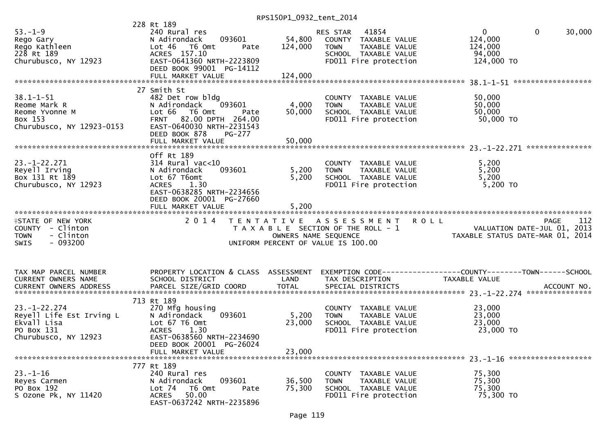|                            | 228 Rt 189                                         |                      |                                       |                                                                 |        |
|----------------------------|----------------------------------------------------|----------------------|---------------------------------------|-----------------------------------------------------------------|--------|
| $53. - 1 - 9$              | 240 Rural res                                      |                      | 41854<br>RES STAR                     | $\overline{0}$<br>$\mathbf{0}$                                  | 30,000 |
| Rego Gary                  | 093601<br>N Adirondack                             | 54,800               | COUNTY TAXABLE VALUE                  | 124,000                                                         |        |
| ռeyo Gary<br>Rego Kathleen | Lot 46 T6 Omt<br>Pate                              | 124,000              | TAXABLE VALUE<br><b>TOWN</b>          | 124,000                                                         |        |
| 228 Rt 189                 | ACRES 157.10                                       |                      | SCHOOL TAXABLE VALUE                  | 94,000                                                          |        |
|                            |                                                    |                      |                                       |                                                                 |        |
| Churubusco, NY 12923       | EAST-0641360 NRTH-2223809                          |                      | FD011 Fire protection                 | 124,000 TO                                                      |        |
|                            | DEED BOOK 99001 PG-14112                           |                      |                                       |                                                                 |        |
|                            | FULL MARKET VALUE                                  | 124,000              |                                       |                                                                 |        |
|                            |                                                    |                      |                                       |                                                                 |        |
|                            | 27 Smith St                                        |                      |                                       |                                                                 |        |
| $38.1 - 1 - 51$            | 482 Det row bldg                                   |                      | COUNTY TAXABLE VALUE                  | 50,000                                                          |        |
| Reome Mark R               | 093601<br>N Adirondack                             | 4,000                | TAXABLE VALUE<br><b>TOWN</b>          | 50,000                                                          |        |
| Reome Yvonne M             | Lot 66 T6 Omt<br>Pate                              | 50,000               | SCHOOL TAXABLE VALUE                  | 50,000                                                          |        |
|                            |                                                    |                      |                                       |                                                                 |        |
| Box 153                    | FRNT 82.00 DPTH 264.00                             |                      | FD011 Fire protection                 | 50,000 TO                                                       |        |
| Churubusco, NY 12923-0153  | EAST-0640030 NRTH-2231543                          |                      |                                       |                                                                 |        |
|                            | DEED BOOK 878<br>PG-277                            |                      |                                       |                                                                 |        |
|                            |                                                    |                      |                                       |                                                                 |        |
|                            |                                                    |                      |                                       |                                                                 |        |
|                            | Off Rt 189                                         |                      |                                       |                                                                 |        |
| $23. - 1 - 22.271$         | $314$ Rural vac<10                                 |                      | COUNTY TAXABLE VALUE                  | 5,200                                                           |        |
| Reyell Irving              | 093601<br>N Adirondack                             | 5,200                | <b>TOWN</b><br>TAXABLE VALUE          | 5,200                                                           |        |
| Box 131 Rt 189             | Lot 67 T6omt                                       | 5,200                | SCHOOL TAXABLE VALUE                  | 5,200                                                           |        |
|                            |                                                    |                      |                                       |                                                                 |        |
| Churubusco, NY 12923       | <b>ACRES</b><br>1.30                               |                      | FD011 Fire protection                 | $5,200$ TO                                                      |        |
|                            | EAST-0638285 NRTH-2234656                          |                      |                                       |                                                                 |        |
|                            | DEED BOOK 20001 PG-27660                           |                      |                                       |                                                                 |        |
|                            | FULL MARKET VALUE                                  | 5,200                |                                       |                                                                 |        |
|                            |                                                    |                      |                                       |                                                                 |        |
|                            |                                                    |                      |                                       |                                                                 |        |
|                            | 2 0 1 4                                            |                      |                                       |                                                                 | 112    |
| <b>ISTATE OF NEW YORK</b>  |                                                    |                      | TENTATIVE ASSESSMENT ROLL             | <b>PAGE</b>                                                     |        |
| COUNTY - Clinton           |                                                    |                      | T A X A B L E SECTION OF THE ROLL - 1 |                                                                 |        |
| - Clinton<br><b>TOWN</b>   |                                                    | OWNERS NAME SEQUENCE |                                       | VALUATION DATE-JUL 01, 2013<br>TAXABLE STATUS DATE-MAR 01, 2014 |        |
| $-093200$<br><b>SWIS</b>   |                                                    |                      | UNIFORM PERCENT OF VALUE IS 100.00    |                                                                 |        |
|                            |                                                    |                      |                                       |                                                                 |        |
|                            |                                                    |                      |                                       |                                                                 |        |
|                            |                                                    |                      |                                       |                                                                 |        |
| TAX MAP PARCEL NUMBER      | PROPERTY LOCATION & CLASS ASSESSMENT               |                      |                                       | EXEMPTION CODE-----------------COUNTY-------TOWN------SCHOOL    |        |
| CURRENT OWNERS NAME        | SCHOOL DISTRICT                                    | LAND                 | TAX DESCRIPTION                       | TAXABLE VALUE                                                   |        |
|                            |                                                    |                      |                                       |                                                                 |        |
| CURRENT OWNERS ADDRESS     |                                                    |                      |                                       |                                                                 |        |
|                            |                                                    |                      |                                       |                                                                 |        |
|                            | 713 Rt 189                                         |                      |                                       |                                                                 |        |
| $23. - 1 - 22.274$         | 270 Mfg housing                                    |                      | COUNTY TAXABLE VALUE                  | 23,000                                                          |        |
| Reyell Life Est Irving L   | 093601<br>N Adirondack                             | 5,200                | TAXABLE VALUE<br><b>TOWN</b>          | 23,000                                                          |        |
| Ekvall Lisa                | Lot 67 T6 Omt                                      | 23,000               | SCHOOL TAXABLE VALUE                  | 23,000                                                          |        |
| PO Box 131                 | 1.30<br><b>ACRES</b>                               |                      | FD011 Fire protection                 | 23,000 TO                                                       |        |
| Churubusco, NY 12923       | EAST-0638560 NRTH-2234690                          |                      |                                       |                                                                 |        |
|                            | DEED BOOK 20001 PG-26024                           |                      |                                       |                                                                 |        |
|                            | FULL MARKET VALUE                                  | 23,000               |                                       |                                                                 |        |
|                            |                                                    |                      |                                       |                                                                 |        |
|                            |                                                    |                      |                                       |                                                                 |        |
|                            | 777 Rt 189                                         |                      |                                       |                                                                 |        |
| $23. - 1 - 16$             | 240 Rural res                                      |                      | COUNTY TAXABLE VALUE                  | 75,300                                                          |        |
| Reyes Carmen               | 093601<br>N Adirondack                             | 36,500               | TAXABLE VALUE<br><b>TOWN</b>          | 75,300                                                          |        |
| PO Box 192                 | Lot 74<br>T6 Omt<br>Pate                           | 75,300               | SCHOOL TAXABLE VALUE                  | 75,300                                                          |        |
| S Ozone Pk, NY 11420       | 50.00<br><b>ACRES</b><br>EAST-0637242 NRTH-2235896 |                      | FD011 Fire protection                 | 75,300 TO                                                       |        |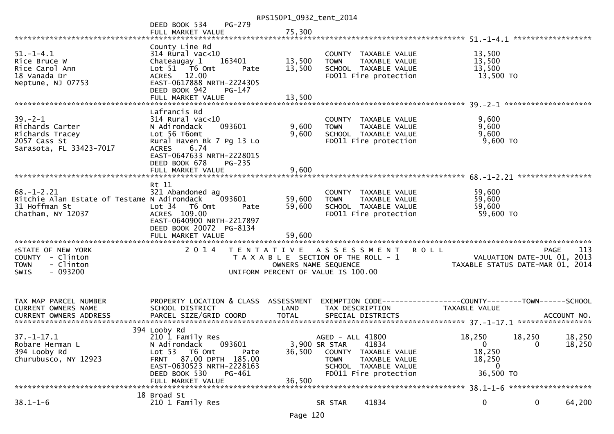|                                                                                                       |                                                                                                                                                                                                                  | RPS150P1_0932_tent_2014           |                                                                                                                                    |                                                                |                                                                                   |
|-------------------------------------------------------------------------------------------------------|------------------------------------------------------------------------------------------------------------------------------------------------------------------------------------------------------------------|-----------------------------------|------------------------------------------------------------------------------------------------------------------------------------|----------------------------------------------------------------|-----------------------------------------------------------------------------------|
|                                                                                                       | <b>PG-279</b><br>DEED BOOK 534<br>FULL MARKET VALUE                                                                                                                                                              | 75,300                            |                                                                                                                                    |                                                                |                                                                                   |
| $51.-1-4.1$<br>Rice Bruce W<br>Rice Carol Ann<br>18 Vanada Dr<br>Neptune, NJ 07753                    | County Line Rd<br>$314$ Rural vac<10<br>Chateaugay 1<br>163401<br>Lot 51 76 0mt<br>Pate<br>ACRES 12.00<br>EAST-0617888 NRTH-2224305<br>DEED BOOK 942<br>PG-147<br>FULL MARKET VALUE                              | 13,500<br>13,500<br>13,500        | COUNTY TAXABLE VALUE<br>TAXABLE VALUE<br><b>TOWN</b><br>SCHOOL TAXABLE VALUE<br>FD011 Fire protection                              | 13,500<br>13,500<br>13,500<br>13,500 TO                        |                                                                                   |
| $39 - 2 - 1$<br>Richards Carter<br>Richards Tracey<br>2057 Cass St<br>Sarasota, FL 33423-7017         | Lafrancis Rd<br>$314$ Rural vac<10<br>093601<br>N Adirondack<br>Lot 56 T6omt<br>Rural Haven Bk 7 Pg 13 Lo<br><b>ACRES</b><br>6.74<br>EAST-0647633 NRTH-2228015<br>DEED BOOK 678<br>$PG-235$<br>FULL MARKET VALUE | 9,600<br>9,600<br>9,600           | COUNTY TAXABLE VALUE<br>TAXABLE VALUE<br><b>TOWN</b><br>SCHOOL TAXABLE VALUE<br>FD011 Fire protection                              | 9,600<br>9,600<br>9,600<br>$9,600$ TO                          |                                                                                   |
| $68. - 1 - 2.21$<br>Ritchie Alan Estate of Testame N Adirondack<br>31 Hoffman St<br>Chatham, NY 12037 | Rt 11<br>321 Abandoned ag<br>093601<br>Lot 34 T6 Omt<br>Pate<br>ACRES 109.00<br>EAST-0640900 NRTH-2217897<br>DEED BOOK 20072 PG-8134                                                                             | 59,600<br>59,600                  | COUNTY TAXABLE VALUE<br>TAXABLE VALUE<br><b>TOWN</b><br>SCHOOL TAXABLE VALUE<br>FD011 Fire protection                              | 59,600<br>59,600<br>59,600<br>59,600 TO                        |                                                                                   |
| <b>ISTATE OF NEW YORK</b><br>COUNTY - Clinton<br>- Clinton<br><b>TOWN</b><br><b>SWIS</b><br>- 093200  | 2 0 1 4                                                                                                                                                                                                          | OWNERS NAME SEQUENCE              | TENTATIVE ASSESSMENT<br>T A X A B L E SECTION OF THE ROLL - 1<br>UNIFORM PERCENT OF VALUE IS 100.00                                | <b>ROLL</b>                                                    | 113<br>PAGE<br>VALUATION DATE-JUL 01,<br>2013<br>TAXABLE STATUS DATE-MAR 01, 2014 |
| TAX MAP PARCEL NUMBER<br>CURRENT OWNERS NAME                                                          | PROPERTY LOCATION & CLASS ASSESSMENT<br>SCHOOL DISTRICT                                                                                                                                                          | LAND                              | TAX DESCRIPTION                                                                                                                    | TAXABLE VALUE                                                  |                                                                                   |
| $37. - 1 - 17.1$<br>Robare Herman L<br>394 Looby Rd<br>Churubusco, NY 12923                           | 394 Looby Rd<br>210 1 Family Res<br>093601<br>N Adirondack<br>Lot 53<br>T6 Omt<br>Pate<br>87.00 DPTH 185.00<br><b>FRNT</b><br>EAST-0630523 NRTH-2228163<br>DEED BOOK 530<br>PG-461<br>FULL MARKET VALUE          | 3,900 SR STAR<br>36,500<br>36,500 | AGED - ALL 41800<br>41834<br>COUNTY TAXABLE VALUE<br><b>TOWN</b><br>TAXABLE VALUE<br>SCHOOL TAXABLE VALUE<br>FD011 Fire protection | 18,250<br>$\overline{0}$<br>18,250<br>18,250<br>0<br>36,500 TO | 18,250<br>18,250<br>18,250<br>0                                                   |
|                                                                                                       |                                                                                                                                                                                                                  |                                   |                                                                                                                                    |                                                                |                                                                                   |
| $38.1 - 1 - 6$                                                                                        | 18 Broad St<br>210 1 Family Res                                                                                                                                                                                  |                                   | 41834<br>SR STAR                                                                                                                   | 0                                                              | 0<br>64,200                                                                       |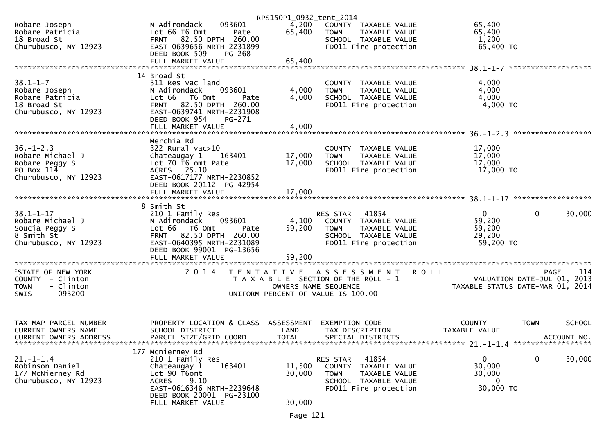|                                                     |                                                     | RPS150P1_0932_tent_2014 |                                               |                                                                 |
|-----------------------------------------------------|-----------------------------------------------------|-------------------------|-----------------------------------------------|-----------------------------------------------------------------|
| Robare Joseph                                       | 093601<br>N Adirondack                              |                         | 4,200 COUNTY TAXABLE VALUE                    | 65,400                                                          |
| Robare Patricia                                     | Lot 66 T6 Omt<br>Pate                               | 65,400                  | <b>TOWN</b><br>TAXABLE VALUE                  | 65,400                                                          |
| 18 Broad St                                         |                                                     |                         | SCHOOL TAXABLE VALUE                          | 1,200                                                           |
| Churubusco, NY 12923                                |                                                     |                         | FD011 Fire protection                         | 65,400 TO                                                       |
|                                                     | DEED BOOK 509<br>PG-268                             |                         |                                               |                                                                 |
|                                                     |                                                     |                         |                                               |                                                                 |
|                                                     | 14 Broad St                                         |                         |                                               |                                                                 |
| $38.1 - 1 - 7$                                      | 311 Res vac land                                    |                         | COUNTY TAXABLE VALUE                          | 4,000                                                           |
| Robare Joseph                                       | 093601<br>N Adirondack                              | 4,000                   | <b>TOWN</b><br>TAXABLE VALUE                  | 4,000                                                           |
| Robare Patricia                                     | Lot 66 T6 Omt<br>Pate                               | 4,000                   | SCHOOL TAXABLE VALUE<br>FDO11 Fire protection | 4,000                                                           |
| 18 Broad St                                         | FRNT 82.50 DPTH 260.00                              |                         |                                               | 4,000 TO                                                        |
| Churubusco, NY 12923                                | EAST-0639741 NRTH-2231908                           |                         |                                               |                                                                 |
|                                                     | DEED BOOK 954<br>PG-271                             |                         |                                               |                                                                 |
|                                                     |                                                     |                         |                                               |                                                                 |
|                                                     | Merchia Rd                                          |                         |                                               |                                                                 |
| $36. - 1 - 2.3$                                     | $322$ Rural vac $>10$                               |                         | COUNTY TAXABLE VALUE                          | 17,000                                                          |
| Robare Michael J                                    | Chateaugay 1<br>163401                              | 17,000                  | <b>TOWN</b><br>TAXABLE VALUE                  | 17,000                                                          |
| Robare Peggy S                                      | Lot 70 T6 omt Pate                                  | 17,000                  | SCHOOL TAXABLE VALUE                          | 17,000                                                          |
| PO Box 114                                          | ACRES 25.10                                         |                         | FD011 Fire protection                         | 17,000 TO                                                       |
| Churubusco, NY 12923                                | EAST-0617177 NRTH-2230852                           |                         |                                               |                                                                 |
|                                                     | DEED BOOK 20112 PG-42954                            |                         |                                               |                                                                 |
|                                                     |                                                     |                         |                                               |                                                                 |
|                                                     | 8 Smith St                                          |                         |                                               |                                                                 |
| $38.1 - 1 - 17$                                     | 210 1 Family Res                                    |                         | RES STAR 41854                                | $\mathbf 0$<br>$\mathbf{0}$<br>30,000                           |
| Robare Michael J                                    | N Adirondack 093601                                 |                         | 4,100 COUNTY TAXABLE VALUE                    | 59,200                                                          |
| Soucia Peggy S                                      | Lot 66 T6 Omt<br>Pate                               | 59,200                  | <b>TOWN</b><br>TAXABLE VALUE                  | 59,200                                                          |
| 8 Smith St<br>Churubusco, NY 12923                  | FRNT 82.50 DPTH 260.00<br>EAST-0640395 NRTH-2231089 |                         | SCHOOL TAXABLE VALUE<br>FD011 Fire protection | 29,200<br>59,200 TO                                             |
|                                                     | DEED BOOK 99001 PG-13656                            |                         |                                               |                                                                 |
|                                                     | FULL MARKET VALUE                                   | 59,200                  |                                               |                                                                 |
|                                                     |                                                     |                         |                                               |                                                                 |
| <b>ISTATE OF NEW YORK</b>                           | 2 0 1 4                                             |                         | TENTATIVE ASSESSMENT ROLL                     | 114<br><b>PAGE</b>                                              |
| COUNTY - Clinton                                    |                                                     |                         | T A X A B L E SECTION OF THE ROLL - 1         | VALUATION DATE-JUL 01, 2013<br>TAXABLE STATUS DATE-MAR 01, 2014 |
| - Clinton<br><b>TOWN</b><br>- 093200<br><b>SWIS</b> |                                                     | OWNERS NAME SEQUENCE    |                                               |                                                                 |
|                                                     |                                                     |                         | UNIFORM PERCENT OF VALUE IS 100.00            |                                                                 |
|                                                     |                                                     |                         |                                               |                                                                 |
|                                                     |                                                     |                         |                                               |                                                                 |
| TAX MAP PARCEL NUMBER                               | PROPERTY LOCATION & CLASS ASSESSMENT                |                         |                                               | EXEMPTION CODE-----------------COUNTY-------TOWN------SCHOOL    |
| CURRENT OWNERS NAME                                 | SCHOOL DISTRICT                                     | LAND                    | TAX DESCRIPTION                               | TAXABLE VALUE                                                   |
| CURRENT OWNERS ADDRESS                              | PARCEL SIZE/GRID COORD                              | <b>TOTAL</b>            | SPECIAL DISTRICTS                             | ACCOUNT NO.                                                     |
|                                                     | 177 Mcnierney Rd                                    |                         |                                               |                                                                 |
| $21. - 1 - 1.4$                                     | 210 1 Family Res                                    |                         | 41854<br>RES STAR                             | $\mathbf 0$<br>$\Omega$<br>30,000                               |
| Robinson Daniel                                     | Chateaugay 1<br>163401                              | 11,500                  | COUNTY TAXABLE VALUE                          | 30,000                                                          |
| 177 McNierney Rd                                    | Lot 90 T6omt                                        | 30,000                  | <b>TOWN</b><br>TAXABLE VALUE                  | 30,000                                                          |
| Churubusco, NY 12923                                | <b>ACRES</b><br>9.10                                |                         | SCHOOL TAXABLE VALUE                          | $\overline{0}$                                                  |
|                                                     | EAST-0616346 NRTH-2239648                           |                         | FD011 Fire protection                         | 30,000 TO                                                       |
|                                                     | DEED BOOK 20001 PG-23100<br>FULL MARKET VALUE       | 30,000                  |                                               |                                                                 |
|                                                     |                                                     |                         |                                               |                                                                 |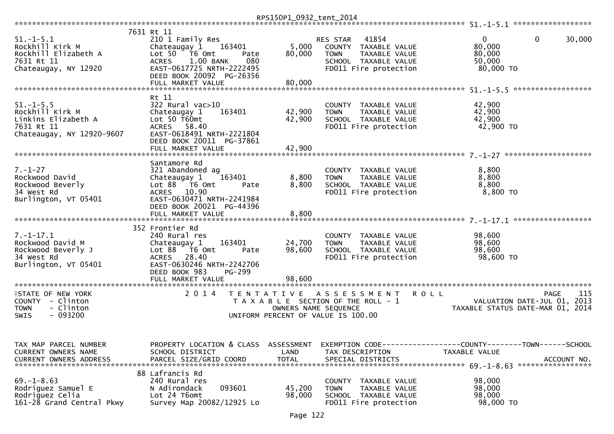|                                                                                                       |                                                                                                                                                                                               | RPS150P1_0932_tent_2014 |                                                                                                                            |                                                                                              |     |
|-------------------------------------------------------------------------------------------------------|-----------------------------------------------------------------------------------------------------------------------------------------------------------------------------------------------|-------------------------|----------------------------------------------------------------------------------------------------------------------------|----------------------------------------------------------------------------------------------|-----|
| $51. - 1 - 5.1$<br>Rockhill Kirk M<br>Rockhill Elizabeth A<br>7631 Rt 11<br>Chateaugay, NY 12920      | 7631 Rt 11<br>210 1 Family Res<br>Chateaugay 1<br>163401<br>Lot $50$ $\overline{76}$ Omt<br>Pate<br>1.00 BANK<br>080<br><b>ACRES</b><br>EAST-0617725 NRTH-2222495<br>DEED BOOK 20092 PG-26356 | 5,000<br>80,000         | RES STAR<br>41854<br>COUNTY TAXABLE VALUE<br><b>TOWN</b><br>TAXABLE VALUE<br>SCHOOL TAXABLE VALUE<br>FD011 Fire protection | $\mathbf{0}$<br>30,000<br>0<br>80,000<br>80,000<br>50,000<br>80,000 TO                       |     |
|                                                                                                       | FULL MARKET VALUE                                                                                                                                                                             | 80,000                  |                                                                                                                            |                                                                                              |     |
| $51. - 1 - 5.5$<br>Rockhill Kirk M<br>Linkins Elizabeth A<br>7631 Rt 11<br>Chateaugay, NY 12920-9607  | Rt 11<br>322 Rural vac>10<br>Chateaugay 1<br>163401<br>Lot $50$ T60 $mt$<br>ACRES 58.40<br>EAST-0618491 NRTH-2221804<br>DEED BOOK 20011 PG-37861                                              | 42,900<br>42,900        | COUNTY TAXABLE VALUE<br><b>TOWN</b><br>TAXABLE VALUE<br>SCHOOL TAXABLE VALUE<br>FD011 Fire protection                      | 42,900<br>42,900<br>42,900<br>42,900 TO                                                      |     |
|                                                                                                       | FULL MARKET VALUE                                                                                                                                                                             | 42,900                  |                                                                                                                            |                                                                                              |     |
| $7. - 1 - 27$<br>Rockwood David<br>Rockwood Beverly<br>34 West Rd<br>Burlington, VT 05401             | Santamore Rd<br>321 Abandoned ag<br>Chateaugay 1<br>163401<br>Lot 88 T6 Omt<br>Pate<br>ACRES 10.90<br>EAST-0630471 NRTH-2241984<br>DEED BOOK 20021 PG-44396                                   | 8,800<br>8,800          | COUNTY TAXABLE VALUE<br>TAXABLE VALUE<br><b>TOWN</b><br>SCHOOL TAXABLE VALUE<br>FD011 Fire protection                      | 8,800<br>8,800<br>8,800<br>$8,800$ TO                                                        |     |
|                                                                                                       |                                                                                                                                                                                               |                         |                                                                                                                            |                                                                                              |     |
| $7. - 1 - 17.1$<br>Rockwood David M<br>Rockwood Beverly J<br>34 West Rd<br>Burlington, VT 05401       | 352 Frontier Rd<br>240 Rural res<br>Chateaugay 1<br>163401<br>Lot 88 T6 Omt<br>Pate<br>28.40<br><b>ACRES</b><br>EAST-0630246 NRTH-2242706<br>DEED BOOK 983<br>PG-299                          | 24,700<br>98,600        | COUNTY TAXABLE VALUE<br>TAXABLE VALUE<br><b>TOWN</b><br>SCHOOL TAXABLE VALUE<br>FD011 Fire protection                      | 98,600<br>98,600<br>98,600<br>98,600 TO                                                      |     |
|                                                                                                       | FULL MARKET VALUE                                                                                                                                                                             | 98,600                  |                                                                                                                            |                                                                                              |     |
| <b>ISTATE OF NEW YORK</b><br>COUNTY - Clinton<br>- Clinton<br><b>TOWN</b><br>$-093200$<br><b>SWIS</b> | 2 0 1 4<br>T E N T A T I V E                                                                                                                                                                  | OWNERS NAME SEQUENCE    | A S S E S S M E N T<br><b>ROLL</b><br>T A X A B L E SECTION OF THE ROLL - 1<br>UNIFORM PERCENT OF VALUE IS 100.00          | <b>PAGE</b><br>VALUATION DATE-JUL 01, 2013<br>TAXABLE STATUS DATE-MAR 01, 2014               | 115 |
| TAX MAP PARCEL NUMBER<br>CURRENT OWNERS NAME<br><b>CURRENT OWNERS ADDRESS</b>                         | PROPERTY LOCATION & CLASS ASSESSMENT<br>SCHOOL DISTRICT<br>PARCEL SIZE/GRID COORD                                                                                                             | LAND<br><b>TOTAL</b>    | TAX DESCRIPTION<br>SPECIAL DISTRICTS                                                                                       | EXEMPTION CODE-----------------COUNTY-------TOWN------SCHOOL<br>TAXABLE VALUE<br>ACCOUNT NO. |     |
| $69. - 1 - 8.63$<br>Rodriguez Samuel E<br>Rodriguez Celia<br>161-28 Grand Central Pkwy                | 88 Lafrancis Rd<br>240 Rural res<br>093601<br>N Adirondack<br>Lot 24 T6omt<br>Survey Map 20082/12925 Lo                                                                                       | 45,200<br>98,000        | COUNTY TAXABLE VALUE<br>TAXABLE VALUE<br><b>TOWN</b><br>SCHOOL TAXABLE VALUE<br>FD011 Fire protection                      | 98,000<br>98,000<br>98,000<br>98,000 TO                                                      |     |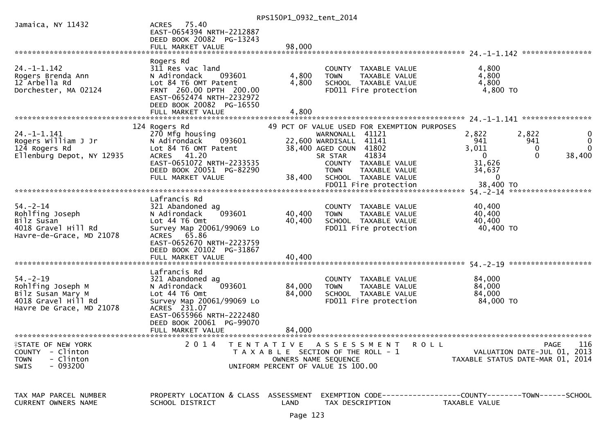|                                                                                                                         |                                                                                                                                                                                   | RPS150P1_0932_tent_2014 |                                                                                                                             |                                         |                                                                                       |
|-------------------------------------------------------------------------------------------------------------------------|-----------------------------------------------------------------------------------------------------------------------------------------------------------------------------------|-------------------------|-----------------------------------------------------------------------------------------------------------------------------|-----------------------------------------|---------------------------------------------------------------------------------------|
| Jamaica, NY 11432                                                                                                       | 75.40<br><b>ACRES</b><br>EAST-0654394 NRTH-2212887<br>DEED BOOK 20082 PG-13243                                                                                                    |                         |                                                                                                                             |                                         |                                                                                       |
|                                                                                                                         |                                                                                                                                                                                   |                         |                                                                                                                             |                                         |                                                                                       |
|                                                                                                                         |                                                                                                                                                                                   |                         |                                                                                                                             |                                         |                                                                                       |
| $24. - 1 - 1.142$<br>Rogers Brenda Ann<br>12 Arbella Rd<br>Dorchester, MA 02124                                         | Rogers Rd<br>311 Res vac land<br>N Adirondack<br>093601<br>Lot 84 T6 OMT Patent<br>FRNT 260.00 DPTH 200.00<br>EAST-0652474 NRTH-2232972                                           | 4,800<br>4,800          | COUNTY TAXABLE VALUE<br><b>TOWN</b><br>TAXABLE VALUE<br>SCHOOL TAXABLE VALUE<br>FD011 Fire protection                       | 4,800<br>4,800<br>4,800<br>4,800 TO     |                                                                                       |
|                                                                                                                         | DEED BOOK 20082 PG-16550<br>FULL MARKET VALUE                                                                                                                                     | 4,800                   |                                                                                                                             | 24. –1–1.141                            | ****************                                                                      |
|                                                                                                                         | 124 Rogers Rd                                                                                                                                                                     |                         | 49 PCT OF VALUE USED FOR EXEMPTION PURPOSES                                                                                 |                                         |                                                                                       |
| $24. - 1 - 1.141$<br>Rogers William J Jr<br>124 Rogers Rd<br>Ellenburg Depot, NY 12935                                  | 270 Mfg housing<br>N Adirondack<br>093601<br>Lot 84 T6 OMT Patent<br>41.20<br><b>ACRES</b>                                                                                        |                         | WARNONALL 41121<br>22,600 WARDISALL 41141<br>38,400 AGED COUN 41802<br>41834<br>SR STAR                                     | 2,822<br>941<br>3,011<br>$\mathbf{0}$   | 2,822<br>$\Omega$<br>941<br>$\Omega$<br>0<br>$\Omega$<br>38,400                       |
|                                                                                                                         | EAST-0651072 NRTH-2233535<br>DEED BOOK 20051 PG-82290<br>FULL MARKET VALUE                                                                                                        | 38,400                  | COUNTY TAXABLE VALUE<br><b>TOWN</b><br>TAXABLE VALUE<br>SCHOOL TAXABLE VALUE                                                | 31,626<br>34,637<br>0                   |                                                                                       |
|                                                                                                                         |                                                                                                                                                                                   |                         |                                                                                                                             |                                         |                                                                                       |
| $54. - 2 - 14$<br>Rohlfing Joseph<br>Bilz Susan<br>4018 Gravel Hill Rd<br>Havre-de-Grace, MD 21078                      | Lafrancis Rd<br>321 Abandoned ag<br>093601<br>N Adirondack<br>Lot 44 76 0mt<br>Survey Map 20061/99069 Lo<br>ACRES 65.86<br>EAST-0652670 NRTH-2223759<br>DEED BOOK 20102 PG-31867  | 40,400<br>40,400        | COUNTY TAXABLE VALUE<br><b>TOWN</b><br>TAXABLE VALUE<br>SCHOOL TAXABLE VALUE<br>FD011 Fire protection                       | 40,400<br>40,400<br>40,400<br>40,400 TO |                                                                                       |
|                                                                                                                         | FULL MARKET VALUE                                                                                                                                                                 | 40,400                  |                                                                                                                             |                                         |                                                                                       |
| $54. - 2 - 19$<br>Rohlfing Joseph M<br>Bilz Susan Mary M<br>4018 Gravel Hill Rd<br>Havre De Grace, MD 21078             | Lafrancis Rd<br>321 Abandoned ag<br>093601<br>N Adirondack<br>Lot 44 76 0mt<br>Survey Map 20061/99069 Lo<br>ACRES 231.07<br>EAST-0655966 NRTH-2222480<br>DEED BOOK 20061 PG-99070 | 84,000<br>84,000        | COUNTY TAXABLE VALUE<br>TAXABLE VALUE<br><b>TOWN</b><br>SCHOOL TAXABLE VALUE<br>FD011 Fire protection                       | 84,000<br>84,000<br>84,000<br>84,000 TO |                                                                                       |
|                                                                                                                         | FULL MARKET VALUE                                                                                                                                                                 | 84,000                  |                                                                                                                             |                                         |                                                                                       |
| <b><i><del>ISTATE OF NEW YORK</del></i></b><br>COUNTY - Clinton<br><b>TOWN</b><br>- Clinton<br>$-093200$<br><b>SWIS</b> | 2014                                                                                                                                                                              |                         | TENTATIVE ASSESSMENT<br>T A X A B L E SECTION OF THE ROLL - 1<br>OWNERS NAME SEQUENCE<br>UNIFORM PERCENT OF VALUE IS 100.00 | <b>ROLL</b>                             | 116<br><b>PAGE</b><br>VALUATION DATE-JUL 01, 2013<br>TAXABLE STATUS DATE-MAR 01, 2014 |
| TAX MAP PARCEL NUMBER<br><b>CURRENT OWNERS NAME</b>                                                                     | PROPERTY LOCATION & CLASS ASSESSMENT<br>SCHOOL DISTRICT                                                                                                                           | LAND                    | EXEMPTION CODE-----------------COUNTY-------TOWN------SCHOOL<br>TAX DESCRIPTION                                             | TAXABLE VALUE                           |                                                                                       |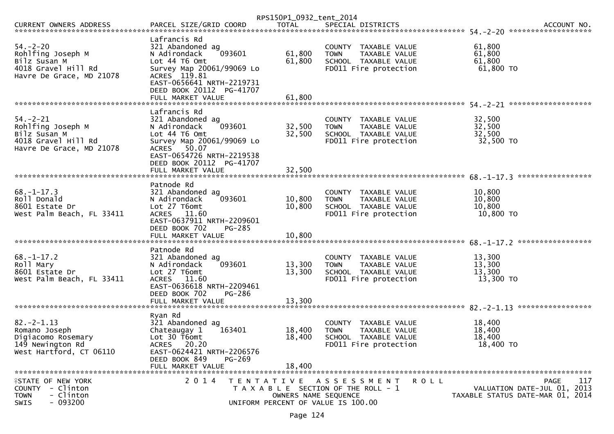|                                                                                                        |                                                                                                                                                                                                       | RPS150P1_0932_tent_2014    |                                                                                                                 |                                         |                                                                                |
|--------------------------------------------------------------------------------------------------------|-------------------------------------------------------------------------------------------------------------------------------------------------------------------------------------------------------|----------------------------|-----------------------------------------------------------------------------------------------------------------|-----------------------------------------|--------------------------------------------------------------------------------|
| CURRENT OWNERS ADDRESS                                                                                 | PARCEL SIZE/GRID COORD                                                                                                                                                                                | <b>TOTAL</b>               | SPECIAL DISTRICTS                                                                                               |                                         | ACCOUNT NO.                                                                    |
| $54. - 2 - 20$<br>Rohlfing Joseph M<br>Bilz Susan M<br>4018 Gravel Hill Rd<br>Havre De Grace, MD 21078 | Lafrancis Rd<br>321 Abandoned ag<br>093601<br>N Adirondack<br>Lot 44 T6 Omt<br>Survey Map 20061/99069 Lo<br>ACRES 119.81<br>EAST-0656641 NRTH-2219731<br>DEED BOOK 20112 PG-41707                     | 61,800<br>61,800           | COUNTY TAXABLE VALUE<br>TAXABLE VALUE<br><b>TOWN</b><br>SCHOOL TAXABLE VALUE<br>FD011 Fire protection           | 61,800<br>61,800<br>61,800<br>61,800 TO | *******************                                                            |
| $54. - 2 - 21$<br>Rohlfing Joseph M<br>Bilz Susan M<br>4018 Gravel Hill Rd<br>Havre De Grace, MD 21078 | Lafrancis Rd<br>321 Abandoned ag<br>093601<br>N Adirondack<br>Lot 44 76 0mt<br>Survey Map 20061/99069 Lo<br>ACRES 50.07<br>EAST-0654726 NRTH-2219538<br>DEED BOOK 20112 PG-41707<br>FULL MARKET VALUE | 32,500<br>32,500<br>32,500 | COUNTY TAXABLE VALUE<br>TAXABLE VALUE<br><b>TOWN</b><br>SCHOOL TAXABLE VALUE<br>FD011 Fire protection           | 32,500<br>32,500<br>32,500<br>32,500 TO | *****************                                                              |
| $68. - 1 - 17.3$<br>Roll Donald<br>8601 Estate Dr<br>West Palm Beach, FL 33411                         | Patnode Rd<br>321 Abandoned ag<br>093601<br>N Adirondack<br>Lot 27 T6omt<br>ACRES 11.60<br>EAST-0637911 NRTH-2209601<br>DEED BOOK 702<br><b>PG-285</b><br>FULL MARKET VALUE                           | 10,800<br>10,800<br>10,800 | COUNTY TAXABLE VALUE<br><b>TOWN</b><br>TAXABLE VALUE<br>SCHOOL TAXABLE VALUE<br>FD011 Fire protection           | 10,800<br>10,800<br>10,800<br>10,800 TO | *****************                                                              |
| $68. - 1 - 17.2$<br>Roll Mary<br>8601 Estate Dr<br>West Palm Beach, FL 33411                           | Patnode Rd<br>321 Abandoned ag<br>093601<br>N Adirondack<br>Lot 27 T6omt<br>ACRES 11.60<br>EAST-0636618 NRTH-2209461<br>DEED BOOK 702<br>PG-286                                                       | 13,300<br>13,300           | <b>COUNTY</b><br>TAXABLE VALUE<br><b>TOWN</b><br>TAXABLE VALUE<br>SCHOOL TAXABLE VALUE<br>FD011 Fire protection | 13,300<br>13,300<br>13,300<br>13,300 TO |                                                                                |
| $82 - 2 - 1.13$<br>Romano Joseph<br>Digiacomo Rosemary<br>149 Newington Rd<br>West Hartford, CT 06110  | Ryan Rd<br>321 Abandoned ag<br>163401<br>Chateaugay 1<br>Lot 30 T6omt<br>ACRES 20.20<br>EAST-0624421 NRTH-2206576<br>DEED BOOK 849<br>$PG-269$<br>FULL MARKET VALUE                                   | 18,400<br>18,400<br>18,400 | COUNTY TAXABLE VALUE<br><b>TOWN</b><br>TAXABLE VALUE<br>SCHOOL TAXABLE VALUE<br>FD011 Fire protection           | 18,400<br>18,400<br>18,400<br>18,400 TO |                                                                                |
| <b>ISTATE OF NEW YORK</b><br>COUNTY - Clinton<br>- Clinton<br><b>TOWN</b><br>$-093200$<br><b>SWIS</b>  | 2 0 1 4                                                                                                                                                                                               | OWNERS NAME SEQUENCE       | TENTATIVE ASSESSMENT<br>ROLL<br>T A X A B L E SECTION OF THE ROLL - 1<br>UNIFORM PERCENT OF VALUE IS 100.00     |                                         | 117<br>PAGE<br>VALUATION DATE-JUL 01, 2013<br>TAXABLE STATUS DATE-MAR 01, 2014 |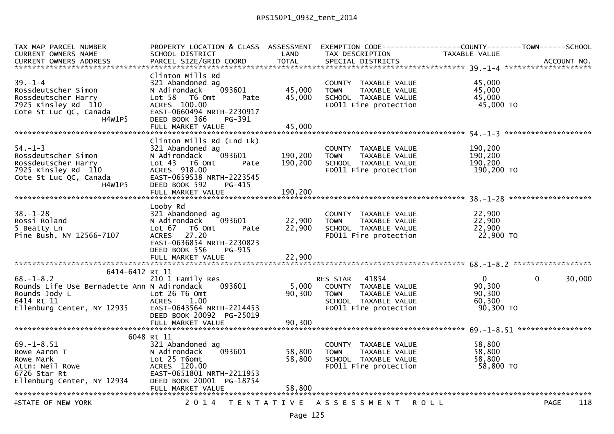| TAX MAP PARCEL NUMBER<br>CURRENT OWNERS NAME<br><b>CURRENT OWNERS ADDRESS</b>                                          | PROPERTY LOCATION & CLASS ASSESSMENT EXEMPTION CODE----------------COUNTY-------TOWN------SCHOOL<br>SCHOOL DISTRICT<br>PARCEL SIZE/GRID COORD                                                 | LAND<br><b>TOTAL</b>          | TAX DESCRIPTION<br>SPECIAL DISTRICTS                                                                                                  | TAXABLE VALUE                                | ACCOUNT NO.            |
|------------------------------------------------------------------------------------------------------------------------|-----------------------------------------------------------------------------------------------------------------------------------------------------------------------------------------------|-------------------------------|---------------------------------------------------------------------------------------------------------------------------------------|----------------------------------------------|------------------------|
|                                                                                                                        |                                                                                                                                                                                               |                               |                                                                                                                                       |                                              |                        |
| $39. - 1 - 4$<br>Rossdeutscher Simon<br>Rossdeutscher Harry<br>7925 Kinsley Rd 110<br>Cote St Luc QC, Canada<br>H4W1P5 | Clinton Mills Rd<br>321 Abandoned ag<br>093601<br>N Adirondack<br>Lot 58 T6 Omt<br>Pate<br>ACRES 100.00<br>EAST-0660494 NRTH-2230917<br>DEED BOOK 366<br>PG-391                               | 45,000<br>45,000              | COUNTY TAXABLE VALUE<br>TAXABLE VALUE<br><b>TOWN</b><br>SCHOOL TAXABLE VALUE<br>FDO11 Fire protection                                 | 45,000<br>45,000<br>45,000<br>45,000 TO      |                        |
|                                                                                                                        |                                                                                                                                                                                               |                               |                                                                                                                                       |                                              |                        |
| $54. - 1 - 3$<br>Rossdeutscher Simon<br>Rossdeutscher Harry<br>7925 Kinsley Rd 110<br>Cote St Luc QC, Canada<br>H4W1P5 | Clinton Mills Rd (Lnd Lk)<br>321 Abandoned ag<br>N Adirondack<br>093601<br>Lot 43 T6 Omt<br>Pate<br>ACRES 918.00<br>EAST-0659538 NRTH-2223545<br>DEED BOOK 592<br>PG-415<br>FULL MARKET VALUE | 190,200<br>190,200<br>190,200 | COUNTY TAXABLE VALUE<br><b>TOWN</b><br>TAXABLE VALUE<br>SCHOOL TAXABLE VALUE<br>FD011 Fire protection                                 | 190,200<br>190,200<br>190,200<br>190,200 TO  |                        |
|                                                                                                                        |                                                                                                                                                                                               |                               |                                                                                                                                       |                                              |                        |
| $38 - 1 - 28$<br>Rossi Roland<br>5 Beatty Ln<br>Pine Bush, NY 12566-7107                                               | Looby Rd<br>321 Abandoned ag<br>093601<br>N Adirondack<br>Lot 67 76 0mt<br>Pate<br>ACRES 27.20<br>EAST-0636854 NRTH-2230823<br>DEED BOOK 556<br>PG-915                                        | 22,900<br>22,900              | COUNTY TAXABLE VALUE                                                                                                                  | 22,900                                       |                        |
|                                                                                                                        |                                                                                                                                                                                               |                               |                                                                                                                                       |                                              |                        |
| 6414-6412 Rt 11                                                                                                        |                                                                                                                                                                                               |                               |                                                                                                                                       |                                              |                        |
| $68. - 1 - 8.2$<br>Rounds Life Use Bernadette Ann N Adirondack                                                         | 210 1 Family Res<br>093601<br>EAST-0643564 NRTH-2214453<br>DEED BOOK 20092 PG-25019                                                                                                           | 5,000<br>90,300               | RES STAR 41854<br>ES STAR - 41854<br>COUNTY - TAXABLE VALUE<br>TOWN<br>TAXABLE VALUE<br>SCHOOL TAXABLE VALUE<br>FD011 Fire protection | 0<br>90,300<br>90,300<br>60,300<br>90,300 TO | 30,000<br>$\mathbf{0}$ |
|                                                                                                                        |                                                                                                                                                                                               |                               |                                                                                                                                       |                                              |                        |
|                                                                                                                        | 6048 Rt 11                                                                                                                                                                                    |                               |                                                                                                                                       |                                              |                        |
| $69. - 1 - 8.51$<br>Rowe Aaron T<br>Rowe Mark<br>Attn: Neil Rowe<br>6726 Star Rt<br>Ellenburg Center, NY 12934         | 321 Abandoned ag<br>093601<br>N Adirondack<br>Lot 25 T6omt<br>ACRES 120.00<br>EAST-0651801 NRTH-2211953<br>DEED BOOK 20001 PG-18754<br>FULL MARKET VALUE                                      | 58,800<br>58,800<br>58,800    | COUNTY TAXABLE VALUE<br><b>TOWN</b><br>TAXABLE VALUE<br>SCHOOL TAXABLE VALUE<br>FD011 Fire protection                                 | 58,800<br>58,800<br>58,800<br>58,800 TO      |                        |
| <b>ASTATE OF NEW YORK</b>                                                                                              |                                                                                                                                                                                               |                               | 2014 TENTATIVE ASSESSMENT ROLL                                                                                                        |                                              | 118<br><b>PAGE</b>     |
|                                                                                                                        |                                                                                                                                                                                               |                               |                                                                                                                                       |                                              |                        |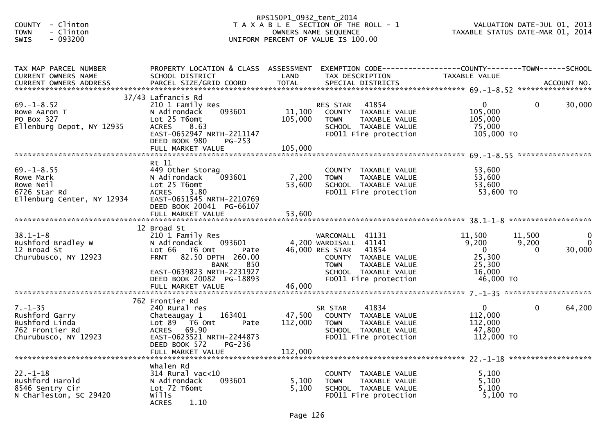| - Clinton<br><b>COUNTY</b><br>- Clinton<br><b>TOWN</b><br>SWIS<br>$-093200$                  |                                                                                                                                                                                                                  | RPS150P1_0932_tent_2014      | T A X A B L E SECTION OF THE ROLL - 1<br>OWNERS NAME SEQUENCE<br>UNIFORM PERCENT OF VALUE IS 100.00                                                                           | VALUATION DATE-JUL 01, 2013<br>TAXABLE STATUS DATE-MAR 01, 2014              |                             |                                      |
|----------------------------------------------------------------------------------------------|------------------------------------------------------------------------------------------------------------------------------------------------------------------------------------------------------------------|------------------------------|-------------------------------------------------------------------------------------------------------------------------------------------------------------------------------|------------------------------------------------------------------------------|-----------------------------|--------------------------------------|
| TAX MAP PARCEL NUMBER<br>CURRENT OWNERS NAME                                                 | PROPERTY LOCATION & CLASS ASSESSMENT<br>SCHOOL DISTRICT                                                                                                                                                          | LAND                         | EXEMPTION CODE-----------------COUNTY-------TOWN------SCHOOL<br>TAX DESCRIPTION                                                                                               | TAXABLE VALUE                                                                |                             |                                      |
|                                                                                              |                                                                                                                                                                                                                  |                              |                                                                                                                                                                               |                                                                              |                             |                                      |
| $69. - 1 - 8.52$<br>Rowe Aaron T<br>PO Box 327<br>Ellenburg Depot, NY 12935                  | 37/43 Lafrancis Rd<br>210 1 Family Res<br>093601<br>N Adirondack<br>Lot 25 T6omt<br>8.63<br><b>ACRES</b><br>EAST-0652947 NRTH-2211147<br>DEED BOOK 980<br><b>PG-253</b>                                          | 11,100<br>105,000            | 41854<br>RES STAR<br>COUNTY TAXABLE VALUE<br>TAXABLE VALUE<br><b>TOWN</b><br>SCHOOL TAXABLE VALUE<br>FD011 Fire protection                                                    | $\overline{0}$<br>105,000<br>105,000<br>75,000<br>105,000 TO                 | $\mathbf{0}$                | 30,000                               |
|                                                                                              |                                                                                                                                                                                                                  |                              |                                                                                                                                                                               |                                                                              |                             |                                      |
| $69. - 1 - 8.55$<br>Rowe Mark<br>Rowe Neil<br>6726 Star Rd<br>Ellenburg Center, NY 12934     | Rt 11<br>449 Other Storag<br>093601<br>N Adirondack<br>Lot 25 T6omt<br><b>ACRES</b><br>3.80<br>EAST-0651545 NRTH-2210769<br>DEED BOOK 20041 PG-66107                                                             | 7,200<br>53,600              | COUNTY TAXABLE VALUE<br><b>TOWN</b><br>TAXABLE VALUE<br>SCHOOL TAXABLE VALUE<br>FD011 Fire protection                                                                         | 53,600<br>53,600<br>53,600<br>53,600 TO                                      |                             |                                      |
|                                                                                              |                                                                                                                                                                                                                  |                              |                                                                                                                                                                               |                                                                              |                             |                                      |
| $38.1 - 1 - 8$<br>Rushford Bradley W<br>12 Broad St<br>Churubusco, NY 12923                  | 12 Broad St<br>210 1 Family Res<br>N Adirondack<br>093601<br>Lot 66 T6 Omt<br>Pate<br>FRNT 82.50 DPTH 260.00<br>850<br><b>BANK</b><br>EAST-0639823 NRTH-2231927<br>DEED BOOK 20082 PG-18893<br>FULL MARKET VALUE | 46,000                       | WARCOMALL 41131<br>4,200 WARDISALL 41141<br>46,000 RES STAR<br>41854<br>COUNTY TAXABLE VALUE<br><b>TOWN</b><br>TAXABLE VALUE<br>SCHOOL TAXABLE VALUE<br>FD011 Fire protection | 11,500<br>9,200<br>$\overline{0}$<br>25,300<br>25,300<br>16,000<br>46,000 TO | 11,500<br>9,200<br>$\Omega$ | $\mathbf 0$<br>$\mathbf 0$<br>30,000 |
|                                                                                              |                                                                                                                                                                                                                  |                              |                                                                                                                                                                               |                                                                              |                             |                                      |
| $7. - 1 - 35$<br>Rushford Garry<br>Rushford Linda<br>762 Frontier Rd<br>Churubusco, NY 12923 | 762 Frontier Rd<br>240 Rural res<br>163401<br>Chateaugay 1<br>Lot $89$ $\overline{76}$ Omt<br>Pate<br><b>ACRES</b><br>69.90<br>EAST-0623521 NRTH-2244873<br>PG-236<br>DEED BOOK 572<br>FULL MARKET VALUE         | 47,500<br>112,000<br>112,000 | SR STAR<br>41834<br>COUNTY TAXABLE VALUE<br><b>TOWN</b><br>TAXABLE VALUE<br>SCHOOL TAXABLE VALUE<br>FD011 Fire protection                                                     | $\mathbf{0}$<br>112,000<br>112,000<br>47,800<br>112,000 TO                   | $\mathbf{0}$                | 64,200                               |
| ******************************                                                               | Whalen Rd                                                                                                                                                                                                        |                              |                                                                                                                                                                               |                                                                              |                             |                                      |
| $22. - 1 - 18$<br>Rushford Harold<br>8546 Sentry Cir<br>N Charleston, SC 29420               | $314$ Rural vac<10<br>N Adirondack<br>093601<br>Lot 72 T6omt<br>wills<br>1.10<br><b>ACRES</b>                                                                                                                    | 5,100<br>5,100               | COUNTY TAXABLE VALUE<br>TAXABLE VALUE<br>TOWN<br>SCHOOL TAXABLE VALUE<br>FD011 Fire protection                                                                                | 5,100<br>5,100<br>5,100<br>5,100 TO                                          |                             |                                      |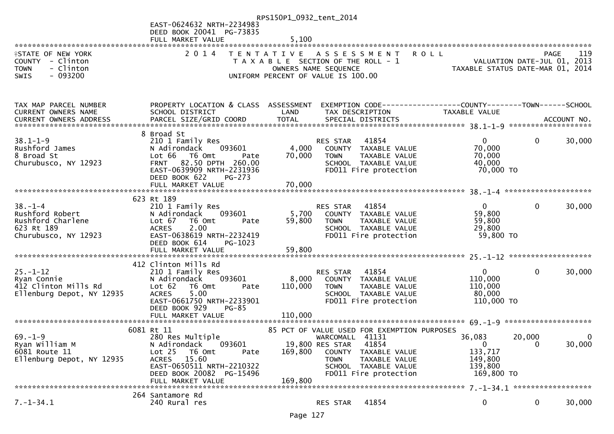|                                               |                                                   | RPS150P1_0932_tent_2014 |                                                              |                                                                 |              |             |
|-----------------------------------------------|---------------------------------------------------|-------------------------|--------------------------------------------------------------|-----------------------------------------------------------------|--------------|-------------|
|                                               | EAST-0624632 NRTH-2234983                         |                         |                                                              |                                                                 |              |             |
|                                               | DEED BOOK 20041 PG-73835                          | 5,100                   |                                                              |                                                                 |              |             |
|                                               | FULL MARKET VALUE                                 |                         |                                                              |                                                                 |              |             |
| <b>ISTATE OF NEW YORK</b><br>COUNTY - Clinton | 2 0 1 4                                           | T E N T A T I V E       | ASSESSMENT ROLL<br>T A X A B L E SECTION OF THE ROLL - 1     | VALUATION DATE-JUL 01, 2013                                     | PAGE         | 119         |
| - Clinton<br><b>TOWN</b>                      |                                                   |                         | OWNERS NAME SEQUENCE                                         | VALUATION DATE-JUL 01, 2013<br>TAXABLE STATUS DATE-MAR 01, 2014 |              |             |
| SWIS<br>$-093200$                             |                                                   |                         | UNIFORM PERCENT OF VALUE IS 100.00                           |                                                                 |              |             |
|                                               |                                                   |                         |                                                              |                                                                 |              |             |
|                                               |                                                   |                         |                                                              |                                                                 |              |             |
| TAX MAP PARCEL NUMBER                         | PROPERTY LOCATION & CLASS ASSESSMENT              |                         | EXEMPTION CODE-----------------COUNTY-------TOWN------SCHOOL |                                                                 |              |             |
| CURRENT OWNERS NAME                           | SCHOOL DISTRICT                                   | LAND                    | TAX DESCRIPTION                                              | TAXABLE VALUE                                                   |              |             |
| CURRENT OWNERS ADDRESS                        |                                                   |                         |                                                              |                                                                 |              |             |
|                                               | 8 Broad St                                        |                         |                                                              |                                                                 |              |             |
| $38.1 - 1 - 9$                                | 210 1 Family Res                                  |                         | 41854<br>RES STAR                                            | $\mathbf{0}$                                                    | $\mathbf{0}$ | 30,000      |
| Rushford James                                | N Adirondack<br>093601<br>Lot 66<br>T6 Omt        | 4,000<br>70,000         | COUNTY TAXABLE VALUE                                         | 70,000<br>70,000                                                |              |             |
| 8 Broad St<br>Churubusco, NY 12923            | Pate<br>82.50 DPTH 260.00<br><b>FRNT</b>          |                         | <b>TOWN</b><br>TAXABLE VALUE<br>SCHOOL TAXABLE VALUE         | 40,000                                                          |              |             |
|                                               | EAST-0639909 NRTH-2231936                         |                         | FD011 Fire protection                                        | 70,000 TO                                                       |              |             |
|                                               | DEED BOOK 622<br>PG-273                           |                         |                                                              |                                                                 |              |             |
|                                               |                                                   |                         |                                                              |                                                                 |              |             |
|                                               | 623 Rt 189                                        |                         |                                                              |                                                                 |              |             |
| $38. - 1 - 4$                                 | 210 1 Family Res                                  |                         | 41854<br>RES STAR                                            | $\overline{0}$                                                  | $\mathbf{0}$ | 30,000      |
| Rushford Robert                               | 093601<br>N Adirondack                            | 5,700                   | COUNTY TAXABLE VALUE                                         | 59,800                                                          |              |             |
| Rushford Charlene                             | Lot 67<br>T6 Omt<br>Pate                          | 59,800                  | TAXABLE VALUE<br><b>TOWN</b>                                 | 59,800                                                          |              |             |
| 623 Rt 189                                    | <b>ACRES</b><br>2.00                              |                         | SCHOOL TAXABLE VALUE                                         | 29,800                                                          |              |             |
| Churubusco, NY 12923                          | EAST-0638619 NRTH-2232419                         |                         | FD011 Fire protection                                        | 59,800 TO                                                       |              |             |
|                                               | DEED BOOK 614<br>PG-1023                          |                         |                                                              |                                                                 |              |             |
|                                               |                                                   |                         |                                                              |                                                                 |              |             |
|                                               | 412 Clinton Mills Rd                              |                         |                                                              |                                                                 |              |             |
| $25. - 1 - 12$                                | 210 1 Family Res                                  |                         | 41854<br>RES STAR                                            | $\mathbf{0}$                                                    | $\mathbf 0$  | 30,000      |
| Ryan Connie                                   | N Adirondack<br>093601                            | 8,000                   | COUNTY TAXABLE VALUE                                         | 110,000                                                         |              |             |
| 412 Clinton Mills Rd                          | Lot 62<br>T6 Omt<br>Pate                          | 110,000                 | <b>TOWN</b><br>TAXABLE VALUE                                 | 110,000                                                         |              |             |
| Ellenburg Depot, NY 12935                     | <b>ACRES</b><br>5.00<br>EAST-0661750 NRTH-2233901 |                         | SCHOOL TAXABLE VALUE<br>FD011 Fire protection                | 80,000<br>110,000 TO                                            |              |             |
|                                               | DEED BOOK 929<br>$PG-85$                          |                         |                                                              |                                                                 |              |             |
|                                               |                                                   |                         |                                                              |                                                                 |              |             |
|                                               |                                                   |                         |                                                              |                                                                 |              |             |
|                                               | 6081 Rt 11                                        |                         | 85 PCT OF VALUE USED FOR EXEMPTION PURPOSES                  |                                                                 |              |             |
| $69. - 1 - 9$<br>Ryan William M               | 280 Res Multiple<br>N Adirondack<br>093601        |                         | WARCOMALL 41131<br>41854<br>19,800 RES STAR                  | 36,083<br>$\mathbf{0}$                                          | 20,000<br>0  | 0<br>30,000 |
| 6081 Route 11                                 | Lot 25<br>T6 Omt<br>Pate                          | 169,800                 | COUNTY TAXABLE VALUE                                         | 133,717                                                         |              |             |
| Ellenburg Depot, NY 12935                     | ACRES 15.60                                       |                         | <b>TOWN</b><br>TAXABLE VALUE                                 | 149,800                                                         |              |             |
|                                               | EAST-0650511 NRTH-2210322                         |                         | SCHOOL TAXABLE VALUE                                         | 139,800                                                         |              |             |
|                                               | DEED BOOK 20082 PG-15496                          |                         | FD011 Fire protection                                        | 169,800 TO                                                      |              |             |
|                                               | FULL MARKET VALUE                                 | 169,800                 |                                                              |                                                                 |              |             |
|                                               | 264 Santamore Rd                                  |                         |                                                              |                                                                 |              |             |
| $7. - 1 - 34.1$                               | 240 Rural res                                     |                         | 41854<br>RES STAR                                            | 0                                                               | 0            | 30,000      |
|                                               |                                                   |                         |                                                              |                                                                 |              |             |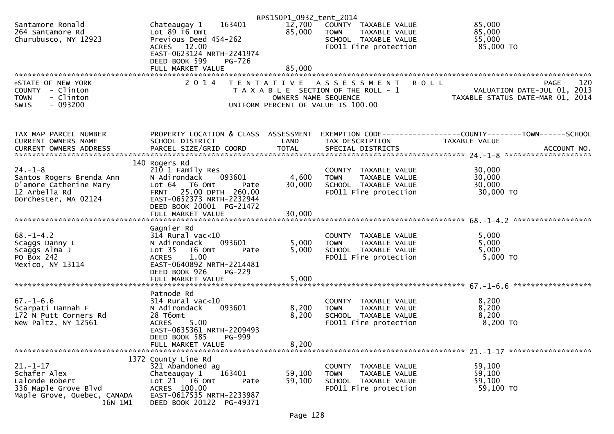|                                                                                                                   |                                                                                                                                                                                                               | RPS150P1_0932_tent_2014 |                                                                                                          |                                                                                                      |
|-------------------------------------------------------------------------------------------------------------------|---------------------------------------------------------------------------------------------------------------------------------------------------------------------------------------------------------------|-------------------------|----------------------------------------------------------------------------------------------------------|------------------------------------------------------------------------------------------------------|
| Santamore Ronald<br>264 Santamore Rd<br>Churubusco, NY 12923                                                      | 163401<br>Chateaugay 1<br>Lot $89$ T6 Omt<br>Previous Deed 454-262<br>ACRES 12.00<br>EAST-0623124 NRTH-2241974<br>DEED BOOK 599<br>PG-726                                                                     | 12,700<br>85,000        | COUNTY TAXABLE VALUE<br><b>TOWN</b><br>TAXABLE VALUE<br>SCHOOL TAXABLE VALUE<br>FD011 Fire protection    | 85,000<br>85,000<br>55,000<br>85,000 TO                                                              |
|                                                                                                                   | FULL MARKET VALUE                                                                                                                                                                                             | 85,000                  |                                                                                                          |                                                                                                      |
|                                                                                                                   | 2014                                                                                                                                                                                                          |                         |                                                                                                          |                                                                                                      |
| <b>ISTATE OF NEW YORK</b><br>COUNTY - Clinton<br>- Clinton<br><b>TOWN</b><br>$-093200$<br><b>SWIS</b>             |                                                                                                                                                                                                               | OWNERS NAME SEQUENCE    | TENTATIVE ASSESSMENT<br>T A X A B L E SECTION OF THE ROLL - 1<br>UNIFORM PERCENT OF VALUE IS 100.00      | 120<br><b>ROLL</b><br><b>PAGE</b><br>VALUATION DATE-JUL 01, 2013<br>TAXABLE STATUS DATE-MAR 01, 2014 |
| TAX MAP PARCEL NUMBER<br>CURRENT OWNERS NAME                                                                      | PROPERTY LOCATION & CLASS ASSESSMENT<br>SCHOOL DISTRICT                                                                                                                                                       | LAND                    | TAX DESCRIPTION                                                                                          | EXEMPTION CODE-----------------COUNTY--------TOWN-----SCHOOL<br>TAXABLE VALUE                        |
|                                                                                                                   |                                                                                                                                                                                                               |                         |                                                                                                          |                                                                                                      |
| $24. - 1 - 8$<br>Santos Rogers Brenda Ann<br>D'amore Catherine Mary<br>12 Arbella Rd<br>Dorchester, MA 02124      | 140 Rogers Rd<br>210 1 Family Res<br>N Adirondack<br>093601<br>Lot 64 T6 Omt<br>Pate<br>FRNT 25.00 DPTH 260.00<br>EAST-0652373 NRTH-2232944<br>DEED BOOK 20001 PG-21472                                       | 4,600<br>30,000         | COUNTY TAXABLE VALUE<br>TAXABLE VALUE<br><b>TOWN</b><br>SCHOOL TAXABLE VALUE<br>FD011 Fire protection    | 30,000<br>30,000<br>30,000<br>30,000 TO                                                              |
|                                                                                                                   |                                                                                                                                                                                                               |                         |                                                                                                          |                                                                                                      |
| $68. - 1 - 4.2$<br>Scaggs Danny L<br>Scaggs Alma J<br>PO Box 242<br>Mexico, NY 13114                              | Gagnier Rd<br>$314$ Rural vac<10<br>N Adirondack<br>093601<br>Lot <sub>35</sub><br>T6 Omt<br>Pate<br>1.00<br><b>ACRES</b><br>EAST-0640892 NRTH-2214481<br>DEED BOOK 926<br><b>PG-229</b><br>FULL MARKET VALUE | 5,000<br>5,000<br>5,000 | COUNTY TAXABLE VALUE<br>TAXABLE VALUE<br><b>TOWN</b><br>SCHOOL TAXABLE VALUE<br>FD011 Fire protection    | 5,000<br>5,000<br>5,000<br>5,000 TO                                                                  |
|                                                                                                                   | Patnode Rd                                                                                                                                                                                                    |                         |                                                                                                          |                                                                                                      |
| $67. - 1 - 6.6$<br>Scarpati Hannah F<br>172 N Putt Corners Rd<br>New Paltz, NY 12561                              | $314$ Rural vac< $10$<br>093601<br>N Adirondack<br>28 T6omt<br><b>ACRES</b><br>5.00<br>EAST-0635361 NRTH-2209493                                                                                              | 8,200<br>8,200          | COUNTY TAXABLE VALUE<br><b>TOWN</b><br>TAXABLE VALUE<br>SCHOOL TAXABLE VALUE<br>FD011 Fire protection    | 8,200<br>8,200<br>8,200<br>8,200 TO                                                                  |
|                                                                                                                   | DEED BOOK 585<br><b>PG-999</b><br>FULL MARKET VALUE                                                                                                                                                           | 8,200                   |                                                                                                          |                                                                                                      |
|                                                                                                                   |                                                                                                                                                                                                               |                         |                                                                                                          |                                                                                                      |
| $21 - 1 - 17$<br>Schafer Alex<br>Lalonde Robert<br>336 Maple Grove Blvd<br>Maple Grove, Quebec, CANADA<br>J6N 1M1 | 1372 County Line Rd<br>321 Abandoned ag<br>163401<br>Chateaugay 1<br>Lot 21 76 0mt<br>Pate<br>ACRES 100.00<br>EAST-0617535 NRTH-2233987<br>DEED BOOK 20122 PG-49371                                           | 59,100<br>59,100        | COUNTY<br>TAXABLE VALUE<br><b>TOWN</b><br>TAXABLE VALUE<br>SCHOOL TAXABLE VALUE<br>FD011 Fire protection | 59,100<br>59,100<br>59,100<br>59,100 TO                                                              |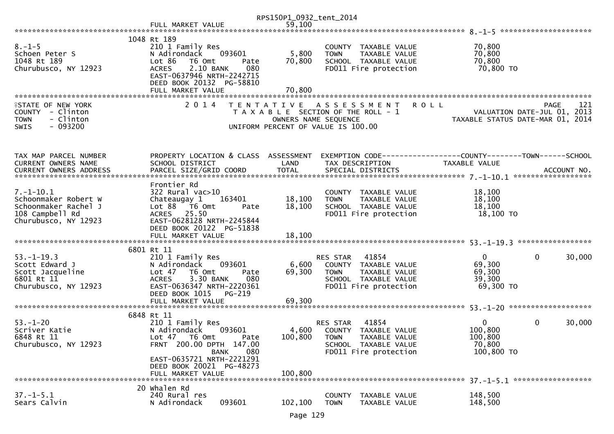|                                                                                                            |                                                                                                                                                                                          | RPS150P1_0932_tent_2014   |                                                                                                                               |                                                            |                                                   |
|------------------------------------------------------------------------------------------------------------|------------------------------------------------------------------------------------------------------------------------------------------------------------------------------------------|---------------------------|-------------------------------------------------------------------------------------------------------------------------------|------------------------------------------------------------|---------------------------------------------------|
|                                                                                                            | FULL MARKET VALUE                                                                                                                                                                        | 59,100                    |                                                                                                                               |                                                            |                                                   |
|                                                                                                            | 1048 Rt 189                                                                                                                                                                              |                           |                                                                                                                               |                                                            |                                                   |
| $8. - 1 - 5$<br>Schoen Peter S<br>1048 Rt 189<br>Churubusco, NY 12923                                      | 210 1 Family Res<br>093601<br>N Adirondack<br>Lot 86<br>T6 Omt<br>Pate<br>2.10 BANK<br><b>ACRES</b><br>080<br>EAST-0637946 NRTH-2242715<br>DEED BOOK 20132 PG-58810<br>FULL MARKET VALUE | 5,800<br>70,800<br>70,800 | COUNTY TAXABLE VALUE<br>TAXABLE VALUE<br><b>TOWN</b><br>SCHOOL TAXABLE VALUE<br>FD011 Fire protection                         | 70,800<br>70,800<br>70,800<br>70,800 TO                    |                                                   |
|                                                                                                            |                                                                                                                                                                                          |                           |                                                                                                                               |                                                            |                                                   |
| <b>ISTATE OF NEW YORK</b><br>COUNTY - Clinton<br>- Clinton<br><b>TOWN</b><br>$-093200$<br><b>SWIS</b>      | 2 0 1 4                                                                                                                                                                                  | OWNERS NAME SEQUENCE      | TENTATIVE ASSESSMENT<br><b>ROLL</b><br>T A X A B L E SECTION OF THE ROLL - 1<br>UNIFORM PERCENT OF VALUE IS 100.00            | TAXABLE STATUS DATE-MAR 01, 2014                           | 121<br><b>PAGE</b><br>VALUATION DATE-JUL 01, 2013 |
| TAX MAP PARCEL NUMBER<br>CURRENT OWNERS NAME                                                               | PROPERTY LOCATION & CLASS ASSESSMENT<br>SCHOOL DISTRICT                                                                                                                                  | LAND                      | EXEMPTION CODE-----------------COUNTY-------TOWN------SCHOOL<br>TAX DESCRIPTION                                               | <b>TAXABLE VALUE</b>                                       |                                                   |
| $7. - 1 - 10.1$<br>Schoonmaker Robert W<br>Schoonmaker Rachel J<br>108 Campbell Rd<br>Churubusco, NY 12923 | Frontier Rd<br>322 Rural vac>10<br>Chateaugay 1<br>163401<br>Lot 88 T6 Omt<br>Pate<br>ACRES 25.50<br>EAST-0628128 NRTH-2245844<br>DEED BOOK 20122 PG-51838                               | 18,100<br>18,100          | COUNTY TAXABLE VALUE<br>TAXABLE VALUE<br><b>TOWN</b><br>SCHOOL TAXABLE VALUE<br>FD011 Fire protection                         | 18,100<br>18,100<br>18,100<br>18,100 TO                    |                                                   |
|                                                                                                            | 6801 Rt 11                                                                                                                                                                               |                           |                                                                                                                               |                                                            |                                                   |
| $53. - 1 - 19.3$<br>Scott Edward J<br>Scott Jacqueline<br>6801 Rt 11<br>Churubusco, NY 12923               | 210 1 Family Res<br>093601<br>N Adirondack<br>Lot 47<br>T6 Omt<br>Pate<br><b>ACRES</b><br>3.30 BANK<br>080<br>EAST-0636347 NRTH-2220361<br>DEED BOOK 1015<br>PG-219                      | 6,600<br>69,300           | RES STAR<br>41854<br>COUNTY TAXABLE VALUE<br><b>TOWN</b><br>TAXABLE VALUE<br>SCHOOL TAXABLE VALUE<br>FD011 Fire protection    | $\mathbf{0}$<br>69,300<br>69,300<br>39,300<br>69,300 TO    | $\mathbf 0$<br>30,000                             |
|                                                                                                            |                                                                                                                                                                                          |                           |                                                                                                                               |                                                            |                                                   |
| $53 - 1 - 20$<br>Scriver Katie<br>6848 Rt 11<br>Churubusco, NY 12923                                       | 6848 Rt 11<br>210 1 Family Res<br>093601<br>N Adirondack<br>Lot 47<br>T6 Omt<br>Pate<br>FRNT 200.00 DPTH 147.00<br><b>BANK</b><br>080                                                    | 4,600<br>100,800          | 41854<br>RES STAR<br>COUNTY<br>TAXABLE VALUE<br><b>TOWN</b><br>TAXABLE VALUE<br>SCHOOL TAXABLE VALUE<br>FD011 Fire protection | $\mathbf{0}$<br>100,800<br>100,800<br>70,800<br>100,800 TO | 0<br>30,000                                       |
|                                                                                                            | EAST-0635721 NRTH-2221291<br>DEED BOOK 20021 PG-48273<br>FULL MARKET VALUE                                                                                                               | 100,800                   |                                                                                                                               |                                                            |                                                   |
| $37. - 1 - 5.1$<br>Sears Calvin                                                                            | 20 Whalen Rd<br>240 Rural res<br>093601<br>N Adirondack                                                                                                                                  | 102,100                   | <b>COUNTY</b><br>TAXABLE VALUE<br><b>TOWN</b><br>TAXABLE VALUE                                                                | 148,500<br>148,500                                         |                                                   |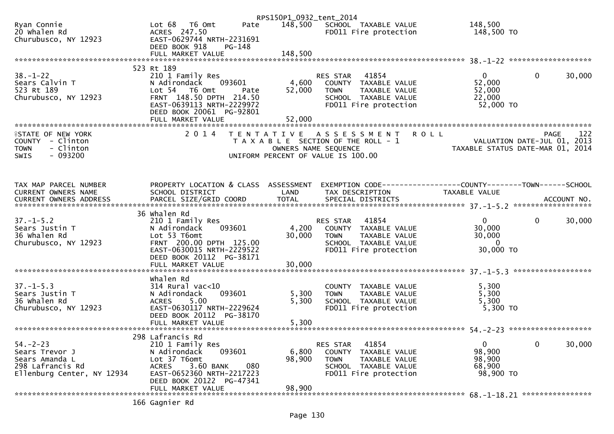|                                                                                                      |                                                                                                                                                         | RPS150P1_0932_tent_2014   |                                                                                                                                          |                                                                 |                        |
|------------------------------------------------------------------------------------------------------|---------------------------------------------------------------------------------------------------------------------------------------------------------|---------------------------|------------------------------------------------------------------------------------------------------------------------------------------|-----------------------------------------------------------------|------------------------|
| Ryan Connie<br>20 Whalen Rd<br>Churubusco, NY 12923                                                  | Lot 68 T6 Omt<br>Pate<br>ACRES 247.50<br>EAST-0629744 NRTH-2231691<br>DEED BOOK 918<br>PG-148                                                           | 148,500                   | SCHOOL TAXABLE VALUE<br>FD011 Fire protection                                                                                            | 148,500<br>148,500 TO                                           |                        |
|                                                                                                      |                                                                                                                                                         |                           |                                                                                                                                          |                                                                 |                        |
|                                                                                                      | 523 Rt 189                                                                                                                                              |                           |                                                                                                                                          |                                                                 |                        |
| $38 - 1 - 22$<br>Sears Calvin T<br>523 Rt 189<br>Churubusco, NY 12923                                | 210 1 Family Res<br>N Adirondack<br>093601<br>Lot 54 T6 Omt<br>Pate<br>FRNT 148.50 DPTH 214.50<br>EAST-0639113 NRTH-2229972<br>DEED BOOK 20061 PG-92801 | 4,600<br>52,000<br>52,000 | 41854<br><b>RES STAR</b><br>COUNTY TAXABLE VALUE<br>TAXABLE VALUE<br><b>TOWN</b><br>SCHOOL TAXABLE VALUE<br>FD011 Fire protection        | $\mathbf 0$<br>52,000<br>52,000<br>22,000<br>52,000 TO          | 30,000<br>$\mathbf 0$  |
| <b>ISTATE OF NEW YORK</b>                                                                            | 2 0 1 4                                                                                                                                                 | T E N T A T I V E         | A S S E S S M E N T                                                                                                                      | <b>ROLL</b>                                                     | 122<br><b>PAGE</b>     |
| COUNTY - Clinton<br>- Clinton<br><b>TOWN</b><br>$-093200$<br>SWIS                                    |                                                                                                                                                         |                           | T A X A B L E SECTION OF THE ROLL - 1<br>OWNERS NAME SEQUENCE<br>UNIFORM PERCENT OF VALUE IS 100.00                                      | VALUATION DATE-JUL 01, 2013<br>TAXABLE STATUS DATE-MAR 01, 2014 |                        |
|                                                                                                      |                                                                                                                                                         |                           |                                                                                                                                          |                                                                 |                        |
|                                                                                                      |                                                                                                                                                         |                           |                                                                                                                                          |                                                                 |                        |
| TAX MAP PARCEL NUMBER<br>CURRENT OWNERS NAME                                                         | PROPERTY LOCATION & CLASS ASSESSMENT<br>SCHOOL DISTRICT                                                                                                 | LAND                      | TAX DESCRIPTION                                                                                                                          | <b>TAXABLE VALUE</b>                                            |                        |
| CURRENT OWNERS ADDRESS                                                                               |                                                                                                                                                         |                           |                                                                                                                                          |                                                                 |                        |
|                                                                                                      | 36 Whalen Rd                                                                                                                                            |                           |                                                                                                                                          |                                                                 |                        |
| $37. - 1 - 5.2$<br>Sears Justin T<br>36 Whalen Rd<br>Churubusco, NY 12923                            | 210 1 Family Res<br>093601<br>N Adirondack<br>Lot 53 T6omt<br>FRNT 200.00 DPTH 125.00<br>EAST-0630015 NRTH-2229522                                      | 4,200<br>30,000           | 41854<br><b>RES STAR</b><br>COUNTY TAXABLE VALUE<br><b>TOWN</b><br><b>TAXABLE VALUE</b><br>SCHOOL TAXABLE VALUE<br>FD011 Fire protection | $\overline{0}$<br>30,000<br>30,000<br>$\Omega$<br>30,000 TO     | $\mathbf{0}$<br>30,000 |
|                                                                                                      | DEED BOOK 20112 PG-38171                                                                                                                                |                           |                                                                                                                                          |                                                                 |                        |
|                                                                                                      |                                                                                                                                                         |                           |                                                                                                                                          |                                                                 |                        |
| $37. - 1 - 5.3$<br>Sears Justin T<br>36 Whalen Rd<br>Churubusco, NY 12923                            | whalen Rd<br>$314$ Rural vac<10<br>093601<br>N Adirondack<br>5.00<br><b>ACRES</b><br>EAST-0630117 NRTH-2229624<br>DEED BOOK 20112 PG-38170              | 5,300<br>5,300            | COUNTY TAXABLE VALUE<br><b>TOWN</b><br>TAXABLE VALUE<br>SCHOOL TAXABLE VALUE<br>FD011 Fire protection                                    | 5,300<br>5,300<br>5,300<br>$5,300$ TO                           |                        |
|                                                                                                      | FULL MARKET VALUE                                                                                                                                       | 5,300                     |                                                                                                                                          |                                                                 |                        |
|                                                                                                      | 298 Lafrancis Rd                                                                                                                                        |                           |                                                                                                                                          |                                                                 |                        |
| $54. - 2 - 23$<br>Sears Trevor J<br>Sears Amanda L<br>298 Lafrancis Rd<br>Ellenburg Center, NY 12934 | 210 1 Family Res<br>093601<br>N Adirondack<br>Lot 37 T6omt<br>3.60 BANK<br>080<br><b>ACRES</b><br>EAST-0652360 NRTH-2217223<br>DEED BOOK 20122 PG-47341 | 6,800<br>98,900           | RES STAR<br>41854<br>COUNTY<br>TAXABLE VALUE<br>TAXABLE VALUE<br>TOWN<br>SCHOOL TAXABLE VALUE<br>FD011 Fire protection                   | $\mathbf{0}$<br>98,900<br>98,900<br>68,900<br>98,900 TO         | 0<br>30,000            |
|                                                                                                      | FULL MARKET VALUE                                                                                                                                       | 98,900                    |                                                                                                                                          |                                                                 |                        |
|                                                                                                      | 166 Gagnier Rd                                                                                                                                          |                           |                                                                                                                                          |                                                                 |                        |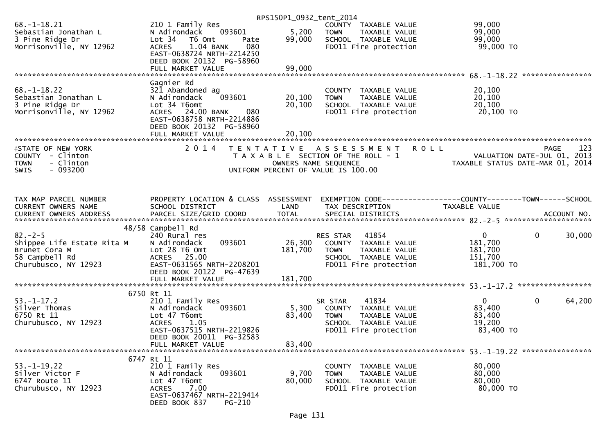|                            |                                      | RPS150P1_0932_tent_2014 |                                       |                                                              |             |
|----------------------------|--------------------------------------|-------------------------|---------------------------------------|--------------------------------------------------------------|-------------|
| $68. - 1 - 18.21$          | 210 1 Family Res                     |                         | COUNTY TAXABLE VALUE                  | 99,000                                                       |             |
| Sebastian Jonathan L       | 093601<br>N Adirondack               | 5,200                   | <b>TOWN</b><br>TAXABLE VALUE          | 99,000                                                       |             |
| 3 Pine Ridge Dr            | Lot 34 76 0mt<br>Pate                | 99,000                  | SCHOOL TAXABLE VALUE                  | 99,000                                                       |             |
| Morrisonville, NY 12962    | 1.04 BANK<br>080<br><b>ACRES</b>     |                         | FD011 Fire protection                 | 99,000 TO                                                    |             |
|                            | EAST-0638724 NRTH-2214250            |                         |                                       |                                                              |             |
|                            | DEED BOOK 20132 PG-58960             |                         |                                       |                                                              |             |
|                            | FULL MARKET VALUE                    | 99,000                  |                                       |                                                              |             |
|                            |                                      |                         |                                       |                                                              |             |
|                            | Gagnier Rd                           |                         |                                       |                                                              |             |
| $68. - 1 - 18.22$          | 321 Abandoned ag                     |                         | COUNTY TAXABLE VALUE                  | 20,100                                                       |             |
| Sebastian Jonathan L       | 093601<br>N Adirondack               | 20,100                  | TAXABLE VALUE<br><b>TOWN</b>          | 20,100                                                       |             |
| 3 Pine Ridge Dr            | Lot 34 T6omt                         | 20,100                  | SCHOOL TAXABLE VALUE                  | 20,100                                                       |             |
| Morrisonville, NY 12962    | ACRES 24.00 BANK<br>080              |                         | FD011 Fire protection                 | 20,100 TO                                                    |             |
|                            | EAST-0638758 NRTH-2214886            |                         |                                       |                                                              |             |
|                            | DEED BOOK 20132 PG-58960             |                         |                                       |                                                              |             |
|                            |                                      |                         |                                       |                                                              |             |
|                            |                                      |                         |                                       |                                                              |             |
| <b>FIRITE OF NEW YORK</b>  | 2 0 1 4                              |                         | TENTATIVE ASSESSMENT                  | <b>ROLL</b>                                                  | 123<br>PAGE |
| COUNTY - Clinton           |                                      |                         | T A X A B L E SECTION OF THE ROLL - 1 | VALUATION DATE-JUL 01, 2013                                  |             |
| - Clinton<br><b>TOWN</b>   |                                      |                         | OWNERS NAME SEQUENCE                  | TAXABLE STATUS DATE-MAR 01, 2014                             |             |
| $-093200$<br><b>SWIS</b>   |                                      |                         | UNIFORM PERCENT OF VALUE IS 100.00    |                                                              |             |
|                            |                                      |                         |                                       |                                                              |             |
|                            |                                      |                         |                                       |                                                              |             |
| TAX MAP PARCEL NUMBER      | PROPERTY LOCATION & CLASS ASSESSMENT |                         |                                       | EXEMPTION CODE-----------------COUNTY-------TOWN------SCHOOL |             |
| CURRENT OWNERS NAME        | SCHOOL DISTRICT                      | LAND                    | TAX DESCRIPTION                       | <b>TAXABLE VALUE</b>                                         |             |
|                            |                                      |                         |                                       |                                                              |             |
|                            |                                      |                         |                                       |                                                              |             |
|                            | 48/58 Campbell Rd                    |                         |                                       |                                                              |             |
| $82 - 2 - 5$               | 240 Rural res                        |                         | 41854<br>RES STAR                     | $\overline{0}$                                               | 0<br>30,000 |
| Shippee Life Estate Rita M | 093601<br>N Adirondack               | 26,300                  | COUNTY TAXABLE VALUE                  | 181,700                                                      |             |
| Brunet Cora M              | Lot 28 T6 Omt                        | 181,700                 | <b>TOWN</b><br>TAXABLE VALUE          | 181,700                                                      |             |
| 58 Campbell Rd             | ACRES 25.00                          |                         | SCHOOL TAXABLE VALUE                  | 151,700                                                      |             |
| Churubusco, NY 12923       | EAST-0631565 NRTH-2208201            |                         | FD011 Fire protection                 | 181,700 TO                                                   |             |
|                            | DEED BOOK 20122 PG-47639             |                         |                                       |                                                              |             |
|                            | FULL MARKET VALUE                    | 181,700                 |                                       |                                                              |             |
|                            |                                      |                         |                                       |                                                              |             |
|                            | 6750 Rt 11                           |                         |                                       |                                                              |             |
| $53. - 1 - 17.2$           | 210 1 Family Res                     |                         | 41834<br>SR STAR                      | $\overline{0}$                                               | 64,200<br>0 |
| Silver Thomas              | 093601<br>N Adirondack               | 5,300                   | COUNTY TAXABLE VALUE                  | 83,400                                                       |             |
| 6750 Rt 11                 | Lot 47 T6omt                         | 83,400                  | <b>TOWN</b><br>TAXABLE VALUE          | 83,400                                                       |             |
| Churubusco, NY 12923       | <b>ACRES</b><br>1.05                 |                         | SCHOOL TAXABLE VALUE                  | 19,200                                                       |             |
|                            | EAST-0637515 NRTH-2219826            |                         | FD011 Fire protection                 | 83,400 TO                                                    |             |
|                            | DEED BOOK 20011 PG-32583             |                         |                                       |                                                              |             |
|                            | FULL MARKET VALUE                    | 83,400                  |                                       |                                                              |             |
|                            |                                      |                         |                                       |                                                              |             |
|                            | 6747 Rt 11                           |                         |                                       |                                                              |             |
| $53. - 1 - 19.22$          | 210 1 Family Res                     |                         | COUNTY<br>TAXABLE VALUE               | 80,000                                                       |             |
| Silver Victor F            | 093601<br>N Adirondack               | 9,700                   | <b>TOWN</b><br>TAXABLE VALUE          | 80,000                                                       |             |
| 6747 Route 11              | Lot 47 T6omt                         | 80,000                  | SCHOOL TAXABLE VALUE                  | 80,000                                                       |             |
| Churubusco, NY 12923       | 7.00<br><b>ACRES</b>                 |                         | FD011 Fire protection                 | 80,000 TO                                                    |             |
|                            | EAST-0637467 NRTH-2219414            |                         |                                       |                                                              |             |
|                            | DEED BOOK 837<br><b>PG-210</b>       |                         |                                       |                                                              |             |
|                            |                                      |                         |                                       |                                                              |             |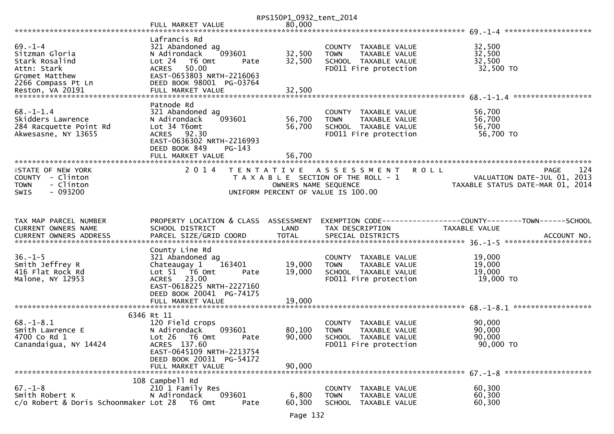|                                                         |                                                   | RPS150P1_0932_tent_2014 |                                                      |                                                                |
|---------------------------------------------------------|---------------------------------------------------|-------------------------|------------------------------------------------------|----------------------------------------------------------------|
|                                                         | FULL MARKET VALUE                                 | 80,000                  |                                                      | ********************                                           |
| $69. - 1 - 4$                                           | Lafrancis Rd<br>321 Abandoned ag                  |                         | COUNTY TAXABLE VALUE                                 | 32,500                                                         |
| Sitzman Gloria                                          | 093601<br>N Adirondack                            | 32,500                  | <b>TOWN</b><br>TAXABLE VALUE                         | 32,500                                                         |
| Stark Rosalind<br>Attn: Stark                           | Lot 24<br>T6 Omt<br>Pate<br>50.00<br><b>ACRES</b> | 32,500                  | SCHOOL TAXABLE VALUE<br>FD011 Fire protection        | 32,500<br>32,500 TO                                            |
| Gromet Matthew                                          | EAST-0653803 NRTH-2216063                         |                         |                                                      |                                                                |
| 2266 Compass Pt Ln                                      | DEED BOOK 98001 PG-03764                          |                         |                                                      |                                                                |
|                                                         |                                                   |                         |                                                      |                                                                |
|                                                         | Patnode Rd                                        |                         |                                                      |                                                                |
| $68. - 1 - 1.4$                                         | 321 Abandoned ag                                  |                         | COUNTY TAXABLE VALUE                                 | 56,700                                                         |
| Skidders Lawrence                                       | 093601<br>N Adirondack                            | 56,700                  | TAXABLE VALUE<br><b>TOWN</b>                         | 56,700                                                         |
| 284 Racquette Point Rd<br>Akwesasne, NY 13655           | Lot 34 T6omt<br>ACRES 92.30                       | 56,700                  | SCHOOL TAXABLE VALUE<br>FD011 Fire protection        | 56,700<br>56,700 TO                                            |
|                                                         | EAST-0636302 NRTH-2216993                         |                         |                                                      |                                                                |
|                                                         | DEED BOOK 849<br>$PG-143$                         |                         |                                                      |                                                                |
|                                                         | FULL MARKET VALUE                                 | 56,700                  |                                                      |                                                                |
| <b>ISTATE OF NEW YORK</b>                               | 2 0 1 4                                           | T E N T A T I V E       | ASSESSMENT<br><b>ROLL</b>                            | 124<br><b>PAGE</b>                                             |
| COUNTY - Clinton                                        |                                                   |                         | T A X A B L E SECTION OF THE ROLL - 1                | VALUATION DATE-JUL 01, 2013                                    |
| - Clinton<br><b>TOWN</b>                                |                                                   | OWNERS NAME SEQUENCE    |                                                      | TAXABLE STATUS DATE-MAR 01, 2014                               |
| $-093200$<br><b>SWIS</b>                                |                                                   |                         | UNIFORM PERCENT OF VALUE IS 100.00                   |                                                                |
|                                                         |                                                   |                         |                                                      |                                                                |
|                                                         |                                                   |                         |                                                      |                                                                |
|                                                         |                                                   |                         |                                                      |                                                                |
| TAX MAP PARCEL NUMBER                                   | PROPERTY LOCATION & CLASS ASSESSMENT              |                         |                                                      | EXEMPTION CODE------------------COUNTY--------TOWN------SCHOOL |
| CURRENT OWNERS NAME                                     | SCHOOL DISTRICT                                   | LAND                    | TAX DESCRIPTION                                      | TAXABLE VALUE                                                  |
| CURRENT OWNERS ADDRESS                                  |                                                   |                         |                                                      |                                                                |
|                                                         | County Line Rd                                    |                         |                                                      |                                                                |
| $36. - 1 - 5$                                           | 321 Abandoned ag                                  |                         | COUNTY TAXABLE VALUE                                 | 19,000                                                         |
| Smith Jeffrey R                                         | Chateaugay 1<br>163401                            | 19,000                  | TAXABLE VALUE<br><b>TOWN</b>                         | 19,000                                                         |
| 416 Flat Rock Rd<br>Malone, NY 12953                    | Lot 51 T6 Omt<br>Pate<br>ACRES 23.00              | 19,000                  | SCHOOL TAXABLE VALUE<br>FD011 Fire protection        | 19,000<br>19,000 TO                                            |
|                                                         | EAST-0618225 NRTH-2227160                         |                         |                                                      |                                                                |
|                                                         | DEED BOOK 20041 PG-74175                          |                         |                                                      |                                                                |
|                                                         | FULL MARKET VALUE                                 | 19,000                  |                                                      |                                                                |
|                                                         | 6346 Rt 11                                        |                         |                                                      |                                                                |
| $68. - 1 - 8.1$                                         | 120 Field crops                                   |                         | COUNTY<br>TAXABLE VALUE                              | 90,000                                                         |
| Smith Lawrence E                                        | N Adirondack<br>093601                            | 80,100                  | <b>TOWN</b><br>TAXABLE VALUE                         | 90,000                                                         |
| 4700 Co Rd 1                                            | Lot 26<br>T6 Omt<br>Pate                          | 90,000                  | SCHOOL TAXABLE VALUE                                 | 90,000                                                         |
| Canandaigua, NY 14424                                   | ACRES 137.60<br>EAST-0645109 NRTH-2213754         |                         | FD011 Fire protection                                | 90,000 TO                                                      |
|                                                         | DEED BOOK 20031 PG-54172                          |                         |                                                      |                                                                |
|                                                         | FULL MARKET VALUE                                 | 90,000                  |                                                      |                                                                |
|                                                         | 108 Campbell Rd                                   |                         |                                                      |                                                                |
| $67. - 1 - 8$                                           | 210 1 Family Res                                  |                         | <b>COUNTY</b><br>TAXABLE VALUE                       | 60,300                                                         |
| Smith Robert K<br>c/o Robert & Doris Schoonmaker Lot 28 | N Adirondack<br>093601<br>T6 Omt<br>Pate          | 6,800<br>60,300         | TAXABLE VALUE<br><b>TOWN</b><br>SCHOOL TAXABLE VALUE | 60,300<br>60,300                                               |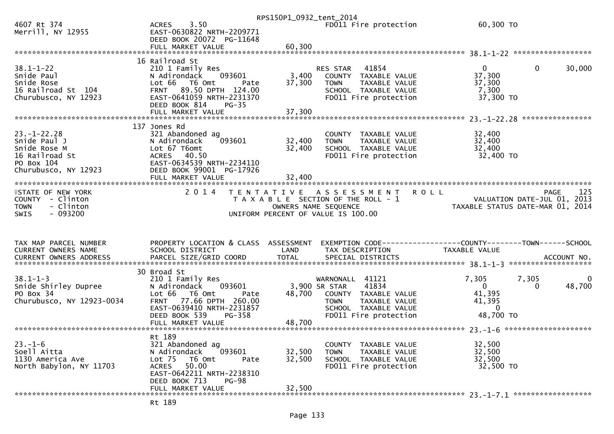|                                                                                                                                                                                          |                                                                                                                                                                             | RPS150P1_0932_tent_2014    |                                                                                                                                                       |                                                                                   |                               |
|------------------------------------------------------------------------------------------------------------------------------------------------------------------------------------------|-----------------------------------------------------------------------------------------------------------------------------------------------------------------------------|----------------------------|-------------------------------------------------------------------------------------------------------------------------------------------------------|-----------------------------------------------------------------------------------|-------------------------------|
| 4607 Rt 374<br>Merrill, NY 12955                                                                                                                                                         | 3.50<br><b>ACRES</b><br>EAST-0630822 NRTH-2209771<br>DEED BOOK 20072 PG-11648                                                                                               |                            | FD011 Fire protection                                                                                                                                 | 60,300 TO                                                                         |                               |
|                                                                                                                                                                                          |                                                                                                                                                                             |                            |                                                                                                                                                       |                                                                                   |                               |
|                                                                                                                                                                                          |                                                                                                                                                                             |                            |                                                                                                                                                       |                                                                                   |                               |
| $38.1 - 1 - 22$<br>Snide Paul<br>Snide Rose<br>16 Railroad St 104<br>Churubusco, NY 12923                                                                                                | 16 Railroad St<br>210 1 Family Res<br>093601<br>N Adirondack<br>Lot 66<br>T6 Omt<br>Pate<br>FRNT 89.50 DPTH 124.00<br>EAST-0641059 NRTH-2231370<br>DEED BOOK 814<br>$PG-35$ | 3,400<br>37,300            | 41854<br><b>RES STAR</b><br>COUNTY TAXABLE VALUE<br><b>TOWN</b><br>TAXABLE VALUE<br>SCHOOL TAXABLE VALUE<br>FD011 Fire protection                     | $\overline{0}$<br>37,300<br>37,300<br>7,300<br>37,300 TO                          | $\mathbf{0}$<br>30,000        |
|                                                                                                                                                                                          | FULL MARKET VALUE                                                                                                                                                           | 37,300                     |                                                                                                                                                       |                                                                                   | *****************             |
| $23. - 1 - 22.28$<br>Snide Paul J<br>Snide Rose M<br>16 Railroad St<br>PO Box 104<br>Churubusco, NY 12923                                                                                | 137 Jones Rd<br>321 Abandoned ag<br>093601<br>N Adirondack<br>Lot 67 T6omt<br>ACRES 40.50<br>EAST-0634539 NRTH-2234110<br>DEED BOOK 99001 PG-17926<br>FULL MARKET VALUE     | 32,400<br>32,400<br>32,400 | COUNTY TAXABLE VALUE<br><b>TOWN</b><br>TAXABLE VALUE<br>SCHOOL TAXABLE VALUE<br>FD011 Fire protection                                                 | 32,400<br>32,400<br>32,400<br>32,400 TO                                           |                               |
|                                                                                                                                                                                          |                                                                                                                                                                             |                            |                                                                                                                                                       |                                                                                   |                               |
| <b>ISTATE OF NEW YORK</b><br>COUNTY - Clinton<br><b>TOWN</b><br>- Clinton<br>$-093200$<br><b>SWIS</b>                                                                                    | 2 0 1 4                                                                                                                                                                     |                            | TENTATIVE ASSESSMENT ROLL<br>T A X A B L E SECTION OF THE ROLL - 1<br>OWNERS NAME SEQUENCE<br>UNIFORM PERCENT OF VALUE IS 100.00                      | VALUATION DATE-JUL 01, 2013<br>TAXABLE STATUS DATE-MAR 01, 2014                   | 125<br>PAGE                   |
|                                                                                                                                                                                          |                                                                                                                                                                             |                            |                                                                                                                                                       |                                                                                   |                               |
| TAX MAP PARCEL NUMBER<br>CURRENT OWNERS NAME                                                                                                                                             | PROPERTY LOCATION & CLASS ASSESSMENT<br>SCHOOL DISTRICT                                                                                                                     | LAND                       | TAX DESCRIPTION                                                                                                                                       | EXEMPTION CODE------------------COUNTY-------TOWN------SCHOOL<br>TAXABLE VALUE    |                               |
| -CURRENT OWNERS ADDRESS PARCEL SIZE/GRID COORD TOTAL SPECIAL DISTRICTS AND MONERS ADDRESS PARCEL SIZE/GRID COORD TOTAL SPECIAL DISTRICTS AND MONERS ADDRESS PARCEL STATE AND ACCOUNT NO. | 30 Broad St                                                                                                                                                                 |                            |                                                                                                                                                       |                                                                                   |                               |
| $38.1 - 1 - 3$<br>Snide Shirley Dupree<br>PO Box 34<br>Churubusco, NY 12923-0034                                                                                                         | 210 1 Family Res<br>N Adirondack<br>093601<br>Lot $66$<br>T6 Omt<br>Pate<br>77.66 DPTH 260.00<br><b>FRNT</b><br>EAST-0639410 NRTH-2231857<br>DEED BOOK 539<br>PG-358        | 48,700                     | WARNONALL<br>41121<br>3,900 SR STAR<br>41834<br>COUNTY TAXABLE VALUE<br>TAXABLE VALUE<br><b>TOWN</b><br>SCHOOL TAXABLE VALUE<br>FD011 Fire protection | 7,305<br>7,305<br>$\overline{0}$<br>41,395<br>41,395<br>$\mathbf{0}$<br>48,700 TO | $\overline{0}$<br>48,700<br>0 |
|                                                                                                                                                                                          |                                                                                                                                                                             |                            |                                                                                                                                                       |                                                                                   |                               |
| $23 - 1 - 6$<br>Soell Aitta<br>1130 America Ave<br>North Babylon, NY 11703                                                                                                               | Rt 189<br>321 Abandoned ag<br>093601<br>N Adirondack<br>Lot 75<br>T6 Omt<br>Pate<br>ACRES 50.00<br>EAST-0642211 NRTH-2238310<br>DEED BOOK 713<br>PG-98                      | 32,500<br>32,500           | COUNTY TAXABLE VALUE<br><b>TOWN</b><br>TAXABLE VALUE<br>SCHOOL TAXABLE VALUE<br>FD011 Fire protection                                                 | 32,500<br>32,500<br>32,500<br>32,500 TO                                           |                               |
|                                                                                                                                                                                          | FULL MARKET VALUE                                                                                                                                                           | 32,500                     |                                                                                                                                                       |                                                                                   |                               |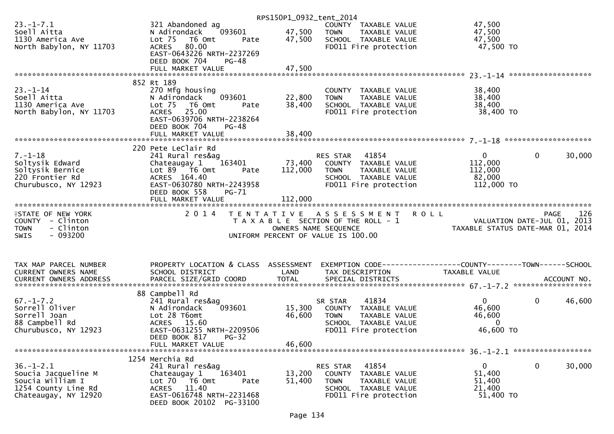|                                                                                                                                                                                                                             |                                                                                                                                                                                                        | RPS150P1_0932_tent_2014    |                                                                                                                                  |                                                                                  |                        |
|-----------------------------------------------------------------------------------------------------------------------------------------------------------------------------------------------------------------------------|--------------------------------------------------------------------------------------------------------------------------------------------------------------------------------------------------------|----------------------------|----------------------------------------------------------------------------------------------------------------------------------|----------------------------------------------------------------------------------|------------------------|
| $23. - 1 - 7.1$<br>Soell Aitta<br>1130 America Ave<br>North Babylon, NY 11703                                                                                                                                               | 321 Abandoned ag<br>093601<br>N Adirondack<br>Lot 75 T6 Omt<br>Pate<br>80.00<br>ACRES<br>EAST-0643226 NRTH-2237269                                                                                     | 47,500<br>47,500           | COUNTY TAXABLE VALUE<br><b>TOWN</b><br>TAXABLE VALUE<br>SCHOOL TAXABLE VALUE<br>FD011 Fire protection                            | 47,500<br>47,500<br>47,500<br>47,500 TO                                          |                        |
|                                                                                                                                                                                                                             | DEED BOOK 704<br>$PG-48$                                                                                                                                                                               |                            |                                                                                                                                  |                                                                                  |                        |
|                                                                                                                                                                                                                             | FULL MARKET VALUE                                                                                                                                                                                      | 47,500                     |                                                                                                                                  |                                                                                  |                        |
| $23. - 1 - 14$<br>Soell Aitta<br>1130 America Ave<br>North Babylon, NY 11703                                                                                                                                                | 852 Rt 189<br>270 Mfg housing<br>093601<br>N Adirondack<br>Lot 75 T6 Omt<br>Pate<br>ACRES 25.00<br>EAST-0639706 NRTH-2238264<br>DEED BOOK 704<br>$PG-48$                                               | 22,800<br>38,400           | COUNTY TAXABLE VALUE<br><b>TOWN</b><br>TAXABLE VALUE<br>SCHOOL TAXABLE VALUE<br>FD011 Fire protection                            | 38,400<br>38,400<br>38,400<br>38,400 TO                                          |                        |
|                                                                                                                                                                                                                             |                                                                                                                                                                                                        |                            |                                                                                                                                  |                                                                                  |                        |
| $7. - 1 - 18$<br>Soltysik Edward<br>Soltysik Bernice<br>220 Frontier Rd<br>Churubusco, NY 12923                                                                                                                             | 220 Pete LeClair Rd<br>241 Rural res&ag<br>Chateaugay $1$ $163401$<br>Lot $89$ $\overline{76}$ Omt<br>Pate<br>ACRES 164.40<br>EAST-0630780 NRTH-2243958<br>DEED BOOK 558<br>PG-71<br>FULL MARKET VALUE | 112,000<br>112,000         | 41854<br>RES STAR<br>73,400 COUNTY TAXABLE VALUE<br>TOWN TAXABLE VALUE<br>SCHOOL TAXABLE VALUE<br>FD011 Fire protection          | $\mathbf{0}$<br>112,000<br>112,000<br>82,000<br>112,000 TO                       | $\mathbf{0}$<br>30,000 |
| <b>ISTATE OF NEW YORK</b><br>COUNTY - Clinton<br>- Clinton<br><b>TOWN</b><br>$-093200$<br>SWIS                                                                                                                              | 2 0 1 4                                                                                                                                                                                                |                            | TENTATIVE ASSESSMENT ROLL<br>T A X A B L E SECTION OF THE ROLL - 1<br>OWNERS NAME SEQUENCE<br>UNIFORM PERCENT OF VALUE IS 100.00 | MENIKULL<br>2013 VALUATION DATE-JUL 01, 2013<br>TAXABLE STATUS DATE-MAR 01, 2014 | 126<br><b>PAGE</b>     |
| TAX MAP PARCEL NUMBER<br>CURRENT OWNERS NAME<br>-CURRENT OWNERS ADDRESS PARCEL SIZE/GRID COORD TOTAL SPECIAL DISTRICTS AND MONERS ADDRESS PARCEL SIZE/GRID COORD TOTAL SPECIAL DISTRICTS AND MONERS ADDRESS AND ACCOUNT NO. | PROPERTY LOCATION & CLASS ASSESSMENT<br>SCHOOL DISTRICT                                                                                                                                                | LAND                       | TAX DESCRIPTION                                                                                                                  | EXEMPTION CODE-----------------COUNTY--------TOWN------SCHOOL<br>TAXABLE VALUE   |                        |
| $67. - 1 - 7.2$<br>Sorrell Oliver<br>Sorrell Joan<br>88 Campbell Rd<br>Churubusco, NY 12923                                                                                                                                 | 88 Campbell Rd<br>241 Rural res&ag<br>093601<br>N Adirondack<br>Lot 28 T6omt<br>ACRES 15.60<br>EAST-0631255 NRTH-2209506<br>DEED BOOK 817<br>$PG-32$<br>FULL MARKET VALUE                              | 15,300<br>46,600<br>46,600 | SR STAR<br>41834<br>COUNTY TAXABLE VALUE<br><b>TOWN</b><br>TAXABLE VALUE<br>SCHOOL TAXABLE VALUE<br>FD011 Fire protection        | $\mathbf{0}$<br>46,600<br>46,600<br>$\overline{0}$<br>46,600 TO                  | $\mathbf{0}$<br>46,600 |
|                                                                                                                                                                                                                             | 1254 Merchia Rd                                                                                                                                                                                        |                            |                                                                                                                                  |                                                                                  |                        |
| $36. - 1 - 2.1$<br>Soucia Jacqueline M<br>Soucia William I<br>1254 County Line Rd<br>Chateaugay, NY 12920                                                                                                                   | 241 Rural res&ag<br>163401<br>Chateaugay 1<br>Lot 70 T6 Omt<br>Pate<br>11.40<br>ACRES<br>EAST-0616748 NRTH-2231468<br>DEED BOOK 20102 PG-33100                                                         | 13,200<br>51,400           | RES STAR<br>41854<br>COUNTY TAXABLE VALUE<br><b>TOWN</b><br>TAXABLE VALUE<br>SCHOOL TAXABLE VALUE<br>FD011 Fire protection       | $\mathbf{0}$<br>51,400<br>51,400<br>21,400<br>51,400 TO                          | 0<br>30,000            |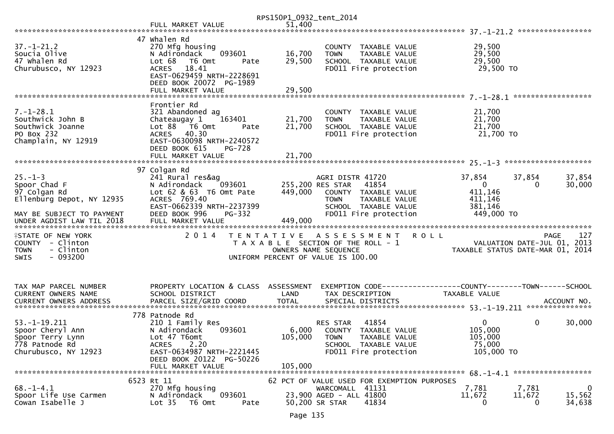|                                                                                                |                                                                                                                                               | RPS150P1_0932_tent_2014                                                                             |                                           |                                                                                        |               |                                              |                                                                                       |
|------------------------------------------------------------------------------------------------|-----------------------------------------------------------------------------------------------------------------------------------------------|-----------------------------------------------------------------------------------------------------|-------------------------------------------|----------------------------------------------------------------------------------------|---------------|----------------------------------------------|---------------------------------------------------------------------------------------|
|                                                                                                |                                                                                                                                               |                                                                                                     |                                           |                                                                                        |               |                                              |                                                                                       |
| $37. - 1 - 21.2$<br>Soucia Olive                                                               | 47 Whalen Rd<br>270 Mfg housing<br>N Adirondack<br>093601                                                                                     | 16,700                                                                                              | <b>TOWN</b>                               | COUNTY TAXABLE VALUE<br>TAXABLE VALUE                                                  |               | 29,500<br>29,500                             |                                                                                       |
| 47 Whalen Rd<br>Churubusco, NY 12923                                                           | Lot 68<br>T6 Omt<br>Pate<br>18.41<br><b>ACRES</b><br>EAST-0629459 NRTH-2228691<br>DEED BOOK 20072 PG-1989                                     | 29,500                                                                                              |                                           | SCHOOL TAXABLE VALUE<br>FD011 Fire protection                                          |               | 29,500<br>29,500 TO                          |                                                                                       |
|                                                                                                |                                                                                                                                               |                                                                                                     |                                           |                                                                                        |               |                                              |                                                                                       |
| $7. - 1 - 28.1$<br>Southwick John B<br>Southwick Joanne<br>PO Box 232<br>Champlain, NY 12919   | Frontier Rd<br>321 Abandoned ag<br>Chateaugay 1<br>163401<br>Lot $88$ $\overline{76}$ Omt<br>Pate<br>ACRES 40.30<br>EAST-0630098 NRTH-2240572 | 21,700<br>21,700                                                                                    | <b>TOWN</b>                               | COUNTY TAXABLE VALUE<br>TAXABLE VALUE<br>SCHOOL TAXABLE VALUE<br>FD011 Fire protection |               | 21,700<br>21,700<br>21,700<br>21,700 TO      |                                                                                       |
|                                                                                                | DEED BOOK 615<br>PG-728<br>FULL MARKET VALUE                                                                                                  | 21,700                                                                                              |                                           |                                                                                        |               |                                              |                                                                                       |
|                                                                                                | 97 Colgan Rd                                                                                                                                  |                                                                                                     |                                           |                                                                                        |               |                                              |                                                                                       |
| $25. - 1 - 3$<br>Spoor Chad F<br>97 Colgan Rd                                                  | 241 Rural res&ag<br>093601<br>N Adirondack<br>Lot 62 & 63 T6 Omt Pate                                                                         | 449,000                                                                                             | AGRI DISTR 41720<br>255,200 RES STAR      | 41854<br>COUNTY TAXABLE VALUE                                                          | 37,854        | 37,854<br>$\overline{0}$<br>411,146          | 37,854<br>30,000<br>0                                                                 |
| Ellenburg Depot, NY 12935<br>MAY BE SUBJECT TO PAYMENT                                         | ACRES 769.40<br>EAST-0662339 NRTH-2237399<br>DEED BOOK 996<br>PG-332                                                                          |                                                                                                     | <b>TOWN</b>                               | TAXABLE VALUE<br>SCHOOL TAXABLE VALUE<br>FD011 Fire protection                         |               | 411,146<br>381,146<br>449,000 TO             |                                                                                       |
| UNDER AGDIST LAW TIL 2018                                                                      | FULL MARKET VALUE                                                                                                                             | 449,000                                                                                             |                                           |                                                                                        |               |                                              |                                                                                       |
| <b>ISTATE OF NEW YORK</b><br>COUNTY - Clinton<br><b>TOWN</b><br>- Clinton<br>$-093200$<br>SWIS | 2 0 1 4                                                                                                                                       | TENTATIVE ASSESSMENT<br>T A X A B L E SECTION OF THE ROLL - 1<br>UNIFORM PERCENT OF VALUE IS 100.00 | OWNERS NAME SEQUENCE                      |                                                                                        | ROLL          |                                              | 127<br><b>PAGE</b><br>VALUATION DATE-JUL 01, 2013<br>TAXABLE STATUS DATE-MAR 01, 2014 |
|                                                                                                |                                                                                                                                               |                                                                                                     |                                           |                                                                                        |               |                                              |                                                                                       |
| TAX MAP PARCEL NUMBER<br>CURRENT OWNERS NAME                                                   | PROPERTY LOCATION & CLASS ASSESSMENT<br>SCHOOL DISTRICT                                                                                       | LAND                                                                                                | TAX DESCRIPTION                           |                                                                                        | TAXABLE VALUE |                                              |                                                                                       |
|                                                                                                | 778 Patnode Rd                                                                                                                                |                                                                                                     |                                           |                                                                                        |               |                                              |                                                                                       |
| $53. -1 - 19.211$<br>Spoor Cheryl Ann<br>Spoor Terry Lynn<br>778 Patnode Rd                    | 210 1 Family Res<br>N Adirondack<br>093601<br>Lot 47 T6omt<br>2.20<br><b>ACRES</b>                                                            | 105,000 TOWN                                                                                        | RES STAR                                  | 41854<br>6,000 COUNTY TAXABLE VALUE<br>TAXABLE VALUE<br>SCHOOL TAXABLE VALUE           |               | $\mathbf{0}$<br>105,000<br>105,000<br>75,000 | 0<br>30,000                                                                           |
| Churubusco, NY 12923                                                                           | EAST-0634987 NRTH-2221445<br>DEED BOOK 20122 PG-50226<br>FULL MARKET VALUE                                                                    | 105,000                                                                                             |                                           | FD011 Fire protection                                                                  |               | 105,000 TO                                   |                                                                                       |
|                                                                                                |                                                                                                                                               |                                                                                                     |                                           |                                                                                        |               |                                              |                                                                                       |
| $68. - 1 - 4.1$                                                                                | 6523 Rt 11<br>270 Mfg housing                                                                                                                 |                                                                                                     | WARCOMALL 41131                           | 62 PCT OF VALUE USED FOR EXEMPTION PURPOSES                                            | 7,781         | 7,781                                        | $\mathbf 0$                                                                           |
| Spoor Life Use Carmen<br>Cowan Isabelle J                                                      | N Adirondack<br>093601<br>Lot <sub>35</sub><br>T6 Omt<br>Pate                                                                                 |                                                                                                     | 23,900 AGED - ALL 41800<br>50,200 SR STAR | 41834                                                                                  | 11,672        | 11,672<br>0                                  | 15,562<br>34,638<br>0                                                                 |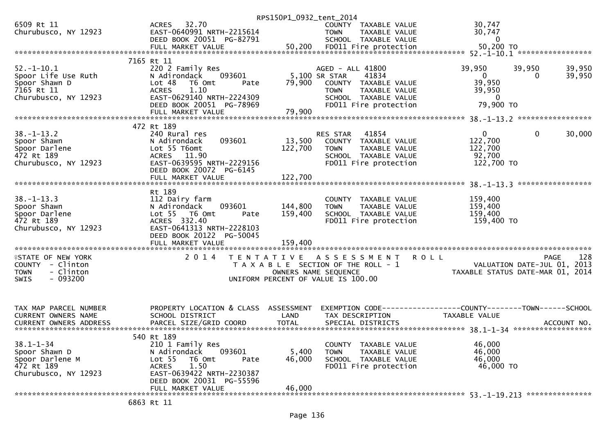|                                    |                                                   |        | RPS150P1_0932_tent_2014               |                  |                                               |                             |                                                                |                             |                    |
|------------------------------------|---------------------------------------------------|--------|---------------------------------------|------------------|-----------------------------------------------|-----------------------------|----------------------------------------------------------------|-----------------------------|--------------------|
| 6509 Rt 11                         | ACRES 32.70                                       |        |                                       |                  | COUNTY TAXABLE VALUE                          |                             | 30,747                                                         |                             |                    |
| Churubusco, NY 12923               | EAST-0640991 NRTH-2215614                         |        |                                       | <b>TOWN</b>      | TAXABLE VALUE                                 |                             | 30,747                                                         |                             |                    |
|                                    | DEED BOOK 20051 PG-82791                          |        |                                       |                  | SCHOOL TAXABLE VALUE                          |                             | $\bf{0}$                                                       |                             |                    |
|                                    | FULL MARKET VALUE                                 |        | 50,200                                |                  | FD011 Fire protection                         |                             | 50,200 TO                                                      |                             |                    |
|                                    |                                                   |        |                                       |                  |                                               |                             |                                                                |                             |                    |
|                                    | 7165 Rt 11                                        |        |                                       |                  |                                               |                             |                                                                |                             |                    |
| $52. - 1 - 10.1$                   | 220 2 Family Res                                  |        |                                       | AGED - ALL 41800 |                                               |                             | 39,950                                                         | 39,950                      | 39,950             |
| Spoor Life Use Ruth                | N Adirondack                                      | 093601 |                                       | 5,100 SR STAR    | 41834                                         |                             | $\overline{0}$                                                 | 0                           | 39,950             |
| Spoor Shawn D                      | Lot 48<br>T6 Omt                                  | Pate   | 79,900                                |                  | COUNTY TAXABLE VALUE                          |                             | 39,950                                                         |                             |                    |
| 7165 Rt 11<br>Churubusco, NY 12923 | 1.10<br><b>ACRES</b><br>EAST-0629140 NRTH-2224309 |        |                                       | <b>TOWN</b>      | TAXABLE VALUE                                 |                             | 39,950<br>$\Omega$                                             |                             |                    |
|                                    | DEED BOOK 20051 PG-78969                          |        |                                       |                  | SCHOOL TAXABLE VALUE<br>FD011 Fire protection |                             | 79,900 TO                                                      |                             |                    |
|                                    | FULL MARKET VALUE                                 |        | 79,900                                |                  |                                               |                             |                                                                |                             |                    |
|                                    |                                                   |        |                                       |                  |                                               |                             |                                                                |                             |                    |
|                                    | 472 Rt 189                                        |        |                                       |                  |                                               |                             |                                                                |                             |                    |
| $38. - 1 - 13.2$                   | 240 Rural res                                     |        |                                       | <b>RES STAR</b>  | 41854                                         |                             | $\Omega$                                                       | $\mathbf{0}$                | 30,000             |
| Spoor Shawn                        | N Adirondack                                      | 093601 | 13,500                                |                  | COUNTY TAXABLE VALUE                          |                             | 122,700                                                        |                             |                    |
| Spoor Darlene                      | Lot 55 T6omt                                      |        | 122,700                               | <b>TOWN</b>      | TAXABLE VALUE                                 |                             | 122,700                                                        |                             |                    |
| 472 Rt 189                         | ACRES 11.90                                       |        |                                       |                  | SCHOOL TAXABLE VALUE                          |                             | 92,700                                                         |                             |                    |
| Churubusco, NY 12923               | EAST-0639595 NRTH-2229156                         |        |                                       |                  | FD011 Fire protection                         |                             | 122,700 TO                                                     |                             |                    |
|                                    | DEED BOOK 20072 PG-6145                           |        |                                       |                  |                                               |                             |                                                                |                             |                    |
|                                    | FULL MARKET VALUE                                 |        | 122,700                               |                  |                                               |                             |                                                                |                             |                    |
|                                    |                                                   |        |                                       |                  |                                               |                             |                                                                |                             |                    |
|                                    | Rt 189                                            |        |                                       |                  |                                               |                             |                                                                |                             |                    |
| $38. - 1 - 13.3$                   | 112 Dairy farm                                    |        |                                       |                  | COUNTY TAXABLE VALUE                          |                             | 159,400                                                        |                             |                    |
| Spoor Shawn                        | N Adirondack<br>Lot 55 T6 Omt                     | 093601 | 144,800                               | <b>TOWN</b>      | TAXABLE VALUE                                 |                             | 159,400                                                        |                             |                    |
| Spoor Darlene<br>472 Rt 189        | ACRES 332.40                                      | Pate   | 159,400                               |                  | SCHOOL TAXABLE VALUE<br>FD011 Fire protection |                             | 159,400<br>159,400 TO                                          |                             |                    |
| Churubusco, NY 12923               | EAST-0641313 NRTH-2228103                         |        |                                       |                  |                                               |                             |                                                                |                             |                    |
|                                    | DEED BOOK 20122 PG-50045                          |        |                                       |                  |                                               |                             |                                                                |                             |                    |
|                                    | FULL MARKET VALUE                                 |        | 159,400                               |                  |                                               |                             |                                                                |                             |                    |
| **********************             | *****************************                     |        |                                       |                  |                                               |                             |                                                                |                             |                    |
| <b>ISTATE OF NEW YORK</b>          | 2 0 1 4                                           |        | T E N T A T I V E                     |                  |                                               | A S S E S S M E N T R O L L |                                                                |                             | 128<br><b>PAGE</b> |
| COUNTY - Clinton                   |                                                   |        | T A X A B L E SECTION OF THE ROLL - 1 |                  |                                               |                             |                                                                | VALUATION DATE-JUL 01, 2013 |                    |
| - Clinton<br><b>TOWN</b>           |                                                   |        | OWNERS NAME SEQUENCE                  |                  |                                               |                             | TAXABLE STATUS DATE-MAR 01, 2014                               |                             |                    |
| $-093200$<br>SWIS                  |                                                   |        | UNIFORM PERCENT OF VALUE IS 100.00    |                  |                                               |                             |                                                                |                             |                    |
|                                    |                                                   |        |                                       |                  |                                               |                             |                                                                |                             |                    |
|                                    |                                                   |        |                                       |                  |                                               |                             |                                                                |                             |                    |
| TAX MAP PARCEL NUMBER              | PROPERTY LOCATION & CLASS ASSESSMENT              |        |                                       |                  |                                               |                             | EXEMPTION CODE------------------COUNTY--------TOWN------SCHOOL |                             |                    |
| CURRENT OWNERS NAME                | SCHOOL DISTRICT                                   |        | LAND                                  |                  | TAX DESCRIPTION                               |                             | TAXABLE VALUE                                                  |                             |                    |
| CURRENT OWNERS ADDRESS             | PARCEL SIZE/GRID COORD                            |        | <b>TOTAL</b>                          |                  | SPECIAL DISTRICTS                             |                             |                                                                |                             | ACCOUNT NO.        |
|                                    |                                                   |        |                                       |                  |                                               |                             |                                                                |                             |                    |
|                                    | 540 Rt 189                                        |        |                                       |                  |                                               |                             |                                                                |                             |                    |
| $38.1 - 1 - 34$                    | 210 1 Family Res                                  |        |                                       |                  | COUNTY TAXABLE VALUE                          |                             | 46,000                                                         |                             |                    |
| Spoor Shawn D                      | N Adirondack                                      | 093601 | 5,400                                 | <b>TOWN</b>      | TAXABLE VALUE                                 |                             | 46,000                                                         |                             |                    |
| Spoor Darlene M                    | Lot <sub>55</sub><br>T6 Omt                       | Pate   | 46,000                                |                  | SCHOOL TAXABLE VALUE                          |                             | 46,000                                                         |                             |                    |
| 472 Rt 189                         | 1.50<br><b>ACRES</b>                              |        |                                       |                  | FD011 Fire protection                         |                             | 46,000 TO                                                      |                             |                    |
| Churubusco, NY 12923               | EAST-0639422 NRTH-2230387                         |        |                                       |                  |                                               |                             |                                                                |                             |                    |
|                                    | DEED BOOK 20031 PG-55596                          |        |                                       |                  |                                               |                             |                                                                |                             |                    |
|                                    | FULL MARKET VALUE                                 |        | 46,000                                |                  |                                               |                             |                                                                |                             |                    |
|                                    |                                                   |        |                                       |                  |                                               |                             |                                                                |                             |                    |
|                                    | 6863 Rt 11                                        |        |                                       |                  |                                               |                             |                                                                |                             |                    |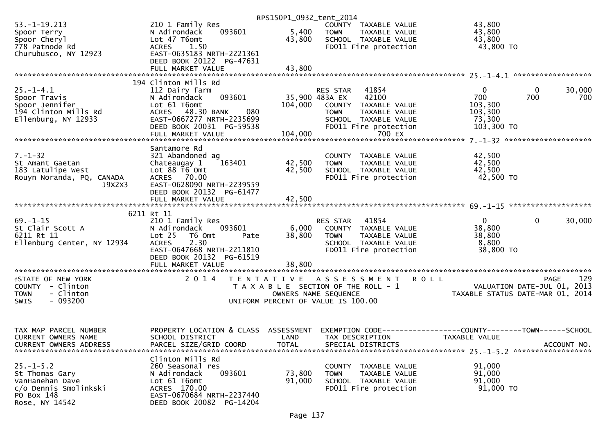| $53. -1 - 19.213$<br>43,800<br>210 1 Family Res<br>COUNTY TAXABLE VALUE<br>093601<br>5,400<br>43,800<br>N Adirondack<br>Spoor Terry<br><b>TOWN</b><br>TAXABLE VALUE<br>Lot 47 T6omt<br>43,800<br>Spoor Cheryl<br>43,800<br>SCHOOL TAXABLE VALUE<br>778 Patnode Rd<br>43,800 TO<br><b>ACRES</b><br>1.50<br>FD011 Fire protection<br>EAST-0635183 NRTH-2221361<br>Churubusco, NY 12923<br>DEED BOOK 20122 PG-47631<br>43,800<br>FULL MARKET VALUE<br>194 Clinton Mills Rd<br>30,000<br>$25. - 1 - 4.1$<br>112 Dairy farm<br>41854<br>0<br>$\bf{0}$<br>RES STAR<br>42100<br>700<br>Spoor Travis<br>35,900 483A EX<br>700<br>700<br>N Adirondack<br>093601<br>Lot 61 T6omt<br>Spoor Jennifer<br>104,000<br>COUNTY TAXABLE VALUE<br>103,300<br>194 Clinton Mills Rd<br>080<br>ACRES 48.30 BANK<br>103,300<br><b>TOWN</b><br>TAXABLE VALUE<br>Ellenburg, NY 12933<br>EAST-0667277 NRTH-2235699<br>73,300<br>SCHOOL TAXABLE VALUE<br>DEED BOOK 20031 PG-59538<br>FD011 Fire protection<br>103,300 TO<br>Santamore Rd<br>$7. - 1 - 32$<br>42,500<br>321 Abandoned ag<br>COUNTY TAXABLE VALUE<br>42,500<br>42,500<br>Chateaugay 1<br>163401<br><b>TOWN</b><br>TAXABLE VALUE<br>St Amant Gaetan<br>Lot 88 T6 Omt<br>42,500<br>183 Latulipe West<br>42,500<br>SCHOOL TAXABLE VALUE<br>42,500 TO<br>Rouyn Noranda, PQ, CANADA<br>ACRES 70.00<br>FD011 Fire protection<br>J9X2X3<br>EAST-0628090 NRTH-2239559<br>DEED BOOK 20132 PG-61477<br>42,500<br>FULL MARKET VALUE<br>6211 Rt 11<br>$\mathbf 0$<br>$69. - 1 - 15$<br>41854<br>$\mathbf{0}$<br>30,000<br>210 1 Family Res<br>RES STAR<br>38,800<br>St Clair Scott A<br>N Adirondack<br>093601<br>6,000<br>COUNTY TAXABLE VALUE<br>6211 Rt 11<br>Lot 25<br>38,800<br>38,800<br>T6 Omt<br>TAXABLE VALUE<br>Pate<br><b>TOWN</b><br>Ellenburg Center, NY 12934<br>2.30<br>8,800<br><b>ACRES</b><br>SCHOOL TAXABLE VALUE<br>EAST-0647668 NRTH-2211810<br>FD011 Fire protection<br>38,800 TO<br>DEED BOOK 20132 PG-61519<br>129<br><b>ISTATE OF NEW YORK</b><br>2 0 1 4<br>TENTATIVE ASSESSMENT<br><b>ROLL</b><br>PAGE<br>VALUATION DATE-JUL 01, 2013<br>COUNTY - Clinton<br>T A X A B L E SECTION OF THE ROLL - 1<br>- Clinton<br>TAXABLE STATUS DATE-MAR 01, 2014<br><b>TOWN</b><br>OWNERS NAME SEQUENCE<br>$-093200$<br><b>SWIS</b><br>UNIFORM PERCENT OF VALUE IS 100.00<br>PROPERTY LOCATION & CLASS<br>ASSESSMENT<br>EXEMPTION CODE------------------COUNTY--------TOWN------SCHOOL<br>TAX MAP PARCEL NUMBER<br><b>CURRENT OWNERS NAME</b><br>SCHOOL DISTRICT<br>LAND<br>TAX DESCRIPTION<br>TAXABLE VALUE<br><b>CURRENT OWNERS ADDRESS</b><br>PARCEL SIZE/GRID COORD<br><b>TOTAL</b><br>SPECIAL DISTRICTS<br>ACCOUNT NO.<br>Clinton Mills Rd<br>$25. - 1 - 5.2$<br>260 Seasonal res<br>91,000<br>TAXABLE VALUE<br>COUNTY<br>St Thomas Gary<br>N Adirondack<br>093601<br>73,800<br>91,000<br><b>TOWN</b><br>TAXABLE VALUE<br>91,000<br>VanHanehan Dave<br>Lot 61 T6omt<br>91,000<br>SCHOOL TAXABLE VALUE<br>c/o Dennis Smolinkski<br>ACRES 170.00<br>FD011 Fire protection<br>91,000 TO<br>EAST-0670684 NRTH-2237440<br>PO Box 148<br>Rose, NY 14542<br>DEED BOOK 20082 PG-14204 |  | RPS150P1_0932_tent_2014 |  |
|-------------------------------------------------------------------------------------------------------------------------------------------------------------------------------------------------------------------------------------------------------------------------------------------------------------------------------------------------------------------------------------------------------------------------------------------------------------------------------------------------------------------------------------------------------------------------------------------------------------------------------------------------------------------------------------------------------------------------------------------------------------------------------------------------------------------------------------------------------------------------------------------------------------------------------------------------------------------------------------------------------------------------------------------------------------------------------------------------------------------------------------------------------------------------------------------------------------------------------------------------------------------------------------------------------------------------------------------------------------------------------------------------------------------------------------------------------------------------------------------------------------------------------------------------------------------------------------------------------------------------------------------------------------------------------------------------------------------------------------------------------------------------------------------------------------------------------------------------------------------------------------------------------------------------------------------------------------------------------------------------------------------------------------------------------------------------------------------------------------------------------------------------------------------------------------------------------------------------------------------------------------------------------------------------------------------------------------------------------------------------------------------------------------------------------------------------------------------------------------------------------------------------------------------------------------------------------------------------------------------------------------------------------------------------------------------------------------------------------------------------------------------------------------------------------------------------------------------------------------------------------------------------------------------------------------------------------------------------------------------------------------------------------------------------------------------------------------------------------------------------|--|-------------------------|--|
|                                                                                                                                                                                                                                                                                                                                                                                                                                                                                                                                                                                                                                                                                                                                                                                                                                                                                                                                                                                                                                                                                                                                                                                                                                                                                                                                                                                                                                                                                                                                                                                                                                                                                                                                                                                                                                                                                                                                                                                                                                                                                                                                                                                                                                                                                                                                                                                                                                                                                                                                                                                                                                                                                                                                                                                                                                                                                                                                                                                                                                                                                                                         |  |                         |  |
|                                                                                                                                                                                                                                                                                                                                                                                                                                                                                                                                                                                                                                                                                                                                                                                                                                                                                                                                                                                                                                                                                                                                                                                                                                                                                                                                                                                                                                                                                                                                                                                                                                                                                                                                                                                                                                                                                                                                                                                                                                                                                                                                                                                                                                                                                                                                                                                                                                                                                                                                                                                                                                                                                                                                                                                                                                                                                                                                                                                                                                                                                                                         |  |                         |  |
|                                                                                                                                                                                                                                                                                                                                                                                                                                                                                                                                                                                                                                                                                                                                                                                                                                                                                                                                                                                                                                                                                                                                                                                                                                                                                                                                                                                                                                                                                                                                                                                                                                                                                                                                                                                                                                                                                                                                                                                                                                                                                                                                                                                                                                                                                                                                                                                                                                                                                                                                                                                                                                                                                                                                                                                                                                                                                                                                                                                                                                                                                                                         |  |                         |  |
|                                                                                                                                                                                                                                                                                                                                                                                                                                                                                                                                                                                                                                                                                                                                                                                                                                                                                                                                                                                                                                                                                                                                                                                                                                                                                                                                                                                                                                                                                                                                                                                                                                                                                                                                                                                                                                                                                                                                                                                                                                                                                                                                                                                                                                                                                                                                                                                                                                                                                                                                                                                                                                                                                                                                                                                                                                                                                                                                                                                                                                                                                                                         |  |                         |  |
|                                                                                                                                                                                                                                                                                                                                                                                                                                                                                                                                                                                                                                                                                                                                                                                                                                                                                                                                                                                                                                                                                                                                                                                                                                                                                                                                                                                                                                                                                                                                                                                                                                                                                                                                                                                                                                                                                                                                                                                                                                                                                                                                                                                                                                                                                                                                                                                                                                                                                                                                                                                                                                                                                                                                                                                                                                                                                                                                                                                                                                                                                                                         |  |                         |  |
|                                                                                                                                                                                                                                                                                                                                                                                                                                                                                                                                                                                                                                                                                                                                                                                                                                                                                                                                                                                                                                                                                                                                                                                                                                                                                                                                                                                                                                                                                                                                                                                                                                                                                                                                                                                                                                                                                                                                                                                                                                                                                                                                                                                                                                                                                                                                                                                                                                                                                                                                                                                                                                                                                                                                                                                                                                                                                                                                                                                                                                                                                                                         |  |                         |  |
|                                                                                                                                                                                                                                                                                                                                                                                                                                                                                                                                                                                                                                                                                                                                                                                                                                                                                                                                                                                                                                                                                                                                                                                                                                                                                                                                                                                                                                                                                                                                                                                                                                                                                                                                                                                                                                                                                                                                                                                                                                                                                                                                                                                                                                                                                                                                                                                                                                                                                                                                                                                                                                                                                                                                                                                                                                                                                                                                                                                                                                                                                                                         |  |                         |  |
|                                                                                                                                                                                                                                                                                                                                                                                                                                                                                                                                                                                                                                                                                                                                                                                                                                                                                                                                                                                                                                                                                                                                                                                                                                                                                                                                                                                                                                                                                                                                                                                                                                                                                                                                                                                                                                                                                                                                                                                                                                                                                                                                                                                                                                                                                                                                                                                                                                                                                                                                                                                                                                                                                                                                                                                                                                                                                                                                                                                                                                                                                                                         |  |                         |  |
|                                                                                                                                                                                                                                                                                                                                                                                                                                                                                                                                                                                                                                                                                                                                                                                                                                                                                                                                                                                                                                                                                                                                                                                                                                                                                                                                                                                                                                                                                                                                                                                                                                                                                                                                                                                                                                                                                                                                                                                                                                                                                                                                                                                                                                                                                                                                                                                                                                                                                                                                                                                                                                                                                                                                                                                                                                                                                                                                                                                                                                                                                                                         |  |                         |  |
|                                                                                                                                                                                                                                                                                                                                                                                                                                                                                                                                                                                                                                                                                                                                                                                                                                                                                                                                                                                                                                                                                                                                                                                                                                                                                                                                                                                                                                                                                                                                                                                                                                                                                                                                                                                                                                                                                                                                                                                                                                                                                                                                                                                                                                                                                                                                                                                                                                                                                                                                                                                                                                                                                                                                                                                                                                                                                                                                                                                                                                                                                                                         |  |                         |  |
|                                                                                                                                                                                                                                                                                                                                                                                                                                                                                                                                                                                                                                                                                                                                                                                                                                                                                                                                                                                                                                                                                                                                                                                                                                                                                                                                                                                                                                                                                                                                                                                                                                                                                                                                                                                                                                                                                                                                                                                                                                                                                                                                                                                                                                                                                                                                                                                                                                                                                                                                                                                                                                                                                                                                                                                                                                                                                                                                                                                                                                                                                                                         |  |                         |  |
|                                                                                                                                                                                                                                                                                                                                                                                                                                                                                                                                                                                                                                                                                                                                                                                                                                                                                                                                                                                                                                                                                                                                                                                                                                                                                                                                                                                                                                                                                                                                                                                                                                                                                                                                                                                                                                                                                                                                                                                                                                                                                                                                                                                                                                                                                                                                                                                                                                                                                                                                                                                                                                                                                                                                                                                                                                                                                                                                                                                                                                                                                                                         |  |                         |  |
|                                                                                                                                                                                                                                                                                                                                                                                                                                                                                                                                                                                                                                                                                                                                                                                                                                                                                                                                                                                                                                                                                                                                                                                                                                                                                                                                                                                                                                                                                                                                                                                                                                                                                                                                                                                                                                                                                                                                                                                                                                                                                                                                                                                                                                                                                                                                                                                                                                                                                                                                                                                                                                                                                                                                                                                                                                                                                                                                                                                                                                                                                                                         |  |                         |  |
|                                                                                                                                                                                                                                                                                                                                                                                                                                                                                                                                                                                                                                                                                                                                                                                                                                                                                                                                                                                                                                                                                                                                                                                                                                                                                                                                                                                                                                                                                                                                                                                                                                                                                                                                                                                                                                                                                                                                                                                                                                                                                                                                                                                                                                                                                                                                                                                                                                                                                                                                                                                                                                                                                                                                                                                                                                                                                                                                                                                                                                                                                                                         |  |                         |  |
|                                                                                                                                                                                                                                                                                                                                                                                                                                                                                                                                                                                                                                                                                                                                                                                                                                                                                                                                                                                                                                                                                                                                                                                                                                                                                                                                                                                                                                                                                                                                                                                                                                                                                                                                                                                                                                                                                                                                                                                                                                                                                                                                                                                                                                                                                                                                                                                                                                                                                                                                                                                                                                                                                                                                                                                                                                                                                                                                                                                                                                                                                                                         |  |                         |  |
|                                                                                                                                                                                                                                                                                                                                                                                                                                                                                                                                                                                                                                                                                                                                                                                                                                                                                                                                                                                                                                                                                                                                                                                                                                                                                                                                                                                                                                                                                                                                                                                                                                                                                                                                                                                                                                                                                                                                                                                                                                                                                                                                                                                                                                                                                                                                                                                                                                                                                                                                                                                                                                                                                                                                                                                                                                                                                                                                                                                                                                                                                                                         |  |                         |  |
|                                                                                                                                                                                                                                                                                                                                                                                                                                                                                                                                                                                                                                                                                                                                                                                                                                                                                                                                                                                                                                                                                                                                                                                                                                                                                                                                                                                                                                                                                                                                                                                                                                                                                                                                                                                                                                                                                                                                                                                                                                                                                                                                                                                                                                                                                                                                                                                                                                                                                                                                                                                                                                                                                                                                                                                                                                                                                                                                                                                                                                                                                                                         |  |                         |  |
|                                                                                                                                                                                                                                                                                                                                                                                                                                                                                                                                                                                                                                                                                                                                                                                                                                                                                                                                                                                                                                                                                                                                                                                                                                                                                                                                                                                                                                                                                                                                                                                                                                                                                                                                                                                                                                                                                                                                                                                                                                                                                                                                                                                                                                                                                                                                                                                                                                                                                                                                                                                                                                                                                                                                                                                                                                                                                                                                                                                                                                                                                                                         |  |                         |  |
|                                                                                                                                                                                                                                                                                                                                                                                                                                                                                                                                                                                                                                                                                                                                                                                                                                                                                                                                                                                                                                                                                                                                                                                                                                                                                                                                                                                                                                                                                                                                                                                                                                                                                                                                                                                                                                                                                                                                                                                                                                                                                                                                                                                                                                                                                                                                                                                                                                                                                                                                                                                                                                                                                                                                                                                                                                                                                                                                                                                                                                                                                                                         |  |                         |  |
|                                                                                                                                                                                                                                                                                                                                                                                                                                                                                                                                                                                                                                                                                                                                                                                                                                                                                                                                                                                                                                                                                                                                                                                                                                                                                                                                                                                                                                                                                                                                                                                                                                                                                                                                                                                                                                                                                                                                                                                                                                                                                                                                                                                                                                                                                                                                                                                                                                                                                                                                                                                                                                                                                                                                                                                                                                                                                                                                                                                                                                                                                                                         |  |                         |  |
|                                                                                                                                                                                                                                                                                                                                                                                                                                                                                                                                                                                                                                                                                                                                                                                                                                                                                                                                                                                                                                                                                                                                                                                                                                                                                                                                                                                                                                                                                                                                                                                                                                                                                                                                                                                                                                                                                                                                                                                                                                                                                                                                                                                                                                                                                                                                                                                                                                                                                                                                                                                                                                                                                                                                                                                                                                                                                                                                                                                                                                                                                                                         |  |                         |  |
|                                                                                                                                                                                                                                                                                                                                                                                                                                                                                                                                                                                                                                                                                                                                                                                                                                                                                                                                                                                                                                                                                                                                                                                                                                                                                                                                                                                                                                                                                                                                                                                                                                                                                                                                                                                                                                                                                                                                                                                                                                                                                                                                                                                                                                                                                                                                                                                                                                                                                                                                                                                                                                                                                                                                                                                                                                                                                                                                                                                                                                                                                                                         |  |                         |  |
|                                                                                                                                                                                                                                                                                                                                                                                                                                                                                                                                                                                                                                                                                                                                                                                                                                                                                                                                                                                                                                                                                                                                                                                                                                                                                                                                                                                                                                                                                                                                                                                                                                                                                                                                                                                                                                                                                                                                                                                                                                                                                                                                                                                                                                                                                                                                                                                                                                                                                                                                                                                                                                                                                                                                                                                                                                                                                                                                                                                                                                                                                                                         |  |                         |  |
|                                                                                                                                                                                                                                                                                                                                                                                                                                                                                                                                                                                                                                                                                                                                                                                                                                                                                                                                                                                                                                                                                                                                                                                                                                                                                                                                                                                                                                                                                                                                                                                                                                                                                                                                                                                                                                                                                                                                                                                                                                                                                                                                                                                                                                                                                                                                                                                                                                                                                                                                                                                                                                                                                                                                                                                                                                                                                                                                                                                                                                                                                                                         |  |                         |  |
|                                                                                                                                                                                                                                                                                                                                                                                                                                                                                                                                                                                                                                                                                                                                                                                                                                                                                                                                                                                                                                                                                                                                                                                                                                                                                                                                                                                                                                                                                                                                                                                                                                                                                                                                                                                                                                                                                                                                                                                                                                                                                                                                                                                                                                                                                                                                                                                                                                                                                                                                                                                                                                                                                                                                                                                                                                                                                                                                                                                                                                                                                                                         |  |                         |  |
|                                                                                                                                                                                                                                                                                                                                                                                                                                                                                                                                                                                                                                                                                                                                                                                                                                                                                                                                                                                                                                                                                                                                                                                                                                                                                                                                                                                                                                                                                                                                                                                                                                                                                                                                                                                                                                                                                                                                                                                                                                                                                                                                                                                                                                                                                                                                                                                                                                                                                                                                                                                                                                                                                                                                                                                                                                                                                                                                                                                                                                                                                                                         |  |                         |  |
|                                                                                                                                                                                                                                                                                                                                                                                                                                                                                                                                                                                                                                                                                                                                                                                                                                                                                                                                                                                                                                                                                                                                                                                                                                                                                                                                                                                                                                                                                                                                                                                                                                                                                                                                                                                                                                                                                                                                                                                                                                                                                                                                                                                                                                                                                                                                                                                                                                                                                                                                                                                                                                                                                                                                                                                                                                                                                                                                                                                                                                                                                                                         |  |                         |  |
|                                                                                                                                                                                                                                                                                                                                                                                                                                                                                                                                                                                                                                                                                                                                                                                                                                                                                                                                                                                                                                                                                                                                                                                                                                                                                                                                                                                                                                                                                                                                                                                                                                                                                                                                                                                                                                                                                                                                                                                                                                                                                                                                                                                                                                                                                                                                                                                                                                                                                                                                                                                                                                                                                                                                                                                                                                                                                                                                                                                                                                                                                                                         |  |                         |  |
|                                                                                                                                                                                                                                                                                                                                                                                                                                                                                                                                                                                                                                                                                                                                                                                                                                                                                                                                                                                                                                                                                                                                                                                                                                                                                                                                                                                                                                                                                                                                                                                                                                                                                                                                                                                                                                                                                                                                                                                                                                                                                                                                                                                                                                                                                                                                                                                                                                                                                                                                                                                                                                                                                                                                                                                                                                                                                                                                                                                                                                                                                                                         |  |                         |  |
|                                                                                                                                                                                                                                                                                                                                                                                                                                                                                                                                                                                                                                                                                                                                                                                                                                                                                                                                                                                                                                                                                                                                                                                                                                                                                                                                                                                                                                                                                                                                                                                                                                                                                                                                                                                                                                                                                                                                                                                                                                                                                                                                                                                                                                                                                                                                                                                                                                                                                                                                                                                                                                                                                                                                                                                                                                                                                                                                                                                                                                                                                                                         |  |                         |  |
|                                                                                                                                                                                                                                                                                                                                                                                                                                                                                                                                                                                                                                                                                                                                                                                                                                                                                                                                                                                                                                                                                                                                                                                                                                                                                                                                                                                                                                                                                                                                                                                                                                                                                                                                                                                                                                                                                                                                                                                                                                                                                                                                                                                                                                                                                                                                                                                                                                                                                                                                                                                                                                                                                                                                                                                                                                                                                                                                                                                                                                                                                                                         |  |                         |  |
|                                                                                                                                                                                                                                                                                                                                                                                                                                                                                                                                                                                                                                                                                                                                                                                                                                                                                                                                                                                                                                                                                                                                                                                                                                                                                                                                                                                                                                                                                                                                                                                                                                                                                                                                                                                                                                                                                                                                                                                                                                                                                                                                                                                                                                                                                                                                                                                                                                                                                                                                                                                                                                                                                                                                                                                                                                                                                                                                                                                                                                                                                                                         |  |                         |  |
|                                                                                                                                                                                                                                                                                                                                                                                                                                                                                                                                                                                                                                                                                                                                                                                                                                                                                                                                                                                                                                                                                                                                                                                                                                                                                                                                                                                                                                                                                                                                                                                                                                                                                                                                                                                                                                                                                                                                                                                                                                                                                                                                                                                                                                                                                                                                                                                                                                                                                                                                                                                                                                                                                                                                                                                                                                                                                                                                                                                                                                                                                                                         |  |                         |  |
|                                                                                                                                                                                                                                                                                                                                                                                                                                                                                                                                                                                                                                                                                                                                                                                                                                                                                                                                                                                                                                                                                                                                                                                                                                                                                                                                                                                                                                                                                                                                                                                                                                                                                                                                                                                                                                                                                                                                                                                                                                                                                                                                                                                                                                                                                                                                                                                                                                                                                                                                                                                                                                                                                                                                                                                                                                                                                                                                                                                                                                                                                                                         |  |                         |  |
|                                                                                                                                                                                                                                                                                                                                                                                                                                                                                                                                                                                                                                                                                                                                                                                                                                                                                                                                                                                                                                                                                                                                                                                                                                                                                                                                                                                                                                                                                                                                                                                                                                                                                                                                                                                                                                                                                                                                                                                                                                                                                                                                                                                                                                                                                                                                                                                                                                                                                                                                                                                                                                                                                                                                                                                                                                                                                                                                                                                                                                                                                                                         |  |                         |  |
|                                                                                                                                                                                                                                                                                                                                                                                                                                                                                                                                                                                                                                                                                                                                                                                                                                                                                                                                                                                                                                                                                                                                                                                                                                                                                                                                                                                                                                                                                                                                                                                                                                                                                                                                                                                                                                                                                                                                                                                                                                                                                                                                                                                                                                                                                                                                                                                                                                                                                                                                                                                                                                                                                                                                                                                                                                                                                                                                                                                                                                                                                                                         |  |                         |  |
|                                                                                                                                                                                                                                                                                                                                                                                                                                                                                                                                                                                                                                                                                                                                                                                                                                                                                                                                                                                                                                                                                                                                                                                                                                                                                                                                                                                                                                                                                                                                                                                                                                                                                                                                                                                                                                                                                                                                                                                                                                                                                                                                                                                                                                                                                                                                                                                                                                                                                                                                                                                                                                                                                                                                                                                                                                                                                                                                                                                                                                                                                                                         |  |                         |  |
|                                                                                                                                                                                                                                                                                                                                                                                                                                                                                                                                                                                                                                                                                                                                                                                                                                                                                                                                                                                                                                                                                                                                                                                                                                                                                                                                                                                                                                                                                                                                                                                                                                                                                                                                                                                                                                                                                                                                                                                                                                                                                                                                                                                                                                                                                                                                                                                                                                                                                                                                                                                                                                                                                                                                                                                                                                                                                                                                                                                                                                                                                                                         |  |                         |  |
|                                                                                                                                                                                                                                                                                                                                                                                                                                                                                                                                                                                                                                                                                                                                                                                                                                                                                                                                                                                                                                                                                                                                                                                                                                                                                                                                                                                                                                                                                                                                                                                                                                                                                                                                                                                                                                                                                                                                                                                                                                                                                                                                                                                                                                                                                                                                                                                                                                                                                                                                                                                                                                                                                                                                                                                                                                                                                                                                                                                                                                                                                                                         |  |                         |  |
|                                                                                                                                                                                                                                                                                                                                                                                                                                                                                                                                                                                                                                                                                                                                                                                                                                                                                                                                                                                                                                                                                                                                                                                                                                                                                                                                                                                                                                                                                                                                                                                                                                                                                                                                                                                                                                                                                                                                                                                                                                                                                                                                                                                                                                                                                                                                                                                                                                                                                                                                                                                                                                                                                                                                                                                                                                                                                                                                                                                                                                                                                                                         |  |                         |  |
|                                                                                                                                                                                                                                                                                                                                                                                                                                                                                                                                                                                                                                                                                                                                                                                                                                                                                                                                                                                                                                                                                                                                                                                                                                                                                                                                                                                                                                                                                                                                                                                                                                                                                                                                                                                                                                                                                                                                                                                                                                                                                                                                                                                                                                                                                                                                                                                                                                                                                                                                                                                                                                                                                                                                                                                                                                                                                                                                                                                                                                                                                                                         |  |                         |  |
|                                                                                                                                                                                                                                                                                                                                                                                                                                                                                                                                                                                                                                                                                                                                                                                                                                                                                                                                                                                                                                                                                                                                                                                                                                                                                                                                                                                                                                                                                                                                                                                                                                                                                                                                                                                                                                                                                                                                                                                                                                                                                                                                                                                                                                                                                                                                                                                                                                                                                                                                                                                                                                                                                                                                                                                                                                                                                                                                                                                                                                                                                                                         |  |                         |  |
|                                                                                                                                                                                                                                                                                                                                                                                                                                                                                                                                                                                                                                                                                                                                                                                                                                                                                                                                                                                                                                                                                                                                                                                                                                                                                                                                                                                                                                                                                                                                                                                                                                                                                                                                                                                                                                                                                                                                                                                                                                                                                                                                                                                                                                                                                                                                                                                                                                                                                                                                                                                                                                                                                                                                                                                                                                                                                                                                                                                                                                                                                                                         |  |                         |  |
|                                                                                                                                                                                                                                                                                                                                                                                                                                                                                                                                                                                                                                                                                                                                                                                                                                                                                                                                                                                                                                                                                                                                                                                                                                                                                                                                                                                                                                                                                                                                                                                                                                                                                                                                                                                                                                                                                                                                                                                                                                                                                                                                                                                                                                                                                                                                                                                                                                                                                                                                                                                                                                                                                                                                                                                                                                                                                                                                                                                                                                                                                                                         |  |                         |  |
|                                                                                                                                                                                                                                                                                                                                                                                                                                                                                                                                                                                                                                                                                                                                                                                                                                                                                                                                                                                                                                                                                                                                                                                                                                                                                                                                                                                                                                                                                                                                                                                                                                                                                                                                                                                                                                                                                                                                                                                                                                                                                                                                                                                                                                                                                                                                                                                                                                                                                                                                                                                                                                                                                                                                                                                                                                                                                                                                                                                                                                                                                                                         |  |                         |  |
|                                                                                                                                                                                                                                                                                                                                                                                                                                                                                                                                                                                                                                                                                                                                                                                                                                                                                                                                                                                                                                                                                                                                                                                                                                                                                                                                                                                                                                                                                                                                                                                                                                                                                                                                                                                                                                                                                                                                                                                                                                                                                                                                                                                                                                                                                                                                                                                                                                                                                                                                                                                                                                                                                                                                                                                                                                                                                                                                                                                                                                                                                                                         |  |                         |  |
|                                                                                                                                                                                                                                                                                                                                                                                                                                                                                                                                                                                                                                                                                                                                                                                                                                                                                                                                                                                                                                                                                                                                                                                                                                                                                                                                                                                                                                                                                                                                                                                                                                                                                                                                                                                                                                                                                                                                                                                                                                                                                                                                                                                                                                                                                                                                                                                                                                                                                                                                                                                                                                                                                                                                                                                                                                                                                                                                                                                                                                                                                                                         |  |                         |  |
|                                                                                                                                                                                                                                                                                                                                                                                                                                                                                                                                                                                                                                                                                                                                                                                                                                                                                                                                                                                                                                                                                                                                                                                                                                                                                                                                                                                                                                                                                                                                                                                                                                                                                                                                                                                                                                                                                                                                                                                                                                                                                                                                                                                                                                                                                                                                                                                                                                                                                                                                                                                                                                                                                                                                                                                                                                                                                                                                                                                                                                                                                                                         |  |                         |  |
|                                                                                                                                                                                                                                                                                                                                                                                                                                                                                                                                                                                                                                                                                                                                                                                                                                                                                                                                                                                                                                                                                                                                                                                                                                                                                                                                                                                                                                                                                                                                                                                                                                                                                                                                                                                                                                                                                                                                                                                                                                                                                                                                                                                                                                                                                                                                                                                                                                                                                                                                                                                                                                                                                                                                                                                                                                                                                                                                                                                                                                                                                                                         |  |                         |  |
|                                                                                                                                                                                                                                                                                                                                                                                                                                                                                                                                                                                                                                                                                                                                                                                                                                                                                                                                                                                                                                                                                                                                                                                                                                                                                                                                                                                                                                                                                                                                                                                                                                                                                                                                                                                                                                                                                                                                                                                                                                                                                                                                                                                                                                                                                                                                                                                                                                                                                                                                                                                                                                                                                                                                                                                                                                                                                                                                                                                                                                                                                                                         |  |                         |  |
|                                                                                                                                                                                                                                                                                                                                                                                                                                                                                                                                                                                                                                                                                                                                                                                                                                                                                                                                                                                                                                                                                                                                                                                                                                                                                                                                                                                                                                                                                                                                                                                                                                                                                                                                                                                                                                                                                                                                                                                                                                                                                                                                                                                                                                                                                                                                                                                                                                                                                                                                                                                                                                                                                                                                                                                                                                                                                                                                                                                                                                                                                                                         |  |                         |  |
|                                                                                                                                                                                                                                                                                                                                                                                                                                                                                                                                                                                                                                                                                                                                                                                                                                                                                                                                                                                                                                                                                                                                                                                                                                                                                                                                                                                                                                                                                                                                                                                                                                                                                                                                                                                                                                                                                                                                                                                                                                                                                                                                                                                                                                                                                                                                                                                                                                                                                                                                                                                                                                                                                                                                                                                                                                                                                                                                                                                                                                                                                                                         |  |                         |  |
|                                                                                                                                                                                                                                                                                                                                                                                                                                                                                                                                                                                                                                                                                                                                                                                                                                                                                                                                                                                                                                                                                                                                                                                                                                                                                                                                                                                                                                                                                                                                                                                                                                                                                                                                                                                                                                                                                                                                                                                                                                                                                                                                                                                                                                                                                                                                                                                                                                                                                                                                                                                                                                                                                                                                                                                                                                                                                                                                                                                                                                                                                                                         |  |                         |  |
|                                                                                                                                                                                                                                                                                                                                                                                                                                                                                                                                                                                                                                                                                                                                                                                                                                                                                                                                                                                                                                                                                                                                                                                                                                                                                                                                                                                                                                                                                                                                                                                                                                                                                                                                                                                                                                                                                                                                                                                                                                                                                                                                                                                                                                                                                                                                                                                                                                                                                                                                                                                                                                                                                                                                                                                                                                                                                                                                                                                                                                                                                                                         |  |                         |  |
|                                                                                                                                                                                                                                                                                                                                                                                                                                                                                                                                                                                                                                                                                                                                                                                                                                                                                                                                                                                                                                                                                                                                                                                                                                                                                                                                                                                                                                                                                                                                                                                                                                                                                                                                                                                                                                                                                                                                                                                                                                                                                                                                                                                                                                                                                                                                                                                                                                                                                                                                                                                                                                                                                                                                                                                                                                                                                                                                                                                                                                                                                                                         |  |                         |  |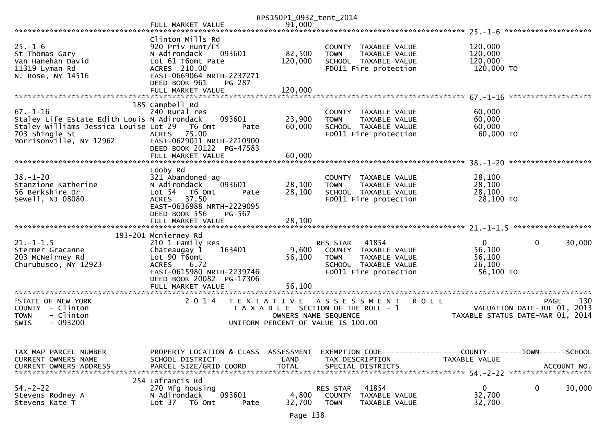|                                              |                                                   | RPS150P1_0932_tent_2014 |                                               |                     |                                  |
|----------------------------------------------|---------------------------------------------------|-------------------------|-----------------------------------------------|---------------------|----------------------------------|
|                                              | FULL MARKET VALUE                                 | 91,000                  |                                               |                     |                                  |
|                                              | Clinton Mills Rd                                  |                         |                                               |                     |                                  |
| $25. - 1 - 6$                                | 920 Priv Hunt/Fi                                  |                         | COUNTY TAXABLE VALUE                          | 120,000             |                                  |
| St Thomas Gary                               | N Adirondack<br>093601                            | 82,500                  | <b>TOWN</b><br>TAXABLE VALUE                  | 120,000             |                                  |
| Van Hanehan David                            | Lot 61 T6omt Pate                                 | 120,000                 | SCHOOL TAXABLE VALUE                          | 120,000             |                                  |
| 11319 Lyman Rd                               | ACRES 210.00                                      |                         | FD011 Fire protection                         | 120,000 TO          |                                  |
| N. Rose, NY 14516                            | EAST-0669064 NRTH-2237271                         |                         |                                               |                     |                                  |
|                                              | DEED BOOK 961<br><b>PG-287</b>                    |                         |                                               |                     |                                  |
|                                              | FULL MARKET VALUE                                 | 120,000                 |                                               |                     |                                  |
|                                              | 185 Campbell Rd                                   |                         |                                               |                     |                                  |
| $67. - 1 - 16$                               | 240 Rural res                                     |                         | COUNTY TAXABLE VALUE                          | 60,000              |                                  |
| Staley Life Estate Edith Louis N Adirondack  | 093601                                            | 23,900                  | TAXABLE VALUE<br><b>TOWN</b>                  | 60,000              |                                  |
| Staley Williams Jessica Louise Lot 29 T6 Omt | Pate                                              | 60,000                  | SCHOOL TAXABLE VALUE                          | 60,000              |                                  |
| 703 Shingle St                               | <b>ACRES</b><br>75.00                             |                         | FD011 Fire protection                         | 60,000 TO           |                                  |
| Morrisonville, NY 12962                      | EAST-0629011 NRTH-2210900                         |                         |                                               |                     |                                  |
|                                              | DEED BOOK 20122 PG-47583                          |                         |                                               |                     |                                  |
|                                              | FULL MARKET VALUE                                 | 60,000                  |                                               |                     |                                  |
|                                              | Looby Rd                                          |                         |                                               |                     |                                  |
| $38. - 1 - 20$                               | 321 Abandoned ag                                  |                         | COUNTY TAXABLE VALUE                          | 28,100              |                                  |
| Stanzione Katherine                          | 093601<br>N Adirondack                            | 28,100                  | TAXABLE VALUE<br><b>TOWN</b>                  | 28,100              |                                  |
| 56 Berkshire Dr                              | Lot 54  T6 Omt<br>Pate                            | 28,100                  | SCHOOL TAXABLE VALUE                          | 28,100              |                                  |
| Sewell, NJ 08080                             | 37.50<br><b>ACRES</b>                             |                         | FD011 Fire protection                         | 28,100 TO           |                                  |
|                                              | EAST-0636988 NRTH-2229095                         |                         |                                               |                     |                                  |
|                                              | DEED BOOK 556<br>PG-567<br>FULL MARKET VALUE      | 28,100                  |                                               |                     |                                  |
|                                              |                                                   |                         |                                               |                     |                                  |
|                                              | 193-201 Mcnierney Rd                              |                         |                                               |                     |                                  |
| $21. - 1 - 1.5$                              | 210 1 Family Res                                  |                         | 41854<br>RES STAR                             | $\overline{0}$      | $\mathbf 0$<br>30,000            |
| Stermer Gracanne                             | 163401<br>Chateaugay 1                            | 9,600                   | COUNTY TAXABLE VALUE                          | 56,100              |                                  |
| 203 McNeirney Rd                             | Lot 90 T6omt                                      | 56,100                  | <b>TOWN</b><br>TAXABLE VALUE                  | 56,100              |                                  |
| Churubusco, NY 12923                         | <b>ACRES</b><br>6.72<br>EAST-0615980 NRTH-2239746 |                         | SCHOOL TAXABLE VALUE<br>FD011 Fire protection | 26,100<br>56,100 TO |                                  |
|                                              | DEED BOOK 20082 PG-17306                          |                         |                                               |                     |                                  |
|                                              | FULL MARKET VALUE                                 | 56,100                  |                                               |                     |                                  |
|                                              |                                                   |                         |                                               |                     |                                  |
| <b>ISTATE OF NEW YORK</b>                    | 2 0 1 4                                           | T E N T A T I V E       | A S S E S S M E N T<br><b>ROLL</b>            |                     | 130<br><b>PAGE</b>               |
| COUNTY - Clinton                             |                                                   |                         | T A X A B L E SECTION OF THE ROLL - 1         |                     | VALUATION DATE-JUL 01, 2013      |
| - Clinton<br><b>TOWN</b>                     |                                                   | OWNERS NAME SEQUENCE    |                                               |                     | TAXABLE STATUS DATE-MAR 01, 2014 |
| $-093200$<br><b>SWIS</b>                     |                                                   |                         | UNIFORM PERCENT OF VALUE IS 100.00            |                     |                                  |
|                                              |                                                   |                         |                                               |                     |                                  |
|                                              |                                                   |                         |                                               |                     |                                  |
| TAX MAP PARCEL NUMBER                        | PROPERTY LOCATION & CLASS                         | ASSESSMENT              |                                               |                     |                                  |
| CURRENT OWNERS NAME                          | SCHOOL DISTRICT                                   | LAND                    | TAX DESCRIPTION                               | TAXABLE VALUE       |                                  |
| <b>CURRENT OWNERS ADDRESS</b>                | PARCEL SIZE/GRID COORD                            | <b>TOTAL</b>            | SPECIAL DISTRICTS                             |                     | ACCOUNT NO.                      |
|                                              | 254 Lafrancis Rd                                  |                         |                                               |                     |                                  |
| $54. - 2 - 22$                               | 270 Mfg housing                                   |                         | 41854<br>RES STAR                             | $\mathbf 0$         | 0<br>30,000                      |
| Stevens Rodney A                             | 093601<br>N Adirondack                            | 4,800                   | <b>COUNTY</b><br>TAXABLE VALUE                | 32,700              |                                  |
| Stevens Kate T                               | Lot 37<br>T6 Omt<br>Pate                          | 32,700                  | <b>TOWN</b><br>TAXABLE VALUE                  | 32,700              |                                  |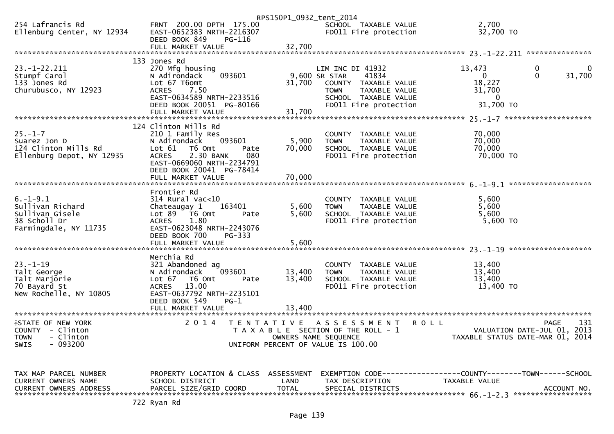|                                                                                                       |                                                                                                                                                                                                           | RPS150P1_0932_tent_2014    |                                                                                                                                                     |                                                                         |                                                                                       |
|-------------------------------------------------------------------------------------------------------|-----------------------------------------------------------------------------------------------------------------------------------------------------------------------------------------------------------|----------------------------|-----------------------------------------------------------------------------------------------------------------------------------------------------|-------------------------------------------------------------------------|---------------------------------------------------------------------------------------|
| 254 Lafrancis Rd<br>Ellenburg Center, NY 12934                                                        | FRNT 200.00 DPTH 175.00<br>EAST-0652383 NRTH-2216307<br>DEED BOOK 849<br>PG-116                                                                                                                           |                            | SCHOOL TAXABLE VALUE<br>FD011 Fire protection                                                                                                       | 2,700<br>32,700 TO                                                      |                                                                                       |
|                                                                                                       |                                                                                                                                                                                                           |                            |                                                                                                                                                     |                                                                         |                                                                                       |
|                                                                                                       | 133 Jones Rd                                                                                                                                                                                              |                            |                                                                                                                                                     |                                                                         |                                                                                       |
| $23. - 1 - 22.211$<br>Stumpf Carol<br>133 Jones Rd<br>Churubusco, NY 12923                            | 270 Mfg housing<br>093601<br>N Adirondack<br>Lot 67 T6omt<br><b>ACRES</b><br>7.50<br>EAST-0634589 NRTH-2233516<br>DEED BOOK 20051 PG-80166<br>FULL MARKET VALUE                                           | 31.700<br>31,700           | LIM INC DI 41932<br>9,600 SR STAR<br>41834<br>COUNTY TAXABLE VALUE<br>TAXABLE VALUE<br><b>TOWN</b><br>SCHOOL TAXABLE VALUE<br>FD011 Fire protection | 13,473<br>$\mathbf{0}$<br>18,227<br>31,700<br>$\mathbf{0}$<br>31,700 TO | 0<br>$\mathbf{0}$<br>31,700<br>$\Omega$                                               |
|                                                                                                       |                                                                                                                                                                                                           |                            |                                                                                                                                                     |                                                                         |                                                                                       |
| $25. - 1 - 7$<br>Suarez Jon D<br>124 Clinton Mills Rd<br>Ellenburg Depot, NY 12935                    | 124 Clinton Mills Rd<br>210 1 Family Res<br>093601<br>N Adirondack<br>Lot $61$<br>T6 Omt<br>Pate<br>2.30 BANK<br>080<br><b>ACRES</b><br>EAST-0669060 NRTH-2234791<br>DEED BOOK 20041 PG-78414             | 5,900<br>70,000            | COUNTY TAXABLE VALUE<br><b>TOWN</b><br>TAXABLE VALUE<br>SCHOOL TAXABLE VALUE<br>FD011 Fire protection                                               | 70,000<br>70,000<br>70,000<br>70,000 TO                                 |                                                                                       |
|                                                                                                       | FULL MARKET VALUE                                                                                                                                                                                         | 70,000                     |                                                                                                                                                     |                                                                         |                                                                                       |
|                                                                                                       |                                                                                                                                                                                                           |                            |                                                                                                                                                     |                                                                         |                                                                                       |
| $6. -1 - 9.1$<br>Sullivan Richard<br>Sullivan Gisele<br>38 Scholl Dr<br>Farmingdale, NY 11735         | Frontier Rd<br>$314$ Rural vac<10<br>Chateaugay 1<br>163401<br>$\overline{76}$ Omt<br>Lot 89<br>Pate<br>1.80<br><b>ACRES</b><br>EAST-0623048 NRTH-2243076<br>DEED BOOK 700<br>PG-333<br>FULL MARKET VALUE | 5,600<br>5,600<br>5,600    | COUNTY TAXABLE VALUE<br>TAXABLE VALUE<br><b>TOWN</b><br>SCHOOL TAXABLE VALUE<br>FD011 Fire protection                                               | 5.600<br>5,600<br>5,600<br>$5,600$ TO                                   |                                                                                       |
|                                                                                                       |                                                                                                                                                                                                           |                            |                                                                                                                                                     |                                                                         |                                                                                       |
| $23. - 1 - 19$<br>Talt George<br>Talt Marjorie<br>70 Bayard St<br>New Rochelle, NY 10805              | Merchia Rd<br>321 Abandoned ag<br>093601<br>N Adirondack<br>Lot $67$ T6 Omt<br>Pate<br><b>ACRES</b><br>13.00<br>EAST-0637792 NRTH-2235101<br>DEED BOOK 549<br>$PG-1$<br>FULL MARKET VALUE                 | 13,400<br>13,400<br>13,400 | COUNTY TAXABLE VALUE<br><b>TOWN</b><br>TAXABLE VALUE<br>SCHOOL TAXABLE VALUE<br>FD011 Fire protection                                               | 13,400<br>13,400<br>13,400<br>13,400 TO                                 |                                                                                       |
|                                                                                                       |                                                                                                                                                                                                           |                            |                                                                                                                                                     |                                                                         |                                                                                       |
| <b>ISTATE OF NEW YORK</b><br>COUNTY - Clinton<br><b>TOWN</b><br>- Clinton<br>$-093200$<br><b>SWIS</b> | 2 0 1 4                                                                                                                                                                                                   |                            | TENTATIVE ASSESSMENT<br>T A X A B L E SECTION OF THE ROLL - 1<br>OWNERS NAME SEQUENCE<br>UNIFORM PERCENT OF VALUE IS 100.00                         | <b>ROLL</b>                                                             | 131<br><b>PAGE</b><br>VALUATION DATE-JUL 01, 2013<br>TAXABLE STATUS DATE-MAR 01, 2014 |
| TAX MAP PARCEL NUMBER<br><b>CURRENT OWNERS NAME</b>                                                   | PROPERTY LOCATION & CLASS ASSESSMENT<br>SCHOOL DISTRICT                                                                                                                                                   | LAND                       | EXEMPTION CODE-----------------COUNTY-------TOWN------SCHOOL<br>TAX DESCRIPTION                                                                     | TAXABLE VALUE                                                           |                                                                                       |

CURRENT OWNERS NAME SCHOOL DISTRICT LAND TAX DESCRIPTION TAXABLE VALUE CURRENT OWNERS ADDRESS PARCEL SIZE/GRID COORD TOTAL SPECIAL DISTRICTS ACCOUNT NO. \*\*\*\*\*\*\*\*\*\*\*\*\*\*\*\*\*\*\*\*\*\*\*\*\*\*\*\*\*\*\*\*\*\*\*\*\*\*\*\*\*\*\*\*\*\*\*\*\*\*\*\*\*\*\*\*\*\*\*\*\*\*\*\*\*\*\*\*\*\*\*\*\*\*\*\*\*\*\*\*\*\*\*\*\*\*\*\*\*\*\*\*\*\*\*\*\*\*\*\*\*\*\* 66.-1-2.3 \*\*\*\*\*\*\*\*\*\*\*\*\*\*\*\*\*\*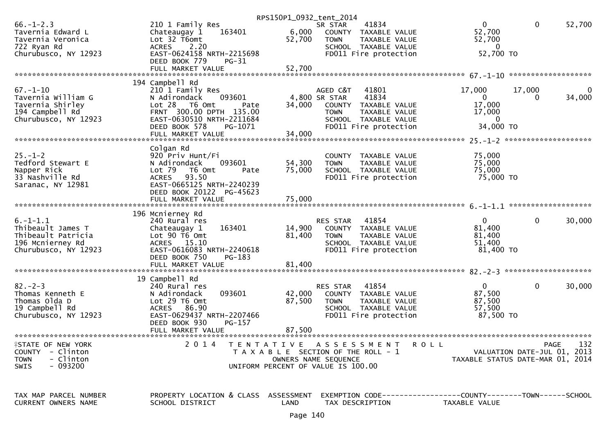|                                                                                                                 |                                                                                                                                                                        |                            | RPS150P1_0932_tent_2014                                                                                                                                 |                                                              |                                     |        |
|-----------------------------------------------------------------------------------------------------------------|------------------------------------------------------------------------------------------------------------------------------------------------------------------------|----------------------------|---------------------------------------------------------------------------------------------------------------------------------------------------------|--------------------------------------------------------------|-------------------------------------|--------|
| $66. - 1 - 2.3$<br>Tavernia Edward L<br>Tavernia Veronica<br>722 Ryan Rd                                        | 210 1 Family Res<br>163401<br>Chateaugay 1<br>Lot 32 T6omt<br>2.20<br><b>ACRES</b>                                                                                     | 6,000<br>52,700            | 41834<br>SR STAR<br>COUNTY TAXABLE VALUE<br><b>TOWN</b><br>TAXABLE VALUE<br>SCHOOL TAXABLE VALUE                                                        | $\Omega$<br>52,700<br>52,700<br>$\Omega$                     | $\mathbf 0$                         | 52,700 |
| Churubusco, NY 12923                                                                                            | EAST-0624158 NRTH-2215698<br>DEED BOOK 779<br>$PG-31$                                                                                                                  |                            | FD011 Fire protection                                                                                                                                   | 52,700 TO                                                    |                                     |        |
|                                                                                                                 | FULL MARKET VALUE                                                                                                                                                      | 52,700                     |                                                                                                                                                         |                                                              | *******************                 |        |
|                                                                                                                 | 194 Campbell Rd                                                                                                                                                        |                            |                                                                                                                                                         |                                                              |                                     |        |
| $67. - 1 - 10$<br>Tavernia William G<br>Tavernia Shirley<br>194 Campbell Rd<br>Churubusco, NY 12923             | 210 1 Family Res<br>093601<br>N Adirondack<br>Lot 28<br>T6 Omt<br>Pate<br>FRNT 300.00 DPTH 135.00<br>EAST-0630510 NRTH-2211684<br>DEED BOOK 578<br>PG-1071             | 34,000                     | AGED C&T<br>41801<br>41834<br>4,800 SR STAR<br>COUNTY<br>TAXABLE VALUE<br>TAXABLE VALUE<br><b>TOWN</b><br>SCHOOL TAXABLE VALUE<br>FD011 Fire protection | 17,000<br>$\mathbf{0}$<br>17,000<br>17,000<br>0<br>34,000 TO | 17,000<br>0                         | 34,000 |
|                                                                                                                 |                                                                                                                                                                        |                            |                                                                                                                                                         |                                                              |                                     |        |
| $25. - 1 - 2$<br>Tedford Stewart E<br>Napper Rick<br>33 Nashville Rd<br>Saranac, NY 12981                       | Colgan Rd<br>920 Priv Hunt/Fi<br>N Adirondack<br>093601<br>Lot 79<br>T6 Omt<br>Pate<br>93.50<br><b>ACRES</b><br>EAST-0665125 NRTH-2240239<br>DEED BOOK 20122 PG-45623  | 54,300<br>75,000           | COUNTY TAXABLE VALUE<br><b>TOWN</b><br>TAXABLE VALUE<br>SCHOOL TAXABLE VALUE<br>FD011 Fire protection                                                   | 75,000<br>75,000<br>75,000<br>75,000 TO                      |                                     |        |
|                                                                                                                 | FULL MARKET VALUE                                                                                                                                                      | 75,000                     |                                                                                                                                                         |                                                              |                                     |        |
|                                                                                                                 | 196 Mcnierney Rd                                                                                                                                                       |                            |                                                                                                                                                         |                                                              |                                     |        |
| $6. -1 - 1.1$<br>Thibeault James T<br>Thibeault Patricia<br>196 Mcnierney Rd<br>Churubusco, NY 12923            | 240 Rural res<br>163401<br>Chateaugay 1<br>Lot 90 T6 Omt<br>ACRES 15.10<br>EAST-0616083 NRTH-2240618<br>PG-183<br>DEED BOOK 750<br>FULL MARKET VALUE                   | 14,900<br>81,400<br>81,400 | RES STAR<br>41854<br>COUNTY<br>TAXABLE VALUE<br><b>TOWN</b><br>TAXABLE VALUE<br>SCHOOL TAXABLE VALUE<br>FD011 Fire protection                           | $\mathbf{0}$<br>81,400<br>81,400<br>51,400<br>81,400 TO      | 0                                   | 30,000 |
|                                                                                                                 |                                                                                                                                                                        |                            |                                                                                                                                                         |                                                              |                                     |        |
| $82 - 2 - 3$<br>Thomas Kenneth E<br>Thomas Olda D<br>19 Campbell Rd<br>Churubusco, NY 12923                     | 19 Campbell Rd<br>240 Rural res<br>093601<br>N Adirondack<br>Lot 29 T6 Omt<br>ACRES 86.90<br>EAST-0629437 NRTH-2207466<br>DEED BOOK 930<br>PG-157<br>FULL MARKET VALUE | 42,000<br>87,500<br>87,500 | RES STAR<br>41854<br>TAXABLE VALUE<br>COUNTY<br><b>TOWN</b><br>TAXABLE VALUE<br>SCHOOL TAXABLE VALUE<br>FD011 Fire protection                           | $\overline{0}$<br>87,500<br>87,500<br>57,500<br>87,500 TO    | $\mathbf 0$                         | 30,000 |
|                                                                                                                 |                                                                                                                                                                        |                            |                                                                                                                                                         |                                                              |                                     |        |
| <b>ISTATE OF NEW YORK</b><br><b>COUNTY</b><br>- Clinton<br>- Clinton<br><b>TOWN</b><br>$-093200$<br><b>SWIS</b> | 2 0 1 4                                                                                                                                                                |                            | TENTATIVE ASSESSMENT<br>T A X A B L E SECTION OF THE ROLL - 1<br>OWNERS NAME SEQUENCE<br>UNIFORM PERCENT OF VALUE IS 100.00                             | <b>ROLL</b><br>TAXABLE STATUS DATE-MAR 01, 2014              | PAGE<br>VALUATION DATE-JUL 01, 2013 | 132    |
| TAX MAP PARCEL NUMBER<br><b>CURRENT OWNERS NAME</b>                                                             | PROPERTY LOCATION & CLASS ASSESSMENT<br>SCHOOL DISTRICT                                                                                                                | LAND                       | EXEMPTION CODE-----------------COUNTY-------TOWN------SCHOOL<br>TAX DESCRIPTION                                                                         | TAXABLE VALUE                                                |                                     |        |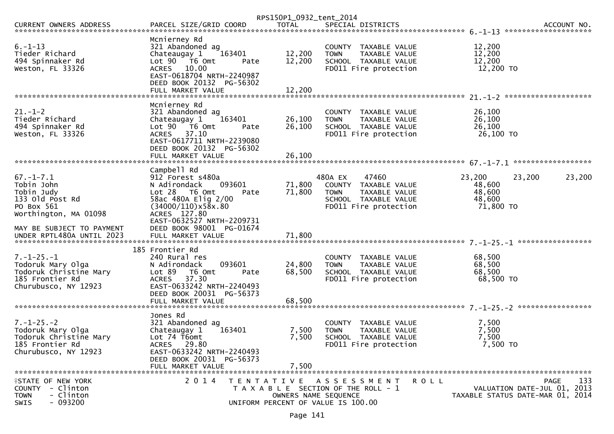|                                                                                                                                    |                                                                                                                                                                                                  | RPS150P1_0932_tent_2014                                    |                                                                                                                           |                                                   |                                                                                       |
|------------------------------------------------------------------------------------------------------------------------------------|--------------------------------------------------------------------------------------------------------------------------------------------------------------------------------------------------|------------------------------------------------------------|---------------------------------------------------------------------------------------------------------------------------|---------------------------------------------------|---------------------------------------------------------------------------------------|
| CURRENT OWNERS ADDRESS                                                                                                             |                                                                                                                                                                                                  |                                                            |                                                                                                                           |                                                   |                                                                                       |
| $6. - 1 - 13$<br>Tieder Richard<br>494 Spinnaker Rd<br>Weston, FL 33326                                                            | Mcnierney Rd<br>321 Abandoned ag<br>163401<br>Chateaugay 1<br>Lot 90 T6 Omt<br>ACRES 10.00<br>EAST-0618704 NRTH-2240987<br>DEED BOOK 20132 PG-56302<br>FULL MARKET VALUE                         | 12,200<br>12,200<br>Pate<br>12,200                         | COUNTY<br>TAXABLE VALUE<br><b>TOWN</b><br>TAXABLE VALUE<br>SCHOOL TAXABLE VALUE<br>FD011 Fire protection                  | 12,200<br>12,200<br>12,200<br>12,200 TO           |                                                                                       |
| $21. - 1 - 2$<br>Tieder Richard<br>494 Spinnaker Rd<br>Weston, FL 33326                                                            | Mcnierney Rd<br>321 Abandoned ag<br>163401<br>Chateaugay 1<br>Lot $90$ $\overline{76}$ Omt<br>ACRES 37.10<br>EAST-0617711 NRTH-2239080<br>DEED BOOK 20132 PG-56302<br>FULL MARKET VALUE          | 26,100<br>26,100<br>Pate<br>26,100                         | COUNTY TAXABLE VALUE<br>TAXABLE VALUE<br><b>TOWN</b><br>SCHOOL TAXABLE VALUE<br>FD011 Fire protection                     | 26,100<br>26,100<br>26,100<br>26,100 TO           |                                                                                       |
| $67. - 1 - 7.1$<br>Tobin John<br>Tobin Judv<br>133 old Post Rd<br>PO Box 561<br>Worthington, MA 01098<br>MAY BE SUBJECT TO PAYMENT | Campbell Rd<br>912 Forest s480a<br>N Adirondack<br>093601<br>Lot 28 T6 Omt<br>58ac 480A Elig 2/00<br>(34000/110)x58x.80<br>ACRES 127.80<br>EAST-0632527 NRTH-2209731<br>DEED BOOK 98001 PG-01674 | 71,800<br>71,800<br>Pate                                   | 480A EX<br>47460<br>COUNTY TAXABLE VALUE<br><b>TOWN</b><br>TAXABLE VALUE<br>SCHOOL TAXABLE VALUE<br>FD011 Fire protection | 23,200<br>48,600<br>48,600<br>48,600<br>71,800 TO | 23,200<br>23,200                                                                      |
| $7. - 1 - 25. - 1$<br>Todoruk Mary Olga<br>Todoruk Christine Mary<br>185 Frontier Rd<br>Churubusco, NY 12923                       | 185 Frontier Rd<br>240 Rural res<br>N Adirondack<br>093601<br>Lot 89<br>T6 Omt<br>37.30<br><b>ACRES</b><br>EAST-0633242 NRTH-2240493<br>DEED BOOK 20031 PG-56373                                 | 24,800<br>68,500<br>Pate                                   | COUNTY TAXABLE VALUE<br>TAXABLE VALUE<br><b>TOWN</b><br>SCHOOL TAXABLE VALUE<br>FD011 Fire protection                     | 68,500<br>68,500<br>68,500<br>68,500 TO           |                                                                                       |
| $7. - 1 - 25. - 2$<br>Todoruk Mary Olga<br>Todoruk Christine Mary<br>185 Frontier Rd<br>Churubusco, NY 12923                       | Jones Rd<br>321 Abandoned ag<br>163401<br>Chateaugay 1<br>Lot 74 T6omt<br>ACRES 29.80<br>EAST-0633242 NRTH-2240493<br>DEED BOOK 20031 PG-56373<br>FULL MARKET VALUE                              | 7,500<br>7,500<br>7,500                                    | COUNTY TAXABLE VALUE<br><b>TOWN</b><br>TAXABLE VALUE<br>SCHOOL TAXABLE VALUE<br>FD011 Fire protection                     | 7,500<br>7,500<br>7,500<br>7,500 TO               |                                                                                       |
| <b>ISTATE OF NEW YORK</b><br>COUNTY - Clinton<br>- Clinton<br><b>TOWN</b><br>$-093200$<br>SWIS                                     | 2 0 1 4                                                                                                                                                                                          | OWNERS NAME SEQUENCE<br>UNIFORM PERCENT OF VALUE IS 100.00 | TENTATIVE ASSESSMENT<br>T A X A B L E SECTION OF THE ROLL - 1                                                             | <b>ROLL</b>                                       | 133<br><b>PAGE</b><br>VALUATION DATE-JUL 01, 2013<br>TAXABLE STATUS DATE-MAR 01, 2014 |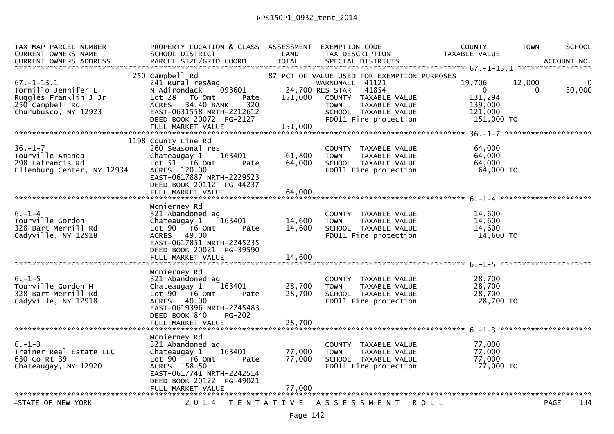| TAX MAP PARCEL NUMBER<br>CURRENT OWNERS NAME<br><b>CURRENT OWNERS ADDRESS</b>                               | PROPERTY LOCATION & CLASS ASSESSMENT<br>SCHOOL DISTRICT<br>PARCEL SIZE/GRID COORD                                                                                                                           | LAND<br><b>TOTAL</b>       | TAX DESCRIPTION<br>SPECIAL DISTRICTS                                                                                                                                                                | EXEMPTION CODE-----------------COUNTY-------TOWN------SCHOOL<br>TAXABLE VALUE                 | ACCOUNT NO.        |
|-------------------------------------------------------------------------------------------------------------|-------------------------------------------------------------------------------------------------------------------------------------------------------------------------------------------------------------|----------------------------|-----------------------------------------------------------------------------------------------------------------------------------------------------------------------------------------------------|-----------------------------------------------------------------------------------------------|--------------------|
| $67. - 1 - 13.1$<br>Tornillo Jennifer L<br>Ruggles Franklin J Jr<br>250 Campbell Rd<br>Churubusco, NY 12923 | 250 Campbell Rd<br>241 Rural res&ag<br>093601<br>N Adirondack<br>Lot 28<br>T6 Omt<br>Pate<br>34.40 BANK<br>320<br><b>ACRES</b><br>EAST-0631558 NRTH-2212612<br>DEED BOOK 20072 PG-2127<br>FULL MARKET VALUE | 151,000<br>151,000         | 87 PCT OF VALUE USED FOR EXEMPTION PURPOSES<br>WARNONALL 41121<br>24,700 RES STAR<br>41854<br>COUNTY TAXABLE VALUE<br>TAXABLE VALUE<br><b>TOWN</b><br>SCHOOL TAXABLE VALUE<br>FD011 Fire protection | 19,706<br>12,000<br>$\overline{0}$<br>$\Omega$<br>131,294<br>139,000<br>121,000<br>151,000 TO | 0<br>30,000        |
| $36. - 1 - 7$<br>Tourville Amanda<br>NY 12934<br>298 Lafrancis Rd<br>Ellenburg Center, NY 12934             | 1198 County Line Rd<br>260 Seasonal res<br>163401<br>Chateaugay 1<br>Lot 51 T6 Omt<br>Pate<br>ACRES 120.00<br>EAST-0617887 NRTH-2229523<br>DEED BOOK 20112 PG-44237<br>FULL MARKET VALUE                    | 61,800<br>64,000<br>64,000 | COUNTY TAXABLE VALUE<br><b>TOWN</b><br>TAXABLE VALUE<br>SCHOOL TAXABLE VALUE<br>FD011 Fire protection                                                                                               | 64,000<br>64,000<br>64,000<br>64,000 TO                                                       |                    |
| $6. - 1 - 4$<br>Tourville Gordon<br>328 Bart Merrill Rd<br>Cadyville, NY 12918                              | Mcnierney Rd<br>321 Abandoned ag<br>163401<br>Chateaugay 1<br>$Lot 90 76 0$ mt<br>Pate<br>ACRES 49.00<br>EAST-0617851 NRTH-2245235<br>DEED BOOK 20021 PG-39590<br>FULL MARKET VALUE                         | 14,600<br>14,600<br>14,600 | COUNTY TAXABLE VALUE<br><b>TOWN</b><br>TAXABLE VALUE<br>SCHOOL TAXABLE VALUE<br>FD011 Fire protection                                                                                               | 14,600<br>14,600<br>14,600<br>14,600 TO                                                       |                    |
| $6. - 1 - 5$<br>Tourville Gordon H<br>328 Bart Merrill Rd<br>Cadyville, NY 12918                            | Mcnierney Rd<br>321 Abandoned ag<br>163401<br>Chateaugay 1<br>Lot 90  T6 0mt<br>Pate<br>ACRES 40.00<br>EAST-0619396 NRTH-2245483<br>DEED BOOK 840<br><b>PG-202</b><br>FULL MARKET VALUE                     | 28,700<br>28,700<br>28,700 | COUNTY TAXABLE VALUE<br><b>TOWN</b><br>TAXABLE VALUE<br>SCHOOL TAXABLE VALUE<br>FD011 Fire protection                                                                                               | 28,700<br>28,700<br>28,700<br>28,700 TO                                                       |                    |
| $6. - 1 - 3$<br>Trainer Real Estate LLC<br>630 Co Rt 39<br>Chateaugay, NY 12920                             | Mcnierney Rd<br>321 Abandoned ag<br>163401<br>Chateaugay 1<br>Lot $90$ $\overline{76}$ Omt<br>Pate<br>ACRES 158.50<br>EAST-0617741 NRTH-2242514<br>DEED BOOK 20122 PG-49021<br>FULL MARKET VALUE            | 77,000<br>77,000<br>77,000 | COUNTY TAXABLE VALUE<br><b>TOWN</b><br>TAXABLE VALUE<br>SCHOOL TAXABLE VALUE<br>FD011 Fire protection                                                                                               | 77,000<br>77,000<br>77.000<br>77,000 TO                                                       |                    |
| <b>ISTATE OF NEW YORK</b>                                                                                   |                                                                                                                                                                                                             |                            | 2014 TENTATIVE ASSESSMENT ROLL                                                                                                                                                                      |                                                                                               | 134<br><b>PAGE</b> |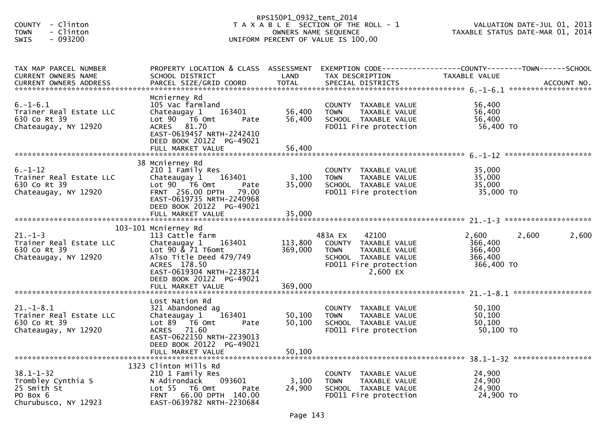| - Clinton<br><b>COUNTY</b><br>- Clinton<br><b>TOWN</b><br>SWIS<br>$-093200$              |                                                                                                                                                                                                     | RPS150P1_0932_tent_2014    | T A X A B L E SECTION OF THE ROLL - 1<br>OWNERS NAME SEQUENCE<br>UNIFORM PERCENT OF VALUE IS 100.00                                           | VALUATION DATE-JUL 01, 2013<br>TAXABLE STATUS DATE-MAR 01, 2014                                                   |       |
|------------------------------------------------------------------------------------------|-----------------------------------------------------------------------------------------------------------------------------------------------------------------------------------------------------|----------------------------|-----------------------------------------------------------------------------------------------------------------------------------------------|-------------------------------------------------------------------------------------------------------------------|-------|
| TAX MAP PARCEL NUMBER<br>CURRENT OWNERS NAME                                             | SCHOOL DISTRICT                                                                                                                                                                                     | LAND                       | TAX DESCRIPTION                                                                                                                               | PROPERTY LOCATION & CLASS ASSESSMENT EXEMPTION CODE----------------COUNTY-------TOWN------SCHOOL<br>TAXABLE VALUE |       |
| $6. -1 - 6.1$<br>Trainer Real Estate LLC<br>630 Co Rt 39<br>Chateaugay, NY 12920         | Mcnierney Rd<br>105 Vac farmland<br>Chateaugay 1<br>163401<br>Lot $90$ $\overline{76}$ Omt<br>Pate<br>ACRES 81.70<br>EAST-0619457 NRTH-2242410<br>DEED BOOK 20122 PG-49021                          | 56,400<br>56,400           | COUNTY TAXABLE VALUE<br>TAXABLE VALUE<br><b>TOWN</b><br>SCHOOL TAXABLE VALUE<br>FD011 Fire protection                                         | 56,400<br>56,400<br>56,400<br>56,400 TO                                                                           |       |
| $6. - 1 - 12$<br>Trainer Real Estate LLC<br>630 Co Rt 39<br>Chateaugay, NY 12920         | 38 Mcnierney Rd<br>210 1 Family Res<br>Chateaugay 1 163401<br>Lot 90 T6 Omt<br>Pate<br><b>FRNT 256.00 DPTH</b><br>79.00<br>EAST-0619735 NRTH-2240968<br>DEED BOOK 20122 PG-49021                    | 35,000                     | COUNTY TAXABLE VALUE<br>3,100 TOWN<br>TAXABLE VALUE<br>SCHOOL TAXABLE VALUE<br>FD011 Fire protection                                          | 35,000<br>35,000<br>35,000<br>35,000 TO                                                                           |       |
| $21. - 1 - 3$<br>Trainer Real Estate LLC<br>630 Co Rt 39<br>Chateaugay, NY 12920         | 103-101 Mcnierney Rd<br>113 Cattle farm<br>Chateaugay 1<br>163401<br>Lot 90 & 71 T6omt<br>Also Title Deed 479/749<br>ACRES 178.50<br>EAST-0619304 NRTH-2238714<br>DEED BOOK 20122 PG-49021          | 369,000                    | 483A EX<br>42100<br>113,800 COUNTY TAXABLE VALUE<br><b>TOWN</b><br>TAXABLE VALUE<br>SCHOOL TAXABLE VALUE<br>FD011 Fire protection<br>2,600 EX | 2,600<br>2,600<br>366,400<br>366,400<br>366,400<br>366,400 TO                                                     | 2,600 |
| $21.-1-8.1$<br>Trainer Real Estate LLC<br>630 Co Rt 39<br>Chateaugay, NY 12920           | Lost Nation Rd<br>321 Abandoned ag<br>163401<br>Chateaugay $1$<br>Lot $89$ $\overline{76}$ Omt<br>Pate<br>ACRES 71.60<br>EAST-0622150 NRTH-2239013<br>DEED BOOK 20122 PG-49021<br>FULL MARKET VALUE | 50,100<br>50,100<br>50,100 | COUNTY TAXABLE VALUE<br><b>TOWN</b><br>TAXABLE VALUE<br>SCHOOL TAXABLE VALUE<br>FD011 Fire protection                                         | 50,100<br>50,100<br>50,100<br>50,100 TO                                                                           |       |
| $38.1 - 1 - 32$<br>Trombley Cynthia S<br>25 Smith St<br>PO Box 6<br>Churubusco, NY 12923 | 1323 Clinton Mills Rd<br>210 1 Family Res<br>093601<br>N Adirondack<br>Lot 55  T6 Omt<br>Pate<br>66.00 DPTH 140.00<br><b>FRNT</b><br>EAST-0639782 NRTH-2230684                                      | 3,100<br>24,900            | <b>COUNTY</b><br>TAXABLE VALUE<br>TAXABLE VALUE<br>TOWN<br>SCHOOL TAXABLE VALUE<br>FD011 Fire protection                                      | 24,900<br>24,900<br>24,900<br>24,900 TO                                                                           |       |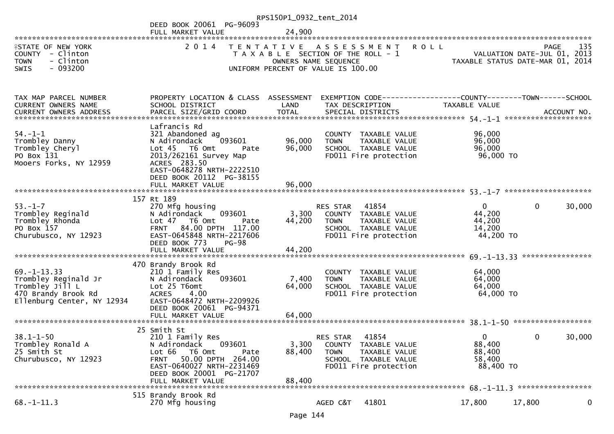|                                                                                                                   |                                                                                                                                                                                                            | RPS150P1_0932_tent_2014   |                                                                                                                                           |                                                     |                                                                                       |
|-------------------------------------------------------------------------------------------------------------------|------------------------------------------------------------------------------------------------------------------------------------------------------------------------------------------------------------|---------------------------|-------------------------------------------------------------------------------------------------------------------------------------------|-----------------------------------------------------|---------------------------------------------------------------------------------------|
|                                                                                                                   | DEED BOOK 20061 PG-96093                                                                                                                                                                                   |                           |                                                                                                                                           |                                                     |                                                                                       |
|                                                                                                                   | FULL MARKET VALUE                                                                                                                                                                                          | 24,900                    |                                                                                                                                           |                                                     |                                                                                       |
| <b>ISTATE OF NEW YORK</b><br><b>COUNTY</b><br>- Clinton<br>- Clinton<br><b>TOWN</b><br>$-093200$<br><b>SWIS</b>   | 2 0 1 4                                                                                                                                                                                                    | T E N T A T I V E         | A S S E S S M E N T<br><b>ROLL</b><br>T A X A B L E SECTION OF THE ROLL - 1<br>OWNERS NAME SEQUENCE<br>UNIFORM PERCENT OF VALUE IS 100.00 |                                                     | 135<br><b>PAGE</b><br>VALUATION DATE-JUL 01, 2013<br>TAXABLE STATUS DATE-MAR 01, 2014 |
|                                                                                                                   |                                                                                                                                                                                                            |                           |                                                                                                                                           |                                                     |                                                                                       |
| TAX MAP PARCEL NUMBER<br><b>CURRENT OWNERS NAME</b><br><b>CURRENT OWNERS ADDRESS</b>                              | PROPERTY LOCATION & CLASS ASSESSMENT<br>SCHOOL DISTRICT<br>PARCEL SIZE/GRID COORD                                                                                                                          | LAND<br><b>TOTAL</b>      | EXEMPTION CODE-----------------COUNTY-------TOWN------SCHOOL<br>TAX DESCRIPTION<br>SPECIAL DISTRICTS                                      | TAXABLE VALUE                                       | ACCOUNT NO.                                                                           |
|                                                                                                                   | Lafrancis Rd                                                                                                                                                                                               |                           |                                                                                                                                           |                                                     |                                                                                       |
| $54. - 1 - 1$<br>Trombley Danny<br>Trombley Cheryl<br>PO Box 131<br>Mooers Forks, NY 12959                        | 321 Abandoned ag<br>093601<br>N Adirondack<br>Lot 45 T6 Omt<br>Pate<br>2013/262161 Survey Map<br>ACRES 283.50<br>EAST-0648278 NRTH-2222510<br>DEED BOOK 20112 PG-38155                                     | 96,000<br>96,000          | COUNTY TAXABLE VALUE<br>TAXABLE VALUE<br><b>TOWN</b><br>SCHOOL TAXABLE VALUE<br>FD011 Fire protection                                     | 96,000<br>96,000<br>96,000<br>96,000 TO             |                                                                                       |
|                                                                                                                   |                                                                                                                                                                                                            |                           |                                                                                                                                           |                                                     |                                                                                       |
|                                                                                                                   |                                                                                                                                                                                                            |                           |                                                                                                                                           |                                                     |                                                                                       |
| $53. - 1 - 7$<br>Trombley Reginald<br>Trombley Rhonda<br>PO Box 157<br>Churubusco, NY 12923                       | 157 Rt 189<br>270 Mfg housing<br>093601<br>N Adirondack<br>Lot 47<br>T6 Omt<br>Pate<br>84.00 DPTH 117.00<br><b>FRNT</b><br>EAST-0645848 NRTH-2217606<br>DEED BOOK 773<br><b>PG-98</b><br>FULL MARKET VALUE | 3,300<br>44,200<br>44,200 | <b>RES STAR</b><br>41854<br>COUNTY TAXABLE VALUE<br><b>TOWN</b><br>TAXABLE VALUE<br>SCHOOL TAXABLE VALUE<br>FD011 Fire protection         | $\Omega$<br>44,200<br>44,200<br>14,200<br>44,200 TO | 0<br>30,000                                                                           |
|                                                                                                                   | 470 Brandy Brook Rd                                                                                                                                                                                        |                           |                                                                                                                                           |                                                     |                                                                                       |
| $69. - 1 - 13.33$<br>Trombley Reginald Jr<br>Trombley Jill L<br>470 Brandy Brook Rd<br>Ellenburg Center, NY 12934 | 210 1 Family Res<br>N Adirondack<br>093601<br>Lot 25 T6omt<br><b>ACRES</b><br>4.00<br>EAST-0648472 NRTH-2209926<br>DEED BOOK 20061 PG-94371<br>FULL MARKET VALUE                                           | 7,400<br>64,000<br>64,000 | COUNTY TAXABLE VALUE<br>TAXABLE VALUE<br><b>TOWN</b><br>SCHOOL TAXABLE VALUE<br>FD011 Fire protection                                     | 64,000<br>64,000<br>64,000<br>64,000 TO             |                                                                                       |
|                                                                                                                   |                                                                                                                                                                                                            |                           |                                                                                                                                           |                                                     |                                                                                       |
| $38.1 - 1 - 50$<br>Trombley Ronald A<br>25 Smith St<br>Churubusco, NY 12923                                       | 25 Smith St<br>210 1 Family Res<br>093601<br>N Adirondack<br>Lot 66<br>T6 Omt<br>Pate<br>50.00 DPTH 264.00<br><b>FRNT</b><br>EAST-0640027 NRTH-2231469<br>DEED BOOK 20001 PG-21707<br>FULL MARKET VALUE    | 3,300<br>88,400<br>88,400 | 41854<br>RES STAR<br>COUNTY TAXABLE VALUE<br><b>TOWN</b><br>TAXABLE VALUE<br>SCHOOL TAXABLE VALUE<br>FD011 Fire protection                | $\Omega$<br>88,400<br>88,400<br>58,400<br>88,400 TO | 0<br>30,000                                                                           |
|                                                                                                                   |                                                                                                                                                                                                            |                           |                                                                                                                                           |                                                     |                                                                                       |
| $68. - 1 - 11.3$                                                                                                  | 515 Brandy Brook Rd<br>270 Mfg housing                                                                                                                                                                     |                           | 41801<br>AGED C&T                                                                                                                         | 17,800                                              | 0<br>17,800                                                                           |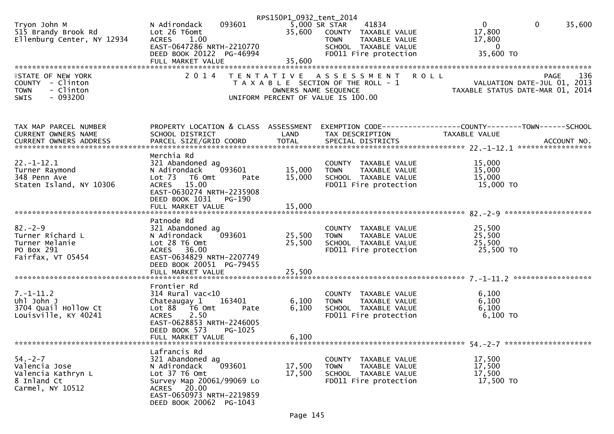| Tryon John M<br>515 Brandy Brook Rd<br>Ellenburg Center, NY 12934                                                           | 093601<br>N Adirondack<br>Lot 26 T6omt<br><b>ACRES</b><br>1.00<br>EAST-0647286 NRTH-2210770<br>DEED BOOK 20122 PG-46994<br>FULL MARKET VALUE                                                  | RPS150P1_0932_tent_2014<br>35,600 | 41834<br>5,000 SR STAR<br>35,600 COUNTY TAXABLE VALUE<br>TAXABLE VALUE<br>TOWN<br>SCHOOL TAXABLE VALUE<br>FD011 Fire protection | $\mathbf{0}$<br>$\mathbf 0$<br>35,600<br>17,800<br>17,800<br>$\overline{0}$<br>35,600 TO |     |
|-----------------------------------------------------------------------------------------------------------------------------|-----------------------------------------------------------------------------------------------------------------------------------------------------------------------------------------------|-----------------------------------|---------------------------------------------------------------------------------------------------------------------------------|------------------------------------------------------------------------------------------|-----|
| *************************<br><b>ISTATE OF NEW YORK</b><br>COUNTY - Clinton<br>- Clinton<br><b>TOWN</b><br>$-093200$<br>SWIS | 2 0 1 4                                                                                                                                                                                       | OWNERS NAME SEQUENCE              | TENTATIVE ASSESSMENT<br>T A X A B L E SECTION OF THE ROLL - 1<br>UNIFORM PERCENT OF VALUE IS 100.00                             | <b>ROLL</b><br>PAGE<br>VALUATION DATE-JUL 01, 2013<br>TAXABLE STATUS DATE-MAR 01, 2014   | 136 |
| TAX MAP PARCEL NUMBER<br>CURRENT OWNERS NAME                                                                                | PROPERTY LOCATION & CLASS ASSESSMENT<br>SCHOOL DISTRICT                                                                                                                                       | LAND                              | TAX DESCRIPTION                                                                                                                 | EXEMPTION CODE-----------------COUNTY--------TOWN------SCHOOL<br>TAXABLE VALUE           |     |
| $22. - 1 - 12.1$<br>Turner Raymond<br>348 Penn Ave<br>Staten Island, NY 10306                                               | Merchia Rd<br>321 Abandoned ag<br>093601<br>N Adirondack<br>Lot 73<br>T6 Omt<br>Pate<br>ACRES 15.00<br>EAST-0630274 NRTH-2235908<br>DEED BOOK 1031<br>PG-190<br>FULL MARKET VALUE             | 15,000<br>15,000<br>15,000        | COUNTY TAXABLE VALUE<br><b>TOWN</b><br>TAXABLE VALUE<br>SCHOOL TAXABLE VALUE<br>FD011 Fire protection                           | 15,000<br>15,000<br>15,000<br>15,000 TO                                                  |     |
| $82 - 2 - 9$<br>Turner Richard L<br>Turner Melanie<br>PO Box 291<br>Fairfax, VT 05454                                       | Patnode Rd<br>321 Abandoned ag<br>093601<br>N Adirondack<br>Lot 28 T6 Omt<br>ACRES 36.00<br>EAST-0634829 NRTH-2207749<br>DEED BOOK 20051 PG-79455<br>FULL MARKET VALUE                        | 25,500<br>25,500<br>25,500        | COUNTY TAXABLE VALUE<br><b>TOWN</b><br>TAXABLE VALUE<br>SCHOOL TAXABLE VALUE<br>FD011 Fire protection                           | 25,500<br>25,500<br>25,500<br>25,500 TO                                                  |     |
| $7. - 1 - 11.2$<br>Uhl John J<br>3704 Quail Hollow Ct<br>Louisville, KY 40241                                               | Frontier Rd<br>$314$ Rural vac< $10$<br>163401<br>Chateaugay 1<br>Lot 88 T6 Omt<br>Pate<br>2.50<br><b>ACRES</b><br>EAST-0628853 NRTH-2246005<br>DEED BOOK 573<br>PG-1025<br>FULL MARKET VALUE | 6,100<br>6,100<br>6,100           | COUNTY TAXABLE VALUE<br><b>TOWN</b><br>TAXABLE VALUE<br>SCHOOL TAXABLE VALUE<br>FD011 Fire protection                           | 6,100<br>6,100<br>6,100<br>$6,100$ TO                                                    |     |
| $54. - 2 - 7$<br>Valencia Jose<br>Valencia Kathryn L<br>8 Inland Ct<br>Carmel, NY 10512                                     | Lafrancis Rd<br>321 Abandoned ag<br>093601<br>N Adirondack<br>Lot 37 T6 Omt<br>Survey Map 20061/99069 Lo<br>ACRES 20.00<br>EAST-0650973 NRTH-2219859<br>DEED BOOK 20062 PG-1043               | 17,500<br>17,500                  | COUNTY TAXABLE VALUE<br><b>TOWN</b><br>TAXABLE VALUE<br>SCHOOL TAXABLE VALUE<br>FD011 Fire protection                           | 17,500<br>17,500<br>17,500<br>17,500 TO                                                  |     |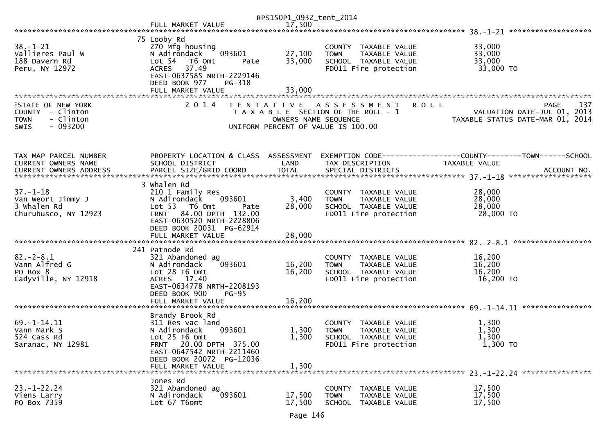|                                                                                                       |                                                                                                                                                                                            | RPS150P1_0932_tent_2014    |                                                                                                                    |                                                                                |
|-------------------------------------------------------------------------------------------------------|--------------------------------------------------------------------------------------------------------------------------------------------------------------------------------------------|----------------------------|--------------------------------------------------------------------------------------------------------------------|--------------------------------------------------------------------------------|
|                                                                                                       | FULL MARKET VALUE                                                                                                                                                                          | 17,500                     |                                                                                                                    |                                                                                |
| $38. - 1 - 21$<br>Vallieres Paul W<br>188 Davern Rd<br>Peru, NY 12972                                 | 75 Looby Rd<br>270 Mfg housing<br>093601<br>N Adirondack<br>Lot 54  T6 Omt<br>Pate<br>37.49<br><b>ACRES</b><br>EAST-0637585 NRTH-2229146<br>DEED BOOK 977<br>PG-318<br>FULL MARKET VALUE   | 27,100<br>33,000<br>33,000 | COUNTY TAXABLE VALUE<br>TAXABLE VALUE<br><b>TOWN</b><br>SCHOOL TAXABLE VALUE<br>FD011 Fire protection              | 33,000<br>33,000<br>33,000<br>33,000 TO                                        |
| <b>ISTATE OF NEW YORK</b><br>COUNTY - Clinton<br>- Clinton<br><b>TOWN</b><br>$-093200$<br><b>SWIS</b> | 2 0 1 4                                                                                                                                                                                    | OWNERS NAME SEQUENCE       | TENTATIVE ASSESSMENT<br><b>ROLL</b><br>T A X A B L E SECTION OF THE ROLL - 1<br>UNIFORM PERCENT OF VALUE IS 100.00 | 137<br>PAGE<br>VALUATION DATE-JUL 01, 2013<br>TAXABLE STATUS DATE-MAR 01, 2014 |
| TAX MAP PARCEL NUMBER<br>CURRENT OWNERS NAME                                                          | PROPERTY LOCATION & CLASS ASSESSMENT<br>SCHOOL DISTRICT                                                                                                                                    | LAND                       | TAX DESCRIPTION                                                                                                    | EXEMPTION CODE-----------------COUNTY-------TOWN------SCHOOL<br>TAXABLE VALUE  |
| $37. - 1 - 18$<br>Van Weort Jimmy J<br>3 Whalen Rd<br>Churubusco, NY 12923                            | 3 Whalen Rd<br>210 1 Family Res<br>093601<br>N Adirondack<br>Lot 53 T6 Omt<br>Pate<br>FRNT 84.00 DPTH 132.00<br>EAST-0630520 NRTH-2228806<br>DEED BOOK 20031 PG-62914<br>FULL MARKET VALUE | 3,400<br>28,000<br>28,000  | COUNTY TAXABLE VALUE<br>TAXABLE VALUE<br><b>TOWN</b><br>SCHOOL TAXABLE VALUE<br>FD011 Fire protection              | 28,000<br>28,000<br>28,000<br>28,000 TO<br>******************                  |
| $82 - 2 - 8.1$<br>Vann Alfred G<br>PO Box 8<br>Cadyville, NY 12918                                    | 241 Patnode Rd<br>321 Abandoned ag<br>093601<br>N Adirondack<br>Lot 28 T6 Omt<br>ACRES 17.40<br>EAST-0634778 NRTH-2208193<br>DEED BOOK 900<br>$PG-95$<br>FULL MARKET VALUE                 | 16,200<br>16,200<br>16,200 | COUNTY TAXABLE VALUE<br>TAXABLE VALUE<br><b>TOWN</b><br>SCHOOL TAXABLE VALUE<br>FD011 Fire protection              | 16,200<br>16,200<br>16,200<br>16,200 TO                                        |
| $69. - 1 - 14.11$<br>Vann Mark S<br>524 Cass Rd<br>Saranac, NY 12981                                  | Brandy Brook Rd<br>311 Res vac land<br>093601<br>N Adirondack<br>Lot 25 T6 Omt<br>20.00 DPTH 375.00<br>FRNT<br>EAST-0647542 NRTH-2211460<br>DEED BOOK 20072 PG-12036<br>FULL MARKET VALUE  | 1,300<br>1,300<br>1,300    | COUNTY TAXABLE VALUE<br><b>TOWN</b><br><b>TAXABLE VALUE</b><br>SCHOOL TAXABLE VALUE<br>FD011 Fire protection       | 1,300<br>1,300<br>1,300<br>$1,300$ TO                                          |
| $23 - 1 - 22.24$<br>Viens Larry<br>PO Box 7359                                                        | Jones Rd<br>321 Abandoned ag<br>093601<br>N Adirondack<br>Lot 67 T6omt                                                                                                                     | 17,500<br>17,500           | COUNTY<br>TAXABLE VALUE<br><b>TOWN</b><br>TAXABLE VALUE<br>SCHOOL<br>TAXABLE VALUE                                 | 17,500<br>17,500<br>17,500                                                     |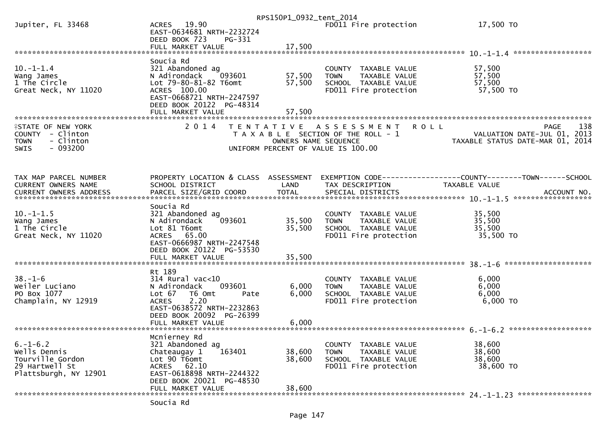|                                               |                                                    | RPS150P1_0932_tent_2014 |                                                                              |                                                               |
|-----------------------------------------------|----------------------------------------------------|-------------------------|------------------------------------------------------------------------------|---------------------------------------------------------------|
| Jupiter, FL 33468                             | ACRES 19.90<br>EAST-0634681 NRTH-2232724           |                         | FD011 Fire protection                                                        | 17,500 TO                                                     |
|                                               | DEED BOOK 723<br>PG-331                            |                         |                                                                              |                                                               |
|                                               |                                                    |                         |                                                                              |                                                               |
|                                               | Soucia Rd                                          |                         |                                                                              |                                                               |
| $10. -1 - 1.4$                                | 321 Abandoned ag                                   |                         | COUNTY TAXABLE VALUE                                                         | 57,500                                                        |
| Wang James                                    | N Adirondack<br>093601                             | 57,500                  | <b>TOWN</b><br>TAXABLE VALUE                                                 | 57,500                                                        |
| 1 The Circle                                  | Lot 79-80-81-82 T6omt                              | 57,500                  | SCHOOL TAXABLE VALUE                                                         | 57,500                                                        |
| Great Neck, NY 11020                          | ACRES 100.00<br>EAST-0668721 NRTH-2247597          |                         | FD011 Fire protection                                                        | 57,500 TO                                                     |
|                                               | DEED BOOK 20122 PG-48314                           |                         |                                                                              |                                                               |
|                                               | FULL MARKET VALUE                                  | 57,500                  |                                                                              |                                                               |
|                                               |                                                    |                         |                                                                              |                                                               |
| <b>ISTATE OF NEW YORK</b><br>COUNTY - Clinton | 2 0 1 4                                            |                         | TENTATIVE ASSESSMENT<br><b>ROLL</b><br>T A X A B L E SECTION OF THE ROLL - 1 | 138<br>PAGE<br>VALUATION DATE-JUL 01, 2013                    |
| <b>TOWN</b><br>- Clinton                      |                                                    | OWNERS NAME SEQUENCE    |                                                                              | TAXABLE STATUS DATE-MAR 01, 2014                              |
| $-093200$<br><b>SWIS</b>                      |                                                    |                         | UNIFORM PERCENT OF VALUE IS 100.00                                           |                                                               |
|                                               |                                                    |                         |                                                                              |                                                               |
|                                               |                                                    |                         |                                                                              |                                                               |
| TAX MAP PARCEL NUMBER                         | PROPERTY LOCATION & CLASS ASSESSMENT               |                         |                                                                              | EXEMPTION CODE------------------COUNTY-------TOWN------SCHOOL |
| <b>CURRENT OWNERS NAME</b>                    | SCHOOL DISTRICT                                    | LAND                    | TAX DESCRIPTION                                                              | TAXABLE VALUE                                                 |
|                                               |                                                    |                         |                                                                              |                                                               |
|                                               |                                                    |                         |                                                                              |                                                               |
| $10. -1 - 1.5$                                | Soucia Rd<br>321 Abandoned ag                      |                         | COUNTY TAXABLE VALUE                                                         | 35,500                                                        |
| Wang James                                    | 093601<br>N Adirondack                             | 35,500                  | <b>TOWN</b><br>TAXABLE VALUE                                                 | 35,500                                                        |
| 1 The Circle                                  | Lot 81 T6omt                                       | 35,500                  | SCHOOL TAXABLE VALUE                                                         | 35,500                                                        |
| Great Neck, NY 11020                          | ACRES 65.00                                        |                         | FD011 Fire protection                                                        | 35,500 TO                                                     |
|                                               | EAST-0666987 NRTH-2247548                          |                         |                                                                              |                                                               |
|                                               | DEED BOOK 20122 PG-53530<br>FULL MARKET VALUE      | 35,500                  |                                                                              |                                                               |
|                                               |                                                    |                         |                                                                              |                                                               |
|                                               | Rt 189                                             |                         |                                                                              |                                                               |
| $38. - 1 - 6$                                 | $314$ Rural vac<10                                 |                         | COUNTY TAXABLE VALUE                                                         | 6,000                                                         |
| Weiler Luciano<br>PO Box 1077                 | N Adirondack<br>093601<br>T6 Omt<br>Lot 67<br>Pate | 6,000<br>6,000          | <b>TOWN</b><br>TAXABLE VALUE<br>SCHOOL TAXABLE VALUE                         | 6,000<br>6,000                                                |
| Champlain, NY 12919                           | 2.20<br><b>ACRES</b>                               |                         | FD011 Fire protection                                                        | $6,000$ TO                                                    |
|                                               | EAST-0638572 NRTH-2232863                          |                         |                                                                              |                                                               |
|                                               | DEED BOOK 20092 PG-26399                           |                         |                                                                              |                                                               |
|                                               |                                                    |                         |                                                                              |                                                               |
|                                               | Mcnierney Rd                                       |                         |                                                                              |                                                               |
| $6. - 1 - 6.2$                                | 321 Abandoned ag                                   |                         | COUNTY TAXABLE VALUE                                                         | 38,600                                                        |
| Wells Dennis                                  | Chateaugay 1<br>163401                             | 38,600                  | <b>TOWN</b><br>TAXABLE VALUE                                                 | 38,600                                                        |
| Tourville Gordon                              | Lot 90 T6omt                                       | 38,600                  | SCHOOL TAXABLE VALUE                                                         | 38,600                                                        |
| 29 Hartwell St                                | ACRES 62.10<br>EAST-0618898 NRTH-2244322           |                         | FD011 Fire protection                                                        | 38,600 TO                                                     |
| Plattsburgh, NY 12901                         | DEED BOOK 20021 PG-48530                           |                         |                                                                              |                                                               |
|                                               | FULL MARKET VALUE                                  | 38,600                  |                                                                              |                                                               |
|                                               |                                                    |                         |                                                                              |                                                               |
|                                               | Soucia Rd                                          |                         |                                                                              |                                                               |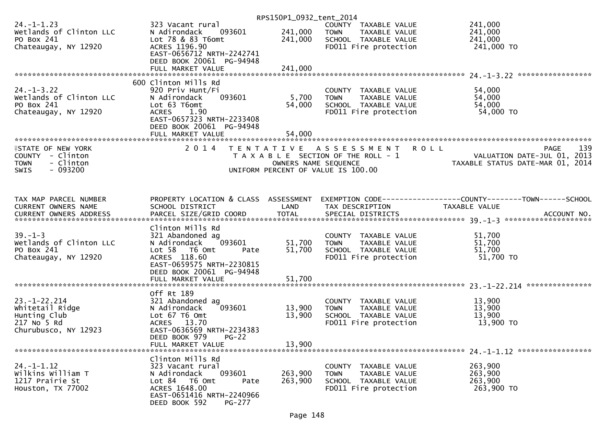|                                                                                                |                                                                                                                                                                                          | RPS150P1_0932_tent_2014    |                                                                                                          |                                                                                                      |
|------------------------------------------------------------------------------------------------|------------------------------------------------------------------------------------------------------------------------------------------------------------------------------------------|----------------------------|----------------------------------------------------------------------------------------------------------|------------------------------------------------------------------------------------------------------|
| $24. - 1 - 1.23$<br>Wetlands of Clinton LLC<br>PO Box 241<br>Chateaugay, NY 12920              | 323 Vacant rural<br>093601<br>N Adirondack<br>Lot 78 & 83 T6omt<br>ACRES 1196.90<br>EAST-0656712 NRTH-2242741                                                                            | 241,000<br>241,000         | COUNTY TAXABLE VALUE<br><b>TOWN</b><br>TAXABLE VALUE<br>SCHOOL TAXABLE VALUE<br>FD011 Fire protection    | 241,000<br>241,000<br>241,000<br>241,000 TO                                                          |
|                                                                                                | DEED BOOK 20061 PG-94948<br>FULL MARKET VALUE                                                                                                                                            | 241,000                    |                                                                                                          |                                                                                                      |
|                                                                                                |                                                                                                                                                                                          |                            |                                                                                                          |                                                                                                      |
| $24. - 1 - 3.22$<br>Wetlands of Clinton LLC<br>PO Box 241<br>Chateaugay, NY 12920              | 600 Clinton Mills Rd<br>920 Priv Hunt/Fi<br>N Adirondack<br>093601<br>Lot 63 T6omt<br><b>ACRES</b><br>1.90<br>EAST-0657323 NRTH-2233408<br>DEED BOOK 20061 PG-94948<br>FULL MARKET VALUE | 5,700<br>54,000<br>54,000  | COUNTY TAXABLE VALUE<br>TAXABLE VALUE<br><b>TOWN</b><br>SCHOOL TAXABLE VALUE<br>FD011 Fire protection    | 54,000<br>54,000<br>54,000<br>54,000 TO                                                              |
|                                                                                                |                                                                                                                                                                                          |                            |                                                                                                          |                                                                                                      |
| <b>ISTATE OF NEW YORK</b><br>COUNTY - Clinton<br>- Clinton<br><b>TOWN</b><br>$-093200$<br>SWIS | 2 0 1 4                                                                                                                                                                                  | OWNERS NAME SEQUENCE       | TENTATIVE ASSESSMENT<br>T A X A B L E SECTION OF THE ROLL - 1<br>UNIFORM PERCENT OF VALUE IS 100.00      | 139<br><b>ROLL</b><br><b>PAGE</b><br>VALUATION DATE-JUL 01, 2013<br>TAXABLE STATUS DATE-MAR 01, 2014 |
| TAX MAP PARCEL NUMBER<br>CURRENT OWNERS NAME                                                   | PROPERTY LOCATION & CLASS ASSESSMENT<br>SCHOOL DISTRICT                                                                                                                                  | LAND                       | TAX DESCRIPTION                                                                                          | <b>TAXABLE VALUE</b>                                                                                 |
| $39. - 1 - 3$<br>Wetlands of Clinton LLC<br>PO Box 241<br>Chateaugay, NY 12920                 | Clinton Mills Rd<br>321 Abandoned ag<br>093601<br>N Adirondack<br>Lot 58<br>T6 Omt<br>Pate<br>ACRES 118.60<br>EAST-0659575 NRTH-2230815<br>DEED BOOK 20061 PG-94948<br>FULL MARKET VALUE | 51,700<br>51,700<br>51,700 | COUNTY TAXABLE VALUE<br>TAXABLE VALUE<br><b>TOWN</b><br>SCHOOL TAXABLE VALUE<br>FD011 Fire protection    | 51,700<br>51,700<br>51,700<br>51,700 TO                                                              |
|                                                                                                |                                                                                                                                                                                          |                            |                                                                                                          |                                                                                                      |
| $23. - 1 - 22.214$<br>Whitetail Ridge<br>Hunting Club<br>217 No 5 Rd<br>Churubusco, NY 12923   | Off Rt 189<br>321 Abandoned ag<br>093601<br>N Adirondack<br>Lot 67 T6 Omt<br>ACRES 13.70<br>EAST-0636569 NRTH-2234383                                                                    | 13,900<br>13,900           | COUNTY<br>TAXABLE VALUE<br><b>TOWN</b><br>TAXABLE VALUE<br>SCHOOL TAXABLE VALUE<br>FD011 Fire protection | 13,900<br>13,900<br>13,900<br>13,900 TO                                                              |
|                                                                                                | DEED BOOK 979<br>$PG-22$<br>FULL MARKET VALUE                                                                                                                                            | 13,900                     |                                                                                                          |                                                                                                      |
| $24. - 1 - 1.12$<br>Wilkins William T<br>1217 Prairie St<br>Houston, TX 77002                  | Clinton Mills Rd<br>323 Vacant rural<br>093601<br>N Adirondack<br>Lot 84 T6 Omt<br>Pate<br>ACRES 1648.00<br>EAST-0651416 NRTH-2240966<br>DEED BOOK 592<br>PG-277                         | 263,900<br>263,900         | COUNTY<br>TAXABLE VALUE<br><b>TOWN</b><br>TAXABLE VALUE<br>SCHOOL TAXABLE VALUE<br>FD011 Fire protection | 263,900<br>263,900<br>263,900<br>263,900 TO                                                          |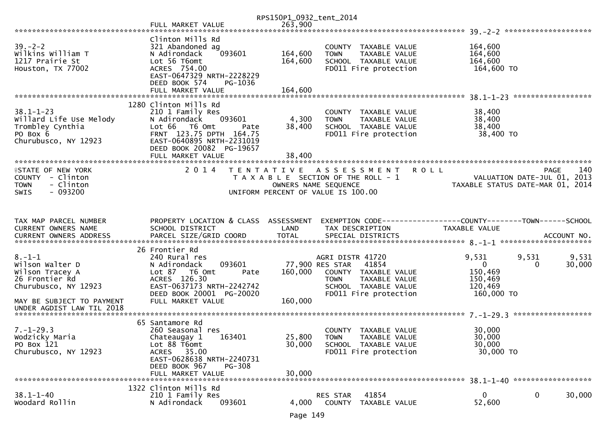|                                                                                                    |                                                                                                                                                                                                        | RPS150P1_0932_tent_2014   |                                                                                                                                                       |                                                                                           |                    |
|----------------------------------------------------------------------------------------------------|--------------------------------------------------------------------------------------------------------------------------------------------------------------------------------------------------------|---------------------------|-------------------------------------------------------------------------------------------------------------------------------------------------------|-------------------------------------------------------------------------------------------|--------------------|
|                                                                                                    | FULL MARKET VALUE                                                                                                                                                                                      | 263,900                   |                                                                                                                                                       |                                                                                           |                    |
|                                                                                                    |                                                                                                                                                                                                        |                           |                                                                                                                                                       |                                                                                           |                    |
| $39 - 2 - 2$<br>Wilkins William T<br>1217 Prairie St<br>Houston, TX 77002                          | Clinton Mills Rd<br>321 Abandoned ag<br>093601<br>N Adirondack<br>Lot 56 T6omt<br>ACRES 754.00<br>EAST-0647329 NRTH-2228229                                                                            | 164,600<br>164,600        | COUNTY TAXABLE VALUE<br><b>TOWN</b><br>TAXABLE VALUE<br>SCHOOL TAXABLE VALUE<br>FD011 Fire protection                                                 | 164,600<br>164,600<br>164,600<br>164,600 TO                                               |                    |
|                                                                                                    | DEED BOOK 574<br>PG-1036<br>FULL MARKET VALUE                                                                                                                                                          | 164,600                   |                                                                                                                                                       |                                                                                           |                    |
| $38.1 - 1 - 23$<br>Willard Life Use Melody<br>Trombley Cynthia<br>PO Box 6<br>Churubusco, NY 12923 | 1280 Clinton Mills Rd<br>210 1 Family Res<br>N Adirondack<br>093601<br>Lot 66  T6 0mt<br>Pate<br>FRNT 123.75 DPTH 164.75<br>EAST-0640895 NRTH-2231019<br>DEED BOOK 20082 PG-19657<br>FULL MARKET VALUE | 4,300<br>38,400<br>38,400 | COUNTY TAXABLE VALUE<br><b>TOWN</b><br>TAXABLE VALUE<br>SCHOOL TAXABLE VALUE<br>FD011 Fire protection                                                 | 38,400<br>38,400<br>38,400<br>38,400 TO                                                   |                    |
| <b>ISTATE OF NEW YORK</b><br>COUNTY - Clinton<br>- Clinton<br><b>TOWN</b><br>$-093200$<br>SWIS     | 2 0 1 4                                                                                                                                                                                                | T E N T A T I V E         | A S S E S S M E N T<br><b>ROLL</b><br>T A X A B L E SECTION OF THE ROLL - 1<br>OWNERS NAME SEQUENCE<br>UNIFORM PERCENT OF VALUE IS 100.00             | VALUATION DATE-JUL 01, 2013<br>TAXABLE STATUS DATE-MAR 01, 2014                           | <b>PAGE</b><br>140 |
| TAX MAP PARCEL NUMBER                                                                              | PROPERTY LOCATION & CLASS ASSESSMENT                                                                                                                                                                   |                           | EXEMPTION CODE-----------------COUNTY--------TOWN------SCHOOL                                                                                         |                                                                                           |                    |
| CURRENT OWNERS NAME                                                                                | SCHOOL DISTRICT                                                                                                                                                                                        | LAND                      | TAX DESCRIPTION                                                                                                                                       | TAXABLE VALUE                                                                             |                    |
|                                                                                                    | 26 Frontier Rd                                                                                                                                                                                         |                           |                                                                                                                                                       |                                                                                           |                    |
| $8. - 1 - 1$<br>Wilson Walter D<br>Wilson Tracey A<br>26 Frontier Rd<br>Churubusco, NY 12923       | 240 Rural res<br>093601<br>N Adirondack<br>Lot 87 T6 Omt<br>Pate<br>ACRES 126.30<br>EAST-0637173 NRTH-2242742<br>DEED BOOK 20001 PG-20020                                                              | 160,000                   | AGRI DISTR 41720<br>77,900 RES STAR<br>41854<br>COUNTY TAXABLE VALUE<br><b>TOWN</b><br>TAXABLE VALUE<br>SCHOOL TAXABLE VALUE<br>FD011 Fire protection | 9,531<br>9,531<br>$\mathbf{0}$<br>$\Omega$<br>150,469<br>150,469<br>120,469<br>160,000 TO | 9,531<br>30,000    |
| MAY BE SUBJECT TO PAYMENT<br>UNDER AGDIST LAW TIL 2018                                             | FULL MARKET VALUE                                                                                                                                                                                      | 160,000                   |                                                                                                                                                       |                                                                                           |                    |
|                                                                                                    | 65 Santamore Rd                                                                                                                                                                                        |                           |                                                                                                                                                       |                                                                                           |                    |
| $7. - 1 - 29.3$<br>Wodzicky Maria<br>PO Box 121<br>Churubusco, NY 12923                            | 260 Seasonal res<br>Chateaugay 1<br>163401<br>Lot 88 T6omt<br>35.00<br>ACRES<br>EAST-0628638 NRTH-2240731<br>DEED BOOK 967<br>$PG-308$                                                                 | 25,800<br>30,000          | <b>COUNTY</b><br>TAXABLE VALUE<br>TAXABLE VALUE<br><b>TOWN</b><br>SCHOOL TAXABLE VALUE<br>FD011 Fire protection                                       | 30,000<br>30,000<br>30,000<br>30,000 TO                                                   |                    |
|                                                                                                    | FULL MARKET VALUE                                                                                                                                                                                      | 30,000                    |                                                                                                                                                       |                                                                                           |                    |
|                                                                                                    |                                                                                                                                                                                                        |                           |                                                                                                                                                       |                                                                                           |                    |
| $38.1 - 1 - 40$                                                                                    | 1322 Clinton Mills Rd                                                                                                                                                                                  |                           |                                                                                                                                                       |                                                                                           |                    |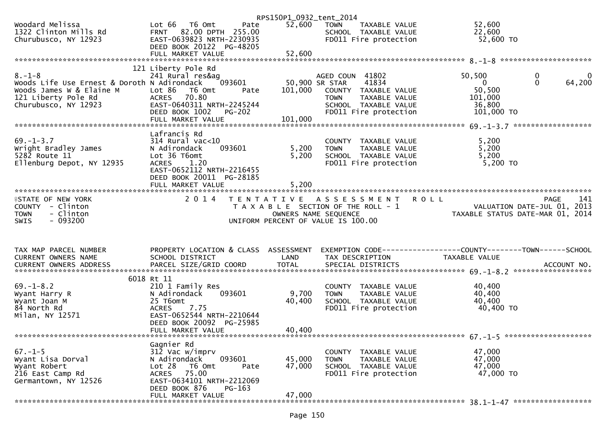|                                                                                                                                                                                                                                     |                                                                                                                                                                    | RPS150P1_0932_tent_2014                      |                                                                                                                                                     |                                                                                 |                             |
|-------------------------------------------------------------------------------------------------------------------------------------------------------------------------------------------------------------------------------------|--------------------------------------------------------------------------------------------------------------------------------------------------------------------|----------------------------------------------|-----------------------------------------------------------------------------------------------------------------------------------------------------|---------------------------------------------------------------------------------|-----------------------------|
| Woodard Melissa<br>1322 Clinton Mills Rd<br>Churubusco, NY 12923                                                                                                                                                                    | Lot 66  T6 0mt<br>82.00 DPTH 255.00<br><b>FRNT</b><br>EAST-0639823 NRTH-2230935<br>DEED BOOK 20122 PG-48205                                                        | 52,600<br>Pate                               | <b>TOWN</b><br>TAXABLE VALUE<br>SCHOOL TAXABLE VALUE<br>FD011 Fire protection                                                                       | 52,600<br>22,600<br>52,600 TO                                                   |                             |
|                                                                                                                                                                                                                                     | FULL MARKET VALUE                                                                                                                                                  | 52,600                                       |                                                                                                                                                     |                                                                                 |                             |
|                                                                                                                                                                                                                                     | 121 Liberty Pole Rd                                                                                                                                                |                                              |                                                                                                                                                     |                                                                                 |                             |
| $8. - 1 - 8$<br>Woods Life Use Ernest & Doroth N Adirondack<br>Woods James W & Elaine M<br>121 Liberty Pole Rd<br>Churubusco, NY 12923                                                                                              | 241 Rural res&ag<br>093601<br>Lot 86 T6 Omt<br><b>ACRES</b><br>70.80<br>EAST-0640311 NRTH-2245244<br>DEED BOOK 1002                                                | 101,000<br>Pate<br><b>PG-202</b>             | AGED COUN 41802<br>41834<br>50,900 SR STAR<br>COUNTY TAXABLE VALUE<br><b>TOWN</b><br>TAXABLE VALUE<br>SCHOOL TAXABLE VALUE<br>FD011 Fire protection | 50,500<br>$\mathbf{0}$<br>50,500<br>101,000<br>36,800<br>101,000 TO             | 0<br>$\mathbf{0}$<br>64,200 |
|                                                                                                                                                                                                                                     | Lafrancis Rd                                                                                                                                                       |                                              |                                                                                                                                                     |                                                                                 |                             |
| $69. - 1 - 3.7$<br>Wright Bradley James<br>$528\overline{2}$ Route $11$<br>Ellenburg Depot, NY 12935                                                                                                                                | $314$ Rural vac<10<br>N Adirondack<br>093601<br>Lot 36 T6omt<br><b>ACRES</b><br>1.20<br>EAST-0652112 NRTH-2216455<br>DEED BOOK 20011 PG-28185<br>FULL MARKET VALUE | 5,200<br>5,200<br>5,200                      | COUNTY TAXABLE VALUE<br>TAXABLE VALUE<br><b>TOWN</b><br>SCHOOL TAXABLE VALUE<br>FD011 Fire protection                                               | 5,200<br>5,200<br>5,200<br>5,200 TO                                             |                             |
|                                                                                                                                                                                                                                     |                                                                                                                                                                    |                                              |                                                                                                                                                     |                                                                                 |                             |
| <b>ISTATE OF NEW YORK</b><br>COUNTY - Clinton<br>- Clinton<br><b>TOWN</b><br>- 093200<br>SWIS                                                                                                                                       | 2 0 1 4                                                                                                                                                            | UNIFORM PERCENT OF VALUE IS 100.00           | TENTATIVE ASSESSMENT<br>T A X A B L E SECTION OF THE ROLL - 1<br>OWNERS NAME SEQUENCE                                                               | <b>ROLL</b><br>VALUATION DATE-JUL 01, 2013<br>TAXABLE STATUS DATE-MAR 01, 2014  | 141<br><b>PAGE</b>          |
| TAX MAP PARCEL NUMBER                                                                                                                                                                                                               |                                                                                                                                                                    |                                              |                                                                                                                                                     |                                                                                 |                             |
|                                                                                                                                                                                                                                     |                                                                                                                                                                    |                                              |                                                                                                                                                     |                                                                                 |                             |
| <b>CURRENT OWNERS NAME</b><br>CURRENT OWNERS ADDRESS                                                                                                                                                                                | SCHOOL DISTRICT                                                                                                                                                    | PROPERTY LOCATION & CLASS ASSESSMENT<br>LAND | TAX DESCRIPTION                                                                                                                                     | EXEMPTION CODE------------------COUNTY--------TOWN------SCHOOL<br>TAXABLE VALUE |                             |
| CURRENT OWNERS ADDRESS <b>THE PARCEL SIZE/GRID COORD</b> TOTAL SPECIAL DISTRICTS THE TOTAL SALLY AND MOTORD TOTAL SPECIAL DISTRICTS AND MOTORS THE REPORT OF THE RESERVE AND TO A SERVER A SERVER AND TO A SERVER THE REPORT OF THE |                                                                                                                                                                    |                                              |                                                                                                                                                     |                                                                                 |                             |
| $69. - 1 - 8.2$<br>Wyant Harry R<br>Wyant Joan M<br>84 North Rd<br>Milan, NY 12571                                                                                                                                                  | 6018 Rt 11<br>210 1 Family Res<br>093601<br>N Adirondack<br>25 T6omt<br>7.75<br><b>ACRES</b><br>EAST-0652544 NRTH-2210644<br>DEED BOOK 20092 PG-25985              | 9,700<br>40,400                              | COUNTY TAXABLE VALUE<br>TAXABLE VALUE<br><b>TOWN</b><br>SCHOOL TAXABLE VALUE<br>FD011 Fire protection                                               | 40,400<br>40,400<br>40,400<br>40,400 TO                                         |                             |
|                                                                                                                                                                                                                                     | FULL MARKET VALUE                                                                                                                                                  | 40,400                                       |                                                                                                                                                     |                                                                                 |                             |
| $67. - 1 - 5$<br>Wyant Lisa Dorval<br>Wyant Robert<br>216 East Camp Rd<br>Germantown, NY 12526                                                                                                                                      | Gagnier Rd<br>312 Vac w/imprv<br>N Adirondack<br>093601<br>Lot 28<br>T6 Omt<br>75.00<br><b>ACRES</b><br>EAST-0634101 NRTH-2212069<br>DEED BOOK 876                 | 45,000<br>47,000<br>Pate<br>PG-163           | COUNTY<br>TAXABLE VALUE<br><b>TOWN</b><br>TAXABLE VALUE<br>SCHOOL TAXABLE VALUE<br>FD011 Fire protection                                            | 47,000<br>47,000<br>47,000<br>47,000 TO                                         |                             |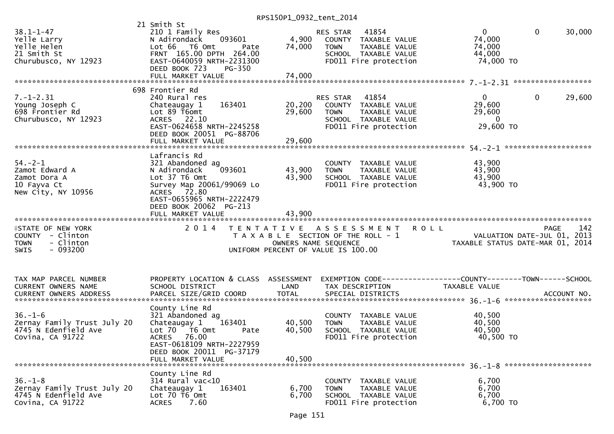|                                                                                                       |                                                                                                                                                                                               | RPS150P1_0932_tent_2014    |                                                                                                                                  |                                                                                               |
|-------------------------------------------------------------------------------------------------------|-----------------------------------------------------------------------------------------------------------------------------------------------------------------------------------------------|----------------------------|----------------------------------------------------------------------------------------------------------------------------------|-----------------------------------------------------------------------------------------------|
| $38.1 - 1 - 47$<br>Yelle Larry<br>Yelle Helen<br>21 Smith St<br>Churubusco, NY 12923                  | 21 Smith St<br>210 1 Family Res<br>093601<br>N Adirondack<br>Lot 66 T6 Omt<br>Pate<br>FRNT 165.00 DPTH 264.00<br>EAST-0640059 NRTH-2231300<br>DEED BOOK 723<br>PG-350                         | 4,900<br>74,000            | RES STAR 41854<br>COUNTY TAXABLE VALUE<br><b>TOWN</b><br>TAXABLE VALUE<br>SCHOOL TAXABLE VALUE<br>FD011 Fire protection          | $\mathbf 0$<br>$\overline{0}$<br>30,000<br>74,000<br>74,000<br>44,000<br>74,000 TO            |
|                                                                                                       |                                                                                                                                                                                               |                            |                                                                                                                                  |                                                                                               |
| $7. - 1 - 2.31$<br>Young Joseph C<br>698 Frontier Rd<br>Churubusco, NY 12923                          | 698 Frontier Rd<br>240 Rural res<br>163401<br>Chateaugay 1<br>Lot 89 T6omt<br>ACRES 22.10<br>EAST-0624658 NRTH-2245258<br>DEED BOOK 20051 PG-88706<br>FULL MARKET VALUE                       | 29,600<br>29,600           | RES STAR 41854<br>20,200 COUNTY TAXABLE VALUE<br><b>TOWN</b><br>TAXABLE VALUE<br>SCHOOL TAXABLE VALUE<br>FD011 Fire protection   | $\mathbf 0$<br>$\overline{0}$<br>29,600<br>29,600<br>29,600<br>$\overline{0}$<br>29,600 TO    |
|                                                                                                       |                                                                                                                                                                                               |                            |                                                                                                                                  |                                                                                               |
| $54. - 2 - 1$<br>Zamot Edward A<br>Zamot Dora A<br>10 Fayva Ct<br>New City, NY 10956                  | Lafrancis Rd<br>321 Abandoned ag<br>093601<br>N Adirondack<br>Lot 37 T6 Omt<br>Survey Map 20061/99069 Lo<br>ACRES 72.80<br>EAST-0655965 NRTH-2222479<br>DEED BOOK 20062 PG-213                | 43,900<br>43,900           | COUNTY TAXABLE VALUE<br><b>TOWN</b><br>TAXABLE VALUE<br>SCHOOL TAXABLE VALUE<br>FD011 Fire protection                            | 43,900<br>43,900<br>43,900<br>43,900 TO                                                       |
|                                                                                                       |                                                                                                                                                                                               |                            |                                                                                                                                  |                                                                                               |
| <b>ISTATE OF NEW YORK</b><br>COUNTY - Clinton<br>- Clinton<br><b>TOWN</b><br>$-093200$<br><b>SWIS</b> |                                                                                                                                                                                               |                            | 2014 TENTATIVE ASSESSMENT<br>T A X A B L E SECTION OF THE ROLL - 1<br>OWNERS NAME SEQUENCE<br>UNIFORM PERCENT OF VALUE IS 100.00 | 142<br><b>ROLL</b><br>PAGE<br>VALUATION DATE-JUL 01, 2013<br>TAXABLE STATUS DATE-MAR 01, 2014 |
| TAX MAP PARCEL NUMBER<br>CURRENT OWNERS NAME                                                          | PROPERTY LOCATION & CLASS ASSESSMENT<br>SCHOOL DISTRICT                                                                                                                                       | LAND                       | TAX DESCRIPTION                                                                                                                  | EXEMPTION CODE-----------------COUNTY--------TOWN-----SCHOOL<br>TAXABLE VALUE                 |
| $36. - 1 - 6$<br>Zernay Family Trust July 20<br>4745 N Edenfield Ave<br>Covina, CA 91722              | County Line Rd<br>321 Abandoned ag<br>163401<br>Chateaugay 1<br>Lot 70  T6 0mt<br>Pate<br><b>ACRES</b><br>76.00<br>EAST-0618109 NRTH-2227959<br>DEED BOOK 20011 PG-37179<br>FULL MARKET VALUE | 40,500<br>40,500<br>40,500 | COUNTY TAXABLE VALUE<br><b>TOWN</b><br>TAXABLE VALUE<br>SCHOOL TAXABLE VALUE<br>FD011 Fire protection                            | 40,500<br>40,500<br>40,500<br>40,500 TO                                                       |
| $36. - 1 - 8$<br>Zernay Family Trust July 20<br>4745 N Edenfield Ave<br>Covina, CA 91722              | County Line Rd<br>$314$ Rural vac<10<br>163401<br>Chateaugay 1<br>Lot 70 T6 Omt<br><b>ACRES</b><br>7.60                                                                                       | 6,700<br>6,700             | COUNTY TAXABLE VALUE<br><b>TOWN</b><br>TAXABLE VALUE<br>SCHOOL TAXABLE VALUE<br>FD011 Fire protection                            | 6,700<br>6,700<br>6,700<br>6,700 TO                                                           |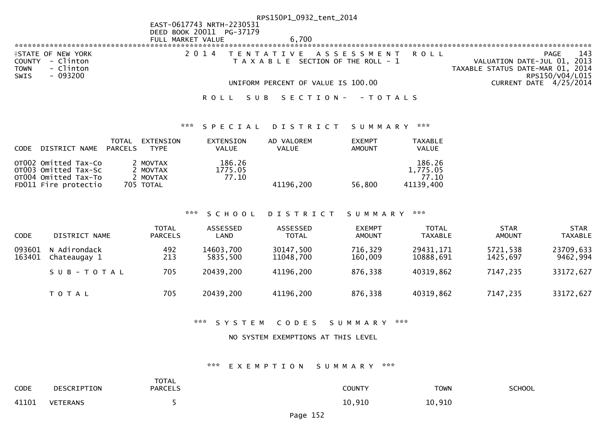|                           |                           | RPS150P1_0932_tent_2014                   |                                  |
|---------------------------|---------------------------|-------------------------------------------|----------------------------------|
|                           | EAST-0617743 NRTH-2230531 |                                           |                                  |
|                           | DEED BOOK 20011 PG-37179  |                                           |                                  |
|                           | FULL MARKET VALUE         | 6.700                                     |                                  |
|                           |                           |                                           |                                  |
| <b>ISTATE OF NEW YORK</b> |                           | 2014 TENTATIVE ASSESSMENT ROLL            | 143<br>PAGE                      |
| COUNTY - Clinton          |                           | $T$ A X A B L E SECTION OF THE ROLL - $1$ | VALUATION DATE-JUL 01, 2013      |
| - Clinton<br><b>TOWN</b>  |                           |                                           | TAXABLE STATUS DATE-MAR 01, 2014 |
| - 093200<br>SWIS          |                           |                                           | RPS150/V04/L015                  |
|                           |                           | UNIFORM PERCENT OF VALUE IS 100.00        | CURRENT DATE 4/25/2014           |
|                           |                           |                                           |                                  |
|                           |                           | ROLL SUB SECTION- - TOTALS                |                                  |

## \*\*\* S P E C I A L D I S T R I C T S U M M A R Y \*\*\*

| <b>CODE</b> | DISTRICT NAME                                                                                | TOTAL<br>PARCELS | EXTENSION<br><b>TYPE</b>                      | EXTENSION<br><b>VALUE</b>  | AD VALOREM<br><b>VALUE</b> | <b>EXEMPT</b><br><b>AMOUNT</b> | <b>TAXABLE</b><br><b>VALUE</b>           |
|-------------|----------------------------------------------------------------------------------------------|------------------|-----------------------------------------------|----------------------------|----------------------------|--------------------------------|------------------------------------------|
|             | OT002 Omitted Tax-Co<br>OTO03 Omitted Tax-Sc<br>OT004 Omitted Tax-To<br>FD011 Fire protectio |                  | 2 MOVTAX<br>2 MOVTAX<br>2 MOVTAX<br>705 TOTAL | 186.26<br>1775.05<br>77.10 | 41196.200                  | 56,800                         | 186.26<br>1.775.05<br>77.10<br>41139,400 |

#### \*\*\* S C H O O L D I S T R I C T S U M M A R Y \*\*\*

| <b>CODE</b>      | DISTRICT NAME                | TOTAL<br><b>PARCELS</b> | ASSESSED<br>LAND      | ASSESSED<br><b>TOTAL</b> | <b>EXEMPT</b><br><b>AMOUNT</b> | <b>TOTAL</b><br><b>TAXABLE</b> | <b>STAR</b><br>AMOUNT | <b>STAR</b><br><b>TAXABLE</b> |
|------------------|------------------------------|-------------------------|-----------------------|--------------------------|--------------------------------|--------------------------------|-----------------------|-------------------------------|
| 093601<br>163401 | N Adirondack<br>Chateaugay 1 | 492<br>213              | 14603,700<br>5835.500 | 30147,500<br>11048,700   | 716,329<br>160,009             | 29431, 171<br>10888,691        | 5721,538<br>1425.697  | 23709,633<br>9462,994         |
|                  | SUB-TOTAL                    | 705                     | 20439,200             | 41196,200                | 876,338                        | 40319,862                      | 7147,235              | 33172,627                     |
|                  | T O T A L                    | 705                     | 20439,200             | 41196,200                | 876,338                        | 40319,862                      | 7147,235              | 33172,627                     |

## \*\*\* S Y S T E M C O D E S S U M M A R Y \*\*\*

### NO SYSTEM EXEMPTIONS AT THIS LEVEL

## \*\*\* E X E M P T I O N S U M M A R Y \*\*\*

| <b>CODE</b> | DESCRIPTION | <b>TOTAL</b><br><b>PARCELS</b> | COUNTY | <b>TOWN</b> | SCHOOL |
|-------------|-------------|--------------------------------|--------|-------------|--------|
| 41101       | VETERANS    |                                | 10,910 | 10,910      |        |

Page 152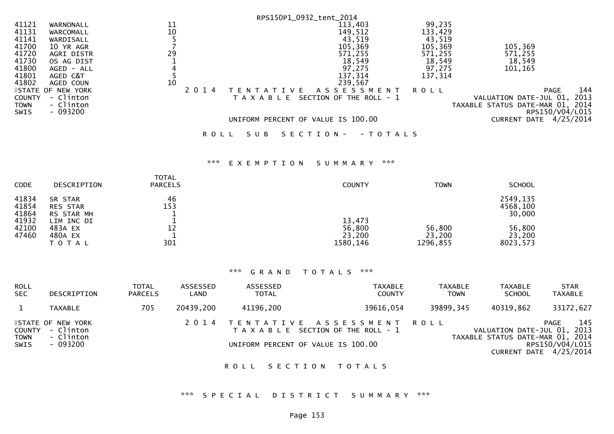|               |                           |    |         |                                    | RPS150P1_0932_tent_2014          |         |                                  |
|---------------|---------------------------|----|---------|------------------------------------|----------------------------------|---------|----------------------------------|
| 41121         | WARNONALL                 | 11 |         |                                    | 113,403                          | 99,235  |                                  |
| 41131         | WARCOMALL                 | 10 |         |                                    | 149,512                          | 133,429 |                                  |
| 41141         | WARDISALL                 |    |         |                                    | 43,519                           | 43,519  |                                  |
| 41700         | 10 YR AGR                 |    |         |                                    | 105,369                          | 105,369 | 105,369                          |
| 41720         | AGRI DISTR                | 29 |         |                                    | 571,255                          | 571,255 | 571,255                          |
| 41730         | OS AG DIST                |    |         |                                    | 18,549                           | 18,549  | 18,549                           |
| 41800         | AGED - ALL                |    |         |                                    | 97,275                           | 97,275  | 101,165                          |
| 41801         | AGED C&T                  |    |         |                                    | 137,314                          | 137,314 |                                  |
| 41802         | AGED COUN                 | 10 |         |                                    | 239,567                          |         |                                  |
|               | <b>ISTATE OF NEW YORK</b> |    | 2 0 1 4 | T E N T A T I V E                  | A S S E S S M E N T              | ROLL    | 144<br><b>PAGE</b>               |
| <b>COUNTY</b> | - Clinton                 |    |         | T A X A B L E                      | SECTION OF THE ROLL - 1          |         | 2013<br>VALUATION DATE-JUL 01,   |
| <b>TOWN</b>   | - Clinton                 |    |         |                                    |                                  |         | TAXABLE STATUS DATE-MAR 01, 2014 |
| <b>SWIS</b>   | $-093200$                 |    |         |                                    |                                  |         | RPS150/V04/L015                  |
|               |                           |    |         | UNIFORM PERCENT OF VALUE IS 100.00 |                                  |         | CURRENT DATE 4/25/2014           |
|               |                           |    | R O L L | SUB                                | S E C T I O N -<br>- T O T A L S |         |                                  |

## \*\*\* E X E M P T I O N S U M M A R Y \*\*\*

| <b>CODE</b>             | <b>DESCRIPTION</b>                            | <b>TOTAL</b><br><b>PARCELS</b> | <b>COUNTY</b>                          | <b>TOWN</b>                  | <b>SCHOOL</b>                  |
|-------------------------|-----------------------------------------------|--------------------------------|----------------------------------------|------------------------------|--------------------------------|
| 41834<br>41854<br>41864 | SR STAR<br><b>RES STAR</b><br>RS STAR MH      | 46<br>153                      |                                        |                              | 2549,135<br>4568,100<br>30,000 |
| 41932<br>42100<br>47460 | LIM INC DI<br>483A EX<br>480A EX<br>T O T A L | 12<br>301                      | 13,473<br>56,800<br>23,200<br>1580,146 | 56,800<br>23,200<br>1296,855 | 56,800<br>23,200<br>8023,573   |

## \*\*\* G R A N D T O T A L S \*\*\*

| <b>ROLL</b><br><b>SEC</b>            | DESCRIPTION                                                     | <b>TOTAL</b><br><b>PARCELS</b> | ASSESSED<br>LAND | ASSESSED<br><b>TOTAL</b>           | <b>TAXABLE</b><br><b>COUNTY</b>                                         | TAXABLE<br><b>TOWN</b> | TAXABLE<br><b>SCHOOL</b>                                        | <b>STAR</b><br>TAXABLE                                     |
|--------------------------------------|-----------------------------------------------------------------|--------------------------------|------------------|------------------------------------|-------------------------------------------------------------------------|------------------------|-----------------------------------------------------------------|------------------------------------------------------------|
|                                      | <b>TAXABLE</b>                                                  | 705                            | 20439,200        | 41196,200                          | 39616,054                                                               | 39899,345              | 40319,862                                                       | 33172,627                                                  |
| COUNTY<br><b>TOWN</b><br><b>SWIS</b> | <b>ISTATE OF NEW YORK</b><br>- Clinton<br>- Clinton<br>- 093200 |                                |                  | UNIFORM PERCENT OF VALUE IS 100.00 | 2014 TENTATIVE ASSESSMENT ROLL<br>T A X A B L E SECTION OF THE ROLL - 1 |                        | VALUATION DATE-JUL 01, 2013<br>TAXABLE STATUS DATE-MAR 01, 2014 | 145<br>PAGE<br>RPS150/V04/L015<br>CURRENT DATE $4/25/2014$ |

## ROLL SECTION TOTALS

# \*\*\* S P E C I A L D I S T R I C T S U M M A R Y \*\*\*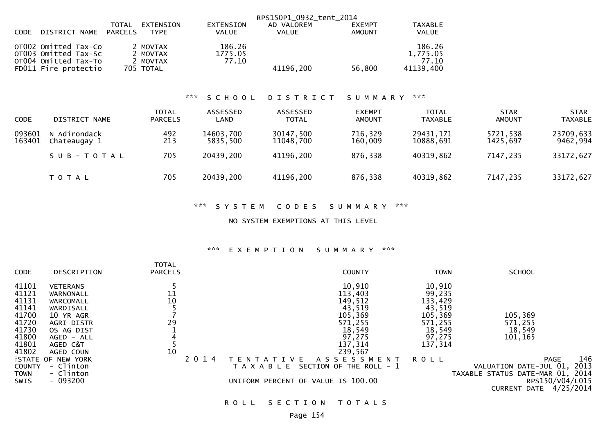|                                                                                              |                                               |                            | RPS150P1 0932 tent 2014 |               |                                          |
|----------------------------------------------------------------------------------------------|-----------------------------------------------|----------------------------|-------------------------|---------------|------------------------------------------|
|                                                                                              | EXTENSION<br>TOTAL                            | EXTENSION                  | AD VALOREM              | <b>EXEMPT</b> | <b>TAXABLE</b>                           |
| DISTRICT NAME<br>CODE                                                                        | PARCELS<br><b>TYPE</b>                        | VALUE                      | <b>VALUE</b>            | <b>AMOUNT</b> | <b>VALUE</b>                             |
| OTO02 Omitted Tax-Co<br>OTO03 Omitted Tax-Sc<br>OT004 Omitted Tax-To<br>FD011 Fire protectio | 2 MOVTAX<br>2 MOVTAX<br>2 MOVTAX<br>705 TOTAL | 186.26<br>1775.05<br>77.10 | 41196,200               | 56,800        | 186.26<br>1,775.05<br>77.10<br>41139,400 |

## \*\*\* S C H O O L D I S T R I C T S U M M A R Y \*\*\*

| <b>CODE</b>      | DISTRICT NAME                | <b>TOTAL</b><br><b>PARCELS</b> | ASSESSED<br>LAND      | ASSESSED<br><b>TOTAL</b> | <b>EXEMPT</b><br><b>AMOUNT</b> | <b>TOTAL</b><br><b>TAXABLE</b> | <b>STAR</b><br><b>AMOUNT</b> | <b>STAR</b><br><b>TAXABLE</b> |
|------------------|------------------------------|--------------------------------|-----------------------|--------------------------|--------------------------------|--------------------------------|------------------------------|-------------------------------|
| 093601<br>163401 | N Adirondack<br>Chateaugay 1 | 492<br>213                     | 14603,700<br>5835,500 | 30147,500<br>11048,700   | 716,329<br>160,009             | 29431,171<br>10888,691         | 5721,538<br>1425,697         | 23709,633<br>9462,994         |
|                  | SUB-TOTAL                    | 705                            | 20439,200             | 41196,200                | 876,338                        | 40319,862                      | 7147,235                     | 33172,627                     |
|                  | T O T A L                    | 705                            | 20439,200             | 41196,200                | 876,338                        | 40319,862                      | 7147,235                     | 33172,627                     |

## \*\*\* S Y S T E M C O D E S S U M M A R Y \*\*\*

NO SYSTEM EXEMPTIONS AT THIS LEVEL

## \*\*\* E X E M P T I O N S U M M A R Y \*\*\*

| <b>CODE</b>   | DESCRIPTION               | <b>TOTAL</b><br><b>PARCELS</b> |         | <b>COUNTY</b>                            | <b>TOWN</b> | <b>SCHOOL</b>                    |      |
|---------------|---------------------------|--------------------------------|---------|------------------------------------------|-------------|----------------------------------|------|
| 41101         | <b>VETERANS</b>           |                                |         | 10,910                                   | 10,910      |                                  |      |
|               |                           |                                |         |                                          |             |                                  |      |
| 41121         | WARNONALL                 | 11                             |         | 113,403                                  | 99,235      |                                  |      |
| 41131         | WARCOMALL                 | 10                             |         | 149,512                                  | 133,429     |                                  |      |
| 41141         | WARDISALL                 |                                |         | 43,519                                   | 43,519      |                                  |      |
| 41700         | 10 YR AGR                 |                                |         | 105,369                                  | 105,369     | 105,369                          |      |
| 41720         | AGRI DISTR                | 29                             |         | 571,255                                  | 571,255     | 571,255                          |      |
| 41730         | OS AG DIST                |                                |         | 18,549                                   | 18,549      | 18,549                           |      |
| 41800         | $AGED - ALL$              |                                |         | 97,275                                   | 97,275      | 101,165                          |      |
| 41801         | AGED C&T                  |                                |         | 137,314                                  | 137,314     |                                  |      |
| 41802         | AGED COUN                 | 10                             |         | 239,567                                  |             |                                  |      |
|               | <b>ISTATE OF NEW YORK</b> |                                | 2 0 1 4 | A S S E S S M E N T<br>V F<br>T F N      | <b>ROLL</b> | PAGE                             | 146  |
| <b>COUNTY</b> | - Clinton                 |                                |         | SECTION OF THE ROLL - 1<br>T A X A B L E |             | VALUATION DATE-JUL 01,           | 2013 |
| <b>TOWN</b>   | - Clinton                 |                                |         |                                          |             | TAXABLE STATUS DATE-MAR 01, 2014 |      |
| SWIS          | $-093200$                 |                                |         | UNIFORM PERCENT OF VALUE IS 100.00       |             | RPS150/V04/L015                  |      |
|               |                           |                                |         |                                          |             | 4/25/2014<br><b>CURRENT DATE</b> |      |

ROLL SECTION TOTALS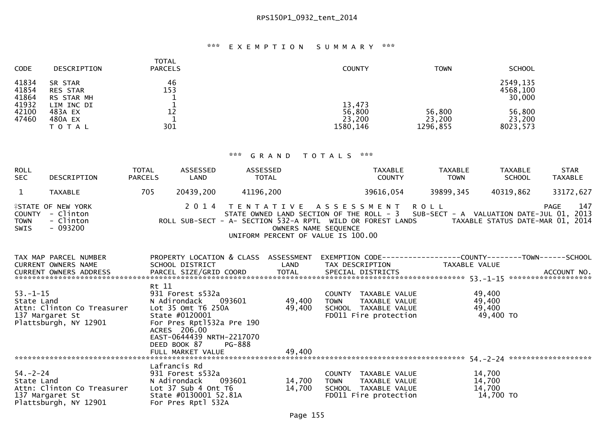## \*\*\* E X E M P T I O N S U M M A R Y \*\*\*

| <b>CODE</b>             | <b>DESCRIPTION</b>                            | <b>TOTAL</b><br><b>PARCELS</b> | <b>COUNTY</b>                          | <b>TOWN</b>                  | <b>SCHOOL</b>                  |
|-------------------------|-----------------------------------------------|--------------------------------|----------------------------------------|------------------------------|--------------------------------|
| 41834<br>41854<br>41864 | SR STAR<br><b>RES STAR</b><br>RS STAR MH      | 46<br>153                      |                                        |                              | 2549,135<br>4568,100<br>30,000 |
| 41932<br>42100<br>47460 | LIM INC DI<br>483A EX<br>480A EX<br>T O T A L | 12<br>301                      | 13,473<br>56,800<br>23,200<br>1580,146 | 56,800<br>23,200<br>1296,855 | 56,800<br>23,200<br>8023,573   |

| <b>ROLL</b><br><b>SEC</b>   | DESCRIPTION                                                                   | TOTAL<br><b>PARCELS</b> | ASSESSED<br>LAND                                                                                                                                                                                  | ASSESSED<br><b>TOTAL</b>                                                                                                                                                                                                                                 |                      | <b>TAXABLE</b><br><b>COUNTY</b>                                                        | TAXABLE<br><b>TOWN</b> | TAXABLE<br><b>SCHOOL</b>                | <b>STAR</b><br><b>TAXABLE</b> |
|-----------------------------|-------------------------------------------------------------------------------|-------------------------|---------------------------------------------------------------------------------------------------------------------------------------------------------------------------------------------------|----------------------------------------------------------------------------------------------------------------------------------------------------------------------------------------------------------------------------------------------------------|----------------------|----------------------------------------------------------------------------------------|------------------------|-----------------------------------------|-------------------------------|
| $\mathbf{1}$                | <b>TAXABLE</b>                                                                | 705                     | 20439,200                                                                                                                                                                                         | 41196,200                                                                                                                                                                                                                                                |                      | 39616,054                                                                              | 39899,345              | 40319,862                               | 33172,627                     |
| <b>TOWN</b><br><b>SWIS</b>  | <b>ISTATE OF NEW YORK</b><br>COUNTY - Clinton<br>- Clinton<br>$-093200$       |                         |                                                                                                                                                                                                   | 2014 TENTATIVE ASSESSMENT ROLL<br>STATE OWNED LAND SECTION OF THE ROLL - 3 SUB-SECT - A VALUATION DATE-JUL 01, 2013<br>ROLL SUB-SECT - A- SECTION 532-A RPTL WILD OR FOREST LANDS TAXABLE STATUS DATE-MAR 01, 2014<br>UNIFORM PERCENT OF VALUE IS 100.00 | OWNERS NAME SEQUENCE |                                                                                        |                        |                                         | 147<br><b>PAGE</b>            |
|                             | TAX MAP PARCEL NUMBER<br><b>CURRENT OWNERS NAME</b><br>CURRENT OWNERS ADDRESS |                         | SCHOOL DISTRICT                                                                                                                                                                                   | PROPERTY LOCATION & CLASS ASSESSMENT EXEMPTION CODE-----------------COUNTY-------TOWN------SCHOOL<br>LAND                                                                                                                                                |                      | TAX DESCRIPTION                                                                        | TAXABLE VALUE          |                                         |                               |
| $53 - 1 - 15$<br>State Land | Attn: Clinton Co Treasurer<br>137 Margaret St<br>Plattsburgh, NY 12901        | Rt 11                   | 931 Forest s532a<br>N Adirondack<br>093601<br>Lot 35 Omt T6 250A<br>State #0120001<br>For Pres Rpt1532a Pre 190<br>ACRES 206.00<br>EAST-0644439 NRTH-2217070<br>DEED BOOK 87<br>FULL MARKET VALUE | 49,400<br>49,400<br>PG-888<br>49,400                                                                                                                                                                                                                     | <b>TOWN</b>          | COUNTY TAXABLE VALUE<br>TAXABLE VALUE<br>SCHOOL TAXABLE VALUE<br>FD011 Fire protection |                        | 49,400<br>49,400<br>49,400<br>49,400 TO |                               |
|                             | $54. -2 - 24$<br>137 Margaret St<br>Plattsburgh, NY 12901                     |                         | Lafrancis Rd<br>093601<br>State #0130001 52.81A<br>For Pres Rptl 532A                                                                                                                             | 14,700<br>14,700                                                                                                                                                                                                                                         | <b>TOWN</b>          | COUNTY TAXABLE VALUE<br>TAXABLE VALUE<br>SCHOOL TAXABLE VALUE<br>FD011 Fire protection |                        | 14,700<br>14,700<br>14,700<br>14,700 TO |                               |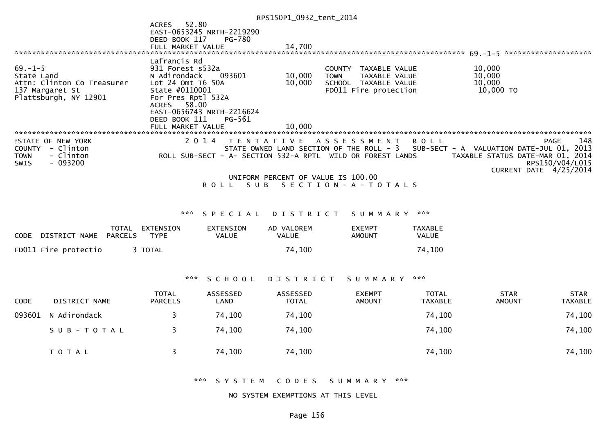|                                                                                                       |                                                                                                                              |                                            | RPS150P1_0932_tent_2014                                                                                |                                                                                        |                                |                                                                                                        |                               |
|-------------------------------------------------------------------------------------------------------|------------------------------------------------------------------------------------------------------------------------------|--------------------------------------------|--------------------------------------------------------------------------------------------------------|----------------------------------------------------------------------------------------|--------------------------------|--------------------------------------------------------------------------------------------------------|-------------------------------|
|                                                                                                       | 52.80<br><b>ACRES</b><br>DEED BOOK 117                                                                                       | EAST-0653245 NRTH-2219290<br><b>PG-780</b> |                                                                                                        |                                                                                        |                                |                                                                                                        |                               |
|                                                                                                       | FULL MARKET VALUE                                                                                                            |                                            | 14,700                                                                                                 |                                                                                        |                                |                                                                                                        |                               |
| $69. - 1 - 5$<br>State Land<br>Attn: Clinton Co Treasurer<br>137 Margaret St<br>Plattsburgh, NY 12901 | Lafrancis Rd<br>931 Forest s532a<br>N Adirondack<br>Lot 24 Omt T6 50A<br>State #0110001<br>For Pres Rptl 532A<br>ACRES 58.00 | 093601<br>EAST-0656743 NRTH-2216624        | 10,000<br><b>TOWN</b><br>10,000                                                                        | COUNTY TAXABLE VALUE<br>TAXABLE VALUE<br>SCHOOL TAXABLE VALUE<br>FD011 Fire protection |                                | 10,000<br>10,000<br>10,000<br>10,000 TO                                                                |                               |
|                                                                                                       | DEED BOOK 111                                                                                                                | PG-561                                     |                                                                                                        |                                                                                        |                                |                                                                                                        |                               |
|                                                                                                       | FULL MARKET VALUE                                                                                                            |                                            | 10,000                                                                                                 |                                                                                        |                                |                                                                                                        |                               |
| <b>ISTATE OF NEW YORK</b>                                                                             |                                                                                                                              | 2 0 1 4                                    | TENTATIVE ASSESSMENT                                                                                   |                                                                                        | <b>ROLL</b>                    |                                                                                                        | 148<br><b>PAGE</b>            |
| - Clinton<br><b>COUNTY</b><br>- Clinton<br><b>TOWN</b><br>$-093200$<br><b>SWIS</b>                    |                                                                                                                              |                                            | STATE OWNED LAND SECTION OF THE ROLL - 3<br>ROLL SUB-SECT - A- SECTION 532-A RPTL WILD OR FOREST LANDS |                                                                                        |                                | SUB-SECT - A VALUATION DATE-JUL 01, 2013<br>TAXABLE STATUS DATE-MAR 01, 2014<br>CURRENT DATE 4/25/2014 | RPS150/V04/L015               |
|                                                                                                       |                                                                                                                              |                                            | UNIFORM PERCENT OF VALUE IS 100.00                                                                     |                                                                                        |                                |                                                                                                        |                               |
|                                                                                                       |                                                                                                                              | S U B<br><b>ROLL</b>                       | SECTION - A - TOTALS                                                                                   |                                                                                        |                                |                                                                                                        |                               |
|                                                                                                       |                                                                                                                              |                                            |                                                                                                        |                                                                                        |                                |                                                                                                        |                               |
|                                                                                                       |                                                                                                                              | *** SPECIAL                                | D I S T R I C T                                                                                        | SUMMARY                                                                                | ***                            |                                                                                                        |                               |
| TOTAL<br>DISTRICT NAME<br><b>PARCELS</b><br><b>CODE</b>                                               | EXTENSION<br><b>TYPE</b>                                                                                                     | <b>EXTENSION</b><br><b>VALUE</b>           | AD VALOREM<br><b>VALUE</b>                                                                             | <b>EXEMPT</b><br><b>AMOUNT</b>                                                         | TAXABLE<br><b>VALUE</b>        |                                                                                                        |                               |
| FD011 Fire protectio                                                                                  | 3 TOTAL                                                                                                                      |                                            | 74,100                                                                                                 |                                                                                        | 74,100                         |                                                                                                        |                               |
|                                                                                                       |                                                                                                                              |                                            |                                                                                                        |                                                                                        |                                |                                                                                                        |                               |
|                                                                                                       | ***                                                                                                                          | SCHOOL                                     | D I S T R I C T                                                                                        | S U M M A R Y                                                                          | $\pi \times \pi$               |                                                                                                        |                               |
| <b>DISTRICT NAME</b><br><b>CODE</b>                                                                   | <b>TOTAL</b><br><b>PARCELS</b>                                                                                               | <b>ASSESSED</b><br>LAND                    | <b>ASSESSED</b><br><b>TOTAL</b>                                                                        | <b>EXEMPT</b><br><b>AMOUNT</b>                                                         | <b>TOTAL</b><br><b>TAXABLE</b> | <b>STAR</b><br><b>AMOUNT</b>                                                                           | <b>STAR</b><br><b>TAXABLE</b> |

| CODE | DISTRICT NAME       | <b>PARCELS</b> | _AND   | TOTAL  | AMOUNT | TAXABLE | AMOUNT | TAXABLE |
|------|---------------------|----------------|--------|--------|--------|---------|--------|---------|
|      | 093601 N Adirondack |                | 74,100 | 74,100 |        | 74,100  |        | 74,100  |
|      | S U B - T O T A L   | - 3- 1         | 74,100 | 74,100 |        | 74,100  |        | 74,100  |
|      | T O T A L           |                | 74,100 | 74,100 |        | 74,100  |        | 74,100  |

\*\*\* S Y S T E M C O D E S S U M M A R Y \*\*\*

NO SYSTEM EXEMPTIONS AT THIS LEVEL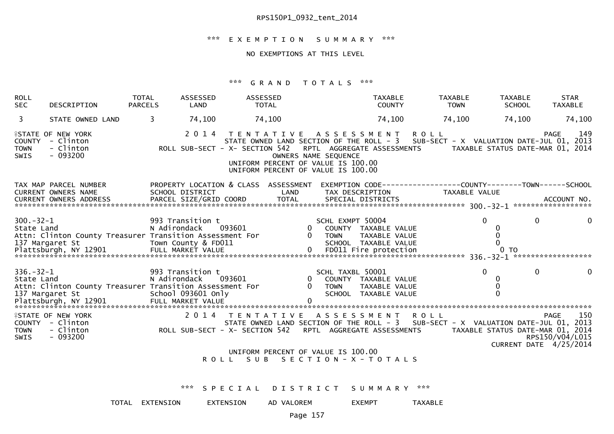## \*\*\* E X E M P T I O N S U M M A R Y \*\*\*

## NO EXEMPTIONS AT THIS LEVEL

| <b>ROLL</b><br><b>SEC</b>     | DESCRIPTION                                                                 | <b>TOTAL</b><br><b>PARCELS</b>   | ASSESSED<br>LAND                          | ASSESSED<br><b>TOTAL</b>                                                                                                              |                      |                                 | <b>TAXABLE</b><br><b>COUNTY</b>                                 |                                | <b>TAXABLE</b><br><b>TOWN</b> | <b>TAXABLE</b><br><b>SCHOOL</b>          | <b>STAR</b><br><b>TAXABLE</b>                                                                                                                                                     |
|-------------------------------|-----------------------------------------------------------------------------|----------------------------------|-------------------------------------------|---------------------------------------------------------------------------------------------------------------------------------------|----------------------|---------------------------------|-----------------------------------------------------------------|--------------------------------|-------------------------------|------------------------------------------|-----------------------------------------------------------------------------------------------------------------------------------------------------------------------------------|
| 3                             | STATE OWNED LAND                                                            | 3                                | 74,100                                    | 74,100                                                                                                                                |                      |                                 | 74,100                                                          |                                | 74,100                        | 74,100                                   | 74,100                                                                                                                                                                            |
| <b>TOWN</b><br>SWIS           | <b>ISTATE OF NEW YORK</b><br>COUNTY - Clinton<br>- Clinton<br>$-093200$     |                                  | 2 0 1 4                                   | ROLL SUB-SECT - X- SECTION 542 RPTL AGGREGATE ASSESSMENTS<br>UNIFORM PERCENT OF VALUE IS 100.00<br>UNIFORM PERCENT OF VALUE IS 100.00 | OWNERS NAME SEQUENCE |                                 |                                                                 | TENTATIVE ASSESSMENT ROLL      |                               |                                          | 149<br><b>PAGE</b><br>STATE OWNED LAND SECTION OF THE ROLL - 3 SUB-SECT - X VALUATION DATE-JUL 01, 2013<br>TAXABLE STATUS DATE-MAR 01, 2014                                       |
|                               | TAX MAP PARCEL NUMBER<br>CURRENT OWNERS NAME                                | SCHOOL DISTRICT                  |                                           | PROPERTY LOCATION & CLASS ASSESSMENT                                                                                                  | LAND                 |                                 | TAX DESCRIPTION                                                 |                                | <b>TAXABLE VALUE</b>          |                                          | EXEMPTION CODE-----------------COUNTY--------TOWN------SCHOOL                                                                                                                     |
| $300 - 32 - 1$<br>State Land  | Attn: Clinton County Treasurer Transition Assessment For<br>137 Margaret St | 993 Transition t<br>N Adirondack | 093601<br>Town County & FD011             |                                                                                                                                       |                      | SCHL EXMPT 50004<br>0 TOWN      | 0 COUNTY TAXABLE VALUE<br>TAXABLE VALUE<br>SCHOOL TAXABLE VALUE |                                | $\Omega$                      | $\mathbf 0$<br>0<br>$\Omega$<br>$\Omega$ | 0                                                                                                                                                                                 |
| $336. - 32 - 1$<br>State Land | Attn: Clinton County Treasurer Transition Assessment For<br>137 Margaret St | 993 Transition t                 | N Adirondack 093601<br>School 093601 Only |                                                                                                                                       | $\Omega$             | SCHL TAXBL 50001<br><b>TOWN</b> | 0 COUNTY TAXABLE VALUE<br>TAXABLE VALUE<br>SCHOOL TAXABLE VALUE |                                | $\Omega$                      | $\Omega$<br>0<br>0<br>$\Omega$           |                                                                                                                                                                                   |
| <b>TOWN</b><br>SWIS           | <b>ISTATE OF NEW YORK</b><br>COUNTY - Clinton<br>- Clinton<br>$-093200$     |                                  |                                           | ROLL SUB-SECT - X- SECTION 542 RPTL AGGREGATE ASSESSMENTS<br>UNIFORM PERCENT OF VALUE IS 100.00                                       |                      |                                 |                                                                 | 2014 TENTATIVE ASSESSMENT ROLL |                               |                                          | 150<br>PAGE<br>STATE OWNED LAND SECTION OF THE ROLL - 3 SUB-SECT - X VALUATION DATE-JUL 01, 2013<br>TAXABLE STATUS DATE-MAR 01, 2014<br>RPS150/V04/L015<br>CURRENT DATE 4/25/2014 |
|                               |                                                                             |                                  |                                           | ROLL SUB SECTION-X-TOTALS                                                                                                             |                      |                                 |                                                                 |                                |                               |                                          |                                                                                                                                                                                   |
|                               |                                                                             |                                  | ***                                       | SPECIAL                                                                                                                               | D I S T R I C T      |                                 | SUMMARY ***                                                     |                                |                               |                                          |                                                                                                                                                                                   |
|                               |                                                                             | TOTAL EXTENSION                  | <b>EXTENSION</b>                          |                                                                                                                                       | AD VALOREM           |                                 | <b>EXEMPT</b>                                                   | <b>TAXABLE</b>                 |                               |                                          |                                                                                                                                                                                   |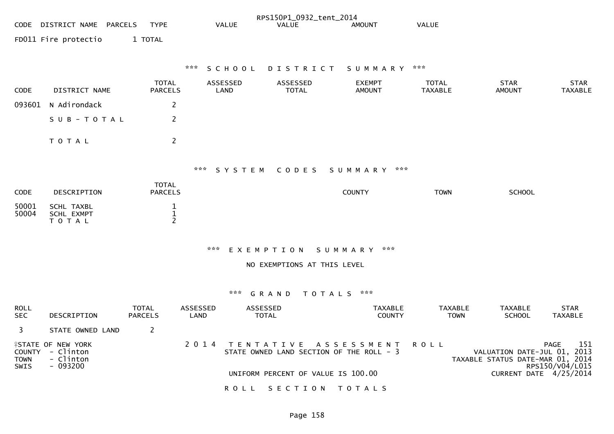|                            |                                                                         |                                                |                  |                          | RPS150P1_0932_tent_2014            |                                                                  |                                |                                                                 |                                |
|----------------------------|-------------------------------------------------------------------------|------------------------------------------------|------------------|--------------------------|------------------------------------|------------------------------------------------------------------|--------------------------------|-----------------------------------------------------------------|--------------------------------|
|                            | CODE DISTRICT NAME PARCELS                                              | <b>TYPE</b>                                    |                  | <b>VALUE</b>             | <b>VALUE</b>                       | <b>AMOUNT</b>                                                    | <b>VALUE</b>                   |                                                                 |                                |
|                            | FD011 Fire protectio                                                    | 1 TOTAL                                        |                  |                          |                                    |                                                                  |                                |                                                                 |                                |
|                            |                                                                         |                                                |                  |                          |                                    |                                                                  |                                |                                                                 |                                |
|                            |                                                                         |                                                | ***              | SCHOOL                   |                                    | DISTRICT SUMMARY                                                 | ***                            |                                                                 |                                |
| CODE                       | DISTRICT NAME                                                           | <b>TOTAL</b><br><b>PARCELS</b>                 |                  | ASSESSED<br>LAND         | ASSESSED<br><b>TOTAL</b>           | <b>EXEMPT</b><br><b>AMOUNT</b>                                   | <b>TOTAL</b><br><b>TAXABLE</b> | <b>STAR</b><br><b>AMOUNT</b>                                    | <b>STAR</b><br><b>TAXABLE</b>  |
| 093601                     | N Adirondack                                                            | $\overline{2}$                                 |                  |                          |                                    |                                                                  |                                |                                                                 |                                |
|                            | SUB-TOTAL                                                               | $\overline{2}$                                 |                  |                          |                                    |                                                                  |                                |                                                                 |                                |
|                            | T O T A L                                                               | $\mathbf{2}$                                   |                  |                          |                                    |                                                                  |                                |                                                                 |                                |
|                            |                                                                         |                                                |                  |                          | *** SYSTEM CODES                   | SUMMARY ***                                                      |                                |                                                                 |                                |
|                            |                                                                         | <b>TOTAL</b>                                   |                  |                          |                                    |                                                                  |                                |                                                                 |                                |
| <b>CODE</b>                | DESCRIPTION                                                             | <b>PARCELS</b>                                 |                  |                          |                                    | <b>COUNTY</b>                                                    | <b>TOWN</b>                    | <b>SCHOOL</b>                                                   |                                |
| 50001<br>50004             | <b>SCHL TAXBL</b><br>SCHL EXMPT<br>T O T A L                            | $\mathbf{1}$<br>$\mathbf{1}$<br>$\overline{2}$ |                  |                          |                                    |                                                                  |                                |                                                                 |                                |
|                            |                                                                         |                                                |                  | *** EXEMPTION            |                                    | SUMMARY ***                                                      |                                |                                                                 |                                |
|                            |                                                                         |                                                |                  |                          | NO EXEMPTIONS AT THIS LEVEL        |                                                                  |                                |                                                                 |                                |
|                            |                                                                         |                                                |                  | ***                      | GRAND                              | TOTALS ***                                                       |                                |                                                                 |                                |
| <b>ROLL</b><br><b>SEC</b>  | DESCRIPTION                                                             | TOTAL<br><b>PARCELS</b>                        | ASSESSED<br>LAND | ASSESSED<br><b>TOTAL</b> |                                    | <b>TAXABLE</b><br><b>COUNTY</b>                                  | <b>TAXABLE</b><br><b>TOWN</b>  | <b>TAXABLE</b><br><b>SCHOOL</b>                                 | <b>STAR</b><br><b>TAXABLE</b>  |
| $\overline{3}$             | STATE OWNED LAND                                                        | $\overline{2}$                                 |                  |                          |                                    |                                                                  |                                |                                                                 |                                |
| <b>TOWN</b><br><b>SWIS</b> | <b>ISTATE OF NEW YORK</b><br>COUNTY - Clinton<br>- Clinton<br>$-093200$ |                                                | 2 0 1 4          |                          |                                    | TENTATIVE ASSESSMENT<br>STATE OWNED LAND SECTION OF THE ROLL - 3 | <b>ROLL</b>                    | VALUATION DATE-JUL 01, 2013<br>TAXABLE STATUS DATE-MAR 01, 2014 | PAGE<br>151<br>RPS150/V04/L015 |
|                            |                                                                         |                                                |                  |                          | UNIFORM PERCENT OF VALUE IS 100.00 |                                                                  |                                | CURRENT DATE 4/25/2014                                          |                                |
|                            |                                                                         |                                                |                  | <b>ROLL</b>              | SECTION TOTALS                     |                                                                  |                                |                                                                 |                                |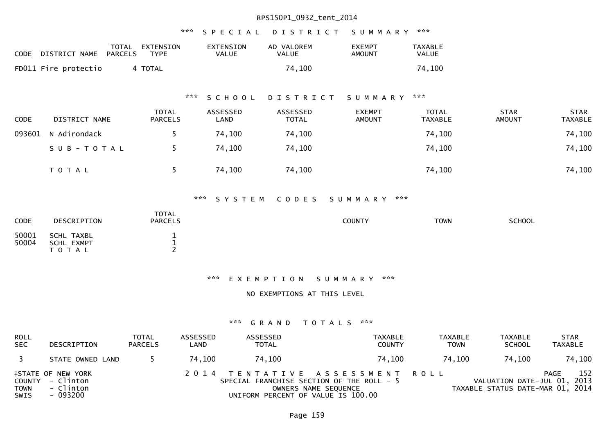## \*\*\* S P E C I A L D I S T R I C T S U M M A R Y \*\*\*

| CODE | DISTRICT NAME        | TOTAL<br>PARCELS | EXTENSION<br>TYPE | EXTENSION<br>VALUE | AD VALOREM<br>VALUE | <b>EXEMPT</b><br>AMOUNT | TAXABLE<br>VALUE |
|------|----------------------|------------------|-------------------|--------------------|---------------------|-------------------------|------------------|
|      | FD011 Fire protectio |                  | 4 TOTAL           |                    | 74,100              |                         | 74,100           |

## \*\*\* S C H O O L D I S T R I C T S U M M A R Y \*\*\*

| <b>CODE</b> | DISTRICT NAME | <b>TOTAL</b><br><b>PARCELS</b> | ASSESSED<br>LAND | ASSESSED<br><b>TOTAL</b> | EXEMPT<br><b>AMOUNT</b> | TOTAL<br><b>TAXABLE</b> | <b>STAR</b><br>AMOUNT | <b>STAR</b><br><b>TAXABLE</b> |
|-------------|---------------|--------------------------------|------------------|--------------------------|-------------------------|-------------------------|-----------------------|-------------------------------|
| 093601      | N Adirondack  |                                | 74,100           | 74,100                   |                         | 74,100                  |                       | 74,100                        |
|             | SUB-TOTAL     |                                | 74,100           | 74,100                   |                         | 74,100                  |                       | 74,100                        |
|             | T O T A L     |                                | 74,100           | 74,100                   |                         | 74,100                  |                       | 74,100                        |

### \*\*\* S Y S T E M C O D E S S U M M A R Y \*\*\*

| <b>CODE</b>    | DESCRIPTION                           | <b>TOTAL</b><br><b>PARCELS</b> | <b>COUNTY</b> | <b>TOWN</b> | SCHOOL |
|----------------|---------------------------------------|--------------------------------|---------------|-------------|--------|
| 50001<br>50004 | SCHL TAXBL<br>SCHL EXMPT<br>T O T A L |                                |               |             |        |

#### \*\*\* E X E M P T I O N S U M M A R Y \*\*\*

NO EXEMPTIONS AT THIS LEVEL

| <b>ROLL</b><br><b>SEC</b> | DESCRIPTION                                                            | <b>TOTAL</b><br><b>PARCELS</b> | ASSESSED<br>LAND | ASSESSED<br><b>TOTAL</b>           | TAXABLE<br><b>COUNTY</b>                                                                            | <b>TAXABLE</b><br><b>TOWN</b> | <b>TAXABLE</b><br><b>SCHOOL</b>                                 | <b>STAR</b><br><b>TAXABLE</b> |
|---------------------------|------------------------------------------------------------------------|--------------------------------|------------------|------------------------------------|-----------------------------------------------------------------------------------------------------|-------------------------------|-----------------------------------------------------------------|-------------------------------|
| $\overline{\mathbf{3}}$   | STATE OWNED LAND                                                       |                                | 74.100           | 74,100                             | 74.100                                                                                              | 74.100                        | 74.100                                                          | 74,100                        |
| <b>TOWN</b><br>SWIS       | <b>ISTATE OF NEW YORK</b><br>COUNTY - Clinton<br>- Clinton<br>- 093200 |                                |                  | UNIFORM PERCENT OF VALUE IS 100.00 | 2014 TENTATIVE ASSESSMENT ROLL<br>SPECIAL FRANCHISE SECTION OF THE ROLL - 5<br>OWNERS NAME SEQUENCE |                               | VALUATION DATE-JUL 01, 2013<br>TAXABLE STATUS DATE-MAR 01, 2014 | 152<br>PAGE                   |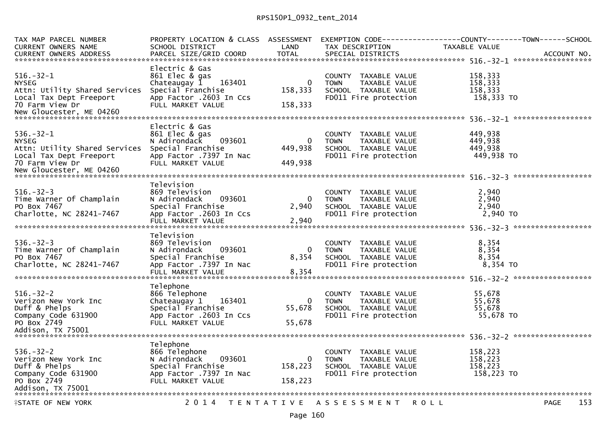| TAX MAP PARCEL NUMBER<br><b>CURRENT OWNERS NAME</b> | PROPERTY LOCATION & CLASS ASSESSMENT<br>SCHOOL DISTRICT | LAND              | TAX DESCRIPTION                               | EXEMPTION CODE------------------COUNTY--------TOWN------SCHOOL<br>TAXABLE VALUE |
|-----------------------------------------------------|---------------------------------------------------------|-------------------|-----------------------------------------------|---------------------------------------------------------------------------------|
| <b>CURRENT OWNERS ADDRESS</b>                       | PARCEL SIZE/GRID COORD                                  | <b>TOTAL</b>      | SPECIAL DISTRICTS                             | ACCOUNT NO.                                                                     |
|                                                     | Electric & Gas                                          |                   |                                               |                                                                                 |
| $516. - 32 - 1$                                     | 861 Elec & gas                                          |                   | COUNTY TAXABLE VALUE                          | 158,333                                                                         |
| <b>NYSEG</b>                                        | Chateaugay $1$ 163401                                   | $\mathbf{0}$      | TAXABLE VALUE<br><b>TOWN</b>                  | 158,333                                                                         |
| Attn: Utility Shared Services                       | Special Franchise                                       | 158,333           | SCHOOL TAXABLE VALUE                          | 158,333                                                                         |
| Local Tax Dept Freeport                             | App Factor .2603 In Ccs                                 |                   | FD011 Fire protection                         | 158,333 TO                                                                      |
| 70 Farm View Dr                                     | FULL MARKET VALUE                                       | 158,333           |                                               |                                                                                 |
|                                                     |                                                         |                   |                                               |                                                                                 |
|                                                     |                                                         |                   |                                               |                                                                                 |
|                                                     | Electric & Gas                                          |                   |                                               |                                                                                 |
| $536. - 32 - 1$                                     | 861 Elec & gas                                          |                   | COUNTY TAXABLE VALUE                          | 449,938                                                                         |
| <b>NYSEG</b>                                        | 093601<br>N Adirondack                                  | 0                 | TAXABLE VALUE<br><b>TOWN</b>                  | 449,938                                                                         |
| Attn: Utility Shared Services                       | Special Franchise                                       | 449,938           | SCHOOL TAXABLE VALUE                          | 449,938                                                                         |
| Local Tax Dept Freeport                             | App Factor .7397 In Nac                                 |                   | FD011 Fire protection                         | 449,938 TO                                                                      |
| 70 Farm View Dr                                     | FULL MARKET VALUE                                       | 449.938           |                                               |                                                                                 |
|                                                     |                                                         |                   |                                               |                                                                                 |
|                                                     |                                                         |                   |                                               |                                                                                 |
|                                                     | Television                                              |                   |                                               |                                                                                 |
| $516. - 32 - 3$                                     | 869 Television                                          |                   | COUNTY TAXABLE VALUE                          | 2,940                                                                           |
| Time Warner Of Champlain                            | N Adirondack<br>093601                                  | $\mathbf{0}$      | TAXABLE VALUE<br>TOWN                         | 2,940                                                                           |
| PO Box 7467                                         | Special Franchise                                       | 2,940             | SCHOOL TAXABLE VALUE                          | 2.940                                                                           |
| Charlotte, NC 28241-7467                            | App Factor .2603 In Ccs<br>FULL MARKET VALUE            | 2,940             | FD011 Fire protection                         | 2,940 TO                                                                        |
|                                                     |                                                         |                   |                                               |                                                                                 |
|                                                     | Television                                              |                   |                                               |                                                                                 |
| $536 - 32 - 3$                                      | 869 Television                                          |                   | COUNTY TAXABLE VALUE                          | 8,354                                                                           |
| Time Warner Of Champlain                            | N Adirondack<br>093601                                  | $\mathbf{0}$      | <b>TOWN</b><br>TAXABLE VALUE                  | 8,354                                                                           |
| PO Box 7467                                         | Special Franchise                                       | 8,354             | SCHOOL TAXABLE VALUE                          | 8,354                                                                           |
| Charlotte, NC 28241-7467                            | App Factor .7397 In Nac                                 |                   | FD011 Fire protection                         | 8,354 TO                                                                        |
|                                                     | FULL MARKET VALUE                                       | 8,354             |                                               |                                                                                 |
|                                                     |                                                         |                   |                                               |                                                                                 |
|                                                     | Telephone                                               |                   |                                               |                                                                                 |
| $516. - 32 - 2$                                     | 866 Telephone                                           |                   | COUNTY TAXABLE VALUE                          | 55,678                                                                          |
| Verizon New York Inc                                | 163401<br>Chateaugay 1                                  | 0                 | TAXABLE VALUE<br><b>TOWN</b>                  | 55,678                                                                          |
| Duff & Phelps                                       | Special Franchise                                       | 55,678            | SCHOOL TAXABLE VALUE                          | 55,678                                                                          |
| Company Code 631900                                 | App Factor .2603 In Ccs                                 |                   | FD011 Fire protection                         | 55,678 TO                                                                       |
| PO Box 2749                                         | FULL MARKET VALUE                                       | 55.678            |                                               |                                                                                 |
|                                                     |                                                         |                   |                                               |                                                                                 |
|                                                     |                                                         |                   |                                               |                                                                                 |
|                                                     | Telephone                                               |                   |                                               |                                                                                 |
| $536. - 32 - 2$                                     | 866 Telephone                                           |                   | COUNTY TAXABLE VALUE                          | 158,223                                                                         |
| Verizon New York Inc                                | N Adirondack<br>093601                                  | $\mathbf 0$       | <b>TOWN</b><br>TAXABLE VALUE                  | 158,223                                                                         |
| Duff & Phelps<br>Company Code 631900                | Special Franchise                                       | 158,223           | SCHOOL TAXABLE VALUE<br>FD011 Fire protection | 158,223<br>158,223 TO                                                           |
| PO Box 2749                                         | App Factor .7397 In Nac<br>FULL MARKET VALUE            | 158,223           |                                               |                                                                                 |
| Addison, TX 75001                                   |                                                         |                   |                                               |                                                                                 |
|                                                     |                                                         |                   |                                               |                                                                                 |
| <b>ISTATE OF NEW YORK</b>                           | 2 0 1 4                                                 | T E N T A T I V E | A S S E S S M E N T                           | 153<br><b>ROLL</b><br><b>PAGE</b>                                               |
|                                                     |                                                         |                   |                                               |                                                                                 |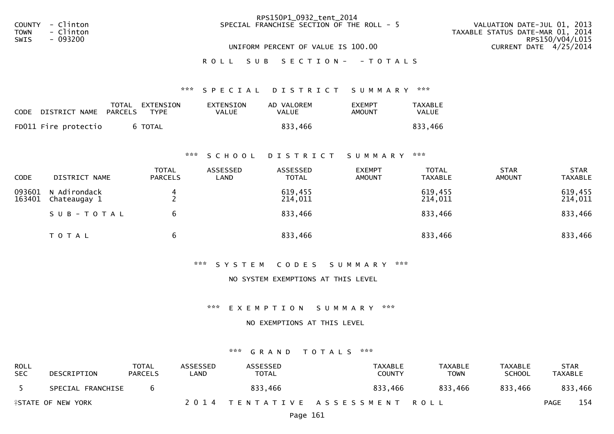|             |                  | RPS150P1_0932_tent_2014                   |                                  |
|-------------|------------------|-------------------------------------------|----------------------------------|
|             | COUNTY - Clinton | SPECIAL FRANCHISE SECTION OF THE ROLL - 5 | VALUATION DATE-JUL 01, 2013      |
| <b>TOWN</b> | - Clinton        |                                           | TAXABLE STATUS DATE-MAR 01, 2014 |
| <b>SWIS</b> | - 093200         |                                           | RPS150/V04/L015                  |
|             |                  | UNIFORM PERCENT OF VALUE IS 100.00        | CURRENT DATE 4/25/2014           |
|             |                  | ROLL SUB SECTION- - TOTALS                |                                  |

## \*\*\* S P E C I A L D I S T R I C T S U M M A R Y \*\*\*

| CODE DISTRICT NAME   | TOTAL<br>PARCELS | EXTENSION<br><b>TYPE</b> | EXTENSION<br><b>VALUE</b> | AD VALOREM<br>VALUE | <b>EXEMPT</b><br>AMOUNT | <b>TAXABLE</b><br>VALUE |
|----------------------|------------------|--------------------------|---------------------------|---------------------|-------------------------|-------------------------|
| FD011 Fire protectio |                  | 6 TOTAL                  |                           | 833.466             |                         | 833,466                 |

#### \*\*\* S C H O O L D I S T R I C T S U M M A R Y \*\*\*

| <b>CODE</b>      | DISTRICT NAME                | <b>TOTAL</b><br><b>PARCELS</b> | ASSESSED<br>LAND | ASSESSED<br><b>TOTAL</b> | <b>EXEMPT</b><br><b>AMOUNT</b> | <b>TOTAL</b><br><b>TAXABLE</b> | <b>STAR</b><br>AMOUNT | <b>STAR</b><br><b>TAXABLE</b> |
|------------------|------------------------------|--------------------------------|------------------|--------------------------|--------------------------------|--------------------------------|-----------------------|-------------------------------|
| 093601<br>163401 | N Adirondack<br>Chateaugay 1 |                                |                  | 619,455<br>214,011       |                                | 619,455<br>214,011             |                       | 619,455<br>214,011            |
|                  | SUB-TOTAL                    | 6                              |                  | 833,466                  |                                | 833,466                        |                       | 833,466                       |
|                  | T O T A L                    | 6                              |                  | 833,466                  |                                | 833,466                        |                       | 833,466                       |

#### \*\*\* S Y S T E M C O D E S S U M M A R Y \*\*\*

#### NO SYSTEM EXEMPTIONS AT THIS LEVEL

#### \*\*\* E X E M P T I O N S U M M A R Y \*\*\*

## NO EXEMPTIONS AT THIS LEVEL

| <b>ROLL</b><br><b>SEC</b> | DESCRIPTION                       | <b>TOTAL</b><br><b>PARCELS</b> | ASSESSED<br>LAND | ASSESSED<br>TOTAL | TAXABLE<br><b>COUNTY</b>       | <b>TAXABLE</b><br>TOWN | TAXABLE<br><b>SCHOOL</b> | <b>STAR</b><br><b>TAXABLE</b> |
|---------------------------|-----------------------------------|--------------------------------|------------------|-------------------|--------------------------------|------------------------|--------------------------|-------------------------------|
|                           | SPECIAL FRANCHISE                 |                                |                  | 833,466           | 833,466                        | 833.466                | 833,466                  | 833,466                       |
|                           | <b><i>LESTATE OF NEW YORK</i></b> |                                |                  |                   | 2014 TENTATIVE ASSESSMENT ROLL |                        |                          | 154<br>PAGE                   |
|                           |                                   |                                |                  |                   |                                |                        |                          |                               |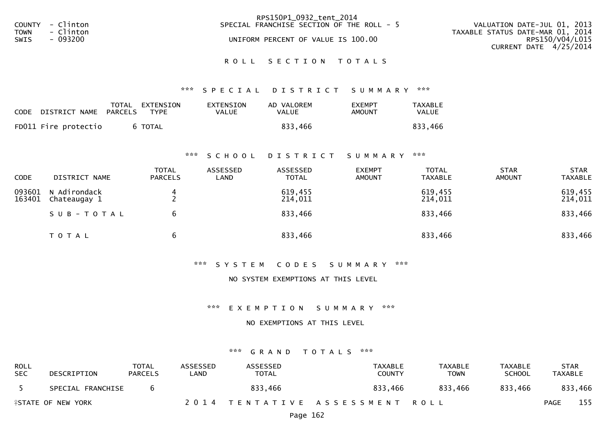|        |           | RPS150P1_0932_tent_2014                   |                                  |
|--------|-----------|-------------------------------------------|----------------------------------|
| COUNTY | - Clinton | SPECIAL FRANCHISE SECTION OF THE ROLL - 5 | VALUATION DATE-JUL 01, 2013      |
| TOWN   | - Clinton |                                           | TAXABLE STATUS DATE-MAR 01, 2014 |
| SWIS   | - 093200  | UNIFORM PERCENT OF VALUE IS 100.00        | RPS150/V04/L015                  |
|        |           |                                           | CURRENT DATE 4/25/2014           |
|        |           |                                           |                                  |
|        |           | ROLL SECTION TOTALS                       |                                  |
|        |           |                                           |                                  |
|        |           |                                           |                                  |

## \*\*\* S P E C I A L D I S T R I C T S U M M A R Y \*\*\*

| <b>CODE</b> | DISTRICT NAME        | TOTAL<br>PARCELS | EXTENSION<br><b>TYPE</b> | EXTENSION<br>VALUE | AD VALOREM<br>VALUE | <b>EXEMPT</b><br>AMOUNT | <b>TAXABLE</b><br>VALUE |
|-------------|----------------------|------------------|--------------------------|--------------------|---------------------|-------------------------|-------------------------|
|             | FD011 Fire protectio |                  | 6 TOTAL                  |                    | 833.466             |                         | 833,466                 |

#### \*\*\* S C H O O L D I S T R I C T S U M M A R Y \*\*\*

| <b>CODE</b>      | DISTRICT NAME                | <b>TOTAL</b><br><b>PARCELS</b> | ASSESSED<br>LAND | ASSESSED<br><b>TOTAL</b> | <b>EXEMPT</b><br><b>AMOUNT</b> | <b>TOTAL</b><br><b>TAXABLE</b> | <b>STAR</b><br><b>AMOUNT</b> | <b>STAR</b><br><b>TAXABLE</b> |
|------------------|------------------------------|--------------------------------|------------------|--------------------------|--------------------------------|--------------------------------|------------------------------|-------------------------------|
| 093601<br>163401 | N Adirondack<br>Chateaugay 1 |                                |                  | 619,455<br>214,011       |                                | 619,455<br>214,011             |                              | 619,455<br>214,011            |
|                  | SUB-TOTAL                    | b                              |                  | 833,466                  |                                | 833,466                        |                              | 833,466                       |
|                  | T O T A L                    | b                              |                  | 833,466                  |                                | 833,466                        |                              | 833,466                       |

#### \*\*\* S Y S T E M C O D E S S U M M A R Y \*\*\*

#### NO SYSTEM EXEMPTIONS AT THIS LEVEL

#### \*\*\* E X E M P T I O N S U M M A R Y \*\*\*

### NO EXEMPTIONS AT THIS LEVEL

| ROLL<br><b>SEC</b>                | DESCRIPTION       | TOTAL<br><b>PARCELS</b> | ASSESSED<br>_AND | ASSESSED<br>TOTAL              | TAXABLE<br><b>COUNTY</b> | TAXABLE<br>TOWN | TAXABLE<br><b>SCHOOL</b> | <b>STAR</b><br>TAXABLE |  |
|-----------------------------------|-------------------|-------------------------|------------------|--------------------------------|--------------------------|-----------------|--------------------------|------------------------|--|
|                                   | SPECIAL FRANCHISE |                         |                  | 833,466                        | 833,466                  | 833.466         | 833,466                  | 833,466                |  |
| <b><i>LESTATE OF NEW YORK</i></b> |                   |                         |                  | 2014 TENTATIVE ASSESSMENT ROLL |                          |                 | <b>PAGE</b>              | 155                    |  |
|                                   |                   |                         |                  |                                |                          |                 |                          |                        |  |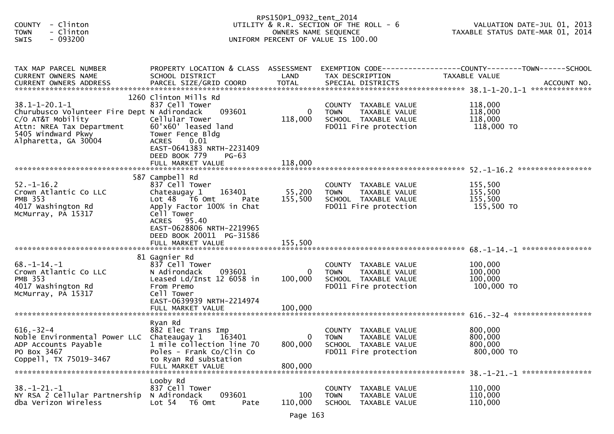| - Clinton<br><b>COUNTY</b><br><b>TOWN</b><br>- Clinton<br>- 093200<br><b>SWIS</b>                                                                                                          |                                                                                                                                                                                                                              | RPS150P1_0932_tent_2014<br>OWNERS NAME SEQUENCE | UTILITY & R.R. SECTION OF THE ROLL - 6<br>UNIFORM PERCENT OF VALUE IS 100.00                             | VALUATION DATE-JUL 01, 2013<br>TAXABLE STATUS DATE-MAR 01, 2014                                                    |
|--------------------------------------------------------------------------------------------------------------------------------------------------------------------------------------------|------------------------------------------------------------------------------------------------------------------------------------------------------------------------------------------------------------------------------|-------------------------------------------------|----------------------------------------------------------------------------------------------------------|--------------------------------------------------------------------------------------------------------------------|
| TAX MAP PARCEL NUMBER<br>CURRENT OWNERS NAME                                                                                                                                               | SCHOOL DISTRICT                                                                                                                                                                                                              | LAND                                            | TAX DESCRIPTION                                                                                          | PROPERTY LOCATION & CLASS ASSESSMENT EXEMPTION CODE----------------COUNTY--------TOWN------SCHOOL<br>TAXABLE VALUE |
| $38.1 - 1 - 20.1 - 1$<br>Churubusco Volunteer Fire Dept N Adirondack<br>C/O AT&T Mobility<br>Attn: NREA Tax Department<br>5405 Windward Pkwy<br>5405 Windward Pkwy<br>Alpharetta, GA 30004 | 1260 Clinton Mills Rd<br>837 Cell Tower<br>093601<br>Cellular Tower<br>60'x60' leased land<br>Tower Fence Bldg<br><b>ACRES</b><br>0.01<br>EAST-0641383 NRTH-2231409<br>DEED BOOK 779<br>$PG-63$<br>FULL MARKET VALUE         | $\overline{0}$<br>118,000<br>118,000            | COUNTY TAXABLE VALUE<br>TAXABLE VALUE<br><b>TOWN</b><br>SCHOOL TAXABLE VALUE<br>FD011 Fire protection    | 118,000<br>118,000<br>118,000<br>118,000 TO                                                                        |
| $52. - 1 - 16.2$<br>Crown Atlantic Co LLC<br><b>PMB 353</b><br>4017 Washington Rd<br>McMurray, PA 15317                                                                                    | 587 Campbell Rd<br>837 Cell Tower<br>163401<br>Chateaugay 1<br>Lot 48 T6 Omt<br>Pate<br>Apply Factor 100% in Chat<br>Cell Tower<br>ACRES 95.40<br>EAST-0628806 NRTH-2219965<br>DEED BOOK 20011 PG-31586<br>FULL MARKET VALUE | 55,200<br>155,500<br>155,500                    | COUNTY TAXABLE VALUE<br>TAXABLE VALUE<br><b>TOWN</b><br>SCHOOL TAXABLE VALUE<br>FD011 Fire protection    | 155,500<br>155,500<br>155,500<br>155,500 TO                                                                        |
| $68. - 1 - 14. - 1$<br>Crown Atlantic Co LLC<br><b>PMB 353</b><br>4017 Washington Rd<br>McMurray, PA 15317                                                                                 | 81 Gagnier Rd<br>837 Cell Tower<br>093601<br>N Adirondack<br>Leased Ld/Inst 12 6058 in<br>From Premo<br>Cell Tower<br>EAST-0639939 NRTH-2214974<br>FULL MARKET VALUE                                                         | 0<br>100,000<br>100,000                         | COUNTY TAXABLE VALUE<br>TAXABLE VALUE<br><b>TOWN</b><br>SCHOOL TAXABLE VALUE<br>FD011 Fire protection    | 100,000<br>100,000<br>100,000<br>100,000 TO                                                                        |
| $616. - 32 - 4$<br>Noble Environmental Power LLC Chateaugay 1<br>ADP Accounts Payable<br>PO Box 3467<br>Coppell, TX 75019-3467                                                             | Ryan Rd<br>882 Elec Trans Imp<br>163401<br>1 mile collection line 70<br>Poles - Frank Co/Clin Co<br>to Ryan Rd substation<br>FULL MARKET VALUE                                                                               | 0<br>800,000<br>800,000                         | COUNTY<br>TAXABLE VALUE<br><b>TOWN</b><br>TAXABLE VALUE<br>SCHOOL TAXABLE VALUE<br>FD011 Fire protection | 800,000<br>800,000<br>800,000<br>800,000 TO<br>38. -1-21. -1 *****************                                     |
| $38. - 1 - 21. - 1$<br>NY RSA 2 Cellular Partnership<br>dba Verizon Wireless                                                                                                               | Looby Rd<br>837 Cell Tower<br>093601<br>N Adirondack<br>Lot 54<br>T6 Omt<br>Pate                                                                                                                                             | 100<br>110,000                                  | <b>COUNTY</b><br>TAXABLE VALUE<br><b>TOWN</b><br>TAXABLE VALUE<br><b>SCHOOL</b><br>TAXABLE VALUE         | 110,000<br>110,000<br>110,000                                                                                      |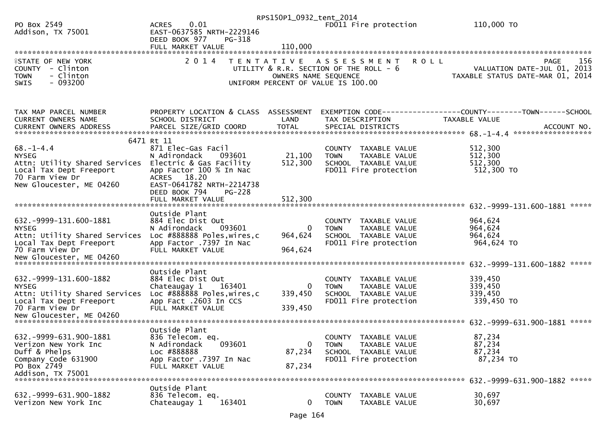|                                                          |                                                       | RPS150P1_0932_tent_2014 |                                                      |                                                                 |
|----------------------------------------------------------|-------------------------------------------------------|-------------------------|------------------------------------------------------|-----------------------------------------------------------------|
| PO Box 2549<br>Addison, TX 75001                         | 0.01<br><b>ACRES</b><br>EAST-0637585 NRTH-2229146     |                         | FD011 Fire protection                                | 110,000 TO                                                      |
|                                                          | DEED BOOK 977<br>PG-318                               |                         |                                                      |                                                                 |
|                                                          |                                                       |                         |                                                      |                                                                 |
|                                                          |                                                       |                         |                                                      |                                                                 |
| <b>ASTATE OF NEW YORK</b><br>COUNTY - Clinton            | 2 0 1 4                                               |                         | TENTATIVE ASSESSMENT<br><b>ROLL</b>                  | 156<br>PAGE                                                     |
| - Clinton<br><b>TOWN</b>                                 |                                                       | OWNERS NAME SEQUENCE    | UTILITY & R.R. SECTION OF THE ROLL - 6               | VALUATION DATE-JUL 01, 2013<br>TAXABLE STATUS DATE-MAR 01, 2014 |
| $-093200$<br><b>SWIS</b>                                 |                                                       |                         | UNIFORM PERCENT OF VALUE IS 100.00                   |                                                                 |
|                                                          |                                                       |                         |                                                      |                                                                 |
|                                                          |                                                       |                         |                                                      |                                                                 |
| TAX MAP PARCEL NUMBER                                    | PROPERTY LOCATION & CLASS ASSESSMENT                  |                         |                                                      |                                                                 |
| CURRENT OWNERS NAME                                      | SCHOOL DISTRICT                                       | LAND                    | TAX DESCRIPTION                                      | TAXABLE VALUE                                                   |
|                                                          |                                                       |                         |                                                      |                                                                 |
|                                                          | 6471 Rt 11                                            |                         |                                                      |                                                                 |
| $68. - 1 - 4.4$                                          | 871 Elec-Gas Facil                                    |                         | COUNTY TAXABLE VALUE                                 | 512,300                                                         |
| <b>NYSEG</b>                                             | N Adirondack<br>093601                                | 21,100                  | TAXABLE VALUE<br><b>TOWN</b>                         | 512,300                                                         |
| Attn: Utility Shared Services<br>Local Tax Dept Freeport | Electric & Gas Facility<br>App Factor 100 % In Nac    | 512,300                 | SCHOOL TAXABLE VALUE<br>FD011 Fire protection        | 512,300<br>512,300 TO                                           |
| 70 Farm View Dr                                          | ACRES 18.20                                           |                         |                                                      |                                                                 |
| New Gloucester, ME 04260                                 | EAST-0641782 NRTH-2214738                             |                         |                                                      |                                                                 |
|                                                          | DEED BOOK 794<br><b>PG-228</b>                        |                         |                                                      |                                                                 |
|                                                          | FULL MARKET VALUE                                     | 512,300                 |                                                      |                                                                 |
|                                                          | Outside Plant                                         |                         |                                                      |                                                                 |
| 632. - 9999 - 131. 600 - 1881                            | 884 Elec Dist Out                                     |                         | COUNTY TAXABLE VALUE                                 | 964,624                                                         |
| <b>NYSEG</b>                                             | N Adirondack<br>093601                                | 0                       | TAXABLE VALUE<br><b>TOWN</b>                         | 964,624                                                         |
| Attn: Utility Shared Services                            | Loc #888888 Poles, wires, c                           | 964,624                 | SCHOOL TAXABLE VALUE                                 | 964,624                                                         |
| Local Tax Dept Freeport<br>70 Farm View Dr               | App Factor .7397 In Nac                               |                         | FD011 Fire protection                                | 964,624 TO                                                      |
| New Gloucester, ME 04260                                 | FULL MARKET VALUE                                     | 964,624                 |                                                      |                                                                 |
|                                                          |                                                       |                         |                                                      |                                                                 |
|                                                          | Outside Plant                                         |                         |                                                      |                                                                 |
| 632. -9999-131. 600-1882                                 | 884 Elec Dist Out                                     |                         | COUNTY TAXABLE VALUE                                 | 339,450                                                         |
| <b>NYSEG</b><br>Attn: Utility Shared Services            | Chateaugay 1<br>163401<br>Loc #888888 Poles, wires, c | $\Omega$<br>339,450     | TAXABLE VALUE<br><b>TOWN</b><br>SCHOOL TAXABLE VALUE | 339,450<br>339,450                                              |
| Local Tax Dept Freeport                                  | App Fact .2603 In CCS                                 |                         | FD011 Fire protection                                | 339,450 TO                                                      |
| 70 Farm View Dr                                          | FULL MARKET VALUE                                     | 339,450                 |                                                      |                                                                 |
|                                                          |                                                       |                         |                                                      |                                                                 |
|                                                          | Outside Plant                                         |                         |                                                      | *****                                                           |
| 632. - 9999 - 631. 900 - 1881                            | 836 Telecom. eq.                                      |                         | COUNTY TAXABLE VALUE                                 | 87,234                                                          |
| Verizon New York Inc                                     | 093601<br>N Adirondack                                | 0                       | TAXABLE VALUE<br><b>TOWN</b>                         | 87,234                                                          |
| Duff & Phelps                                            | Loc #888888                                           | 87,234                  | SCHOOL TAXABLE VALUE                                 | 87,234                                                          |
| Company Code 631900                                      | App Factor .7397 In Nac                               |                         | FD011 Fire protection                                | 87,234 TO                                                       |
| PO Box 2749<br>Addison, TX 75001                         | FULL MARKET VALUE                                     | 87,234                  |                                                      |                                                                 |
|                                                          |                                                       |                         |                                                      | 632. -9999-631. 900-1882 *****                                  |
|                                                          | Outside Plant                                         |                         |                                                      |                                                                 |
| 632. -9999-631.900-1882                                  | 836 Telecom. eq.                                      |                         | <b>COUNTY</b><br>TAXABLE VALUE                       | 30,697                                                          |
| Verizon New York Inc                                     | Chateaugay 1<br>163401                                | 0                       | <b>TOWN</b><br>TAXABLE VALUE                         | 30,697                                                          |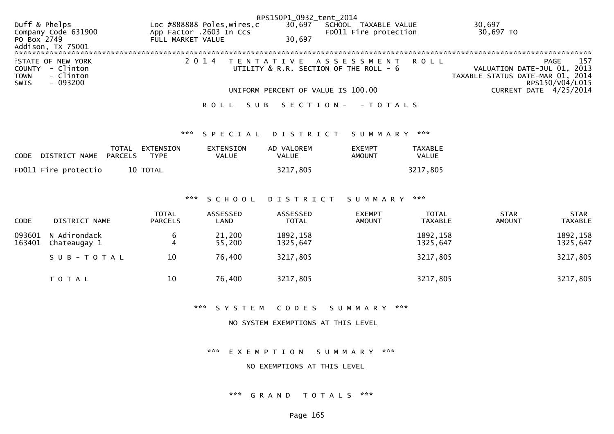|                                   |                             | RPS150P1_0932_tent_2014                |                                  |
|-----------------------------------|-----------------------------|----------------------------------------|----------------------------------|
| Duff & Phelps                     | Loc #888888 Poles, wires, c | 30,697<br>SCHOOL TAXABLE VALUE         | 30,697                           |
| Company Code 631900               | App Factor .2603 In Ccs     | FD011 Fire protection                  | 30,697 TO                        |
| PO Box 2749                       | FULL MARKET VALUE           | 30.697                                 |                                  |
| Addison, TX 75001                 |                             |                                        |                                  |
|                                   |                             |                                        |                                  |
| <b><i>LESTATE OF NEW YORK</i></b> |                             | 2014 TENTATIVE ASSESSMENT ROLL         | 157<br>PAGE                      |
| COUNTY - Clinton                  |                             | UTILITY & R.R. SECTION OF THE ROLL - 6 | VALUATION DATE-JUL 01, 2013      |
| - Clinton<br><b>TOWN</b>          |                             |                                        | TAXABLE STATUS DATE-MAR 01, 2014 |
| - 093200<br>SWIS                  |                             |                                        | RPS150/V04/L015                  |
|                                   |                             | UNIFORM PERCENT OF VALUE IS 100.00     | CURRENT DATE 4/25/2014           |
|                                   |                             |                                        |                                  |

## ROLL SUB SECTION - - TOTALS

## \*\*\* S P E C I A L D I S T R I C T S U M M A R Y \*\*\*

| <b>CODE</b> | DISTRICT NAME        | PARCELS | TOTAL EXTENSION<br><b>TYPE</b> | EXTENSION<br>VALUE | AD VALOREM<br>VALUE | <b>EXEMPT</b><br>AMOUNT | <b>TAXABLE</b><br><b>VALUE</b> |
|-------------|----------------------|---------|--------------------------------|--------------------|---------------------|-------------------------|--------------------------------|
|             | FD011 Fire protectio |         | 10 TOTAL                       |                    | 3217,805            |                         | 3217,805                       |

#### \*\*\* S C H O O L D I S T R I C T S U M M A R Y \*\*\*

| <b>CODE</b>      | DISTRICT NAME                | <b>TOTAL</b><br><b>PARCELS</b> | ASSESSED<br>LAND | ASSESSED<br><b>TOTAL</b> | <b>EXEMPT</b><br><b>AMOUNT</b> | <b>TOTAL</b><br><b>TAXABLE</b> | <b>STAR</b><br><b>AMOUNT</b> | <b>STAR</b><br><b>TAXABLE</b> |
|------------------|------------------------------|--------------------------------|------------------|--------------------------|--------------------------------|--------------------------------|------------------------------|-------------------------------|
| 093601<br>163401 | N Adirondack<br>Chateaugay 1 |                                | 21,200<br>55,200 | 1892, 158<br>1325,647    |                                | 1892, 158<br>1325,647          |                              | 1892, 158<br>1325,647         |
|                  | SUB-TOTAL                    | 10                             | 76,400           | 3217,805                 |                                | 3217,805                       |                              | 3217,805                      |
|                  | T O T A L                    | 10                             | 76,400           | 3217,805                 |                                | 3217,805                       |                              | 3217,805                      |

\*\*\* S Y S T E M C O D E S S U M M A R Y \*\*\*

### NO SYSTEM EXEMPTIONS AT THIS LEVEL

\*\*\* E X E M P T I O N S U M M A R Y \*\*\*

NO EXEMPTIONS AT THIS LEVEL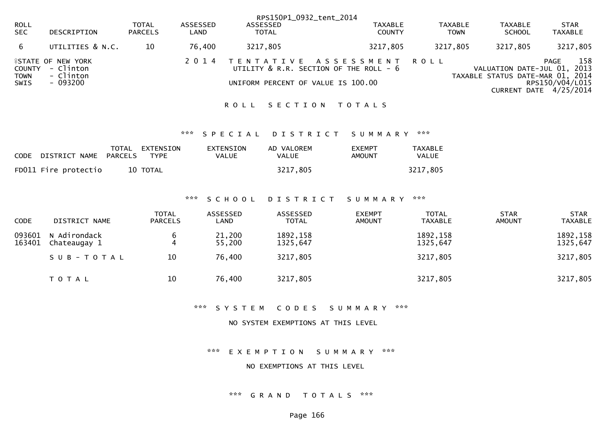|                               |                                                                 |                                |                  |                                    | RPS150P1_0932_tent_2014                                             |                               |                                                                 |                                                          |
|-------------------------------|-----------------------------------------------------------------|--------------------------------|------------------|------------------------------------|---------------------------------------------------------------------|-------------------------------|-----------------------------------------------------------------|----------------------------------------------------------|
| <b>ROLL</b><br><b>SEC</b>     | DESCRIPTION                                                     | <b>TOTAL</b><br><b>PARCELS</b> | ASSESSED<br>LAND | ASSESSED<br><b>TOTAL</b>           | <b>TAXABLE</b><br><b>COUNTY</b>                                     | <b>TAXABLE</b><br><b>TOWN</b> | <b>TAXABLE</b><br><b>SCHOOL</b>                                 | <b>STAR</b><br><b>TAXABLE</b>                            |
| 6                             | UTILITIES & N.C.                                                | 10                             | 76.400           | 3217,805                           | 3217,805                                                            | 3217,805                      | 3217,805                                                        | 3217,805                                                 |
| COUNTY<br><b>TOWN</b><br>SWIS | <b>FSTATE OF NEW YORK</b><br>- Clinton<br>- Clinton<br>- 093200 |                                | 2 0 1 4          | UNIFORM PERCENT OF VALUE IS 100.00 | TENTATIVE ASSESSMENT ROLL<br>UTILITY & R.R. SECTION OF THE ROLL - 6 |                               | VALUATION DATE-JUL 01, 2013<br>TAXABLE STATUS DATE-MAR 01, 2014 | 158<br>PAGE<br>RPS150/V04/L015<br>CURRENT DATE 4/25/2014 |

#### ROLL SECTION TOTALS

## \*\*\* S P E C I A L D I S T R I C T S U M M A R Y \*\*\*

| CODE DISTRICT NAME PARCELS | TOTAL EXTENSION<br><b>TYPF</b> | EXTENSION<br><b>VALUE</b> | AD VALOREM<br>VALUE | <b>FXEMPT</b><br>AMOUNT | <b>TAXABLE</b><br>VALUE |
|----------------------------|--------------------------------|---------------------------|---------------------|-------------------------|-------------------------|
| FD011 Fire protectio       | 10 TOTAL                       |                           | 3217,805            |                         | 3217,805                |

#### \*\*\* S C H O O L D I S T R I C T S U M M A R Y \*\*\*

| <b>CODE</b>      | DISTRICT NAME                | <b>TOTAL</b><br><b>PARCELS</b> | ASSESSED<br>LAND | ASSESSED<br><b>TOTAL</b> | <b>EXEMPT</b><br><b>AMOUNT</b> | <b>TOTAL</b><br><b>TAXABLE</b> | <b>STAR</b><br><b>AMOUNT</b> | <b>STAR</b><br><b>TAXABLE</b> |
|------------------|------------------------------|--------------------------------|------------------|--------------------------|--------------------------------|--------------------------------|------------------------------|-------------------------------|
| 093601<br>163401 | N Adirondack<br>Chateaugay 1 | b                              | 21,200<br>55,200 | 1892, 158<br>1325,647    |                                | 1892, 158<br>1325,647          |                              | 1892, 158<br>1325,647         |
|                  | SUB-TOTAL                    | 10                             | 76,400           | 3217,805                 |                                | 3217,805                       |                              | 3217,805                      |
|                  | T O T A L                    | 10                             | 76,400           | 3217,805                 |                                | 3217,805                       |                              | 3217,805                      |

\*\*\* S Y S T E M C O D E S S U M M A R Y \*\*\*

### NO SYSTEM EXEMPTIONS AT THIS LEVEL

\*\*\* E X E M P T I O N S U M M A R Y \*\*\*

NO EXEMPTIONS AT THIS LEVEL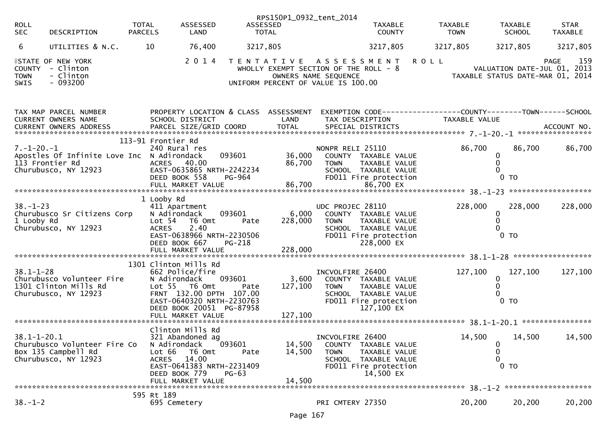| <b>ROLL</b><br><b>SEC</b>     | DESCRIPTION                                                                           | <b>TOTAL</b><br><b>PARCELS</b>                                  | ASSESSED<br>LAND                                                                                                           | ASSESSED                     | RPS150P1_0932_tent_2014<br><b>TOTAL</b>                                     |                                                  | <b>TAXABLE</b><br><b>COUNTY</b>                                                                      | <b>TAXABLE</b><br><b>TOWN</b>                               |                                        | <b>TAXABLE</b><br><b>SCHOOL</b> | <b>STAR</b><br><b>TAXABLE</b>              |
|-------------------------------|---------------------------------------------------------------------------------------|-----------------------------------------------------------------|----------------------------------------------------------------------------------------------------------------------------|------------------------------|-----------------------------------------------------------------------------|--------------------------------------------------|------------------------------------------------------------------------------------------------------|-------------------------------------------------------------|----------------------------------------|---------------------------------|--------------------------------------------|
| 6                             | UTILITIES & N.C.                                                                      | 10                                                              | 76,400                                                                                                                     | 3217,805                     |                                                                             |                                                  | 3217,805                                                                                             | 3217,805                                                    |                                        | 3217,805                        | 3217,805                                   |
| COUNTY<br><b>TOWN</b><br>SWIS | <b>ISTATE OF NEW YORK</b><br>- Clinton<br>- Clinton<br>$-093200$                      |                                                                 | 2014                                                                                                                       |                              | WHOLLY EXEMPT SECTION OF THE ROLL - 8<br>UNIFORM PERCENT OF VALUE IS 100.00 | OWNERS NAME SEQUENCE                             | TENTATIVE ASSESSMENT                                                                                 | <b>ROLL</b>                                                 | TAXABLE STATUS DATE-MAR 01, 2014       |                                 | 159<br>PAGE<br>VALUATION DATE-JUL 01, 2013 |
|                               | TAX MAP PARCEL NUMBER<br>CURRENT OWNERS NAME                                          |                                                                 | SCHOOL DISTRICT                                                                                                            |                              | PROPERTY LOCATION & CLASS ASSESSMENT<br>LAND                                | TAX DESCRIPTION                                  |                                                                                                      | EXEMPTION CODE-----------------COUNTY-------TOWN-----SCHOOL | TAXABLE VALUE                          |                                 |                                            |
| $7. - 1 - 20. - 1$            | Apostles Of Infinite Love Inc N Adirondack<br>113 Frontier Rd<br>Churubusco, NY 12923 | 113-91 Frontier Rd                                              | 240 Rural res<br>ACRES 40.00<br>EAST-0635865 NRTH-2242234<br>DEED BOOK 558                                                 | 093601<br>PG-964             | 86,700                                                                      | NONPR RELI 25110<br><b>TOWN</b>                  | 36,000 COUNTY TAXABLE VALUE<br>TAXABLE VALUE<br>SCHOOL TAXABLE VALUE<br>FD011 Fire protection        |                                                             | 86,700<br>0<br>$0$ TO                  | 86,700                          | 86,700                                     |
| $38 - 1 - 23$<br>1 Looby Rd   | Churubusco Sr Citizens Corp<br>Churubusco, NY 12923                                   | 1 Looby Rd<br>N Adirondack<br>Lot <sub>54</sub><br><b>ACRES</b> | 411 Apartment<br>T6 Omt<br>2.40<br>EAST-0638966 NRTH-2230506<br>DEED BOOK 667<br>FULL MARKET VALUE                         | 093601<br>Pate<br>PG-218     | 6,000<br>228,000<br>228,000                                                 | UDC PROJEC 28110<br><b>TOWN</b>                  | COUNTY TAXABLE VALUE<br>TAXABLE VALUE<br>SCHOOL TAXABLE VALUE<br>FD011 Fire protection<br>228,000 EX |                                                             | 228,000<br>0<br>$\mathbf{0}$<br>$0$ TO | 228,000                         | 228,000                                    |
| $38.1 - 1 - 28$               | Churubusco Volunteer Fire<br>1301 Clinton Mills Rd<br>Churubusco, NY 12923            | 1301 Clinton Mills Rd<br>N Adirondack                           | 662 Police/fire<br>Lot 55  T6 Omt<br>FRNT 132.00 DPTH 107.00<br>EAST-0640320 NRTH-2230763<br>DEED BOOK 20051 PG-87958      | 093601<br>Pate               | 3,600<br>127,100                                                            | INCVOLFIRE 26400<br><b>TOWN</b>                  | COUNTY TAXABLE VALUE<br>TAXABLE VALUE<br>SCHOOL TAXABLE VALUE<br>FD011 Fire protection<br>127,100 EX |                                                             | 127,100<br>0<br>$0$ TO                 | 127,100                         | 127,100                                    |
| $38.1 - 1 - 20.1$             | Churubusco Volunteer Fire Co<br>Box 135 Campbell Rd<br>Churubusco, NY 12923           | N Adirondack<br>Lot 66<br><b>ACRES</b>                          | Clinton Mills Rd<br>321 Abandoned ag<br>T6 Omt<br>14.00<br>EAST-0641383 NRTH-2231409<br>DEED BOOK 779<br>FULL MARKET VALUE | յ<br>093601<br>Pate<br>PG-63 | 14,500<br>14,500<br>14,500                                                  | INCVOLFIRE 26400<br><b>COUNTY</b><br><b>TOWN</b> | TAXABLE VALUE<br>TAXABLE VALUE<br>SCHOOL TAXABLE VALUE<br>FD011 Fire protection<br>14,500 EX         |                                                             | 14,500<br>0<br>0<br>0<br>$0$ TO        | 14,500                          | 14,500                                     |
| $38. - 1 - 2$                 |                                                                                       | 595 Rt 189<br>695 Cemetery                                      |                                                                                                                            |                              |                                                                             | PRI CMTERY 27350                                 |                                                                                                      |                                                             | 20,200                                 | 20,200                          | 20,200                                     |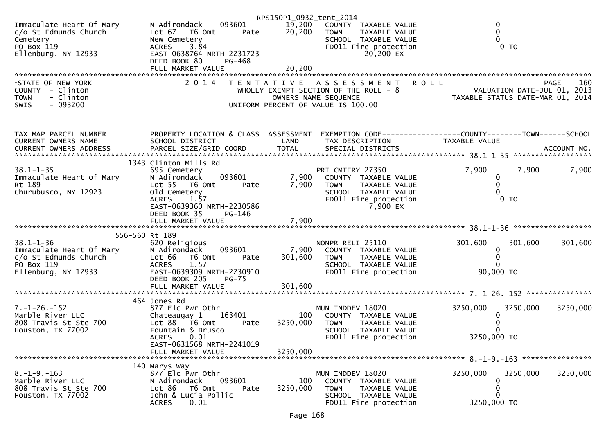|                                                                                                                             |                                                                                                                                                                                         | RPS150P1_0932_tent_2014 |                                                                                                                                              |                                                                                |             |
|-----------------------------------------------------------------------------------------------------------------------------|-----------------------------------------------------------------------------------------------------------------------------------------------------------------------------------------|-------------------------|----------------------------------------------------------------------------------------------------------------------------------------------|--------------------------------------------------------------------------------|-------------|
| Immaculate Heart Of Mary<br>c/o St Edmunds Church<br>Cemetery<br>PO Box 119<br>Ellenburg, NY 12933                          | 093601<br>N Adirondack<br>Lot 67<br>T6 Omt<br>Pate<br>New Cemetery<br>3.84<br><b>ACRES</b><br>EAST-0638764 NRTH-2231723<br>DEED BOOK 80<br>PG-468                                       | 19,200<br>20,200        | COUNTY TAXABLE VALUE<br><b>TOWN</b><br>TAXABLE VALUE<br>SCHOOL TAXABLE VALUE<br>FD011 Fire protection<br>20,200 EX                           | 0<br>0<br>0<br>$0$ TO                                                          |             |
|                                                                                                                             | FULL MARKET VALUE                                                                                                                                                                       | 20,200                  |                                                                                                                                              |                                                                                |             |
| <b>ISTATE OF NEW YORK</b><br>COUNTY - Clinton<br>- Clinton<br><b>TOWN</b><br>$-093200$<br>SWIS                              | 2 0 1 4<br>T E N T A T I V E                                                                                                                                                            |                         | A S S E S S M E N T<br>WHOLLY EXEMPT SECTION OF THE ROLL - 8<br>OWNERS NAME SEQUENCE<br>UNIFORM PERCENT OF VALUE IS 100.00                   | <b>ROLL</b><br>VALUATION DATE-JUL 01, 2013<br>TAXABLE STATUS DATE-MAR 01, 2014 | 160<br>PAGE |
| TAX MAP PARCEL NUMBER<br>CURRENT OWNERS NAME                                                                                | PROPERTY LOCATION & CLASS ASSESSMENT<br>SCHOOL DISTRICT                                                                                                                                 | LAND                    | TAX DESCRIPTION                                                                                                                              | EXEMPTION CODE-----------------COUNTY-------TOWN------SCHOOL<br>TAXABLE VALUE  |             |
| $38.1 - 1 - 35$<br>Immaculate Heart of Mary<br>Rt 189<br>Churubusco, NY 12923                                               | 1343 Clinton Mills Rd<br>695 Cemetery<br>093601<br>N Adirondack<br>Lot 55 T6 Omt<br>Pate<br>old Cemetery<br><b>ACRES</b><br>1.57<br>EAST-0639360 NRTH-2230586<br>DEED BOOK 35<br>PG-146 | 7,900<br>7,900          | PRI CMTERY 27350<br>COUNTY TAXABLE VALUE<br><b>TOWN</b><br><b>TAXABLE VALUE</b><br>SCHOOL TAXABLE VALUE<br>FD011 Fire protection<br>7,900 EX | 7,900<br>7,900<br>0<br>0<br>0<br>$0$ TO                                        | 7,900       |
|                                                                                                                             |                                                                                                                                                                                         |                         |                                                                                                                                              |                                                                                |             |
| 556-560 Rt 189<br>$38.1 - 1 - 36$<br>c/o St Edmunds Church<br>PO Box 119<br>PO Box 119<br>PO Box 119<br>Ellenburg, NY 12933 | 620 Religious<br>N Adirondack<br>093601<br>Lot 66 T6 Omt<br>Pate<br>1.57<br><b>ACRES</b><br>EAST-0639309 NRTH-2230910<br>DEED BOOK 205<br>$PG-75$                                       | 7,900<br>301,600        | NONPR RELI 25110<br>COUNTY TAXABLE VALUE<br>TAXABLE VALUE<br><b>TOWN</b><br>SCHOOL TAXABLE VALUE<br>FD011 Fire protection                    | 301,600<br>301,600<br>0<br>0<br>0<br>90,000 TO                                 | 301,600     |
|                                                                                                                             |                                                                                                                                                                                         |                         |                                                                                                                                              |                                                                                |             |
|                                                                                                                             | 464 Jones Rd                                                                                                                                                                            |                         |                                                                                                                                              |                                                                                |             |
| $7. - 1 - 26. - 152$<br>Marble River LLC<br>808 Travis St Ste 700<br>Houston, TX 77002                                      | 877 Elc Pwr Othr<br>163401<br>Chateaugay 1<br>Lot 88 T6 Omt<br>Pate<br>Fountain & Brusco                                                                                                | 100<br>3250,000         | MUN INDDEV 18020<br>COUNTY TAXABLE VALUE<br>TAXABLE VALUE<br><b>TOWN</b><br>SCHOOL TAXABLE VALUE                                             | 3250,000<br>3250,000<br>0<br>0<br>0                                            | 3250,000    |
|                                                                                                                             | <b>ACRES</b><br>0.01<br>EAST-0631568 NRTH-2241019                                                                                                                                       |                         | FD011 Fire protection                                                                                                                        | 3250,000 TO                                                                    |             |
|                                                                                                                             | FULL MARKET VALUE                                                                                                                                                                       | 3250,000                |                                                                                                                                              |                                                                                |             |
|                                                                                                                             | 140 Marys Way                                                                                                                                                                           |                         |                                                                                                                                              |                                                                                |             |
| $8. -1 - 9. -163$<br>Marble River LLC<br>808 Travis St Ste 700<br>Houston, TX 77002                                         | 877 Elc Pwr Othr<br>093601<br>N Adirondack<br>Lot 86<br>T6 Omt<br>Pate<br>John & Lucia Pollic<br>0.01<br><b>ACRES</b>                                                                   | 100<br>3250,000         | MUN INDDEV 18020<br>COUNTY TAXABLE VALUE<br><b>TOWN</b><br>TAXABLE VALUE<br>SCHOOL TAXABLE VALUE<br>FD011 Fire protection                    | 3250,000<br>3250,000<br>0<br>0<br>0<br>3250,000 TO                             | 3250,000    |
|                                                                                                                             |                                                                                                                                                                                         |                         |                                                                                                                                              |                                                                                |             |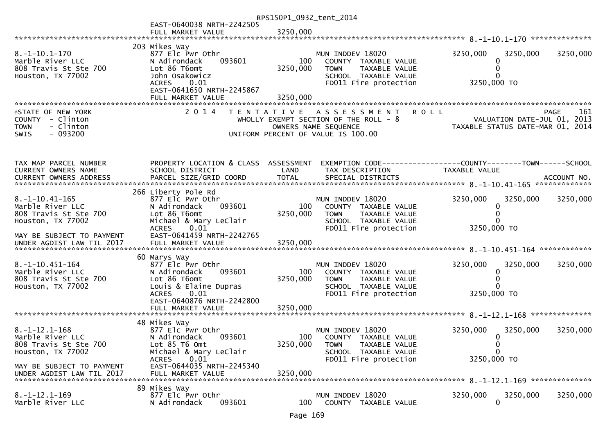| RPS150P1_0932_tent_2014                                                                               |                                                                                                                                                    |                 |                                                                                                                              |                                                      |                                                                                       |  |  |
|-------------------------------------------------------------------------------------------------------|----------------------------------------------------------------------------------------------------------------------------------------------------|-----------------|------------------------------------------------------------------------------------------------------------------------------|------------------------------------------------------|---------------------------------------------------------------------------------------|--|--|
|                                                                                                       | EAST-0640038 NRTH-2242505<br>FULL MARKET VALUE                                                                                                     | 3250,000        |                                                                                                                              |                                                      |                                                                                       |  |  |
|                                                                                                       |                                                                                                                                                    |                 |                                                                                                                              |                                                      |                                                                                       |  |  |
| $8. -1 - 10.1 - 170$<br>Marble River LLC<br>808 Travis St Ste 700<br>Houston, TX 77002                | 203 Mikes Way<br>877 Elc Pwr Othr<br>093601<br>N Adirondack<br>Lot 86 T6omt<br>John Osakowicz<br>0.01<br><b>ACRES</b><br>EAST-0641650 NRTH-2245867 | 100<br>3250,000 | MUN INDDEV 18020<br>COUNTY TAXABLE VALUE<br><b>TOWN</b><br>TAXABLE VALUE<br>SCHOOL TAXABLE VALUE<br>FD011 Fire protection    | 3250,000<br>3250,000 TO                              | 3250,000<br>3250,000                                                                  |  |  |
|                                                                                                       |                                                                                                                                                    |                 |                                                                                                                              |                                                      |                                                                                       |  |  |
|                                                                                                       |                                                                                                                                                    |                 |                                                                                                                              |                                                      |                                                                                       |  |  |
| <b>ISTATE OF NEW YORK</b><br>COUNTY - Clinton<br>- Clinton<br><b>TOWN</b><br>$-093200$<br><b>SWIS</b> | 2 0 1 4                                                                                                                                            |                 | TENTATIVE ASSESSMENT<br>WHOLLY EXEMPT SECTION OF THE ROLL $-8$<br>OWNERS NAME SEQUENCE<br>UNIFORM PERCENT OF VALUE IS 100.00 | <b>ROLL</b>                                          | 161<br><b>PAGE</b><br>VALUATION DATE-JUL 01, 2013<br>TAXABLE STATUS DATE-MAR 01, 2014 |  |  |
| TAX MAP PARCEL NUMBER<br>CURRENT OWNERS NAME                                                          | PROPERTY LOCATION & CLASS ASSESSMENT<br>SCHOOL DISTRICT                                                                                            | LAND            | TAX DESCRIPTION                                                                                                              | TAXABLE VALUE                                        |                                                                                       |  |  |
|                                                                                                       | 266 Liberty Pole Rd                                                                                                                                |                 |                                                                                                                              |                                                      |                                                                                       |  |  |
| $8. -1 - 10.41 - 165$<br>Marble River LLC<br>808 Travis St Ste 700<br>Houston, TX 77002               | 877 Elc Pwr Othr<br>093601<br>N Adirondack<br>Lot 86 T6omt<br>Michael & Mary LeClair                                                               | 100<br>3250,000 | MUN INDDEV 18020<br>COUNTY TAXABLE VALUE<br>TAXABLE VALUE<br><b>TOWN</b><br>SCHOOL TAXABLE VALUE                             | 3250,000<br>0                                        | 3250,000<br>3250,000                                                                  |  |  |
|                                                                                                       | <b>ACRES</b><br>0.01                                                                                                                               |                 | FD011 Fire protection                                                                                                        | 3250,000 TO                                          |                                                                                       |  |  |
| MAY BE SUBJECT TO PAYMENT<br>UNDER AGDIST LAW TIL 2017                                                | EAST-0641459 NRTH-2242765<br>FULL MARKET VALUE                                                                                                     | 3250,000        |                                                                                                                              |                                                      |                                                                                       |  |  |
|                                                                                                       | 60 Marys Way                                                                                                                                       |                 |                                                                                                                              |                                                      |                                                                                       |  |  |
| $8. -1 - 10.451 - 164$<br>Marble River LLC<br>808 Travis St Ste 700<br>Houston, TX 77002              | 877 Elc Pwr Othr<br>N Adirondack<br>093601<br>Lot 86 T6omt<br>Louis & Elaine Dupras                                                                | 100<br>3250,000 | MUN INDDEV 18020<br>COUNTY TAXABLE VALUE<br><b>TOWN</b><br>TAXABLE VALUE<br>SCHOOL TAXABLE VALUE                             | 3250,000                                             | 3250,000<br>3250,000                                                                  |  |  |
|                                                                                                       | 0.01<br><b>ACRES</b><br>EAST-0640876 NRTH-2242800<br>FULL MARKET VALUE                                                                             | 3250,000        | FD011 Fire protection                                                                                                        | 3250,000 TO                                          |                                                                                       |  |  |
|                                                                                                       |                                                                                                                                                    |                 |                                                                                                                              |                                                      |                                                                                       |  |  |
| $8. -1 - 12.1 - 168$<br>Marble River LLC<br>808 Travis St Ste 700<br>Houston, TX 77002                | 48 Mikes Way<br>877 Elc Pwr Othr<br>N Adirondack<br>093601<br>Lot 85 T6 Omt<br>Michael & Mary LeClair<br><b>ACRES</b><br>0.01                      | 100<br>3250,000 | MUN INDDEV 18020<br>COUNTY TAXABLE VALUE<br><b>TOWN</b><br>TAXABLE VALUE<br>SCHOOL TAXABLE VALUE<br>FD011 Fire protection    | 3250,000<br>$\Omega$<br>0<br>$\Omega$<br>3250,000 TO | 3250,000<br>3250,000                                                                  |  |  |
| MAY BE SUBJECT TO PAYMENT<br>UNDER AGDIST LAW TIL 2017                                                | EAST-0644035 NRTH-2245340<br>FULL MARKET VALUE                                                                                                     | 3250,000        |                                                                                                                              |                                                      |                                                                                       |  |  |
| $8. -1 - 12.1 - 169$<br>Marble River LLC                                                              | 89 Mikes Way<br>877 Elc Pwr Othr<br>N Adirondack<br>093601                                                                                         | 100             | MUN INDDEV 18020<br>COUNTY TAXABLE VALUE                                                                                     | 3250,000<br>$\mathbf{0}$                             | 3250,000<br>3250,000                                                                  |  |  |
|                                                                                                       |                                                                                                                                                    |                 |                                                                                                                              |                                                      |                                                                                       |  |  |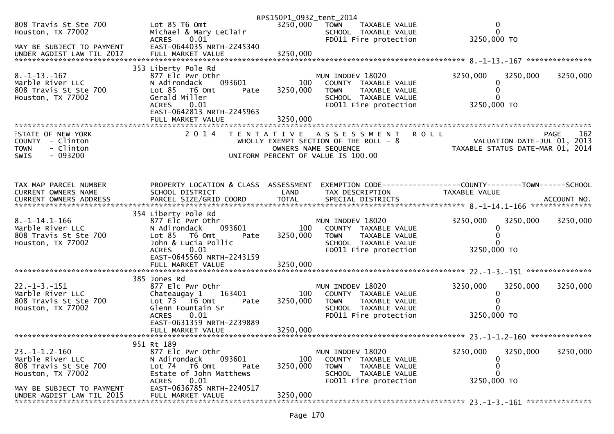|                                                                                                       |                                                                                                                                                                 | RPS150P1_0932_tent_2014                   |                                                                                                                           |                                                                                           |          |                    |
|-------------------------------------------------------------------------------------------------------|-----------------------------------------------------------------------------------------------------------------------------------------------------------------|-------------------------------------------|---------------------------------------------------------------------------------------------------------------------------|-------------------------------------------------------------------------------------------|----------|--------------------|
| 808 Travis St Ste 700<br>Houston, TX 77002                                                            | Lot 85 T6 Omt<br>Michael & Mary LeClair<br>ACRES 0.01                                                                                                           | 3250,000                                  | <b>TOWN</b><br>TAXABLE VALUE<br>SCHOOL TAXABLE VALUE<br>FD011 Fire protection                                             | 0<br>$\Omega$<br>3250,000 TO                                                              |          |                    |
| MAY BE SUBJECT TO PAYMENT                                                                             | EAST-0644035 NRTH-2245340                                                                                                                                       |                                           |                                                                                                                           |                                                                                           |          |                    |
|                                                                                                       |                                                                                                                                                                 |                                           |                                                                                                                           |                                                                                           |          |                    |
| $8. -1 - 13. - 167$<br>Marble River LLC<br>808 Travis St Ste 700<br>Houston, TX 77002                 | 353 Liberty Pole Rd<br>877 Elc Pwr Othr<br>N Adirondack<br>093601<br>Lot 85 T6 Omt<br>Pate<br>Gerald Miller<br>ACRES 0.01<br>EAST-0642813 NRTH-2245963          | 100<br>3250,000                           | MUN INDDEV 18020<br>COUNTY TAXABLE VALUE<br><b>TOWN</b><br>TAXABLE VALUE<br>SCHOOL TAXABLE VALUE<br>FD011 Fire protection | 3250,000<br>0<br>0<br>3250,000 TO                                                         | 3250,000 | 3250,000           |
|                                                                                                       |                                                                                                                                                                 | 3250,000                                  |                                                                                                                           |                                                                                           |          |                    |
| <b>FIRITE OF NEW YORK</b><br>COUNTY - Clinton<br>- Clinton<br><b>TOWN</b><br>$-093200$<br><b>SWIS</b> | 2 0 1 4                                                                                                                                                         | T E N T A T I V E<br>OWNERS NAME SEQUENCE | A S S E S S M E N T<br>WHOLLY EXEMPT SECTION OF THE ROLL - 8<br>UNIFORM PERCENT OF VALUE IS 100.00                        | <b>ROLL</b><br>OLL - 8<br>VALUATION DATE-JUL 01, 2013<br>TAXABLE STATUS DATE-MAR 01, 2014 |          | 162<br><b>PAGE</b> |
| TAX MAP PARCEL NUMBER<br>CURRENT OWNERS NAME                                                          | PROPERTY LOCATION & CLASS ASSESSMENT EXEMPTION CODE----------------COUNTY-------TOWN------SCHOOL<br>SCHOOL DISTRICT                                             | LAND                                      | TAX DESCRIPTION                                                                                                           | TAXABLE VALUE                                                                             |          |                    |
|                                                                                                       | 354 Liberty Pole Rd                                                                                                                                             |                                           |                                                                                                                           |                                                                                           |          |                    |
| $8. -1 - 14.1 - 166$<br>Marble River LLC<br>808 Travis St Ste 700<br>Houston, TX 77002                | 877 Elc Pwr Othr<br>093601<br>N Adirondack<br>Lot 85 T6 Omt<br>Pate<br>John & Lucia Pollic<br>ACRES 0.01<br>EAST-0645560 NRTH-2243159                           | 100<br>3250,000                           | MUN INDDEV 18020<br>COUNTY TAXABLE VALUE<br><b>TOWN</b><br>TAXABLE VALUE<br>SCHOOL TAXABLE VALUE<br>FD011 Fire protection | 3250,000<br>0<br>0<br>$\Omega$<br>3250,000 TO                                             | 3250,000 | 3250,000           |
|                                                                                                       |                                                                                                                                                                 |                                           |                                                                                                                           |                                                                                           |          |                    |
| $22. - 1 - 3. - 151$<br>Marble River LLC<br>808 Travis St Ste 700<br>Houston, TX 77002                | 385 Jones Rd<br>877 Elc Pwr Othr<br>163401<br>Chateaugay 1<br>Lot $73$ T6 Omt<br>Pate<br>Glenn Fountain Sr<br>0.01<br><b>ACRES</b><br>EAST-0631359 NRTH-2239889 | 100<br>3250,000                           | MUN INDDEV 18020<br>COUNTY TAXABLE VALUE<br>TAXABLE VALUE<br><b>TOWN</b><br>SCHOOL TAXABLE VALUE<br>FD011 Fire protection | 3250,000<br>0<br>0<br>0<br>3250,000 TO                                                    | 3250,000 | 3250,000           |
|                                                                                                       | FULL MARKET VALUE                                                                                                                                               | 3250,000                                  |                                                                                                                           |                                                                                           |          |                    |
|                                                                                                       | 951 Rt 189                                                                                                                                                      |                                           |                                                                                                                           |                                                                                           |          |                    |
| $23. -1 - 1.2 - 160$<br>Marble River LLC<br>808 Travis St Ste 700<br>Houston, TX 77002                | 877 Elc Pwr Othr<br>093601<br>N Adirondack<br>T6 Omt<br>Lot 74<br>Pate<br>Estate of John Matthews<br>0.01<br><b>ACRES</b>                                       | 100<br>3250,000                           | MUN INDDEV 18020<br>COUNTY TAXABLE VALUE<br>TAXABLE VALUE<br>TOWN<br>SCHOOL TAXABLE VALUE<br>FD011 Fire protection        | 3250,000<br>0<br>0<br>0<br>3250,000 TO                                                    | 3250,000 | 3250,000           |
| MAY BE SUBJECT TO PAYMENT<br>UNDER AGDIST LAW TIL 2015                                                | EAST-0636785 NRTH-2240517<br>FULL MARKET VALUE                                                                                                                  | 3250,000                                  |                                                                                                                           |                                                                                           |          |                    |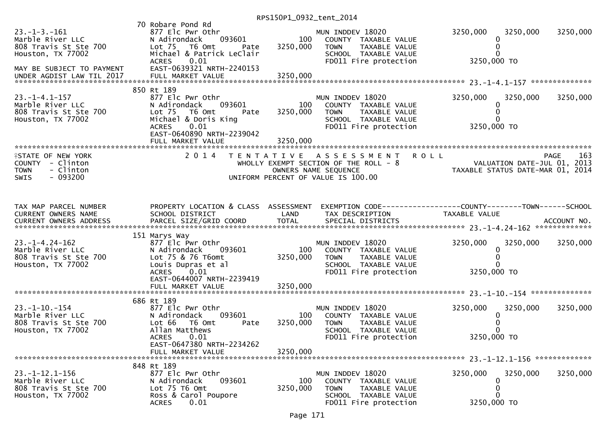| 70 Robare Pond Rd<br>$23. - 1 - 3. - 161$<br>877 Elc Pwr Othr<br>MUN INDDEV 18020<br>3250,000<br>3250,000<br>Marble River LLC<br>093601<br>100<br>N Adirondack<br>COUNTY TAXABLE VALUE<br>0                                                                                                                                                                                                                                                                             | 3250,000 |
|-------------------------------------------------------------------------------------------------------------------------------------------------------------------------------------------------------------------------------------------------------------------------------------------------------------------------------------------------------------------------------------------------------------------------------------------------------------------------|----------|
| 3250,000<br>808 Travis St Ste 700<br>Lot 75 T6 Omt<br><b>TOWN</b><br>TAXABLE VALUE<br>0<br>Pate<br>Houston, TX 77002<br>Michael & Patrick LeClair<br>SCHOOL TAXABLE VALUE<br>0<br>0.01<br>3250,000 TO<br>FD011 Fire protection<br><b>ACRES</b><br>EAST-0639321 NRTH-2240153<br>MAY BE SUBJECT TO PAYMENT                                                                                                                                                                |          |
| UNDER AGDIST LAW TIL 2017                                                                                                                                                                                                                                                                                                                                                                                                                                               |          |
| 850 Rt 189<br>$23. -1 - 4.1 - 157$<br>877 Elc Pwr Othr<br>3250,000<br>MUN INDDEV 18020<br>3250,000<br>Marble River LLC<br>093601<br>100<br>N Adirondack<br>COUNTY TAXABLE VALUE<br>0<br>808 Travis St Ste 700<br>T6 Omt<br>Lot <sub>75</sub><br>3250,000<br><b>TOWN</b><br>TAXABLE VALUE<br>0<br>Pate<br>Houston, TX 77002<br>SCHOOL TAXABLE VALUE<br>Michael & Doris King<br>0.01<br>FD011 Fire protection<br>3250,000 TO<br><b>ACRES</b><br>EAST-0640890 NRTH-2239042 | 3250,000 |
| 3250,000<br>FULL MARKET VALUE                                                                                                                                                                                                                                                                                                                                                                                                                                           |          |
| 2 0 1 4<br><b>ROLL</b><br><b>ISTATE OF NEW YORK</b><br>T E N T A T I V E<br>PAGE<br>A S S E S S M E N T<br>COUNTY - Clinton<br>VALUATION DATE-JUL 01, 2013<br>TAXABLE STATUS DATE-MAR 01, 2014<br>WHOLLY EXEMPT SECTION OF THE ROLL - 8<br>- Clinton<br><b>TOWN</b><br>OWNERS NAME SEQUENCE<br>$-093200$<br><b>SWIS</b><br>UNIFORM PERCENT OF VALUE IS 100.00                                                                                                           | 163      |
| PROPERTY LOCATION & CLASS ASSESSMENT<br>TAX MAP PARCEL NUMBER<br>EXEMPTION CODE-----------------COUNTY--------TOWN------SCHOOL<br>SCHOOL DISTRICT<br><b>CURRENT OWNERS NAME</b><br>LAND<br>TAX DESCRIPTION<br>TAXABLE VALUE<br>CURRENT OWNERS ADDRESS                                                                                                                                                                                                                   |          |
| 151 Marys Way<br>$23. - 1 - 4.24 - 162$<br>MUN INDDEV 18020<br>3250,000<br>3250,000<br>877 Elc Pwr Othr<br>Marble River LLC<br>N Adirondack<br>093601<br>100<br>COUNTY TAXABLE VALUE<br>0<br>808 Travis St Ste 700<br>Lot 75 & 76 T6omt<br>3250,000<br><b>TOWN</b><br>TAXABLE VALUE<br>0<br>Houston, TX 77002<br>Louis Dupras et al<br>0<br>SCHOOL TAXABLE VALUE<br>ACRES 0.01<br>FD011 Fire protection<br>3250,000 TO<br>EAST-0644007 NRTH-2239419                     | 3250,000 |
|                                                                                                                                                                                                                                                                                                                                                                                                                                                                         |          |
| 686 Rt 189<br>$23. -1 - 10. -154$<br>877 Elc Pwr Othr<br>MUN INDDEV 18020<br>3250,000<br>3250,000<br>Marble River LLC<br>N Adirondack<br>093601<br>100<br>COUNTY TAXABLE VALUE<br>0<br>808 Travis St Ste 700<br>3250,000<br>0<br>Lot 66 T6 Omt<br>TAXABLE VALUE<br>Pate<br><b>TOWN</b><br>Allan Matthews<br>0<br>Houston, TX 77002<br>SCHOOL TAXABLE VALUE<br><b>ACRES</b><br>0.01<br>FD011 Fire protection<br>3250,000 TO                                              | 3250,000 |
| EAST-0647380 NRTH-2234262<br>3250,000<br>FULL MARKET VALUE                                                                                                                                                                                                                                                                                                                                                                                                              |          |
|                                                                                                                                                                                                                                                                                                                                                                                                                                                                         |          |
| 848 Rt 189<br>$23. -1 - 12.1 - 156$<br>877 Elc Pwr Othr<br>MUN INDDEV 18020<br>3250,000<br>3250,000<br>Marble River LLC<br>093601<br>100<br>N Adirondack<br>0<br>COUNTY TAXABLE VALUE<br>3250,000<br>0<br>808 Travis St Ste 700<br>Lot 75 T6 Omt<br><b>TOWN</b><br>TAXABLE VALUE<br>Ross & Carol Poupore<br>0<br>Houston, TX 77002<br>SCHOOL TAXABLE VALUE<br>3250,000 TO<br><b>ACRES</b><br>0.01<br>FD011 Fire protection                                              | 3250,000 |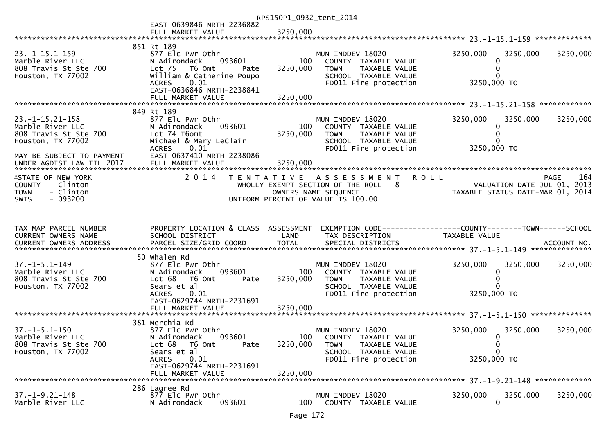|                                                                                                                       |                                                                                                                                                                                 | RPS150P1_0932_tent_2014     |                                                                                                                                           |                                                                 |                                        |             |
|-----------------------------------------------------------------------------------------------------------------------|---------------------------------------------------------------------------------------------------------------------------------------------------------------------------------|-----------------------------|-------------------------------------------------------------------------------------------------------------------------------------------|-----------------------------------------------------------------|----------------------------------------|-------------|
|                                                                                                                       | EAST-0639846 NRTH-2236882<br>FULL MARKET VALUE                                                                                                                                  | 3250,000                    |                                                                                                                                           |                                                                 |                                        |             |
| $23. -1 - 15.1 - 159$<br>Marble River LLC<br>808 Travis St Ste 700<br>Houston, TX 77002                               | 851 Rt 189<br>877 Elc Pwr Othr<br>N Adirondack<br>093601<br>Lot 75 T6 Omt<br>Pate<br>William & Catherine Poupo<br>0.01<br><b>ACRES</b><br>EAST-0636846 NRTH-2238841             | 100<br>3250,000             | MUN INDDEV 18020<br>COUNTY TAXABLE VALUE<br>TAXABLE VALUE<br><b>TOWN</b><br>SCHOOL TAXABLE VALUE<br>FD011 Fire protection                 | 3250,000                                                        | 3250,000<br>0<br>0<br>0<br>3250,000 TO | 3250,000    |
|                                                                                                                       |                                                                                                                                                                                 |                             |                                                                                                                                           |                                                                 |                                        |             |
| $23. -1 - 15.21 - 158$<br>Marble River LLC<br>808 Travis St Ste 700<br>Houston, TX 77002<br>MAY BE SUBJECT TO PAYMENT | 849 Rt 189<br>877 Elc Pwr Othr<br>093601<br>N Adirondack<br>Lot 74 T6omt<br>Michael & Mary LeClair<br><b>ACRES</b><br>0.01<br>EAST-0637410 NRTH-2238086                         | 100<br>3250,000             | MUN INDDEV 18020<br>COUNTY TAXABLE VALUE<br>TAXABLE VALUE<br>TOWN<br>SCHOOL TAXABLE VALUE<br>FD011 Fire protection                        | 3250,000                                                        | 3250,000<br>0<br>0<br>0<br>3250,000 TO | 3250,000    |
| <b>ISTATE OF NEW YORK</b><br>COUNTY - Clinton<br>- Clinton<br><b>TOWN</b><br>$-093200$<br><b>SWIS</b>                 | 2 0 1 4                                                                                                                                                                         | T E N T A T I V E           | <b>ROLL</b><br>A S S E S S M E N T<br>WHOLLY EXEMPT SECTION OF THE ROLL - 8<br>OWNERS NAME SEQUENCE<br>UNIFORM PERCENT OF VALUE IS 100.00 | VALUATION DATE-JUL 01, 2013<br>TAXABLE STATUS DATE-MAR 01, 2014 |                                        | PAGE<br>164 |
| TAX MAP PARCEL NUMBER<br>CURRENT OWNERS NAME                                                                          | PROPERTY LOCATION & CLASS ASSESSMENT<br>SCHOOL DISTRICT                                                                                                                         | LAND                        | EXEMPTION CODE-----------------COUNTY-------TOWN------SCHOOL<br>TAX DESCRIPTION                                                           | TAXABLE VALUE                                                   |                                        |             |
| $37. - 1 - 5.1 - 149$<br>Marble River LLC<br>808 Travis St Ste 700<br>Houston, TX 77002                               | 50 Whalen Rd<br>877 Elc Pwr Othr<br>093601<br>N Adirondack<br>Lot 68<br>T6 Omt<br>Pate<br>Sears et al<br><b>ACRES</b><br>0.01<br>EAST-0629744 NRTH-2231691<br>FULL MARKET VALUE | 100<br>3250,000<br>3250,000 | MUN INDDEV 18020<br>COUNTY TAXABLE VALUE<br><b>TOWN</b><br>TAXABLE VALUE<br>SCHOOL TAXABLE VALUE<br>FD011 Fire protection                 | 3250,000<br>3250,000 TO                                         | 3250,000<br>0<br>0                     | 3250,000    |
| $37. - 1 - 5.1 - 150$<br>Marble River LLC<br>808 Travis St Ste 700<br>Houston, TX 77002                               | 381 Merchia Rd<br>877 Elc Pwr Othr<br>N Adirondack<br>093601<br>Lot 68 T6 Omt<br>Pate<br>Sears et al<br>0.01<br><b>ACRES</b>                                                    | 100<br>3250,000             | MUN INDDEV 18020<br>COUNTY TAXABLE VALUE<br>TAXABLE VALUE<br><b>TOWN</b><br>SCHOOL TAXABLE VALUE<br>FD011 Fire protection                 | 3250,000<br>3250,000 TO                                         | 3250,000<br>0<br>0<br>0                | 3250,000    |
|                                                                                                                       | EAST-0629744 NRTH-2231691<br>FULL MARKET VALUE                                                                                                                                  | 3250,000                    |                                                                                                                                           |                                                                 |                                        |             |
| $37. - 1 - 9.21 - 148$<br>Marble River LLC                                                                            | 286 Lagree Rd<br>877 Elc Pwr Othr<br>N Adirondack<br>093601                                                                                                                     | 100                         | MUN INDDEV 18020<br>COUNTY TAXABLE VALUE                                                                                                  | 3250,000                                                        | 3250,000<br>0                          | 3250,000    |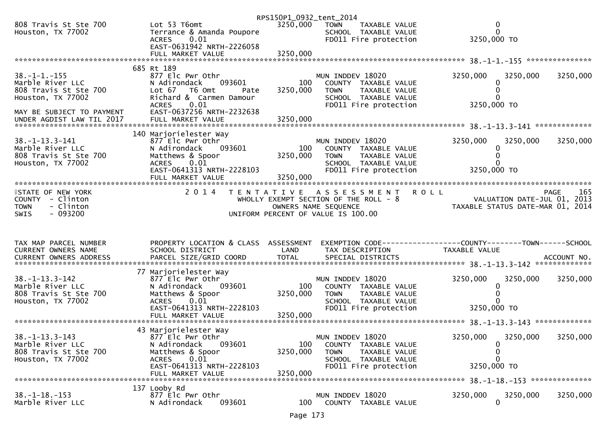|                                               |                                                   | RPS150P1_0932_tent_2014 |                                                      |                                                              |                    |
|-----------------------------------------------|---------------------------------------------------|-------------------------|------------------------------------------------------|--------------------------------------------------------------|--------------------|
| 808 Travis St Ste 700<br>Houston, TX 77002    | Lot 53 T6omt<br>Terrance & Amanda Poupore         | 3250,000                | <b>TOWN</b><br>TAXABLE VALUE<br>SCHOOL TAXABLE VALUE | $\mathbf 0$<br>$\mathbf 0$                                   |                    |
|                                               | 0.01<br><b>ACRES</b><br>EAST-0631942 NRTH-2226058 |                         | FD011 Fire protection                                | 3250,000 TO                                                  |                    |
|                                               |                                                   |                         |                                                      |                                                              |                    |
|                                               | 685 Rt 189                                        |                         |                                                      |                                                              |                    |
| $38. - 1 - 1. - 155$                          | 877 Elc Pwr Othr                                  |                         | MUN INDDEV 18020                                     | 3250,000<br>3250,000                                         | 3250,000           |
| Marble River LLC                              | N Adirondack<br>093601                            | 100                     | COUNTY TAXABLE VALUE                                 | 0                                                            |                    |
| 808 Travis St Ste 700                         | Lot 67<br>T6 Omt<br>Pate                          | 3250,000                | <b>TOWN</b><br>TAXABLE VALUE                         | 0                                                            |                    |
| Houston, TX 77002                             | Richard & Carmen Damour<br><b>ACRES</b><br>0.01   |                         | SCHOOL TAXABLE VALUE<br>FD011 Fire protection        | 3250,000 TO                                                  |                    |
| MAY BE SUBJECT TO PAYMENT                     | EAST-0637256 NRTH-2232638                         |                         |                                                      |                                                              |                    |
|                                               |                                                   |                         |                                                      |                                                              |                    |
|                                               |                                                   |                         |                                                      |                                                              |                    |
| $38. -1 - 13.3 - 141$                         | 140 Marjorielester Way<br>877 Elc Pwr Othr        |                         | MUN INDDEV 18020                                     | 3250,000<br>3250,000                                         | 3250,000           |
| Marble River LLC                              | N Adirondack<br>093601                            | 100                     | COUNTY TAXABLE VALUE                                 | 0                                                            |                    |
| 808 Travis St Ste 700                         | Matthews & Spoor                                  | 3250,000                | <b>TOWN</b><br>TAXABLE VALUE                         | 0                                                            |                    |
| Houston, TX 77002                             | 0.01<br><b>ACRES</b>                              |                         | SCHOOL TAXABLE VALUE                                 |                                                              |                    |
|                                               | EAST-0641313 NRTH-2228103                         |                         | FD011 Fire protection                                | 3250,000 TO                                                  |                    |
|                                               |                                                   |                         |                                                      |                                                              |                    |
| <b>ISTATE OF NEW YORK</b>                     | 2 0 1 4                                           |                         | TENTATIVE ASSESSMENT                                 | <b>ROLL</b>                                                  | 165<br><b>PAGE</b> |
| COUNTY - Clinton                              |                                                   |                         | WHOLLY EXEMPT SECTION OF THE ROLL - 8                | VALUATION DATE-JUL 01, 2013                                  |                    |
| - Clinton<br><b>TOWN</b><br>SWIS<br>$-093200$ |                                                   |                         | OWNERS NAME SEQUENCE                                 | TAXABLE STATUS DATE-MAR 01, 2014                             |                    |
|                                               |                                                   |                         |                                                      |                                                              |                    |
|                                               |                                                   |                         | UNIFORM PERCENT OF VALUE IS 100.00                   |                                                              |                    |
|                                               |                                                   |                         |                                                      |                                                              |                    |
|                                               |                                                   |                         |                                                      |                                                              |                    |
| TAX MAP PARCEL NUMBER                         | PROPERTY LOCATION & CLASS ASSESSMENT              |                         |                                                      | EXEMPTION CODE-----------------COUNTY-------TOWN------SCHOOL |                    |
| CURRENT OWNERS NAME                           | SCHOOL DISTRICT                                   | LAND                    | TAX DESCRIPTION                                      | TAXABLE VALUE                                                |                    |
| <b>CURRENT OWNERS ADDRESS</b>                 |                                                   |                         |                                                      |                                                              |                    |
|                                               | 77 Marjorielester Way                             |                         |                                                      |                                                              |                    |
| $38. -1 - 13.3 - 142$                         | 877 Elc Pwr Othr                                  |                         | MUN INDDEV 18020                                     | 3250,000<br>3250,000                                         | 3250,000           |
| Marble River LLC                              | N Adirondack<br>093601                            | 100                     | COUNTY TAXABLE VALUE                                 | 0                                                            |                    |
| 808 Travis St Ste 700                         | Matthews & Spoor<br><b>ACRES</b>                  | 3250,000                | <b>TOWN</b><br>TAXABLE VALUE                         | $\Omega$                                                     |                    |
| Houston, TX 77002                             | 0.01<br>EAST-0641313 NRTH-2228103                 |                         | SCHOOL TAXABLE VALUE<br>FD011 Fire protection        | 3250,000 TO                                                  |                    |
|                                               |                                                   |                         |                                                      |                                                              |                    |
|                                               |                                                   |                         |                                                      |                                                              |                    |
|                                               | 43 Marjorielester Way                             |                         |                                                      |                                                              |                    |
| $38. - 1 - 13.3 - 143$<br>Marble River LLC    | 877 Elc Pwr Othr<br>093601<br>N Adirondack        | 100                     | MUN INDDEV 18020<br>COUNTY TAXABLE VALUE             | 3250,000<br>3250,000<br>0                                    | 3250,000           |
| 808 Travis St Ste 700                         | Matthews & Spoor                                  | 3250,000                | <b>TOWN</b><br>TAXABLE VALUE                         | 0                                                            |                    |
| Houston, TX 77002                             | 0.01<br><b>ACRES</b>                              |                         | SCHOOL TAXABLE VALUE                                 | $\mathbf{0}$                                                 |                    |
|                                               | EAST-0641313 NRTH-2228103                         |                         | FD011 Fire protection                                | 3250,000 TO                                                  |                    |
|                                               | FULL MARKET VALUE                                 | 3250,000                |                                                      |                                                              |                    |
|                                               | 137 Looby Rd                                      |                         |                                                      |                                                              |                    |
| $38. - 1 - 18. - 153$<br>Marble River LLC     | 877 Elc Pwr Othr<br>093601<br>N Adirondack        | 100                     | MUN INDDEV 18020<br>COUNTY TAXABLE VALUE             | 3250,000<br>3250,000<br>$\mathbf{0}$                         | 3250,000           |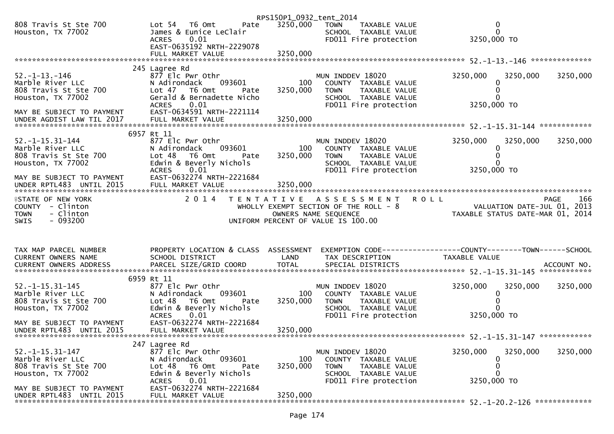|                                              |                                                    | RPS150P1_0932_tent_2014 |                                                                |                                                                 |             |             |
|----------------------------------------------|----------------------------------------------------|-------------------------|----------------------------------------------------------------|-----------------------------------------------------------------|-------------|-------------|
| 808 Travis St Ste 700<br>Houston, TX 77002   | Lot 54 76 0mt<br>Pate<br>James & Eunice LeClair    | 3250,000                | <b>TOWN</b><br>TAXABLE VALUE<br>SCHOOL TAXABLE VALUE           |                                                                 | 0<br>0      |             |
|                                              | <b>ACRES</b><br>0.01<br>EAST-0635192 NRTH-2229078  |                         | FD011 Fire protection                                          | 3250,000 TO                                                     |             |             |
|                                              |                                                    |                         |                                                                |                                                                 |             |             |
| $52. -1 - 13. -146$                          | 245 Lagree Rd<br>877 Elc Pwr Othr                  |                         | MUN INDDEV 18020                                               | 3250,000                                                        | 3250,000    | 3250,000    |
| Marble River LLC<br>808 Travis St Ste 700    | 093601<br>N Adirondack<br>Lot $47$ T6 Omt<br>Pate  | 100<br>3250,000         | COUNTY TAXABLE VALUE<br><b>TOWN</b><br>TAXABLE VALUE           |                                                                 | 0<br>0      |             |
| Houston, TX 77002                            | Gerald & Bernadette Nicho                          |                         | SCHOOL TAXABLE VALUE                                           |                                                                 |             |             |
| MAY BE SUBJECT TO PAYMENT                    | <b>ACRES</b><br>0.01<br>EAST-0634591 NRTH-2221114  |                         | FD011 Fire protection                                          | 3250,000 TO                                                     |             |             |
|                                              | 6957 Rt 11                                         |                         |                                                                |                                                                 |             |             |
| $52. -1 - 15.31 - 144$                       | 877 Elc Pwr Othr                                   |                         | MUN INDDEV 18020                                               | 3250,000                                                        | 3250,000    | 3250,000    |
| Marble River LLC<br>808 Travis St Ste 700    | 093601<br>N Adirondack<br>Lot 48<br>T6 Omt<br>Pate | 100<br>3250,000         | COUNTY TAXABLE VALUE<br><b>TOWN</b><br>TAXABLE VALUE           |                                                                 | 0           |             |
| Houston, TX 77002                            | Edwin & Beverly Nichols<br><b>ACRES</b><br>0.01    |                         | SCHOOL TAXABLE VALUE<br>FD011 Fire protection                  | 3250,000 TO                                                     |             |             |
| MAY BE SUBJECT TO PAYMENT                    | EAST-0632274 NRTH-2221684                          |                         |                                                                |                                                                 |             |             |
| <b>ISTATE OF NEW YORK</b>                    | 2 0 1 4                                            |                         | <b>ROLL</b><br>TENTATIVE ASSESSMENT                            |                                                                 |             | 166<br>PAGE |
| COUNTY - Clinton<br><b>TOWN</b><br>- Clinton |                                                    | OWNERS NAME SEQUENCE    | WHOLLY EXEMPT SECTION OF THE ROLL $-8$                         | VALUATION DATE-JUL U1, ZU13<br>TAXABLE STATUS DATE-MAR 01, 2014 |             |             |
| <b>SWIS</b><br>- 093200                      |                                                    |                         | UNIFORM PERCENT OF VALUE IS 100.00                             |                                                                 |             |             |
| TAX MAP PARCEL NUMBER                        | PROPERTY LOCATION & CLASS ASSESSMENT               |                         | EXEMPTION CODE------------------COUNTY--------TOWN------SCHOOL |                                                                 |             |             |
| CURRENT OWNERS NAME                          | SCHOOL DISTRICT                                    | LAND                    | TAX DESCRIPTION                                                | TAXABLE VALUE                                                   |             |             |
|                                              |                                                    |                         |                                                                |                                                                 |             |             |
| $52. -1 - 15.31 - 145$                       | 6959 Rt 11<br>877 Elc Pwr Othr                     |                         | MUN INDDEV 18020                                               | 3250,000                                                        | 3250,000    | 3250,000    |
| Marble River LLC<br>808 Travis St Ste 700    | 093601<br>N Adirondack<br>Lot 48 T6 Omt<br>Pate    | 100<br>3250,000         | COUNTY TAXABLE VALUE<br><b>TOWN</b><br>TAXABLE VALUE           |                                                                 | $\mathbf 0$ |             |
| Houston, TX 77002                            | Edwin & Beverly Nichols                            |                         | SCHOOL TAXABLE VALUE                                           |                                                                 |             |             |
| MAY BE SUBJECT TO PAYMENT                    | <b>ACRES</b><br>0.01<br>EAST-0632274 NRTH-2221684  |                         | FD011 Fire protection                                          | 3250,000 TO                                                     |             |             |
| UNDER RPTL483 UNTIL 2015                     | FULL MARKET VALUE                                  | 3250,000                |                                                                |                                                                 |             |             |
| $52. -1 - 15.31 - 147$                       | 247 Lagree Rd<br>877 Elc Pwr Othr                  |                         | MUN INDDEV 18020                                               | 3250,000                                                        | 3250,000    | 3250,000    |
| Marble River LLC<br>808 Travis St Ste 700    | N Adirondack<br>093601<br>Lot 48<br>T6 Omt<br>Pate | 100<br>3250,000         | COUNTY TAXABLE VALUE<br>TAXABLE VALUE<br>TOWN                  |                                                                 | 0<br>0      |             |
| Houston, TX 77002                            | Edwin & Beverly Nichols                            |                         | SCHOOL TAXABLE VALUE                                           |                                                                 | O           |             |
| MAY BE SUBJECT TO PAYMENT                    | 0.01<br><b>ACRES</b>                               |                         | FD011 Fire protection                                          | 3250,000 TO                                                     |             |             |
| UNDER RPTL483 UNTIL 2015                     | EAST-0632274 NRTH-2221684<br>FULL MARKET VALUE     | 3250,000                |                                                                |                                                                 |             |             |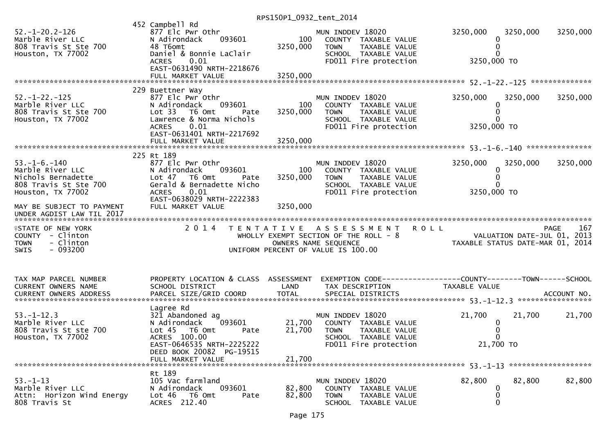| $52. - 1 - 20.2 - 126$<br>Marble River LLC<br>808 Travis St Ste 700<br>Houston, TX 77002                     | 452 Campbell Rd<br>877 Elc Pwr Othr<br>093601<br>N Adirondack<br>48 T6omt<br>Daniel & Bonnie LaClair<br>0.01<br><b>ACRES</b><br>EAST-0631490 NRTH-2218676<br>FULL MARKET VALUE               | 100<br>3250,000<br>3250,000 | MUN INDDEV 18020<br>COUNTY TAXABLE VALUE<br><b>TOWN</b><br>TAXABLE VALUE<br>SCHOOL TAXABLE VALUE<br>FD011 Fire protection                                                         | 3250,000<br>3250,000 TO      | 3250,000<br>3250,000 |
|--------------------------------------------------------------------------------------------------------------|----------------------------------------------------------------------------------------------------------------------------------------------------------------------------------------------|-----------------------------|-----------------------------------------------------------------------------------------------------------------------------------------------------------------------------------|------------------------------|----------------------|
|                                                                                                              |                                                                                                                                                                                              |                             |                                                                                                                                                                                   |                              |                      |
| $52. - 1 - 22. - 125$<br>Marble River LLC<br>808 Travis St Ste 700<br>Houston, TX 77002                      | 229 Buettner Way<br>877 Elc Pwr Othr<br>N Adirondack<br>093601<br>Lot 33<br>T6 Omt<br>Pate<br>Lawrence & Norma Nichols<br><b>ACRES</b><br>0.01<br>EAST-0631401 NRTH-2217692                  | 100<br>3250,000             | MUN INDDEV 18020<br>COUNTY TAXABLE VALUE<br>TAXABLE VALUE<br><b>TOWN</b><br>SCHOOL TAXABLE VALUE<br>FD011 Fire protection                                                         | 3250,000<br>3250,000 TO      | 3250,000<br>3250,000 |
|                                                                                                              | FULL MARKET VALUE                                                                                                                                                                            | 3250,000                    |                                                                                                                                                                                   |                              |                      |
|                                                                                                              | 225 Rt 189                                                                                                                                                                                   |                             |                                                                                                                                                                                   |                              |                      |
| $53. - 1 - 6. - 140$<br>Marble River LLC<br>Nichols Bernadette<br>808 Travis St Ste 700<br>Houston, TX 77002 | 877 Elc Pwr Othr<br>N Adirondack<br>093601<br>Lot 47 T6 Omt<br>Pate<br>Gerald & Bernadette Nicho<br><b>ACRES</b><br>0.01                                                                     | 100<br>3250,000             | MUN INDDEV 18020<br>COUNTY TAXABLE VALUE<br><b>TOWN</b><br>TAXABLE VALUE<br>SCHOOL TAXABLE VALUE<br>FD011 Fire protection                                                         | 3250,000<br>0<br>3250,000 TO | 3250,000<br>3250,000 |
| MAY BE SUBJECT TO PAYMENT<br>UNDER AGDIST LAW TIL 2017                                                       | EAST-0638029 NRTH-2222383<br>FULL MARKET VALUE                                                                                                                                               | 3250,000                    |                                                                                                                                                                                   |                              |                      |
|                                                                                                              |                                                                                                                                                                                              |                             |                                                                                                                                                                                   |                              |                      |
| <b>ISTATE OF NEW YORK</b><br>COUNTY - Clinton<br>- Clinton<br><b>TOWN</b><br>$-093200$<br>SWIS               | 2 0 1 4                                                                                                                                                                                      |                             | TENTATIVE ASSESSMENT ROLL<br>WHOLLY EXEMPT SECTION OF THE ROLL - 8<br>OWNERS NAME SEQUENCE THE ROLL - 8<br>TAXABLE STATUS DATE-MAR 01, 2014<br>UNIFORM PERCENT OF VALUE IS 100.00 |                              | 167<br>PAGE          |
| TAX MAP PARCEL NUMBER<br>CURRENT OWNERS NAME                                                                 | PROPERTY LOCATION & CLASS ASSESSMENT<br>SCHOOL DISTRICT                                                                                                                                      | LAND                        | EXEMPTION CODE-----------------COUNTY--------TOWN------SCHOOL<br>TAX DESCRIPTION                                                                                                  | TAXABLE VALUE                |                      |
| $53. - 1 - 12.3$<br>Marble River LLC<br>808 Travis St ste 700<br>Houston, TX 77002                           | Lagree Rd<br>321 Abandoned ag<br>093601<br>N Adirondack<br>Lot <sub>45</sub><br>T6 Omt<br>Pate<br>ACRES 100.00<br>EAST-0646535 NRTH-2225222<br>DEED BOOK 20082 PG-19515<br>FULL MARKET VALUE | 21,700<br>21,700<br>21,700  | MUN INDDEV 18020<br>COUNTY TAXABLE VALUE<br><b>TOWN</b><br>TAXABLE VALUE<br>SCHOOL TAXABLE VALUE<br>FD011 Fire protection                                                         | 21,700<br>0<br>21,700 TO     | 21,700<br>21,700     |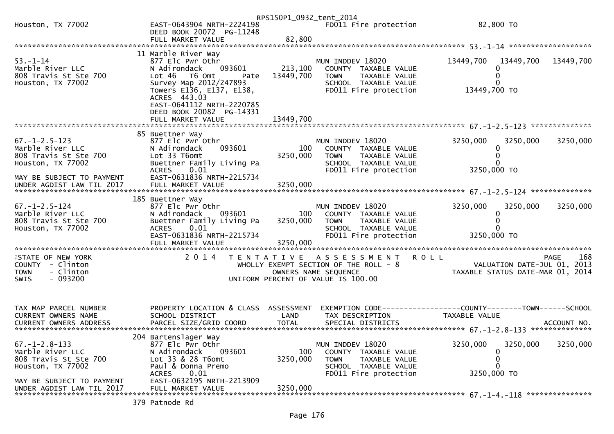|                                                                                                       |                                                                                                                                                                       | RPS150P1_0932_tent_2014     |                                                                                                                             |                                                                                                          |                            |
|-------------------------------------------------------------------------------------------------------|-----------------------------------------------------------------------------------------------------------------------------------------------------------------------|-----------------------------|-----------------------------------------------------------------------------------------------------------------------------|----------------------------------------------------------------------------------------------------------|----------------------------|
| Houston, TX 77002                                                                                     | EAST-0643904 NRTH-2224198<br>DEED BOOK 20072 PG-11248                                                                                                                 |                             | FD011 Fire protection                                                                                                       | 82,800 TO                                                                                                |                            |
|                                                                                                       | FULL MARKET VALUE                                                                                                                                                     | 82,800                      |                                                                                                                             |                                                                                                          |                            |
| $53. - 1 - 14$<br>Marble River LLC<br>808 Travis St Ste 700<br>Houston, TX 77002                      | 11 Marble River Way<br>877 Elc Pwr Othr<br>N Adirondack<br>093601<br>Lot 46 T6 Omt<br>Pate<br>Survey Map 2012/247893<br>Towers E136, E137, E138,<br>ACRES 443.03      | 213,100<br>13449,700        | MUN INDDEV 18020<br>COUNTY TAXABLE VALUE<br><b>TOWN</b><br>TAXABLE VALUE<br>SCHOOL TAXABLE VALUE<br>FD011 Fire protection   | 13449,700<br>13449,700<br>13449,700 TO                                                                   | 13449,700                  |
|                                                                                                       | EAST-0641112 NRTH-2220785<br>DEED BOOK 20082 PG-14331<br>FULL MARKET VALUE                                                                                            | 13449,700                   |                                                                                                                             |                                                                                                          |                            |
| $67. - 1 - 2.5 - 123$<br>Marble River LLC<br>808 Travis St Ste 700<br>Houston, TX 77002               | 85 Buettner Way<br>877 Elc Pwr Othr<br>093601<br>N Adirondack<br>Lot 33 T6omt<br>Buettner Family Living Pa<br><b>ACRES</b><br>0.01                                    | 100<br>3250,000             | MUN INDDEV 18020<br>COUNTY TAXABLE VALUE<br><b>TOWN</b><br>TAXABLE VALUE<br>SCHOOL TAXABLE VALUE<br>FD011 Fire protection   | 3250,000<br>3250,000<br>3250,000 TO                                                                      | 3250,000                   |
| MAY BE SUBJECT TO PAYMENT                                                                             | EAST-0631836 NRTH-2215734                                                                                                                                             |                             |                                                                                                                             |                                                                                                          |                            |
| $67. - 1 - 2.5 - 124$<br>Marble River LLC<br>808 Travis St Ste 700<br>Houston, TX 77002               | 185 Buettner Way<br>877 Elc Pwr Othr<br>N Adirondack<br>093601<br>Buettner Family Living Pa<br>0.01<br><b>ACRES</b><br>EAST-0631836 NRTH-2215734<br>FULL MARKET VALUE | 100<br>3250,000<br>3250,000 | MUN INDDEV 18020<br>COUNTY TAXABLE VALUE<br><b>TOWN</b><br>TAXABLE VALUE<br>SCHOOL TAXABLE VALUE<br>FD011 Fire protection   | 3250,000<br>3250,000<br>0<br>3250,000 TO                                                                 | 3250,000                   |
| <b>ISTATE OF NEW YORK</b><br>COUNTY - Clinton<br><b>TOWN</b><br>- Clinton<br>$-093200$<br><b>SWIS</b> | 2 0 1 4                                                                                                                                                               |                             | TENTATIVE ASSESSMENT<br>WHOLLY EXEMPT SECTION OF THE ROLL - 8<br>OWNERS NAME SEQUENCE<br>UNIFORM PERCENT OF VALUE IS 100.00 | <b>ROLL</b><br>,01, VALUATION DATE-JUL<br>TAXABLE STATUS DATF-MAR 01<br>TAXABLE STATUS DATE-MAR 01, 2014 | 168<br><b>PAGE</b><br>2013 |
| TAX MAP PARCEL NUMBER<br><b>CURRENT OWNERS NAME</b>                                                   | PROPERTY LOCATION & CLASS ASSESSMENT<br>SCHOOL DISTRICT                                                                                                               | LAND                        | TAX DESCRIPTION                                                                                                             | EXEMPTION CODE-----------------COUNTY-------TOWN------SCHOOL<br><b>TAXABLE VALUE</b>                     |                            |
| $67. - 1 - 2.8 - 133$<br>Marble River LLC<br>808 Travis St Ste 700<br>Houston, TX 77002               | 204 Bartenslager Way<br>877 Elc Pwr Othr<br>093601<br>N Adirondack<br>Lot 33 & 28 T6omt<br>Paul & Donna Premo<br>0.01<br><b>ACRES</b>                                 | 100<br>3250,000             | MUN INDDEV 18020<br>COUNTY TAXABLE VALUE<br><b>TOWN</b><br>TAXABLE VALUE<br>SCHOOL TAXABLE VALUE<br>FD011 Fire protection   | 3250,000<br>3250,000<br>3250,000 TO                                                                      | 3250,000                   |
| MAY BE SUBJECT TO PAYMENT<br>UNDER AGDIST LAW TIL 2017                                                | EAST-0632195 NRTH-2213909<br>FULL MARKET VALUE                                                                                                                        | 3250,000                    |                                                                                                                             |                                                                                                          |                            |
|                                                                                                       | 379 Patnode Rd                                                                                                                                                        |                             |                                                                                                                             |                                                                                                          |                            |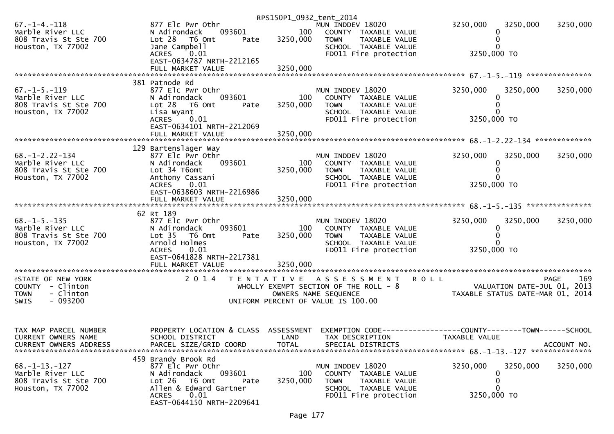|                                                                                                |                                                                                                                                                                           | RPS150P1_0932_tent_2014 |                                                                                                                             |                                                                                 |                            |
|------------------------------------------------------------------------------------------------|---------------------------------------------------------------------------------------------------------------------------------------------------------------------------|-------------------------|-----------------------------------------------------------------------------------------------------------------------------|---------------------------------------------------------------------------------|----------------------------|
| $67. - 1 - 4. - 118$<br>Marble River LLC<br>808 Travis St Ste 700<br>Houston, TX 77002         | 877 Elc Pwr Othr<br>093601<br>N Adirondack<br>Lot 28 T6 Omt<br>Pate<br>Jane Campbell<br>0.01<br><b>ACRES</b>                                                              | 100<br>3250,000         | MUN INDDEV 18020<br>COUNTY TAXABLE VALUE<br>TAXABLE VALUE<br><b>TOWN</b><br>SCHOOL TAXABLE VALUE<br>FD011 Fire protection   | 3250,000<br>3250,000<br>3250,000 TO                                             | 3250,000                   |
|                                                                                                | EAST-0634787 NRTH-2212165<br>FULL MARKET VALUE                                                                                                                            | 3250,000                |                                                                                                                             |                                                                                 |                            |
| $67. - 1 - 5. - 119$<br>Marble River LLC<br>808 Travis St Ste 700<br>Houston, TX 77002         | 381 Patnode Rd<br>877 Elc Pwr Othr<br>093601<br>N Adirondack<br>Lot 28 T6 Omt<br>Pate<br>Lisa Wyant<br>0.01<br><b>ACRES</b>                                               | 100<br>3250,000         | MUN INDDEV 18020<br>COUNTY TAXABLE VALUE<br>TAXABLE VALUE<br><b>TOWN</b><br>SCHOOL TAXABLE VALUE<br>FD011 Fire protection   | 3250,000<br>3250,000<br>3250,000 TO                                             | 3250,000                   |
|                                                                                                | EAST-0634101 NRTH-2212069                                                                                                                                                 |                         |                                                                                                                             |                                                                                 |                            |
| $68. - 1 - 2.22 - 134$<br>Marble River LLC<br>808 Travis St Ste 700<br>Houston, TX 77002       | 129 Bartenslager Way<br>877 Elc Pwr Othr<br>093601<br>N Adirondack<br>Lot 34 T6omt<br>Anthony Cassani<br>ACRES 0.01                                                       | 100<br>3250,000         | MUN INDDEV 18020<br>COUNTY TAXABLE VALUE<br><b>TOWN</b><br>TAXABLE VALUE<br>SCHOOL TAXABLE VALUE<br>FD011 Fire protection   | 3250,000<br>3250,000<br>0<br>3250,000 TO                                        | 3250,000                   |
|                                                                                                | EAST-0638603 NRTH-2216986<br>FULL MARKET VALUE                                                                                                                            | 3250,000                |                                                                                                                             |                                                                                 |                            |
| $68. -1 - 5. -135$<br>Marble River LLC<br>808 Travis St Ste 700<br>Houston, TX 77002           | 62 Rt 189<br>877 Elc Pwr Othr<br>093601<br>N Adirondack<br>Lot <sub>35</sub><br>T6 Omt<br>Pate<br>Arnold Holmes<br><b>ACRES</b><br>0.01<br>EAST-0641828 NRTH-2217381      | 100<br>3250,000         | MUN INDDEV 18020<br>COUNTY TAXABLE VALUE<br><b>TOWN</b><br>TAXABLE VALUE<br>SCHOOL TAXABLE VALUE<br>FD011 Fire protection   | 3250,000<br>3250,000<br>0<br>3250,000 TO                                        | 3250,000                   |
|                                                                                                |                                                                                                                                                                           |                         |                                                                                                                             |                                                                                 |                            |
| <b>ISTATE OF NEW YORK</b><br>COUNTY - Clinton<br>- Clinton<br><b>TOWN</b><br>$-093200$<br>SWIS | 2 0 1 4                                                                                                                                                                   |                         | TENTATIVE ASSESSMENT<br>WHOLLY EXEMPT SECTION OF THE ROLL - 8<br>OWNERS NAME SEQUENCE<br>UNIFORM PERCENT OF VALUE IS 100.00 | <b>ROLL</b><br>VALUATION DATE-JUL 01,<br>TAXABLE STATUS DATE-MAR 01, 2014       | 169<br><b>PAGE</b><br>2013 |
| TAX MAP PARCEL NUMBER<br>CURRENT OWNERS NAME<br><b>CURRENT OWNERS ADDRESS</b>                  | PROPERTY LOCATION & CLASS ASSESSMENT<br>SCHOOL DISTRICT<br>PARCEL SIZE/GRID COORD                                                                                         | LAND<br><b>TOTAL</b>    | TAX DESCRIPTION<br>SPECIAL DISTRICTS                                                                                        | EXEMPTION CODE------------------COUNTY--------TOWN------SCHOOL<br>TAXABLE VALUE | ACCOUNT NO.                |
| $68. -1 - 13. -127$<br>Marble River LLC<br>808 Travis St Ste 700<br>Houston, TX 77002          | 459 Brandy Brook Rd<br>877 Elc Pwr Othr<br>N Adirondack<br>093601<br>Lot 26 T6 Omt<br>Pate<br>Allen & Edward Gartner<br>0.01<br><b>ACRES</b><br>EAST-0644150 NRTH-2209641 | 100<br>3250,000         | MUN INDDEV 18020<br>COUNTY TAXABLE VALUE<br><b>TOWN</b><br>TAXABLE VALUE<br>SCHOOL TAXABLE VALUE<br>FD011 Fire protection   | 3250,000<br>3250,000<br>0<br>3250,000 TO                                        | 3250,000                   |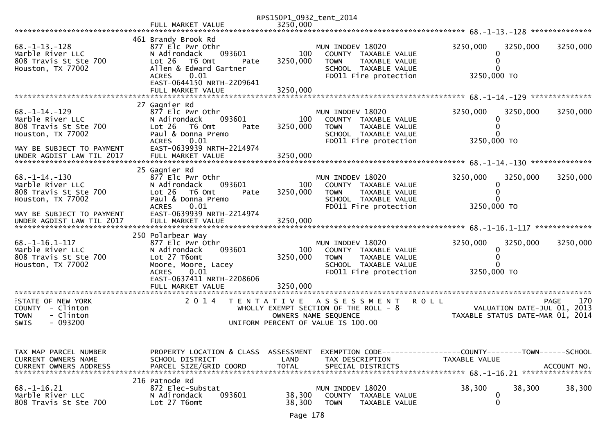|                                                                                                                    |                                                                                                                                                                                  | RPS150P1_0932_tent_2014     |                                                                                                                                           |                                                                               |                    |
|--------------------------------------------------------------------------------------------------------------------|----------------------------------------------------------------------------------------------------------------------------------------------------------------------------------|-----------------------------|-------------------------------------------------------------------------------------------------------------------------------------------|-------------------------------------------------------------------------------|--------------------|
|                                                                                                                    | FULL MARKET VALUE                                                                                                                                                                | 3250,000                    |                                                                                                                                           |                                                                               |                    |
|                                                                                                                    |                                                                                                                                                                                  |                             |                                                                                                                                           |                                                                               |                    |
| $68. -1 - 13. -128$<br>Marble River LLC<br>808 Travis St Ste 700<br>Houston, TX 77002                              | 461 Brandy Brook Rd<br>877 Elc Pwr Othr<br>093601<br>N Adirondack<br>Lot 26 T6 Omt<br>Pate<br>Allen & Edward Gartner<br><b>ACRES</b><br>0.01                                     | 100<br>3250,000             | MUN INDDEV 18020<br>COUNTY TAXABLE VALUE<br>TAXABLE VALUE<br><b>TOWN</b><br>SCHOOL TAXABLE VALUE<br>FD011 Fire protection                 | 3250,000<br>3250,000<br>3250,000 TO                                           | 3250,000           |
|                                                                                                                    | EAST-0644150 NRTH-2209641                                                                                                                                                        |                             |                                                                                                                                           |                                                                               |                    |
|                                                                                                                    | FULL MARKET VALUE                                                                                                                                                                | 3250,000                    |                                                                                                                                           |                                                                               |                    |
|                                                                                                                    |                                                                                                                                                                                  |                             |                                                                                                                                           |                                                                               |                    |
| $68. -1 - 14. -129$<br>Marble River LLC<br>808 Travis St Ste 700<br>Houston, TX 77002<br>MAY BE SUBJECT TO PAYMENT | 27 Gagnier Rd<br>877 Elc Pwr Othr<br>093601<br>N Adirondack<br>$Lot 26$ T6 Omt<br>Pate<br>Paul & Donna Premo<br>0.01<br><b>ACRES</b><br>EAST-0639939 NRTH-2214974                | 100<br>3250,000             | MUN INDDEV 18020<br>COUNTY TAXABLE VALUE<br>TAXABLE VALUE<br><b>TOWN</b><br>SCHOOL TAXABLE VALUE<br>FD011 Fire protection                 | 3250,000<br>3250,000<br>3250,000 TO                                           | 3250,000           |
| UNDER AGDIST LAW TIL 2017                                                                                          | FULL MARKET VALUE                                                                                                                                                                | 3250,000                    |                                                                                                                                           |                                                                               |                    |
|                                                                                                                    |                                                                                                                                                                                  |                             |                                                                                                                                           |                                                                               |                    |
| $68. - 1 - 14. - 130$<br>Marble River LLC<br>808 Travis St Ste 700<br>Houston, TX 77002                            | 25 Gagnier Rd<br>877 Elc Pwr Othr<br>093601<br>N Adirondack<br>$Lot 26$ T6 Omt<br>Pate<br>Paul & Donna Premo                                                                     | 100<br>3250,000             | MUN INDDEV 18020<br>COUNTY TAXABLE VALUE<br>TAXABLE VALUE<br><b>TOWN</b><br>SCHOOL TAXABLE VALUE                                          | 3250,000<br>3250,000<br>$\Omega$                                              | 3250,000           |
|                                                                                                                    | 0.01<br><b>ACRES</b>                                                                                                                                                             |                             | FD011 Fire protection                                                                                                                     | 3250,000 TO                                                                   |                    |
| MAY BE SUBJECT TO PAYMENT                                                                                          | EAST-0639939 NRTH-2214974                                                                                                                                                        |                             |                                                                                                                                           |                                                                               |                    |
| $68. - 1 - 16.1 - 117$<br>Marble River LLC<br>808 Travis St Ste 700<br>Houston, TX 77002                           | 250 Polarbear Way<br>877 Elc Pwr Othr<br>093601<br>N Adirondack<br>Lot 27 T6omt<br>Moore, Moore, Lacey<br><b>ACRES</b><br>0.01<br>EAST-0637411 NRTH-2208606<br>FULL MARKET VALUE | 100<br>3250,000<br>3250.000 | MUN INDDEV 18020<br>COUNTY TAXABLE VALUE<br><b>TOWN</b><br>TAXABLE VALUE<br>SCHOOL TAXABLE VALUE<br>FD011 Fire protection                 | 3250,000<br>3250,000<br>0<br>3250,000 TO                                      | 3250,000           |
|                                                                                                                    |                                                                                                                                                                                  |                             |                                                                                                                                           |                                                                               |                    |
| <b>ISTATE OF NEW YORK</b><br>COUNTY - Clinton<br>- Clinton<br><b>TOWN</b><br>$-093200$<br>SWIS                     | 2 0 1 4<br>T E N T A T I V E                                                                                                                                                     |                             | <b>ROLL</b><br>A S S E S S M E N T<br>WHOLLY EXEMPT SECTION OF THE ROLL - 8<br>OWNERS NAME SEQUENCE<br>UNIFORM PERCENT OF VALUE IS 100.00 | VALUATION DATE-JUL 01, 2013<br>TAXABLE STATUS DATE-MAR 01, 2014               | 170<br><b>PAGE</b> |
|                                                                                                                    |                                                                                                                                                                                  |                             |                                                                                                                                           |                                                                               |                    |
| TAX MAP PARCEL NUMBER<br>CURRENT OWNERS NAME<br><b>CURRENT OWNERS ADDRESS</b>                                      | PROPERTY LOCATION & CLASS ASSESSMENT<br>SCHOOL DISTRICT<br>PARCEL SIZE/GRID COORD                                                                                                | LAND<br><b>TOTAL</b>        | TAX DESCRIPTION<br>SPECIAL DISTRICTS                                                                                                      | EXEMPTION CODE-----------------COUNTY-------TOWN------SCHOOL<br>TAXABLE VALUE | ACCOUNT NO.        |
| $68. - 1 - 16.21$<br>Marble River LLC<br>808 Travis St Ste 700                                                     | 216 Patnode Rd<br>872 Elec-Substat<br>093601<br>N Adirondack<br>Lot 27 T6omt                                                                                                     | 38,300<br>38,300            | MUN INDDEV 18020<br>COUNTY<br>TAXABLE VALUE<br><b>TOWN</b><br>TAXABLE VALUE                                                               | 38,300<br>38,300<br>0<br>0                                                    | 38,300             |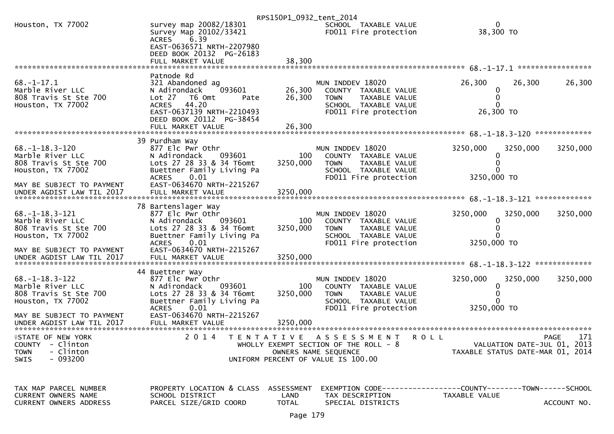|                                                                                                          |                                                                                                                                                                      | RPS150P1_0932_tent_2014                   |                                                                                                                                       |                                                                               |                    |
|----------------------------------------------------------------------------------------------------------|----------------------------------------------------------------------------------------------------------------------------------------------------------------------|-------------------------------------------|---------------------------------------------------------------------------------------------------------------------------------------|-------------------------------------------------------------------------------|--------------------|
| Houston, TX 77002                                                                                        | survey map 20082/18301<br>Survey Map 20102/33421<br>6.39<br><b>ACRES</b><br>EAST-0636571 NRTH-2207980                                                                |                                           | SCHOOL TAXABLE VALUE<br>FD011 Fire protection                                                                                         | 0<br>38,300 TO                                                                |                    |
|                                                                                                          | DEED BOOK 20132 PG-26183<br>FULL MARKET VALUE                                                                                                                        | 38,300                                    |                                                                                                                                       |                                                                               |                    |
|                                                                                                          |                                                                                                                                                                      |                                           |                                                                                                                                       |                                                                               |                    |
| $68. - 1 - 17.1$<br>Marble River LLC<br>808 Travis St Ste 700<br>Houston, TX 77002                       | Patnode Rd<br>321 Abandoned ag<br>093601<br>N Adirondack<br>Lot 27  T6 0mt<br>Pate<br><b>ACRES</b><br>44.20<br>EAST-0637139 NRTH-2210493<br>DEED BOOK 20112 PG-38454 | 26,300<br>26,300                          | MUN INDDEV 18020<br>COUNTY TAXABLE VALUE<br><b>TOWN</b><br>TAXABLE VALUE<br>SCHOOL TAXABLE VALUE<br>FD011 Fire protection             | 26,300<br>26,300<br>0<br>26,300 ТО                                            | 26,300             |
|                                                                                                          | FULL MARKET VALUE                                                                                                                                                    | 26,300                                    |                                                                                                                                       |                                                                               |                    |
| $68. - 1 - 18.3 - 120$<br>Marble River LLC<br>808 Travis St Ste 700<br>Houston, TX 77002                 | 39 Purdham Way<br>877 Elc Pwr Othr<br>093601<br>N Adirondack<br>Lots 27 28 33 & 34 T6omt<br>Buettner Family Living Pa<br><b>ACRES</b><br>0.01                        | 100<br>3250,000                           | MUN INDDEV 18020<br>COUNTY TAXABLE VALUE<br>TAXABLE VALUE<br>TOWN<br>SCHOOL TAXABLE VALUE<br>FD011 Fire protection                    | 3250,000<br>3250,000<br>3250,000 TO                                           | 3250,000           |
| MAY BE SUBJECT TO PAYMENT<br>UNDER AGDIST LAW TIL 2017                                                   | EAST-0634670 NRTH-2215267<br>FULL MARKET VALUE                                                                                                                       | 3250,000                                  |                                                                                                                                       |                                                                               |                    |
| $68. -1 - 18.3 - 121$<br>Marble River LLC<br>808 Travis St Ste 700<br>Houston, TX 77002                  | 78 Bartenslager Way<br>877 Elc Pwr Othr<br>093601<br>N Adirondack<br>Lots 27 28 33 & 34 T6omt<br>Buettner Family Living Pa<br><b>ACRES</b><br>0.01                   | 100<br>3250,000                           | MUN INDDEV 18020<br>COUNTY TAXABLE VALUE<br><b>TOWN</b><br>TAXABLE VALUE<br>SCHOOL TAXABLE VALUE<br>FD011 Fire protection             | 3250,000<br>3250,000<br>3250,000 TO                                           | 3250,000           |
| MAY BE SUBJECT TO PAYMENT<br>UNDER AGDIST LAW TIL 2017                                                   | EAST-0634670 NRTH-2215267<br>FULL MARKET VALUE                                                                                                                       | 3250,000                                  |                                                                                                                                       |                                                                               |                    |
| $68. - 1 - 18.3 - 122$<br>Marble River LLC<br>808 Travis St Ste 700<br>Houston, TX 77002                 | 44 Buettner Way<br>877 Elc Pwr Othr<br>093601<br>N Adirondack<br>Lots 27 28 33 & 34 T6omt<br>Buettner Family Living Pa<br><b>ACRES</b><br>0.01                       | 100<br>3250,000                           | MUN INDDEV 18020<br>COUNTY TAXABLE VALUE<br><b>TOWN</b><br>TAXABLE VALUE<br>SCHOOL TAXABLE VALUE<br>FD011 Fire protection             | 3250,000<br>3250,000<br>0<br>3250,000 TO                                      | 3250,000           |
| MAY BE SUBJECT TO PAYMENT<br>UNDER AGDIST LAW TIL 2017<br>*************************                      | EAST-0634670 NRTH-2215267<br>FULL MARKET VALUE                                                                                                                       | 3250,000                                  |                                                                                                                                       |                                                                               |                    |
| <b>ISTATE OF NEW YORK</b><br>- Clinton<br><b>COUNTY</b><br>- Clinton<br><b>TOWN</b><br>$-093200$<br>SWIS | 2 0 1 4                                                                                                                                                              | T E N T A T I V E                         | A S S E S S M E N T<br>R O L L<br>WHOLLY EXEMPT SECTION OF THE ROLL - 8<br>OWNERS NAME SEQUENCE<br>UNIFORM PERCENT OF VALUE IS 100.00 | VALUATION DATE-JUL 01, 2013<br>TAXABLE STATUS DATE-MAR 01, 2014               | 171<br><b>PAGE</b> |
| TAX MAP PARCEL NUMBER<br>CURRENT OWNERS NAME<br><b>CURRENT OWNERS ADDRESS</b>                            | PROPERTY LOCATION & CLASS<br>SCHOOL DISTRICT<br>PARCEL SIZE/GRID COORD                                                                                               | <b>ASSESSMENT</b><br>LAND<br><b>TOTAL</b> | TAX DESCRIPTION<br>SPECIAL DISTRICTS                                                                                                  | EXEMPTION CODE-----------------COUNTY-------TOWN------SCHOOL<br>TAXABLE VALUE | ACCOUNT NO.        |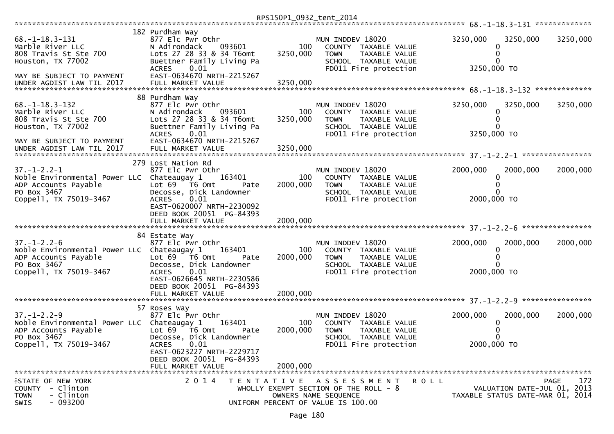|                                                                                                                                    |                                                                                                                                                                                        | RPS150P1_0932_tent_2014     |                                                                                                                                     |                         |                                                                 |                    |
|------------------------------------------------------------------------------------------------------------------------------------|----------------------------------------------------------------------------------------------------------------------------------------------------------------------------------------|-----------------------------|-------------------------------------------------------------------------------------------------------------------------------------|-------------------------|-----------------------------------------------------------------|--------------------|
|                                                                                                                                    |                                                                                                                                                                                        |                             |                                                                                                                                     |                         |                                                                 |                    |
| $68. -1 - 18.3 - 131$<br>Marble River LLC<br>808 Travis St Ste 700<br>Houston, TX 77002                                            | 182 Purdham Way<br>877 Elc Pwr Othr<br>N Adirondack<br>093601<br>Lots 27 28 33 & 34 T6omt<br>Buettner Family Living Pa<br>0.01<br><b>ACRES</b>                                         | 100<br>3250,000             | MUN INDDEV 18020<br>COUNTY TAXABLE VALUE<br>TAXABLE VALUE<br><b>TOWN</b><br>SCHOOL TAXABLE VALUE<br>FD011 Fire protection           | 3250,000<br>3250,000 TO | 3250,000<br>0<br>0                                              | 3250,000           |
| MAY BE SUBJECT TO PAYMENT                                                                                                          | EAST-0634670 NRTH-2215267                                                                                                                                                              |                             |                                                                                                                                     |                         |                                                                 |                    |
| $68. - 1 - 18.3 - 132$<br>Marble River LLC<br>808 Travis St Ste 700<br>Houston, TX 77002                                           | 88 Purdham Way<br>877 Elc Pwr Othr<br>N Adirondack<br>093601<br>Lots 27 28 33 & 34 T6omt<br>Buettner Family Living Pa<br><b>ACRES</b><br>0.01                                          | 100<br>3250,000             | MUN INDDEV 18020<br>COUNTY TAXABLE VALUE<br>TAXABLE VALUE<br><b>TOWN</b><br>SCHOOL TAXABLE VALUE<br>FD011 Fire protection           | 3250,000<br>3250,000 TO | 3250,000<br>0<br>0                                              | 3250,000           |
| MAY BE SUBJECT TO PAYMENT                                                                                                          | EAST-0634670 NRTH-2215267                                                                                                                                                              |                             |                                                                                                                                     |                         |                                                                 |                    |
| $37. - 1 - 2.2 - 1$<br>Noble Environmental Power LLC Chateaugay 1<br>ADP Accounts Payable<br>PO Box 3467<br>Coppell, TX 75019-3467 | 279 Lost Nation Rd<br>877 Elc Pwr Othr<br>163401<br>Lot 69  T6 0mt<br>Pate<br>Decosse, Dick Landowner<br>0.01<br><b>ACRES</b><br>EAST-0620007 NRTH-2230092<br>DEED BOOK 20051 PG-84393 | 100<br>2000,000             | MUN INDDEV 18020<br>COUNTY TAXABLE VALUE<br>TAXABLE VALUE<br>TOWN<br>SCHOOL TAXABLE VALUE<br>FD011 Fire protection                  | 2000,000<br>2000,000 TO | 2000,000<br>0                                                   | 2000,000           |
|                                                                                                                                    | FULL MARKET VALUE                                                                                                                                                                      | 2000,000                    |                                                                                                                                     |                         |                                                                 |                    |
| $37. - 1 - 2.2 - 6$<br>Noble Environmental Power LLC Chateaugay 1<br>ADP Accounts Payable<br>PO Box 3467<br>Coppell, TX 75019-3467 | 84 Estate Way<br>877 Elc Pwr Othr<br>163401<br>Lot 69 T6 Omt<br>Pate<br>Decosse, Dick Landowner<br>0.01<br><b>ACRES</b><br>EAST-0626645 NRTH-2230586<br>DEED BOOK 20051 PG-84393       | 100<br>2000,000<br>2000,000 | MUN INDDEV 18020<br>COUNTY TAXABLE VALUE<br><b>TOWN</b><br>TAXABLE VALUE<br>SCHOOL TAXABLE VALUE<br>FD011 Fire protection           | 2000,000<br>2000,000 TO | 2000,000<br>0                                                   | 2000,000           |
|                                                                                                                                    | FULL MARKET VALUE                                                                                                                                                                      |                             |                                                                                                                                     |                         |                                                                 |                    |
| $37. - 1 - 2.2 - 9$<br>Noble Environmental Power LLC Chateaugay 1<br>ADP Accounts Payable<br>PO Box 3467                           | 57 Roses Way<br>877 Elc Pwr Othr<br>163401<br>Lot $69$ $\overline{76}$ Omt<br>Pate<br>Decosse, Dick Landowner                                                                          | 100<br>2000,000             | MUN INDDEV 18020<br>COUNTY TAXABLE VALUE<br><b>TOWN</b><br>TAXABLE VALUE<br>SCHOOL TAXABLE VALUE                                    | 2000,000                | 2000,000<br>0                                                   | 2000,000           |
| Coppell, TX 75019-3467                                                                                                             | ACRES 0.01<br>EAST-0623227 NRTH-2229717<br>DEED BOOK 20051 PG-84393<br>FULL MARKET VALUE                                                                                               | 2000,000                    | FD011 Fire protection                                                                                                               | 2000,000 TO             |                                                                 |                    |
|                                                                                                                                    |                                                                                                                                                                                        |                             |                                                                                                                                     |                         |                                                                 |                    |
| FSTATE OF NEW YORK<br>COUNTY - Clinton<br>- Clinton<br><b>TOWN</b><br>$-093200$<br>SWIS                                            | 2 0 1 4                                                                                                                                                                                |                             | ROLL<br>TENTATIVE ASSESSMENT<br>WHOLLY EXEMPT SECTION OF THE ROLL - 8<br>OWNERS NAME SEQUENCE<br>UNIFORM PERCENT OF VALUE IS 100.00 |                         | VALUATION DATE-JUL 01, 2013<br>TAXABLE STATUS DATE-MAR 01, 2014 | 172<br><b>PAGE</b> |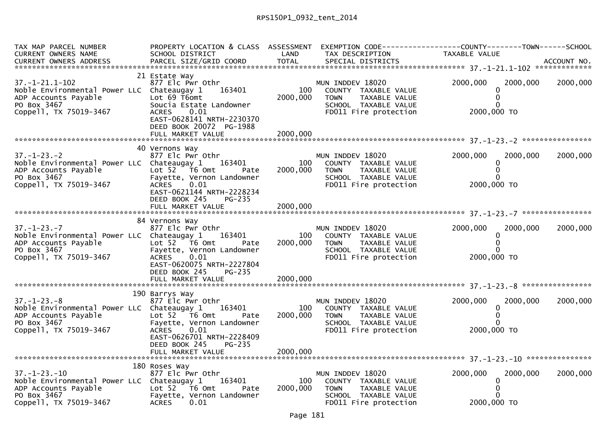| TAX MAP PARCEL NUMBER<br><b>CURRENT OWNERS NAME</b><br>CURRENT OWNERS ADDRESS                                                         | PROPERTY LOCATION & CLASS ASSESSMENT<br>SCHOOL DISTRICT<br>PARCEL SIZE/GRID COORD                                                                                                           | LAND<br><b>TOTAL</b>        | TAX DESCRIPTION<br>SPECIAL DISTRICTS                                                                                             | EXEMPTION        CODE-----------------COUNTY-------TOWN------SCHOOL<br>TAXABLE VALUE | ACCOUNT NO. |
|---------------------------------------------------------------------------------------------------------------------------------------|---------------------------------------------------------------------------------------------------------------------------------------------------------------------------------------------|-----------------------------|----------------------------------------------------------------------------------------------------------------------------------|--------------------------------------------------------------------------------------|-------------|
|                                                                                                                                       |                                                                                                                                                                                             |                             |                                                                                                                                  |                                                                                      |             |
| $37. - 1 - 21.1 - 102$<br>Noble Environmental Power LLC Chateaugay 1<br>ADP Accounts Payable<br>PO Box 3467<br>Coppell, TX 75019-3467 | 21 Estate Way<br>877 Elc Pwr Othr<br>163401<br>Lot 69 T6omt<br>Soucia Estate Landowner<br>0.01<br><b>ACRES</b><br>EAST-0628141 NRTH-2230370<br>DEED BOOK 20072 PG-1988<br>FULL MARKET VALUE | 100<br>2000,000<br>2000,000 | MUN INDDEV 18020<br>COUNTY TAXABLE VALUE<br><b>TOWN</b><br><b>TAXABLE VALUE</b><br>SCHOOL TAXABLE VALUE<br>FD011 Fire protection | 2000,000<br>2000,000<br>$\Omega$<br>$\Omega$<br>2000,000 TO                          | 2000,000    |
|                                                                                                                                       |                                                                                                                                                                                             |                             |                                                                                                                                  |                                                                                      |             |
| $37. - 1 - 23. - 2$<br>Noble Environmental Power LLC Chateaugay 1<br>ADP Accounts Payable<br>PO Box 3467<br>Coppell, TX 75019-3467    | 40 Vernons Way<br>877 Elc Pwr Othr<br>163401<br>Lot $52$ $\overline{76}$ Omt<br>Pate<br>Fayette, Vernon Landowner<br>ACRES 0.01                                                             | 100<br>2000,000             | MUN INDDEV 18020<br>COUNTY TAXABLE VALUE<br><b>TOWN</b><br>TAXABLE VALUE<br>SCHOOL TAXABLE VALUE<br>FD011 Fire protection        | 2000,000<br>2000,000<br>$\Omega$<br>2000,000 TO                                      | 2000,000    |
|                                                                                                                                       | EAST-0621144 NRTH-2228234<br>DEED BOOK 245<br>PG-235<br>FULL MARKET VALUE                                                                                                                   | 2000,000                    |                                                                                                                                  |                                                                                      |             |
|                                                                                                                                       | 84 Vernons Way                                                                                                                                                                              |                             |                                                                                                                                  |                                                                                      |             |
| $37. - 1 - 23. - 7$<br>Noble Environmental Power LLC Chateaugay 1<br>ADP Accounts Payable<br>PO Box 3467<br>Coppell, TX 75019-3467    | 877 Elc Pwr Othr<br>163401<br>Lot 52  T6 Omt<br>Pate<br>Fayette, Vernon Landowner<br>ACRES<br>0.01<br>EAST-0620075 NRTH-2227804<br>DEED BOOK 245<br>PG-235<br>FULL MARKET VALUE             | 100<br>2000,000<br>2000,000 | MUN INDDEV 18020<br>COUNTY TAXABLE VALUE<br><b>TOWN</b><br>TAXABLE VALUE<br>SCHOOL TAXABLE VALUE<br>FD011 Fire protection        | 2000,000<br>2000,000<br>$\Omega$<br>2000,000 TO                                      | 2000,000    |
|                                                                                                                                       |                                                                                                                                                                                             |                             |                                                                                                                                  |                                                                                      |             |
| $37. - 1 - 23. - 8$<br>Noble Environmental Power LLC Chateaugay 1<br>ADP Accounts Payable<br>PO Box 3467<br>Coppell, TX 75019-3467    | 190 Barrys Way<br>877 Elc Pwr Othr<br>163401<br>Lot 52  T6 0mt<br>Pate<br>Fayette, Vernon Landowner<br>0.01<br>ACRES<br>EAST-0626701 NRTH-2228409                                           | 100<br>2000,000             | MUN INDDEV 18020<br>COUNTY TAXABLE VALUE<br>TAXABLE VALUE<br><b>TOWN</b><br>SCHOOL TAXABLE VALUE<br>FD011 Fire protection        | 2000,000<br>2000,000<br>0<br>2000,000 TO                                             | 2000,000    |
|                                                                                                                                       | DEED BOOK 245<br>PG-235                                                                                                                                                                     |                             |                                                                                                                                  |                                                                                      |             |
|                                                                                                                                       | 180 Roses Way                                                                                                                                                                               |                             |                                                                                                                                  |                                                                                      |             |
| $37. - 1 - 23. - 10$<br>Noble Environmental Power LLC Chateaugay 1<br>ADP Accounts Payable<br>PO Box 3467<br>Coppell, TX 75019-3467   | 877 Elc Pwr Othr<br>163401<br>Lot $52$ T6 Omt<br>Pate<br>Fayette, Vernon Landowner<br><b>ACRES</b><br>0.01                                                                                  | 100<br>2000,000             | MUN INDDEV 18020<br>COUNTY TAXABLE VALUE<br><b>TOWN</b><br>TAXABLE VALUE<br>SCHOOL TAXABLE VALUE<br>FD011 Fire protection        | 2000,000<br>2000,000<br>2000,000 TO                                                  | 2000,000    |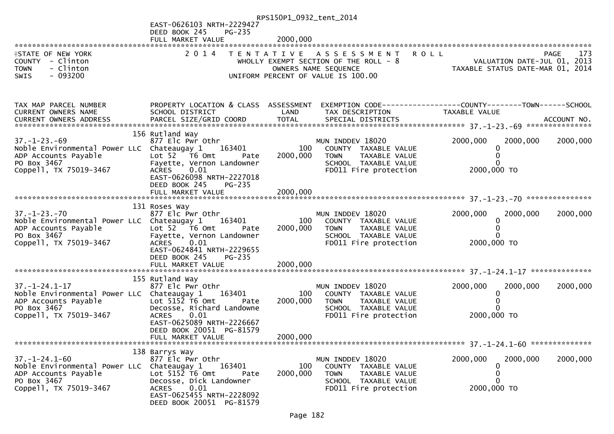|                                                                                                                                      |                                                                                                                                                                                                             | RPS150P1_0932_tent_2014     |                                                                                                                                  |                                                                                 |             |
|--------------------------------------------------------------------------------------------------------------------------------------|-------------------------------------------------------------------------------------------------------------------------------------------------------------------------------------------------------------|-----------------------------|----------------------------------------------------------------------------------------------------------------------------------|---------------------------------------------------------------------------------|-------------|
|                                                                                                                                      | EAST-0626103 NRTH-2229427<br>DEED BOOK 245<br>$PG-235$                                                                                                                                                      |                             |                                                                                                                                  |                                                                                 |             |
|                                                                                                                                      | FULL MARKET VALUE                                                                                                                                                                                           | 2000,000                    |                                                                                                                                  |                                                                                 |             |
| <b>ISTATE OF NEW YORK</b><br>COUNTY - Clinton<br>- Clinton<br><b>TOWN</b><br>$-093200$<br><b>SWIS</b>                                | 2 0 1 4                                                                                                                                                                                                     |                             | TENTATIVE ASSESSMENT ROLL<br>WHOLLY EXEMPT SECTION OF THE ROLL - 8<br>OWNERS NAME SEQUENCE<br>UNIFORM PERCENT OF VALUE IS 100.00 | VALUATION DATE-JUL 01, 2013<br>TAXABLE STATUS DATE-MAR 01, 2014                 | 173<br>PAGE |
| TAX MAP PARCEL NUMBER<br>CURRENT OWNERS NAME                                                                                         | PROPERTY LOCATION & CLASS ASSESSMENT<br>SCHOOL DISTRICT                                                                                                                                                     | LAND                        | TAX DESCRIPTION                                                                                                                  | EXEMPTION CODE------------------COUNTY--------TOWN------SCHOOL<br>TAXABLE VALUE |             |
| $37. - 1 - 23. - 69$<br>Noble Environmental Power LLC Chateaugay 1<br>ADP Accounts Payable<br>PO Box 3467<br>Coppell, TX 75019-3467  | 156 Rutland Way<br>877 Elc Pwr Othr<br>163401<br>Lot 52  T6 Omt<br>Pate<br>Fayette, Vernon Landowner<br>0.01<br><b>ACRES</b><br>EAST-0626098 NRTH-2227018<br>DEED BOOK 245<br>PG-235<br>FULL MARKET VALUE   | 100<br>2000,000<br>2000,000 | MUN INDDEV 18020<br>COUNTY TAXABLE VALUE<br><b>TOWN</b><br>TAXABLE VALUE<br>SCHOOL TAXABLE VALUE<br>FD011 Fire protection        | 2000,000<br>2000,000<br>0<br>0<br>2000,000 TO                                   | 2000,000    |
|                                                                                                                                      |                                                                                                                                                                                                             |                             |                                                                                                                                  |                                                                                 |             |
| $37. - 1 - 23. - 70$<br>Noble Environmental Power LLC Chateaugay 1<br>ADP Accounts Payable<br>PO Box 3467<br>Coppell, TX 75019-3467  | 131 Roses Way<br>877 Elc Pwr Othr<br>163401<br>Lot 52 T6 Omt<br>Pate<br>Fayette, Vernon Landowner<br>ACRES<br>0.01<br>EAST-0624841 NRTH-2229655<br>DEED BOOK 245<br>PG-235                                  | 100<br>2000,000             | MUN INDDEV 18020<br>COUNTY TAXABLE VALUE<br>TAXABLE VALUE<br><b>TOWN</b><br>SCHOOL TAXABLE VALUE<br>FD011 Fire protection        | 2000,000<br>2000,000<br>0<br>0<br>2000,000 TO                                   | 2000,000    |
|                                                                                                                                      |                                                                                                                                                                                                             |                             |                                                                                                                                  |                                                                                 |             |
| $37. - 1 - 24.1 - 17$<br>Noble Environmental Power LLC Chateaugay 1<br>ADP Accounts Payable<br>PO Box 3467<br>Coppell, TX 75019-3467 | 155 Rutland Way<br>877 Elc Pwr Othr<br>163401<br>Lot 5152 T6 Omt<br>Pate<br>Decosse, Richard Landowne<br><b>ACRES</b><br>0.01<br>EAST-0625089 NRTH-2226667<br>DEED BOOK 20051 PG-81579<br>FULL MARKET VALUE | 100<br>2000,000<br>2000,000 | MUN INDDEV 18020<br>COUNTY TAXABLE VALUE<br><b>TOWN</b><br>TAXABLE VALUE<br>SCHOOL TAXABLE VALUE<br>FD011 Fire protection        | 2000,000<br>2000,000<br>0<br>0<br>2000,000 TO                                   | 2000,000    |
| ******************************                                                                                                       |                                                                                                                                                                                                             |                             |                                                                                                                                  |                                                                                 |             |
| $37. - 1 - 24.1 - 60$<br>Noble Environmental Power LLC<br>ADP Accounts Payable<br>PO Box 3467<br>Coppell, TX 75019-3467              | 138 Barrys Way<br>877 Elc Pwr Othr<br>163401<br>Chateaugay 1<br>Lot 5152 T6 Omt<br>Pate<br>Decosse, Dick Landowner<br>0.01<br><b>ACRES</b><br>EAST-0625455 NRTH-2228092<br>DEED BOOK 20051 PG-81579         | 100<br>2000,000             | MUN INDDEV 18020<br>COUNTY TAXABLE VALUE<br><b>TOWN</b><br>TAXABLE VALUE<br>SCHOOL TAXABLE VALUE<br>FD011 Fire protection        | 2000,000<br>2000,000<br>0<br>0<br>0<br>2000,000 TO                              | 2000,000    |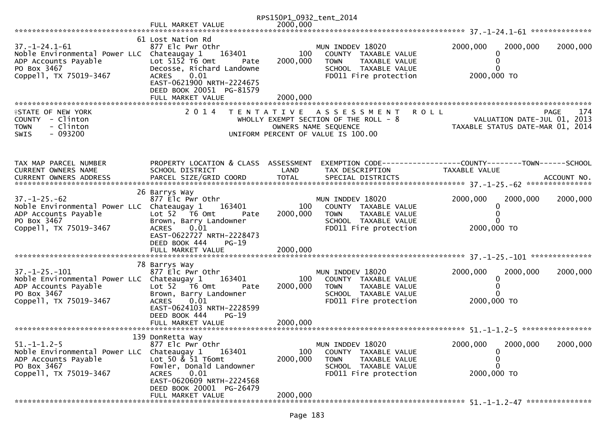|                                                                                                                                      |                                                                                                                                                                                                                            | RPS150P1_0932_tent_2014     |                                                                                                                                            |                                        |                                                                                       |
|--------------------------------------------------------------------------------------------------------------------------------------|----------------------------------------------------------------------------------------------------------------------------------------------------------------------------------------------------------------------------|-----------------------------|--------------------------------------------------------------------------------------------------------------------------------------------|----------------------------------------|---------------------------------------------------------------------------------------|
|                                                                                                                                      | FULL MARKET VALUE                                                                                                                                                                                                          | 2000.000                    |                                                                                                                                            |                                        |                                                                                       |
| $37. - 1 - 24.1 - 61$<br>Noble Environmental Power LLC Chateaugay 1<br>ADP Accounts Payable<br>PO Box 3467<br>Coppell, TX 75019-3467 | 61 Lost Nation Rd<br>877 Elc Pwr Othr<br>163401<br>Lot $515\overline{2}$ T6 Omt<br>Pate<br>Decosse, Richard Landowne<br>0.01<br><b>ACRES</b><br>EAST-0621900 NRTH-2224675<br>DEED BOOK 20051 PG-81579<br>FULL MARKET VALUE | 100<br>2000,000<br>2000,000 | MUN INDDEV 18020<br>COUNTY TAXABLE VALUE<br>TAXABLE VALUE<br>TOWN<br>SCHOOL TAXABLE VALUE<br>FD011 Fire protection                         | 2000,000<br>0<br>0<br>0<br>2000,000 TO | 2000,000<br>2000,000                                                                  |
| <b>ISTATE OF NEW YORK</b><br>COUNTY - Clinton<br>- Clinton<br><b>TOWN</b><br>$-093200$<br>SWIS                                       | 2 0 1 4                                                                                                                                                                                                                    |                             | <b>ROLL</b><br>TENTATIVE ASSESSMENT<br>WHOLLY EXEMPT SECTION OF THE ROLL - 8<br>OWNERS NAME SEQUENCE<br>UNIFORM PERCENT OF VALUE IS 100.00 |                                        | <b>PAGE</b><br>174<br>VALUATION DATE-JUL 01, 2013<br>TAXABLE STATUS DATE-MAR 01, 2014 |
| TAX MAP PARCEL NUMBER<br>CURRENT OWNERS NAME                                                                                         | PROPERTY LOCATION & CLASS ASSESSMENT<br>SCHOOL DISTRICT                                                                                                                                                                    | LAND                        | EXEMPTION CODE------------------COUNTY--------TOWN------SCHOOL<br>TAX DESCRIPTION                                                          | TAXABLE VALUE                          |                                                                                       |
| $37. - 1 - 25. - 62$<br>Noble Environmental Power LLC Chateaugay 1<br>ADP Accounts Payable<br>PO Box 3467<br>Coppell, TX 75019-3467  | 26 Barrys Way<br>877 Elc Pwr Othr<br>163401<br>Lot 52  T6 Omt<br>Pate<br>Brown, Barry Landowner<br>0.01<br><b>ACRES</b><br>EAST-0622727 NRTH-2228473<br>DEED BOOK 444<br>PG-19<br>FULL MARKET VALUE                        | 100<br>2000,000<br>2000,000 | MUN INDDEV 18020<br>COUNTY TAXABLE VALUE<br><b>TOWN</b><br>TAXABLE VALUE<br>SCHOOL TAXABLE VALUE<br>FD011 Fire protection                  | 2000,000<br>0<br>0<br>0<br>2000,000 TO | 2000,000<br>2000,000                                                                  |
| $37. - 1 - 25. - 101$<br>Noble Environmental Power LLC Chateaugay 1<br>ADP Accounts Payable<br>PO Box 3467<br>Coppell, TX 75019-3467 | 78 Barrys Way<br>877 Elc Pwr Othr<br>163401<br>Lot 52 T6 Omt<br>Pate<br>Brown, Barry Landowner<br><b>ACRES</b><br>0.01<br>EAST-0624103 NRTH-2228599<br>DEED BOOK 444<br>PG-19<br>FULL MARKET VALUE                         | 100<br>2000,000<br>2000,000 | MUN INDDEV 18020<br>COUNTY TAXABLE VALUE<br><b>TOWN</b><br>TAXABLE VALUE<br>SCHOOL TAXABLE VALUE<br>FD011 Fire protection                  | 2000,000<br>0<br>0<br>2000,000 TO      | 2000,000<br>2000,000                                                                  |
| $51. - 1 - 1.2 - 5$<br>Noble Environmental Power LLC Chateaugay 1<br>ADP Accounts Payable<br>PO Box 3467<br>Coppell, TX 75019-3467   | 139 DonRetta Way<br>877 Elc Pwr Othr<br>163401<br>Lot 50 & 51 T6omt<br>Fowler, Donald Landowner<br><b>ACRES</b><br>0.01<br>EAST-0620609 NRTH-2224568<br>DEED BOOK 20001 PG-26479<br>FULL MARKET VALUE                      | 100<br>2000,000<br>2000,000 | MUN INDDEV 18020<br>COUNTY TAXABLE VALUE<br><b>TOWN</b><br>TAXABLE VALUE<br>SCHOOL TAXABLE VALUE<br>FD011 Fire protection                  | 2000,000<br>0<br>0<br>O<br>2000,000 TO | 2000,000<br>2000,000                                                                  |
|                                                                                                                                      |                                                                                                                                                                                                                            |                             |                                                                                                                                            |                                        |                                                                                       |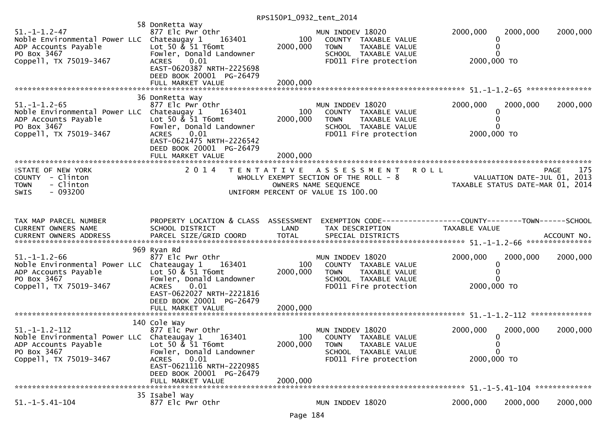RPS150P1\_0932\_tent\_2014

| $51. - 1 - 1.2 - 47$<br>Noble Environmental Power LLC Chateaugay 1<br>ADP Accounts Payable<br>PO Box 3467<br>Coppell, TX 75019-3467 | 58 DonRetta Way<br>877 Elc Pwr Othr<br>163401<br>Lot 50 & 51 T6omt<br>Fowler, Donald Landowner<br>0.01<br><b>ACRES</b><br>EAST-0620387 NRTH-2225698<br>DEED BOOK 20001 PG-26479 | 100<br>2000,000 | MUN INDDEV 18020<br>COUNTY TAXABLE VALUE<br>TAXABLE VALUE<br>TOWN<br>SCHOOL TAXABLE VALUE<br>FD011 Fire protection                         | 2000,000<br>2000,000<br>0<br>$\Omega$<br>2000,000 TO                                           | 2000,000    |
|-------------------------------------------------------------------------------------------------------------------------------------|---------------------------------------------------------------------------------------------------------------------------------------------------------------------------------|-----------------|--------------------------------------------------------------------------------------------------------------------------------------------|------------------------------------------------------------------------------------------------|-------------|
|                                                                                                                                     | 36 DonRetta Way                                                                                                                                                                 |                 |                                                                                                                                            |                                                                                                |             |
| $51. - 1 - 1.2 - 65$<br>Noble Environmental Power LLC Chateaugay 1<br>ADP Accounts Payable<br>PO Box 3467<br>Coppell, TX 75019-3467 | 877 Elc Pwr Othr<br>163401<br>Lot 50 & 51 T6omt<br>Fowler, Donald Landowner<br>0.01<br><b>ACRES</b><br>EAST-0621475 NRTH-2226542<br>DEED BOOK 20001 PG-26479                    | 100<br>2000,000 | MUN INDDEV 18020<br>COUNTY TAXABLE VALUE<br><b>TOWN</b><br>TAXABLE VALUE<br>SCHOOL TAXABLE VALUE<br>FD011 Fire protection                  | 2000,000<br>2000,000<br>0<br>0<br>2000,000 TO                                                  | 2000,000    |
|                                                                                                                                     | FULL MARKET VALUE                                                                                                                                                               | 2000,000        |                                                                                                                                            |                                                                                                |             |
| <b>ISTATE OF NEW YORK</b><br>COUNTY - Clinton<br>- Clinton<br><b>TOWN</b><br>$-093200$<br><b>SWIS</b>                               | 2 0 1 4                                                                                                                                                                         |                 | TENTATIVE ASSESSMENT<br><b>ROLL</b><br>WHOLLY EXEMPT SECTION OF THE ROLL - 8<br>OWNERS NAME SEQUENCE<br>UNIFORM PERCENT OF VALUE IS 100.00 | VALUATION DATE-JUL 01, 2013<br>VALUATION DATE-JUL 01, 2013<br>TAXABLE STATUS DATE-MAR 01, 2014 | 175<br>PAGE |
| TAX MAP PARCEL NUMBER<br>CURRENT OWNERS NAME                                                                                        | PROPERTY LOCATION & CLASS ASSESSMENT<br>SCHOOL DISTRICT                                                                                                                         | LAND            | EXEMPTION CODE------------------COUNTY--------TOWN------SCHOOL<br>TAX DESCRIPTION                                                          | TAXABLE VALUE                                                                                  |             |
| $51. - 1 - 1.2 - 66$<br>Noble Environmental Power LLC Chateaugay 1<br>ADP Accounts Payable<br>PO Box 3467<br>Coppell, TX 75019-3467 | 969 Ryan Rd<br>877 Elc Pwr Othr<br>163401<br>Lot 50 $\&$ 51 T6omt<br>Fowler, Donald Landowner<br>0.01<br><b>ACRES</b><br>EAST-0622027 NRTH-2221816<br>DEED BOOK 20001 PG-26479  | 100<br>2000,000 | MUN INDDEV 18020<br>COUNTY TAXABLE VALUE<br><b>TOWN</b><br>TAXABLE VALUE<br>SCHOOL TAXABLE VALUE<br>FD011 Fire protection                  | 2000,000<br>2000,000<br>0<br>0<br>2000,000 TO                                                  | 2000,000    |
|                                                                                                                                     |                                                                                                                                                                                 |                 |                                                                                                                                            |                                                                                                |             |
|                                                                                                                                     |                                                                                                                                                                                 |                 |                                                                                                                                            |                                                                                                |             |
| $51. -1 - 1.2 - 112$<br>Noble Environmental Power LLC Chateaugay 1<br>ADP Accounts Payable<br>PO Box 3467<br>Coppell, TX 75019-3467 | 140 Cole Way<br>877 Elc Pwr Othr<br>163401<br>Lot 50 $\&$ 51 T6omt<br>Fowler, Donald Landowner<br>0.01<br>ACRES<br>EAST-0621116 NRTH-2220985<br>DEED BOOK 20001 PG-26479        | 100<br>2000,000 | MUN INDDEV 18020<br>COUNTY TAXABLE VALUE<br><b>TOWN</b><br>TAXABLE VALUE<br>SCHOOL TAXABLE VALUE<br>FD011 Fire protection                  | 2000,000<br>2000,000<br>0<br>0<br>0<br>2000,000 TO                                             | 2000,000    |
|                                                                                                                                     | FULL MARKET VALUE                                                                                                                                                               | 2000,000        |                                                                                                                                            |                                                                                                |             |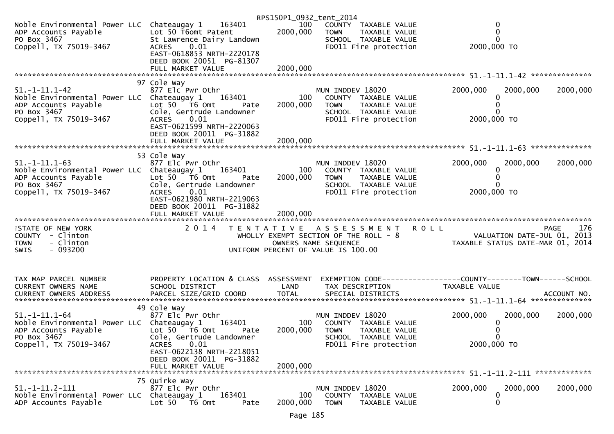|                                                                                                                                      |                                                                                                                                                                                                       | RPS150P1_0932_tent_2014     |                                                                                                                             |                                                                                                      |
|--------------------------------------------------------------------------------------------------------------------------------------|-------------------------------------------------------------------------------------------------------------------------------------------------------------------------------------------------------|-----------------------------|-----------------------------------------------------------------------------------------------------------------------------|------------------------------------------------------------------------------------------------------|
| Noble Environmental Power LLC Chateaugay 1 163401<br>ADP Accounts Payable<br>PO Box 3467<br>Coppell, TX 75019-3467                   | Lot 50 T6omt Patent<br>St Lawrence Dairy Landown<br>ACRES 0.01                                                                                                                                        | 100<br>2000,000             | COUNTY TAXABLE VALUE<br><b>TOWN</b><br>TAXABLE VALUE<br>SCHOOL TAXABLE VALUE<br>FD011 Fire protection                       | 0<br>$\overline{0}$<br>2000,000 TO                                                                   |
|                                                                                                                                      | EAST-0618853 NRTH-2220178<br>DEED BOOK 20051 PG-81307<br>FULL MARKET VALUE                                                                                                                            | 2000,000                    |                                                                                                                             |                                                                                                      |
|                                                                                                                                      |                                                                                                                                                                                                       |                             |                                                                                                                             |                                                                                                      |
| $51. -1 - 11.1 - 42$<br>Noble Environmental Power LLC Chateaugay 1<br>ADP Accounts Payable<br>PO Box 3467<br>Coppell, TX 75019-3467  | 97 Cole Way<br>877 Elc Pwr Othr<br>163401<br>Lot $50$ $\overline{76}$ Omt<br>Pate<br>Cole, Gertrude Landowner<br>0.01<br>ACRES<br>EAST-0621599 NRTH-2220063                                           | 100<br>2000,000             | MUN INDDEV 18020<br>COUNTY TAXABLE VALUE<br><b>TOWN</b><br>TAXABLE VALUE<br>SCHOOL TAXABLE VALUE<br>FD011 Fire protection   | 2000,000<br>2000,000<br>2000,000<br>2000,000 TO                                                      |
|                                                                                                                                      | DEED BOOK 20011 PG-31882<br>FULL MARKET VALUE                                                                                                                                                         | 2000,000                    |                                                                                                                             |                                                                                                      |
| $51. - 1 - 11.1 - 63$<br>Noble Environmental Power LLC Chateaugay 1<br>ADP Accounts Payable<br>PO Box 3467<br>Coppell, TX 75019-3467 | 53 Cole Way<br>877 Elc Pwr Othr<br>163401<br>Lot 50 T6 Omt<br>Pate<br>Cole, Gertrude Landowner<br><b>ACRES</b><br>0.01<br>EAST-0621980 NRTH-2219063<br>DEED BOOK 20011 PG-31882<br>FULL MARKET VALUE  | 100<br>2000,000<br>2000,000 | MUN INDDEV 18020<br>COUNTY TAXABLE VALUE<br><b>TOWN</b><br>TAXABLE VALUE<br>SCHOOL TAXABLE VALUE<br>FD011 Fire protection   | 2000,000<br>2000,000<br>2000,000<br>$\Omega$<br>2000,000 TO                                          |
|                                                                                                                                      |                                                                                                                                                                                                       |                             |                                                                                                                             |                                                                                                      |
| <b>ISTATE OF NEW YORK</b><br>COUNTY - Clinton<br>- Clinton<br><b>TOWN</b><br>$-093200$<br>SWIS                                       | 2 0 1 4                                                                                                                                                                                               |                             | TENTATIVE ASSESSMENT<br>WHOLLY EXEMPT SECTION OF THE ROLL - 8<br>OWNERS NAME SEQUENCE<br>UNIFORM PERCENT OF VALUE IS 100.00 | <b>ROLL</b><br>176<br><b>PAGE</b><br>VALUATION DATE-JUL 01, 2013<br>TAXABLE STATUS DATE-MAR 01, 2014 |
| TAX MAP PARCEL NUMBER<br>CURRENT OWNERS NAME                                                                                         | PROPERTY LOCATION & CLASS ASSESSMENT<br>SCHOOL DISTRICT                                                                                                                                               | LAND                        | TAX DESCRIPTION                                                                                                             | EXEMPTION        CODE-----------------COUNTY-------TOWN------SCHOOL<br>TAXABLE VALUE                 |
| $51. - 1 - 11.1 - 64$<br>Noble Environmental Power LLC Chateaugay 1<br>ADP Accounts Payable<br>PO Box 3467<br>Coppell, TX 75019-3467 | 49 Cole Way<br>877 Elc Pwr Othr<br>163401<br>Lot 50  T6 0mt<br>Pate<br>Cole, Gertrude Landowner<br>0.01<br><b>ACRES</b><br>EAST-0622138 NRTH-2218051<br>DEED BOOK 20011 PG-31882<br>FULL MARKET VALUE | 100<br>2000,000<br>2000,000 | MUN INDDEV 18020<br>COUNTY TAXABLE VALUE<br><b>TOWN</b><br>TAXABLE VALUE<br>SCHOOL TAXABLE VALUE<br>FD011 Fire protection   | 2000,000<br>2000,000<br>2000,000<br>2000,000 TO                                                      |
|                                                                                                                                      | 75 Quirke Way                                                                                                                                                                                         |                             |                                                                                                                             |                                                                                                      |
| $51. -1 - 11. 2 - 111$<br>Noble Environmental Power LLC Chateaugay 1<br>ADP Accounts Payable                                         | 877 Elc Pwr Othr<br>163401<br>Lot 50<br>T6 Omt<br>Pate                                                                                                                                                | 100<br>2000,000             | MUN INDDEV 18020<br>COUNTY TAXABLE VALUE<br><b>TOWN</b><br>TAXABLE VALUE                                                    | 2000,000<br>2000,000<br>2000,000<br>0<br>0                                                           |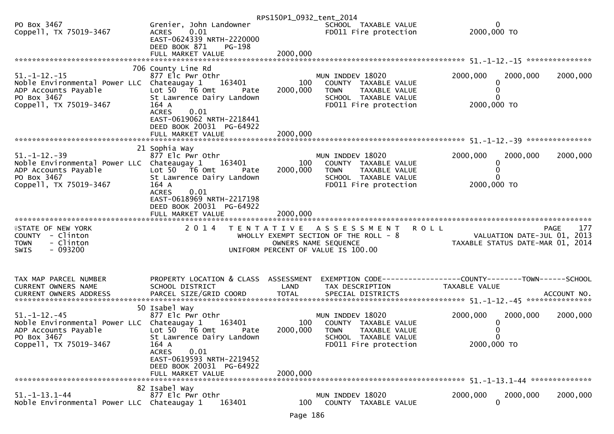|                                                                                                                                                    |                                                                                                                                                                                                                      | RPS150P1_0932_tent_2014     |                                                                                                                            |                                                                                        |     |
|----------------------------------------------------------------------------------------------------------------------------------------------------|----------------------------------------------------------------------------------------------------------------------------------------------------------------------------------------------------------------------|-----------------------------|----------------------------------------------------------------------------------------------------------------------------|----------------------------------------------------------------------------------------|-----|
| PO Box 3467<br>Coppell, TX 75019-3467                                                                                                              | Grenier, John Landowner<br>0.01<br>ACRES<br>EAST-0624339 NRTH-2220000<br>DEED BOOK 871<br>PG-198                                                                                                                     |                             | SCHOOL TAXABLE VALUE<br>FD011 Fire protection                                                                              | 0<br>2000,000 TO                                                                       |     |
|                                                                                                                                                    | FULL MARKET VALUE                                                                                                                                                                                                    | 2000,000                    |                                                                                                                            |                                                                                        |     |
| $51. - 1 - 12. - 15$<br>Noble Environmental Power LLC Chateaugay 1<br>ADP Accounts Payable<br>PO Box 3467<br>Coppell, TX 75019-3467                | 706 County Line Rd<br>877 Elc Pwr Othr<br>163401<br>Lot $50$ $\overline{16}$ Omt<br>Pate<br>St Lawrence Dairy Landown<br>164 A<br><b>ACRES</b><br>0.01<br>EAST-0619062 NRTH-2218441                                  | 100<br>2000,000             | MUN INDDEV 18020<br>COUNTY TAXABLE VALUE<br><b>TOWN</b><br>TAXABLE VALUE<br>SCHOOL TAXABLE VALUE<br>FD011 Fire protection  | 2000,000<br>2000,000<br>2000,000<br>0<br>2000,000 TO                                   |     |
|                                                                                                                                                    | DEED BOOK 20031 PG-64922                                                                                                                                                                                             |                             |                                                                                                                            |                                                                                        |     |
|                                                                                                                                                    |                                                                                                                                                                                                                      |                             |                                                                                                                            |                                                                                        |     |
| $51. - 1 - 12. - 39$<br>Noble Environmental Power LLC Chateaugay 1<br>ADP Accounts Payable<br>PO Box 3467<br>PO Box 3467<br>Coppell, TX 75019-3467 | 21 Sophia Way<br>877 Elc Pwr Othr<br>163401<br>Lot $50$ $76$ Omt<br>Pate<br>St Lawrence Dairy Landown<br>164 A<br><b>ACRES</b><br>0.01<br>EAST-0618969 NRTH-2217198<br>DEED BOOK 20031 PG-64922<br>FULL MARKET VALUE | 100<br>2000,000<br>2000,000 | MUN INDDEV 18020<br>COUNTY TAXABLE VALUE<br>TAXABLE VALUE<br><b>TOWN</b><br>SCHOOL TAXABLE VALUE<br>FD011 Fire protection  | 2000,000<br>2000,000<br>2000,000<br>0<br>2000,000 TO                                   |     |
|                                                                                                                                                    |                                                                                                                                                                                                                      |                             |                                                                                                                            |                                                                                        |     |
| <b>ISTATE OF NEW YORK</b><br>COUNTY - Clinton<br><b>TOWN</b><br>- Clinton<br>$-093200$<br><b>SWIS</b>                                              | 2 0 1 4                                                                                                                                                                                                              | T E N T A T I V E           | A S S E S S M E N T<br>WHOLLY EXEMPT SECTION OF THE ROLL - 8<br>OWNERS NAME SEQUENCE<br>UNIFORM PERCENT OF VALUE IS 100.00 | <b>ROLL</b><br>PAGE<br>VALUATION DATE-JUL 01, 2013<br>TAXABLE STATUS DATE-MAR 01, 2014 | 177 |
| TAX MAP PARCEL NUMBER<br>CURRENT OWNERS NAME                                                                                                       | PROPERTY LOCATION & CLASS ASSESSMENT<br>SCHOOL DISTRICT                                                                                                                                                              | LAND                        | TAX DESCRIPTION                                                                                                            | EXEMPTION CODE------------------COUNTY--------TOWN------SCHOOL<br>TAXABLE VALUE        |     |
|                                                                                                                                                    | 50 Isabel Way                                                                                                                                                                                                        |                             |                                                                                                                            |                                                                                        |     |
| $51. - 1 - 12. - 45$<br>Noble Environmental Power LLC Chateaugay 1<br>ADP Accounts Payable<br>PO Box 3467<br>Coppell, TX 75019-3467                | 877 Elc Pwr Othr<br>163401<br>Lot 50 T6 Omt<br>Pate<br>St Lawrence Dairy Landown<br>164 A<br>0.01<br><b>ACRES</b><br>EAST-0619593 NRTH-2219452<br>DEED BOOK 20031 PG-64922<br>FULL MARKET VALUE                      | 100<br>2000,000<br>2000,000 | MUN INDDEV 18020<br>COUNTY TAXABLE VALUE<br><b>TOWN</b><br>TAXABLE VALUE<br>SCHOOL TAXABLE VALUE<br>FD011 Fire protection  | 2000,000<br>2000,000<br>2000,000<br>2000,000 TO                                        |     |
|                                                                                                                                                    |                                                                                                                                                                                                                      |                             |                                                                                                                            |                                                                                        |     |
| $51. - 1 - 13.1 - 44$<br>Noble Environmental Power LLC Chateaugay 1                                                                                | 82 Isabel Way<br>877 Elc Pwr Othr<br>163401                                                                                                                                                                          | 100                         | MUN INDDEV 18020<br>COUNTY TAXABLE VALUE                                                                                   | 2000,000<br>2000,000<br>2000,000<br>0                                                  |     |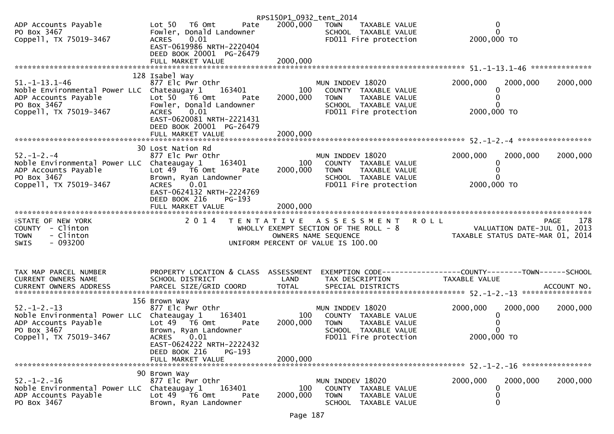|                                                                                                                                      |                                                                                                                                                           | RPS150P1_0932_tent_2014 |                                                                                                                             |                                                                                |                    |
|--------------------------------------------------------------------------------------------------------------------------------------|-----------------------------------------------------------------------------------------------------------------------------------------------------------|-------------------------|-----------------------------------------------------------------------------------------------------------------------------|--------------------------------------------------------------------------------|--------------------|
| ADP Accounts Payable<br>PO Box 3467<br>Coppell, TX 75019-3467                                                                        | Lot 50 T6 Omt<br>Pate<br>Fowler, Donald Landowner<br>0.01<br><b>ACRES</b><br>EAST-0619986 NRTH-2220404<br>DEED BOOK 20001 PG-26479                        | 2000,000                | <b>TOWN</b><br>TAXABLE VALUE<br>SCHOOL TAXABLE VALUE<br>FD011 Fire protection                                               | 0<br>$\mathbf{0}$<br>2000,000 TO                                               |                    |
|                                                                                                                                      | FULL MARKET VALUE                                                                                                                                         | 2000,000                |                                                                                                                             |                                                                                |                    |
|                                                                                                                                      | 128 Isabel Way                                                                                                                                            |                         |                                                                                                                             |                                                                                |                    |
| $51. - 1 - 13.1 - 46$<br>Noble Environmental Power LLC Chateaugay 1<br>ADP Accounts Payable<br>PO Box 3467<br>Coppell, TX 75019-3467 | 877 Elc Pwr Othr<br>163401<br>Lot 50 T6 Omt<br>Pate<br>Fowler, Donald Landowner<br>0.01<br>ACRES<br>EAST-0620081 NRTH-2221431<br>DEED BOOK 20001 PG-26479 | 100<br>2000,000         | MUN INDDEV 18020<br>COUNTY TAXABLE VALUE<br><b>TOWN</b><br>TAXABLE VALUE<br>SCHOOL TAXABLE VALUE<br>FD011 Fire protection   | 2000,000<br>2000,000<br>0<br>0<br>0<br>2000,000 TO                             | 2000,000           |
|                                                                                                                                      |                                                                                                                                                           |                         |                                                                                                                             |                                                                                |                    |
|                                                                                                                                      | 30 Lost Nation Rd                                                                                                                                         |                         |                                                                                                                             |                                                                                |                    |
| $52. - 1 - 2. - 4$<br>Noble Environmental Power LLC Chateaugay 1<br>ADP Accounts Payable<br>PO Box 3467<br>Coppell, TX 75019-3467    | 877 Elc Pwr Othr<br>163401<br>Lot $49$ $\overline{16}$ Omt<br>Pate<br>Brown, Ryan Landowner<br>0.01<br><b>ACRES</b><br>EAST-0624132 NRTH-2224769          | 100<br>2000,000         | MUN INDDEV 18020<br>COUNTY TAXABLE VALUE<br>TAXABLE VALUE<br>TOWN<br>SCHOOL TAXABLE VALUE<br>FD011 Fire protection          | 2000,000<br>2000,000<br>0<br>0<br>2000,000 TO                                  | 2000,000           |
|                                                                                                                                      | DEED BOOK 216<br>$PG-193$                                                                                                                                 |                         |                                                                                                                             |                                                                                |                    |
|                                                                                                                                      | FULL MARKET VALUE                                                                                                                                         | 2000,000                |                                                                                                                             |                                                                                |                    |
| <b>ISTATE OF NEW YORK</b><br>COUNTY - Clinton<br>- Clinton<br><b>TOWN</b><br>- 093200<br>SWIS                                        | 2 0 1 4                                                                                                                                                   |                         | TENTATIVE ASSESSMENT<br>WHOLLY EXEMPT SECTION OF THE ROLL - 8<br>OWNERS NAME SEQUENCE<br>UNIFORM PERCENT OF VALUE IS 100.00 | <b>ROLL</b><br>VALUATION DATE-JUL 01, 2013<br>TAXABLE STATUS DATE-MAR 01, 2014 | 178<br><b>PAGE</b> |
| TAX MAP PARCEL NUMBER                                                                                                                | PROPERTY LOCATION & CLASS ASSESSMENT                                                                                                                      |                         |                                                                                                                             |                                                                                |                    |
| CURRENT OWNERS NAME                                                                                                                  | SCHOOL DISTRICT                                                                                                                                           | LAND                    | TAX DESCRIPTION                                                                                                             | EXEMPTION CODE-----------------COUNTY-------TOWN------SCHOOL<br>TAXABLE VALUE  |                    |
|                                                                                                                                      |                                                                                                                                                           |                         |                                                                                                                             |                                                                                |                    |
| $52. - 1 - 2. - 13$<br>Noble Environmental Power LLC Chateaugay 1<br>ADP Accounts Payable<br>PO Box 3467                             | 156 Brown Way<br>877 Elc Pwr Othr<br>163401<br>Lot 49  T6 0mt<br>Pate<br>Brown, Ryan Landowner                                                            | 100<br>2000,000         | MUN INDDEV 18020<br>COUNTY TAXABLE VALUE<br>TOWN<br>TAXABLE VALUE<br>SCHOOL TAXABLE VALUE                                   | 2000,000<br>2000,000<br>0<br>0<br>0                                            | 2000,000           |
| Coppell, TX 75019-3467                                                                                                               | <b>ACRES</b><br>0.01<br>EAST-0624222 NRTH-2222432<br>DEED BOOK 216<br>$PG-193$<br>FULL MARKET VALUE                                                       | 2000,000                | FD011 Fire protection                                                                                                       | 2000,000 TO                                                                    |                    |
|                                                                                                                                      | 90 Brown Way                                                                                                                                              |                         |                                                                                                                             |                                                                                |                    |
| $52. - 1 - 2. - 16$<br>Noble Environmental Power LLC<br>ADP Accounts Payable<br>PO Box 3467                                          | 877 Elc Pwr Othr<br>163401<br>Chateaugay 1<br>Lot $49$ T6 Omt<br>Pate<br>Brown, Ryan Landowner                                                            | 100<br>2000,000         | MUN INDDEV 18020<br>COUNTY TAXABLE VALUE<br><b>TOWN</b><br>TAXABLE VALUE<br>SCHOOL TAXABLE VALUE                            | 2000,000<br>2000,000<br>0<br>0<br>0                                            | 2000,000           |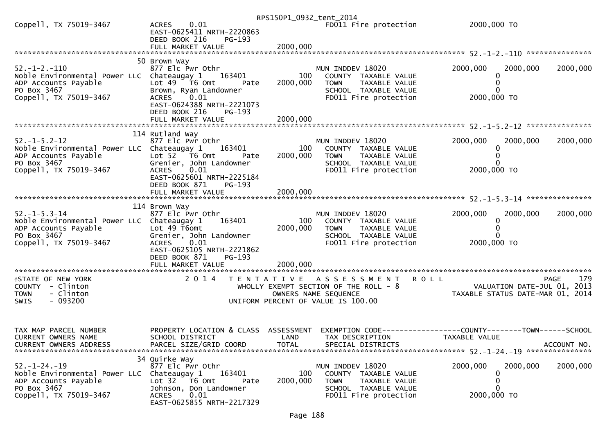|                                                                    |                                                               |                      | RPS150P1_0932_tent_2014                                         |                                  |                             |             |
|--------------------------------------------------------------------|---------------------------------------------------------------|----------------------|-----------------------------------------------------------------|----------------------------------|-----------------------------|-------------|
| Coppell, TX 75019-3467                                             | 0.01<br><b>ACRES</b><br>EAST-0625411 NRTH-2220863             |                      | FD011 Fire protection                                           | 2000,000 TO                      |                             |             |
|                                                                    | DEED BOOK 216<br>PG-193                                       |                      |                                                                 |                                  |                             |             |
|                                                                    |                                                               |                      |                                                                 |                                  |                             |             |
|                                                                    | 50 Brown Way                                                  |                      |                                                                 |                                  |                             |             |
| $52. - 1 - 2. - 110$                                               | 877 Elc Pwr Othr                                              |                      | MUN INDDEV 18020                                                | 2000,000                         | 2000,000                    | 2000,000    |
| Noble Environmental Power LLC Chateaugay 1                         | 163401                                                        | 100                  | COUNTY TAXABLE VALUE                                            |                                  | 0                           |             |
| ADP Accounts Payable<br>PO Box 3467                                | Lot $49$ $\overline{76}$ Omt<br>Pate<br>Brown, Ryan Landowner | 2000,000             | <b>TOWN</b><br>TAXABLE VALUE<br>SCHOOL TAXABLE VALUE            |                                  |                             |             |
| Coppell, TX 75019-3467                                             | <b>ACRES</b><br>0.01                                          |                      | FD011 Fire protection                                           | 2000,000 TO                      |                             |             |
|                                                                    | EAST-0624388 NRTH-2221073                                     |                      |                                                                 |                                  |                             |             |
|                                                                    | DEED BOOK 216<br>PG-193<br>FULL MARKET VALUE                  | 2000,000             |                                                                 |                                  |                             |             |
|                                                                    |                                                               |                      |                                                                 |                                  |                             |             |
|                                                                    | 114 Rutland Way                                               |                      |                                                                 |                                  |                             |             |
| $52. - 1 - 5.2 - 12$<br>Noble Environmental Power LLC Chateaugay 1 | 877 Elc Pwr Othr<br>163401                                    | 100                  | MUN INDDEV 18020<br>COUNTY TAXABLE VALUE                        | 2000,000                         | 2000,000                    | 2000,000    |
| ADP Accounts Payable                                               | Lot $52$ $\overline{76}$ Omt<br>Pate                          | 2000,000             | TAXABLE VALUE<br><b>TOWN</b>                                    |                                  |                             |             |
| PO Box 3467                                                        | Grenier, John Landowner                                       |                      | SCHOOL TAXABLE VALUE                                            |                                  |                             |             |
| Coppell, TX 75019-3467                                             | <b>ACRES</b><br>0.01<br>EAST-0625601 NRTH-2225184             |                      | FD011 Fire protection                                           | 2000,000 TO                      |                             |             |
|                                                                    | DEED BOOK 871<br>$PG-193$                                     |                      |                                                                 |                                  |                             |             |
|                                                                    |                                                               |                      |                                                                 |                                  |                             |             |
|                                                                    | 114 Brown Way                                                 |                      |                                                                 |                                  |                             |             |
| $52. - 1 - 5.3 - 14$                                               | 877 Elc Pwr Othr                                              |                      | MUN INDDEV 18020                                                | 2000,000                         | 2000,000                    | 2000,000    |
| Noble Environmental Power LLC Chateaugay 1                         | 163401                                                        | 100                  | COUNTY TAXABLE VALUE                                            |                                  |                             |             |
| ADP Accounts Payable<br>PO Box 3467                                | Lot 49 T6omt<br>Grenier, John Landowner                       | 2000,000             | TAXABLE VALUE<br><b>TOWN</b><br>SCHOOL TAXABLE VALUE            |                                  |                             |             |
| Coppell, TX 75019-3467                                             | 0.01<br><b>ACRES</b>                                          |                      | FD011 Fire protection                                           | 2000,000 TO                      |                             |             |
|                                                                    | EAST-0625105 NRTH-2221862<br>DEED BOOK 871<br>$PG-193$        |                      |                                                                 |                                  |                             |             |
|                                                                    |                                                               |                      |                                                                 |                                  |                             |             |
|                                                                    |                                                               |                      |                                                                 |                                  |                             |             |
| <b>ISTATE OF NEW YORK</b><br>COUNTY - Clinton                      | 2 0 1 4                                                       |                      | TENTATIVE ASSESSMENT                                            | <b>ROLL</b>                      | VALUATION DATE-JUL 01, 2013 | 179<br>PAGE |
| - Clinton<br><b>TOWN</b>                                           |                                                               |                      | WHOLLY EXEMPT SECTION OF THE ROLL - $8$<br>OWNERS NAME SEQUENCE | TAXABLE STATUS DATE-MAR 01, 2014 |                             |             |
| $-093200$<br>SWIS                                                  |                                                               |                      | UNIFORM PERCENT OF VALUE IS 100.00                              |                                  |                             |             |
|                                                                    |                                                               |                      |                                                                 |                                  |                             |             |
|                                                                    |                                                               |                      |                                                                 |                                  |                             |             |
| TAX MAP PARCEL NUMBER                                              | PROPERTY LOCATION & CLASS ASSESSMENT                          |                      |                                                                 |                                  |                             |             |
| CURRENT OWNERS NAME<br><b>CURRENT OWNERS ADDRESS</b>               | SCHOOL DISTRICT<br>PARCEL SIZE/GRID COORD                     | LAND<br><b>TOTAL</b> | TAX DESCRIPTION<br>SPECIAL DISTRICTS                            | TAXABLE VALUE                    |                             | ACCOUNT NO. |
|                                                                    |                                                               |                      |                                                                 |                                  |                             |             |
|                                                                    | 34 Quirke Way                                                 |                      |                                                                 |                                  |                             |             |
| $52. - 1 - 24. - 19$<br>Noble Environmental Power LLC              | 877 Elc Pwr Othr<br>163401<br>Chateaugay 1                    | 100                  | MUN INDDEV 18020<br>COUNTY TAXABLE VALUE                        | 2000,000                         | 2000,000                    | 2000,000    |
| ADP Accounts Payable                                               | Lot <sub>32</sub><br>T6 Omt<br>Pate                           | 2000,000             | <b>TOWN</b><br>TAXABLE VALUE                                    |                                  |                             |             |
| PO Box 3467                                                        | Johnson, Don Landowner                                        |                      | SCHOOL TAXABLE VALUE                                            |                                  |                             |             |
| Coppell, TX 75019-3467                                             | 0.01<br><b>ACRES</b><br>EAST-0625855 NRTH-2217329             |                      | FD011 Fire protection                                           | 2000,000 TO                      |                             |             |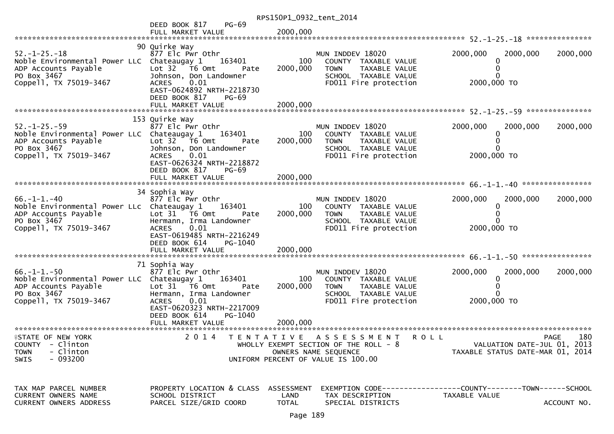|                                                                                                                                     |                                                                                                                                                                                                      | RPS150P1_0932_tent_2014     |                                                                                                                                         |                                                                                |             |
|-------------------------------------------------------------------------------------------------------------------------------------|------------------------------------------------------------------------------------------------------------------------------------------------------------------------------------------------------|-----------------------------|-----------------------------------------------------------------------------------------------------------------------------------------|--------------------------------------------------------------------------------|-------------|
|                                                                                                                                     | <b>PG-69</b><br>DEED BOOK 817<br>FULL MARKET VALUE                                                                                                                                                   | 2000,000                    |                                                                                                                                         |                                                                                |             |
| $52. - 1 - 25. - 18$<br>Noble Environmental Power LLC Chateaugay 1<br>ADP Accounts Payable<br>PO Box 3467<br>Coppell, TX 75019-3467 | 90 Quirke Way<br>877 Elc Pwr Othr<br>163401<br>Lot 32 T6 Omt<br>Pate<br>Johnson, Don Landowner<br>0.01<br><b>ACRES</b><br>EAST-0624892 NRTH-2218730<br>DEED BOOK 817<br>PG-69<br>FULL MARKET VALUE   | 100<br>2000,000<br>2000,000 | MUN INDDEV 18020<br>COUNTY TAXABLE VALUE<br><b>TOWN</b><br>TAXABLE VALUE<br>SCHOOL TAXABLE VALUE<br>FD011 Fire protection               | 2000,000<br>2000,000<br>2000,000 TO                                            | 2000,000    |
|                                                                                                                                     |                                                                                                                                                                                                      |                             |                                                                                                                                         |                                                                                |             |
| $52. - 1 - 25. - 59$<br>Noble Environmental Power LLC Chateaugay 1<br>ADP Accounts Payable<br>PO Box 3467<br>Coppell, TX 75019-3467 | 153 Quirke Way<br>877 Elc Pwr Othr<br>163401<br>Lot $32$ $\overline{76}$ Omt<br>Pate<br>Johnson, Don Landowner<br>0.01<br><b>ACRES</b><br>EAST-0626324 NRTH-2218872<br>DEED BOOK 817<br><b>PG-69</b> | 100<br>2000,000             | MUN INDDEV 18020<br>COUNTY TAXABLE VALUE<br><b>TOWN</b><br>TAXABLE VALUE<br>SCHOOL TAXABLE VALUE<br>FD011 Fire protection               | 2000,000<br>2000,000<br>2000,000 TO                                            | 2000,000    |
|                                                                                                                                     | FULL MARKET VALUE                                                                                                                                                                                    | 2000,000                    |                                                                                                                                         |                                                                                |             |
|                                                                                                                                     | 34 Sophia Way                                                                                                                                                                                        |                             |                                                                                                                                         |                                                                                |             |
| $66. -1 - 1. -40$<br>Noble Environmental Power LLc Chateaugay 1<br>ADP Accounts Payable<br>PO Box 3467<br>Coppell, TX 75019-3467    | 877 Elc Pwr Othr<br>163401<br>Lot 31 76 0mt<br>Pate<br>Hermann, Irma Landowner<br>0.01<br><b>ACRES</b><br>EAST-0619485 NRTH-2216249<br>DEED BOOK 614<br>PG-1040<br>FULL MARKET VALUE                 | 100<br>2000,000<br>2000,000 | MUN INDDEV 18020<br>COUNTY TAXABLE VALUE<br><b>TOWN</b><br>TAXABLE VALUE<br>SCHOOL TAXABLE VALUE<br>FD011 Fire protection               | 2000,000<br>2000,000<br>0<br>2000,000 TO                                       | 2000,000    |
|                                                                                                                                     | 71 Sophia Way                                                                                                                                                                                        |                             |                                                                                                                                         |                                                                                |             |
| $66. - 1 - 1. - 50$<br>Noble Environmental Power LLC Chateaugay 1<br>ADP Accounts Payable<br>PO Box 3467<br>Coppell, TX 75019-3467  | 877 Elc Pwr Othr<br>163401<br>Lot $31$ $\overline{16}$ Omt<br>Pate<br>Hermann, Irma Landowner<br>0.01<br><b>ACRES</b><br>EAST-0620323 NRTH-2217009<br>DEED BOOK 614<br>PG-1040<br>FULL MARKET VALUE  | 100<br>2000,000<br>2000,000 | MUN INDDEV 18020<br>COUNTY TAXABLE VALUE<br>TAXABLE VALUE<br><b>TOWN</b><br>SCHOOL TAXABLE VALUE<br>FD011 Fire protection               | 2000,000<br>2000,000<br>2000,000 TO                                            | 2000,000    |
|                                                                                                                                     |                                                                                                                                                                                                      |                             |                                                                                                                                         |                                                                                |             |
| <b>ISTATE OF NEW YORK</b><br>COUNTY - Clinton<br>- Clinton<br><b>TOWN</b><br>SWIS<br>- 093200                                       |                                                                                                                                                                                                      |                             | 2014 TENTATIVE ASSESSMENT ROLL<br>WHOLLY EXEMPT SECTION OF THE ROLL - $8$<br>OWNERS NAME SEQUENCE<br>UNIFORM PERCENT OF VALUE IS 100.00 | VALUATION DATE-JUL 01, 2013<br>TAXABLE STATUS DATE-MAR 01, 2014                | 180<br>PAGE |
| TAX MAP PARCEL NUMBER<br>CURRENT OWNERS NAME<br><b>CURRENT OWNERS ADDRESS</b>                                                       | PROPERTY LOCATION & CLASS<br>SCHOOL DISTRICT<br>PARCEL SIZE/GRID COORD                                                                                                                               | ASSESSMENT<br>LAND<br>TOTAL | TAX DESCRIPTION<br>SPECIAL DISTRICTS                                                                                                    | EXEMPTION CODE------------------COUNTY-------TOWN------SCHOOL<br>TAXABLE VALUE | ACCOUNT NO. |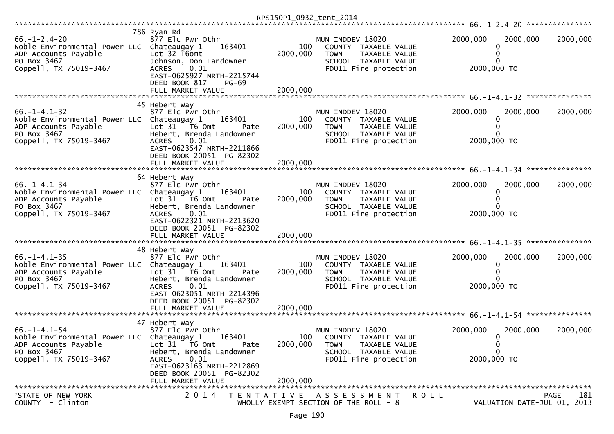| $66. - 1 - 2.4 - 20$<br>Noble Environmental Power LLC Chateaugay 1<br>ADP Accounts Payable<br>PO Box 3467<br>Coppell, TX 75019-3467 | 786 Ryan Rd<br>877 Elc Pwr Othr<br>163401<br>Lot 32 T6omt<br>Johnson, Don Landowner<br>$\begin{bmatrix} 0.01 \end{bmatrix}$<br><b>ACRES</b><br>EAST-0625927 NRTH-2215744<br>DEED BOOK 817<br><b>PG-69</b><br>FULL MARKET VALUE | 100<br>2000,000<br>2000,000 | MUN INDDEV 18020<br>COUNTY TAXABLE VALUE<br>TAXABLE VALUE<br><b>TOWN</b><br>SCHOOL TAXABLE VALUE<br>FD011 Fire protection | 2000,000<br>2000,000<br>0<br>0<br>2000,000 TO             | 2000,000                                   |
|-------------------------------------------------------------------------------------------------------------------------------------|--------------------------------------------------------------------------------------------------------------------------------------------------------------------------------------------------------------------------------|-----------------------------|---------------------------------------------------------------------------------------------------------------------------|-----------------------------------------------------------|--------------------------------------------|
|                                                                                                                                     | 45 Hebert Way                                                                                                                                                                                                                  |                             |                                                                                                                           |                                                           |                                            |
| $66. -1 - 4.1 - 32$<br>Noble Environmental Power LLC Chateaugay 1<br>ADP Accounts Payable<br>PO Box 3467<br>Coppell, TX 75019-3467  | 877 Elc Pwr Othr<br>163401<br>Lot 31 T6 Omt<br>Pate<br>Hebert, Brenda Landowner<br>0.01<br><b>ACRES</b><br>EAST-0623547 NRTH-2211866<br>DEED BOOK 20051 PG-82302<br>FULL MARKET VALUE                                          | 100<br>2000,000<br>2000,000 | MUN INDDEV 18020<br>COUNTY TAXABLE VALUE<br>TAXABLE VALUE<br><b>TOWN</b><br>SCHOOL TAXABLE VALUE<br>FD011 Fire protection | 2000,000<br>2000,000<br>0<br>2000,000 TO                  | 2000,000                                   |
|                                                                                                                                     |                                                                                                                                                                                                                                |                             |                                                                                                                           |                                                           |                                            |
| $66. - 1 - 4.1 - 34$<br>Noble Environmental Power LLC Chateaugay 1<br>ADP Accounts Payable<br>PO Box 3467<br>Coppell, TX 75019-3467 | 64 Hebert Way<br>877 Elc Pwr Othr<br>163401<br>Lot $31 - 76$ Omt<br>Pate<br>Hebert, Brenda Landowner<br>0.01<br>ACRES<br>EAST-0622321 NRTH-2213620<br>DEED BOOK 20051 PG-82302                                                 | 100<br>2000,000             | MUN INDDEV 18020<br>COUNTY TAXABLE VALUE<br><b>TOWN</b><br>TAXABLE VALUE<br>SCHOOL TAXABLE VALUE<br>FD011 Fire protection | 2000,000<br>2000,000<br>0<br>0<br>0<br>2000,000 TO        | 2000,000                                   |
|                                                                                                                                     |                                                                                                                                                                                                                                |                             |                                                                                                                           |                                                           |                                            |
| $66. -1 - 4.1 - 35$<br>Noble Environmental Power LLC Chateaugay 1<br>ADP Accounts Payable<br>PO Box 3467<br>Coppell, TX 75019-3467  | 48 Hebert Way<br>877 Elc Pwr Othr<br>163401<br>Lot 31 76 0mt<br>Pate<br>Hebert, Brenda Landowner<br>0.01<br>ACRES<br>EAST-0623051 NRTH-2214396<br>DEED BOOK 20051 PG-82302                                                     | 100<br>2000,000             | MUN INDDEV 18020<br>COUNTY TAXABLE VALUE<br>TAXABLE VALUE<br><b>TOWN</b><br>SCHOOL TAXABLE VALUE<br>FD011 Fire protection | 2000,000<br>2000,000<br>0<br>2000,000 TO                  | 2000,000                                   |
|                                                                                                                                     |                                                                                                                                                                                                                                |                             |                                                                                                                           |                                                           |                                            |
|                                                                                                                                     |                                                                                                                                                                                                                                |                             |                                                                                                                           |                                                           |                                            |
| $66. - 1 - 4.1 - 54$<br>Noble Environmental Power LLC Chateaugay 1<br>ADP Accounts Payable<br>PO Box 3467<br>Coppell, TX 75019-3467 | 47 Hebert Way<br>877 Elc Pwr Othr<br>163401<br>Lot $31$ $\overline{76}$ Omt<br>Pate<br>Hebert, Brenda Landowner<br><b>ACRES</b><br>0.01<br>EAST-0623163 NRTH-2212869<br>DEED BOOK 20051 PG-82302                               | 100<br>2000,000             | MUN INDDEV 18020<br>COUNTY TAXABLE VALUE<br>TAXABLE VALUE<br><b>TOWN</b><br>SCHOOL TAXABLE VALUE<br>FD011 Fire protection | 2000,000<br>2000,000<br>0<br>0<br>$\Omega$<br>2000,000 TO | 2000,000                                   |
|                                                                                                                                     | FULL MARKET VALUE                                                                                                                                                                                                              | 2000,000                    |                                                                                                                           |                                                           |                                            |
| <b>ISTATE OF NEW YORK</b><br>COUNTY - Clinton                                                                                       | 2014 TENTATIVE ASSESSMENT                                                                                                                                                                                                      |                             | R O L L<br>WHOLLY EXEMPT SECTION OF THE ROLL - 8                                                                          |                                                           | PAGE<br>181<br>VALUATION DATE-JUL 01, 2013 |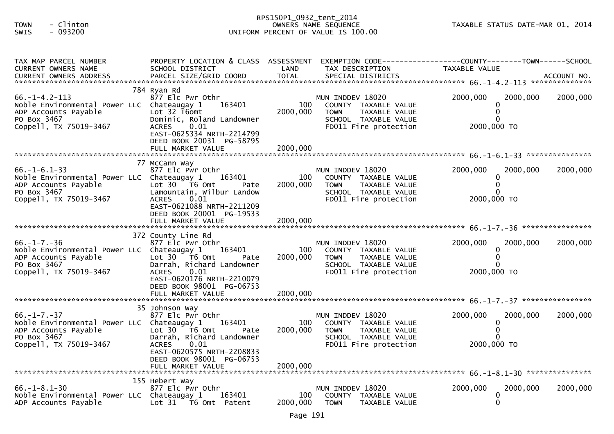# RPS150P1\_0932\_tent\_2014 TOWN - Clinton OWNERS NAME SEQUENCE TAXABLE STATUS DATE-MAR 01, 2014SWIS - 093200 UNIFORM PERCENT OF VALUE IS 100.00

| TAX MAP PARCEL NUMBER<br>CURRENT OWNERS NAME                                                                                        | PROPERTY LOCATION & CLASS ASSESSMENT<br>SCHOOL DISTRICT                                                                                                         | LAND            | TAX DESCRIPTION                                                                                                           | EXEMPTION CODE-----------------COUNTY--------TOWN------SCHOOL<br>TAXABLE VALUE |          |
|-------------------------------------------------------------------------------------------------------------------------------------|-----------------------------------------------------------------------------------------------------------------------------------------------------------------|-----------------|---------------------------------------------------------------------------------------------------------------------------|--------------------------------------------------------------------------------|----------|
|                                                                                                                                     |                                                                                                                                                                 |                 |                                                                                                                           |                                                                                |          |
| $66. -1 - 4.2 - 113$<br>Noble Environmental Power LLC Chateaugay 1<br>ADP Accounts Payable                                          | 784 Ryan Rd<br>877 Elc Pwr Othr<br>163401<br>Lot 32 T6omt                                                                                                       | 100<br>2000,000 | MUN INDDEV 18020<br>COUNTY TAXABLE VALUE<br><b>TOWN</b><br>TAXABLE VALUE                                                  | 2000,000<br>2000,000<br>0<br>0                                                 | 2000,000 |
| PO Box 3467<br>Coppell, TX 75019-3467                                                                                               | Dominic, Roland Landowner<br>$\begin{bmatrix} 0.01 \end{bmatrix}$<br><b>ACRES</b><br>EAST-0625334 NRTH-2214799<br>DEED BOOK 20031 PG-58795                      |                 | SCHOOL TAXABLE VALUE<br>FD011 Fire protection                                                                             | 2000,000 TO                                                                    |          |
|                                                                                                                                     |                                                                                                                                                                 |                 |                                                                                                                           |                                                                                |          |
| $66. - 1 - 6.1 - 33$<br>Noble Environmental Power LLC Chateaugay 1<br>ADP Accounts Payable<br>PO Box 3467<br>Coppell, TX 75019-3467 | 77 McCann Way<br>877 Elc Pwr Othr<br>163401<br>Lot 30 T6 Omt<br>Pate<br>Lamountain, Wilbur Landow<br><b>ACRES</b><br>0.01<br>EAST-0621088 NRTH-2211209          | 100<br>2000,000 | MUN INDDEV 18020<br>COUNTY TAXABLE VALUE<br>TAXABLE VALUE<br><b>TOWN</b><br>SCHOOL TAXABLE VALUE<br>FD011 Fire protection | 2000,000<br>2000,000<br>0<br>0<br>2000,000 TO                                  | 2000,000 |
|                                                                                                                                     | DEED BOOK 20001 PG-19533                                                                                                                                        |                 |                                                                                                                           |                                                                                |          |
| $66. - 1 - 7. - 36$<br>Noble Environmental Power LLC Chateaugay 1<br>ADP Accounts Payable<br>PO Box 3467<br>Coppell, TX 75019-3467  | 372 County Line Rd<br>877 Elc Pwr Othr<br>163401<br>Lot $30 - 76$ Omt<br>Pate<br>Darrah, Richard Landowner<br><b>ACRES</b><br>0.01<br>EAST-0620176 NRTH-2210079 | 100<br>2000,000 | MUN INDDEV 18020<br>COUNTY TAXABLE VALUE<br><b>TOWN</b><br>TAXABLE VALUE<br>SCHOOL TAXABLE VALUE<br>FD011 Fire protection | 2000,000<br>2000,000<br>2000,000 TO                                            | 2000,000 |
|                                                                                                                                     | DEED BOOK 98001 PG-06753<br>FULL MARKET VALUE                                                                                                                   | 2000,000        |                                                                                                                           |                                                                                |          |
| $66. - 1 - 7. - 37$<br>Noble Environmental Power LLC Chateaugay 1<br>ADP Accounts Payable<br>PO Box 3467                            | 35 Johnson Way<br>877 Elc Pwr Othr<br>163401<br>Lot $30$ $\overline{16}$ Omt<br>Pate<br>Darrah, Richard Landowner                                               | 100<br>2000,000 | MUN INDDEV 18020<br>COUNTY TAXABLE VALUE<br><b>TOWN</b><br>TAXABLE VALUE<br>SCHOOL TAXABLE VALUE                          | 2000,000<br>2000,000<br>0                                                      | 2000,000 |
| Coppell, TX 75019-3467                                                                                                              | <b>ACRES</b><br>0.01<br>EAST-0620575 NRTH-2208833<br>DEED BOOK 98001 PG-06753                                                                                   |                 | FD011 Fire protection                                                                                                     | 2000,000 TO                                                                    |          |
|                                                                                                                                     | 155 Hebert Way                                                                                                                                                  |                 |                                                                                                                           |                                                                                |          |
| $66. -1 - 8.1 - 30$<br>Noble Environmental Power LLC Chateaugay 1<br>ADP Accounts Payable                                           | 877 Elc Pwr Othr<br>163401<br>Lot 31 T6 Omt Patent                                                                                                              | 100<br>2000,000 | MUN INDDEV 18020<br>COUNTY TAXABLE VALUE<br><b>TOWN</b><br>TAXABLE VALUE                                                  | 2000,000<br>2000,000<br>0<br>0                                                 | 2000,000 |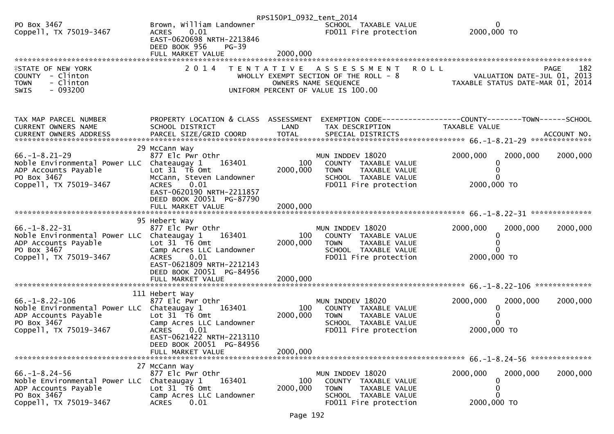|                                                                                                                                       |                                                                                                                                               | RPS150P1_0932_tent_2014 |                                                                                                                           |                                                                                        |          |
|---------------------------------------------------------------------------------------------------------------------------------------|-----------------------------------------------------------------------------------------------------------------------------------------------|-------------------------|---------------------------------------------------------------------------------------------------------------------------|----------------------------------------------------------------------------------------|----------|
| PO Box 3467<br>Coppell, TX 75019-3467                                                                                                 | Brown, William Landowner<br>0.01<br><b>ACRES</b><br>EAST-0620698 NRTH-2213846                                                                 |                         | SCHOOL TAXABLE VALUE<br>FD011 Fire protection                                                                             | 0<br>2000,000 TO                                                                       |          |
|                                                                                                                                       | DEED BOOK 956<br>$PG-39$                                                                                                                      |                         |                                                                                                                           |                                                                                        |          |
|                                                                                                                                       |                                                                                                                                               |                         |                                                                                                                           |                                                                                        |          |
| <b>ISTATE OF NEW YORK</b><br>COUNTY - Clinton<br>- Clinton<br><b>TOWN</b>                                                             | 2 0 1 4                                                                                                                                       |                         | TENTATIVE ASSESSMENT<br>WHOLLY EXEMPT SECTION OF THE ROLL - 8<br>OWNERS NAME SEQUENCE                                     | <b>ROLL</b><br>PAGE<br>VALUATION DATE-JUL 01, 2013<br>TAXABLE STATUS DATE-MAR 01, 2014 | 182      |
| $-093200$<br>SWIS                                                                                                                     |                                                                                                                                               |                         | UNIFORM PERCENT OF VALUE IS 100.00                                                                                        |                                                                                        |          |
| TAX MAP PARCEL NUMBER<br><b>CURRENT OWNERS NAME</b><br>CURRENT OWNERS ADDRESS                                                         | PROPERTY LOCATION & CLASS ASSESSMENT<br>SCHOOL DISTRICT                                                                                       | LAND                    | TAX DESCRIPTION                                                                                                           | EXEMPTION CODE-----------------COUNTY-------TOWN------SCHOOL<br>TAXABLE VALUE          |          |
|                                                                                                                                       |                                                                                                                                               |                         |                                                                                                                           |                                                                                        |          |
| $66. -1 - 8.21 - 29$<br>Noble Environmental Power LLC Chateaugay 1<br>ADP Accounts Payable<br>PO Box 3467<br>Coppell, TX 75019-3467   | 29 McCann Way<br>877 Elc Pwr Othr<br>163401<br>Lot 31 76 0mt<br>McCann, Steven Landowner<br>0.01<br><b>ACRES</b>                              | 100<br>2000,000         | MUN INDDEV 18020<br>COUNTY TAXABLE VALUE<br>TAXABLE VALUE<br><b>TOWN</b><br>SCHOOL TAXABLE VALUE<br>FD011 Fire protection | 2000,000<br>2000,000<br>2000,000 TO                                                    | 2000,000 |
|                                                                                                                                       | EAST-0620190 NRTH-2211857<br>DEED BOOK 20051 PG-87790<br>FULL MARKET VALUE                                                                    | 2000,000                |                                                                                                                           |                                                                                        |          |
| $66. -1 - 8.22 - 31$<br>Noble Environmental Power LLC Chateaugay 1<br>ADP Accounts Payable<br>PO Box 3467<br>Coppell, TX 75019-3467   | 95 Hebert Way<br>877 Elc Pwr Othr<br>163401<br>Lot 31 T6 Omt<br>Camp Acres LLC Landowner<br><b>ACRES</b><br>0.01<br>EAST-0621809 NRTH-2212143 | 100<br>2000,000         | MUN INDDEV 18020<br>COUNTY TAXABLE VALUE<br><b>TOWN</b><br>TAXABLE VALUE<br>SCHOOL TAXABLE VALUE<br>FD011 Fire protection | 2000,000<br>2000,000<br>$\Omega$<br>2000,000 TO                                        | 2000,000 |
|                                                                                                                                       | DEED BOOK 20051 PG-84956<br>FULL MARKET VALUE                                                                                                 | 2000,000                |                                                                                                                           |                                                                                        |          |
|                                                                                                                                       |                                                                                                                                               |                         |                                                                                                                           |                                                                                        |          |
| $66. - 1 - 8.22 - 106$<br>Noble Environmental Power LLC Chateaugay 1<br>ADP Accounts Payable<br>PO Box 3467<br>Coppell, TX 75019-3467 | 111 Hebert Way<br>877 Elc Pwr Othr<br>163401<br>Lot 31 76 0mt<br>Camp Acres LLC Landowner<br><b>ACRES</b><br>0.01                             | 100<br>2000,000         | MUN INDDEV 18020<br>COUNTY TAXABLE VALUE<br><b>TOWN</b><br>TAXABLE VALUE<br>SCHOOL TAXABLE VALUE<br>FD011 Fire protection | 2000,000<br>2000,000<br>2000,000 TO                                                    | 2000,000 |
|                                                                                                                                       | EAST-0621422 NRTH-2213110<br>DEED BOOK 20051 PG-84956<br>FULL MARKET VALUE                                                                    | 2000,000                |                                                                                                                           |                                                                                        |          |
|                                                                                                                                       | 27 McCann Way                                                                                                                                 |                         |                                                                                                                           |                                                                                        |          |
| $66. - 1 - 8.24 - 56$<br>Noble Environmental Power LLC<br>ADP Accounts Payable<br>PO Box 3467<br>Coppell, TX 75019-3467               | 877 Elc Pwr Othr<br>163401<br>Chateaugay 1<br>Lot 31 T6 Omt<br>Camp Acres LLC Landowner<br>0.01<br><b>ACRES</b>                               | 100<br>2000,000         | MUN INDDEV 18020<br>COUNTY TAXABLE VALUE<br>TAXABLE VALUE<br><b>TOWN</b><br>SCHOOL TAXABLE VALUE<br>FD011 Fire protection | 2000,000<br>2000,000<br>0<br>2000,000 TO                                               | 2000,000 |
|                                                                                                                                       |                                                                                                                                               |                         |                                                                                                                           |                                                                                        |          |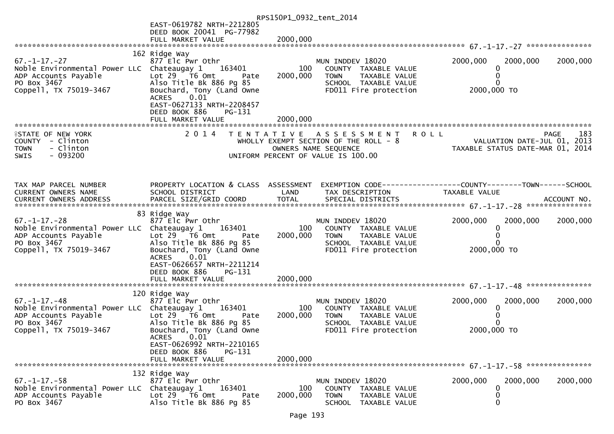|                                                                                                                                     |                                                                                                                                                                                                                             | RPS150P1_0932_tent_2014 |                                                                                                                                            |                                                                                     |                    |
|-------------------------------------------------------------------------------------------------------------------------------------|-----------------------------------------------------------------------------------------------------------------------------------------------------------------------------------------------------------------------------|-------------------------|--------------------------------------------------------------------------------------------------------------------------------------------|-------------------------------------------------------------------------------------|--------------------|
|                                                                                                                                     | EAST-0619782 NRTH-2212805                                                                                                                                                                                                   |                         |                                                                                                                                            |                                                                                     |                    |
|                                                                                                                                     | DEED BOOK 20041 PG-77982<br>FULL MARKET VALUE                                                                                                                                                                               | 2000,000                |                                                                                                                                            |                                                                                     |                    |
|                                                                                                                                     |                                                                                                                                                                                                                             |                         |                                                                                                                                            |                                                                                     |                    |
| $67. - 1 - 17. - 27$<br>Noble Environmental Power LLC Chateaugay 1<br>ADP Accounts Payable<br>PO Box 3467<br>Coppell, TX 75019-3467 | 162 Ridge Way<br>877 Elc Pwr Othr<br>163401<br>Lot $29$ $\overline{16}$ Omt<br>Pate<br>Also Title Bk 886 Pg 85<br>Bouchard, Tony (Land Owne<br>0.01<br><b>ACRES</b><br>EAST-0627133 NRTH-2208457<br>DEED BOOK 886<br>PG-131 | 100<br>2000,000         | MUN INDDEV 18020<br>COUNTY TAXABLE VALUE<br>TAXABLE VALUE<br><b>TOWN</b><br>SCHOOL TAXABLE VALUE<br>FD011 Fire protection                  | 2000,000<br>2000,000<br>0<br>0<br>$\Omega$<br>2000,000 TO                           | 2000,000           |
|                                                                                                                                     | FULL MARKET VALUE                                                                                                                                                                                                           | 2000,000                |                                                                                                                                            |                                                                                     |                    |
| <b>ISTATE OF NEW YORK</b><br>COUNTY - Clinton<br>- Clinton<br><b>TOWN</b><br>$-093200$<br><b>SWIS</b>                               | 2 0 1 4                                                                                                                                                                                                                     |                         | <b>ROLL</b><br>TENTATIVE ASSESSMENT<br>WHOLLY EXEMPT SECTION OF THE ROLL - 8<br>OWNERS NAME SEQUENCE<br>UNIFORM PERCENT OF VALUE IS 100.00 | OLL - 8<br>TAXABLE STATUS DATE-JUL 01, 2013<br>CO. TAXABLE STATUS DATE-MAR 01, 2014 | 183<br><b>PAGE</b> |
| TAX MAP PARCEL NUMBER<br>CURRENT OWNERS NAME                                                                                        | PROPERTY LOCATION & CLASS ASSESSMENT<br>SCHOOL DISTRICT                                                                                                                                                                     | LAND                    | TAX DESCRIPTION                                                                                                                            | EXEMPTION CODE-----------------COUNTY--------TOWN------SCHOOL<br>TAXABLE VALUE      |                    |
| $67. - 1 - 17. - 28$<br>Noble Environmental Power LLC Chateaugay 1<br>ADP Accounts Payable<br>PO Box 3467<br>Coppell, TX 75019-3467 | 83 Ridge Way<br>877 Elc Pwr Othr<br>163401<br>Lot 29 T6 Omt<br>Pate<br>Also Title Bk 886 Pg 85<br>Bouchard, Tony (Land Owne<br>0.01<br><b>ACRES</b><br>EAST-0626657 NRTH-2211214<br>DEED BOOK 886<br>PG-131                 | 100<br>2000,000         | MUN INDDEV 18020<br>COUNTY TAXABLE VALUE<br><b>TOWN</b><br>TAXABLE VALUE<br>SCHOOL TAXABLE VALUE<br>FD011 Fire protection                  | 2000,000<br>2000,000<br>0<br>0<br>0<br>2000,000 TO                                  | 2000,000           |
|                                                                                                                                     |                                                                                                                                                                                                                             |                         |                                                                                                                                            |                                                                                     |                    |
| $67. - 1 - 17. - 48$<br>Noble Environmental Power LLC Chateaugay 1<br>ADP Accounts Payable<br>PO Box 3467<br>Coppell, TX 75019-3467 | 120 Ridge Way<br>877 Elc Pwr Othr<br>163401<br>Lot 29 T6 Omt<br>Pate<br>Also Title Bk 886 Pg 85<br>Bouchard, Tony (Land Owne<br><b>ACRES</b><br>0.01<br>EAST-0626992 NRTH-2210165<br>DEED BOOK 886<br>PG-131                | 100<br>2000,000         | MUN INDDEV 18020<br>COUNTY TAXABLE VALUE<br><b>TOWN</b><br>TAXABLE VALUE<br>SCHOOL TAXABLE VALUE<br>FD011 Fire protection                  | 2000,000<br>2000,000<br>$\bf{0}$<br>2000,000 TO                                     | 2000,000           |
|                                                                                                                                     | FULL MARKET VALUE                                                                                                                                                                                                           | 2000,000                |                                                                                                                                            |                                                                                     |                    |
| $67. - 1 - 17. - 58$<br>Noble Environmental Power LLC<br>ADP Accounts Payable<br>PO Box 3467                                        | 132 Ridge Way<br>877 Elc Pwr Othr<br>163401<br>Chateaugay 1<br>Lot 29 T6 Omt<br>Pate<br>Also Title Bk 886 Pg 85                                                                                                             | 100<br>2000,000         | MUN INDDEV 18020<br>COUNTY TAXABLE VALUE<br><b>TOWN</b><br>TAXABLE VALUE<br>SCHOOL TAXABLE VALUE                                           | 2000,000<br>2000,000<br>0<br>0<br>0                                                 | 2000,000           |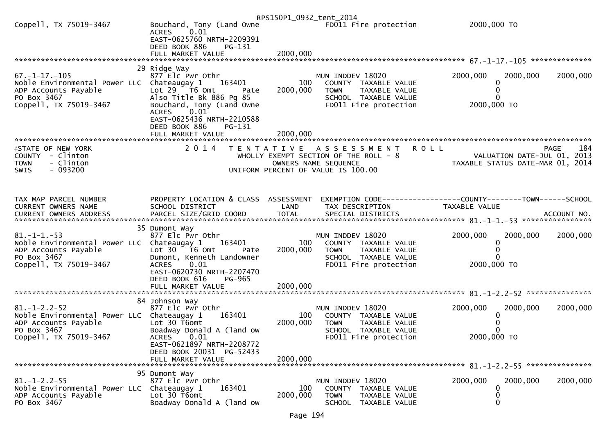|                                                                                                                                      |                                                                                                                                                                                                                                                 | RPS150P1_0932_tent_2014     |                                                                                                                           |                                                                     |                    |
|--------------------------------------------------------------------------------------------------------------------------------------|-------------------------------------------------------------------------------------------------------------------------------------------------------------------------------------------------------------------------------------------------|-----------------------------|---------------------------------------------------------------------------------------------------------------------------|---------------------------------------------------------------------|--------------------|
| Coppell, TX 75019-3467                                                                                                               | Bouchard, Tony (Land Owne<br>0.01<br><b>ACRES</b><br>EAST-0625760 NRTH-2209391<br>DEED BOOK 886<br>PG-131<br>FULL MARKET VALUE                                                                                                                  | 2000,000                    | FD011 Fire protection                                                                                                     | 2000,000 TO                                                         |                    |
|                                                                                                                                      |                                                                                                                                                                                                                                                 |                             |                                                                                                                           |                                                                     |                    |
| $67. - 1 - 17. - 105$<br>Noble Environmental Power LLC Chateaugay 1<br>ADP Accounts Payable<br>PO Box 3467<br>Coppell, TX 75019-3467 | 29 Ridge Way<br>877 Elc Pwr Othr<br>163401<br>Lot $29$ $\overline{76}$ Omt<br>Pate<br>Also Title Bk 886 Pg 85<br>Bouchard, Tony (Land Owne<br>0.01<br><b>ACRES</b><br>EAST-0625436 NRTH-2210588<br>DEED BOOK 886<br>PG-131<br>FULL MARKET VALUE | 100<br>2000,000<br>2000,000 | MUN INDDEV 18020<br>COUNTY TAXABLE VALUE<br>TAXABLE VALUE<br><b>TOWN</b><br>SCHOOL TAXABLE VALUE<br>FD011 Fire protection | 2000,000<br>2000,000<br>2000,000 TO                                 | 2000,000           |
| <b>ISTATE OF NEW YORK</b>                                                                                                            | 2 0 1 4                                                                                                                                                                                                                                         |                             | TENTATIVE ASSESSMENT                                                                                                      | <b>ROLL</b>                                                         | 184<br><b>PAGE</b> |
| COUNTY - Clinton<br>- Clinton<br><b>TOWN</b><br>$-093200$<br>SWIS                                                                    |                                                                                                                                                                                                                                                 |                             | WHOLLY EXEMPT SECTION OF THE ROLL - 8<br>OWNERS NAME SEQUENCE<br>UNIFORM PERCENT OF VALUE IS 100.00                       | VALUATION DATE-JUL 01, 2013<br>TAXABLE STATUS DATE-MAR 01, 2014     |                    |
| TAX MAP PARCEL NUMBER                                                                                                                | PROPERTY LOCATION & CLASS ASSESSMENT                                                                                                                                                                                                            |                             |                                                                                                                           | EXEMPTION        CODE-----------------COUNTY-------TOWN------SCHOOL |                    |
| CURRENT OWNERS NAME                                                                                                                  | SCHOOL DISTRICT                                                                                                                                                                                                                                 | LAND                        | TAX DESCRIPTION                                                                                                           | TAXABLE VALUE                                                       |                    |
| $81. -1 -1. -53$<br>Noble Environmental Power LLC Chateaugay 1<br>ADP Accounts Payable<br>PO Box 3467<br>Coppell, TX 75019-3467      | 35 Dumont Way<br>877 Elc Pwr Othr<br>163401<br>Lot 30 T6 Omt<br>Pate<br>Dumont, Kenneth Landowner<br>0.01<br><b>ACRES</b><br>EAST-0620730 NRTH-2207470<br>DEED BOOK 616<br><b>PG-965</b><br>FULL MARKET VALUE                                   | 100<br>2000,000<br>2000,000 | MUN INDDEV 18020<br>COUNTY TAXABLE VALUE<br>TAXABLE VALUE<br><b>TOWN</b><br>SCHOOL TAXABLE VALUE<br>FD011 Fire protection | 2000,000<br>2000,000<br>0<br>2000,000 TO                            | 2000,000           |
|                                                                                                                                      |                                                                                                                                                                                                                                                 |                             |                                                                                                                           |                                                                     |                    |
| $81. - 1 - 2.2 - 52$<br>Noble Environmental Power LLC Chateaugay 1<br>ADP Accounts Payable<br>PO Box 3467                            | 84 Johnson Way<br>877 Elc Pwr Othr<br>163401<br>Lot 30 T6omt<br>Boadway Donald A (land ow                                                                                                                                                       | 100<br>2000,000             | MUN INDDEV 18020<br>COUNTY TAXABLE VALUE<br><b>TOWN</b><br>TAXABLE VALUE<br>SCHOOL TAXABLE VALUE                          | 2000,000<br>2000,000                                                | 2000,000           |
| Coppell, TX 75019-3467                                                                                                               | <b>ACRES</b><br>0.01<br>EAST-0621897 NRTH-2208772<br>DEED BOOK 20031 PG-52433<br>FULL MARKET VALUE                                                                                                                                              | 2000,000                    | FD011 Fire protection                                                                                                     | 2000,000 TO                                                         |                    |
|                                                                                                                                      |                                                                                                                                                                                                                                                 |                             |                                                                                                                           |                                                                     |                    |
| $81. - 1 - 2.2 - 55$<br>Noble Environmental Power LLC Chateaugay 1<br>ADP Accounts Payable<br>PO Box 3467                            | 95 Dumont Way<br>877 Elc Pwr Othr<br>163401<br>Lot 30 T6omt<br>Boadway Donald A (land ow                                                                                                                                                        | 100<br>2000,000             | MUN INDDEV 18020<br>COUNTY TAXABLE VALUE<br><b>TOWN</b><br>TAXABLE VALUE<br>SCHOOL TAXABLE VALUE                          | 2000,000<br>2000,000<br>0<br>0                                      | 2000,000           |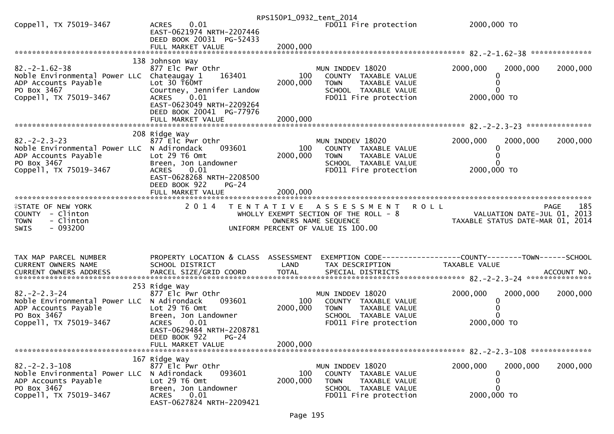|                                                                                                            |                                                                                                       | RPS150P1_0932_tent_2014 |                                                                                                  |                                                                                 |
|------------------------------------------------------------------------------------------------------------|-------------------------------------------------------------------------------------------------------|-------------------------|--------------------------------------------------------------------------------------------------|---------------------------------------------------------------------------------|
| Coppell, TX 75019-3467                                                                                     | 0.01<br><b>ACRES</b><br>EAST-0621974 NRTH-2207446<br>DEED BOOK 20031 PG-52433                         |                         | FD011 Fire protection                                                                            | 2000,000 TO                                                                     |
|                                                                                                            | FULL MARKET VALUE                                                                                     | 2000,000                |                                                                                                  |                                                                                 |
| $82. -2 - 1.62 - 38$<br>Noble Environmental Power LLC Chateaugay 1                                         | 138 Johnson Way<br>877 Elc Pwr Othr<br>163401                                                         | 100                     | MUN INDDEV 18020<br>COUNTY TAXABLE VALUE                                                         | 2000,000<br>2000,000<br>2000,000<br>0                                           |
| ADP Accounts Payable<br>PO Box 3467<br>Coppell, TX 75019-3467                                              | Lot 30 T60MT<br>Courtney, Jennifer Landow<br>0.01<br><b>ACRES</b>                                     | 2000,000                | <b>TOWN</b><br>TAXABLE VALUE<br>SCHOOL TAXABLE VALUE<br>FD011 Fire protection                    | 2000,000 TO                                                                     |
|                                                                                                            | EAST-0623049 NRTH-2209264<br>DEED BOOK 20041 PG-77976                                                 |                         |                                                                                                  |                                                                                 |
|                                                                                                            | 208 Ridge Way                                                                                         |                         |                                                                                                  |                                                                                 |
| $82 - 2 - 2 - 3 - 23$<br>Noble Environmental Power LLC N Adirondack<br>ADP Accounts Payable<br>PO Box 3467 | 877 Elc Pwr Othr<br>093601<br>Lot 29 T6 Omt<br>Breen, Jon Landowner                                   | 100<br>2000,000         | MUN INDDEV 18020<br>COUNTY TAXABLE VALUE<br><b>TOWN</b><br>TAXABLE VALUE<br>SCHOOL TAXABLE VALUE | 2000,000<br>2000,000<br>2000,000<br>0                                           |
| Coppell, TX 75019-3467                                                                                     | 0.01<br><b>ACRES</b><br>EAST-0628268 NRTH-2208500<br>DEED BOOK 922<br>$PG-24$                         |                         | FD011 Fire protection                                                                            | 2000,000 TO                                                                     |
| <b>ISTATE OF NEW YORK</b>                                                                                  | 2 0 1 4                                                                                               |                         | TENTATIVE ASSESSMENT<br><b>ROLL</b>                                                              | 185<br><b>PAGE</b>                                                              |
| COUNTY - Clinton                                                                                           |                                                                                                       |                         | WHOLLY EXEMPT SECTION OF THE ROLL - 8                                                            | VALUATION DATE-JUL 01, 2013                                                     |
| - Clinton<br><b>TOWN</b><br>$-093200$<br>SWIS                                                              |                                                                                                       |                         | OWNERS NAME SEQUENCE<br>UNIFORM PERCENT OF VALUE IS 100.00                                       | TAXABLE STATUS DATE-MAR 01, 2014                                                |
|                                                                                                            |                                                                                                       |                         |                                                                                                  |                                                                                 |
| TAX MAP PARCEL NUMBER<br>CURRENT OWNERS NAME                                                               | PROPERTY LOCATION & CLASS ASSESSMENT<br>SCHOOL DISTRICT                                               | LAND                    | TAX DESCRIPTION                                                                                  | EXEMPTION CODE------------------COUNTY--------TOWN------SCHOOL<br>TAXABLE VALUE |
|                                                                                                            |                                                                                                       |                         |                                                                                                  |                                                                                 |
| $82 - 2 - 2 - 3 - 24$<br>Noble Environmental Power LLC N Adirondack<br>ADP Accounts Payable                | 253 Ridge Way<br>877 Elc Pwr Othr<br>093601<br>Lot 29 T6 Omt                                          | 100<br>2000,000         | MUN INDDEV 18020<br>COUNTY TAXABLE VALUE<br>TAXABLE VALUE<br><b>TOWN</b>                         | 2000,000<br>2000,000<br>2000,000<br>0                                           |
| PO Box 3467<br>Coppell, TX 75019-3467                                                                      | Breen, Jon Landowner<br>0.01<br><b>ACRES</b><br>EAST-0629484 NRTH-2208781<br>DEED BOOK 922<br>$PG-24$ |                         | SCHOOL TAXABLE VALUE<br>FD011 Fire protection                                                    | 2000,000 TO                                                                     |
|                                                                                                            | FULL MARKET VALUE                                                                                     | 2000,000                |                                                                                                  |                                                                                 |
| $82 - 2 - 2 - 3 - 108$<br>Noble Environmental Power LLC<br>ADP Accounts Payable<br>PO Box 3467             | 167 Ridge Way<br>877 Elc Pwr Othr<br>093601<br>N Adirondack<br>Lot 29 T6 Omt<br>Breen, Jon Landowner  | 100<br>2000,000         | MUN INDDEV 18020<br>COUNTY TAXABLE VALUE<br><b>TOWN</b><br>TAXABLE VALUE<br>SCHOOL TAXABLE VALUE | 2000,000<br>2000,000<br>2000,000<br>0<br>0                                      |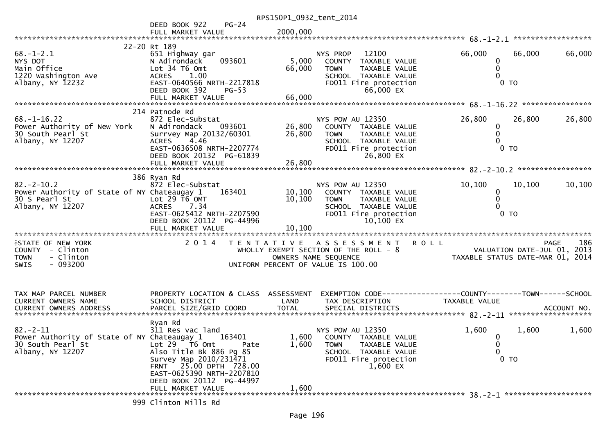|                                                                                                       |                                                                                                                                                                                                                                            | RPS150P1_0932_tent_2014    |                                                                                                                                        |                                                                                |                    |
|-------------------------------------------------------------------------------------------------------|--------------------------------------------------------------------------------------------------------------------------------------------------------------------------------------------------------------------------------------------|----------------------------|----------------------------------------------------------------------------------------------------------------------------------------|--------------------------------------------------------------------------------|--------------------|
|                                                                                                       | DEED BOOK 922<br>$PG-24$                                                                                                                                                                                                                   |                            |                                                                                                                                        |                                                                                |                    |
|                                                                                                       | FULL MARKET VALUE                                                                                                                                                                                                                          | 2000,000                   |                                                                                                                                        |                                                                                |                    |
|                                                                                                       | 22-20 Rt 189                                                                                                                                                                                                                               |                            |                                                                                                                                        |                                                                                |                    |
| $68. - 1 - 2.1$<br>NYS DOT<br>Main Office<br>1220 Washington Ave<br>Albany, $NY$ 12232                | 651 Highway gar<br>N Adirondack<br>093601<br>Lot 34 T6 Omt<br>1.00<br><b>ACRES</b><br>EAST-0640566 NRTH-2217818                                                                                                                            | 5,000<br>66,000            | 12100<br>NYS PROP<br>COUNTY TAXABLE VALUE<br><b>TOWN</b><br>TAXABLE VALUE<br>SCHOOL TAXABLE VALUE<br>FD011 Fire protection             | 66,000<br>66,000<br>0<br>0<br>$0$ TO                                           | 66,000             |
|                                                                                                       | DEED BOOK 392<br>$PG-53$<br>FULL MARKET VALUE                                                                                                                                                                                              | 66,000                     | 66,000 EX                                                                                                                              |                                                                                |                    |
|                                                                                                       | 214 Patnode Rd                                                                                                                                                                                                                             |                            |                                                                                                                                        |                                                                                |                    |
| $68. - 1 - 16.22$<br>Power Authority of New York<br>30 South Pearl St<br>Albany, NY 12207             | 872 Elec-Substat<br>N Adirondack<br>093601<br>Surrvey Map 20132/60301<br>4.46<br><b>ACRES</b><br>EAST-0636508 NRTH-2207774<br>DEED BOOK 20132 PG-61839<br>FULL MARKET VALUE                                                                | 26,800<br>26,800<br>26,800 | NYS POW AU 12350<br>COUNTY TAXABLE VALUE<br>TAXABLE VALUE<br><b>TOWN</b><br>SCHOOL TAXABLE VALUE<br>FD011 Fire protection<br>26,800 EX | 26,800<br>26,800<br>$\mathbf 0$<br>0 <sub>T</sub>                              | 26,800             |
|                                                                                                       |                                                                                                                                                                                                                                            |                            |                                                                                                                                        |                                                                                |                    |
| $82 - 2 - 10.2$<br>Power Authority of State of NY Chateaugay 1<br>30 S Pearl St<br>Albany, NY 12207   | 386 Ryan Rd<br>872 Elec-Substat<br>163401<br>Lot $29$ T6 OMT<br><b>ACRES</b><br>7.34                                                                                                                                                       | 10, 100<br>10,100          | NYS POW AU 12350<br>COUNTY TAXABLE VALUE<br><b>TOWN</b><br>TAXABLE VALUE<br>SCHOOL TAXABLE VALUE                                       | 10,100<br>10,100<br>0<br>0                                                     | 10,100             |
|                                                                                                       | EAST-0625412 NRTH-2207590<br>DEED BOOK 20112 PG-44996                                                                                                                                                                                      |                            | FD011 Fire protection<br>$10,100$ EX                                                                                                   | 0 <sub>T</sub>                                                                 |                    |
| <b>ISTATE OF NEW YORK</b><br>COUNTY - Clinton<br>- Clinton<br><b>TOWN</b><br>$-093200$<br>SWIS        | 2 0 1 4                                                                                                                                                                                                                                    |                            | TENTATIVE ASSESSMENT<br>WHOLLY EXEMPT SECTION OF THE ROLL - 8<br>OWNERS NAME SEQUENCE<br>UNIFORM PERCENT OF VALUE IS 100.00            | <b>ROLL</b><br>VALUATION DATE-JUL 01, 2013<br>TAXABLE STATUS DATE-MAR 01, 2014 | <b>PAGE</b><br>186 |
| TAX MAP PARCEL NUMBER<br>CURRENT OWNERS NAME                                                          | PROPERTY LOCATION & CLASS ASSESSMENT<br>SCHOOL DISTRICT                                                                                                                                                                                    | LAND                       | TAX DESCRIPTION                                                                                                                        | EXEMPTION CODE-----------------COUNTY-------TOWN------SCHOOL<br>TAXABLE VALUE  |                    |
| $82 - 2 - 11$<br>Power Authority of State of NY Chateaugay 1<br>30 South Pearl St<br>Albany, NY 12207 | Ryan Rd<br>311 Res vac land<br>163401<br>Lot $29$ $\overline{16}$ Omt<br>Pate<br>Also Title Bk 886 Pg 85<br>Survey Map 2010/231471<br>FRNT 25.00 DPTH 728.00<br>EAST-0625390 NRTH-2207810<br>DEED BOOK 20112 PG-44997<br>FULL MARKET VALUE | 1,600<br>1,600<br>1,600    | NYS POW AU 12350<br>COUNTY TAXABLE VALUE<br><b>TOWN</b><br>TAXABLE VALUE<br>SCHOOL TAXABLE VALUE<br>FD011 Fire protection<br>1,600 EX  | 1,600<br>1,600<br>0<br>0<br>0<br>$0$ TO                                        | 1,600              |
|                                                                                                       | 999 Clinton Mills Rd                                                                                                                                                                                                                       |                            |                                                                                                                                        |                                                                                |                    |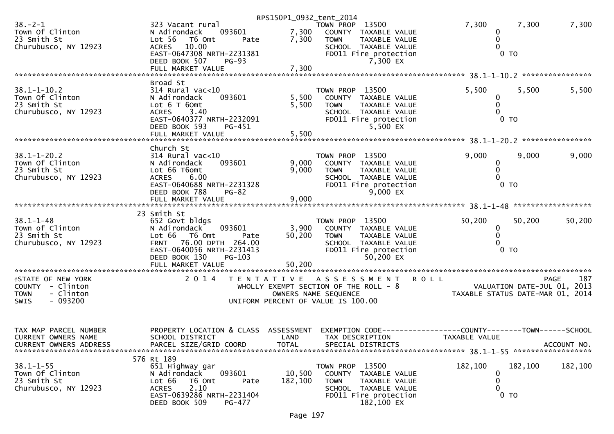|                                                                         |                                                                                              | RPS150P1_0932_tent_2014 |                                                                                                 |                                                                 |             |             |
|-------------------------------------------------------------------------|----------------------------------------------------------------------------------------------|-------------------------|-------------------------------------------------------------------------------------------------|-----------------------------------------------------------------|-------------|-------------|
| $38. - 2 - 1$<br>Town Of Clinton<br>23 Smith St<br>Churubusco, NY 12923 | 323 Vacant rural<br>093601<br>N Adirondack<br>Lot 56 T6 Omt<br>Pate<br>10.00<br><b>ACRES</b> | 7,300<br>7,300          | TOWN PROP 13500<br>COUNTY TAXABLE VALUE<br>TAXABLE VALUE<br><b>TOWN</b><br>SCHOOL TAXABLE VALUE | 7,300<br>0<br>0<br>$\Omega$                                     | 7,300       | 7,300       |
|                                                                         | EAST-0647308 NRTH-2231381<br>DEED BOOK 507<br><b>PG-93</b>                                   | 7,300                   | FD011 Fire protection<br>7,300 EX                                                               | $0$ TO                                                          |             |             |
|                                                                         | FULL MARKET VALUE                                                                            |                         |                                                                                                 |                                                                 |             |             |
|                                                                         | Broad St                                                                                     |                         |                                                                                                 |                                                                 |             |             |
| $38.1 - 1 - 10.2$<br>Town Of Clinton                                    | $314$ Rural vac<10<br>N Adirondack<br>093601                                                 | 5,500                   | TOWN PROP 13500<br>COUNTY TAXABLE VALUE                                                         | 5,500<br>0                                                      | 5,500       | 5,500       |
| 23 Smith St                                                             | Lot $6$ T $60$ mt                                                                            | 5,500                   | <b>TOWN</b><br>TAXABLE VALUE                                                                    | 0                                                               |             |             |
| Churubusco, NY 12923                                                    | <b>ACRES</b><br>3.40                                                                         |                         | SCHOOL TAXABLE VALUE                                                                            | 0                                                               |             |             |
|                                                                         | EAST-0640377 NRTH-2232091<br>DEED BOOK 593<br>PG-451                                         |                         | FD011 Fire protection<br>5,500 EX                                                               | 0 <sub>T</sub>                                                  |             |             |
|                                                                         |                                                                                              |                         |                                                                                                 |                                                                 |             |             |
|                                                                         | Church St                                                                                    |                         |                                                                                                 |                                                                 |             |             |
| $38.1 - 1 - 20.2$                                                       | $314$ Rural vac<10                                                                           |                         | TOWN PROP 13500                                                                                 | 9,000                                                           | 9,000       | 9,000       |
| Town Of Clinton                                                         | 093601<br>N Adirondack                                                                       | 9,000                   | COUNTY TAXABLE VALUE                                                                            | 0                                                               |             |             |
| 23 Smith St<br>Churubusco, NY 12923                                     | Lot 66 T6omt<br><b>ACRES</b><br>6.00                                                         | 9,000                   | <b>TOWN</b><br>TAXABLE VALUE<br>SCHOOL TAXABLE VALUE                                            | 0<br>0                                                          |             |             |
|                                                                         | EAST-0640688 NRTH-2231328                                                                    |                         | FD011 Fire protection                                                                           | 0 <sub>T</sub>                                                  |             |             |
|                                                                         | DEED BOOK 788<br>$PG-82$                                                                     |                         | $9,000$ EX                                                                                      |                                                                 |             |             |
|                                                                         |                                                                                              |                         |                                                                                                 |                                                                 |             |             |
|                                                                         | 23 Smith St                                                                                  |                         |                                                                                                 |                                                                 |             |             |
| $38.1 - 1 - 48$                                                         | 652 Govt bldgs                                                                               |                         | TOWN PROP 13500                                                                                 | 50,200                                                          | 50,200      | 50,200      |
| Town of Clinton<br>23 Smith St                                          | N Adirondack<br>093601<br>Lot 66 T6 Omt<br>Pate                                              | 3,900<br>50,200         | COUNTY TAXABLE VALUE<br><b>TOWN</b><br>TAXABLE VALUE                                            | 0<br>$\Omega$                                                   |             |             |
| Churubusco, NY 12923                                                    | FRNT 76.00 DPTH 264.00                                                                       |                         | SCHOOL TAXABLE VALUE                                                                            | 0                                                               |             |             |
|                                                                         | EAST-0640056 NRTH-2231413                                                                    |                         | FD011 Fire protection                                                                           | 0 <sub>T</sub>                                                  |             |             |
|                                                                         | DEED BOOK 130<br>PG-103<br>FULL MARKET VALUE                                                 | 50,200                  | 50,200 EX                                                                                       |                                                                 |             |             |
|                                                                         |                                                                                              |                         |                                                                                                 |                                                                 |             |             |
| <b>ISTATE OF NEW YORK</b>                                               | 2 0 1 4                                                                                      | T E N T A T I V E       | A S S E S S M E N T                                                                             | <b>ROLL</b>                                                     | <b>PAGE</b> | 187         |
| COUNTY - Clinton<br>- Clinton<br><b>TOWN</b>                            |                                                                                              | OWNERS NAME SEQUENCE    | WHOLLY EXEMPT SECTION OF THE ROLL - 8                                                           | VALUATION DATE-JUL 01, 2013<br>TAXABLE STATUS DATE-MAR 01, 2014 |             |             |
| $-093200$<br><b>SWIS</b>                                                |                                                                                              |                         | UNIFORM PERCENT OF VALUE IS 100.00                                                              |                                                                 |             |             |
|                                                                         |                                                                                              |                         |                                                                                                 |                                                                 |             |             |
|                                                                         |                                                                                              |                         |                                                                                                 |                                                                 |             |             |
| TAX MAP PARCEL NUMBER                                                   | PROPERTY LOCATION & CLASS                                                                    | ASSESSMENT              |                                                                                                 |                                                                 |             |             |
| CURRENT OWNERS NAME<br><b>CURRENT OWNERS ADDRESS</b>                    | SCHOOL DISTRICT<br>PARCEL SIZE/GRID COORD                                                    | LAND<br>TOTAL           | TAX DESCRIPTION<br>SPECIAL DISTRICTS                                                            | TAXABLE VALUE                                                   |             | ACCOUNT NO. |
|                                                                         |                                                                                              |                         |                                                                                                 |                                                                 |             |             |
|                                                                         | 576 Rt 189                                                                                   |                         |                                                                                                 |                                                                 |             |             |
| $38.1 - 1 - 55$<br>Town Of Clinton                                      | 651 Highway gar<br>093601<br>N Adirondack                                                    | 10,500                  | TOWN PROP 13500<br>COUNTY<br>TAXABLE VALUE                                                      | 182,100<br>0                                                    | 182,100     | 182,100     |
| 23 Smith St                                                             | Lot 66<br>T6 Omt<br>Pate                                                                     | 182,100                 | <b>TOWN</b><br>TAXABLE VALUE                                                                    | 0                                                               |             |             |
| Churubusco, NY 12923                                                    |                                                                                              |                         |                                                                                                 |                                                                 |             |             |
|                                                                         | 2.10<br><b>ACRES</b>                                                                         |                         | SCHOOL TAXABLE VALUE                                                                            | 0                                                               |             |             |
|                                                                         | EAST-0639286 NRTH-2231404<br>DEED BOOK 509<br>PG-477                                         |                         | FD011 Fire protection<br>182,100 EX                                                             | $0$ TO                                                          |             |             |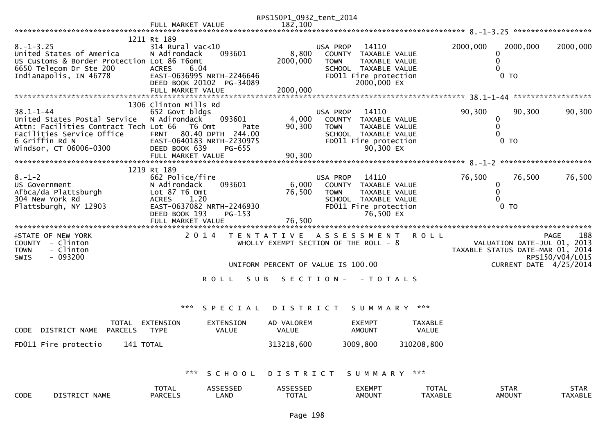|                                                                                                                                                                   |                                                                                                                                                         |                                               | RPS150P1_0932_tent_2014       |                                                                                                            |                                   |                         |                                                                                    |
|-------------------------------------------------------------------------------------------------------------------------------------------------------------------|---------------------------------------------------------------------------------------------------------------------------------------------------------|-----------------------------------------------|-------------------------------|------------------------------------------------------------------------------------------------------------|-----------------------------------|-------------------------|------------------------------------------------------------------------------------|
|                                                                                                                                                                   | FULL MARKET VALUE                                                                                                                                       |                                               | 182,100                       |                                                                                                            |                                   |                         |                                                                                    |
|                                                                                                                                                                   |                                                                                                                                                         |                                               |                               |                                                                                                            |                                   |                         |                                                                                    |
| $8. - 1 - 3.25$<br>United States of America<br>US Customs & Border Protection Lot 86 T6omt<br>6650 Telecom Dr Ste 200<br>Indianapolis, IN 46778                   | 1211 Rt 189<br>$314$ Rural vac<10<br>N Adirondack<br>6.04<br><b>ACRES</b><br>EAST-0636995 NRTH-2246646<br>DEED BOOK 20102 PG-34089<br>FULL MARKET VALUE | 093601                                        | 8,800<br>2000,000<br>2000,000 | USA PROP<br>14110<br>COUNTY<br><b>TOWN</b><br>SCHOOL TAXABLE VALUE<br>FD011 Fire protection<br>2000,000 EX | TAXABLE VALUE<br>TAXABLE VALUE    | 2000,000<br>0           | 2000,000<br>2000,000<br>0 <sub>T</sub>                                             |
|                                                                                                                                                                   | 1306 Clinton Mills Rd                                                                                                                                   |                                               |                               |                                                                                                            |                                   |                         |                                                                                    |
| $38.1 - 1 - 44$<br>United States Postal Service<br>Attn: Facilities Contract Tech Lot 66<br>Facilities Service Office<br>6 Griffin Rd N<br>Windsor, CT 06006-0300 | 652 Govt bldgs<br>N Adirondack<br>T6 Omt<br><b>FRNT</b><br>EAST-0640183 NRTH-2230975<br>DEED BOOK 639<br>FULL MARKET VALUE                              | 093601<br>Pate<br>80.40 DPTH 244.00<br>PG-655 | 4,000<br>90,300<br>90,300     | USA PROP<br>14110<br>COUNTY TAXABLE VALUE<br><b>TOWN</b><br>SCHOOL TAXABLE VALUE<br>FD011 Fire protection  | TAXABLE VALUE<br>90,300 EX        | 90,300<br>0<br>$\Omega$ | 90,300<br>90,300<br>0 <sub>T</sub>                                                 |
|                                                                                                                                                                   |                                                                                                                                                         |                                               |                               |                                                                                                            |                                   |                         |                                                                                    |
|                                                                                                                                                                   | 1219 Rt 189                                                                                                                                             |                                               |                               |                                                                                                            |                                   |                         |                                                                                    |
| $8. - 1 - 2$<br>US Government<br>Afbca/da Plattsburgh<br>304 New York Rd<br>Plattsburgh, NY 12903                                                                 | 662 Police/fire<br>N Adirondack<br>Lot 87 T6 Omt<br><b>ACRES</b><br>1.20<br>EAST-0637082 NRTH-2246930<br>DEED BOOK 193<br>FULL MARKET VALUE             | 093601<br>$PG-153$                            | 6,000<br>76,500<br>76,500     | USA PROP<br>14110<br>COUNTY TAXABLE VALUE<br><b>TOWN</b><br>SCHOOL TAXABLE VALUE<br>FD011 Fire protection  | <b>TAXABLE VALUE</b><br>76,500 EX | 76,500<br>0<br>0        | 76,500<br>76,500<br>0 <sub>T</sub>                                                 |
| <b>ISTATE OF NEW YORK</b>                                                                                                                                         | 2 0 1 4                                                                                                                                                 |                                               |                               | TENTATIVE ASSESSMENT                                                                                       | <b>ROLL</b>                       |                         | 188<br>PAGE                                                                        |
| COUNTY - Clinton<br>- Clinton<br><b>TOWN</b><br>$-093200$<br><b>SWIS</b>                                                                                          |                                                                                                                                                         |                                               |                               | WHOLLY EXEMPT SECTION OF THE ROLL - 8                                                                      |                                   |                         | VALUATION DATE-JUL 01, 2013<br>TAXABLE STATUS DATE-MAR 01, 2014<br>RPS150/V04/L015 |
|                                                                                                                                                                   |                                                                                                                                                         |                                               |                               | UNIFORM PERCENT OF VALUE IS 100.00                                                                         |                                   |                         | CURRENT DATE 4/25/2014                                                             |
|                                                                                                                                                                   |                                                                                                                                                         | S U B<br>R O L L                              |                               | SECTION - - TOTALS                                                                                         |                                   |                         |                                                                                    |
|                                                                                                                                                                   |                                                                                                                                                         | SPECIAL                                       | <b>DISTRICT</b>               | SUMMARY                                                                                                    |                                   |                         |                                                                                    |
| <b>TOTAL</b><br><b>CODE</b><br>DISTRICT NAME<br><b>PARCELS</b>                                                                                                    | EXTENSION<br><b>TYPE</b>                                                                                                                                | <b>EXTENSION</b><br>VALUE                     | AD VALOREM<br><b>VALUE</b>    | <b>EXEMPT</b><br><b>AMOUNT</b>                                                                             | <b>TAXABLE</b><br>VALUE           |                         |                                                                                    |
| FD011 Fire protectio<br>141 TOTAL                                                                                                                                 |                                                                                                                                                         |                                               | 313218,600                    | 3009,800                                                                                                   | 310208,800                        |                         |                                                                                    |
|                                                                                                                                                                   | ***                                                                                                                                                     | SCHOOL                                        | DISTRICT                      | SUMMARY                                                                                                    | $\times\times\times$              |                         |                                                                                    |
| DISTRICT NAME<br>CODE                                                                                                                                             | <b>TOTAL</b><br><b>PARCELS</b>                                                                                                                          | ASSESSED<br>LAND                              | ASSESSED<br><b>TOTAL</b>      | <b>EXEMPT</b><br><b>AMOUNT</b>                                                                             | <b>TOTAL</b><br><b>TAXABLE</b>    |                         | <b>STAR</b><br><b>STAR</b><br><b>AMOUNT</b><br><b>TAXABLE</b>                      |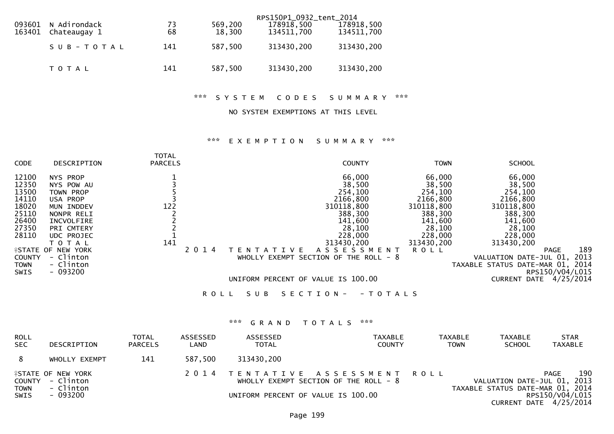| 093601 | N Adirondack<br>163401 Chateaugay 1 | 73<br>68 | 569,200<br>18,300 | RPS150P1_0932_tent_2014<br>178918,500<br>134511,700 | 178918,500<br>134511,700 |
|--------|-------------------------------------|----------|-------------------|-----------------------------------------------------|--------------------------|
|        | SUB-TOTAL                           | 141      | 587,500           | 313430,200                                          | 313430,200               |
|        | T O T A L                           | 141      | 587,500           | 313430,200                                          | 313430,200               |

\*\*\* S Y S T E M C O D E S S U M M A R Y \*\*\*

### NO SYSTEM EXEMPTIONS AT THIS LEVEL

# \*\*\* E X E M P T I O N S U M M A R Y \*\*\*

| <b>CODE</b>   | DESCRIPTION               | <b>TOTAL</b><br><b>PARCELS</b> |         |             |       |       | <b>COUNTY</b>                           |               | <b>TOWN</b> | <b>SCHOOL</b>                    |                    |
|---------------|---------------------------|--------------------------------|---------|-------------|-------|-------|-----------------------------------------|---------------|-------------|----------------------------------|--------------------|
| 12100         | NYS PROP                  |                                |         |             |       |       | 66,000                                  |               | 66,000      | 66,000                           |                    |
| 12350         | NYS POW AU                |                                |         |             |       |       | 38,500                                  |               | 38,500      | 38,500                           |                    |
| 13500         | TOWN PROP                 |                                |         |             |       |       | 254,100                                 |               | 254,100     | 254,100                          |                    |
| 14110         | USA PROP                  |                                |         |             |       |       | 2166,800                                |               | 2166,800    | 2166,800                         |                    |
| 18020         | MUN INDDEV                | 122                            |         |             |       |       | 310118,800                              |               | 310118,800  | 310118,800                       |                    |
| 25110         | NONPR RELI                |                                |         |             |       |       | 388,300                                 |               | 388,300     | 388,300                          |                    |
| 26400         | INCVOLFIRE                |                                |         |             |       |       | 141,600                                 |               | 141,600     | 141,600                          |                    |
| 27350         | PRI CMTERY                |                                |         |             |       |       | 28,100                                  |               | 28,100      | 28,100                           |                    |
| 28110         | <b>UDC PROJEC</b>         |                                |         |             |       |       | 228,000                                 |               | 228,000     | 228,000                          |                    |
|               | T O T A L                 | 141                            |         |             |       |       | 313430,200                              |               | 313430,200  | 313430,200                       |                    |
|               | <b>FSTATE OF NEW YORK</b> |                                | 2 0 1 4 |             | EN    | T V F | A S S E S S M E N T                     |               | <b>ROLL</b> |                                  | 189<br><b>PAGE</b> |
| <b>COUNTY</b> | - Clinton                 |                                |         |             |       |       | WHOLLY EXEMPT SECTION OF THE ROLL - $8$ |               |             | VALUATION DATE-JUL 01,           | 2013               |
| <b>TOWN</b>   | - Clinton                 |                                |         |             |       |       |                                         |               |             | TAXABLE STATUS DATE-MAR 01, 2014 |                    |
| <b>SWIS</b>   | $-093200$                 |                                |         |             |       |       |                                         |               |             |                                  | RPS150/V04/L015    |
|               |                           |                                |         |             |       |       | UNIFORM PERCENT OF VALUE IS 100.00      |               |             | <b>CURRENT DATE</b>              | 4/25/2014          |
|               |                           |                                |         | <b>ROLL</b> | S U B |       | S E C T I O N -                         | - T O T A L S |             |                                  |                    |

# \*\*\* G R A N D T O T A L S \*\*\*

| <b>ROLL</b><br><b>SEC</b> | DESCRIPTION                                                | <b>TOTAL</b><br><b>PARCELS</b> | ASSESSED<br>LAND | ASSESSED<br><b>TOTAL</b> | <b>TAXABLE</b><br><b>COUNTY</b>                                          | <b>TAXABLE</b><br><b>TOWN</b> | <b>TAXABLE</b><br><b>SCHOOL</b>  | <b>STAR</b><br><b>TAXABLE</b>                                                       |
|---------------------------|------------------------------------------------------------|--------------------------------|------------------|--------------------------|--------------------------------------------------------------------------|-------------------------------|----------------------------------|-------------------------------------------------------------------------------------|
| 8                         | WHOLLY EXEMPT                                              | 141                            | 587,500          | 313430,200               |                                                                          |                               |                                  |                                                                                     |
| <b>TOWN</b>               | <b>ASTATE OF NEW YORK</b><br>COUNTY - Clinton<br>- Clinton |                                |                  |                          | 2014 TENTATIVE ASSESSMENT ROLL<br>WHOLLY EXEMPT SECTION OF THE ROLL $-8$ |                               | VALUATION DATE-JUL 01, 2013      | 190<br><b>PAGE</b>                                                                  |
| <b>SWIS</b>               | - 093200                                                   |                                |                  |                          | UNIFORM PERCENT OF VALUE IS 100.00                                       |                               | TAXABLE STATUS DATE-MAR 01, 2014 | RPS150/V04/L015<br>$C \cup D$ $D \cup T \cup T$ $D \cup T$ $A \cup D \cup D \cup A$ |

CURRENT DATE 4/25/2014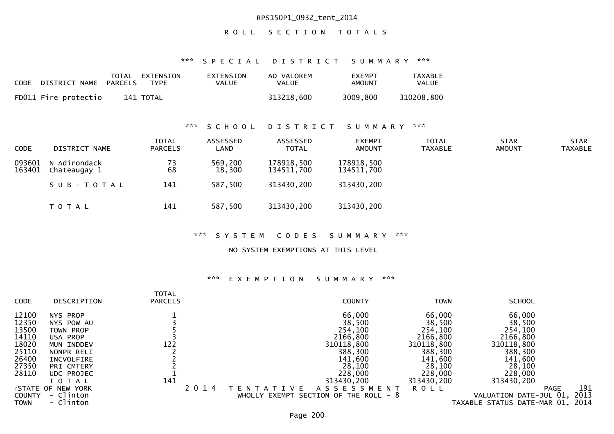## RPS150P1\_0932\_tent\_2014

# ROLL SECTION TOTALS

\*\*\* S P E C I A L D I S T R I C T S U M M A R Y \*\*\*

| CODE DISTRICT NAME   | PARCELS | TOTAL EXTENSION<br>TYPF | EXTENSION<br>VALUE | AD VALOREM<br>VALUE | <b>EXEMPT</b><br>AMOUNT | TAXABLE<br><b>VALUE</b> |
|----------------------|---------|-------------------------|--------------------|---------------------|-------------------------|-------------------------|
| FD011 Fire protectio |         | 141 TOTAL               |                    | 313218,600          | 3009,800                | 310208,800              |

\*\*\* S C H O O L D I S T R I C T S U M M A R Y \*\*\*

| <b>CODE</b>      | DISTRICT NAME                | <b>TOTAL</b><br><b>PARCELS</b> | ASSESSED<br>LAND  | ASSESSED<br><b>TOTAL</b> | <b>EXEMPT</b><br><b>AMOUNT</b> | <b>TOTAL</b><br>TAXABLE | <b>STAR</b><br>AMOUNT | <b>STAR</b><br><b>TAXABLE</b> |
|------------------|------------------------------|--------------------------------|-------------------|--------------------------|--------------------------------|-------------------------|-----------------------|-------------------------------|
| 093601<br>163401 | N Adirondack<br>Chateaugay 1 | 73<br>68                       | 569,200<br>18,300 | 178918,500<br>134511,700 | 178918,500<br>134511,700       |                         |                       |                               |
|                  | SUB-TOTAL                    | 141                            | 587,500           | 313430,200               | 313430,200                     |                         |                       |                               |
|                  | T O T A L                    | 141                            | 587,500           | 313430,200               | 313430,200                     |                         |                       |                               |

#### \*\*\* S Y S T E M C O D E S S U M M A R Y \*\*\*

### NO SYSTEM EXEMPTIONS AT THIS LEVEL

## \*\*\* E X E M P T I O N S U M M A R Y \*\*\*

| <b>CODE</b>      | DESCRIPTION       | <b>TOTAL</b><br><b>PARCELS</b> |         |    | <b>COUNTY</b>                         | <b>TOWN</b> | <b>SCHOOL</b>               |             |      |
|------------------|-------------------|--------------------------------|---------|----|---------------------------------------|-------------|-----------------------------|-------------|------|
| 12100            | NYS PROP          |                                |         |    | 66,000                                | 66,000      | 66,000                      |             |      |
| 12350            | NYS POW AU        |                                |         |    | 38,500                                | 38,500      | 38,500                      |             |      |
| 13500            | TOWN PROP         |                                |         |    | 254,100                               | 254,100     | 254,100                     |             |      |
| 14110            | USA PROP          |                                |         |    | 2166,800                              | 2166,800    | 2166,800                    |             |      |
| 18020            | MUN INDDEV        | 122                            |         |    | 310118,800                            | 310118,800  | 310118,800                  |             |      |
| 25110            | NONPR RELI        |                                |         |    | 388,300                               | 388,300     | 388,300                     |             |      |
| 26400            | INCVOLFIRE        |                                |         |    | 141,600                               | 141,600     | 141,600                     |             |      |
| 27350            | PRI CMTERY        |                                |         |    | 28,100                                | 28,100      | 28,100                      |             |      |
| 28110            | <b>UDC PROJEC</b> |                                |         |    | 228,000                               | 228,000     | 228,000                     |             |      |
|                  | TOTAL             | 141                            |         |    | 313430,200                            | 313430,200  | 313430,200                  |             |      |
| <b>FSTATE OF</b> | NEW YORK          |                                | 2 0 1 4 | -E | A S S E S S M E N T                   | <b>ROLL</b> |                             | <b>PAGE</b> | 191  |
| <b>COUNTY</b>    | - Clinton         |                                |         |    | WHOLLY EXEMPT SECTION OF THE ROLL - 8 |             | VALUATION DATE-JUL 01,      |             | 2013 |
| <b>TOWN</b>      | - Clinton         |                                |         |    |                                       |             | TAXABLE STATUS DATE-MAR 01, |             | 2014 |
|                  |                   |                                |         |    |                                       |             |                             |             |      |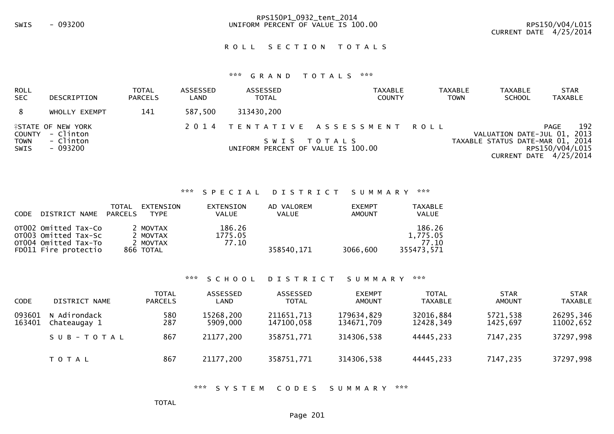# RPS150P1\_0932\_tent\_2014SWIS - 093200 UNIFORM PERCENT OF VALUE IS 100.00 RPS150/V04/L015

#### ROLL SECTION TOTALS

## \*\*\* G R A N D T O T A L S \*\*\*

| ROLL<br><b>SEC</b>  | DESCRIPTION                                    | <b>TOTAL</b><br><b>PARCELS</b> | ASSESSED<br>LAND | ASSESSED<br><b>TOTAL</b>           | <b>TAXABLE</b><br><b>COUNTY</b> | <b>TAXABLE</b><br><b>TAXABLE</b><br><b>SCHOOL</b><br><b>TOWN</b> | <b>STAR</b><br><b>TAXABLE</b>             |
|---------------------|------------------------------------------------|--------------------------------|------------------|------------------------------------|---------------------------------|------------------------------------------------------------------|-------------------------------------------|
| 8                   | WHOLLY EXEMPT                                  | 141                            | 587.500          | 313430,200                         |                                 |                                                                  |                                           |
| COUNTY              | <b><i>LESTATE OF NEW YORK</i></b><br>- Clinton |                                |                  |                                    | 2014 TENTATIVE ASSESSMENT ROLL  | VALUATION DATE-JUL 01, 2013                                      | 192<br><b>PAGE</b>                        |
| <b>TOWN</b><br>SWIS | - Clinton<br>- 093200                          |                                |                  | UNIFORM PERCENT OF VALUE IS 100.00 | SWIS TOTALS                     | TAXABLE STATUS DATE-MAR 01, 2014                                 | RPS150/V04/L015<br>CURRENT DATE 4/25/2014 |

#### \*\*\* S P E C I A L D I S T R I C T S U M M A R Y \*\*\*

| <b>CODE</b> | DISTRICT NAME                                                                                | <b>TOTAL</b><br>PARCELS | EXTENSION<br><b>TYPE</b>                      | EXTENSION<br><b>VALUE</b>  | AD VALOREM<br><b>VALUE</b> | <b>EXEMPT</b><br>AMOUNT | TAXABLE<br><b>VALUE</b>                   |
|-------------|----------------------------------------------------------------------------------------------|-------------------------|-----------------------------------------------|----------------------------|----------------------------|-------------------------|-------------------------------------------|
|             | OTO02 Omitted Tax-Co<br>OT003 Omitted Tax-Sc<br>OT004 Omitted Tax-To<br>FD011 Fire protectio |                         | 2 MOVTAX<br>2 MOVTAX<br>2 MOVTAX<br>866 TOTAL | 186.26<br>1775.05<br>77.10 | 358540.171                 | 3066,600                | 186.26<br>1,775.05<br>77.10<br>355473.571 |

#### \*\*\* S C H O O L D I S T R I C T S U M M A R Y \*\*\*

| <b>CODE</b>      | DISTRICT NAME                | <b>TOTAL</b><br><b>PARCELS</b> | ASSESSED<br>LAND      | ASSESSED<br><b>TOTAL</b> | <b>EXEMPT</b><br><b>AMOUNT</b> | <b>TOTAL</b><br><b>TAXABLE</b> | <b>STAR</b><br><b>AMOUNT</b> | <b>STAR</b><br><b>TAXABLE</b> |
|------------------|------------------------------|--------------------------------|-----------------------|--------------------------|--------------------------------|--------------------------------|------------------------------|-------------------------------|
| 093601<br>163401 | N Adirondack<br>Chateaugay 1 | 580<br>287                     | 15268,200<br>5909,000 | 211651,713<br>147100,058 | 179634,829<br>134671.709       | 32016,884<br>12428,349         | 5721,538<br>1425.697         | 26295,346<br>11002,652        |
|                  | SUB-TOTAL                    | 867                            | 21177,200             | 358751,771               | 314306,538                     | 44445,233                      | 7147,235                     | 37297,998                     |
|                  | T O T A L                    | 867                            | 21177,200             | 358751,771               | 314306,538                     | 44445,233                      | 7147,235                     | 37297,998                     |

#### \*\*\* S Y S T E M C O D E S S U M M A R Y \*\*\*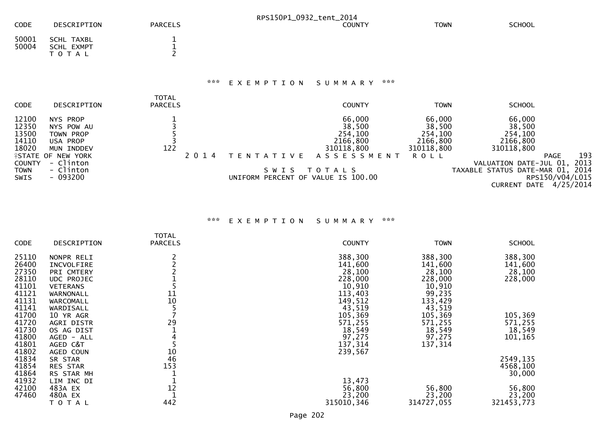|                                           |                                                                  |                                |         | RPS150P1_0932_tent_2014 |                                                       |                                                       |                                                       |             |
|-------------------------------------------|------------------------------------------------------------------|--------------------------------|---------|-------------------------|-------------------------------------------------------|-------------------------------------------------------|-------------------------------------------------------|-------------|
| <b>CODE</b>                               | DESCRIPTION                                                      | <b>PARCELS</b>                 |         |                         | <b>COUNTY</b>                                         | <b>TOWN</b>                                           | <b>SCHOOL</b>                                         |             |
| 50001<br>50004                            | SCHL TAXBL<br>SCHL EXMPT<br>TOTAL                                |                                |         |                         |                                                       |                                                       |                                                       |             |
|                                           |                                                                  |                                | ***     | EXEMPTION               | ***<br>S U M M A R Y                                  |                                                       |                                                       |             |
| <b>CODE</b>                               | DESCRIPTION                                                      | <b>TOTAL</b><br><b>PARCELS</b> |         |                         | <b>COUNTY</b>                                         | <b>TOWN</b>                                           | <b>SCHOOL</b>                                         |             |
| 12100<br>12350<br>13500<br>14110<br>18020 | NYS PROP<br>NYS POW AU<br>TOWN PROP<br>USA PROP<br>INDDEV<br>MUN | 122                            |         |                         | 66,000<br>38,500<br>254,100<br>2166,800<br>310118,800 | 66,000<br>38,500<br>254,100<br>2166,800<br>310118,800 | 66,000<br>38,500<br>254,100<br>2166,800<br>310118,800 |             |
| <b>COUNTY</b>                             | <b>ISTATE OF NEW YORK</b><br>- Clinton                           |                                | 2 0 1 4 | T E N T A T I V E       | <b>ASSESSMENT</b>                                     | <b>ROLL</b>                                           | <b>PAGE</b><br>VALUATION DATE-JUL 01,                 | 193<br>2013 |
| <b>TOMAIN</b>                             | $ Climon$                                                        |                                |         |                         | CWTC TOTAIC                                           |                                                       | TAVADLE CTATUC DATE MAD 01                            | <b>2014</b> |

TOWN - Clinton SWIS - Clinton SWIS - Clinton SWIS - O93200 093200 093200 UNIFORM PERCENT OF VALUE IS 100.00<br>CURRENT DATE 4/25/2014

# \*\*\* E X E M P T I O N S U M M A R Y \*\*\*

|       |                   | TOTAL          |               |             |               |
|-------|-------------------|----------------|---------------|-------------|---------------|
| CODE  | DESCRIPTION       | <b>PARCELS</b> | <b>COUNTY</b> | <b>TOWN</b> | <b>SCHOOL</b> |
|       |                   |                |               |             |               |
| 25110 | NONPR RELI        |                | 388,300       | 388,300     | 388,300       |
| 26400 | INCVOLFIRE        |                | 141,600       | 141,600     | 141,600       |
| 27350 | PRI CMTERY        |                | 28,100        | 28,100      | 28,100        |
| 28110 | <b>UDC PROJEC</b> |                | 228,000       | 228,000     | 228,000       |
| 41101 | <b>VETERANS</b>   |                | 10,910        | 10,910      |               |
| 41121 | WARNONALL         | 11             | 113,403       | 99,235      |               |
|       |                   |                |               |             |               |
| 41131 | WARCOMALL         | 10             | 149,512       | 133,429     |               |
| 41141 | WARDISALL         |                | 43,519        | 43,519      |               |
| 41700 | 10 YR AGR         |                | 105,369       | 105,369     | 105,369       |
| 41720 | AGRI DISTR        | 29             | 571,255       | 571,255     | 571,255       |
| 41730 | OS AG DIST        |                | 18,549        | 18,549      | 18,549        |
| 41800 | AGED - ALL        |                | 97,275        | 97,275      | 101,165       |
| 41801 |                   |                | 137,314       | 137,314     |               |
|       | AGED C&T          |                |               |             |               |
| 41802 | AGED COUN         | 10             | 239,567       |             |               |
| 41834 | SR STAR           | 46             |               |             | 2549,135      |
| 41854 | <b>RES STAR</b>   | 153            |               |             | 4568,100      |
| 41864 | RS STAR MH        |                |               |             | 30,000        |
| 41932 | LIM INC DI        |                | 13,473        |             |               |
| 42100 | 483A EX           | 12             | 56,800        | 56,800      | 56,800        |
|       |                   |                |               |             |               |
| 47460 | 480A EX           |                | 23,200        | 23,200      | 23,200        |
|       | T O T A L         | 442            | 315010, 346   | 314727,055  | 321453,773    |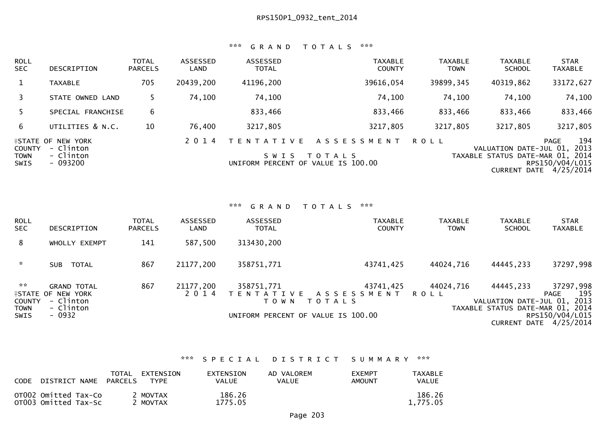## \*\*\* G R A N D T O T A L S \*\*\*

| ROLL<br><b>SEC</b>                          | DESCRIPTION                                                      | <b>TOTAL</b><br><b>PARCELS</b> | ASSESSED<br><b>LAND</b> | <b>ASSESSED</b><br><b>TOTAL</b>                                    | <b>TAXABLE</b><br><b>COUNTY</b>    | <b>TAXABLE</b><br><b>TOWN</b> | <b>TAXABLE</b><br><b>SCHOOL</b>                            | <b>STAR</b><br><b>TAXABLE</b>                                           |
|---------------------------------------------|------------------------------------------------------------------|--------------------------------|-------------------------|--------------------------------------------------------------------|------------------------------------|-------------------------------|------------------------------------------------------------|-------------------------------------------------------------------------|
|                                             | <b>TAXABLE</b>                                                   | 705                            | 20439,200               | 41196,200                                                          | 39616,054                          | 39899, 345                    | 40319,862                                                  | 33172,627                                                               |
|                                             | STATE OWNED LAND                                                 |                                | 74,100                  | 74,100                                                             | 74,100                             | 74,100                        | 74,100                                                     | 74,100                                                                  |
|                                             | SPECIAL FRANCHISE                                                | 6                              |                         | 833,466                                                            | 833,466                            | 833,466                       | 833,466                                                    | 833,466                                                                 |
| 6                                           | UTILITIES & N.C.                                                 | 10                             | 76,400                  | 3217,805                                                           | 3217,805                           | 3217,805                      | 3217,805                                                   | 3217,805                                                                |
| <b>COUNTY</b><br><b>TOWN</b><br><b>SWIS</b> | <b>ISTATE OF NEW YORK</b><br>- Clinton<br>- Clinton<br>$-093200$ |                                | 2 0 1 4                 | T E N T A T I V E<br>S W I S<br>UNIFORM PERCENT OF VALUE IS 100.00 | A S S E S S M E N T<br>T O T A L S | <b>ROLL</b>                   | VALUATION DATE-JUL 01,<br>TAXABLE STATUS DATE-MAR 01, 2014 | 194<br><b>PAGE</b><br>2013<br>RPS150/V04/L015<br>CURRENT DATE 4/25/2014 |

\*\*\* G R A N D T O T A L S \*\*\*

| <b>ROLL</b><br><b>SEC</b>                                                       | <b>DESCRIPTION</b>                                                                  | <b>TOTAL</b><br><b>PARCELS</b> | ASSESSED<br>LAND     | ASSESSED<br><b>TOTAL</b> | <b>TAXABLE</b><br><b>COUNTY</b>                                                        | <b>TAXABLE</b><br><b>TOWN</b> | <b>TAXABLE</b><br><b>SCHOOL</b>                                              | <b>STAR</b><br><b>TAXABLE</b>                                           |
|---------------------------------------------------------------------------------|-------------------------------------------------------------------------------------|--------------------------------|----------------------|--------------------------|----------------------------------------------------------------------------------------|-------------------------------|------------------------------------------------------------------------------|-------------------------------------------------------------------------|
| 8                                                                               | WHOLLY EXEMPT                                                                       | 141                            | 587,500              | 313430,200               |                                                                                        |                               |                                                                              |                                                                         |
| $\sim$                                                                          | TOTAL<br><b>SUB</b>                                                                 | 867                            | 21177,200            | 358751,771               | 43741,425                                                                              | 44024,716                     | 44445,233                                                                    | 37297,998                                                               |
| $\mathcal{H} \times \mathcal{H}$<br><b>COUNTY</b><br><b>TOWN</b><br><b>SWIS</b> | <b>GRAND TOTAL</b><br><b>ASTATE OF NEW YORK</b><br>- Clinton<br>- Clinton<br>- 0932 | 867                            | 21177,200<br>2 0 1 4 | 358751,771<br>T O W N    | 43741,425<br>TENTATIVE ASSESSMENT<br>T O T A L S<br>UNIFORM PERCENT OF VALUE IS 100.00 | 44024,716<br>ROLL             | 44445,233<br>VALUATION DATE-JUL 01, 2013<br>TAXABLE STATUS DATE-MAR 01, 2014 | 37297,998<br>195<br>PAGE<br>RPS150/V04/L015<br>CURRENT DATE $4/25/2014$ |

## \*\*\* S P E C I A L D I S T R I C T S U M M A R Y \*\*\*

| CODE | DISTRICT NAME PARCELS                        | TOTAL | EXTENSION<br>TYPF.   | <b>EXTENSION</b><br>VALUE | AD VALOREM<br>VAL UE | <b>FXEMPT</b><br>AMOUNT | <b>TAXABLE</b><br><b>VALUE</b> |
|------|----------------------------------------------|-------|----------------------|---------------------------|----------------------|-------------------------|--------------------------------|
|      | OTO02 Omitted Tax-Co<br>OT003 Omitted Tax-Sc |       | 2 MOVTAX<br>2 MOVTAX | 186.26<br>1775.05         |                      |                         | 186.26<br>1.775.05             |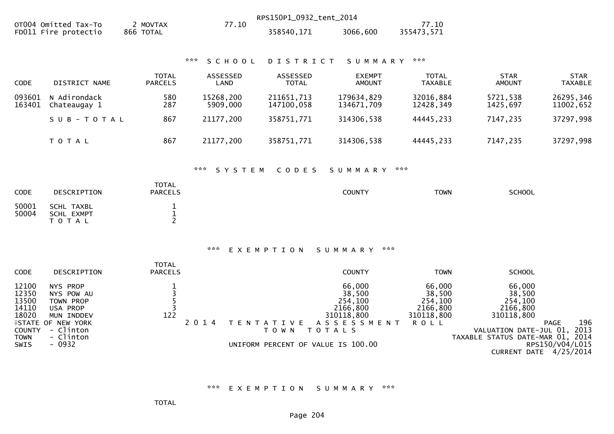|                                                                                   |                                                                                                                                 |                                      |                                | RPS150P1_0932_tent_2014                                            |                                                                                      |                                                                      |                                                                                                                          |                                       |
|-----------------------------------------------------------------------------------|---------------------------------------------------------------------------------------------------------------------------------|--------------------------------------|--------------------------------|--------------------------------------------------------------------|--------------------------------------------------------------------------------------|----------------------------------------------------------------------|--------------------------------------------------------------------------------------------------------------------------|---------------------------------------|
|                                                                                   | OT004 Omitted Tax-To<br>FD011 Fire protectio                                                                                    | 2 MOVTAX<br>866 TOTAL                | 77.10                          | 358540,171                                                         | 3066,600                                                                             | 77.10<br>355473,571                                                  |                                                                                                                          |                                       |
|                                                                                   |                                                                                                                                 |                                      | 7.777<br>SCHOOL                | DISTRICT                                                           | SUMMARY                                                                              | $\pi \times \pi$                                                     |                                                                                                                          |                                       |
| CODE                                                                              | DISTRICT NAME                                                                                                                   | <b>TOTAL</b><br><b>PARCELS</b>       | ASSESSED<br>LAND               | ASSESSED<br><b>TOTAL</b>                                           | <b>EXEMPT</b><br><b>AMOUNT</b>                                                       | <b>TOTAL</b><br><b>TAXABLE</b>                                       | <b>STAR</b><br><b>AMOUNT</b>                                                                                             | <b>STAR</b><br><b>TAXABLE</b>         |
| 093601<br>163401                                                                  | N Adirondack<br>Chateaugay 1                                                                                                    | 580<br>287                           | 15268,200<br>5909,000          | 211651,713<br>147100,058                                           | 179634,829<br>134671,709                                                             | 32016,884<br>12428,349                                               | 5721,538<br>1425,697                                                                                                     | 26295,346<br>11002,652                |
|                                                                                   | SUB-TOTAL                                                                                                                       | 867                                  | 21177,200                      | 358751,771                                                         | 314306,538                                                                           | 44445,233                                                            | 7147,235                                                                                                                 | 37297,998                             |
|                                                                                   | T O T A L                                                                                                                       | 867                                  | 21177,200                      | 358751,771                                                         | 314306,538                                                                           | 44445,233                                                            | 7147,235                                                                                                                 | 37297,998                             |
|                                                                                   |                                                                                                                                 | <b>TOTAL</b>                         | ***<br>SYSTEM                  | CODES                                                              | SUMMARY                                                                              | $\pi \times \pi$                                                     |                                                                                                                          |                                       |
| <b>CODE</b>                                                                       | DESCRIPTION                                                                                                                     | <b>PARCELS</b>                       |                                |                                                                    | <b>COUNTY</b>                                                                        | <b>TOWN</b>                                                          | <b>SCHOOL</b>                                                                                                            |                                       |
| 50001<br>50004                                                                    | <b>SCHL TAXBL</b><br>SCHL EXMPT<br>TOTAL                                                                                        | $\mathbf 1$<br>$\mathbf{1}$<br>2     |                                |                                                                    |                                                                                      |                                                                      |                                                                                                                          |                                       |
|                                                                                   |                                                                                                                                 |                                      | $\mathbf{x} \times \mathbf{x}$ | EXEMPTION                                                          | ***<br>SUMMARY                                                                       |                                                                      |                                                                                                                          |                                       |
| CODE                                                                              | DESCRIPTION                                                                                                                     | <b>TOTAL</b><br><b>PARCELS</b>       |                                |                                                                    | <b>COUNTY</b>                                                                        | <b>TOWN</b>                                                          | <b>SCHOOL</b>                                                                                                            |                                       |
| 12100<br>12350<br>13500<br>14110<br>18020<br><b>COUNTY</b><br><b>TOWN</b><br>SWIS | NYS PROP<br>NYS POW AU<br>TOWN PROP<br>USA PROP<br>MUN INDDEV<br><b>ISTATE OF NEW YORK</b><br>- Clinton<br>- Clinton<br>$-0932$ | $\mathbf{1}$<br>$\frac{1}{3}$<br>122 | 2 0 1 4                        | T E N T A T I V E<br>T O W N<br>UNIFORM PERCENT OF VALUE IS 100.00 | 66,000<br>38,500<br>254,100<br>2166,800<br>310118,800<br>ASSESSMENT<br><b>TOTALS</b> | 66,000<br>38,500<br>254,100<br>2166,800<br>310118,800<br><b>ROLL</b> | 66,000<br>38,500<br>254,100<br>2166,800<br>310118,800<br>VALUATION DATE-JUL 01, 2013<br>TAXABLE STATUS DATE-MAR 01, 2014 | 196<br><b>PAGE</b><br>RPS150/V04/L015 |
|                                                                                   |                                                                                                                                 |                                      |                                |                                                                    |                                                                                      |                                                                      |                                                                                                                          | CURRENT DATE 4/25/2014                |

\*\*\* E X E M P T I O N S U M M A R Y \*\*\*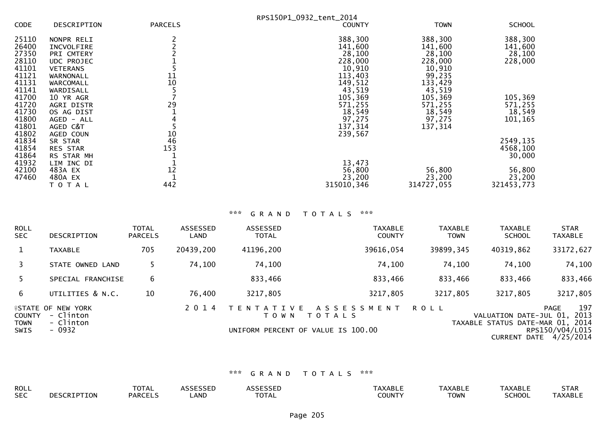|             |                   |                | RPS150P1_0932_tent_2014 |             |               |
|-------------|-------------------|----------------|-------------------------|-------------|---------------|
| <b>CODE</b> | DESCRIPTION       | <b>PARCELS</b> | <b>COUNTY</b>           | <b>TOWN</b> | <b>SCHOOL</b> |
| 25110       | NONPR RELI        |                | 388,300                 | 388,300     | 388,300       |
| 26400       | INCVOLFIRE        |                | 141,600                 | 141,600     | 141,600       |
| 27350       | PRI CMTERY        |                | 28,100                  | 28,100      | 28,100        |
| 28110       | <b>UDC PROJEC</b> |                | 228,000                 | 228,000     | 228,000       |
| 41101       | <b>VETERANS</b>   |                | 10,910                  | 10,910      |               |
| 41121       | WARNONALL         | 11             | 113,403                 | 99,235      |               |
| 41131       | <b>WARCOMALL</b>  | 10             | 149,512                 | 133,429     |               |
| 41141       | WARDISALL         |                | 43,519                  | 43,519      |               |
| 41700       | 10 YR AGR         |                | 105,369                 | 105,369     | 105,369       |
| 41720       | AGRI DISTR        | 29             | 571,255                 | 571,255     | 571,255       |
| 41730       | OS AG DIST        |                | 18,549                  | 18,549      | 18,549        |
| 41800       | AGED - ALL        |                | 97,275                  | 97,275      | 101,165       |
| 41801       | AGED C&T          |                | 137,314                 | 137,314     |               |
| 41802       | AGED COUN         | 10             | 239,567                 |             |               |
| 41834       | SR STAR           | 46             |                         |             | 2549,135      |
| 41854       | <b>RES STAR</b>   | 153            |                         |             | 4568,100      |
| 41864       | RS STAR MH        |                |                         |             | 30,000        |
| 41932       | LIM INC DI        |                | 13,473                  |             |               |
| 42100       | 483A EX           | 12             | 56,800                  | 56,800      | 56,800        |
| 47460       | 480A EX           |                | 23,200                  | 23,200      | 23,200        |
|             | TOTAL             | 442            | 315010, 346             | 314727,055  | 321453,773    |

# \*\*\* G R A N D T O T A L S \*\*\*

| ROLL<br>SEC.                                | <b>DESCRIPTION</b>                                            | <b>TOTAL</b><br><b>PARCELS</b> | ASSESSED<br>LAND | ASSESSED<br><b>TOTAL</b>    | <b>TAXABLE</b><br><b>COUNTY</b>                                            | <b>TAXABLE</b><br><b>TOWN</b> | <b>TAXABLE</b><br><b>SCHOOL</b>                                 | <b>STAR</b><br><b>TAXABLE</b>                                          |
|---------------------------------------------|---------------------------------------------------------------|--------------------------------|------------------|-----------------------------|----------------------------------------------------------------------------|-------------------------------|-----------------------------------------------------------------|------------------------------------------------------------------------|
|                                             | <b>TAXABLE</b>                                                | 705                            | 20439,200        | 41196,200                   | 39616,054                                                                  | 39899, 345                    | 40319,862                                                       | 33172,627                                                              |
|                                             | STATE OWNED LAND                                              |                                | 74,100           | 74,100                      | 74,100                                                                     | 74,100                        | 74,100                                                          | 74,100                                                                 |
|                                             | SPECIAL FRANCHISE                                             | 6                              |                  | 833,466                     | 833,466                                                                    | 833,466                       | 833,466                                                         | 833,466                                                                |
| 6.                                          | UTILITIES & N.C.                                              | 10                             | 76,400           | 3217,805                    | 3217,805                                                                   | 3217,805                      | 3217,805                                                        | 3217,805                                                               |
| <b>COUNTY</b><br><b>TOWN</b><br><b>SWIS</b> | <b>ISTATE OF NEW YORK</b><br>- Clinton<br>- Clinton<br>- 0932 |                                | 2 0 1 4          | ATIVE<br>T F N T<br>T O W N | A S S E S S M E N T<br><b>TOTALS</b><br>UNIFORM PERCENT OF VALUE IS 100.00 | <b>ROLL</b>                   | VALUATION DATE-JUL 01, 2013<br>TAXABLE STATUS DATE-MAR 01, 2014 | 197<br><b>PAGE</b><br>RPS150/V04/L015<br><b>CURRENT DATE 4/25/2014</b> |

# \*\*\* G R A N D T O T A L S \*\*\*

| <b>ROLL</b> |                         | -~- <u>-</u><br><b>OTAL</b> | $-$ - - - - - $-$ |                                 | ו הו<br>«АBLЕ | AXABLE      | AXABL.        | <b>STAR</b>  |
|-------------|-------------------------|-----------------------------|-------------------|---------------------------------|---------------|-------------|---------------|--------------|
| <b>SEC</b>  | <b>RIPTION</b><br>∵ −ال | <b>PARCELS</b>              | LAND              | $\neg$ דר $\neg$<br><b>VIAL</b> | 201117        | <b>TOWN</b> | <b>SCHOOL</b> | <b>AXARI</b> |